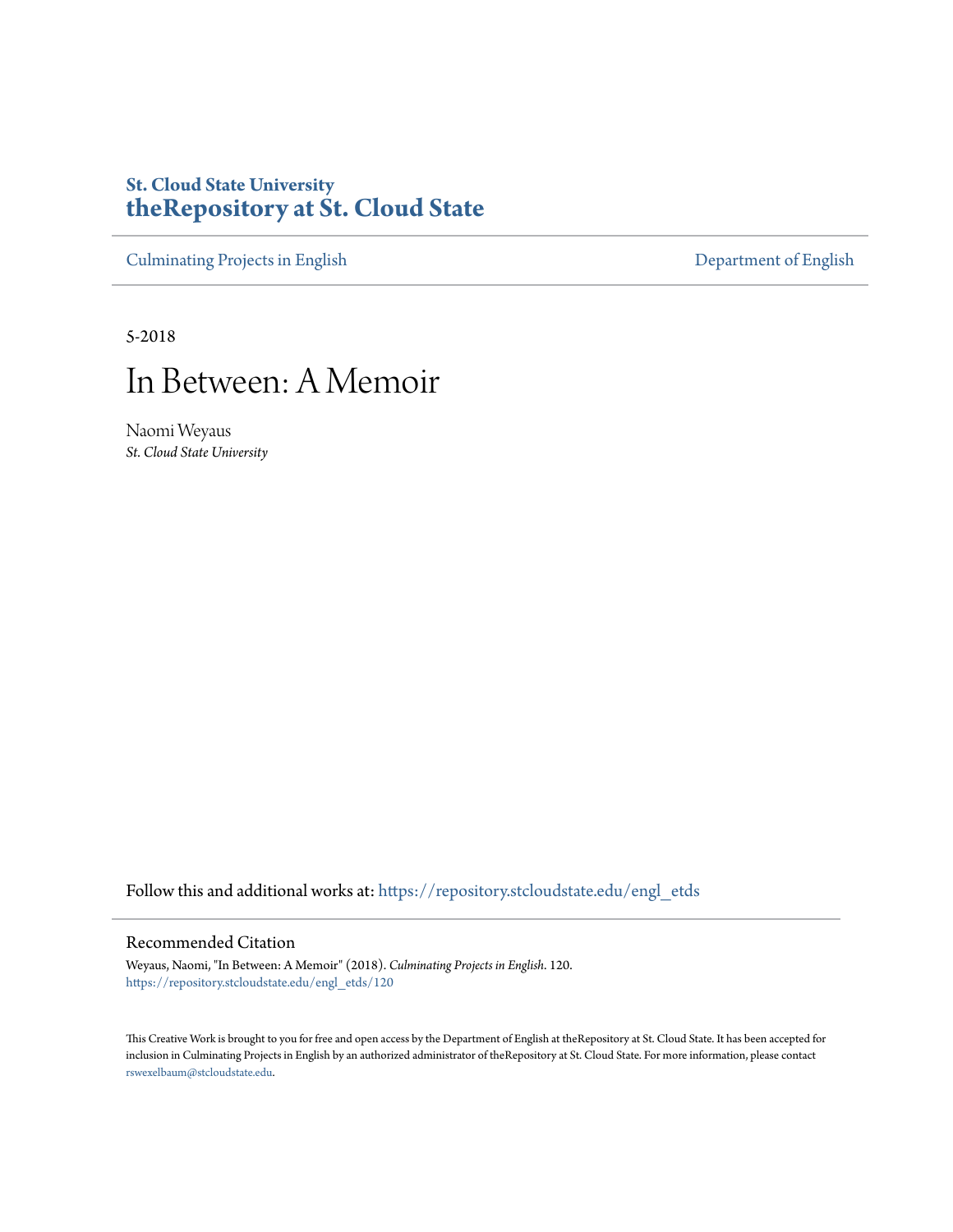# **St. Cloud State University [theRepository at St. Cloud State](https://repository.stcloudstate.edu?utm_source=repository.stcloudstate.edu%2Fengl_etds%2F120&utm_medium=PDF&utm_campaign=PDFCoverPages)**

[Culminating Projects in English](https://repository.stcloudstate.edu/engl_etds?utm_source=repository.stcloudstate.edu%2Fengl_etds%2F120&utm_medium=PDF&utm_campaign=PDFCoverPages) [Department of English](https://repository.stcloudstate.edu/engl?utm_source=repository.stcloudstate.edu%2Fengl_etds%2F120&utm_medium=PDF&utm_campaign=PDFCoverPages)

5-2018

# In Between: A Memoir

Naomi Weyaus *St. Cloud State University*

Follow this and additional works at: [https://repository.stcloudstate.edu/engl\\_etds](https://repository.stcloudstate.edu/engl_etds?utm_source=repository.stcloudstate.edu%2Fengl_etds%2F120&utm_medium=PDF&utm_campaign=PDFCoverPages)

#### Recommended Citation

Weyaus, Naomi, "In Between: A Memoir" (2018). *Culminating Projects in English*. 120. [https://repository.stcloudstate.edu/engl\\_etds/120](https://repository.stcloudstate.edu/engl_etds/120?utm_source=repository.stcloudstate.edu%2Fengl_etds%2F120&utm_medium=PDF&utm_campaign=PDFCoverPages)

This Creative Work is brought to you for free and open access by the Department of English at theRepository at St. Cloud State. It has been accepted for inclusion in Culminating Projects in English by an authorized administrator of theRepository at St. Cloud State. For more information, please contact [rswexelbaum@stcloudstate.edu](mailto:rswexelbaum@stcloudstate.edu).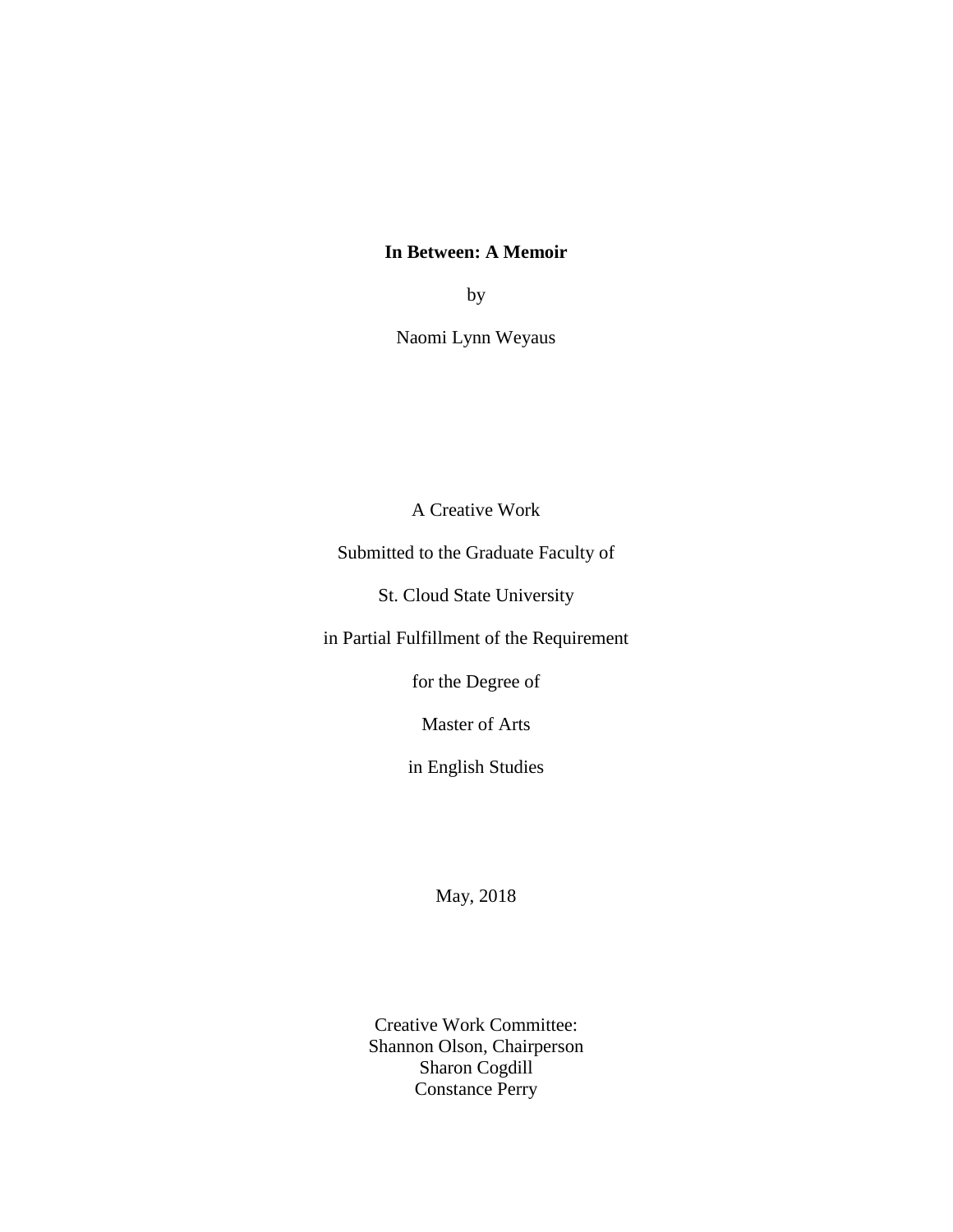## **In Between: A Memoir**

by

Naomi Lynn Weyaus

A Creative Work

Submitted to the Graduate Faculty of

St. Cloud State University

in Partial Fulfillment of the Requirement

for the Degree of

Master of Arts

in English Studies

May, 2018

Creative Work Committee: Shannon Olson, Chairperson Sharon Cogdill Constance Perry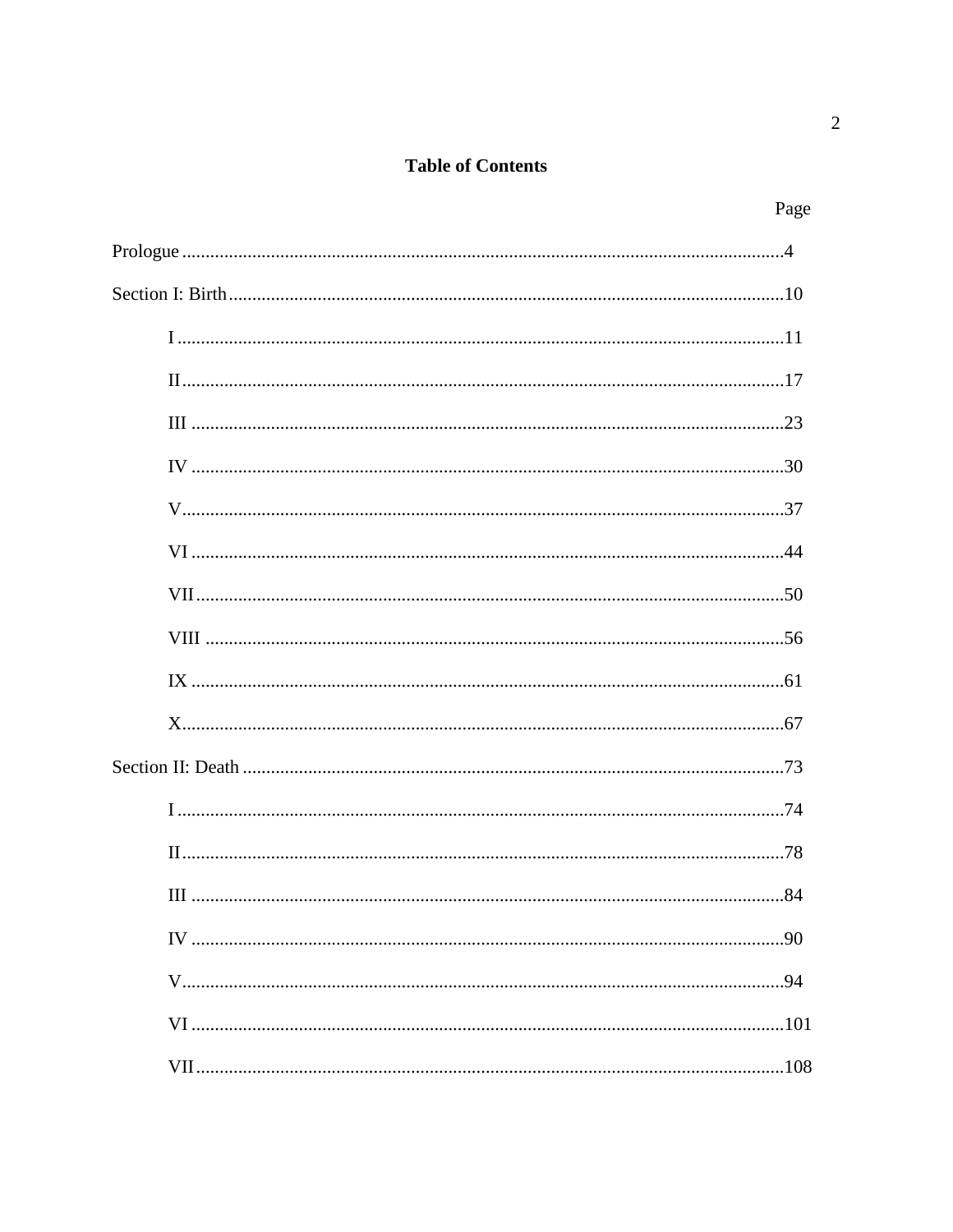## **Table of Contents**

| Page |
|------|
|      |
|      |
|      |
|      |
|      |
|      |
|      |
|      |
|      |
|      |
|      |
|      |
|      |
|      |
|      |
|      |
|      |
|      |
|      |
|      |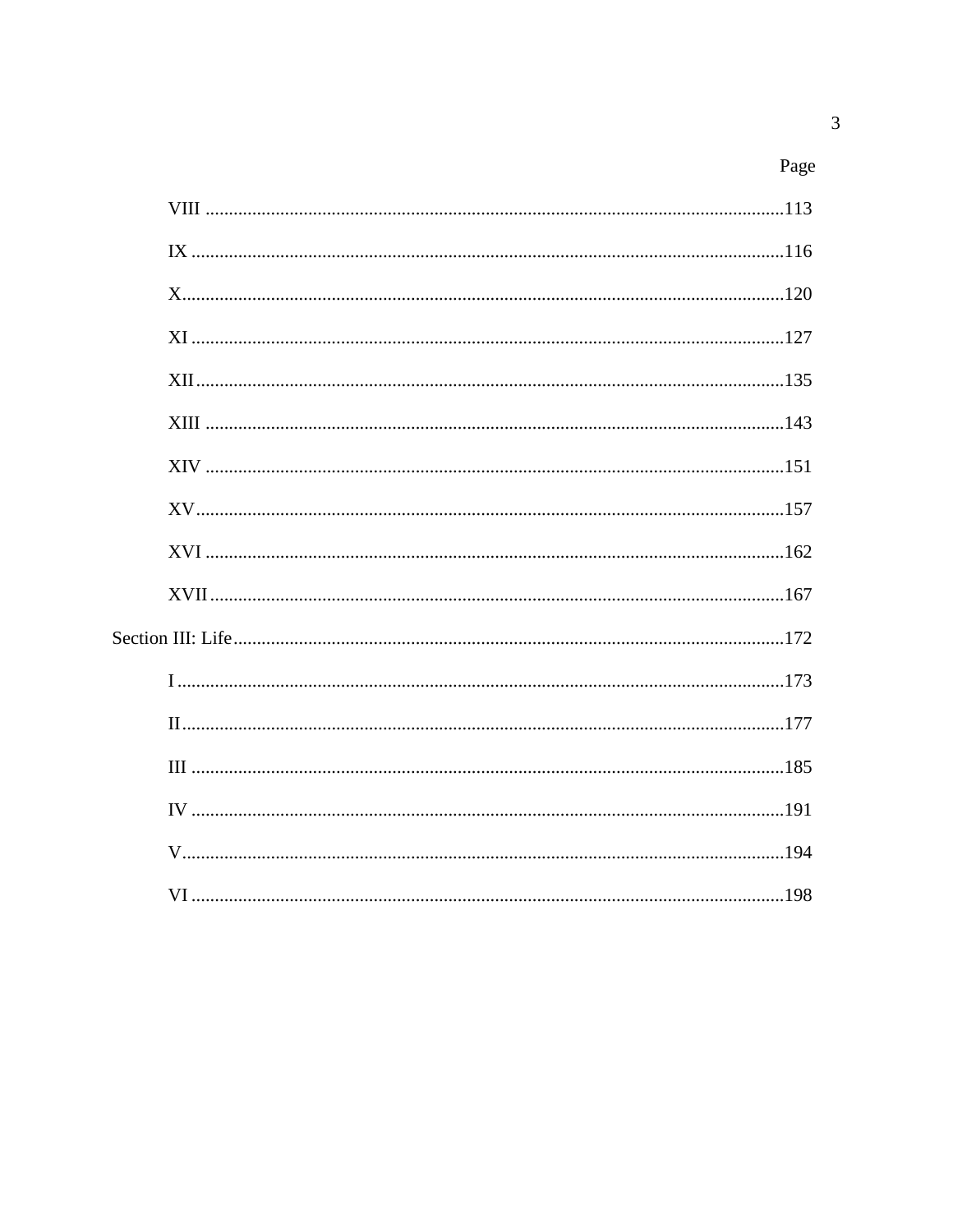| Page |
|------|
|------|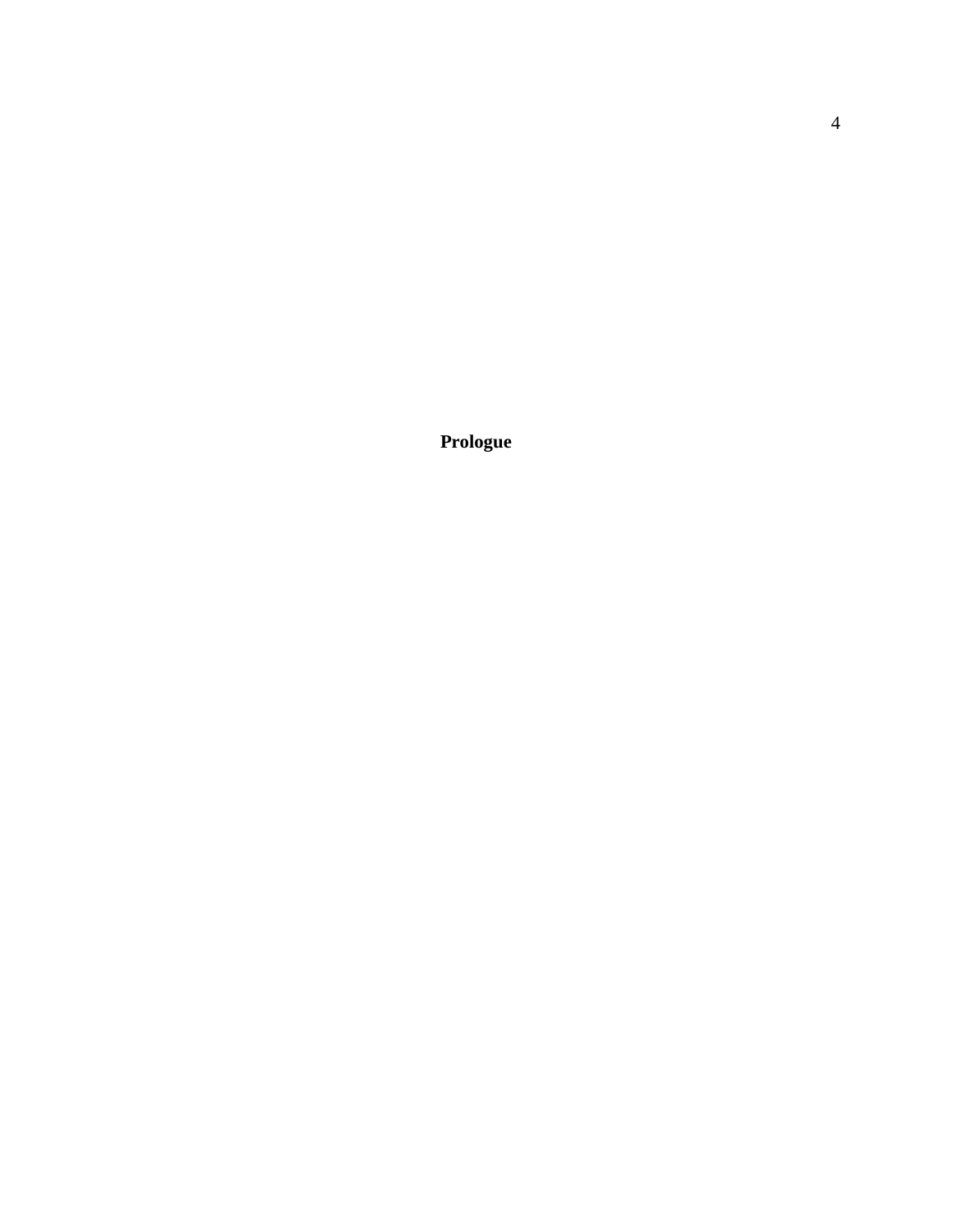**Prologue**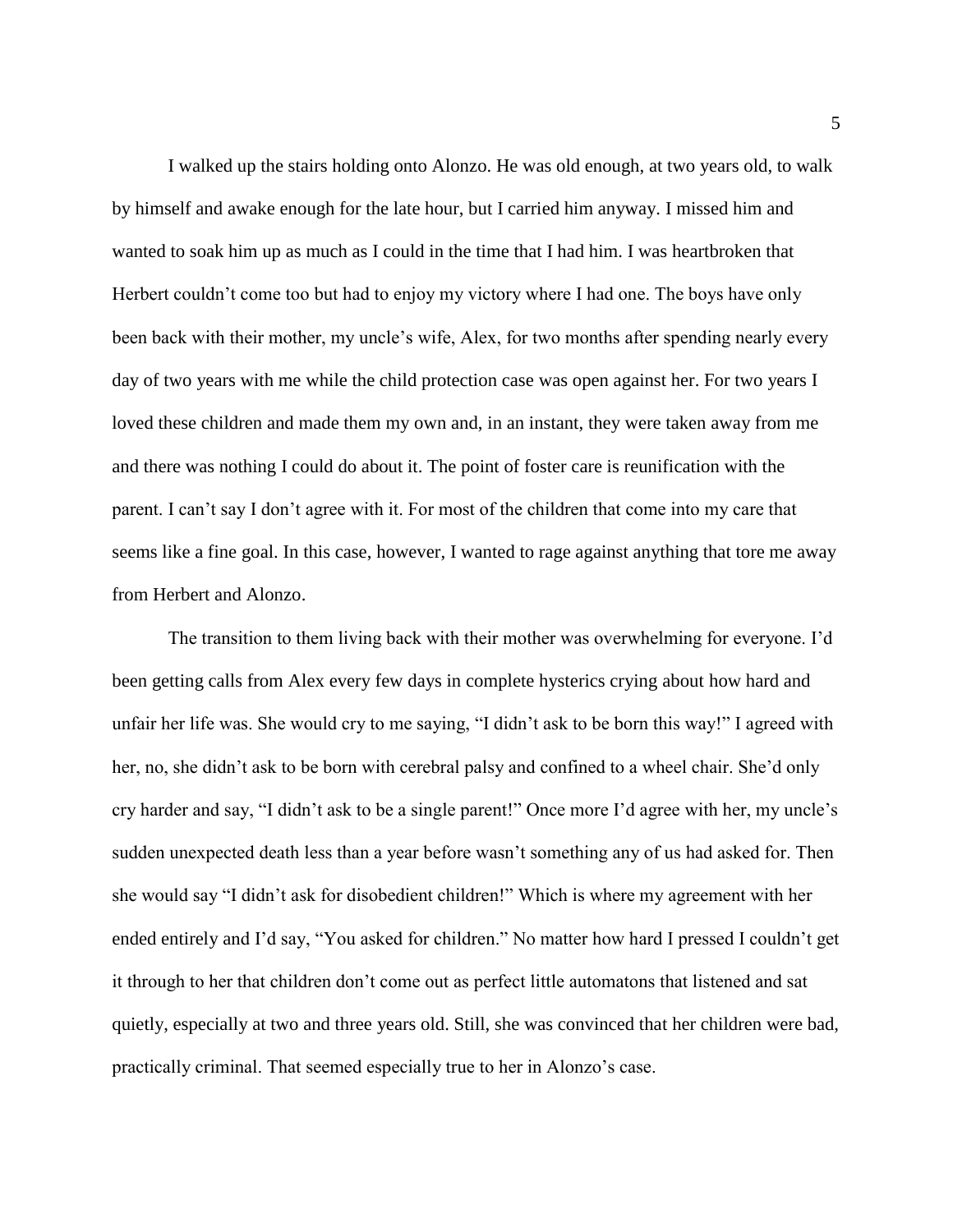I walked up the stairs holding onto Alonzo. He was old enough, at two years old, to walk by himself and awake enough for the late hour, but I carried him anyway. I missed him and wanted to soak him up as much as I could in the time that I had him. I was heartbroken that Herbert couldn't come too but had to enjoy my victory where I had one. The boys have only been back with their mother, my uncle's wife, Alex, for two months after spending nearly every day of two years with me while the child protection case was open against her. For two years I loved these children and made them my own and, in an instant, they were taken away from me and there was nothing I could do about it. The point of foster care is reunification with the parent. I can't say I don't agree with it. For most of the children that come into my care that seems like a fine goal. In this case, however, I wanted to rage against anything that tore me away from Herbert and Alonzo.

The transition to them living back with their mother was overwhelming for everyone. I'd been getting calls from Alex every few days in complete hysterics crying about how hard and unfair her life was. She would cry to me saying, "I didn't ask to be born this way!" I agreed with her, no, she didn't ask to be born with cerebral palsy and confined to a wheel chair. She'd only cry harder and say, "I didn't ask to be a single parent!" Once more I'd agree with her, my uncle's sudden unexpected death less than a year before wasn't something any of us had asked for. Then she would say "I didn't ask for disobedient children!" Which is where my agreement with her ended entirely and I'd say, "You asked for children." No matter how hard I pressed I couldn't get it through to her that children don't come out as perfect little automatons that listened and sat quietly, especially at two and three years old. Still, she was convinced that her children were bad, practically criminal. That seemed especially true to her in Alonzo's case.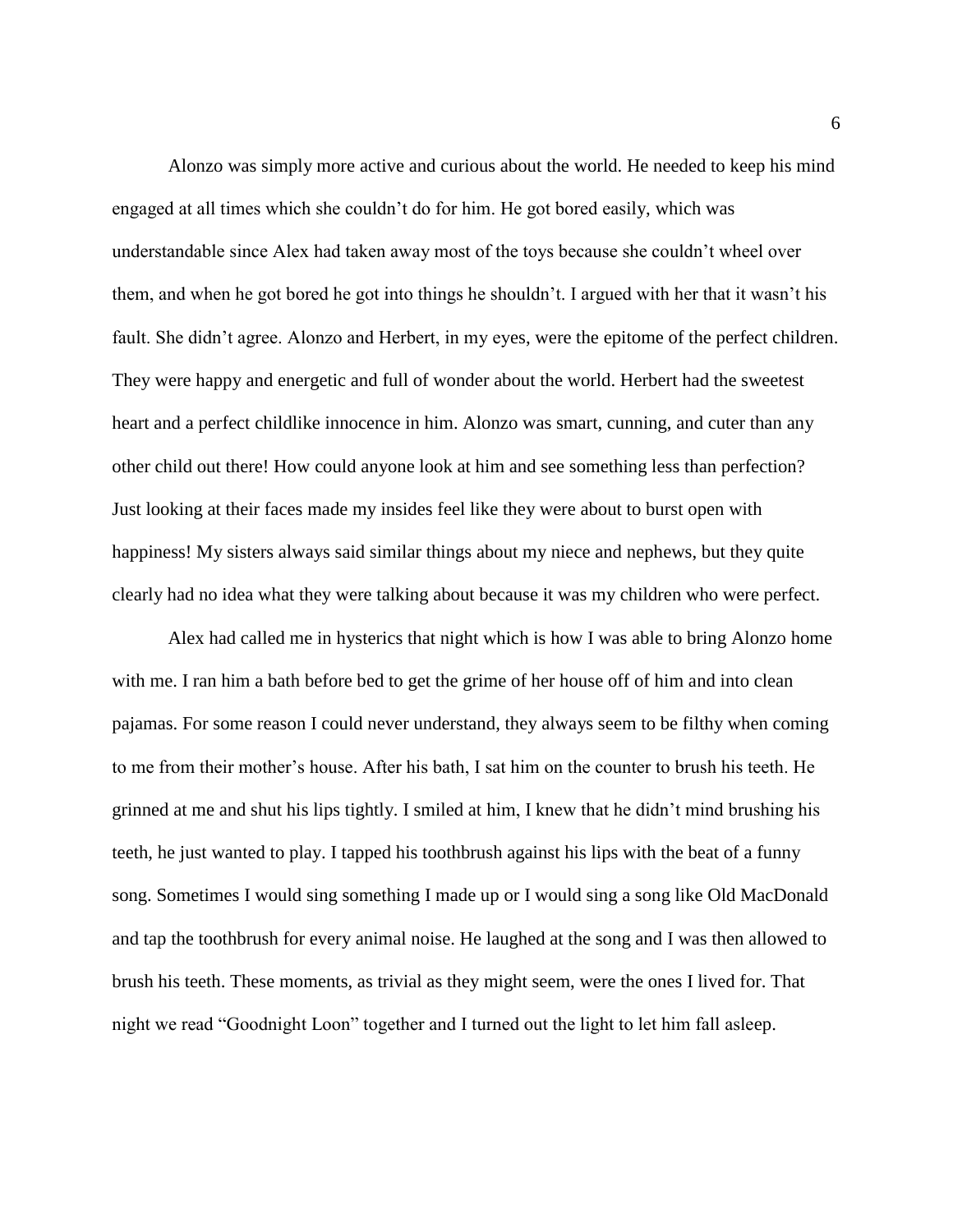Alonzo was simply more active and curious about the world. He needed to keep his mind engaged at all times which she couldn't do for him. He got bored easily, which was understandable since Alex had taken away most of the toys because she couldn't wheel over them, and when he got bored he got into things he shouldn't. I argued with her that it wasn't his fault. She didn't agree. Alonzo and Herbert, in my eyes, were the epitome of the perfect children. They were happy and energetic and full of wonder about the world. Herbert had the sweetest heart and a perfect childlike innocence in him. Alonzo was smart, cunning, and cuter than any other child out there! How could anyone look at him and see something less than perfection? Just looking at their faces made my insides feel like they were about to burst open with happiness! My sisters always said similar things about my niece and nephews, but they quite clearly had no idea what they were talking about because it was my children who were perfect.

Alex had called me in hysterics that night which is how I was able to bring Alonzo home with me. I ran him a bath before bed to get the grime of her house off of him and into clean pajamas. For some reason I could never understand, they always seem to be filthy when coming to me from their mother's house. After his bath, I sat him on the counter to brush his teeth. He grinned at me and shut his lips tightly. I smiled at him, I knew that he didn't mind brushing his teeth, he just wanted to play. I tapped his toothbrush against his lips with the beat of a funny song. Sometimes I would sing something I made up or I would sing a song like Old MacDonald and tap the toothbrush for every animal noise. He laughed at the song and I was then allowed to brush his teeth. These moments, as trivial as they might seem, were the ones I lived for. That night we read "Goodnight Loon" together and I turned out the light to let him fall asleep.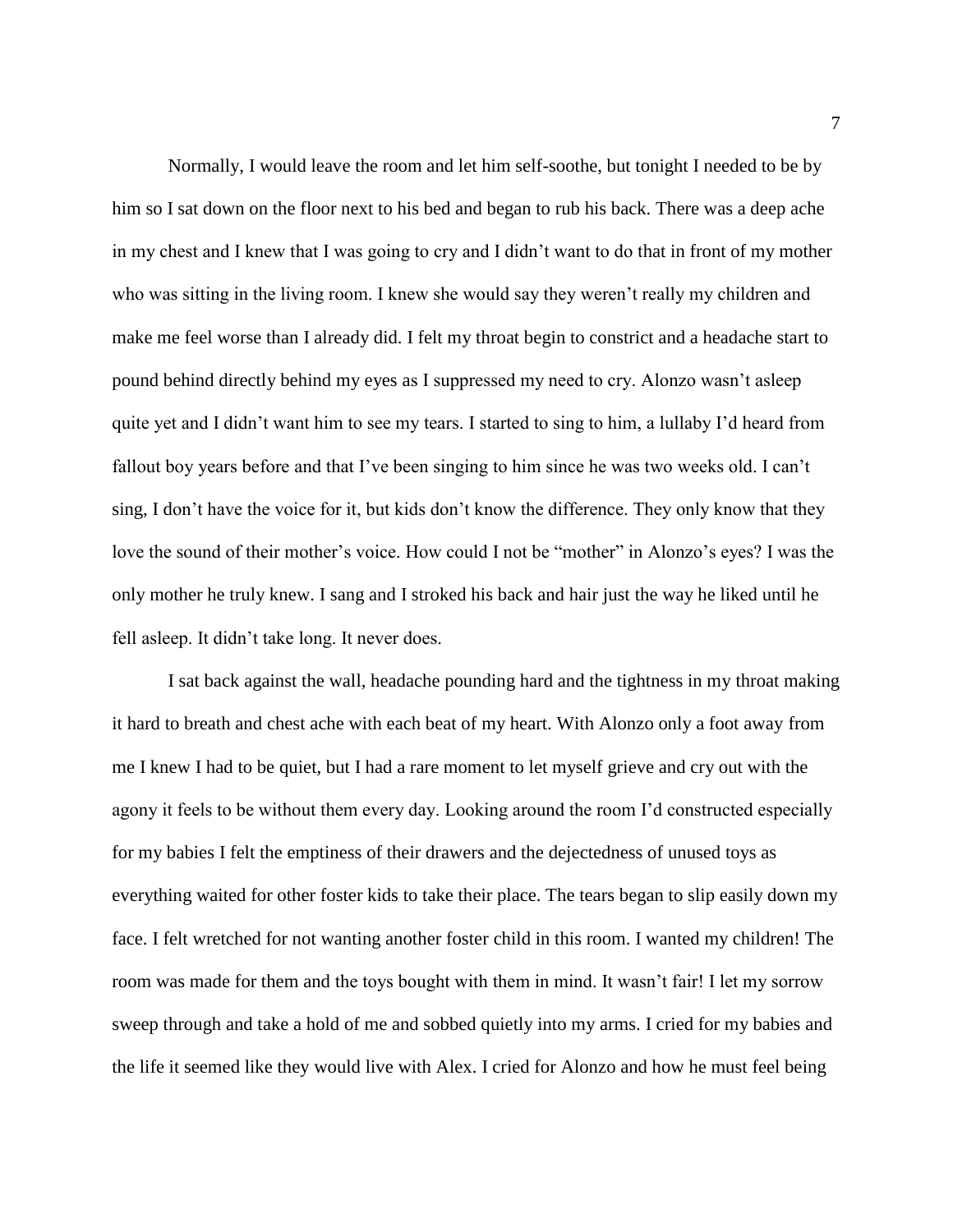Normally, I would leave the room and let him self-soothe, but tonight I needed to be by him so I sat down on the floor next to his bed and began to rub his back. There was a deep ache in my chest and I knew that I was going to cry and I didn't want to do that in front of my mother who was sitting in the living room. I knew she would say they weren't really my children and make me feel worse than I already did. I felt my throat begin to constrict and a headache start to pound behind directly behind my eyes as I suppressed my need to cry. Alonzo wasn't asleep quite yet and I didn't want him to see my tears. I started to sing to him, a lullaby I'd heard from fallout boy years before and that I've been singing to him since he was two weeks old. I can't sing, I don't have the voice for it, but kids don't know the difference. They only know that they love the sound of their mother's voice. How could I not be "mother" in Alonzo's eyes? I was the only mother he truly knew. I sang and I stroked his back and hair just the way he liked until he fell asleep. It didn't take long. It never does.

I sat back against the wall, headache pounding hard and the tightness in my throat making it hard to breath and chest ache with each beat of my heart. With Alonzo only a foot away from me I knew I had to be quiet, but I had a rare moment to let myself grieve and cry out with the agony it feels to be without them every day. Looking around the room I'd constructed especially for my babies I felt the emptiness of their drawers and the dejectedness of unused toys as everything waited for other foster kids to take their place. The tears began to slip easily down my face. I felt wretched for not wanting another foster child in this room. I wanted my children! The room was made for them and the toys bought with them in mind. It wasn't fair! I let my sorrow sweep through and take a hold of me and sobbed quietly into my arms. I cried for my babies and the life it seemed like they would live with Alex. I cried for Alonzo and how he must feel being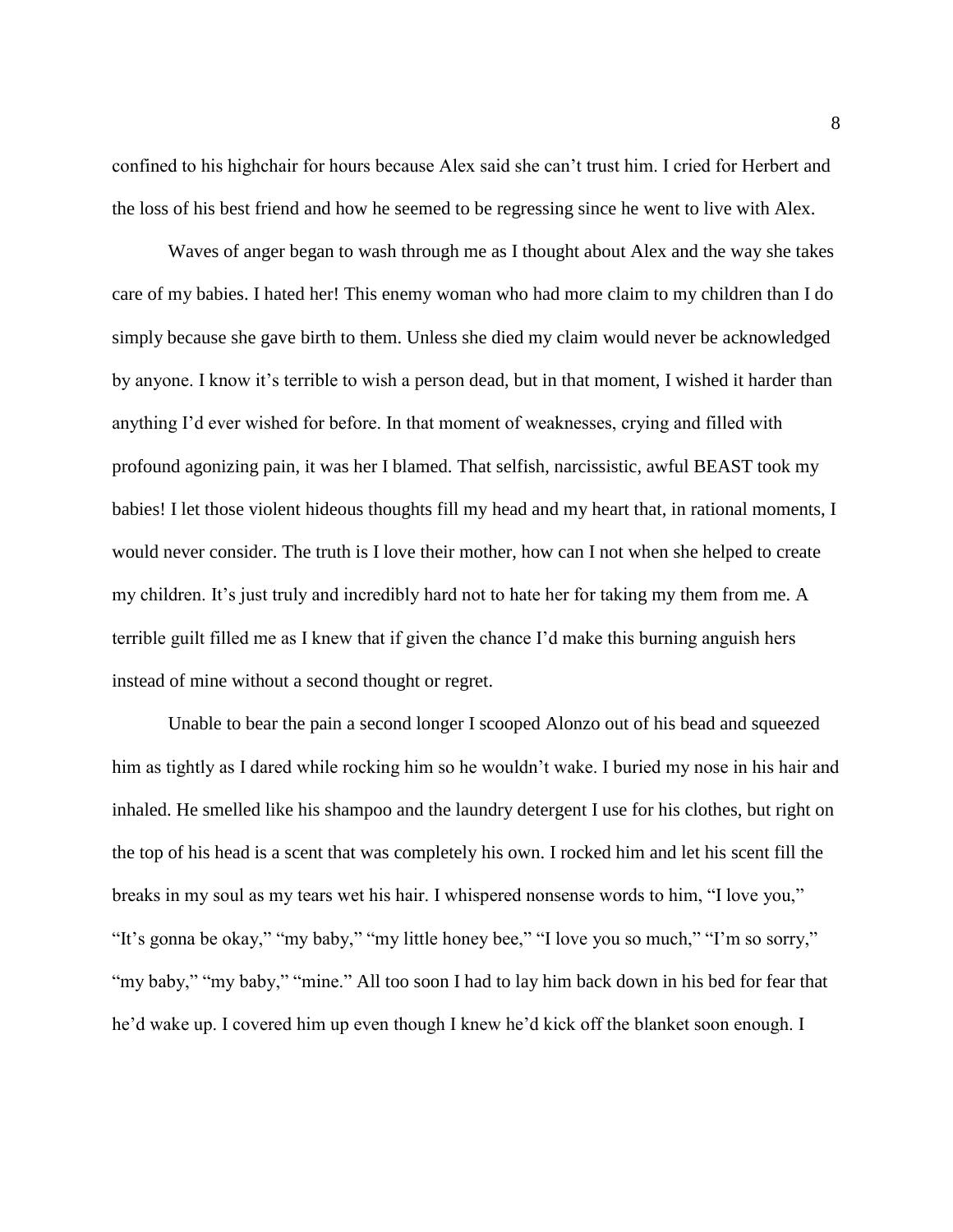confined to his highchair for hours because Alex said she can't trust him. I cried for Herbert and the loss of his best friend and how he seemed to be regressing since he went to live with Alex.

Waves of anger began to wash through me as I thought about Alex and the way she takes care of my babies. I hated her! This enemy woman who had more claim to my children than I do simply because she gave birth to them. Unless she died my claim would never be acknowledged by anyone. I know it's terrible to wish a person dead, but in that moment, I wished it harder than anything I'd ever wished for before. In that moment of weaknesses, crying and filled with profound agonizing pain, it was her I blamed. That selfish, narcissistic, awful BEAST took my babies! I let those violent hideous thoughts fill my head and my heart that, in rational moments, I would never consider. The truth is I love their mother, how can I not when she helped to create my children. It's just truly and incredibly hard not to hate her for taking my them from me. A terrible guilt filled me as I knew that if given the chance I'd make this burning anguish hers instead of mine without a second thought or regret.

Unable to bear the pain a second longer I scooped Alonzo out of his bead and squeezed him as tightly as I dared while rocking him so he wouldn't wake. I buried my nose in his hair and inhaled. He smelled like his shampoo and the laundry detergent I use for his clothes, but right on the top of his head is a scent that was completely his own. I rocked him and let his scent fill the breaks in my soul as my tears wet his hair. I whispered nonsense words to him, "I love you," "It's gonna be okay," "my baby," "my little honey bee," "I love you so much," "I'm so sorry," "my baby," "my baby," "mine." All too soon I had to lay him back down in his bed for fear that he'd wake up. I covered him up even though I knew he'd kick off the blanket soon enough. I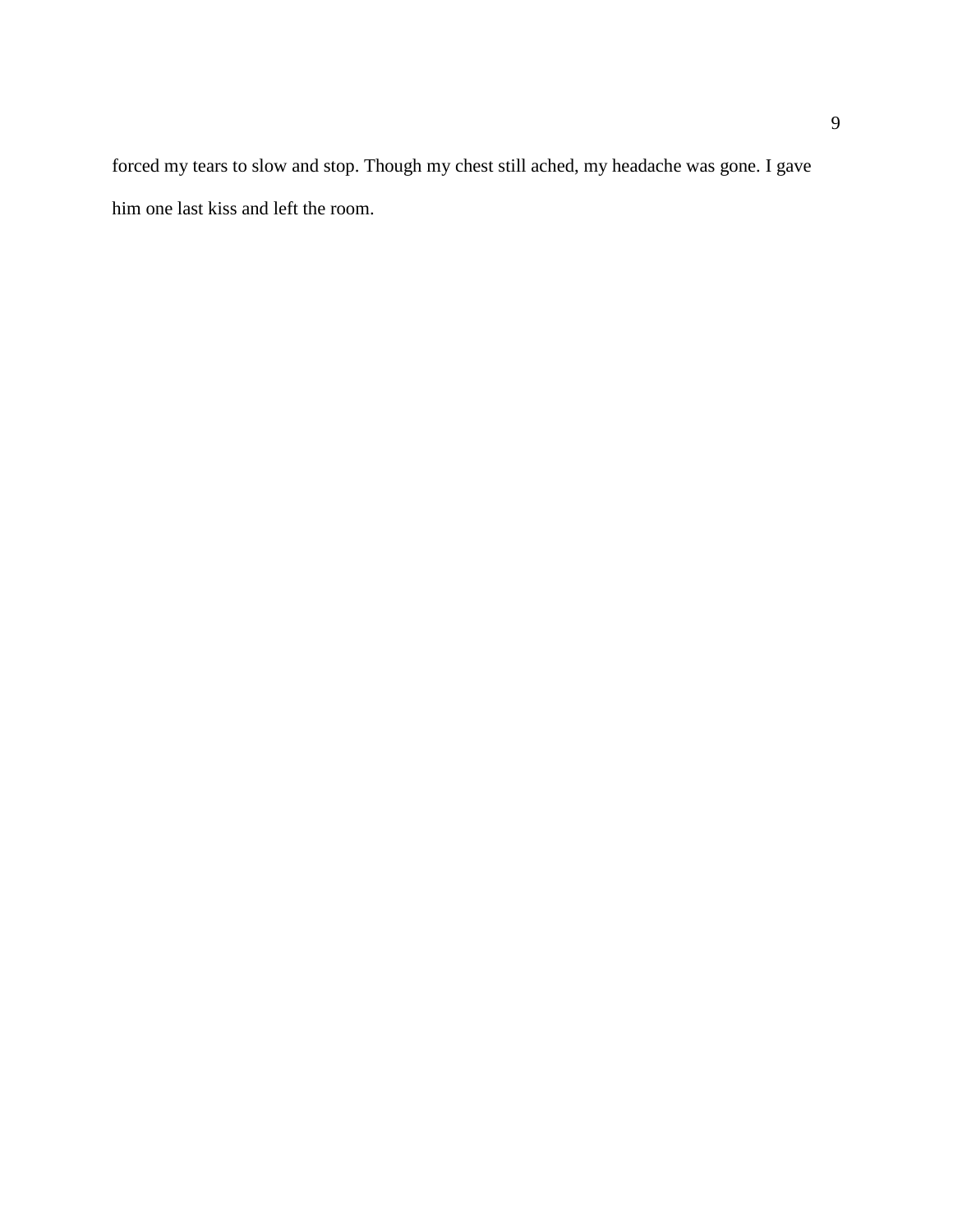forced my tears to slow and stop. Though my chest still ached, my headache was gone. I gave him one last kiss and left the room.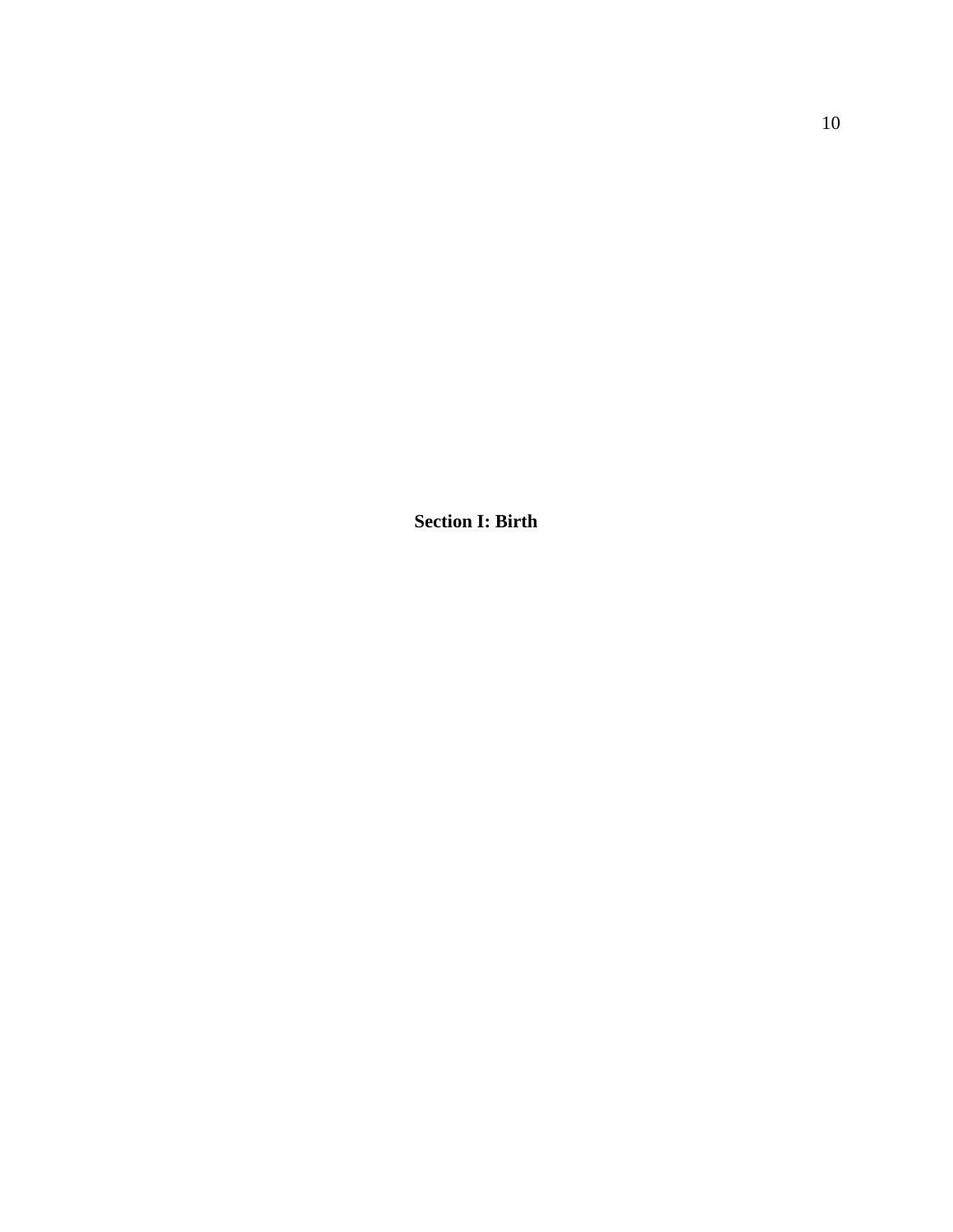**Section I: Birth**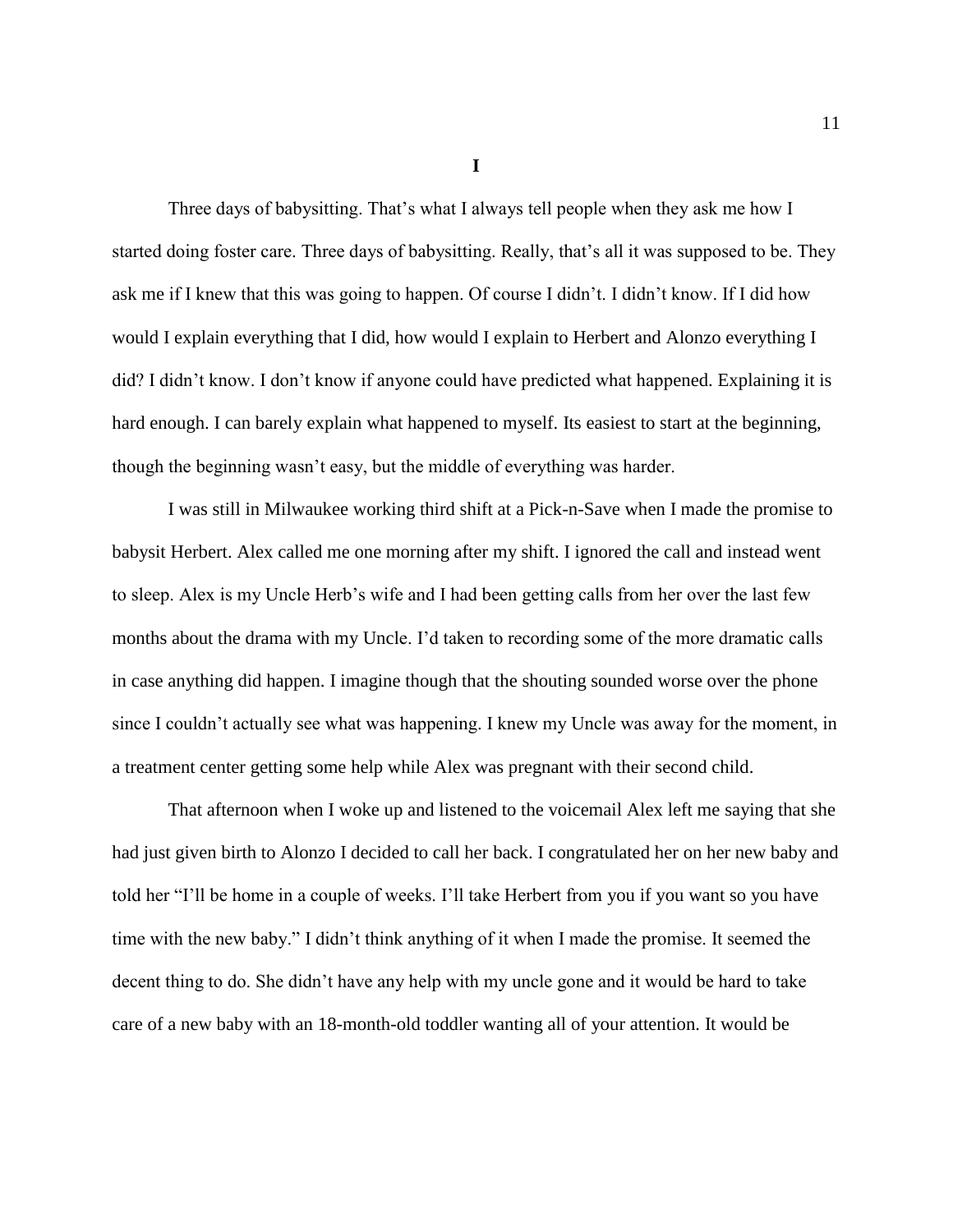**I**

Three days of babysitting. That's what I always tell people when they ask me how I started doing foster care. Three days of babysitting. Really, that's all it was supposed to be. They ask me if I knew that this was going to happen. Of course I didn't. I didn't know. If I did how would I explain everything that I did, how would I explain to Herbert and Alonzo everything I did? I didn't know. I don't know if anyone could have predicted what happened. Explaining it is hard enough. I can barely explain what happened to myself. Its easiest to start at the beginning, though the beginning wasn't easy, but the middle of everything was harder.

I was still in Milwaukee working third shift at a Pick-n-Save when I made the promise to babysit Herbert. Alex called me one morning after my shift. I ignored the call and instead went to sleep. Alex is my Uncle Herb's wife and I had been getting calls from her over the last few months about the drama with my Uncle. I'd taken to recording some of the more dramatic calls in case anything did happen. I imagine though that the shouting sounded worse over the phone since I couldn't actually see what was happening. I knew my Uncle was away for the moment, in a treatment center getting some help while Alex was pregnant with their second child.

That afternoon when I woke up and listened to the voicemail Alex left me saying that she had just given birth to Alonzo I decided to call her back. I congratulated her on her new baby and told her "I'll be home in a couple of weeks. I'll take Herbert from you if you want so you have time with the new baby." I didn't think anything of it when I made the promise. It seemed the decent thing to do. She didn't have any help with my uncle gone and it would be hard to take care of a new baby with an 18-month-old toddler wanting all of your attention. It would be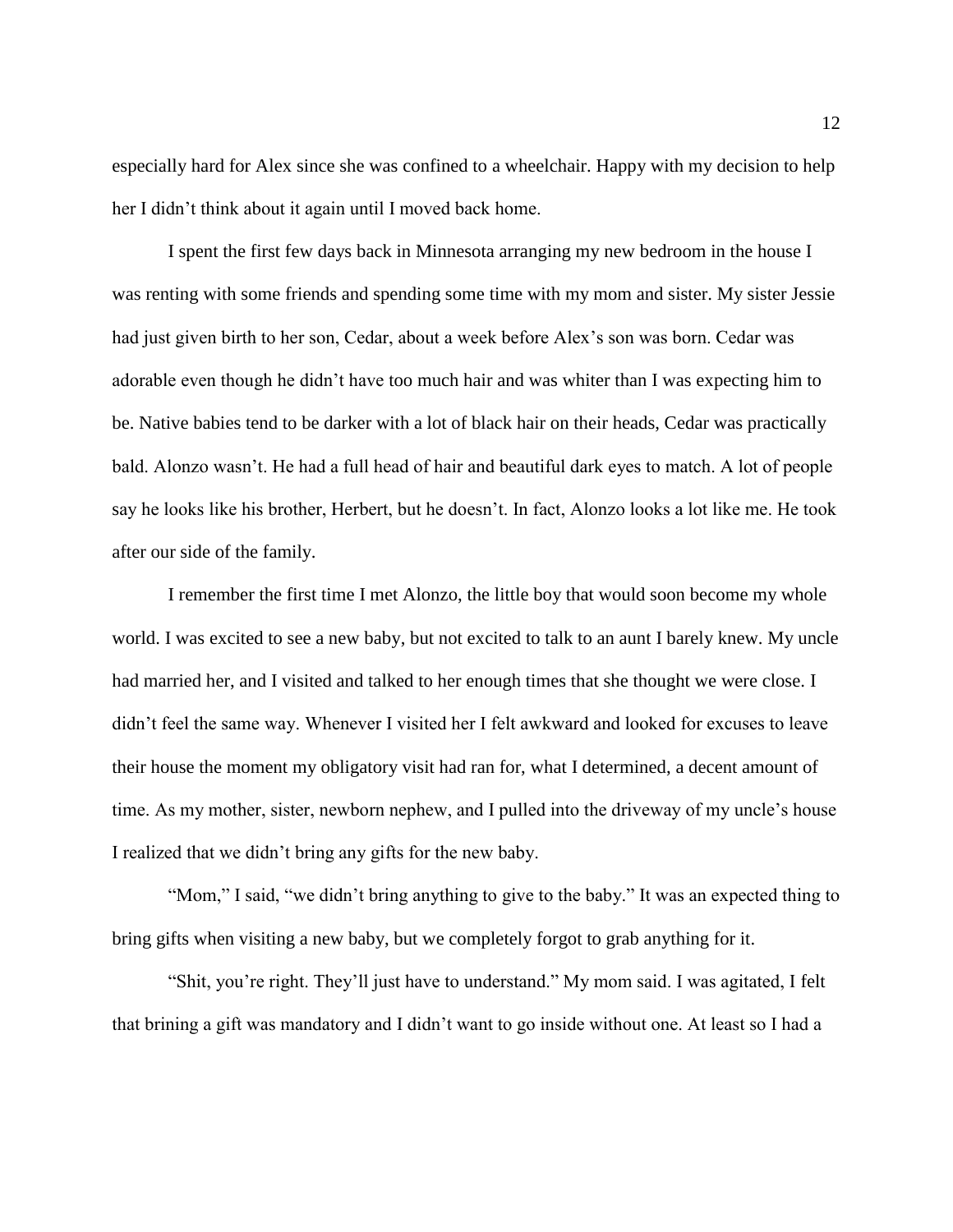especially hard for Alex since she was confined to a wheelchair. Happy with my decision to help her I didn't think about it again until I moved back home.

I spent the first few days back in Minnesota arranging my new bedroom in the house I was renting with some friends and spending some time with my mom and sister. My sister Jessie had just given birth to her son, Cedar, about a week before Alex's son was born. Cedar was adorable even though he didn't have too much hair and was whiter than I was expecting him to be. Native babies tend to be darker with a lot of black hair on their heads, Cedar was practically bald. Alonzo wasn't. He had a full head of hair and beautiful dark eyes to match. A lot of people say he looks like his brother, Herbert, but he doesn't. In fact, Alonzo looks a lot like me. He took after our side of the family.

I remember the first time I met Alonzo, the little boy that would soon become my whole world. I was excited to see a new baby, but not excited to talk to an aunt I barely knew. My uncle had married her, and I visited and talked to her enough times that she thought we were close. I didn't feel the same way. Whenever I visited her I felt awkward and looked for excuses to leave their house the moment my obligatory visit had ran for, what I determined, a decent amount of time. As my mother, sister, newborn nephew, and I pulled into the driveway of my uncle's house I realized that we didn't bring any gifts for the new baby.

"Mom," I said, "we didn't bring anything to give to the baby." It was an expected thing to bring gifts when visiting a new baby, but we completely forgot to grab anything for it.

"Shit, you're right. They'll just have to understand." My mom said. I was agitated, I felt that brining a gift was mandatory and I didn't want to go inside without one. At least so I had a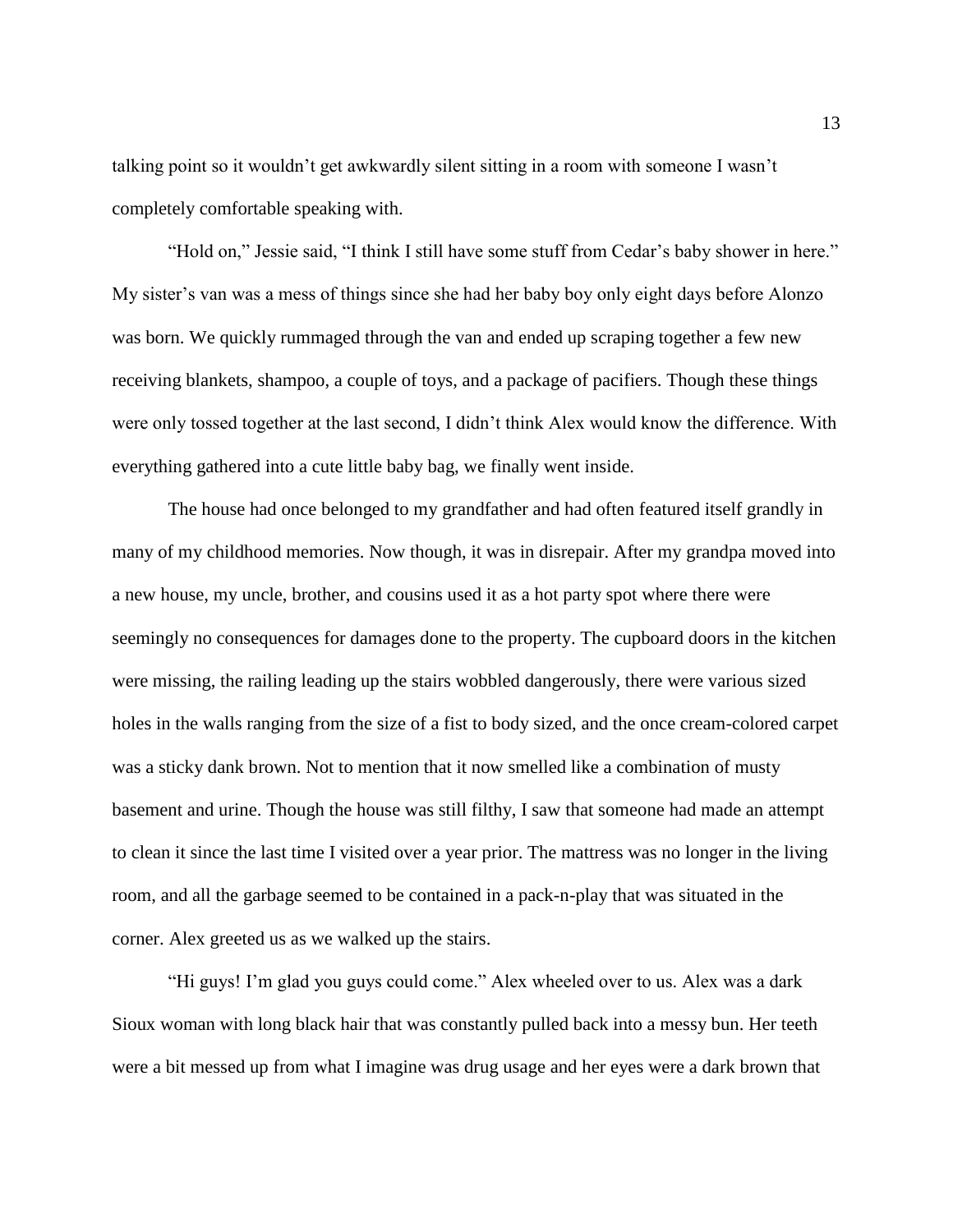talking point so it wouldn't get awkwardly silent sitting in a room with someone I wasn't completely comfortable speaking with.

"Hold on," Jessie said, "I think I still have some stuff from Cedar's baby shower in here." My sister's van was a mess of things since she had her baby boy only eight days before Alonzo was born. We quickly rummaged through the van and ended up scraping together a few new receiving blankets, shampoo, a couple of toys, and a package of pacifiers. Though these things were only tossed together at the last second, I didn't think Alex would know the difference. With everything gathered into a cute little baby bag, we finally went inside.

The house had once belonged to my grandfather and had often featured itself grandly in many of my childhood memories. Now though, it was in disrepair. After my grandpa moved into a new house, my uncle, brother, and cousins used it as a hot party spot where there were seemingly no consequences for damages done to the property. The cupboard doors in the kitchen were missing, the railing leading up the stairs wobbled dangerously, there were various sized holes in the walls ranging from the size of a fist to body sized, and the once cream-colored carpet was a sticky dank brown. Not to mention that it now smelled like a combination of musty basement and urine. Though the house was still filthy, I saw that someone had made an attempt to clean it since the last time I visited over a year prior. The mattress was no longer in the living room, and all the garbage seemed to be contained in a pack-n-play that was situated in the corner. Alex greeted us as we walked up the stairs.

"Hi guys! I'm glad you guys could come." Alex wheeled over to us. Alex was a dark Sioux woman with long black hair that was constantly pulled back into a messy bun. Her teeth were a bit messed up from what I imagine was drug usage and her eyes were a dark brown that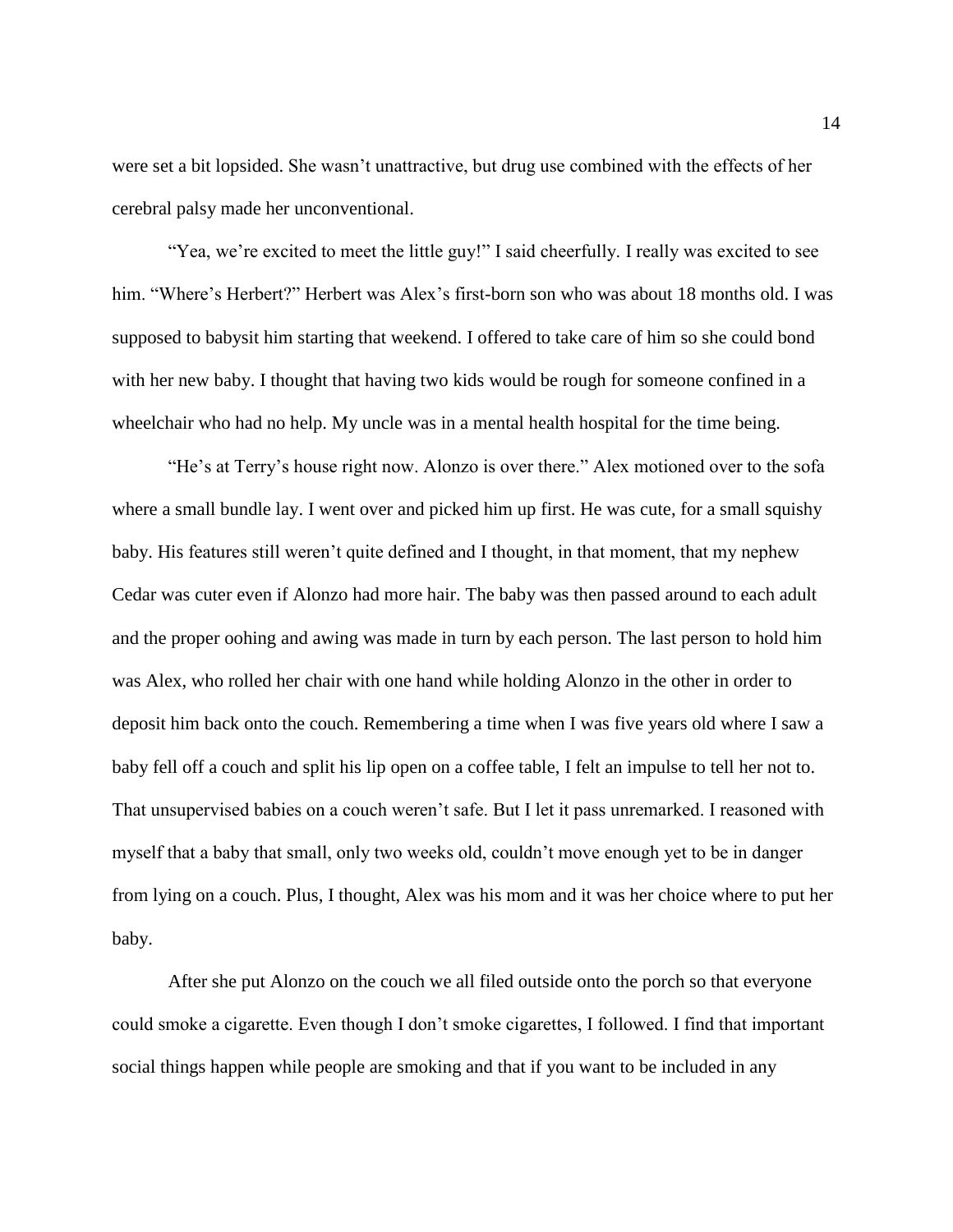were set a bit lopsided. She wasn't unattractive, but drug use combined with the effects of her cerebral palsy made her unconventional.

"Yea, we're excited to meet the little guy!" I said cheerfully. I really was excited to see him. "Where's Herbert?" Herbert was Alex's first-born son who was about 18 months old. I was supposed to babysit him starting that weekend. I offered to take care of him so she could bond with her new baby. I thought that having two kids would be rough for someone confined in a wheelchair who had no help. My uncle was in a mental health hospital for the time being.

"He's at Terry's house right now. Alonzo is over there." Alex motioned over to the sofa where a small bundle lay. I went over and picked him up first. He was cute, for a small squishy baby. His features still weren't quite defined and I thought, in that moment, that my nephew Cedar was cuter even if Alonzo had more hair. The baby was then passed around to each adult and the proper oohing and awing was made in turn by each person. The last person to hold him was Alex, who rolled her chair with one hand while holding Alonzo in the other in order to deposit him back onto the couch. Remembering a time when I was five years old where I saw a baby fell off a couch and split his lip open on a coffee table, I felt an impulse to tell her not to. That unsupervised babies on a couch weren't safe. But I let it pass unremarked. I reasoned with myself that a baby that small, only two weeks old, couldn't move enough yet to be in danger from lying on a couch. Plus, I thought, Alex was his mom and it was her choice where to put her baby.

After she put Alonzo on the couch we all filed outside onto the porch so that everyone could smoke a cigarette. Even though I don't smoke cigarettes, I followed. I find that important social things happen while people are smoking and that if you want to be included in any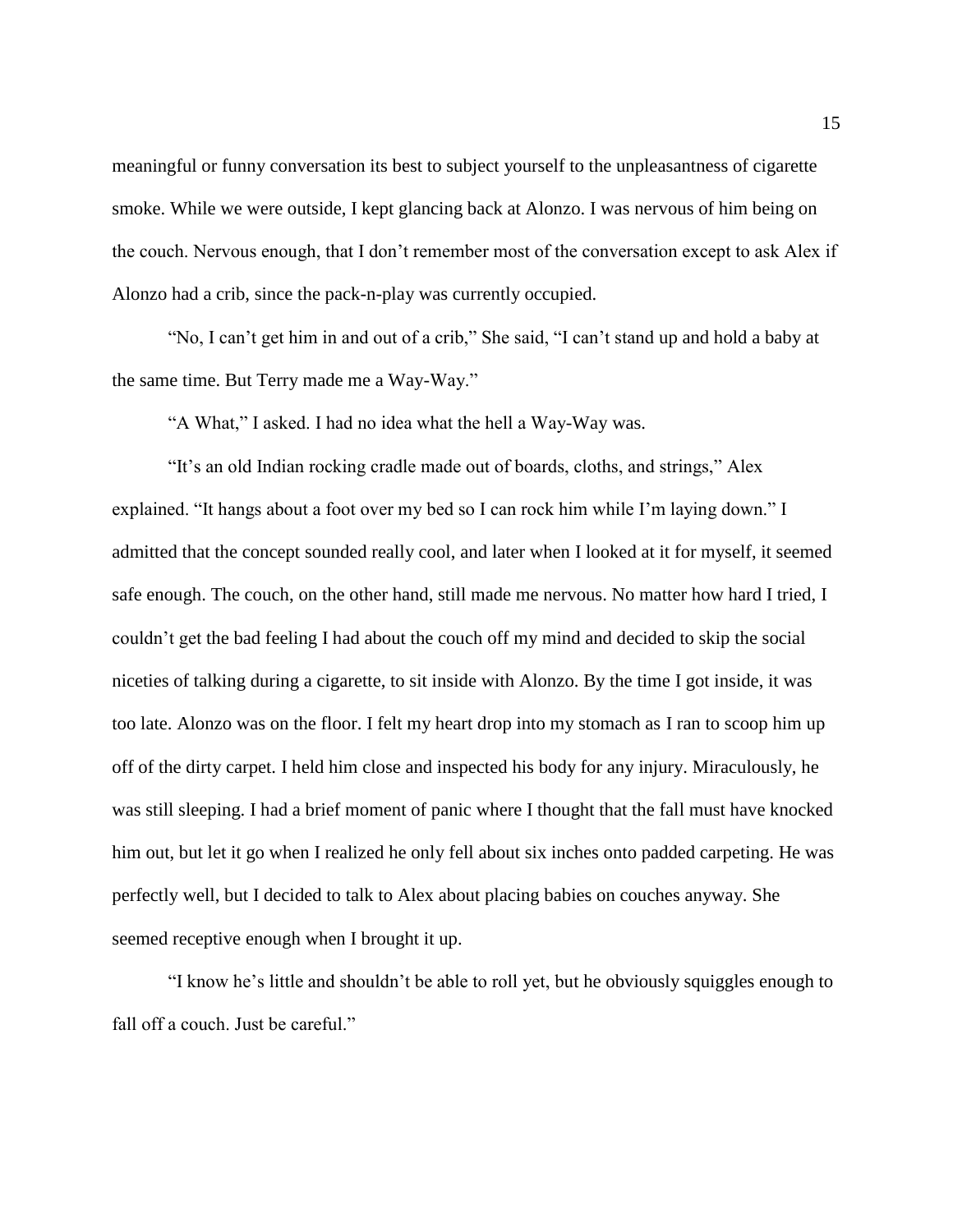meaningful or funny conversation its best to subject yourself to the unpleasantness of cigarette smoke. While we were outside, I kept glancing back at Alonzo. I was nervous of him being on the couch. Nervous enough, that I don't remember most of the conversation except to ask Alex if Alonzo had a crib, since the pack-n-play was currently occupied.

"No, I can't get him in and out of a crib," She said, "I can't stand up and hold a baby at the same time. But Terry made me a Way-Way."

"A What," I asked. I had no idea what the hell a Way-Way was.

"It's an old Indian rocking cradle made out of boards, cloths, and strings," Alex explained. "It hangs about a foot over my bed so I can rock him while I'm laying down." I admitted that the concept sounded really cool, and later when I looked at it for myself, it seemed safe enough. The couch, on the other hand, still made me nervous. No matter how hard I tried, I couldn't get the bad feeling I had about the couch off my mind and decided to skip the social niceties of talking during a cigarette, to sit inside with Alonzo. By the time I got inside, it was too late. Alonzo was on the floor. I felt my heart drop into my stomach as I ran to scoop him up off of the dirty carpet. I held him close and inspected his body for any injury. Miraculously, he was still sleeping. I had a brief moment of panic where I thought that the fall must have knocked him out, but let it go when I realized he only fell about six inches onto padded carpeting. He was perfectly well, but I decided to talk to Alex about placing babies on couches anyway. She seemed receptive enough when I brought it up.

"I know he's little and shouldn't be able to roll yet, but he obviously squiggles enough to fall off a couch. Just be careful."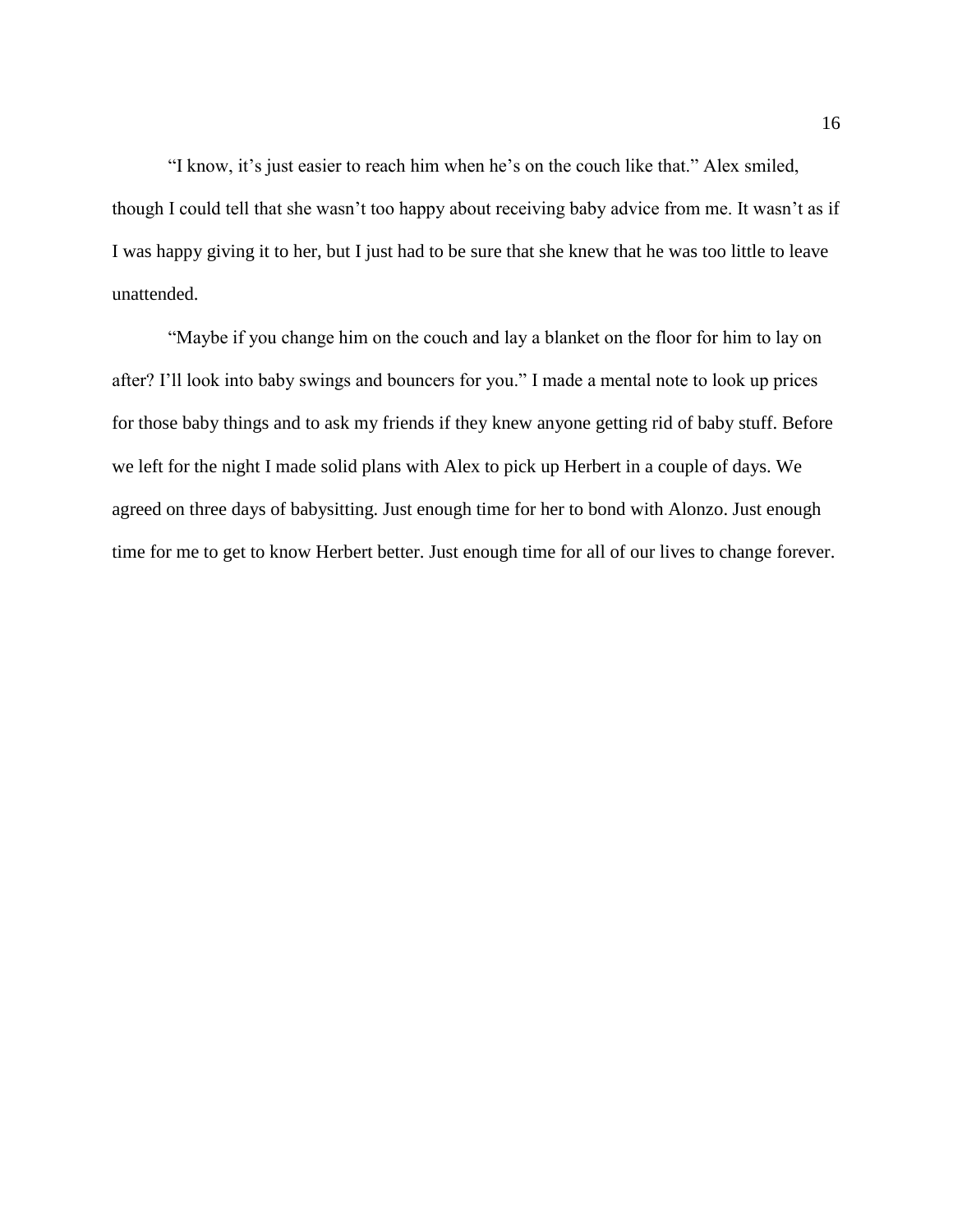"I know, it's just easier to reach him when he's on the couch like that." Alex smiled, though I could tell that she wasn't too happy about receiving baby advice from me. It wasn't as if I was happy giving it to her, but I just had to be sure that she knew that he was too little to leave unattended.

"Maybe if you change him on the couch and lay a blanket on the floor for him to lay on after? I'll look into baby swings and bouncers for you." I made a mental note to look up prices for those baby things and to ask my friends if they knew anyone getting rid of baby stuff. Before we left for the night I made solid plans with Alex to pick up Herbert in a couple of days. We agreed on three days of babysitting. Just enough time for her to bond with Alonzo. Just enough time for me to get to know Herbert better. Just enough time for all of our lives to change forever.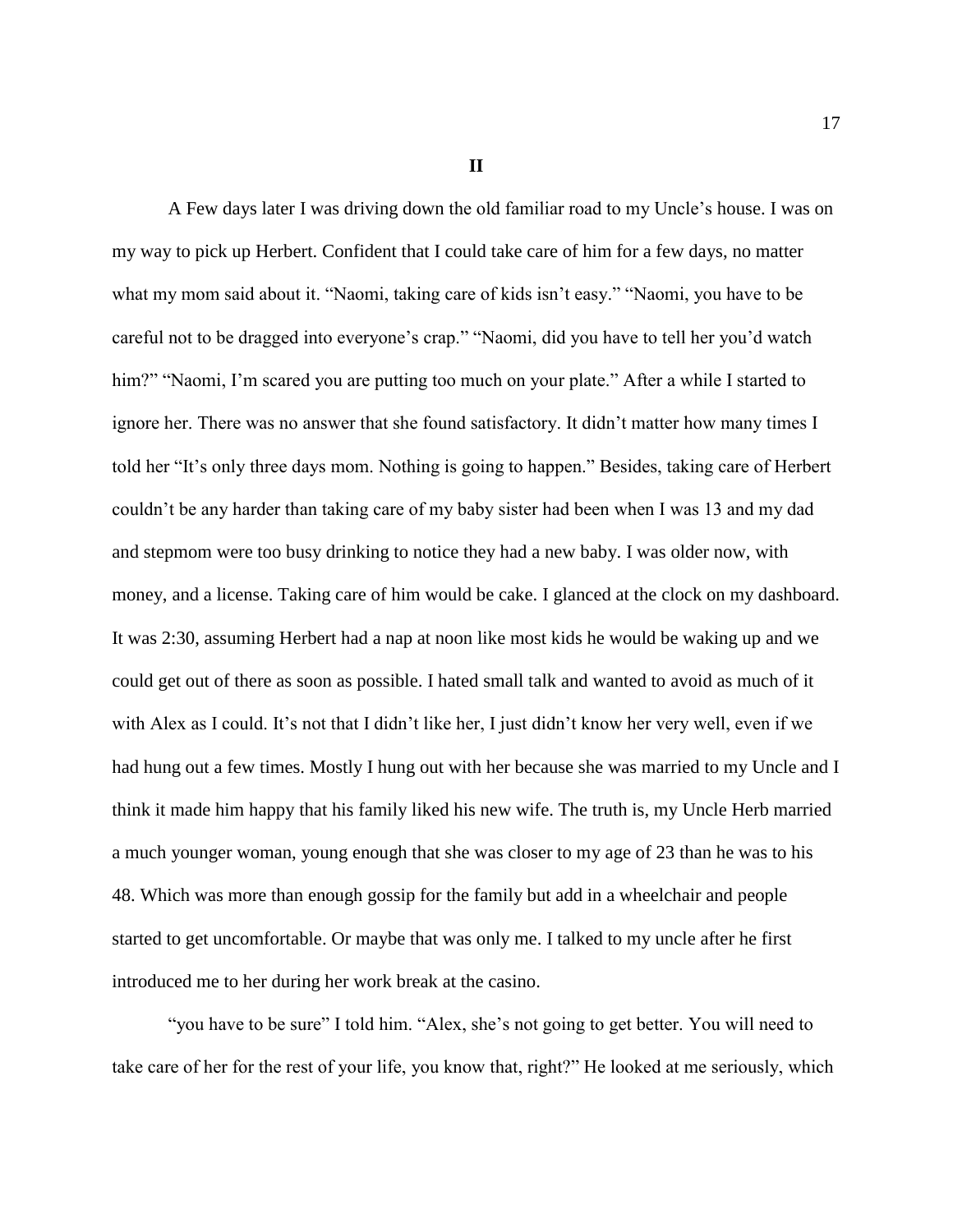**II**

A Few days later I was driving down the old familiar road to my Uncle's house. I was on my way to pick up Herbert. Confident that I could take care of him for a few days, no matter what my mom said about it. "Naomi, taking care of kids isn't easy." "Naomi, you have to be careful not to be dragged into everyone's crap." "Naomi, did you have to tell her you'd watch him?" "Naomi, I'm scared you are putting too much on your plate." After a while I started to ignore her. There was no answer that she found satisfactory. It didn't matter how many times I told her "It's only three days mom. Nothing is going to happen." Besides, taking care of Herbert couldn't be any harder than taking care of my baby sister had been when I was 13 and my dad and stepmom were too busy drinking to notice they had a new baby. I was older now, with money, and a license. Taking care of him would be cake. I glanced at the clock on my dashboard. It was 2:30, assuming Herbert had a nap at noon like most kids he would be waking up and we could get out of there as soon as possible. I hated small talk and wanted to avoid as much of it with Alex as I could. It's not that I didn't like her, I just didn't know her very well, even if we had hung out a few times. Mostly I hung out with her because she was married to my Uncle and I think it made him happy that his family liked his new wife. The truth is, my Uncle Herb married a much younger woman, young enough that she was closer to my age of 23 than he was to his 48. Which was more than enough gossip for the family but add in a wheelchair and people started to get uncomfortable. Or maybe that was only me. I talked to my uncle after he first introduced me to her during her work break at the casino.

"you have to be sure" I told him. "Alex, she's not going to get better. You will need to take care of her for the rest of your life, you know that, right?" He looked at me seriously, which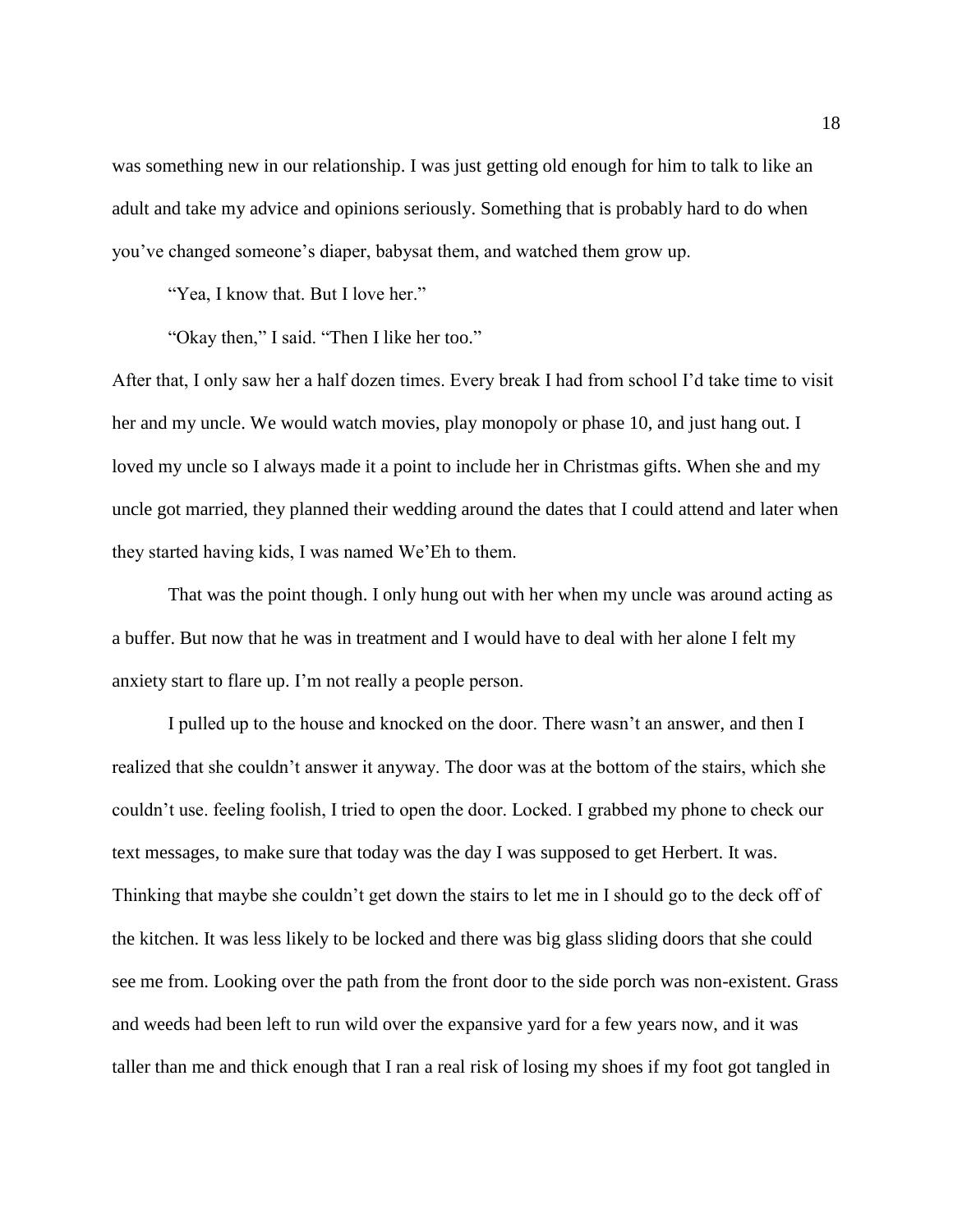was something new in our relationship. I was just getting old enough for him to talk to like an adult and take my advice and opinions seriously. Something that is probably hard to do when you've changed someone's diaper, babysat them, and watched them grow up.

"Yea, I know that. But I love her."

"Okay then," I said. "Then I like her too."

After that, I only saw her a half dozen times. Every break I had from school I'd take time to visit her and my uncle. We would watch movies, play monopoly or phase 10, and just hang out. I loved my uncle so I always made it a point to include her in Christmas gifts. When she and my uncle got married, they planned their wedding around the dates that I could attend and later when they started having kids, I was named We'Eh to them.

That was the point though. I only hung out with her when my uncle was around acting as a buffer. But now that he was in treatment and I would have to deal with her alone I felt my anxiety start to flare up. I'm not really a people person.

I pulled up to the house and knocked on the door. There wasn't an answer, and then I realized that she couldn't answer it anyway. The door was at the bottom of the stairs, which she couldn't use. feeling foolish, I tried to open the door. Locked. I grabbed my phone to check our text messages, to make sure that today was the day I was supposed to get Herbert. It was. Thinking that maybe she couldn't get down the stairs to let me in I should go to the deck off of the kitchen. It was less likely to be locked and there was big glass sliding doors that she could see me from. Looking over the path from the front door to the side porch was non-existent. Grass and weeds had been left to run wild over the expansive yard for a few years now, and it was taller than me and thick enough that I ran a real risk of losing my shoes if my foot got tangled in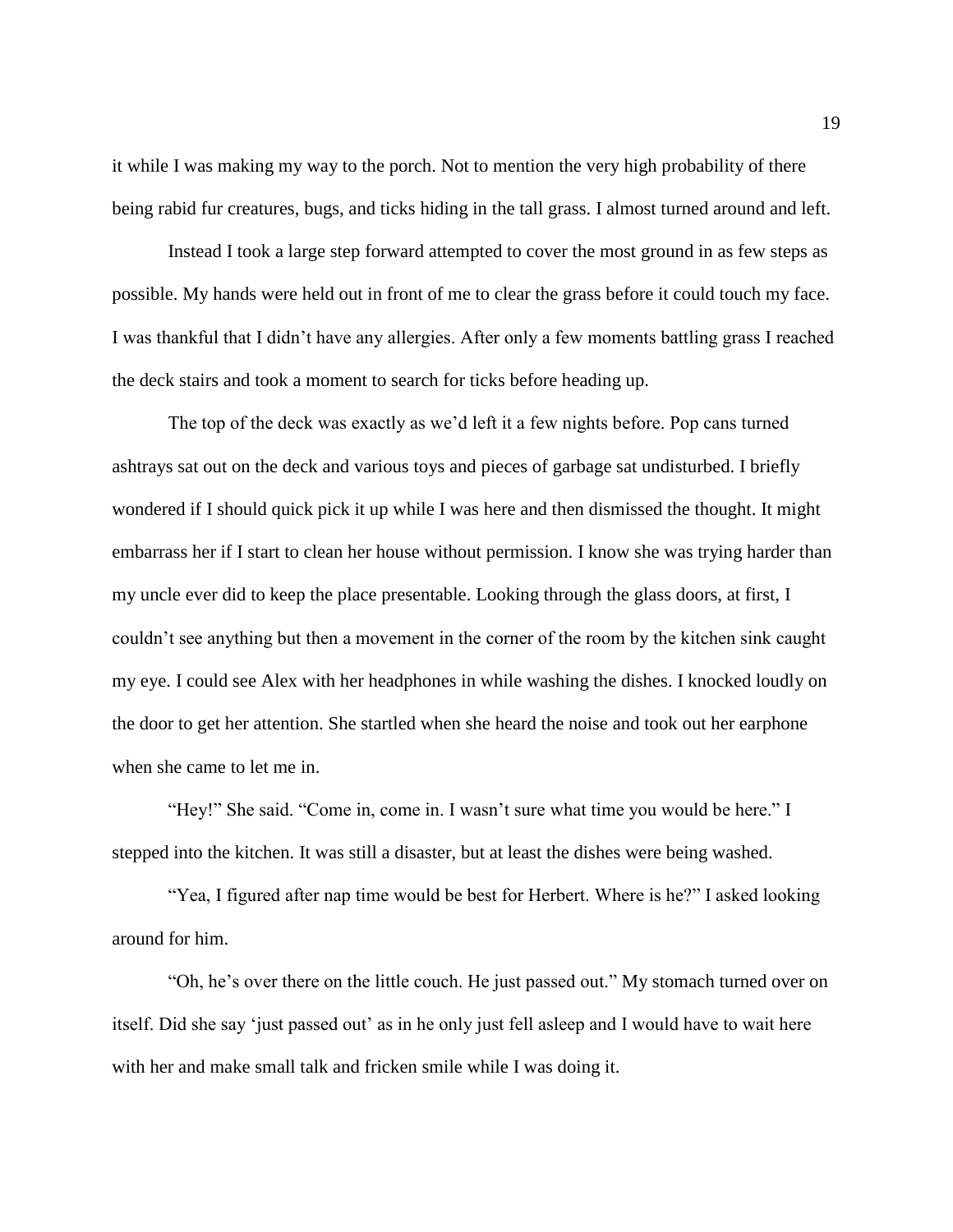it while I was making my way to the porch. Not to mention the very high probability of there being rabid fur creatures, bugs, and ticks hiding in the tall grass. I almost turned around and left.

Instead I took a large step forward attempted to cover the most ground in as few steps as possible. My hands were held out in front of me to clear the grass before it could touch my face. I was thankful that I didn't have any allergies. After only a few moments battling grass I reached the deck stairs and took a moment to search for ticks before heading up.

The top of the deck was exactly as we'd left it a few nights before. Pop cans turned ashtrays sat out on the deck and various toys and pieces of garbage sat undisturbed. I briefly wondered if I should quick pick it up while I was here and then dismissed the thought. It might embarrass her if I start to clean her house without permission. I know she was trying harder than my uncle ever did to keep the place presentable. Looking through the glass doors, at first, I couldn't see anything but then a movement in the corner of the room by the kitchen sink caught my eye. I could see Alex with her headphones in while washing the dishes. I knocked loudly on the door to get her attention. She startled when she heard the noise and took out her earphone when she came to let me in.

"Hey!" She said. "Come in, come in. I wasn't sure what time you would be here." I stepped into the kitchen. It was still a disaster, but at least the dishes were being washed.

"Yea, I figured after nap time would be best for Herbert. Where is he?" I asked looking around for him.

"Oh, he's over there on the little couch. He just passed out." My stomach turned over on itself. Did she say 'just passed out' as in he only just fell asleep and I would have to wait here with her and make small talk and fricken smile while I was doing it.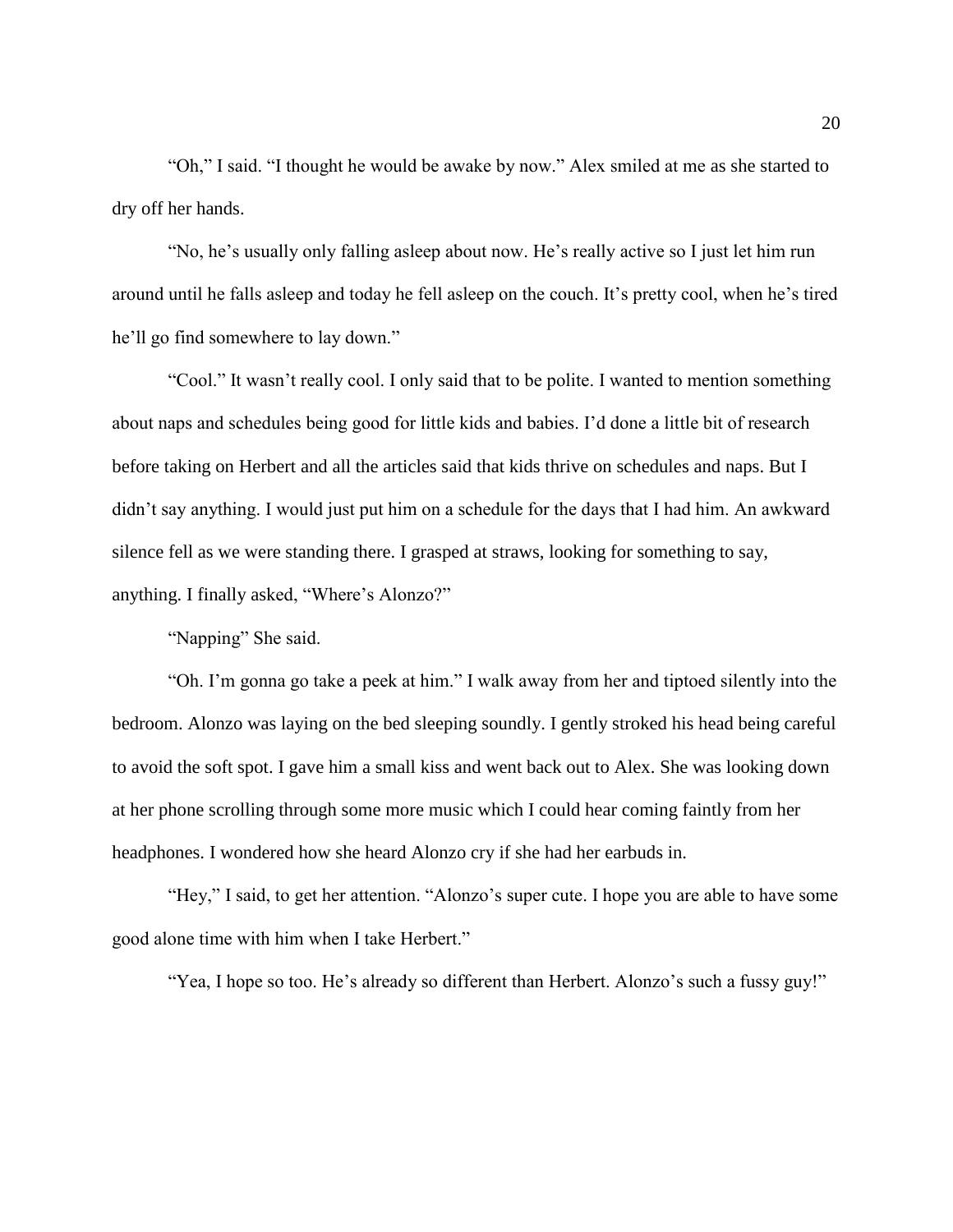"Oh," I said. "I thought he would be awake by now." Alex smiled at me as she started to dry off her hands.

"No, he's usually only falling asleep about now. He's really active so I just let him run around until he falls asleep and today he fell asleep on the couch. It's pretty cool, when he's tired he'll go find somewhere to lay down."

"Cool." It wasn't really cool. I only said that to be polite. I wanted to mention something about naps and schedules being good for little kids and babies. I'd done a little bit of research before taking on Herbert and all the articles said that kids thrive on schedules and naps. But I didn't say anything. I would just put him on a schedule for the days that I had him. An awkward silence fell as we were standing there. I grasped at straws, looking for something to say, anything. I finally asked, "Where's Alonzo?"

"Napping" She said.

"Oh. I'm gonna go take a peek at him." I walk away from her and tiptoed silently into the bedroom. Alonzo was laying on the bed sleeping soundly. I gently stroked his head being careful to avoid the soft spot. I gave him a small kiss and went back out to Alex. She was looking down at her phone scrolling through some more music which I could hear coming faintly from her headphones. I wondered how she heard Alonzo cry if she had her earbuds in.

"Hey," I said, to get her attention. "Alonzo's super cute. I hope you are able to have some good alone time with him when I take Herbert."

"Yea, I hope so too. He's already so different than Herbert. Alonzo's such a fussy guy!"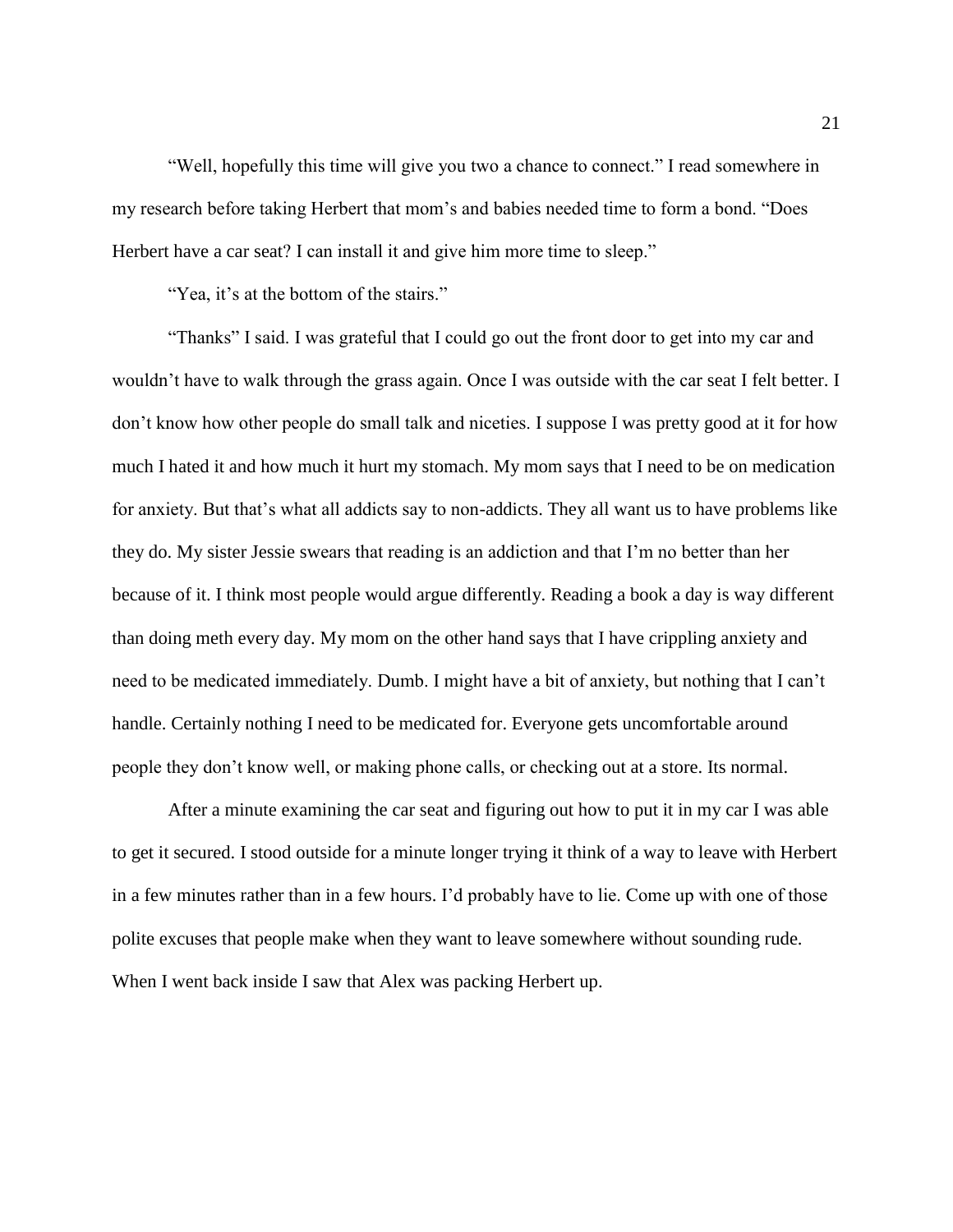"Well, hopefully this time will give you two a chance to connect." I read somewhere in my research before taking Herbert that mom's and babies needed time to form a bond. "Does Herbert have a car seat? I can install it and give him more time to sleep."

"Yea, it's at the bottom of the stairs."

"Thanks" I said. I was grateful that I could go out the front door to get into my car and wouldn't have to walk through the grass again. Once I was outside with the car seat I felt better. I don't know how other people do small talk and niceties. I suppose I was pretty good at it for how much I hated it and how much it hurt my stomach. My mom says that I need to be on medication for anxiety. But that's what all addicts say to non-addicts. They all want us to have problems like they do. My sister Jessie swears that reading is an addiction and that I'm no better than her because of it. I think most people would argue differently. Reading a book a day is way different than doing meth every day. My mom on the other hand says that I have crippling anxiety and need to be medicated immediately. Dumb. I might have a bit of anxiety, but nothing that I can't handle. Certainly nothing I need to be medicated for. Everyone gets uncomfortable around people they don't know well, or making phone calls, or checking out at a store. Its normal.

After a minute examining the car seat and figuring out how to put it in my car I was able to get it secured. I stood outside for a minute longer trying it think of a way to leave with Herbert in a few minutes rather than in a few hours. I'd probably have to lie. Come up with one of those polite excuses that people make when they want to leave somewhere without sounding rude. When I went back inside I saw that Alex was packing Herbert up.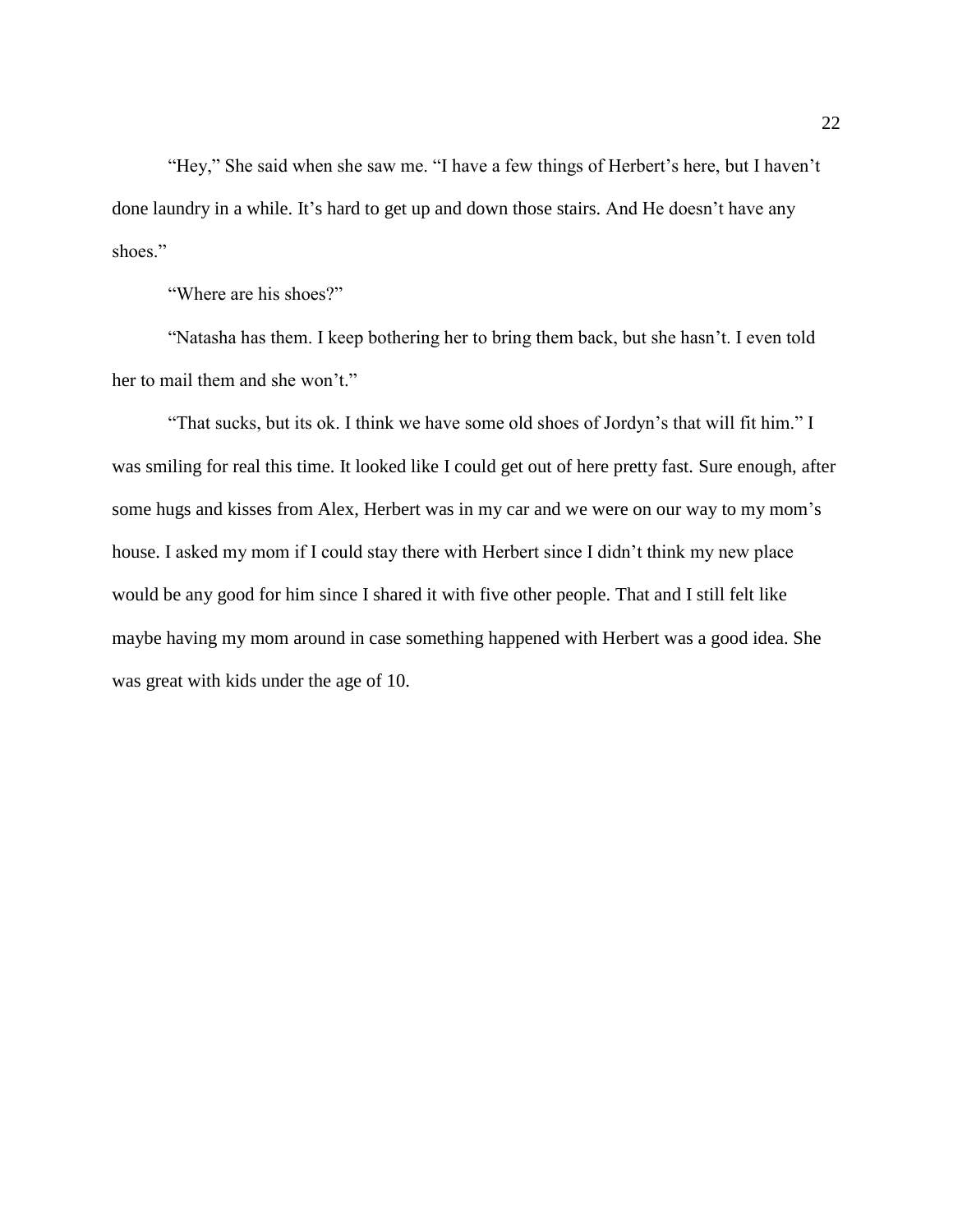"Hey," She said when she saw me. "I have a few things of Herbert's here, but I haven't done laundry in a while. It's hard to get up and down those stairs. And He doesn't have any shoes."

"Where are his shoes?"

"Natasha has them. I keep bothering her to bring them back, but she hasn't. I even told her to mail them and she won't."

"That sucks, but its ok. I think we have some old shoes of Jordyn's that will fit him." I was smiling for real this time. It looked like I could get out of here pretty fast. Sure enough, after some hugs and kisses from Alex, Herbert was in my car and we were on our way to my mom's house. I asked my mom if I could stay there with Herbert since I didn't think my new place would be any good for him since I shared it with five other people. That and I still felt like maybe having my mom around in case something happened with Herbert was a good idea. She was great with kids under the age of 10.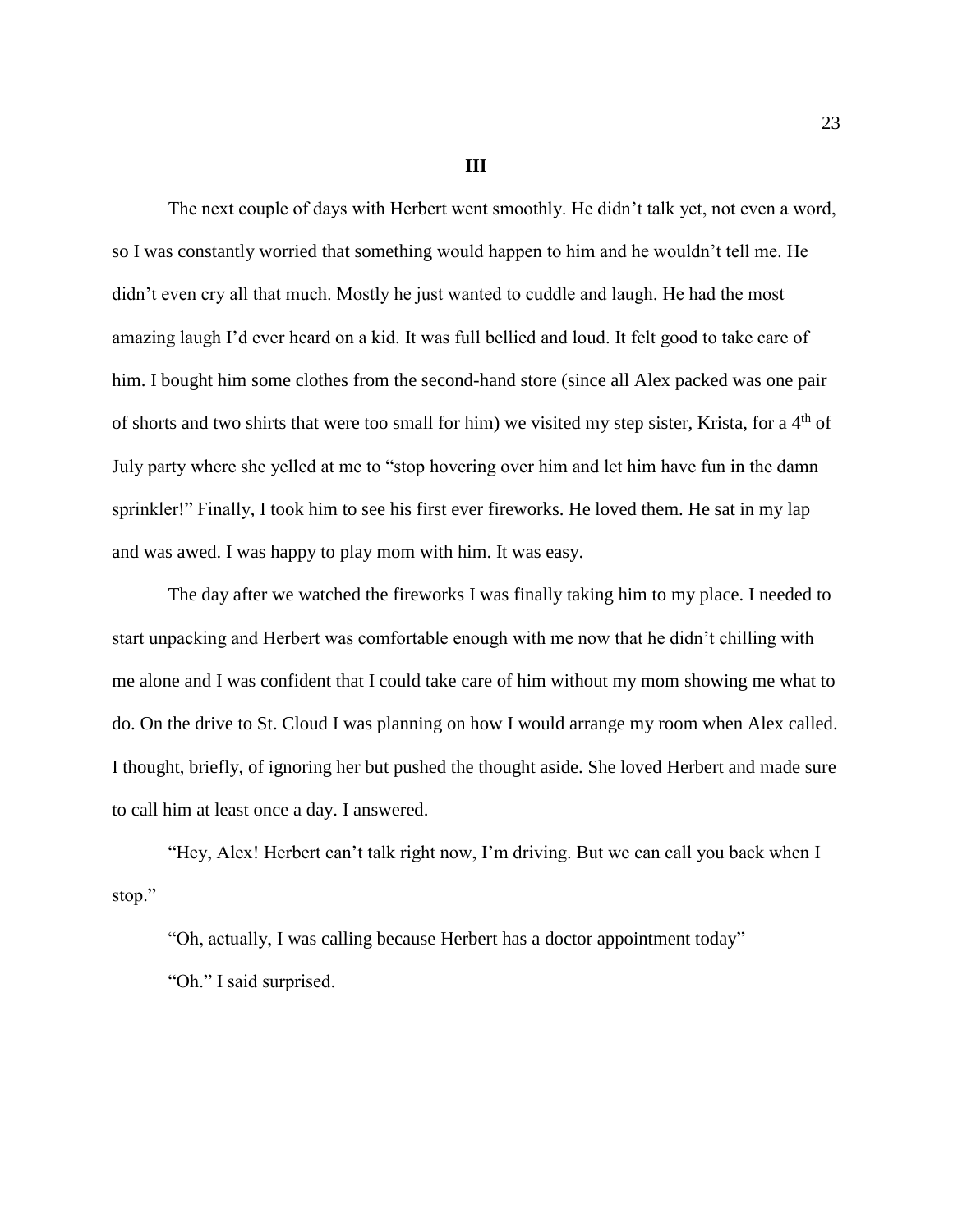**III**

The next couple of days with Herbert went smoothly. He didn't talk yet, not even a word, so I was constantly worried that something would happen to him and he wouldn't tell me. He didn't even cry all that much. Mostly he just wanted to cuddle and laugh. He had the most amazing laugh I'd ever heard on a kid. It was full bellied and loud. It felt good to take care of him. I bought him some clothes from the second-hand store (since all Alex packed was one pair of shorts and two shirts that were too small for him) we visited my step sister, Krista, for a 4<sup>th</sup> of July party where she yelled at me to "stop hovering over him and let him have fun in the damn sprinkler!" Finally, I took him to see his first ever fireworks. He loved them. He sat in my lap and was awed. I was happy to play mom with him. It was easy.

The day after we watched the fireworks I was finally taking him to my place. I needed to start unpacking and Herbert was comfortable enough with me now that he didn't chilling with me alone and I was confident that I could take care of him without my mom showing me what to do. On the drive to St. Cloud I was planning on how I would arrange my room when Alex called. I thought, briefly, of ignoring her but pushed the thought aside. She loved Herbert and made sure to call him at least once a day. I answered.

"Hey, Alex! Herbert can't talk right now, I'm driving. But we can call you back when I stop."

"Oh, actually, I was calling because Herbert has a doctor appointment today" "Oh." I said surprised.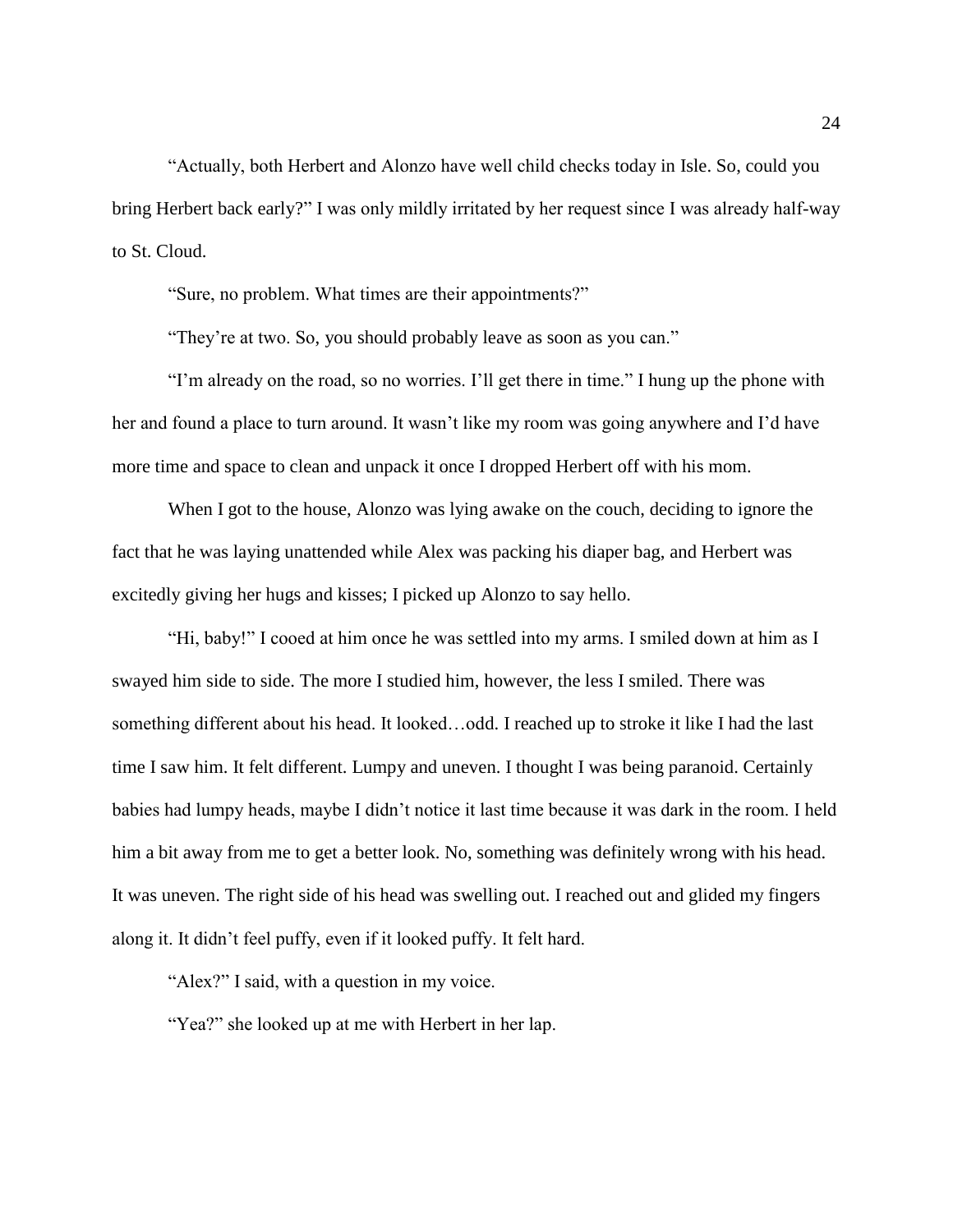"Actually, both Herbert and Alonzo have well child checks today in Isle. So, could you bring Herbert back early?" I was only mildly irritated by her request since I was already half-way to St. Cloud.

"Sure, no problem. What times are their appointments?"

"They're at two. So, you should probably leave as soon as you can."

"I'm already on the road, so no worries. I'll get there in time." I hung up the phone with her and found a place to turn around. It wasn't like my room was going anywhere and I'd have more time and space to clean and unpack it once I dropped Herbert off with his mom.

When I got to the house, Alonzo was lying awake on the couch, deciding to ignore the fact that he was laying unattended while Alex was packing his diaper bag, and Herbert was excitedly giving her hugs and kisses; I picked up Alonzo to say hello.

"Hi, baby!" I cooed at him once he was settled into my arms. I smiled down at him as I swayed him side to side. The more I studied him, however, the less I smiled. There was something different about his head. It looked…odd. I reached up to stroke it like I had the last time I saw him. It felt different. Lumpy and uneven. I thought I was being paranoid. Certainly babies had lumpy heads, maybe I didn't notice it last time because it was dark in the room. I held him a bit away from me to get a better look. No, something was definitely wrong with his head. It was uneven. The right side of his head was swelling out. I reached out and glided my fingers along it. It didn't feel puffy, even if it looked puffy. It felt hard.

"Alex?" I said, with a question in my voice.

"Yea?" she looked up at me with Herbert in her lap.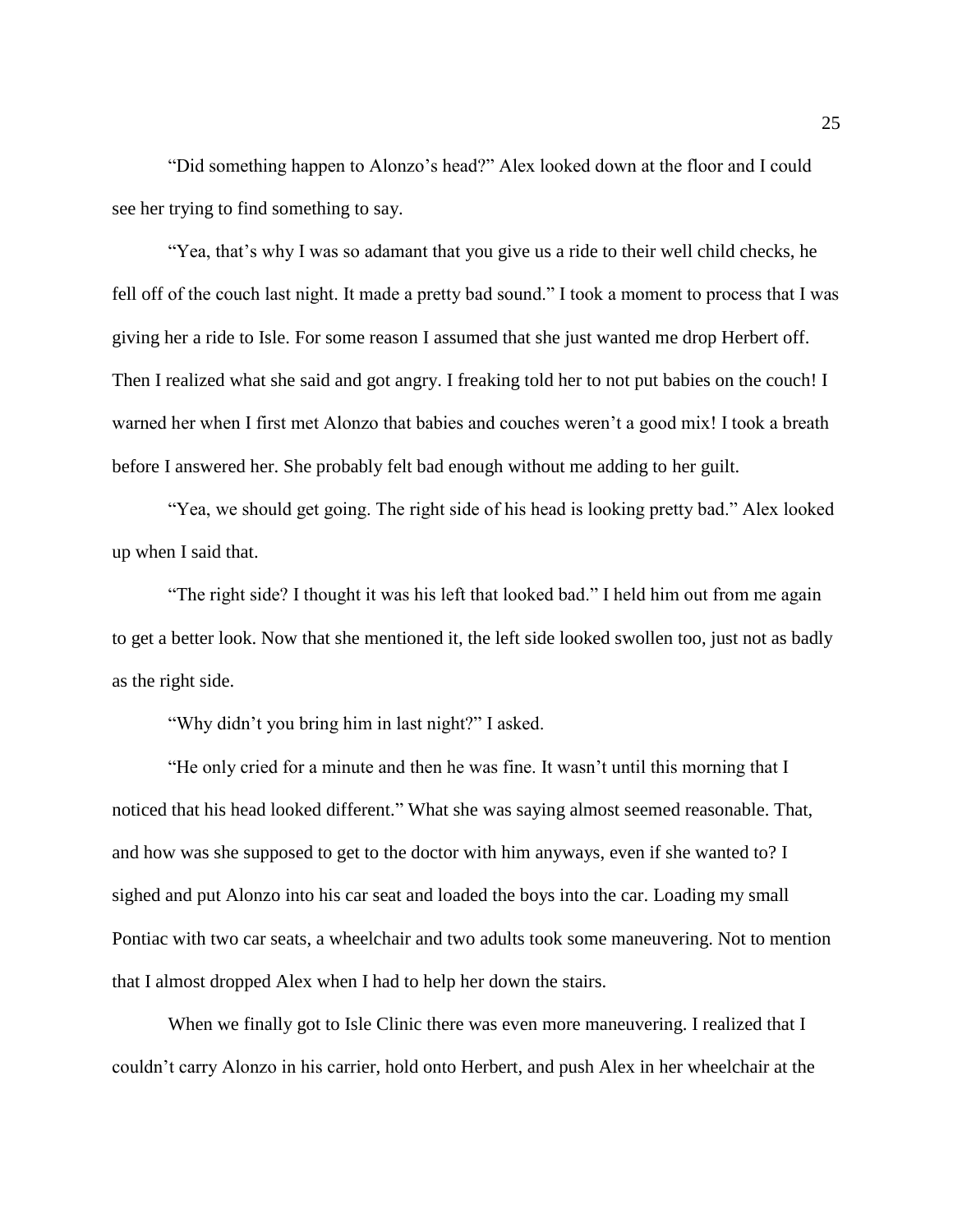"Did something happen to Alonzo's head?" Alex looked down at the floor and I could see her trying to find something to say.

"Yea, that's why I was so adamant that you give us a ride to their well child checks, he fell off of the couch last night. It made a pretty bad sound." I took a moment to process that I was giving her a ride to Isle. For some reason I assumed that she just wanted me drop Herbert off. Then I realized what she said and got angry. I freaking told her to not put babies on the couch! I warned her when I first met Alonzo that babies and couches weren't a good mix! I took a breath before I answered her. She probably felt bad enough without me adding to her guilt.

"Yea, we should get going. The right side of his head is looking pretty bad." Alex looked up when I said that.

"The right side? I thought it was his left that looked bad." I held him out from me again to get a better look. Now that she mentioned it, the left side looked swollen too, just not as badly as the right side.

"Why didn't you bring him in last night?" I asked.

"He only cried for a minute and then he was fine. It wasn't until this morning that I noticed that his head looked different." What she was saying almost seemed reasonable. That, and how was she supposed to get to the doctor with him anyways, even if she wanted to? I sighed and put Alonzo into his car seat and loaded the boys into the car. Loading my small Pontiac with two car seats, a wheelchair and two adults took some maneuvering. Not to mention that I almost dropped Alex when I had to help her down the stairs.

When we finally got to Isle Clinic there was even more maneuvering. I realized that I couldn't carry Alonzo in his carrier, hold onto Herbert, and push Alex in her wheelchair at the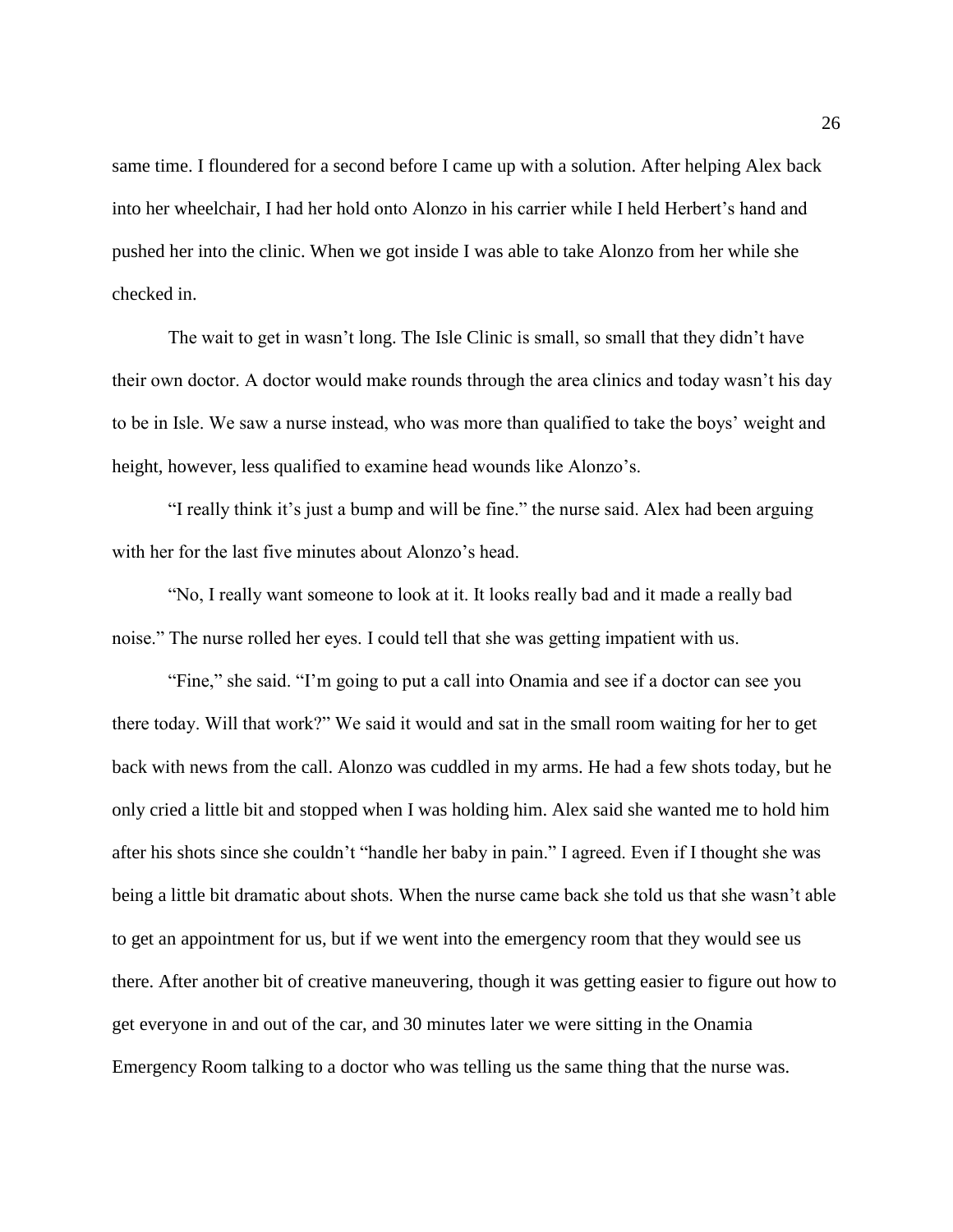same time. I floundered for a second before I came up with a solution. After helping Alex back into her wheelchair, I had her hold onto Alonzo in his carrier while I held Herbert's hand and pushed her into the clinic. When we got inside I was able to take Alonzo from her while she checked in.

The wait to get in wasn't long. The Isle Clinic is small, so small that they didn't have their own doctor. A doctor would make rounds through the area clinics and today wasn't his day to be in Isle. We saw a nurse instead, who was more than qualified to take the boys' weight and height, however, less qualified to examine head wounds like Alonzo's.

"I really think it's just a bump and will be fine." the nurse said. Alex had been arguing with her for the last five minutes about Alonzo's head.

"No, I really want someone to look at it. It looks really bad and it made a really bad noise." The nurse rolled her eyes. I could tell that she was getting impatient with us.

"Fine," she said. "I'm going to put a call into Onamia and see if a doctor can see you there today. Will that work?" We said it would and sat in the small room waiting for her to get back with news from the call. Alonzo was cuddled in my arms. He had a few shots today, but he only cried a little bit and stopped when I was holding him. Alex said she wanted me to hold him after his shots since she couldn't "handle her baby in pain." I agreed. Even if I thought she was being a little bit dramatic about shots. When the nurse came back she told us that she wasn't able to get an appointment for us, but if we went into the emergency room that they would see us there. After another bit of creative maneuvering, though it was getting easier to figure out how to get everyone in and out of the car, and 30 minutes later we were sitting in the Onamia Emergency Room talking to a doctor who was telling us the same thing that the nurse was.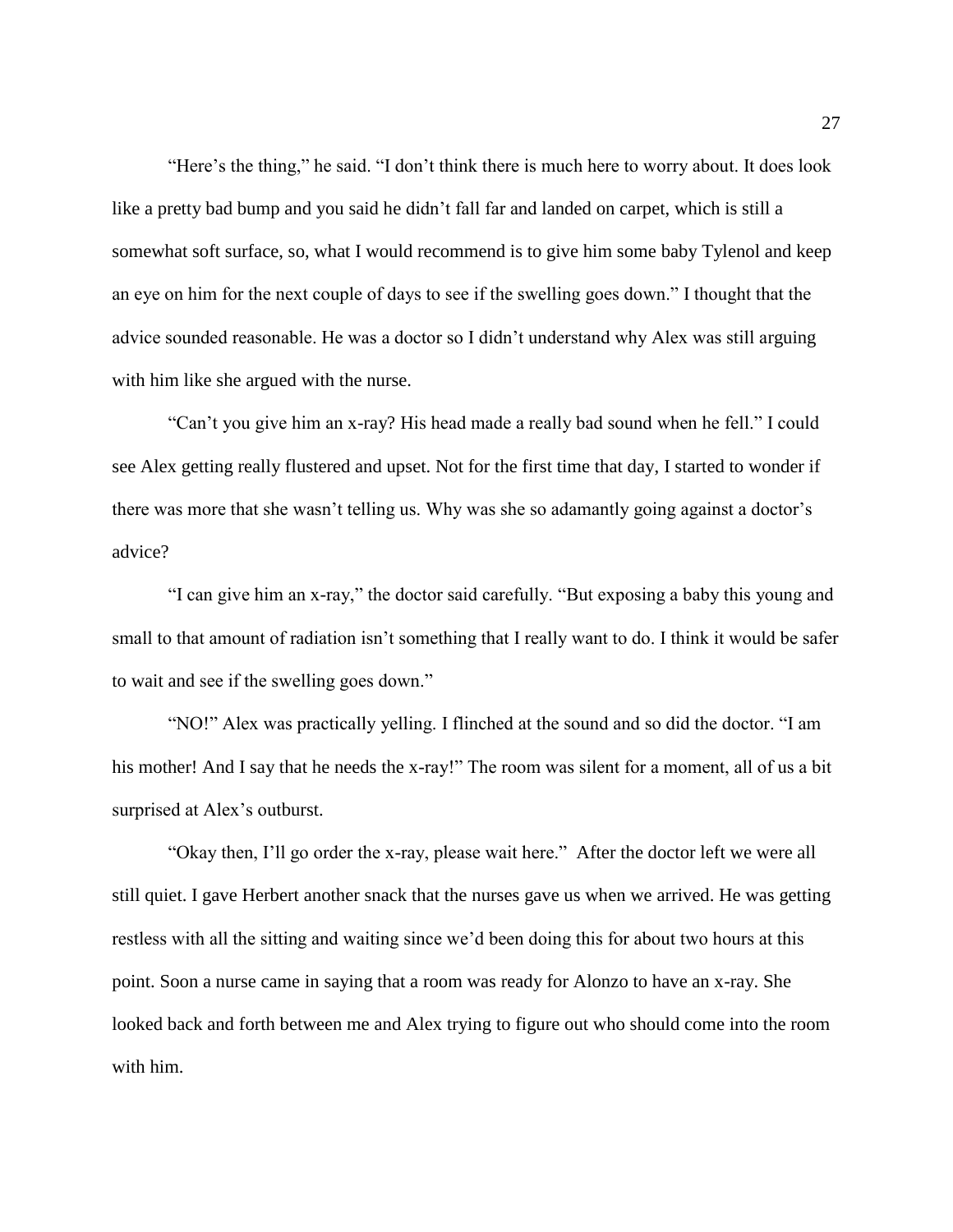"Here's the thing," he said. "I don't think there is much here to worry about. It does look like a pretty bad bump and you said he didn't fall far and landed on carpet, which is still a somewhat soft surface, so, what I would recommend is to give him some baby Tylenol and keep an eye on him for the next couple of days to see if the swelling goes down." I thought that the advice sounded reasonable. He was a doctor so I didn't understand why Alex was still arguing with him like she argued with the nurse.

"Can't you give him an x-ray? His head made a really bad sound when he fell." I could see Alex getting really flustered and upset. Not for the first time that day, I started to wonder if there was more that she wasn't telling us. Why was she so adamantly going against a doctor's advice?

"I can give him an x-ray," the doctor said carefully. "But exposing a baby this young and small to that amount of radiation isn't something that I really want to do. I think it would be safer to wait and see if the swelling goes down."

"NO!" Alex was practically yelling. I flinched at the sound and so did the doctor. "I am his mother! And I say that he needs the x-ray!" The room was silent for a moment, all of us a bit surprised at Alex's outburst.

"Okay then, I'll go order the x-ray, please wait here." After the doctor left we were all still quiet. I gave Herbert another snack that the nurses gave us when we arrived. He was getting restless with all the sitting and waiting since we'd been doing this for about two hours at this point. Soon a nurse came in saying that a room was ready for Alonzo to have an x-ray. She looked back and forth between me and Alex trying to figure out who should come into the room with him.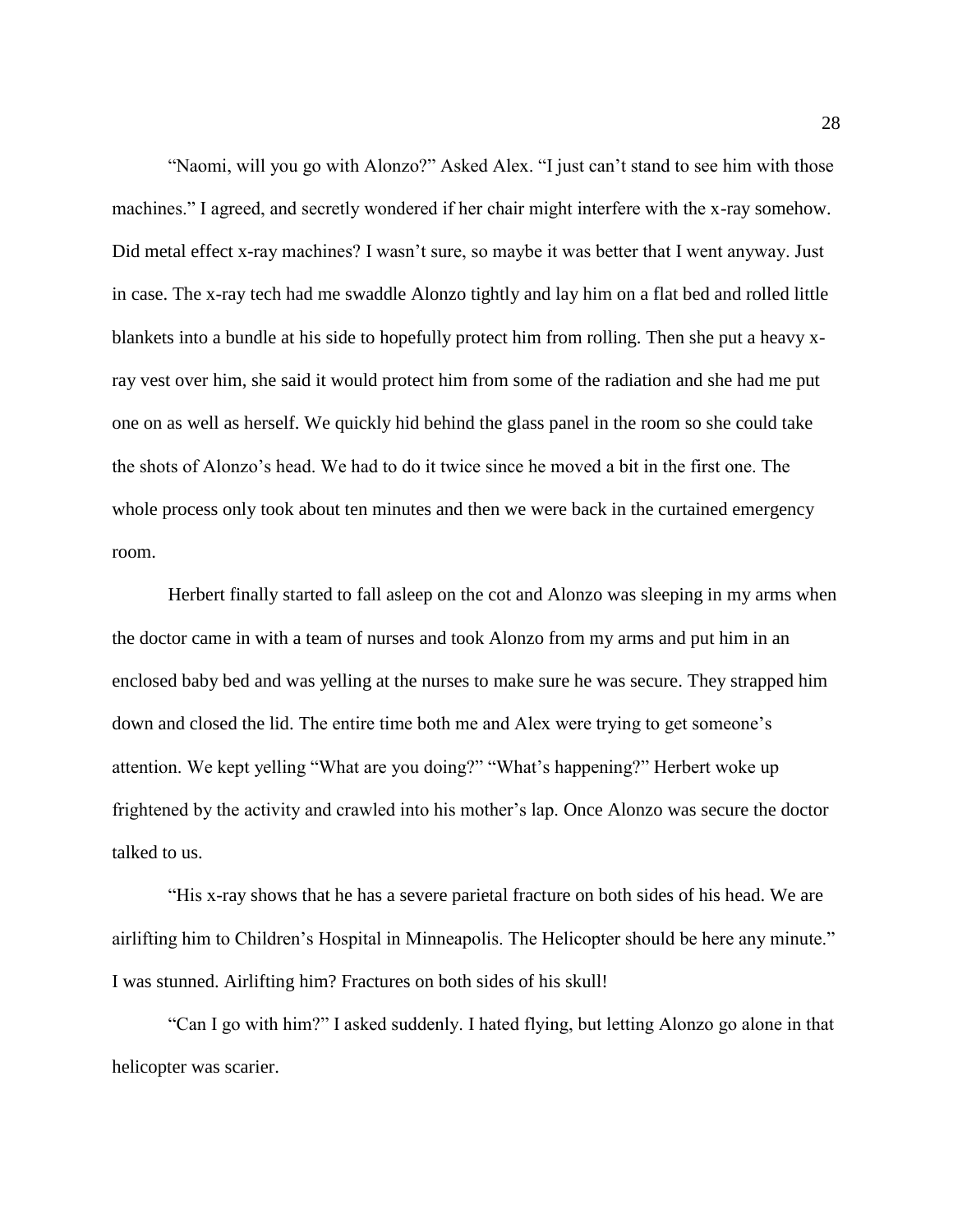"Naomi, will you go with Alonzo?" Asked Alex. "I just can't stand to see him with those machines." I agreed, and secretly wondered if her chair might interfere with the x-ray somehow. Did metal effect x-ray machines? I wasn't sure, so maybe it was better that I went anyway. Just in case. The x-ray tech had me swaddle Alonzo tightly and lay him on a flat bed and rolled little blankets into a bundle at his side to hopefully protect him from rolling. Then she put a heavy xray vest over him, she said it would protect him from some of the radiation and she had me put one on as well as herself. We quickly hid behind the glass panel in the room so she could take the shots of Alonzo's head. We had to do it twice since he moved a bit in the first one. The whole process only took about ten minutes and then we were back in the curtained emergency room.

Herbert finally started to fall asleep on the cot and Alonzo was sleeping in my arms when the doctor came in with a team of nurses and took Alonzo from my arms and put him in an enclosed baby bed and was yelling at the nurses to make sure he was secure. They strapped him down and closed the lid. The entire time both me and Alex were trying to get someone's attention. We kept yelling "What are you doing?" "What's happening?" Herbert woke up frightened by the activity and crawled into his mother's lap. Once Alonzo was secure the doctor talked to us.

"His x-ray shows that he has a severe parietal fracture on both sides of his head. We are airlifting him to Children's Hospital in Minneapolis. The Helicopter should be here any minute." I was stunned. Airlifting him? Fractures on both sides of his skull!

"Can I go with him?" I asked suddenly. I hated flying, but letting Alonzo go alone in that helicopter was scarier.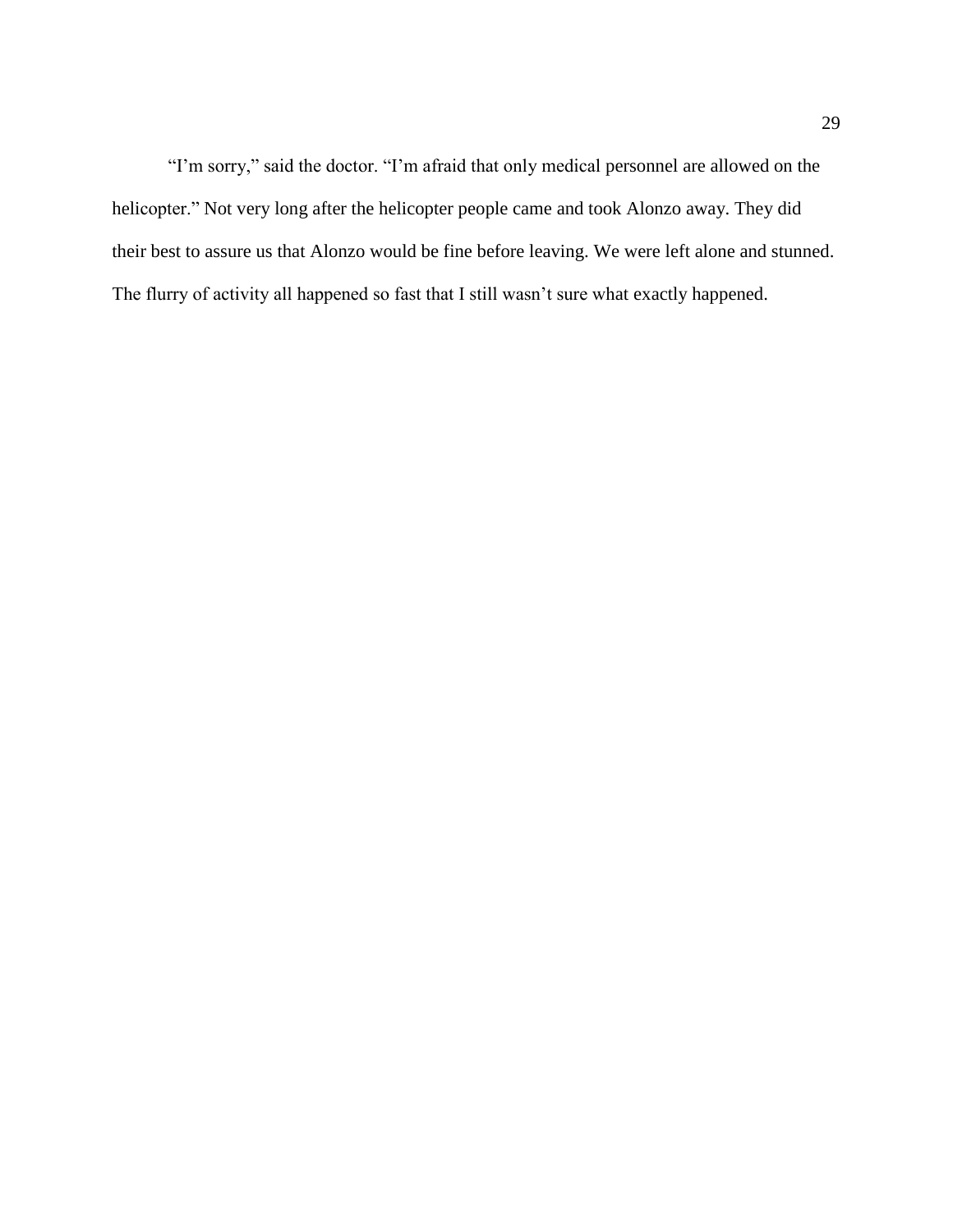"I'm sorry," said the doctor. "I'm afraid that only medical personnel are allowed on the helicopter." Not very long after the helicopter people came and took Alonzo away. They did their best to assure us that Alonzo would be fine before leaving. We were left alone and stunned. The flurry of activity all happened so fast that I still wasn't sure what exactly happened.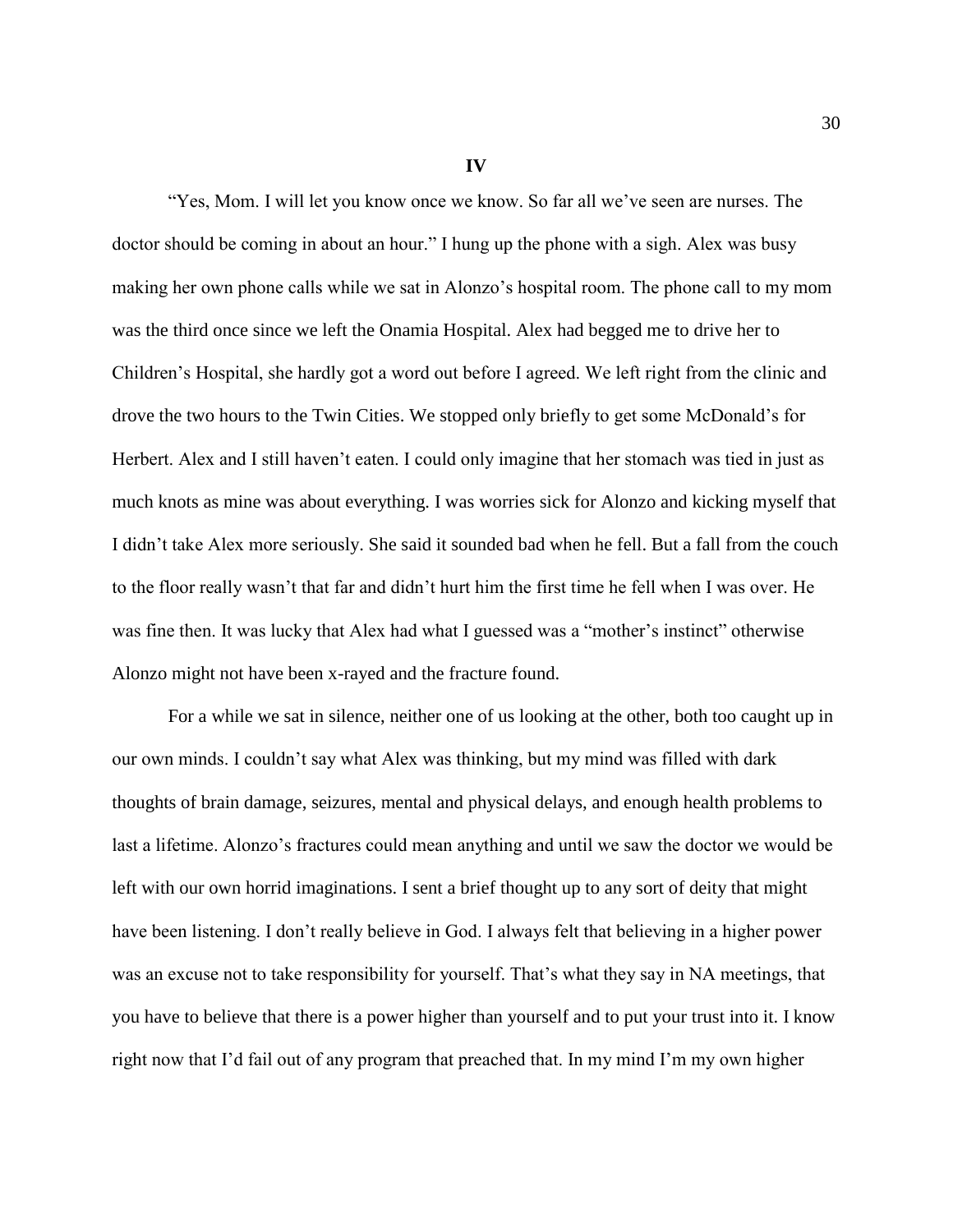**IV**

"Yes, Mom. I will let you know once we know. So far all we've seen are nurses. The doctor should be coming in about an hour." I hung up the phone with a sigh. Alex was busy making her own phone calls while we sat in Alonzo's hospital room. The phone call to my mom was the third once since we left the Onamia Hospital. Alex had begged me to drive her to Children's Hospital, she hardly got a word out before I agreed. We left right from the clinic and drove the two hours to the Twin Cities. We stopped only briefly to get some McDonald's for Herbert. Alex and I still haven't eaten. I could only imagine that her stomach was tied in just as much knots as mine was about everything. I was worries sick for Alonzo and kicking myself that I didn't take Alex more seriously. She said it sounded bad when he fell. But a fall from the couch to the floor really wasn't that far and didn't hurt him the first time he fell when I was over. He was fine then. It was lucky that Alex had what I guessed was a "mother's instinct" otherwise Alonzo might not have been x-rayed and the fracture found.

For a while we sat in silence, neither one of us looking at the other, both too caught up in our own minds. I couldn't say what Alex was thinking, but my mind was filled with dark thoughts of brain damage, seizures, mental and physical delays, and enough health problems to last a lifetime. Alonzo's fractures could mean anything and until we saw the doctor we would be left with our own horrid imaginations. I sent a brief thought up to any sort of deity that might have been listening. I don't really believe in God. I always felt that believing in a higher power was an excuse not to take responsibility for yourself. That's what they say in NA meetings, that you have to believe that there is a power higher than yourself and to put your trust into it. I know right now that I'd fail out of any program that preached that. In my mind I'm my own higher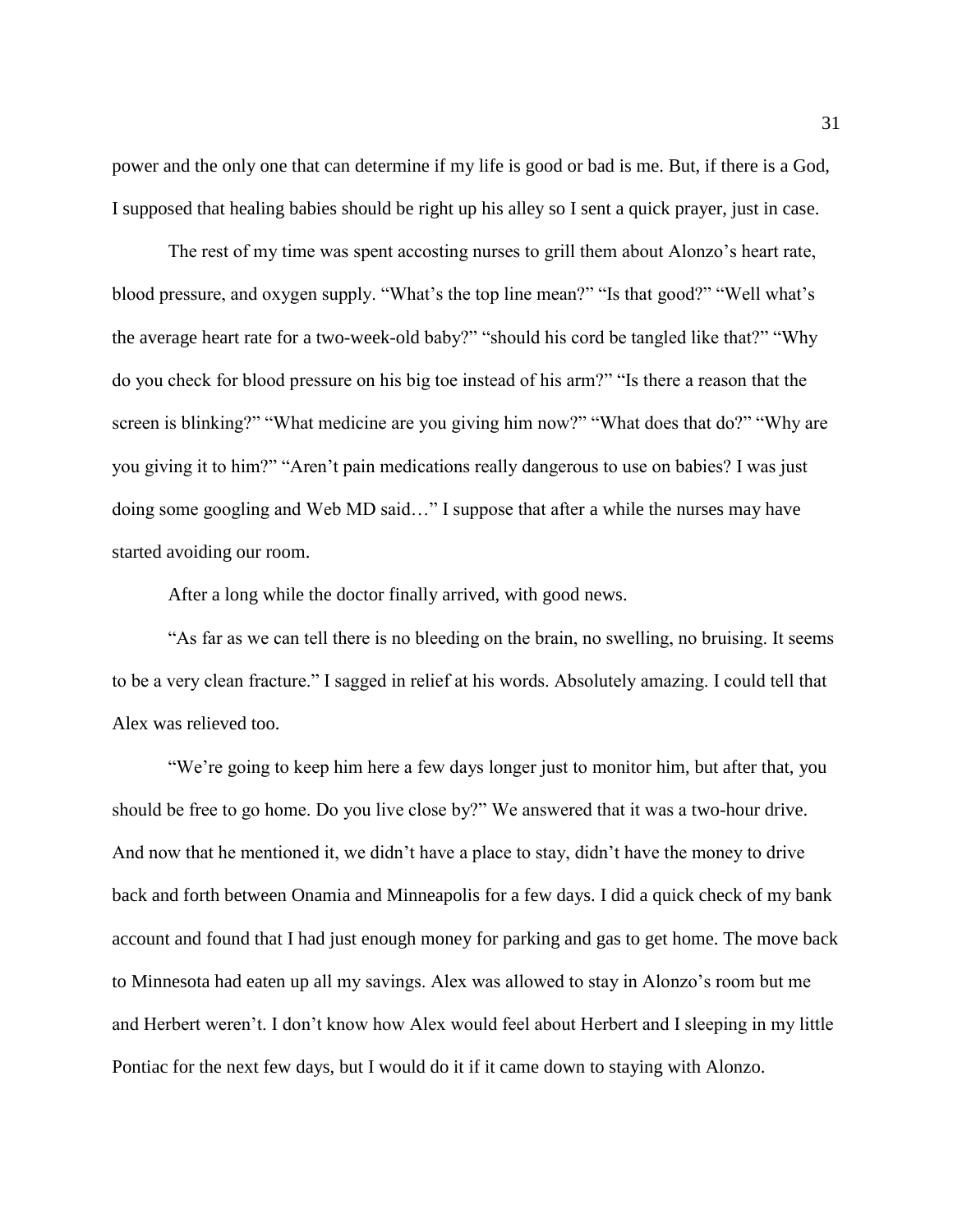power and the only one that can determine if my life is good or bad is me. But, if there is a God, I supposed that healing babies should be right up his alley so I sent a quick prayer, just in case.

The rest of my time was spent accosting nurses to grill them about Alonzo's heart rate, blood pressure, and oxygen supply. "What's the top line mean?" "Is that good?" "Well what's the average heart rate for a two-week-old baby?" "should his cord be tangled like that?" "Why do you check for blood pressure on his big toe instead of his arm?" "Is there a reason that the screen is blinking?" "What medicine are you giving him now?" "What does that do?" "Why are you giving it to him?" "Aren't pain medications really dangerous to use on babies? I was just doing some googling and Web MD said…" I suppose that after a while the nurses may have started avoiding our room.

After a long while the doctor finally arrived, with good news.

"As far as we can tell there is no bleeding on the brain, no swelling, no bruising. It seems to be a very clean fracture." I sagged in relief at his words. Absolutely amazing. I could tell that Alex was relieved too.

"We're going to keep him here a few days longer just to monitor him, but after that, you should be free to go home. Do you live close by?" We answered that it was a two-hour drive. And now that he mentioned it, we didn't have a place to stay, didn't have the money to drive back and forth between Onamia and Minneapolis for a few days. I did a quick check of my bank account and found that I had just enough money for parking and gas to get home. The move back to Minnesota had eaten up all my savings. Alex was allowed to stay in Alonzo's room but me and Herbert weren't. I don't know how Alex would feel about Herbert and I sleeping in my little Pontiac for the next few days, but I would do it if it came down to staying with Alonzo.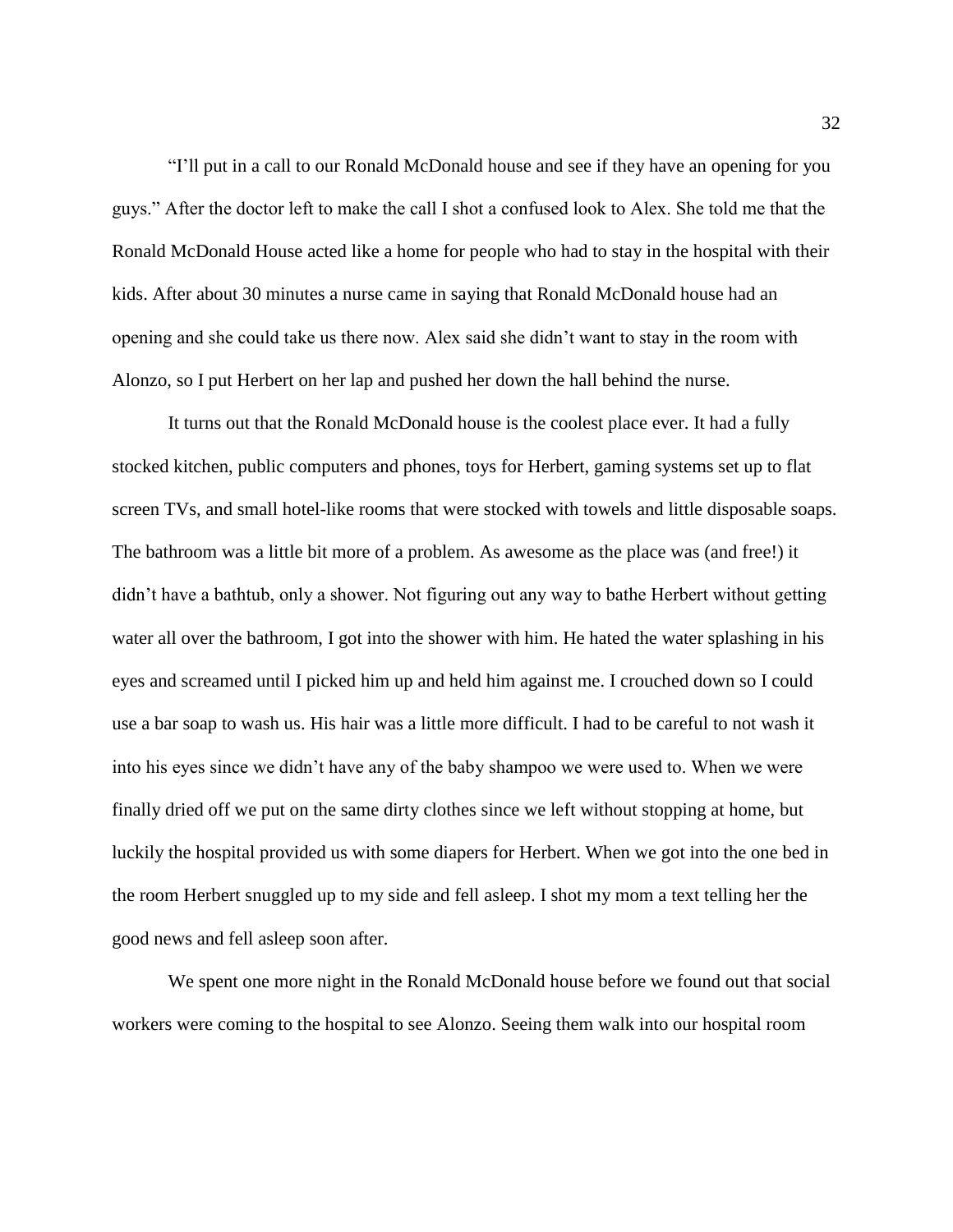"I'll put in a call to our Ronald McDonald house and see if they have an opening for you guys." After the doctor left to make the call I shot a confused look to Alex. She told me that the Ronald McDonald House acted like a home for people who had to stay in the hospital with their kids. After about 30 minutes a nurse came in saying that Ronald McDonald house had an opening and she could take us there now. Alex said she didn't want to stay in the room with Alonzo, so I put Herbert on her lap and pushed her down the hall behind the nurse.

It turns out that the Ronald McDonald house is the coolest place ever. It had a fully stocked kitchen, public computers and phones, toys for Herbert, gaming systems set up to flat screen TVs, and small hotel-like rooms that were stocked with towels and little disposable soaps. The bathroom was a little bit more of a problem. As awesome as the place was (and free!) it didn't have a bathtub, only a shower. Not figuring out any way to bathe Herbert without getting water all over the bathroom, I got into the shower with him. He hated the water splashing in his eyes and screamed until I picked him up and held him against me. I crouched down so I could use a bar soap to wash us. His hair was a little more difficult. I had to be careful to not wash it into his eyes since we didn't have any of the baby shampoo we were used to. When we were finally dried off we put on the same dirty clothes since we left without stopping at home, but luckily the hospital provided us with some diapers for Herbert. When we got into the one bed in the room Herbert snuggled up to my side and fell asleep. I shot my mom a text telling her the good news and fell asleep soon after.

We spent one more night in the Ronald McDonald house before we found out that social workers were coming to the hospital to see Alonzo. Seeing them walk into our hospital room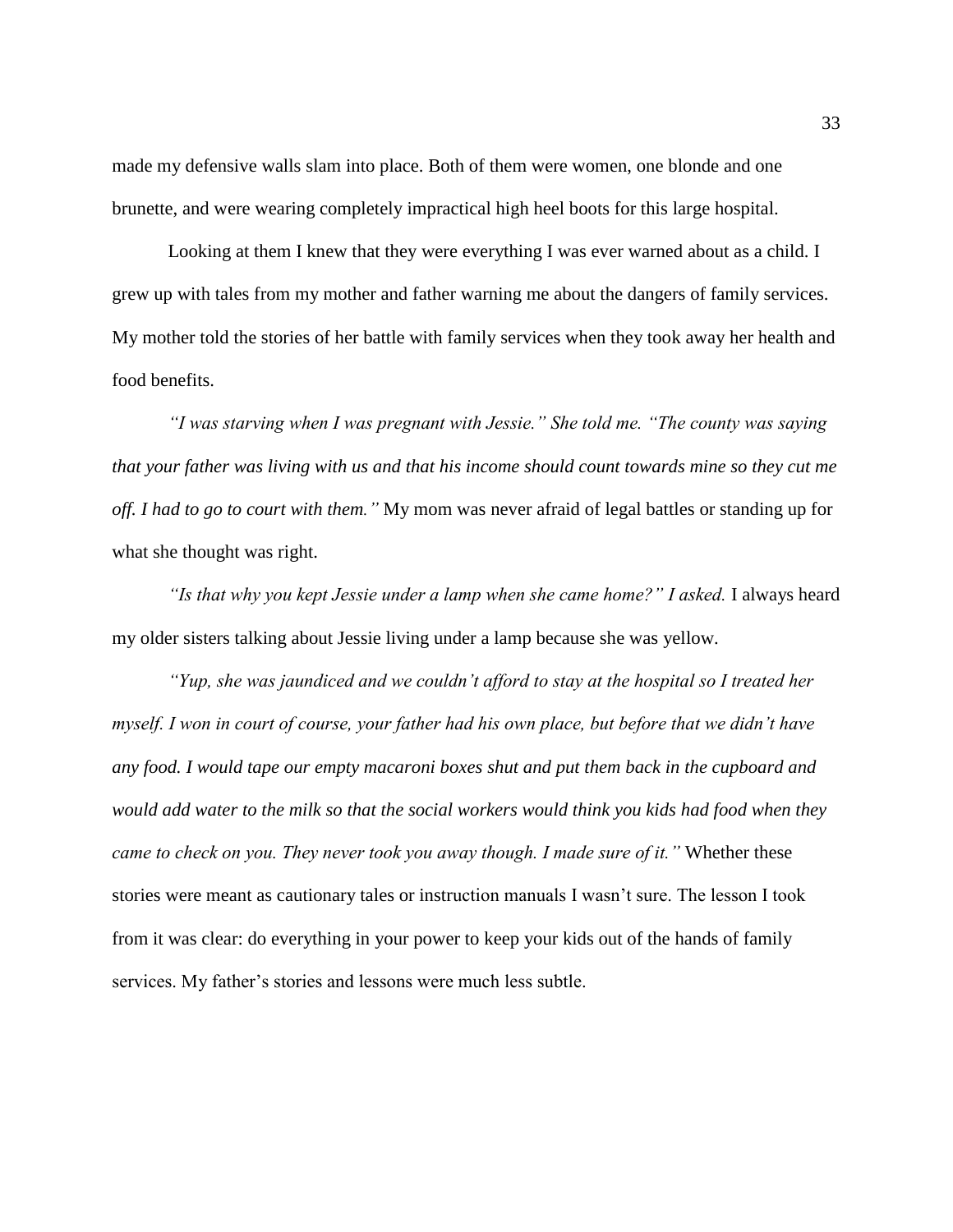made my defensive walls slam into place. Both of them were women, one blonde and one brunette, and were wearing completely impractical high heel boots for this large hospital.

Looking at them I knew that they were everything I was ever warned about as a child. I grew up with tales from my mother and father warning me about the dangers of family services. My mother told the stories of her battle with family services when they took away her health and food benefits.

*"I was starving when I was pregnant with Jessie." She told me. "The county was saying that your father was living with us and that his income should count towards mine so they cut me off. I had to go to court with them."* My mom was never afraid of legal battles or standing up for what she thought was right.

*"Is that why you kept Jessie under a lamp when she came home?" I asked.* I always heard my older sisters talking about Jessie living under a lamp because she was yellow.

*"Yup, she was jaundiced and we couldn't afford to stay at the hospital so I treated her myself. I won in court of course, your father had his own place, but before that we didn't have any food. I would tape our empty macaroni boxes shut and put them back in the cupboard and would add water to the milk so that the social workers would think you kids had food when they came to check on you. They never took you away though. I made sure of it."* Whether these stories were meant as cautionary tales or instruction manuals I wasn't sure. The lesson I took from it was clear: do everything in your power to keep your kids out of the hands of family services. My father's stories and lessons were much less subtle.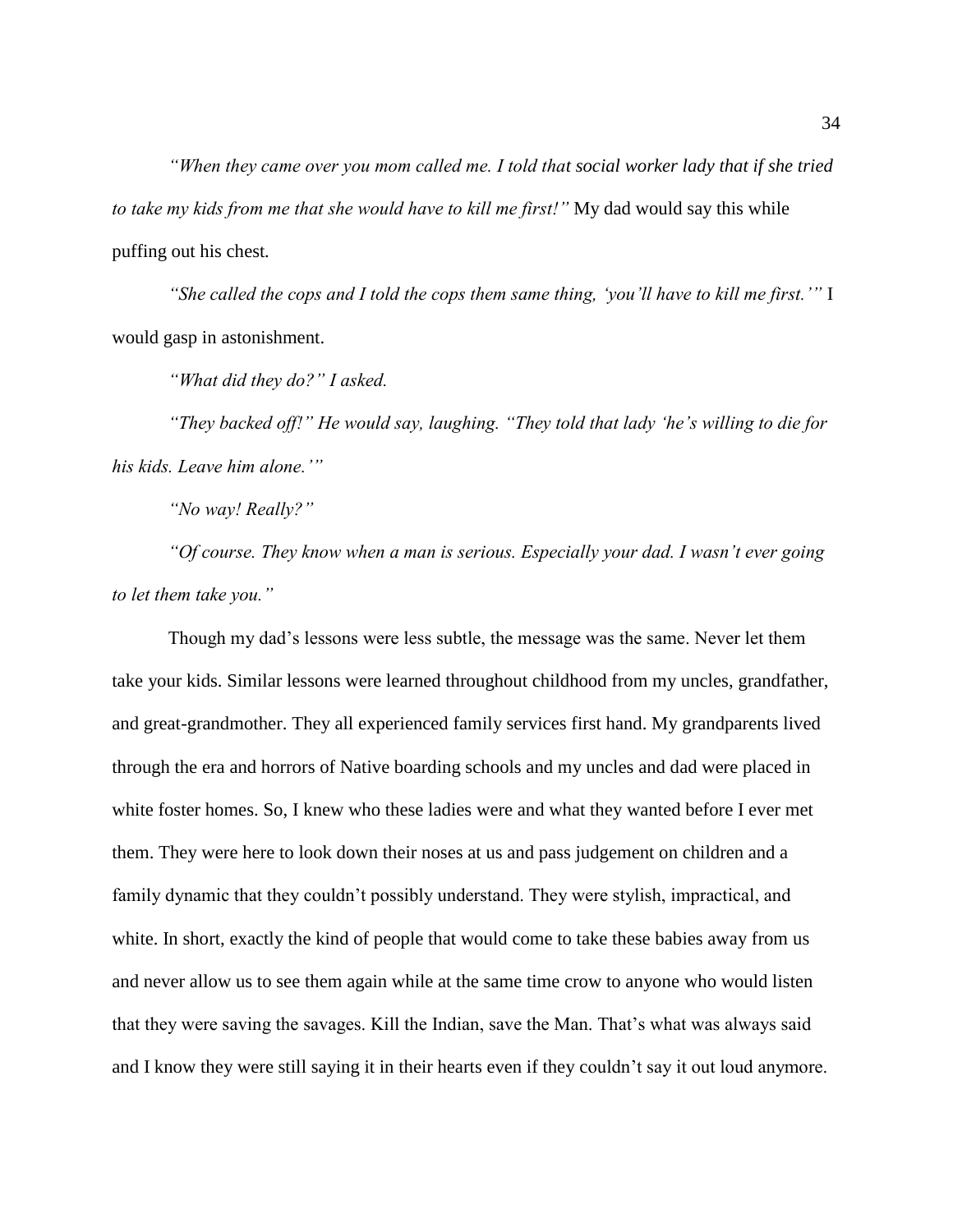*"When they came over you mom called me. I told that social worker lady that if she tried to take my kids from me that she would have to kill me first!"* My dad would say this while puffing out his chest*.* 

*"She called the cops and I told the cops them same thing, 'you'll have to kill me first.'"* I would gasp in astonishment.

*"What did they do?" I asked.* 

*"They backed off!" He would say, laughing. "They told that lady 'he's willing to die for his kids. Leave him alone.'"*

*"No way! Really?"* 

*"Of course. They know when a man is serious. Especially your dad. I wasn't ever going to let them take you."* 

Though my dad's lessons were less subtle, the message was the same. Never let them take your kids. Similar lessons were learned throughout childhood from my uncles, grandfather, and great-grandmother. They all experienced family services first hand. My grandparents lived through the era and horrors of Native boarding schools and my uncles and dad were placed in white foster homes. So, I knew who these ladies were and what they wanted before I ever met them. They were here to look down their noses at us and pass judgement on children and a family dynamic that they couldn't possibly understand. They were stylish, impractical, and white. In short, exactly the kind of people that would come to take these babies away from us and never allow us to see them again while at the same time crow to anyone who would listen that they were saving the savages. Kill the Indian, save the Man. That's what was always said and I know they were still saying it in their hearts even if they couldn't say it out loud anymore.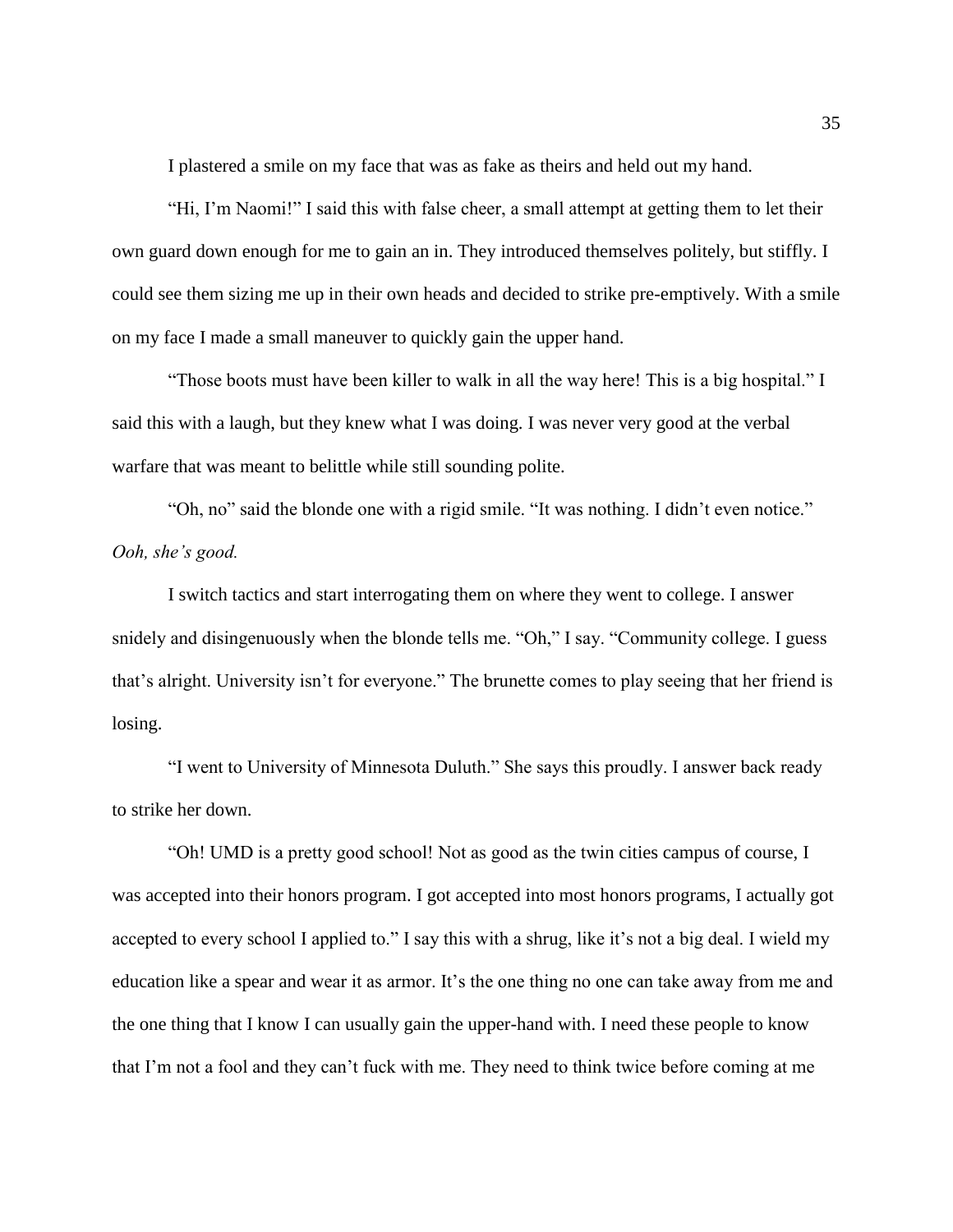I plastered a smile on my face that was as fake as theirs and held out my hand.

"Hi, I'm Naomi!" I said this with false cheer, a small attempt at getting them to let their own guard down enough for me to gain an in. They introduced themselves politely, but stiffly. I could see them sizing me up in their own heads and decided to strike pre-emptively. With a smile on my face I made a small maneuver to quickly gain the upper hand.

"Those boots must have been killer to walk in all the way here! This is a big hospital." I said this with a laugh, but they knew what I was doing. I was never very good at the verbal warfare that was meant to belittle while still sounding polite.

"Oh, no" said the blonde one with a rigid smile. "It was nothing. I didn't even notice." *Ooh, she's good.* 

I switch tactics and start interrogating them on where they went to college. I answer snidely and disingenuously when the blonde tells me. "Oh," I say. "Community college. I guess that's alright. University isn't for everyone." The brunette comes to play seeing that her friend is losing.

"I went to University of Minnesota Duluth." She says this proudly. I answer back ready to strike her down.

"Oh! UMD is a pretty good school! Not as good as the twin cities campus of course, I was accepted into their honors program. I got accepted into most honors programs, I actually got accepted to every school I applied to." I say this with a shrug, like it's not a big deal. I wield my education like a spear and wear it as armor. It's the one thing no one can take away from me and the one thing that I know I can usually gain the upper-hand with. I need these people to know that I'm not a fool and they can't fuck with me. They need to think twice before coming at me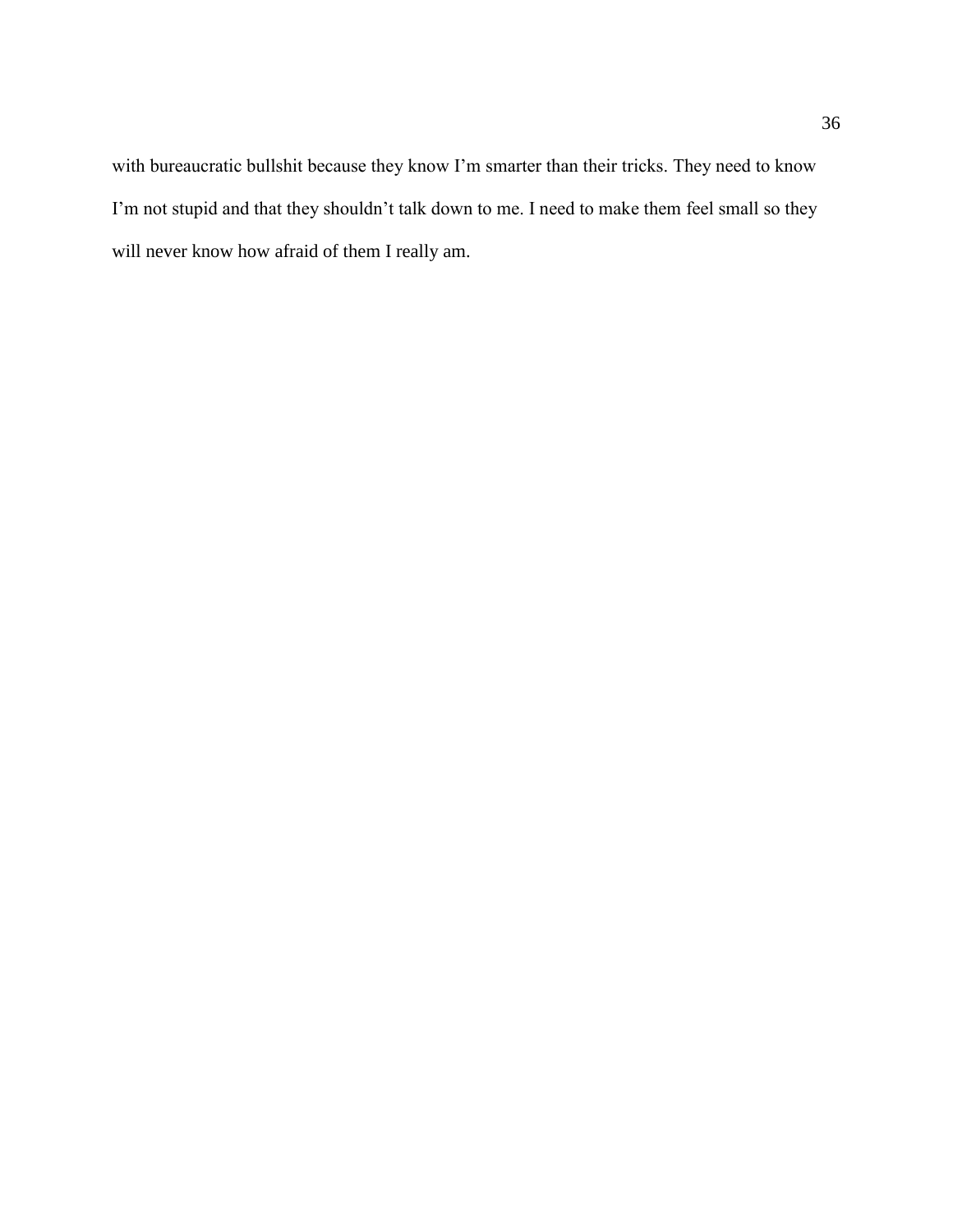with bureaucratic bullshit because they know I'm smarter than their tricks. They need to know I'm not stupid and that they shouldn't talk down to me. I need to make them feel small so they will never know how afraid of them I really am.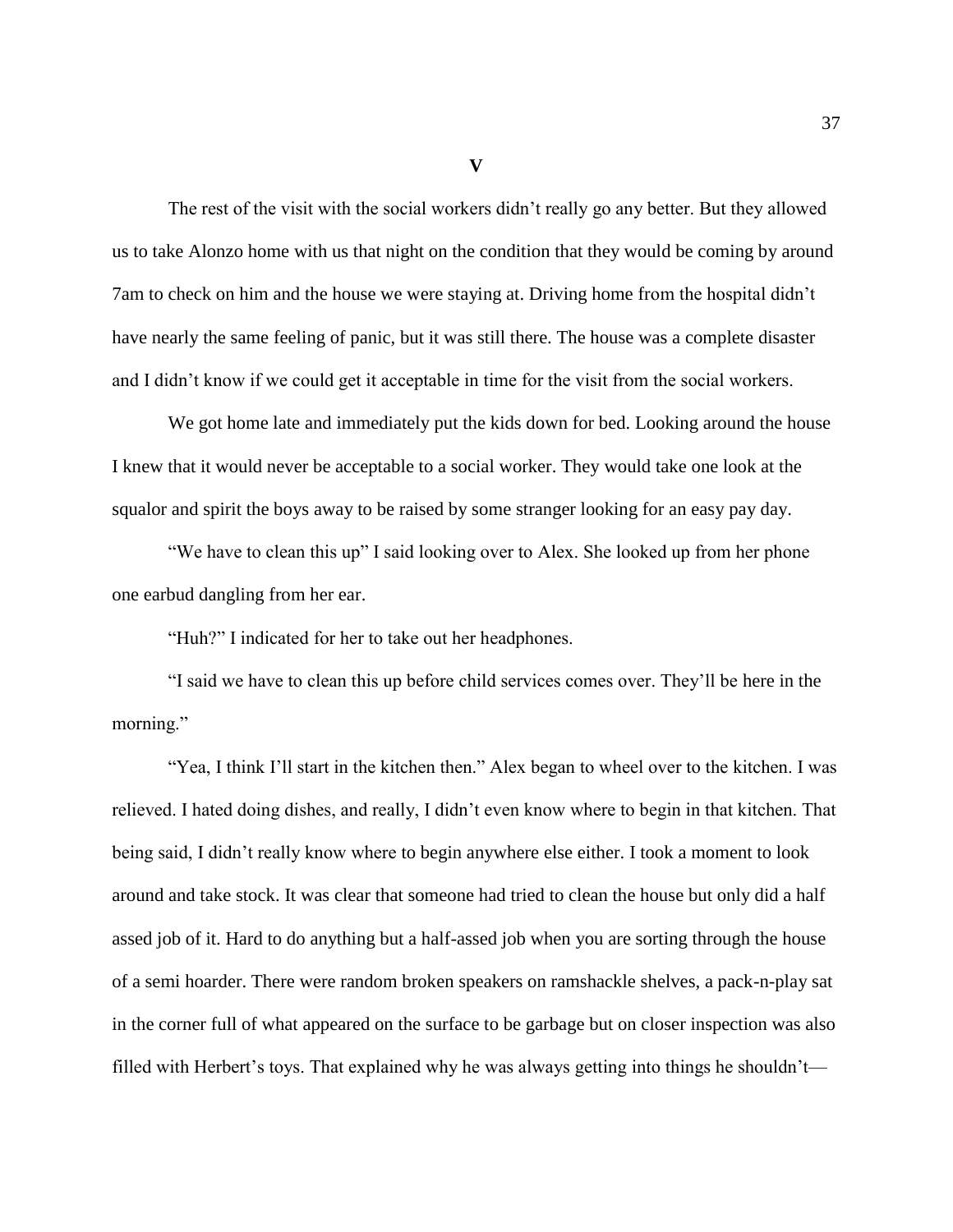**V**

The rest of the visit with the social workers didn't really go any better. But they allowed us to take Alonzo home with us that night on the condition that they would be coming by around 7am to check on him and the house we were staying at. Driving home from the hospital didn't have nearly the same feeling of panic, but it was still there. The house was a complete disaster and I didn't know if we could get it acceptable in time for the visit from the social workers.

We got home late and immediately put the kids down for bed. Looking around the house I knew that it would never be acceptable to a social worker. They would take one look at the squalor and spirit the boys away to be raised by some stranger looking for an easy pay day.

"We have to clean this up" I said looking over to Alex. She looked up from her phone one earbud dangling from her ear.

"Huh?" I indicated for her to take out her headphones.

"I said we have to clean this up before child services comes over. They'll be here in the morning."

"Yea, I think I'll start in the kitchen then." Alex began to wheel over to the kitchen. I was relieved. I hated doing dishes, and really, I didn't even know where to begin in that kitchen. That being said, I didn't really know where to begin anywhere else either. I took a moment to look around and take stock. It was clear that someone had tried to clean the house but only did a half assed job of it. Hard to do anything but a half-assed job when you are sorting through the house of a semi hoarder. There were random broken speakers on ramshackle shelves, a pack-n-play sat in the corner full of what appeared on the surface to be garbage but on closer inspection was also filled with Herbert's toys. That explained why he was always getting into things he shouldn't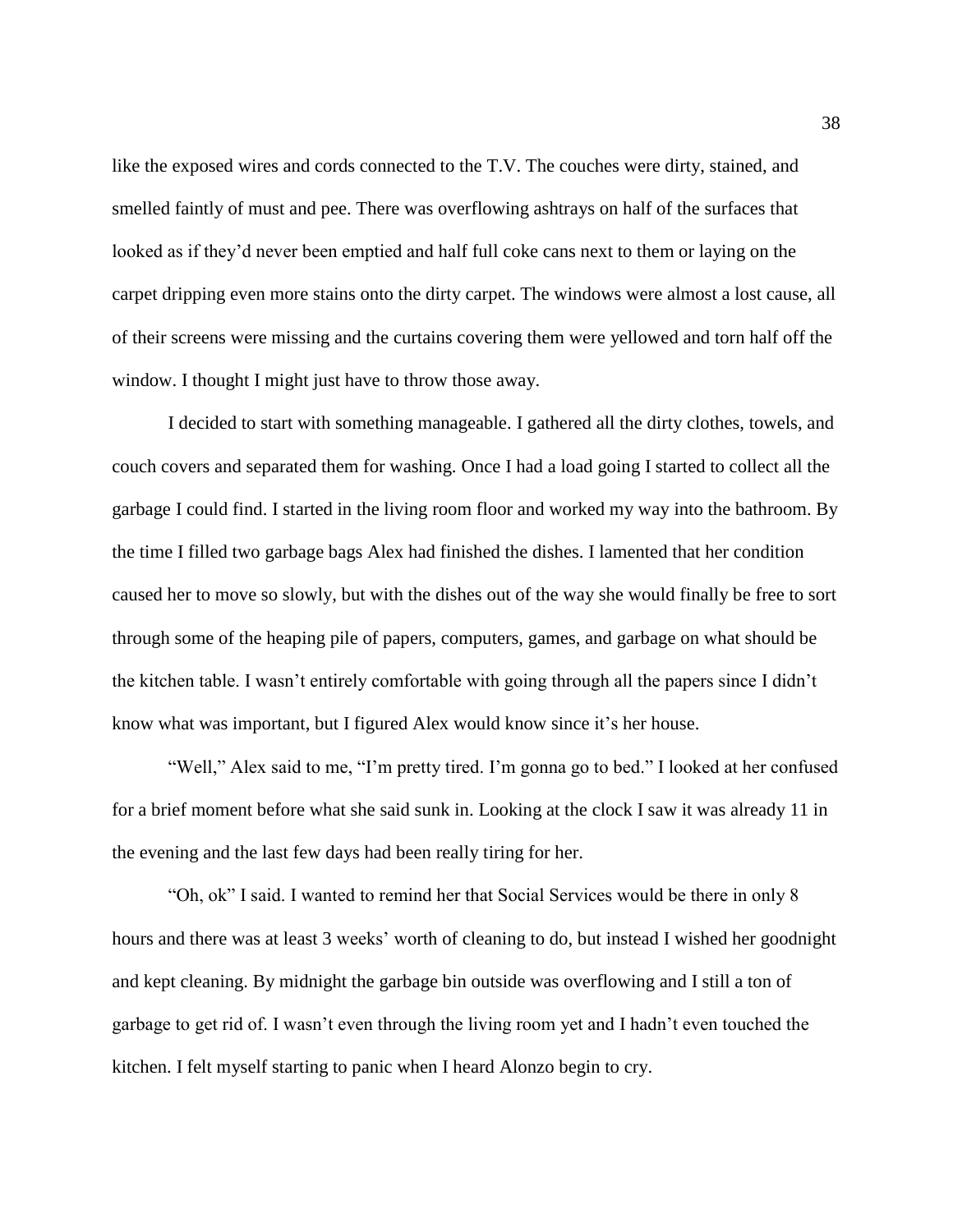like the exposed wires and cords connected to the T.V. The couches were dirty, stained, and smelled faintly of must and pee. There was overflowing ashtrays on half of the surfaces that looked as if they'd never been emptied and half full coke cans next to them or laying on the carpet dripping even more stains onto the dirty carpet. The windows were almost a lost cause, all of their screens were missing and the curtains covering them were yellowed and torn half off the window. I thought I might just have to throw those away.

I decided to start with something manageable. I gathered all the dirty clothes, towels, and couch covers and separated them for washing. Once I had a load going I started to collect all the garbage I could find. I started in the living room floor and worked my way into the bathroom. By the time I filled two garbage bags Alex had finished the dishes. I lamented that her condition caused her to move so slowly, but with the dishes out of the way she would finally be free to sort through some of the heaping pile of papers, computers, games, and garbage on what should be the kitchen table. I wasn't entirely comfortable with going through all the papers since I didn't know what was important, but I figured Alex would know since it's her house.

"Well," Alex said to me, "I'm pretty tired. I'm gonna go to bed." I looked at her confused for a brief moment before what she said sunk in. Looking at the clock I saw it was already 11 in the evening and the last few days had been really tiring for her.

"Oh, ok" I said. I wanted to remind her that Social Services would be there in only 8 hours and there was at least 3 weeks' worth of cleaning to do, but instead I wished her goodnight and kept cleaning. By midnight the garbage bin outside was overflowing and I still a ton of garbage to get rid of. I wasn't even through the living room yet and I hadn't even touched the kitchen. I felt myself starting to panic when I heard Alonzo begin to cry.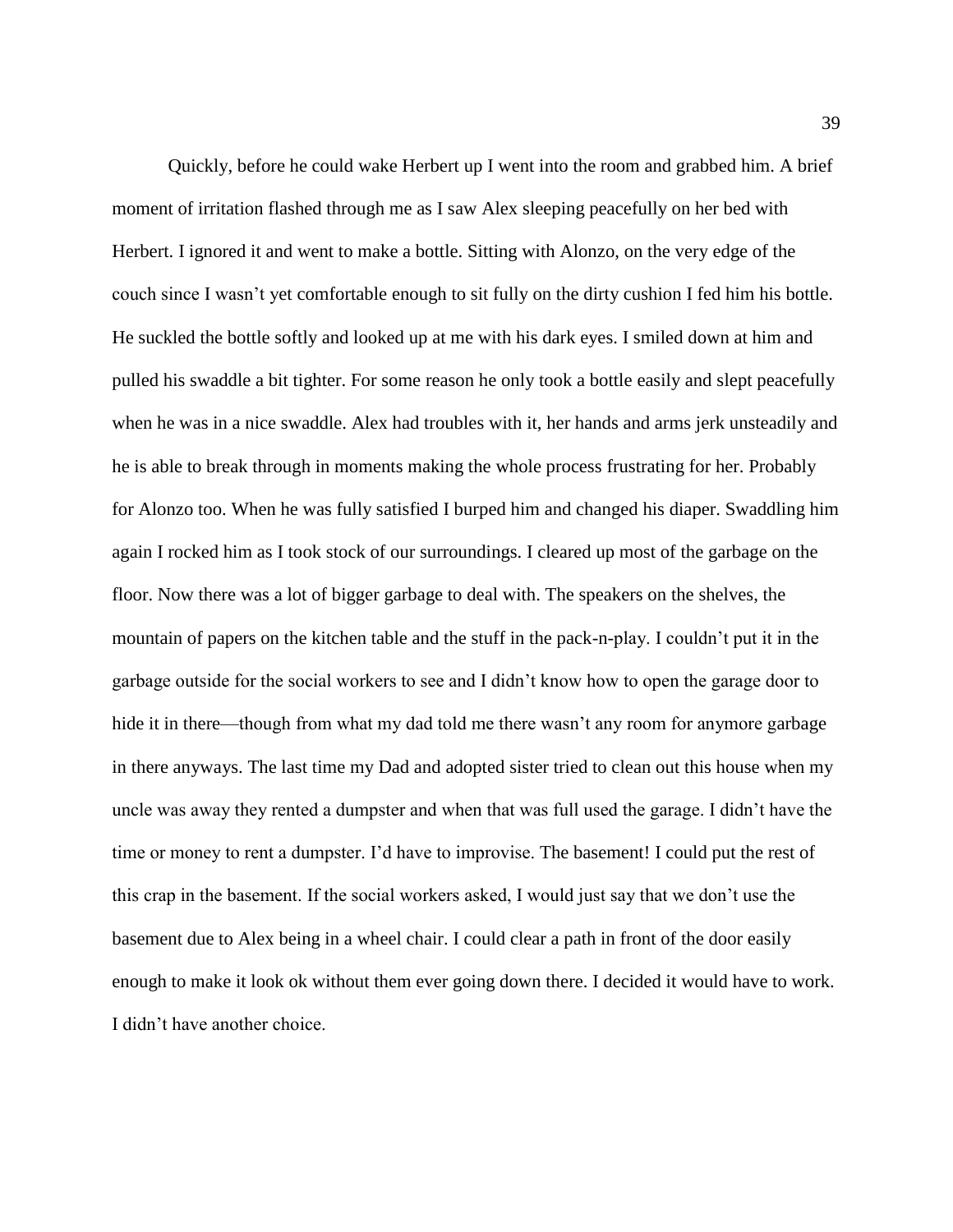Quickly, before he could wake Herbert up I went into the room and grabbed him. A brief moment of irritation flashed through me as I saw Alex sleeping peacefully on her bed with Herbert. I ignored it and went to make a bottle. Sitting with Alonzo, on the very edge of the couch since I wasn't yet comfortable enough to sit fully on the dirty cushion I fed him his bottle. He suckled the bottle softly and looked up at me with his dark eyes. I smiled down at him and pulled his swaddle a bit tighter. For some reason he only took a bottle easily and slept peacefully when he was in a nice swaddle. Alex had troubles with it, her hands and arms jerk unsteadily and he is able to break through in moments making the whole process frustrating for her. Probably for Alonzo too. When he was fully satisfied I burped him and changed his diaper. Swaddling him again I rocked him as I took stock of our surroundings. I cleared up most of the garbage on the floor. Now there was a lot of bigger garbage to deal with. The speakers on the shelves, the mountain of papers on the kitchen table and the stuff in the pack-n-play. I couldn't put it in the garbage outside for the social workers to see and I didn't know how to open the garage door to hide it in there—though from what my dad told me there wasn't any room for anymore garbage in there anyways. The last time my Dad and adopted sister tried to clean out this house when my uncle was away they rented a dumpster and when that was full used the garage. I didn't have the time or money to rent a dumpster. I'd have to improvise. The basement! I could put the rest of this crap in the basement. If the social workers asked, I would just say that we don't use the basement due to Alex being in a wheel chair. I could clear a path in front of the door easily enough to make it look ok without them ever going down there. I decided it would have to work. I didn't have another choice.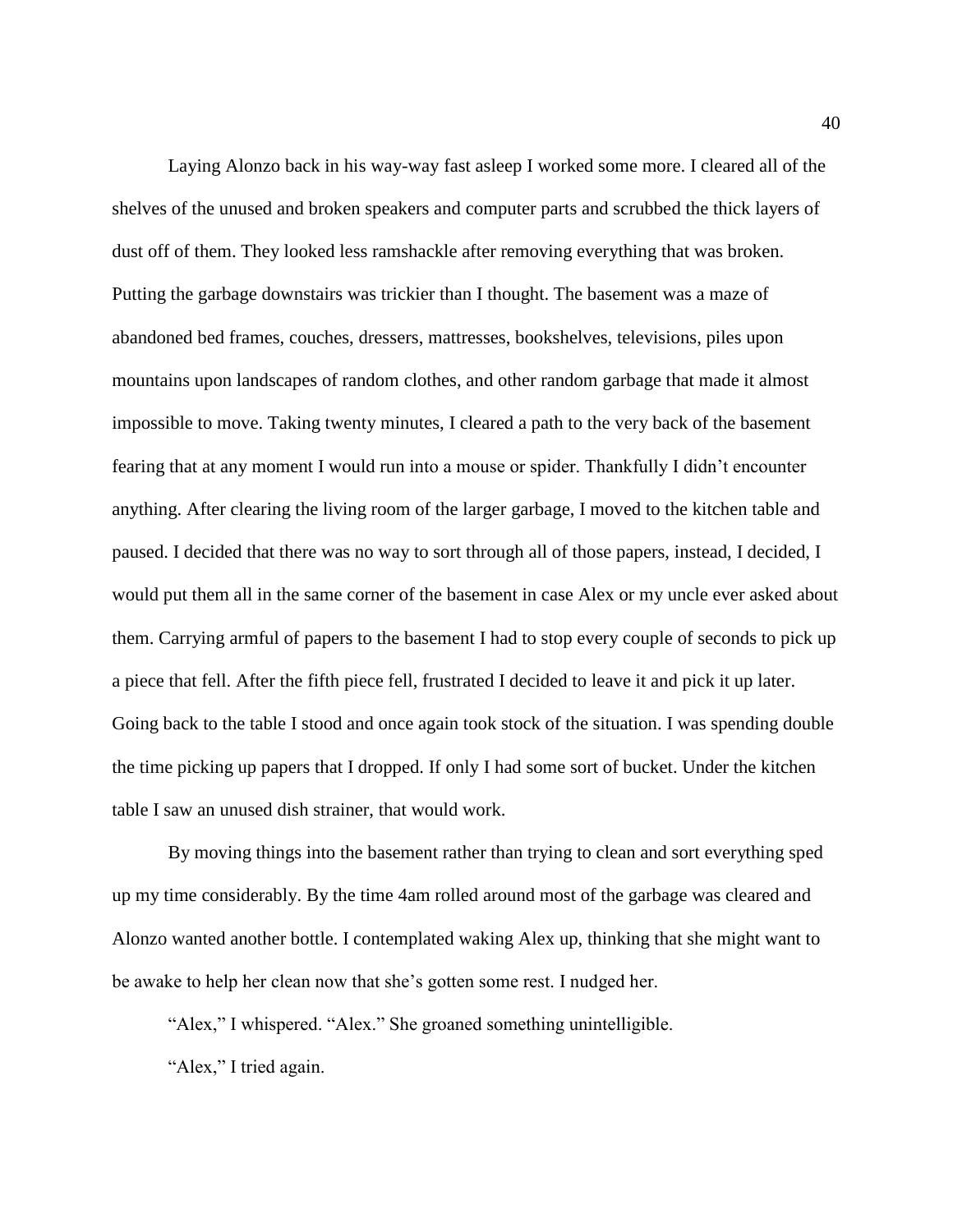Laying Alonzo back in his way-way fast asleep I worked some more. I cleared all of the shelves of the unused and broken speakers and computer parts and scrubbed the thick layers of dust off of them. They looked less ramshackle after removing everything that was broken. Putting the garbage downstairs was trickier than I thought. The basement was a maze of abandoned bed frames, couches, dressers, mattresses, bookshelves, televisions, piles upon mountains upon landscapes of random clothes, and other random garbage that made it almost impossible to move. Taking twenty minutes, I cleared a path to the very back of the basement fearing that at any moment I would run into a mouse or spider. Thankfully I didn't encounter anything. After clearing the living room of the larger garbage, I moved to the kitchen table and paused. I decided that there was no way to sort through all of those papers, instead, I decided, I would put them all in the same corner of the basement in case Alex or my uncle ever asked about them. Carrying armful of papers to the basement I had to stop every couple of seconds to pick up a piece that fell. After the fifth piece fell, frustrated I decided to leave it and pick it up later. Going back to the table I stood and once again took stock of the situation. I was spending double the time picking up papers that I dropped. If only I had some sort of bucket. Under the kitchen table I saw an unused dish strainer, that would work.

By moving things into the basement rather than trying to clean and sort everything sped up my time considerably. By the time 4am rolled around most of the garbage was cleared and Alonzo wanted another bottle. I contemplated waking Alex up, thinking that she might want to be awake to help her clean now that she's gotten some rest. I nudged her.

"Alex," I whispered. "Alex." She groaned something unintelligible.

"Alex," I tried again.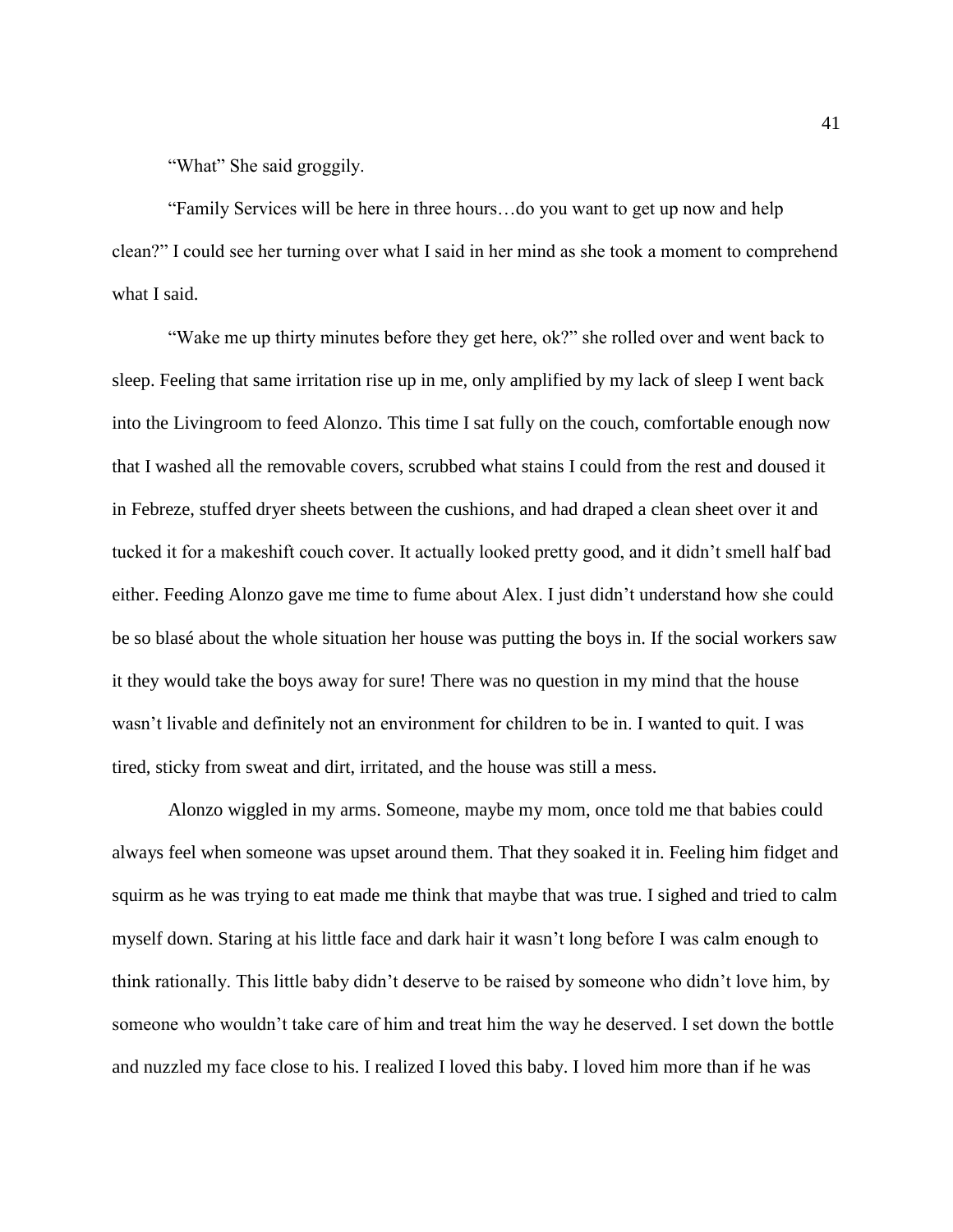"What" She said groggily.

"Family Services will be here in three hours…do you want to get up now and help clean?" I could see her turning over what I said in her mind as she took a moment to comprehend what I said.

"Wake me up thirty minutes before they get here, ok?" she rolled over and went back to sleep. Feeling that same irritation rise up in me, only amplified by my lack of sleep I went back into the Livingroom to feed Alonzo. This time I sat fully on the couch, comfortable enough now that I washed all the removable covers, scrubbed what stains I could from the rest and doused it in Febreze, stuffed dryer sheets between the cushions, and had draped a clean sheet over it and tucked it for a makeshift couch cover. It actually looked pretty good, and it didn't smell half bad either. Feeding Alonzo gave me time to fume about Alex. I just didn't understand how she could be so blasé about the whole situation her house was putting the boys in. If the social workers saw it they would take the boys away for sure! There was no question in my mind that the house wasn't livable and definitely not an environment for children to be in. I wanted to quit. I was tired, sticky from sweat and dirt, irritated, and the house was still a mess.

Alonzo wiggled in my arms. Someone, maybe my mom, once told me that babies could always feel when someone was upset around them. That they soaked it in. Feeling him fidget and squirm as he was trying to eat made me think that maybe that was true. I sighed and tried to calm myself down. Staring at his little face and dark hair it wasn't long before I was calm enough to think rationally. This little baby didn't deserve to be raised by someone who didn't love him, by someone who wouldn't take care of him and treat him the way he deserved. I set down the bottle and nuzzled my face close to his. I realized I loved this baby. I loved him more than if he was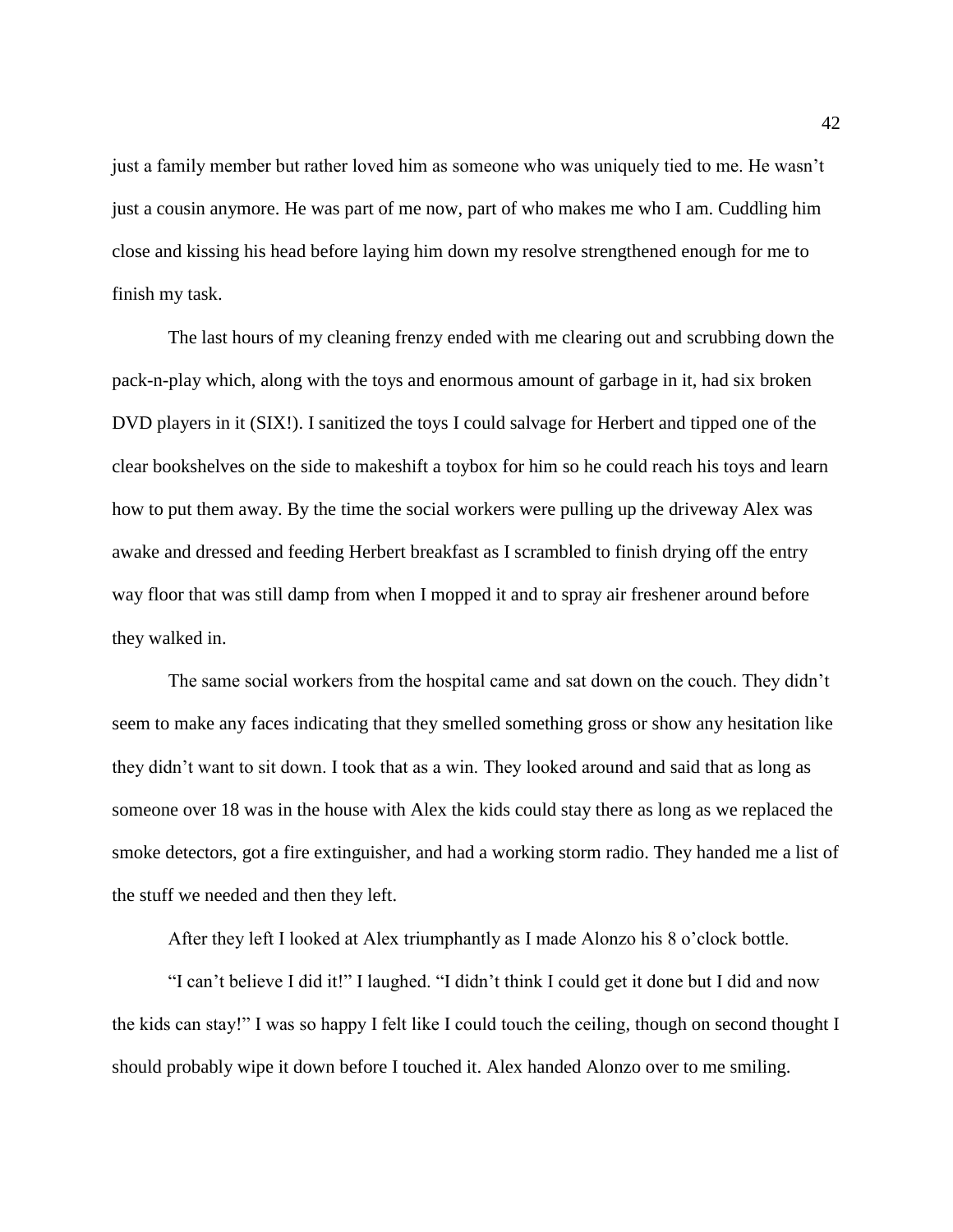just a family member but rather loved him as someone who was uniquely tied to me. He wasn't just a cousin anymore. He was part of me now, part of who makes me who I am. Cuddling him close and kissing his head before laying him down my resolve strengthened enough for me to finish my task.

The last hours of my cleaning frenzy ended with me clearing out and scrubbing down the pack-n-play which, along with the toys and enormous amount of garbage in it, had six broken DVD players in it (SIX!). I sanitized the toys I could salvage for Herbert and tipped one of the clear bookshelves on the side to makeshift a toybox for him so he could reach his toys and learn how to put them away. By the time the social workers were pulling up the driveway Alex was awake and dressed and feeding Herbert breakfast as I scrambled to finish drying off the entry way floor that was still damp from when I mopped it and to spray air freshener around before they walked in.

The same social workers from the hospital came and sat down on the couch. They didn't seem to make any faces indicating that they smelled something gross or show any hesitation like they didn't want to sit down. I took that as a win. They looked around and said that as long as someone over 18 was in the house with Alex the kids could stay there as long as we replaced the smoke detectors, got a fire extinguisher, and had a working storm radio. They handed me a list of the stuff we needed and then they left.

After they left I looked at Alex triumphantly as I made Alonzo his 8 o'clock bottle.

"I can't believe I did it!" I laughed. "I didn't think I could get it done but I did and now the kids can stay!" I was so happy I felt like I could touch the ceiling, though on second thought I should probably wipe it down before I touched it. Alex handed Alonzo over to me smiling.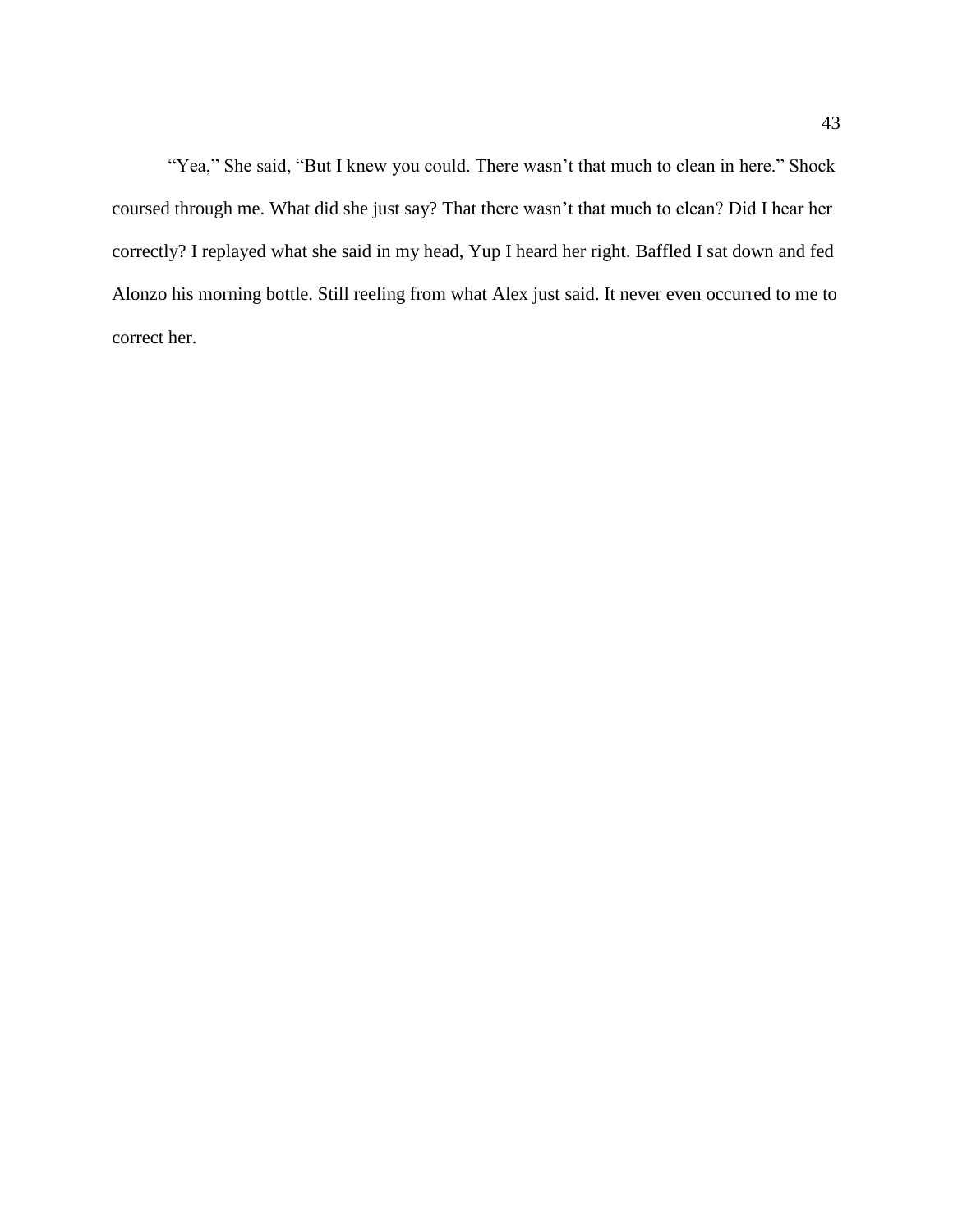"Yea," She said, "But I knew you could. There wasn't that much to clean in here." Shock coursed through me. What did she just say? That there wasn't that much to clean? Did I hear her correctly? I replayed what she said in my head, Yup I heard her right. Baffled I sat down and fed Alonzo his morning bottle. Still reeling from what Alex just said. It never even occurred to me to correct her.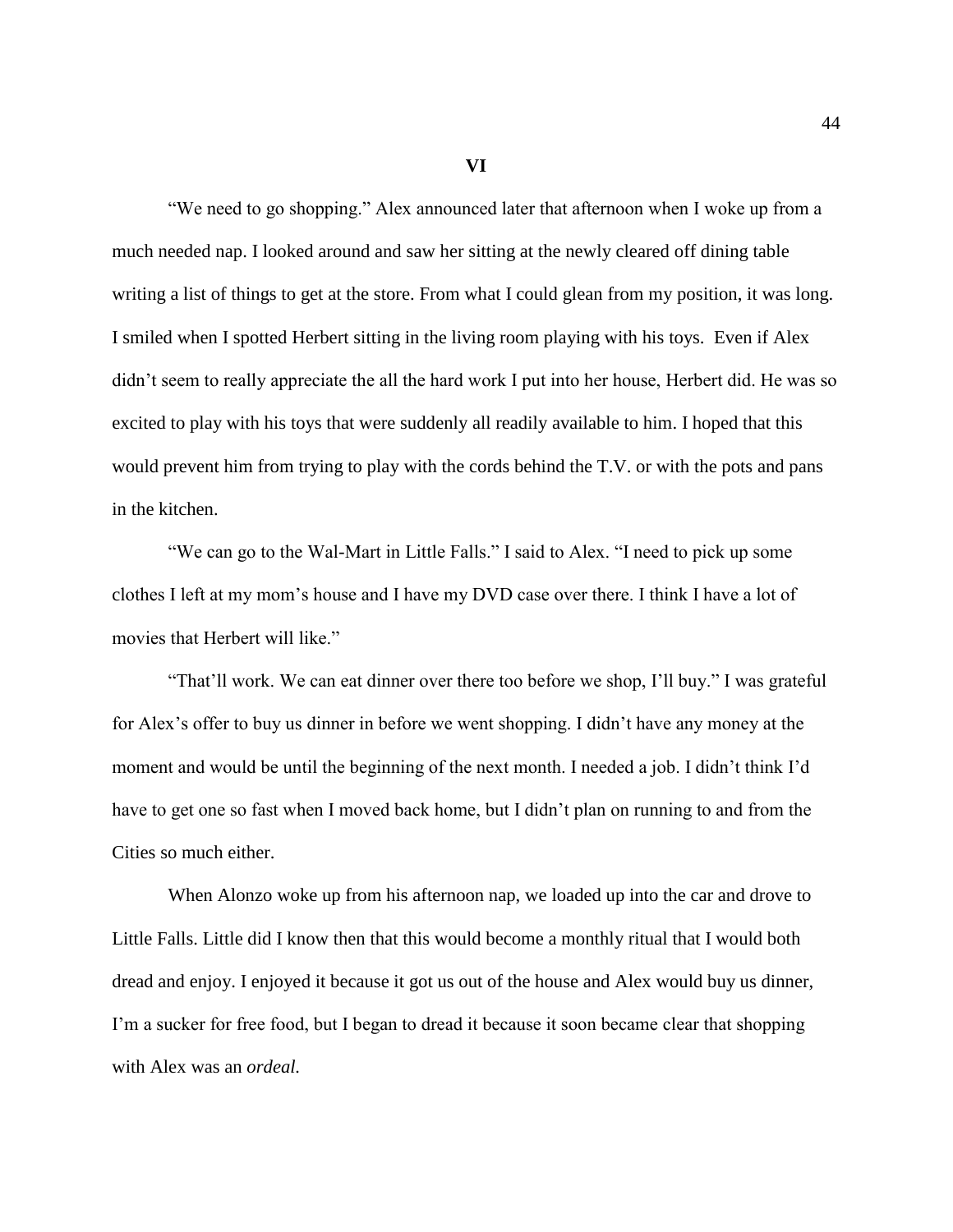**VI**

"We need to go shopping." Alex announced later that afternoon when I woke up from a much needed nap. I looked around and saw her sitting at the newly cleared off dining table writing a list of things to get at the store. From what I could glean from my position, it was long. I smiled when I spotted Herbert sitting in the living room playing with his toys. Even if Alex didn't seem to really appreciate the all the hard work I put into her house, Herbert did. He was so excited to play with his toys that were suddenly all readily available to him. I hoped that this would prevent him from trying to play with the cords behind the T.V. or with the pots and pans in the kitchen.

"We can go to the Wal-Mart in Little Falls." I said to Alex. "I need to pick up some clothes I left at my mom's house and I have my DVD case over there. I think I have a lot of movies that Herbert will like."

"That'll work. We can eat dinner over there too before we shop, I'll buy." I was grateful for Alex's offer to buy us dinner in before we went shopping. I didn't have any money at the moment and would be until the beginning of the next month. I needed a job. I didn't think I'd have to get one so fast when I moved back home, but I didn't plan on running to and from the Cities so much either.

When Alonzo woke up from his afternoon nap, we loaded up into the car and drove to Little Falls. Little did I know then that this would become a monthly ritual that I would both dread and enjoy. I enjoyed it because it got us out of the house and Alex would buy us dinner, I'm a sucker for free food, but I began to dread it because it soon became clear that shopping with Alex was an *ordeal.*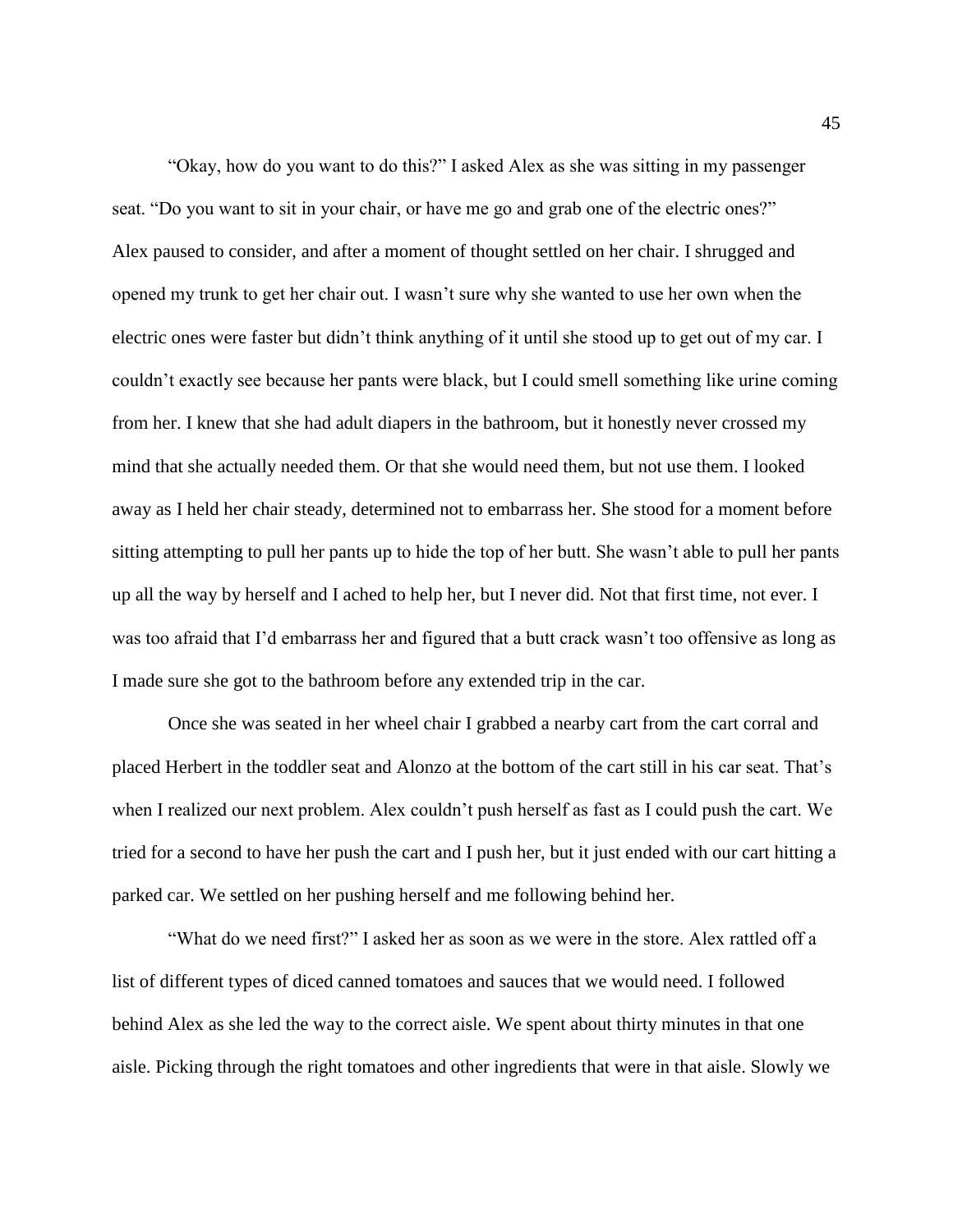"Okay, how do you want to do this?" I asked Alex as she was sitting in my passenger seat. "Do you want to sit in your chair, or have me go and grab one of the electric ones?" Alex paused to consider, and after a moment of thought settled on her chair. I shrugged and opened my trunk to get her chair out. I wasn't sure why she wanted to use her own when the electric ones were faster but didn't think anything of it until she stood up to get out of my car. I couldn't exactly see because her pants were black, but I could smell something like urine coming from her. I knew that she had adult diapers in the bathroom, but it honestly never crossed my mind that she actually needed them. Or that she would need them, but not use them. I looked away as I held her chair steady, determined not to embarrass her. She stood for a moment before sitting attempting to pull her pants up to hide the top of her butt. She wasn't able to pull her pants up all the way by herself and I ached to help her, but I never did. Not that first time, not ever. I was too afraid that I'd embarrass her and figured that a butt crack wasn't too offensive as long as I made sure she got to the bathroom before any extended trip in the car.

Once she was seated in her wheel chair I grabbed a nearby cart from the cart corral and placed Herbert in the toddler seat and Alonzo at the bottom of the cart still in his car seat. That's when I realized our next problem. Alex couldn't push herself as fast as I could push the cart. We tried for a second to have her push the cart and I push her, but it just ended with our cart hitting a parked car. We settled on her pushing herself and me following behind her.

"What do we need first?" I asked her as soon as we were in the store. Alex rattled off a list of different types of diced canned tomatoes and sauces that we would need. I followed behind Alex as she led the way to the correct aisle. We spent about thirty minutes in that one aisle. Picking through the right tomatoes and other ingredients that were in that aisle. Slowly we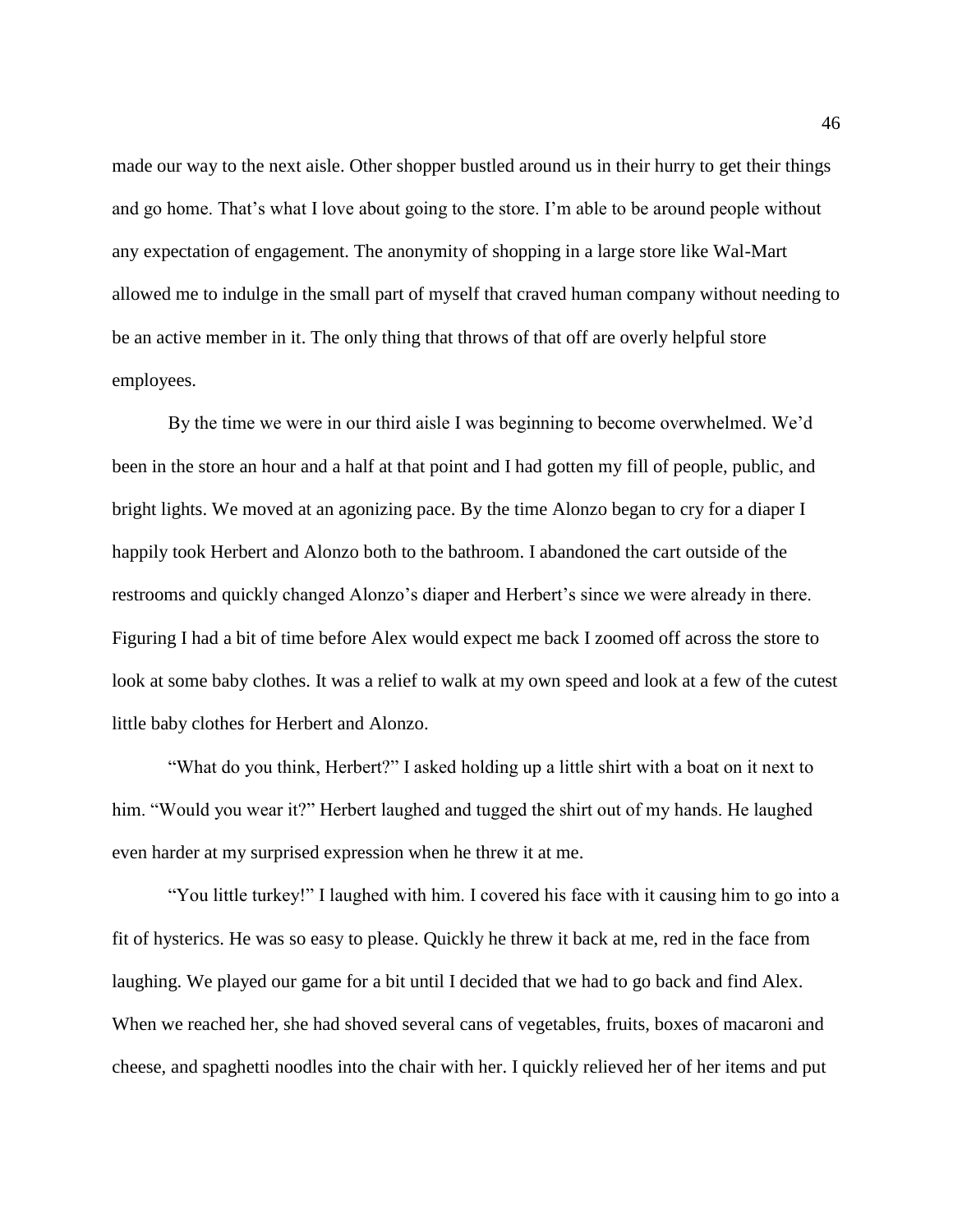made our way to the next aisle. Other shopper bustled around us in their hurry to get their things and go home. That's what I love about going to the store. I'm able to be around people without any expectation of engagement. The anonymity of shopping in a large store like Wal-Mart allowed me to indulge in the small part of myself that craved human company without needing to be an active member in it. The only thing that throws of that off are overly helpful store employees.

By the time we were in our third aisle I was beginning to become overwhelmed. We'd been in the store an hour and a half at that point and I had gotten my fill of people, public, and bright lights. We moved at an agonizing pace. By the time Alonzo began to cry for a diaper I happily took Herbert and Alonzo both to the bathroom. I abandoned the cart outside of the restrooms and quickly changed Alonzo's diaper and Herbert's since we were already in there. Figuring I had a bit of time before Alex would expect me back I zoomed off across the store to look at some baby clothes. It was a relief to walk at my own speed and look at a few of the cutest little baby clothes for Herbert and Alonzo.

"What do you think, Herbert?" I asked holding up a little shirt with a boat on it next to him. "Would you wear it?" Herbert laughed and tugged the shirt out of my hands. He laughed even harder at my surprised expression when he threw it at me.

"You little turkey!" I laughed with him. I covered his face with it causing him to go into a fit of hysterics. He was so easy to please. Quickly he threw it back at me, red in the face from laughing. We played our game for a bit until I decided that we had to go back and find Alex. When we reached her, she had shoved several cans of vegetables, fruits, boxes of macaroni and cheese, and spaghetti noodles into the chair with her. I quickly relieved her of her items and put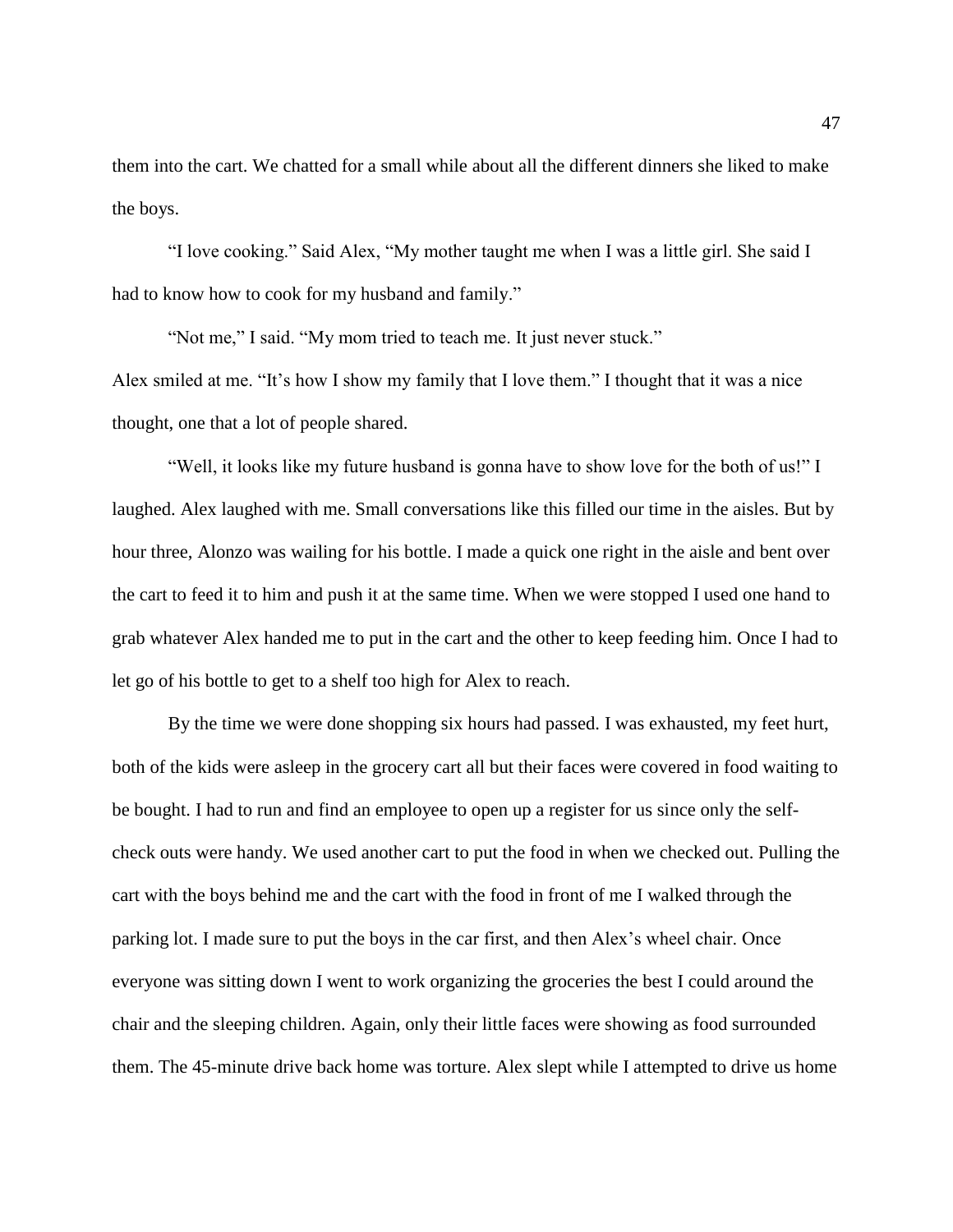them into the cart. We chatted for a small while about all the different dinners she liked to make the boys.

"I love cooking." Said Alex, "My mother taught me when I was a little girl. She said I had to know how to cook for my husband and family."

"Not me," I said. "My mom tried to teach me. It just never stuck."

Alex smiled at me. "It's how I show my family that I love them." I thought that it was a nice thought, one that a lot of people shared.

"Well, it looks like my future husband is gonna have to show love for the both of us!" I laughed. Alex laughed with me. Small conversations like this filled our time in the aisles. But by hour three, Alonzo was wailing for his bottle. I made a quick one right in the aisle and bent over the cart to feed it to him and push it at the same time. When we were stopped I used one hand to grab whatever Alex handed me to put in the cart and the other to keep feeding him. Once I had to let go of his bottle to get to a shelf too high for Alex to reach.

By the time we were done shopping six hours had passed. I was exhausted, my feet hurt, both of the kids were asleep in the grocery cart all but their faces were covered in food waiting to be bought. I had to run and find an employee to open up a register for us since only the selfcheck outs were handy. We used another cart to put the food in when we checked out. Pulling the cart with the boys behind me and the cart with the food in front of me I walked through the parking lot. I made sure to put the boys in the car first, and then Alex's wheel chair. Once everyone was sitting down I went to work organizing the groceries the best I could around the chair and the sleeping children. Again, only their little faces were showing as food surrounded them. The 45-minute drive back home was torture. Alex slept while I attempted to drive us home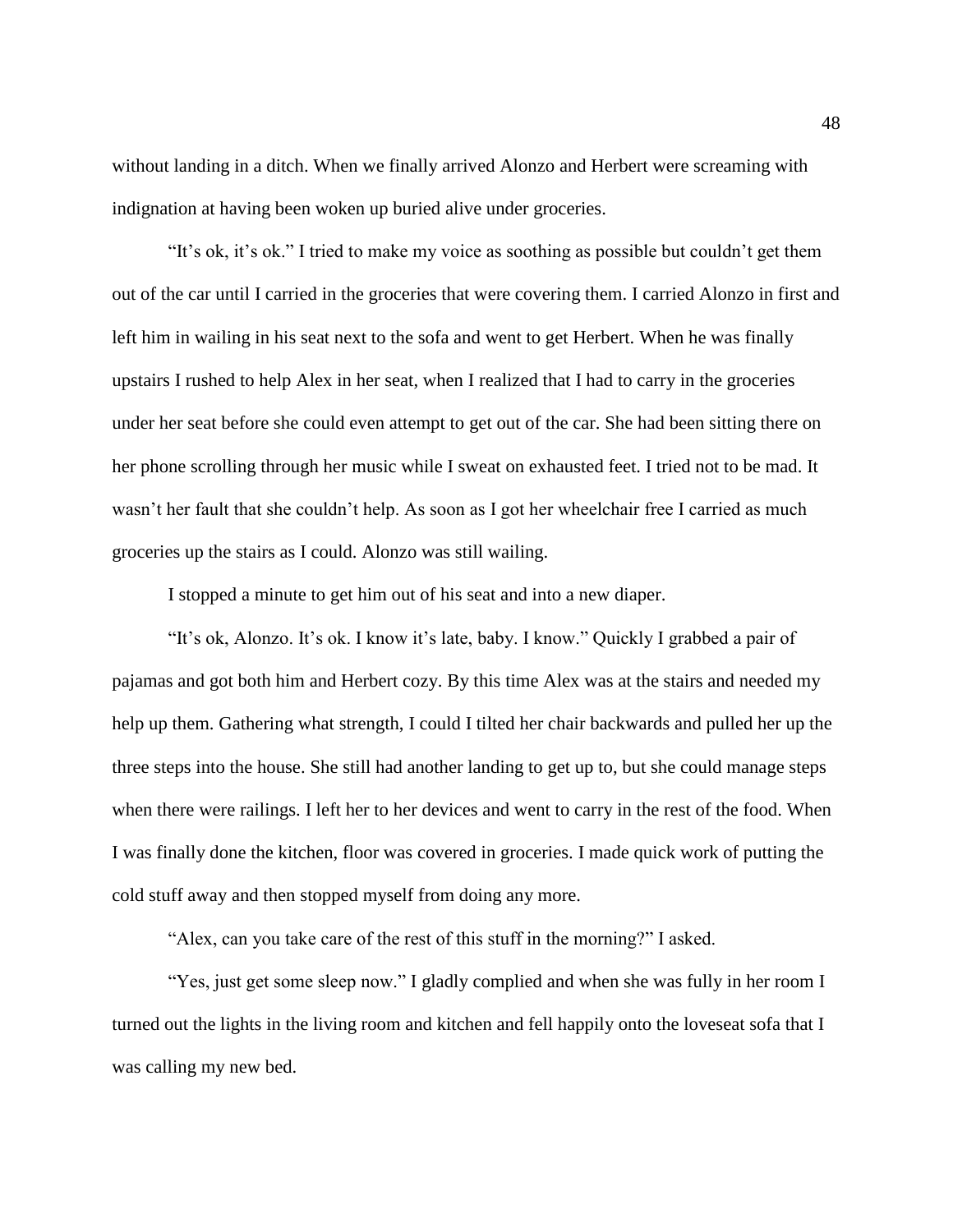without landing in a ditch. When we finally arrived Alonzo and Herbert were screaming with indignation at having been woken up buried alive under groceries.

"It's ok, it's ok." I tried to make my voice as soothing as possible but couldn't get them out of the car until I carried in the groceries that were covering them. I carried Alonzo in first and left him in wailing in his seat next to the sofa and went to get Herbert. When he was finally upstairs I rushed to help Alex in her seat, when I realized that I had to carry in the groceries under her seat before she could even attempt to get out of the car. She had been sitting there on her phone scrolling through her music while I sweat on exhausted feet. I tried not to be mad. It wasn't her fault that she couldn't help. As soon as I got her wheelchair free I carried as much groceries up the stairs as I could. Alonzo was still wailing.

I stopped a minute to get him out of his seat and into a new diaper.

"It's ok, Alonzo. It's ok. I know it's late, baby. I know." Quickly I grabbed a pair of pajamas and got both him and Herbert cozy. By this time Alex was at the stairs and needed my help up them. Gathering what strength, I could I tilted her chair backwards and pulled her up the three steps into the house. She still had another landing to get up to, but she could manage steps when there were railings. I left her to her devices and went to carry in the rest of the food. When I was finally done the kitchen, floor was covered in groceries. I made quick work of putting the cold stuff away and then stopped myself from doing any more.

"Alex, can you take care of the rest of this stuff in the morning?" I asked.

"Yes, just get some sleep now." I gladly complied and when she was fully in her room I turned out the lights in the living room and kitchen and fell happily onto the loveseat sofa that I was calling my new bed.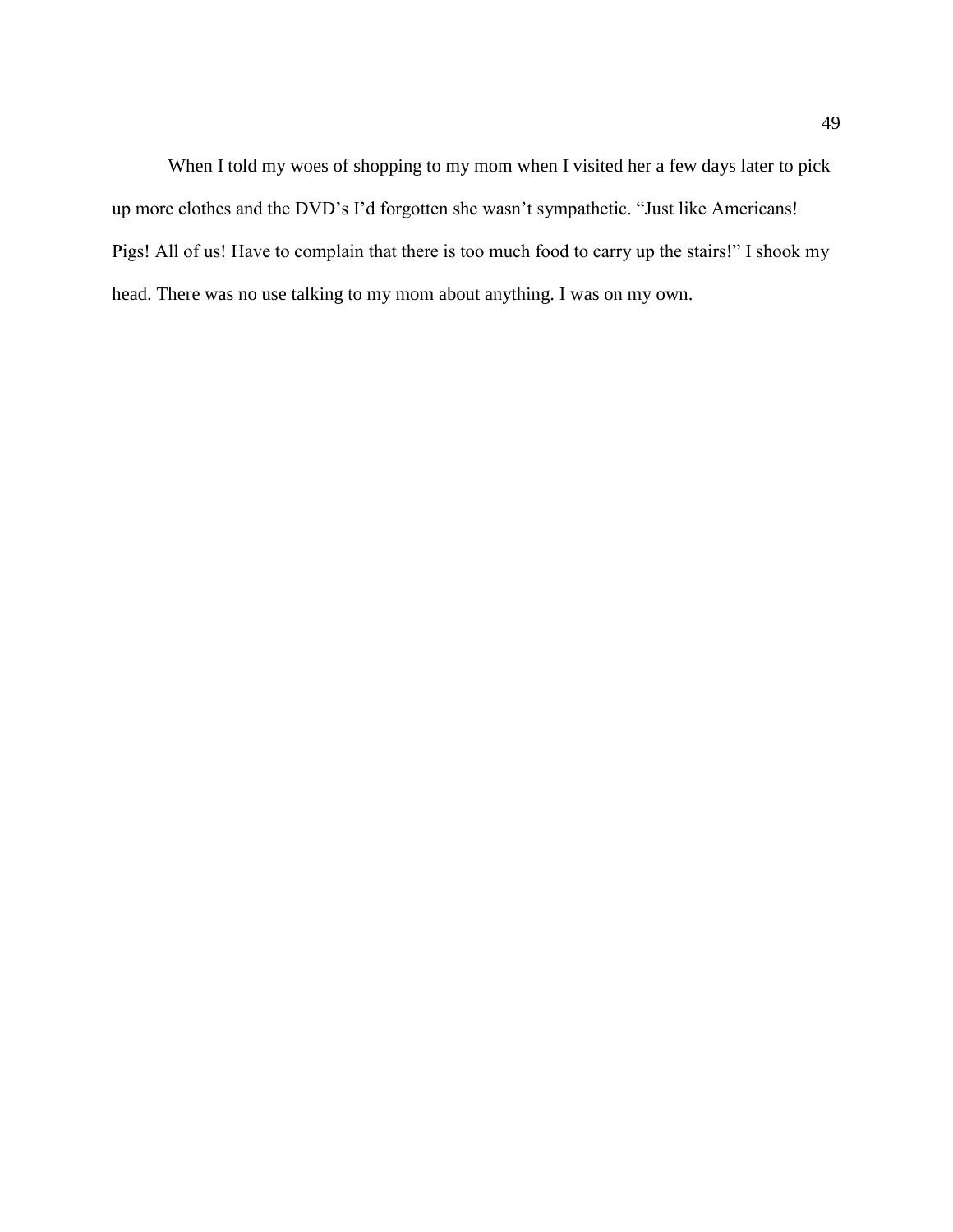When I told my woes of shopping to my mom when I visited her a few days later to pick up more clothes and the DVD's I'd forgotten she wasn't sympathetic. "Just like Americans! Pigs! All of us! Have to complain that there is too much food to carry up the stairs!" I shook my head. There was no use talking to my mom about anything. I was on my own.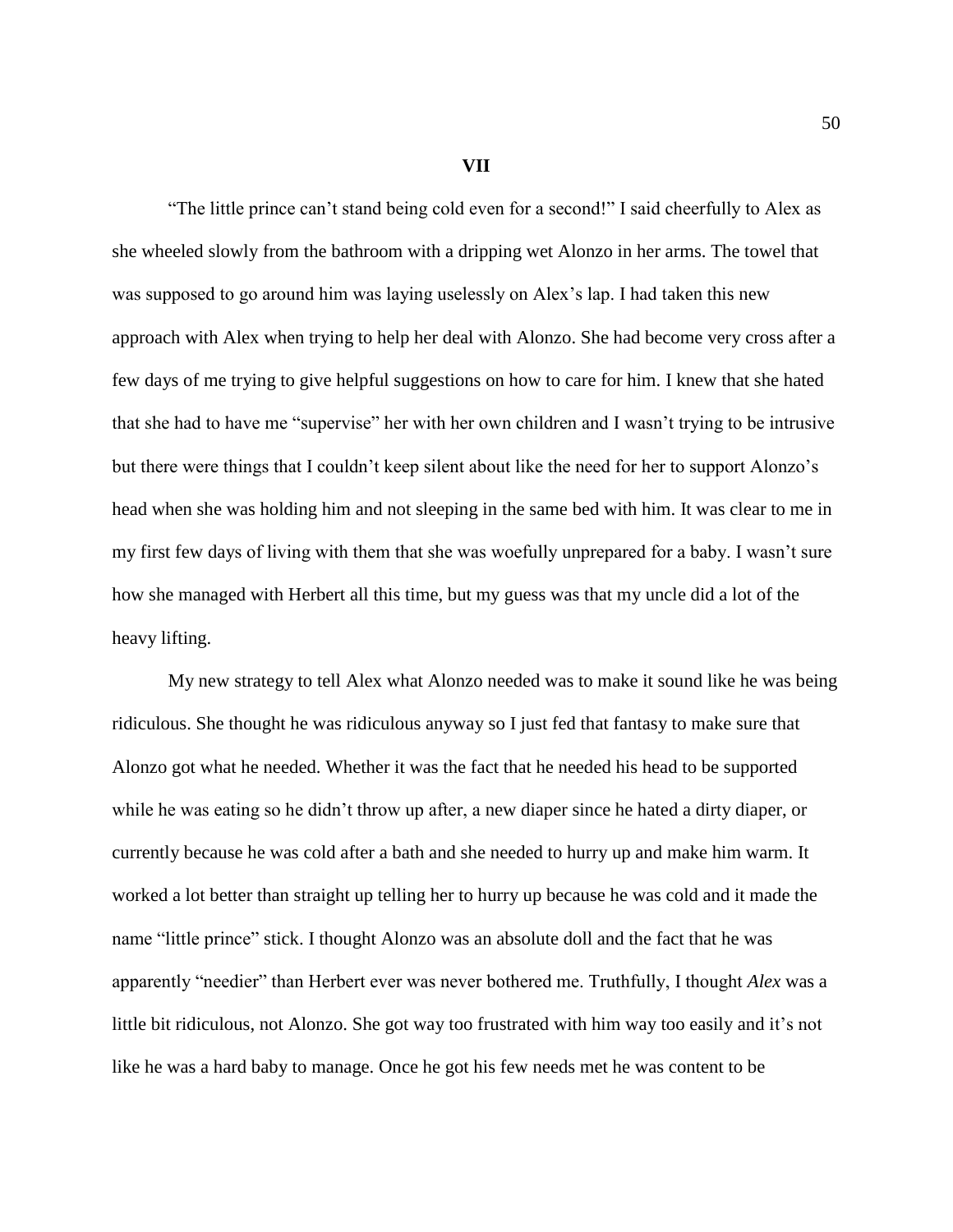**VII**

"The little prince can't stand being cold even for a second!" I said cheerfully to Alex as she wheeled slowly from the bathroom with a dripping wet Alonzo in her arms. The towel that was supposed to go around him was laying uselessly on Alex's lap. I had taken this new approach with Alex when trying to help her deal with Alonzo. She had become very cross after a few days of me trying to give helpful suggestions on how to care for him. I knew that she hated that she had to have me "supervise" her with her own children and I wasn't trying to be intrusive but there were things that I couldn't keep silent about like the need for her to support Alonzo's head when she was holding him and not sleeping in the same bed with him. It was clear to me in my first few days of living with them that she was woefully unprepared for a baby. I wasn't sure how she managed with Herbert all this time, but my guess was that my uncle did a lot of the heavy lifting.

My new strategy to tell Alex what Alonzo needed was to make it sound like he was being ridiculous. She thought he was ridiculous anyway so I just fed that fantasy to make sure that Alonzo got what he needed. Whether it was the fact that he needed his head to be supported while he was eating so he didn't throw up after, a new diaper since he hated a dirty diaper, or currently because he was cold after a bath and she needed to hurry up and make him warm. It worked a lot better than straight up telling her to hurry up because he was cold and it made the name "little prince" stick. I thought Alonzo was an absolute doll and the fact that he was apparently "needier" than Herbert ever was never bothered me. Truthfully, I thought *Alex* was a little bit ridiculous, not Alonzo. She got way too frustrated with him way too easily and it's not like he was a hard baby to manage. Once he got his few needs met he was content to be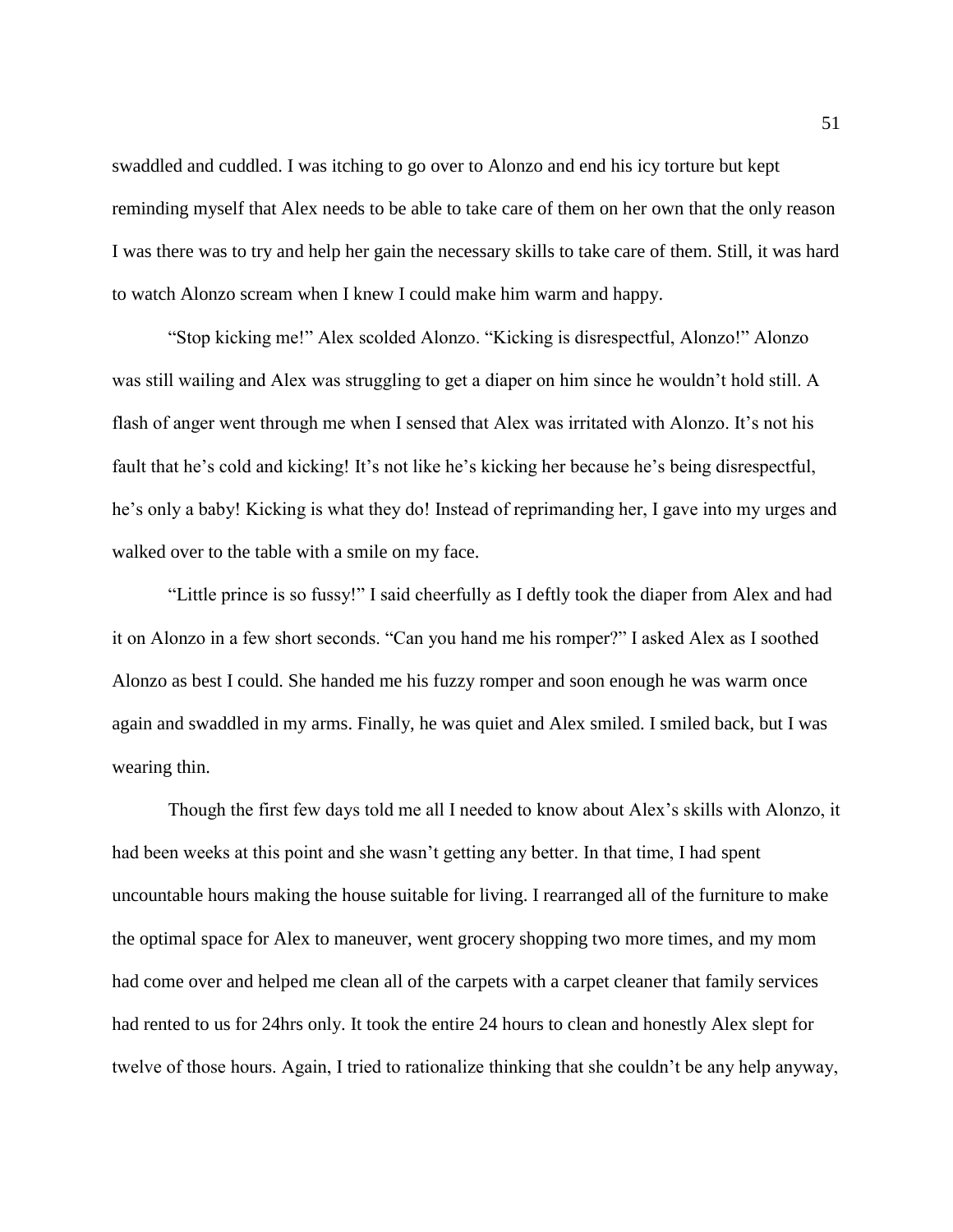swaddled and cuddled. I was itching to go over to Alonzo and end his icy torture but kept reminding myself that Alex needs to be able to take care of them on her own that the only reason I was there was to try and help her gain the necessary skills to take care of them. Still, it was hard to watch Alonzo scream when I knew I could make him warm and happy.

"Stop kicking me!" Alex scolded Alonzo. "Kicking is disrespectful, Alonzo!" Alonzo was still wailing and Alex was struggling to get a diaper on him since he wouldn't hold still. A flash of anger went through me when I sensed that Alex was irritated with Alonzo. It's not his fault that he's cold and kicking! It's not like he's kicking her because he's being disrespectful, he's only a baby! Kicking is what they do! Instead of reprimanding her, I gave into my urges and walked over to the table with a smile on my face.

"Little prince is so fussy!" I said cheerfully as I deftly took the diaper from Alex and had it on Alonzo in a few short seconds. "Can you hand me his romper?" I asked Alex as I soothed Alonzo as best I could. She handed me his fuzzy romper and soon enough he was warm once again and swaddled in my arms. Finally, he was quiet and Alex smiled. I smiled back, but I was wearing thin.

Though the first few days told me all I needed to know about Alex's skills with Alonzo, it had been weeks at this point and she wasn't getting any better. In that time, I had spent uncountable hours making the house suitable for living. I rearranged all of the furniture to make the optimal space for Alex to maneuver, went grocery shopping two more times, and my mom had come over and helped me clean all of the carpets with a carpet cleaner that family services had rented to us for 24hrs only. It took the entire 24 hours to clean and honestly Alex slept for twelve of those hours. Again, I tried to rationalize thinking that she couldn't be any help anyway,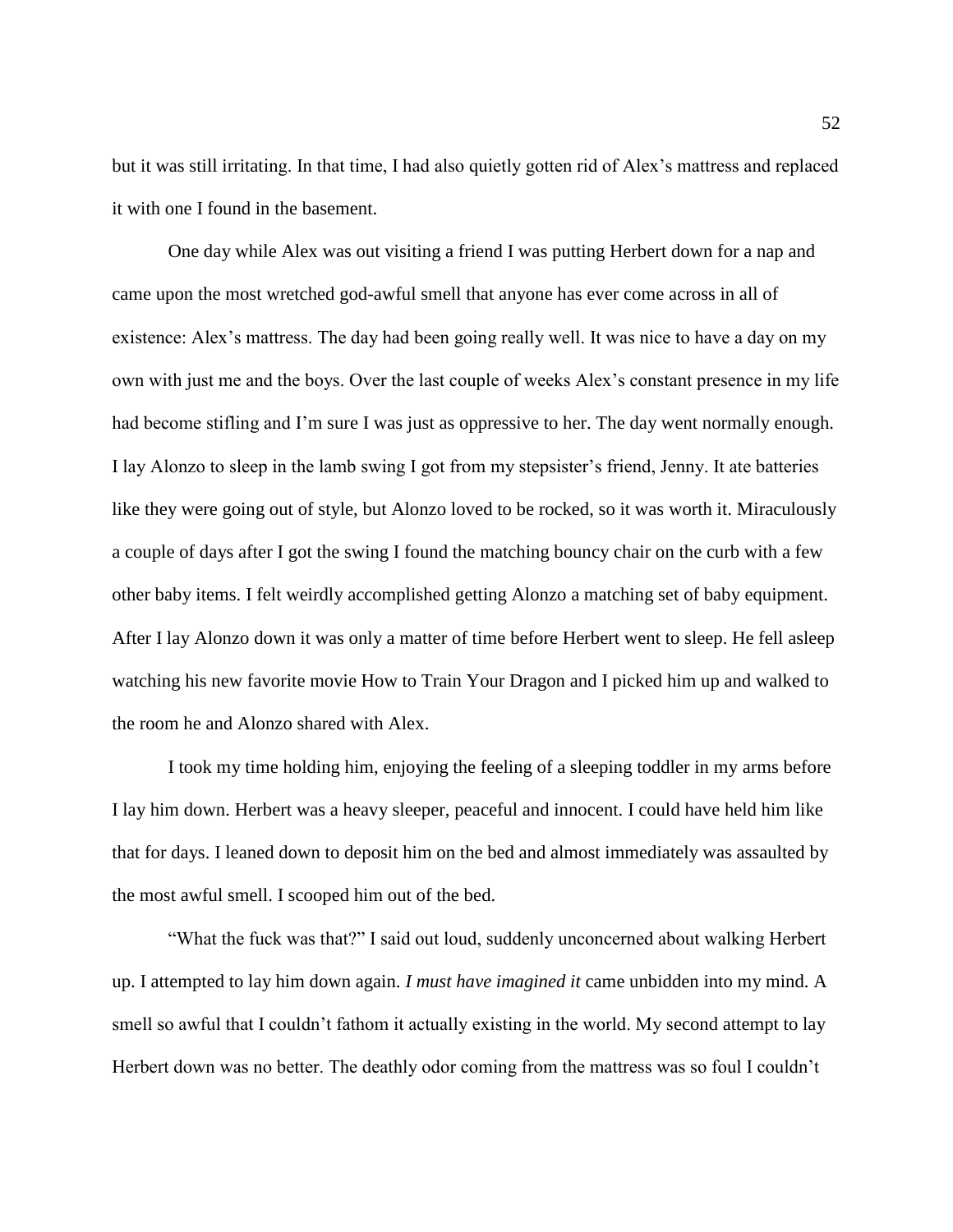but it was still irritating. In that time, I had also quietly gotten rid of Alex's mattress and replaced it with one I found in the basement.

One day while Alex was out visiting a friend I was putting Herbert down for a nap and came upon the most wretched god-awful smell that anyone has ever come across in all of existence: Alex's mattress. The day had been going really well. It was nice to have a day on my own with just me and the boys. Over the last couple of weeks Alex's constant presence in my life had become stifling and I'm sure I was just as oppressive to her. The day went normally enough. I lay Alonzo to sleep in the lamb swing I got from my stepsister's friend, Jenny. It ate batteries like they were going out of style, but Alonzo loved to be rocked, so it was worth it. Miraculously a couple of days after I got the swing I found the matching bouncy chair on the curb with a few other baby items. I felt weirdly accomplished getting Alonzo a matching set of baby equipment. After I lay Alonzo down it was only a matter of time before Herbert went to sleep. He fell asleep watching his new favorite movie How to Train Your Dragon and I picked him up and walked to the room he and Alonzo shared with Alex.

I took my time holding him, enjoying the feeling of a sleeping toddler in my arms before I lay him down. Herbert was a heavy sleeper, peaceful and innocent. I could have held him like that for days. I leaned down to deposit him on the bed and almost immediately was assaulted by the most awful smell. I scooped him out of the bed.

"What the fuck was that?" I said out loud, suddenly unconcerned about walking Herbert up. I attempted to lay him down again. *I must have imagined it* came unbidden into my mind. A smell so awful that I couldn't fathom it actually existing in the world. My second attempt to lay Herbert down was no better. The deathly odor coming from the mattress was so foul I couldn't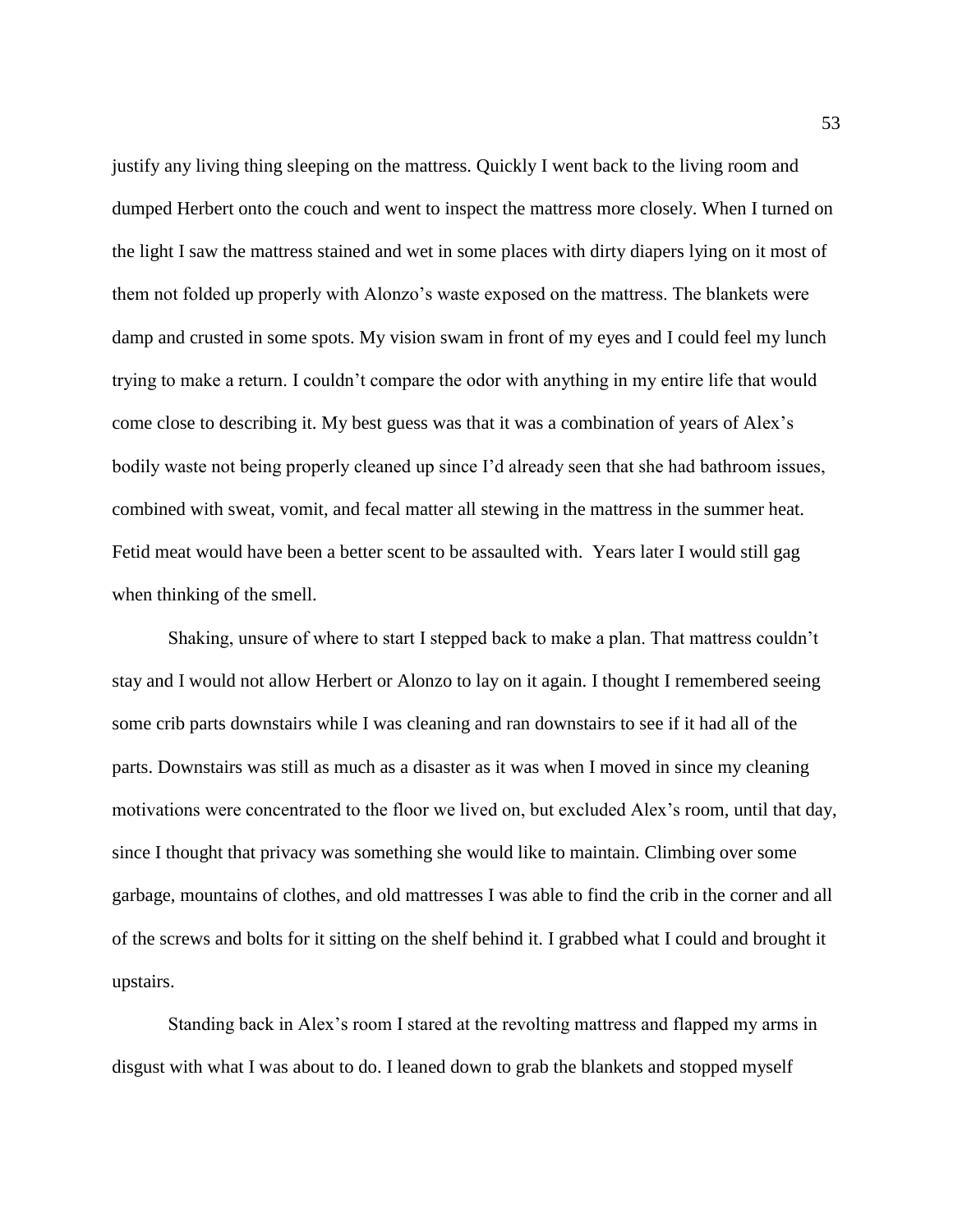justify any living thing sleeping on the mattress. Quickly I went back to the living room and dumped Herbert onto the couch and went to inspect the mattress more closely. When I turned on the light I saw the mattress stained and wet in some places with dirty diapers lying on it most of them not folded up properly with Alonzo's waste exposed on the mattress. The blankets were damp and crusted in some spots. My vision swam in front of my eyes and I could feel my lunch trying to make a return. I couldn't compare the odor with anything in my entire life that would come close to describing it. My best guess was that it was a combination of years of Alex's bodily waste not being properly cleaned up since I'd already seen that she had bathroom issues, combined with sweat, vomit, and fecal matter all stewing in the mattress in the summer heat. Fetid meat would have been a better scent to be assaulted with. Years later I would still gag when thinking of the smell.

Shaking, unsure of where to start I stepped back to make a plan. That mattress couldn't stay and I would not allow Herbert or Alonzo to lay on it again. I thought I remembered seeing some crib parts downstairs while I was cleaning and ran downstairs to see if it had all of the parts. Downstairs was still as much as a disaster as it was when I moved in since my cleaning motivations were concentrated to the floor we lived on, but excluded Alex's room, until that day, since I thought that privacy was something she would like to maintain. Climbing over some garbage, mountains of clothes, and old mattresses I was able to find the crib in the corner and all of the screws and bolts for it sitting on the shelf behind it. I grabbed what I could and brought it upstairs.

Standing back in Alex's room I stared at the revolting mattress and flapped my arms in disgust with what I was about to do. I leaned down to grab the blankets and stopped myself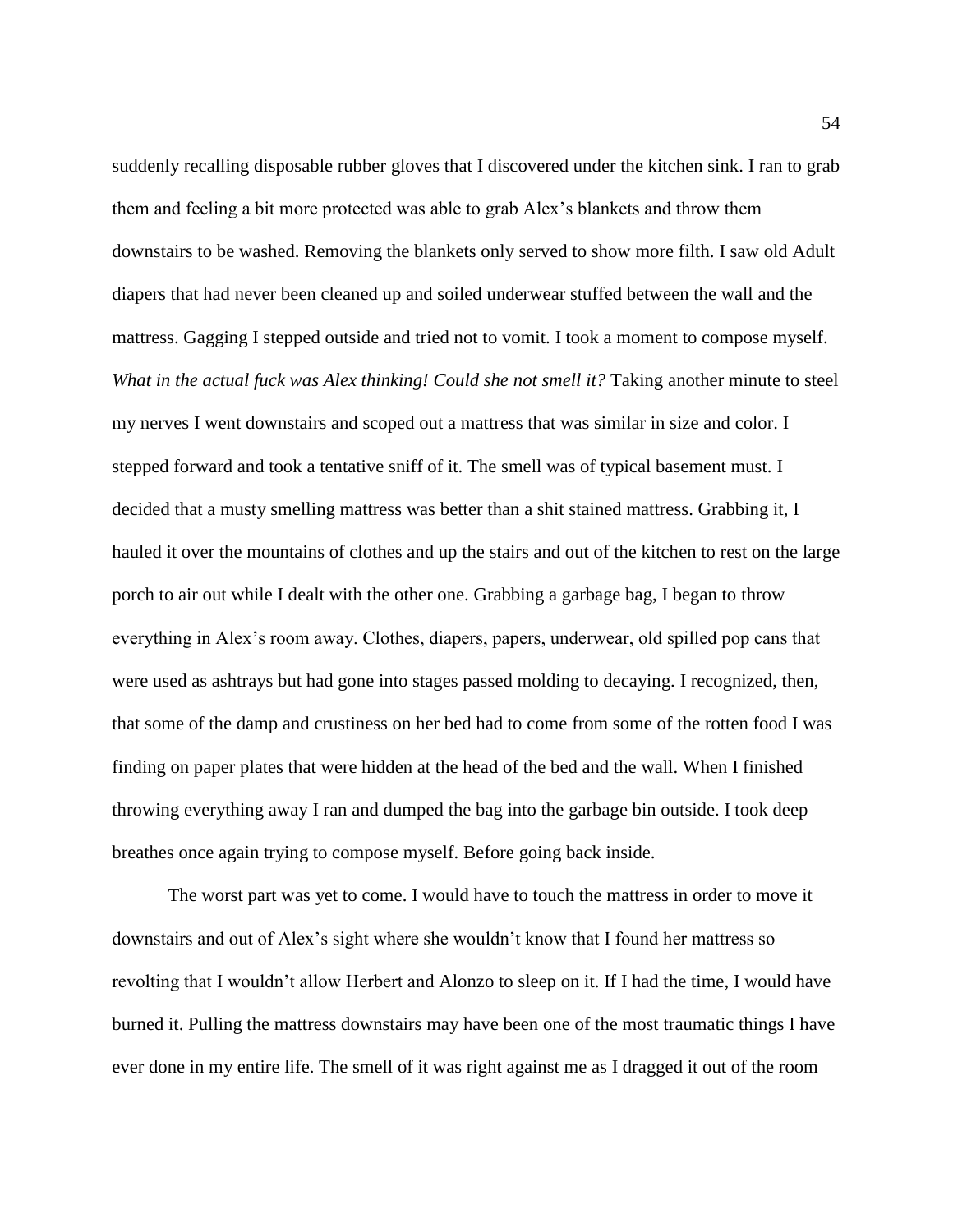suddenly recalling disposable rubber gloves that I discovered under the kitchen sink. I ran to grab them and feeling a bit more protected was able to grab Alex's blankets and throw them downstairs to be washed. Removing the blankets only served to show more filth. I saw old Adult diapers that had never been cleaned up and soiled underwear stuffed between the wall and the mattress. Gagging I stepped outside and tried not to vomit. I took a moment to compose myself. *What in the actual fuck was Alex thinking! Could she not smell it?* Taking another minute to steel my nerves I went downstairs and scoped out a mattress that was similar in size and color. I stepped forward and took a tentative sniff of it. The smell was of typical basement must. I decided that a musty smelling mattress was better than a shit stained mattress. Grabbing it, I hauled it over the mountains of clothes and up the stairs and out of the kitchen to rest on the large porch to air out while I dealt with the other one. Grabbing a garbage bag, I began to throw everything in Alex's room away. Clothes, diapers, papers, underwear, old spilled pop cans that were used as ashtrays but had gone into stages passed molding to decaying. I recognized, then, that some of the damp and crustiness on her bed had to come from some of the rotten food I was finding on paper plates that were hidden at the head of the bed and the wall. When I finished throwing everything away I ran and dumped the bag into the garbage bin outside. I took deep breathes once again trying to compose myself. Before going back inside.

The worst part was yet to come. I would have to touch the mattress in order to move it downstairs and out of Alex's sight where she wouldn't know that I found her mattress so revolting that I wouldn't allow Herbert and Alonzo to sleep on it. If I had the time, I would have burned it. Pulling the mattress downstairs may have been one of the most traumatic things I have ever done in my entire life. The smell of it was right against me as I dragged it out of the room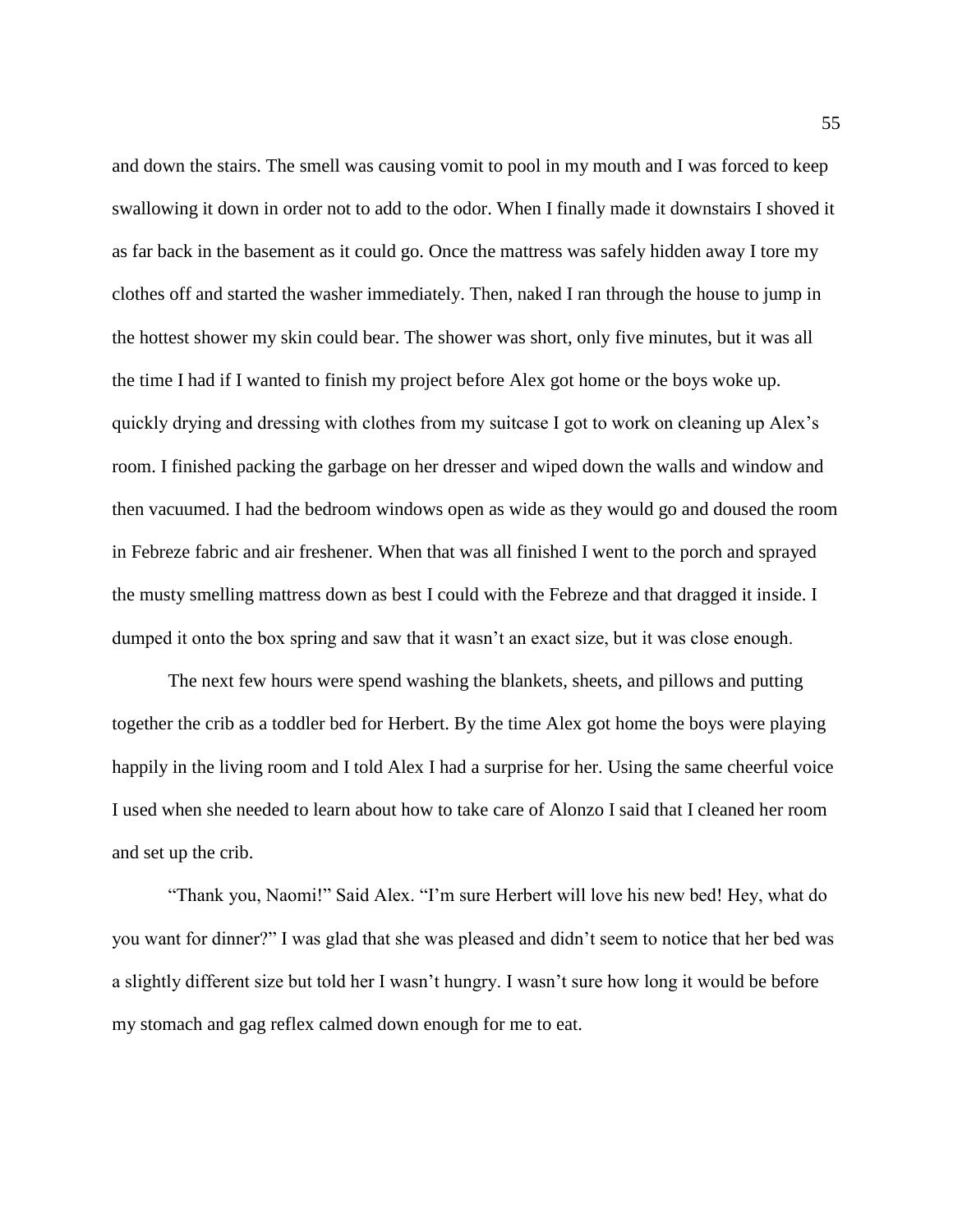and down the stairs. The smell was causing vomit to pool in my mouth and I was forced to keep swallowing it down in order not to add to the odor. When I finally made it downstairs I shoved it as far back in the basement as it could go. Once the mattress was safely hidden away I tore my clothes off and started the washer immediately. Then, naked I ran through the house to jump in the hottest shower my skin could bear. The shower was short, only five minutes, but it was all the time I had if I wanted to finish my project before Alex got home or the boys woke up. quickly drying and dressing with clothes from my suitcase I got to work on cleaning up Alex's room. I finished packing the garbage on her dresser and wiped down the walls and window and then vacuumed. I had the bedroom windows open as wide as they would go and doused the room in Febreze fabric and air freshener. When that was all finished I went to the porch and sprayed the musty smelling mattress down as best I could with the Febreze and that dragged it inside. I dumped it onto the box spring and saw that it wasn't an exact size, but it was close enough.

The next few hours were spend washing the blankets, sheets, and pillows and putting together the crib as a toddler bed for Herbert. By the time Alex got home the boys were playing happily in the living room and I told Alex I had a surprise for her. Using the same cheerful voice I used when she needed to learn about how to take care of Alonzo I said that I cleaned her room and set up the crib.

"Thank you, Naomi!" Said Alex. "I'm sure Herbert will love his new bed! Hey, what do you want for dinner?" I was glad that she was pleased and didn't seem to notice that her bed was a slightly different size but told her I wasn't hungry. I wasn't sure how long it would be before my stomach and gag reflex calmed down enough for me to eat.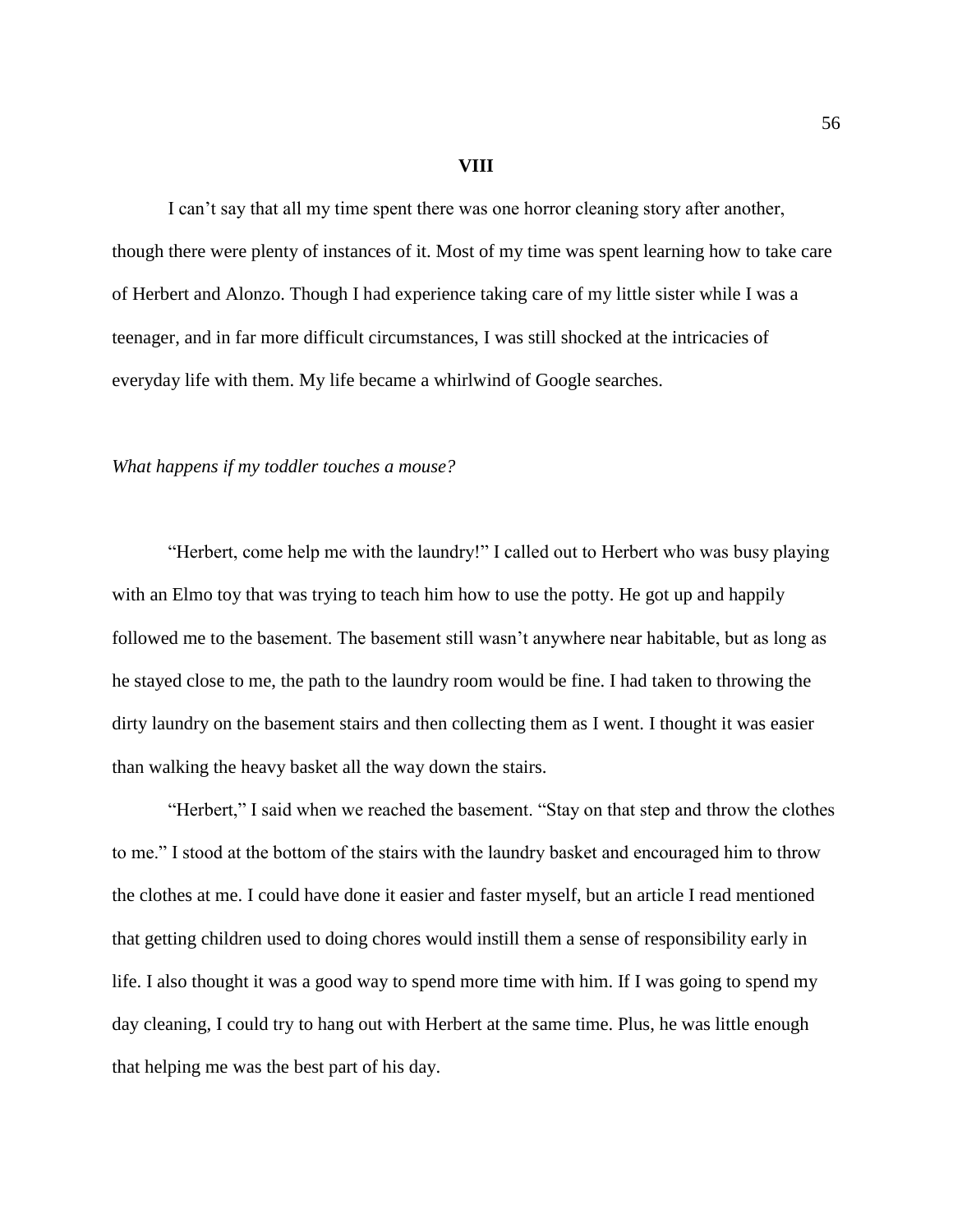## **VIII**

I can't say that all my time spent there was one horror cleaning story after another, though there were plenty of instances of it. Most of my time was spent learning how to take care of Herbert and Alonzo. Though I had experience taking care of my little sister while I was a teenager, and in far more difficult circumstances, I was still shocked at the intricacies of everyday life with them. My life became a whirlwind of Google searches.

## *What happens if my toddler touches a mouse?*

"Herbert, come help me with the laundry!" I called out to Herbert who was busy playing with an Elmo toy that was trying to teach him how to use the potty. He got up and happily followed me to the basement. The basement still wasn't anywhere near habitable, but as long as he stayed close to me, the path to the laundry room would be fine. I had taken to throwing the dirty laundry on the basement stairs and then collecting them as I went. I thought it was easier than walking the heavy basket all the way down the stairs.

"Herbert," I said when we reached the basement. "Stay on that step and throw the clothes to me." I stood at the bottom of the stairs with the laundry basket and encouraged him to throw the clothes at me. I could have done it easier and faster myself, but an article I read mentioned that getting children used to doing chores would instill them a sense of responsibility early in life. I also thought it was a good way to spend more time with him. If I was going to spend my day cleaning, I could try to hang out with Herbert at the same time. Plus, he was little enough that helping me was the best part of his day.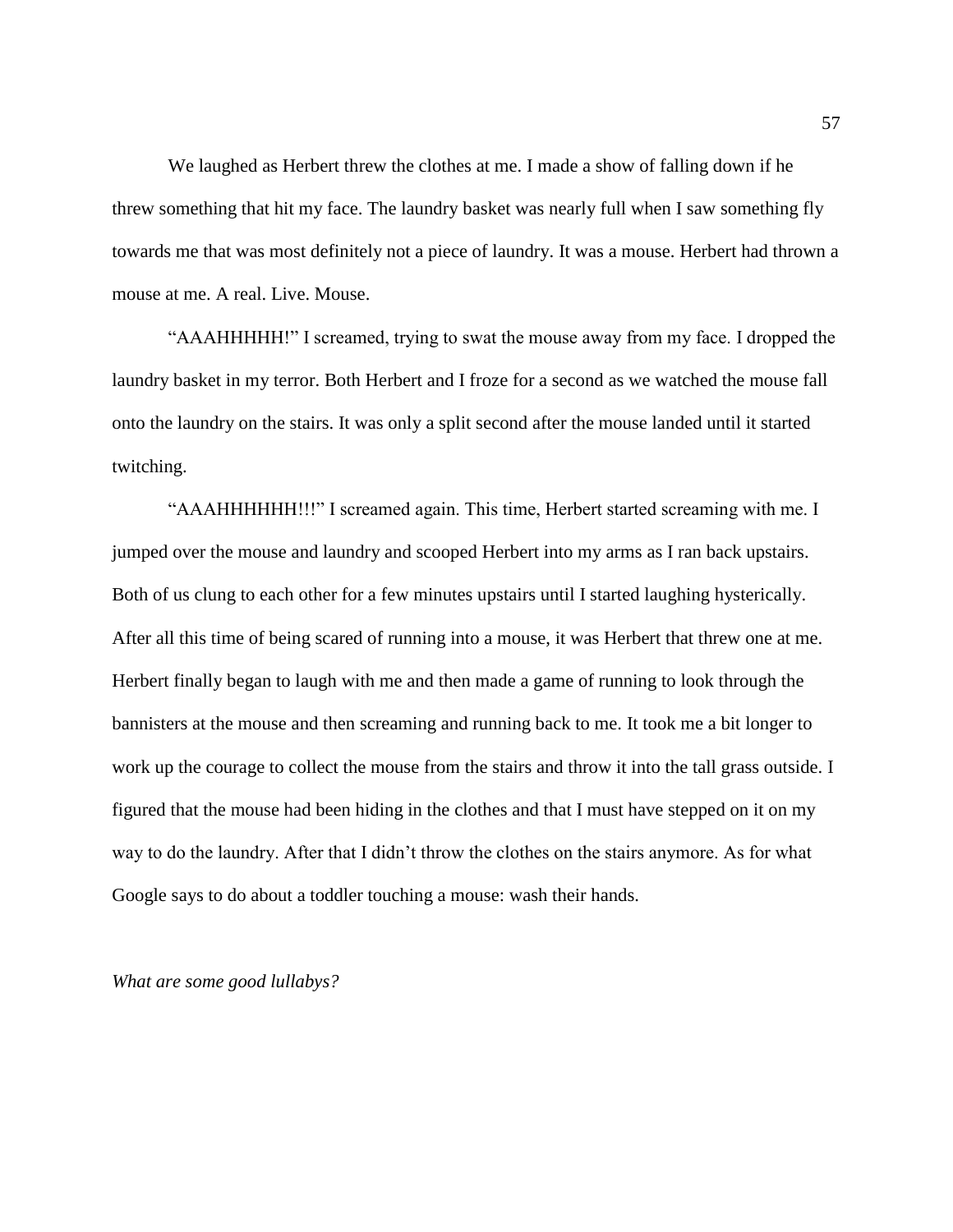We laughed as Herbert threw the clothes at me. I made a show of falling down if he threw something that hit my face. The laundry basket was nearly full when I saw something fly towards me that was most definitely not a piece of laundry. It was a mouse. Herbert had thrown a mouse at me. A real. Live. Mouse.

"AAAHHHHH!" I screamed, trying to swat the mouse away from my face. I dropped the laundry basket in my terror. Both Herbert and I froze for a second as we watched the mouse fall onto the laundry on the stairs. It was only a split second after the mouse landed until it started twitching.

"AAAHHHHHH!!!" I screamed again. This time, Herbert started screaming with me. I jumped over the mouse and laundry and scooped Herbert into my arms as I ran back upstairs. Both of us clung to each other for a few minutes upstairs until I started laughing hysterically. After all this time of being scared of running into a mouse, it was Herbert that threw one at me. Herbert finally began to laugh with me and then made a game of running to look through the bannisters at the mouse and then screaming and running back to me. It took me a bit longer to work up the courage to collect the mouse from the stairs and throw it into the tall grass outside. I figured that the mouse had been hiding in the clothes and that I must have stepped on it on my way to do the laundry. After that I didn't throw the clothes on the stairs anymore. As for what Google says to do about a toddler touching a mouse: wash their hands.

*What are some good lullabys?*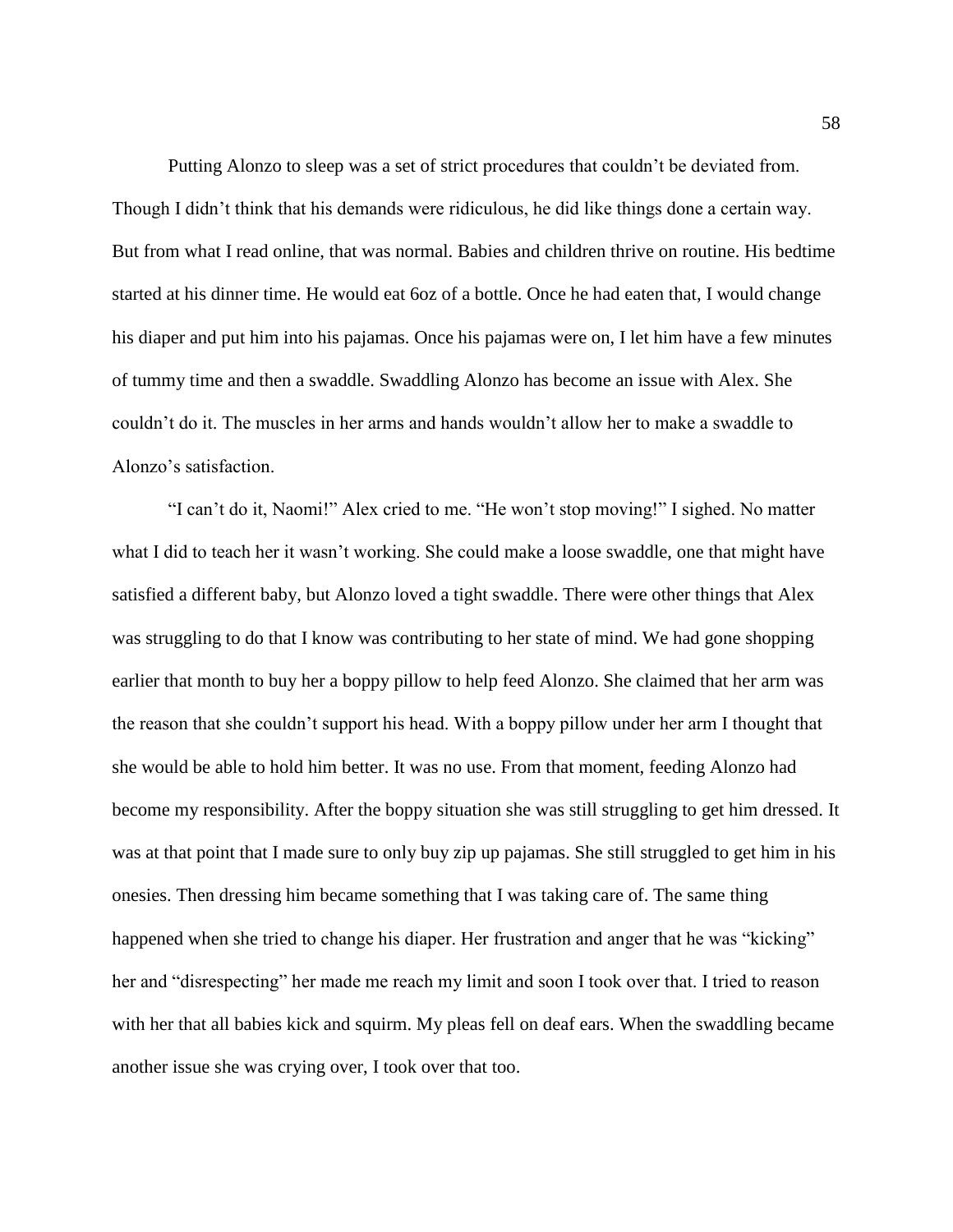Putting Alonzo to sleep was a set of strict procedures that couldn't be deviated from. Though I didn't think that his demands were ridiculous, he did like things done a certain way. But from what I read online, that was normal. Babies and children thrive on routine. His bedtime started at his dinner time. He would eat 6oz of a bottle. Once he had eaten that, I would change his diaper and put him into his pajamas. Once his pajamas were on, I let him have a few minutes of tummy time and then a swaddle. Swaddling Alonzo has become an issue with Alex. She couldn't do it. The muscles in her arms and hands wouldn't allow her to make a swaddle to Alonzo's satisfaction.

"I can't do it, Naomi!" Alex cried to me. "He won't stop moving!" I sighed. No matter what I did to teach her it wasn't working. She could make a loose swaddle, one that might have satisfied a different baby, but Alonzo loved a tight swaddle. There were other things that Alex was struggling to do that I know was contributing to her state of mind. We had gone shopping earlier that month to buy her a boppy pillow to help feed Alonzo. She claimed that her arm was the reason that she couldn't support his head. With a boppy pillow under her arm I thought that she would be able to hold him better. It was no use. From that moment, feeding Alonzo had become my responsibility. After the boppy situation she was still struggling to get him dressed. It was at that point that I made sure to only buy zip up pajamas. She still struggled to get him in his onesies. Then dressing him became something that I was taking care of. The same thing happened when she tried to change his diaper. Her frustration and anger that he was "kicking" her and "disrespecting" her made me reach my limit and soon I took over that. I tried to reason with her that all babies kick and squirm. My pleas fell on deaf ears. When the swaddling became another issue she was crying over, I took over that too.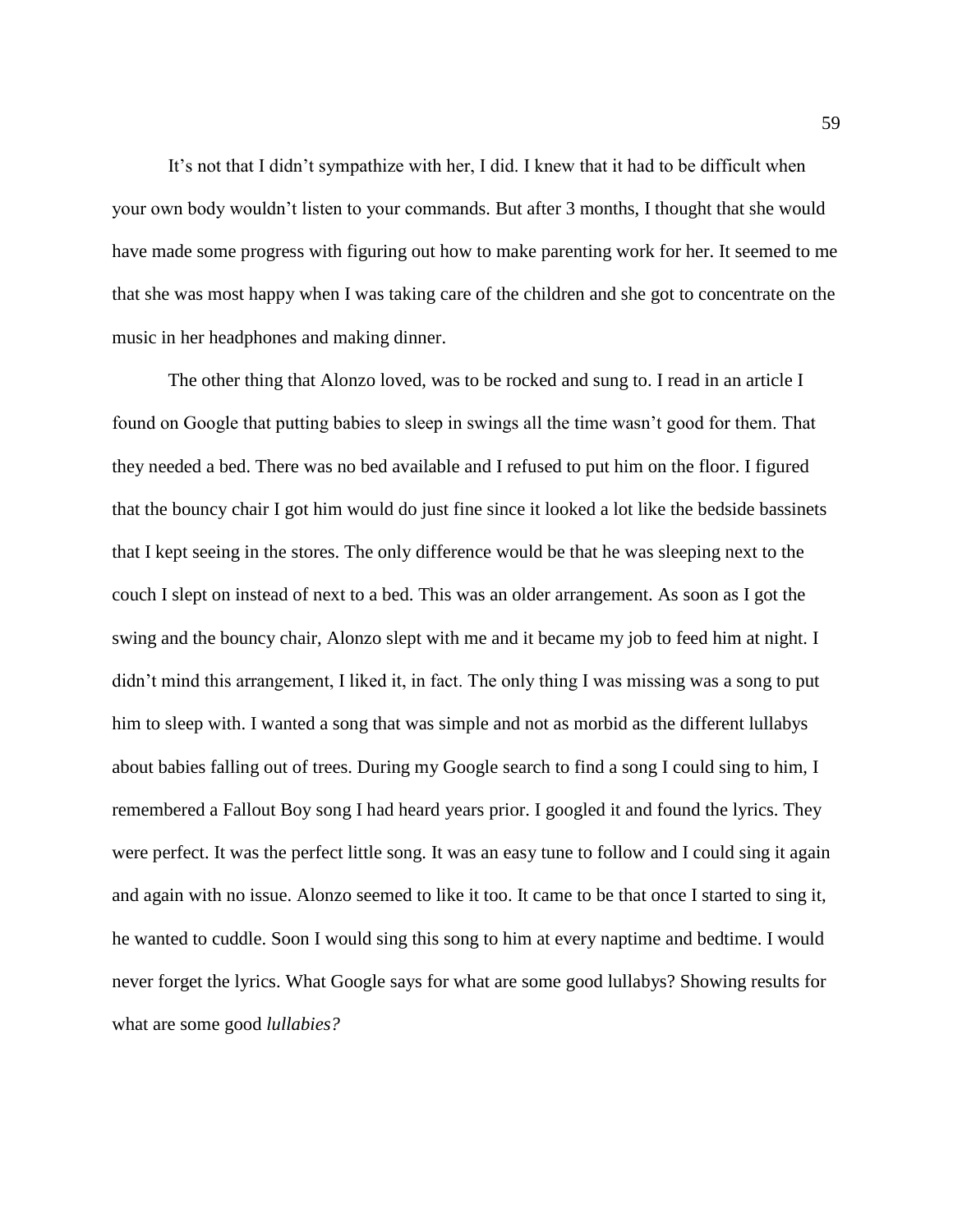It's not that I didn't sympathize with her, I did. I knew that it had to be difficult when your own body wouldn't listen to your commands. But after 3 months, I thought that she would have made some progress with figuring out how to make parenting work for her. It seemed to me that she was most happy when I was taking care of the children and she got to concentrate on the music in her headphones and making dinner.

The other thing that Alonzo loved, was to be rocked and sung to. I read in an article I found on Google that putting babies to sleep in swings all the time wasn't good for them. That they needed a bed. There was no bed available and I refused to put him on the floor. I figured that the bouncy chair I got him would do just fine since it looked a lot like the bedside bassinets that I kept seeing in the stores. The only difference would be that he was sleeping next to the couch I slept on instead of next to a bed. This was an older arrangement. As soon as I got the swing and the bouncy chair, Alonzo slept with me and it became my job to feed him at night. I didn't mind this arrangement, I liked it, in fact. The only thing I was missing was a song to put him to sleep with. I wanted a song that was simple and not as morbid as the different lullabys about babies falling out of trees. During my Google search to find a song I could sing to him, I remembered a Fallout Boy song I had heard years prior. I googled it and found the lyrics. They were perfect. It was the perfect little song. It was an easy tune to follow and I could sing it again and again with no issue. Alonzo seemed to like it too. It came to be that once I started to sing it, he wanted to cuddle. Soon I would sing this song to him at every naptime and bedtime. I would never forget the lyrics. What Google says for what are some good lullabys? Showing results for what are some good *lullabies?*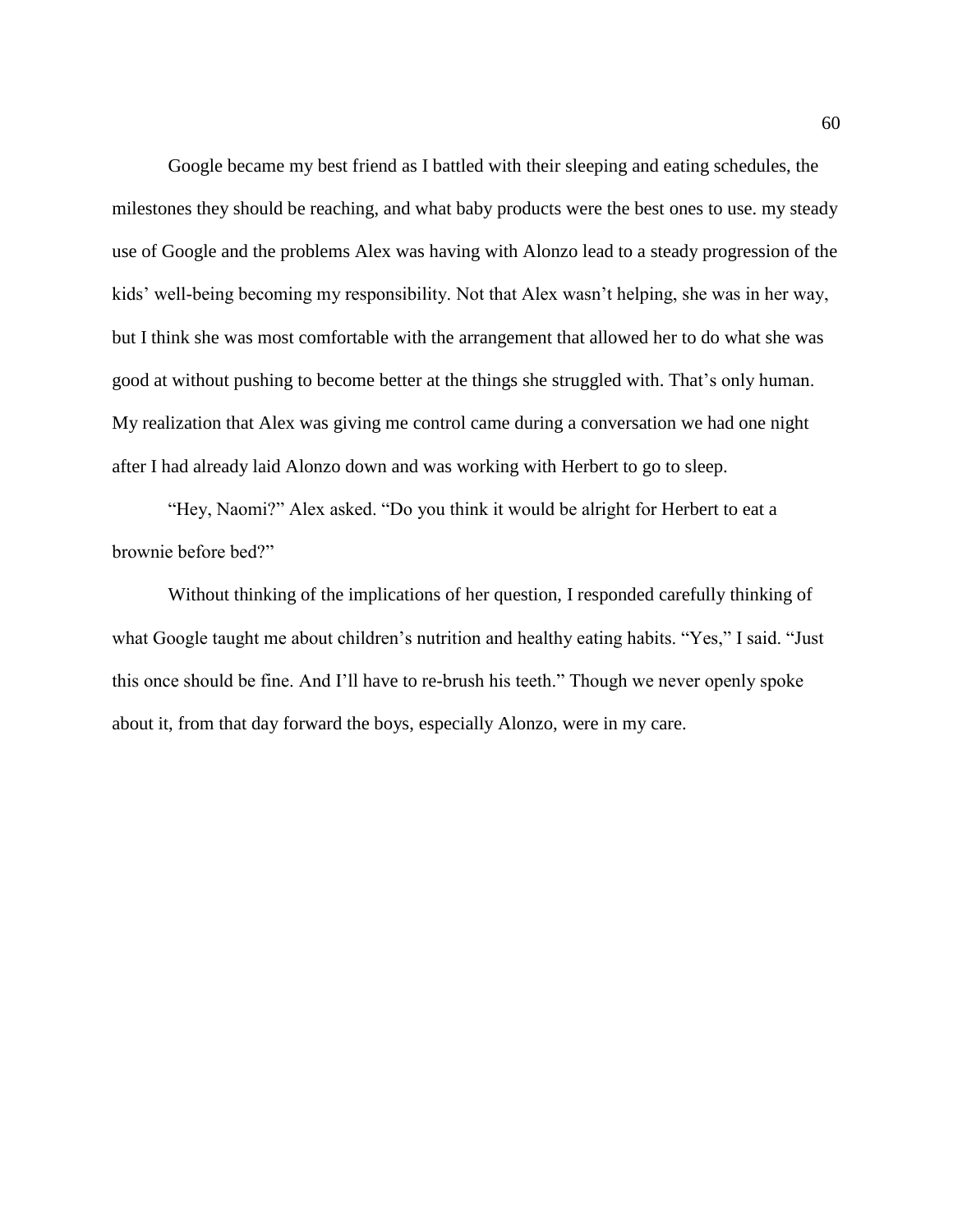Google became my best friend as I battled with their sleeping and eating schedules, the milestones they should be reaching, and what baby products were the best ones to use. my steady use of Google and the problems Alex was having with Alonzo lead to a steady progression of the kids' well-being becoming my responsibility. Not that Alex wasn't helping, she was in her way, but I think she was most comfortable with the arrangement that allowed her to do what she was good at without pushing to become better at the things she struggled with. That's only human. My realization that Alex was giving me control came during a conversation we had one night after I had already laid Alonzo down and was working with Herbert to go to sleep.

"Hey, Naomi?" Alex asked. "Do you think it would be alright for Herbert to eat a brownie before bed?"

Without thinking of the implications of her question, I responded carefully thinking of what Google taught me about children's nutrition and healthy eating habits. "Yes," I said. "Just this once should be fine. And I'll have to re-brush his teeth." Though we never openly spoke about it, from that day forward the boys, especially Alonzo, were in my care.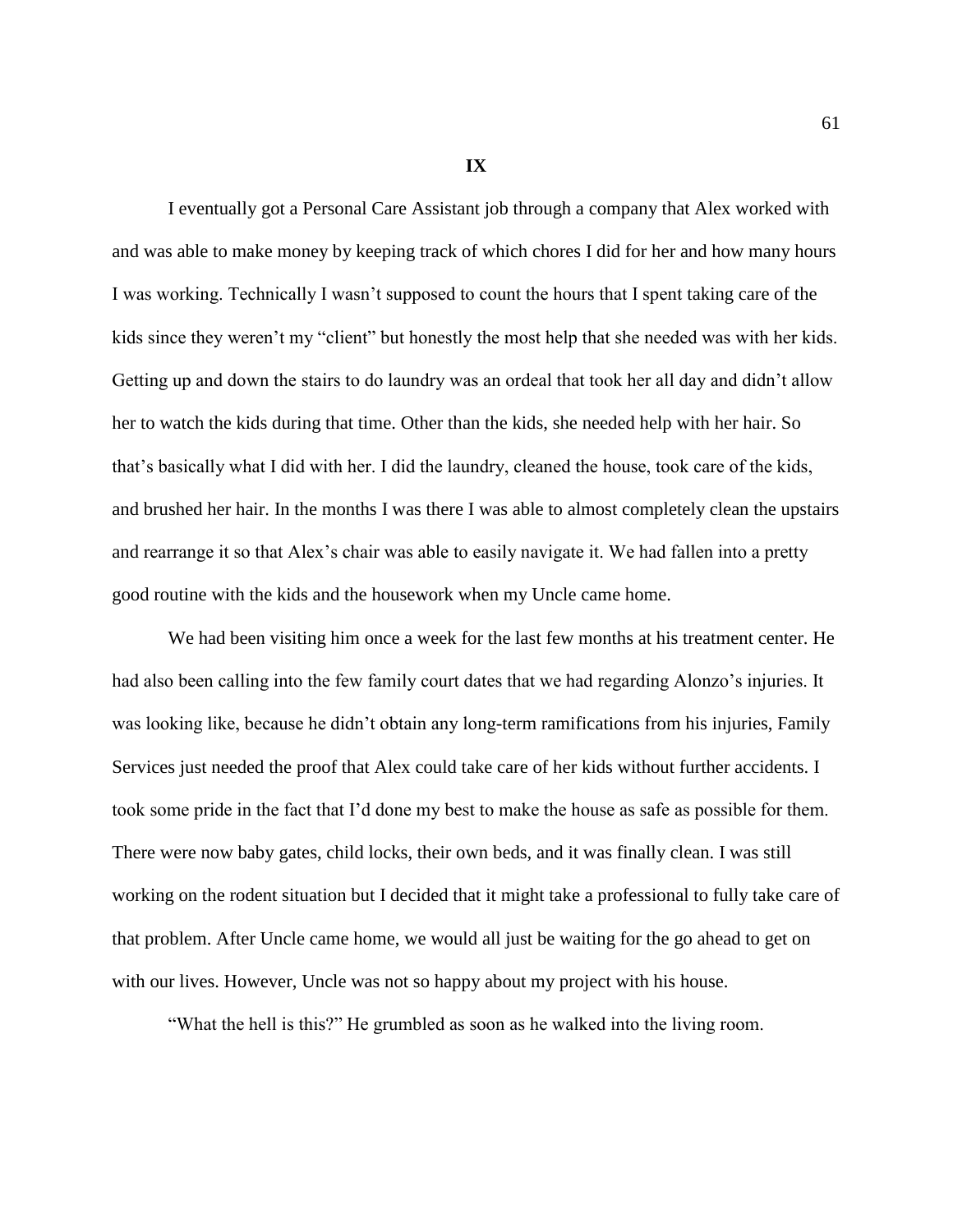**IX**

I eventually got a Personal Care Assistant job through a company that Alex worked with and was able to make money by keeping track of which chores I did for her and how many hours I was working. Technically I wasn't supposed to count the hours that I spent taking care of the kids since they weren't my "client" but honestly the most help that she needed was with her kids. Getting up and down the stairs to do laundry was an ordeal that took her all day and didn't allow her to watch the kids during that time. Other than the kids, she needed help with her hair. So that's basically what I did with her. I did the laundry, cleaned the house, took care of the kids, and brushed her hair. In the months I was there I was able to almost completely clean the upstairs and rearrange it so that Alex's chair was able to easily navigate it. We had fallen into a pretty good routine with the kids and the housework when my Uncle came home.

We had been visiting him once a week for the last few months at his treatment center. He had also been calling into the few family court dates that we had regarding Alonzo's injuries. It was looking like, because he didn't obtain any long-term ramifications from his injuries, Family Services just needed the proof that Alex could take care of her kids without further accidents. I took some pride in the fact that I'd done my best to make the house as safe as possible for them. There were now baby gates, child locks, their own beds, and it was finally clean. I was still working on the rodent situation but I decided that it might take a professional to fully take care of that problem. After Uncle came home, we would all just be waiting for the go ahead to get on with our lives. However, Uncle was not so happy about my project with his house.

"What the hell is this?" He grumbled as soon as he walked into the living room.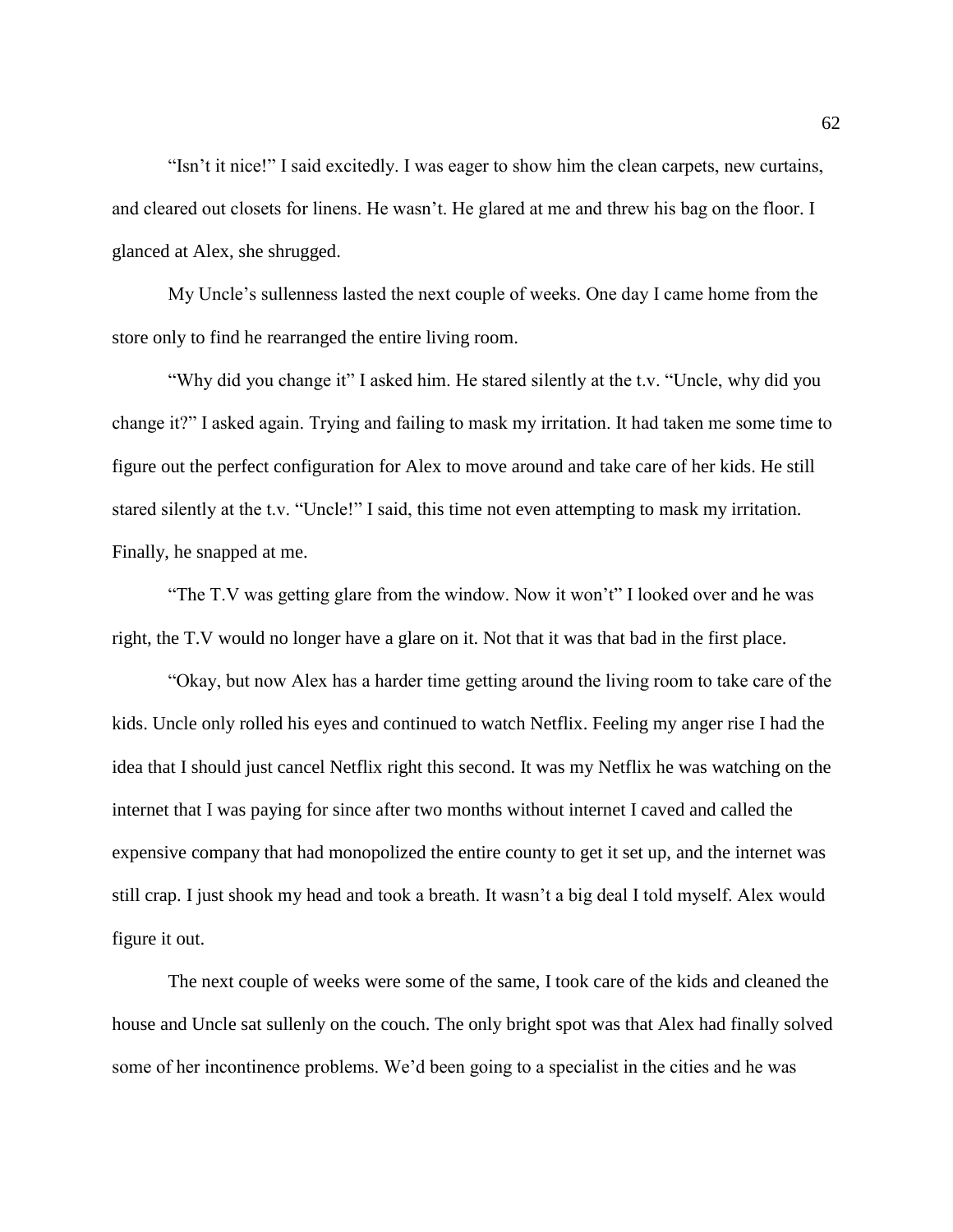"Isn't it nice!" I said excitedly. I was eager to show him the clean carpets, new curtains, and cleared out closets for linens. He wasn't. He glared at me and threw his bag on the floor. I glanced at Alex, she shrugged.

My Uncle's sullenness lasted the next couple of weeks. One day I came home from the store only to find he rearranged the entire living room.

"Why did you change it" I asked him. He stared silently at the t.v. "Uncle, why did you change it?" I asked again. Trying and failing to mask my irritation. It had taken me some time to figure out the perfect configuration for Alex to move around and take care of her kids. He still stared silently at the t.v. "Uncle!" I said, this time not even attempting to mask my irritation. Finally, he snapped at me.

"The T.V was getting glare from the window. Now it won't" I looked over and he was right, the T.V would no longer have a glare on it. Not that it was that bad in the first place.

"Okay, but now Alex has a harder time getting around the living room to take care of the kids. Uncle only rolled his eyes and continued to watch Netflix. Feeling my anger rise I had the idea that I should just cancel Netflix right this second. It was my Netflix he was watching on the internet that I was paying for since after two months without internet I caved and called the expensive company that had monopolized the entire county to get it set up, and the internet was still crap. I just shook my head and took a breath. It wasn't a big deal I told myself. Alex would figure it out.

The next couple of weeks were some of the same, I took care of the kids and cleaned the house and Uncle sat sullenly on the couch. The only bright spot was that Alex had finally solved some of her incontinence problems. We'd been going to a specialist in the cities and he was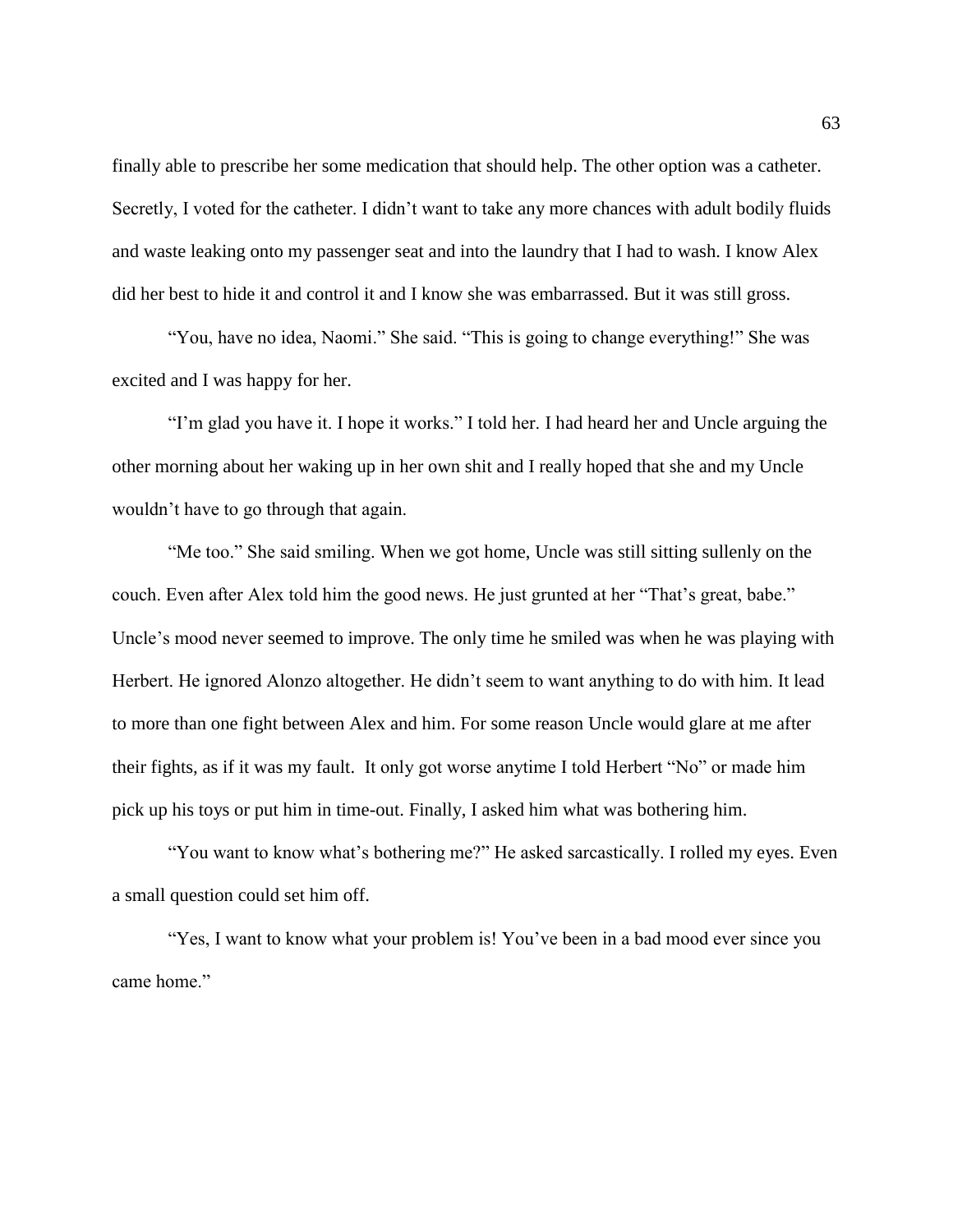finally able to prescribe her some medication that should help. The other option was a catheter. Secretly, I voted for the catheter. I didn't want to take any more chances with adult bodily fluids and waste leaking onto my passenger seat and into the laundry that I had to wash. I know Alex did her best to hide it and control it and I know she was embarrassed. But it was still gross.

"You, have no idea, Naomi." She said. "This is going to change everything!" She was excited and I was happy for her.

"I'm glad you have it. I hope it works." I told her. I had heard her and Uncle arguing the other morning about her waking up in her own shit and I really hoped that she and my Uncle wouldn't have to go through that again.

"Me too." She said smiling. When we got home, Uncle was still sitting sullenly on the couch. Even after Alex told him the good news. He just grunted at her "That's great, babe." Uncle's mood never seemed to improve. The only time he smiled was when he was playing with Herbert. He ignored Alonzo altogether. He didn't seem to want anything to do with him. It lead to more than one fight between Alex and him. For some reason Uncle would glare at me after their fights, as if it was my fault. It only got worse anytime I told Herbert "No" or made him pick up his toys or put him in time-out. Finally, I asked him what was bothering him.

"You want to know what's bothering me?" He asked sarcastically. I rolled my eyes. Even a small question could set him off.

"Yes, I want to know what your problem is! You've been in a bad mood ever since you came home."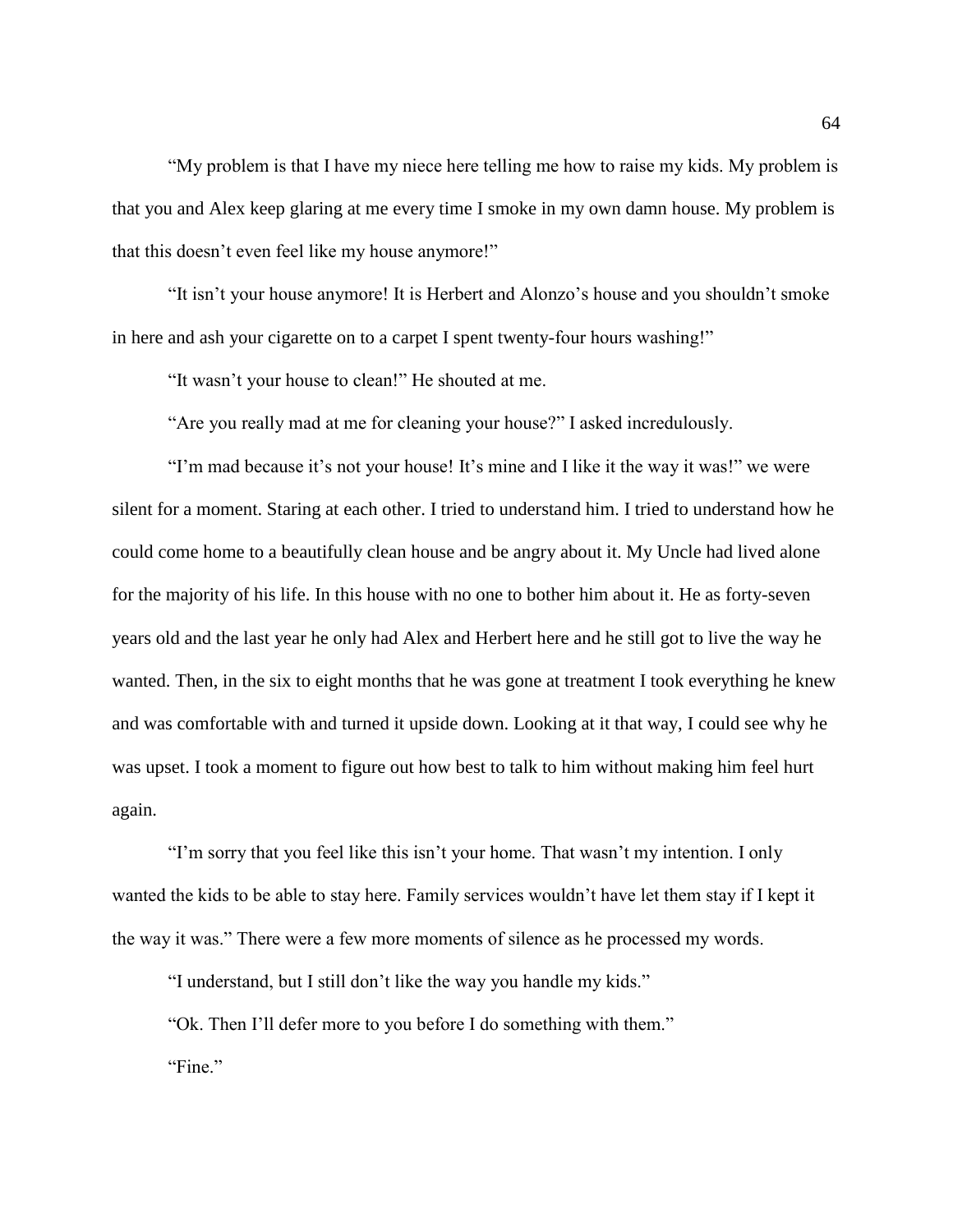"My problem is that I have my niece here telling me how to raise my kids. My problem is that you and Alex keep glaring at me every time I smoke in my own damn house. My problem is that this doesn't even feel like my house anymore!"

"It isn't your house anymore! It is Herbert and Alonzo's house and you shouldn't smoke in here and ash your cigarette on to a carpet I spent twenty-four hours washing!"

"It wasn't your house to clean!" He shouted at me.

"Are you really mad at me for cleaning your house?" I asked incredulously.

"I'm mad because it's not your house! It's mine and I like it the way it was!" we were silent for a moment. Staring at each other. I tried to understand him. I tried to understand how he could come home to a beautifully clean house and be angry about it. My Uncle had lived alone for the majority of his life. In this house with no one to bother him about it. He as forty-seven years old and the last year he only had Alex and Herbert here and he still got to live the way he wanted. Then, in the six to eight months that he was gone at treatment I took everything he knew and was comfortable with and turned it upside down. Looking at it that way, I could see why he was upset. I took a moment to figure out how best to talk to him without making him feel hurt again.

"I'm sorry that you feel like this isn't your home. That wasn't my intention. I only wanted the kids to be able to stay here. Family services wouldn't have let them stay if I kept it the way it was." There were a few more moments of silence as he processed my words.

"I understand, but I still don't like the way you handle my kids."

"Ok. Then I'll defer more to you before I do something with them." "Fine."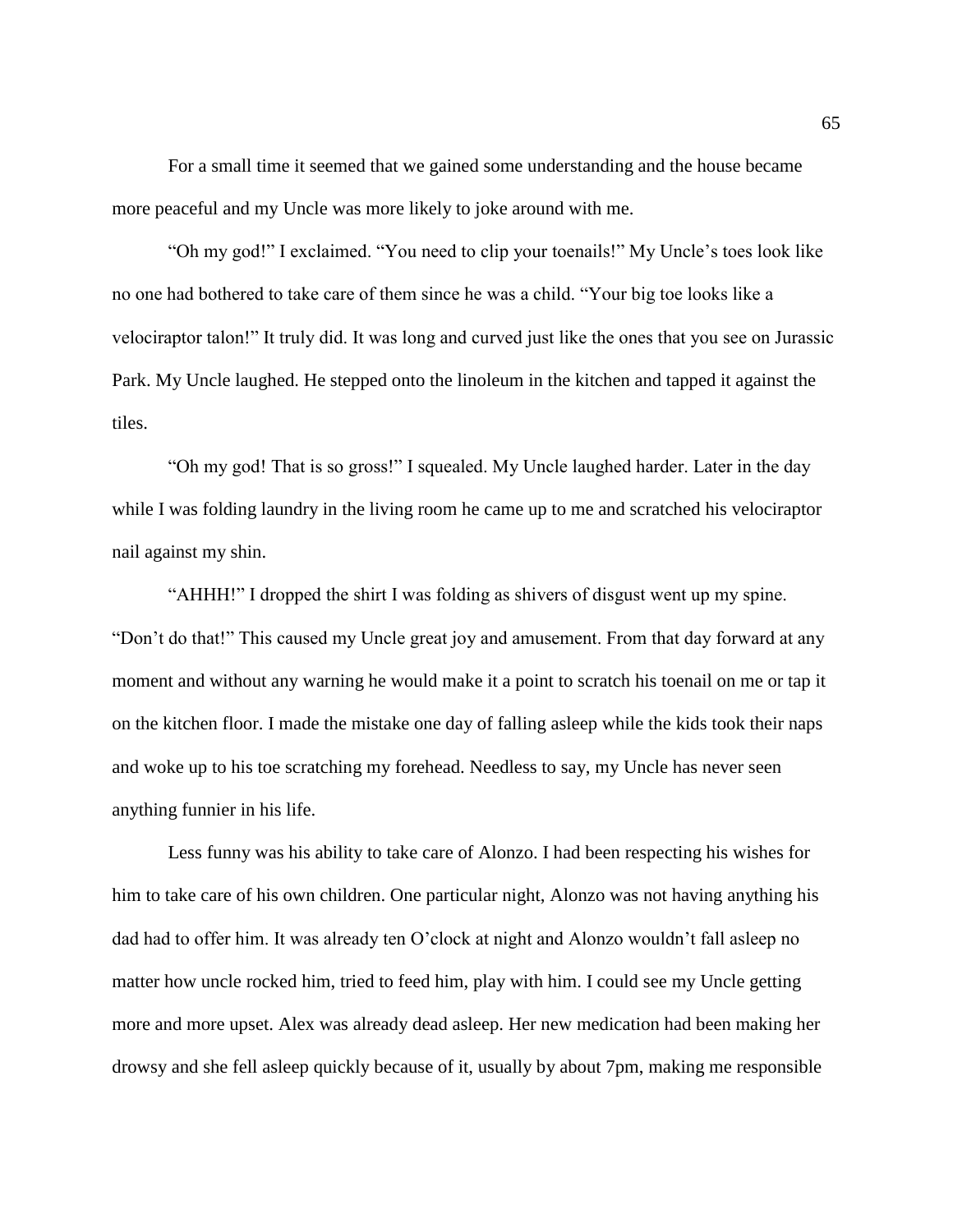For a small time it seemed that we gained some understanding and the house became more peaceful and my Uncle was more likely to joke around with me.

"Oh my god!" I exclaimed. "You need to clip your toenails!" My Uncle's toes look like no one had bothered to take care of them since he was a child. "Your big toe looks like a velociraptor talon!" It truly did. It was long and curved just like the ones that you see on Jurassic Park. My Uncle laughed. He stepped onto the linoleum in the kitchen and tapped it against the tiles.

"Oh my god! That is so gross!" I squealed. My Uncle laughed harder. Later in the day while I was folding laundry in the living room he came up to me and scratched his velociraptor nail against my shin.

"AHHH!" I dropped the shirt I was folding as shivers of disgust went up my spine. "Don't do that!" This caused my Uncle great joy and amusement. From that day forward at any moment and without any warning he would make it a point to scratch his toenail on me or tap it on the kitchen floor. I made the mistake one day of falling asleep while the kids took their naps and woke up to his toe scratching my forehead. Needless to say, my Uncle has never seen anything funnier in his life.

Less funny was his ability to take care of Alonzo. I had been respecting his wishes for him to take care of his own children. One particular night, Alonzo was not having anything his dad had to offer him. It was already ten O'clock at night and Alonzo wouldn't fall asleep no matter how uncle rocked him, tried to feed him, play with him. I could see my Uncle getting more and more upset. Alex was already dead asleep. Her new medication had been making her drowsy and she fell asleep quickly because of it, usually by about 7pm, making me responsible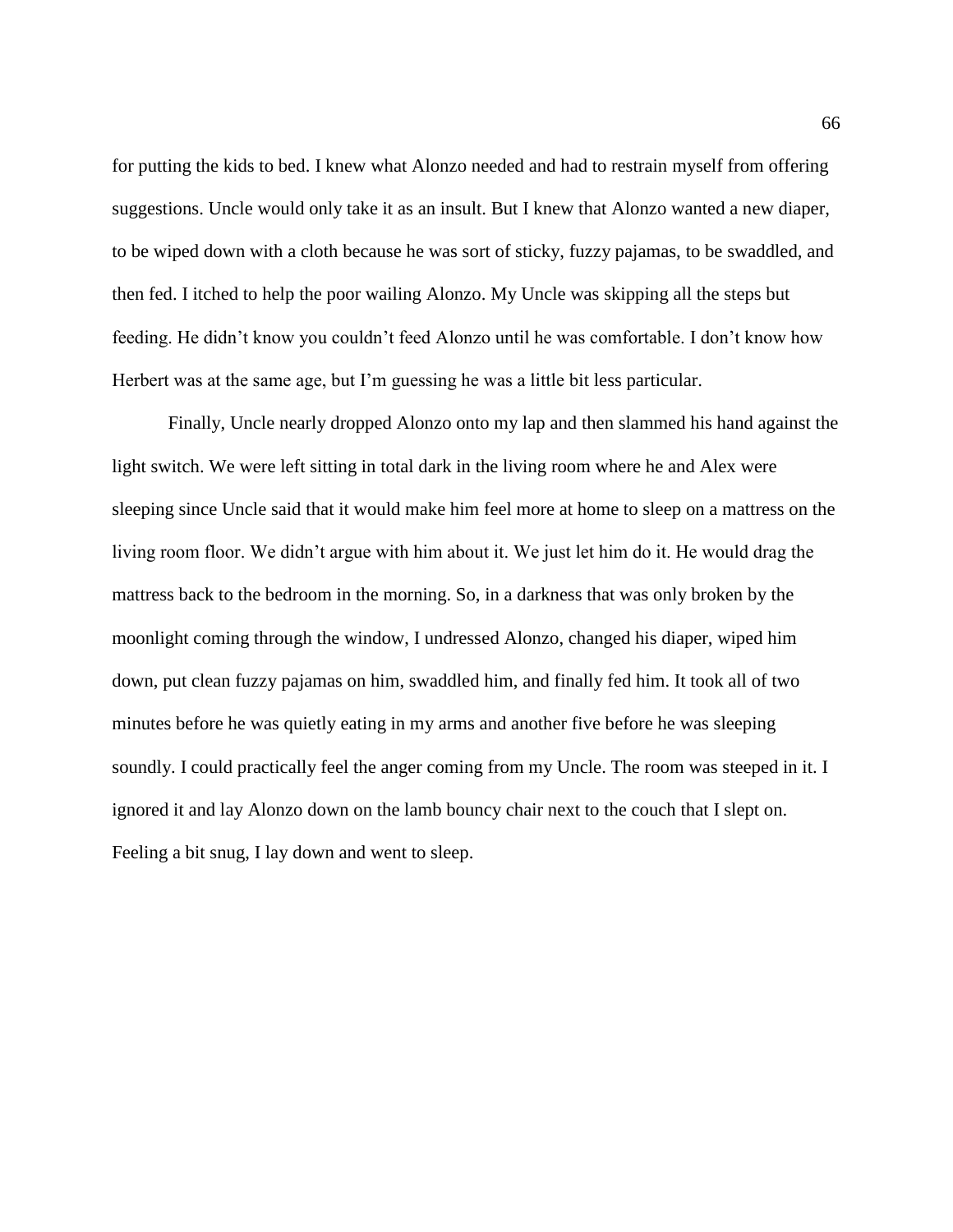for putting the kids to bed. I knew what Alonzo needed and had to restrain myself from offering suggestions. Uncle would only take it as an insult. But I knew that Alonzo wanted a new diaper, to be wiped down with a cloth because he was sort of sticky, fuzzy pajamas, to be swaddled, and then fed. I itched to help the poor wailing Alonzo. My Uncle was skipping all the steps but feeding. He didn't know you couldn't feed Alonzo until he was comfortable. I don't know how Herbert was at the same age, but I'm guessing he was a little bit less particular.

Finally, Uncle nearly dropped Alonzo onto my lap and then slammed his hand against the light switch. We were left sitting in total dark in the living room where he and Alex were sleeping since Uncle said that it would make him feel more at home to sleep on a mattress on the living room floor. We didn't argue with him about it. We just let him do it. He would drag the mattress back to the bedroom in the morning. So, in a darkness that was only broken by the moonlight coming through the window, I undressed Alonzo, changed his diaper, wiped him down, put clean fuzzy pajamas on him, swaddled him, and finally fed him. It took all of two minutes before he was quietly eating in my arms and another five before he was sleeping soundly. I could practically feel the anger coming from my Uncle. The room was steeped in it. I ignored it and lay Alonzo down on the lamb bouncy chair next to the couch that I slept on. Feeling a bit snug, I lay down and went to sleep.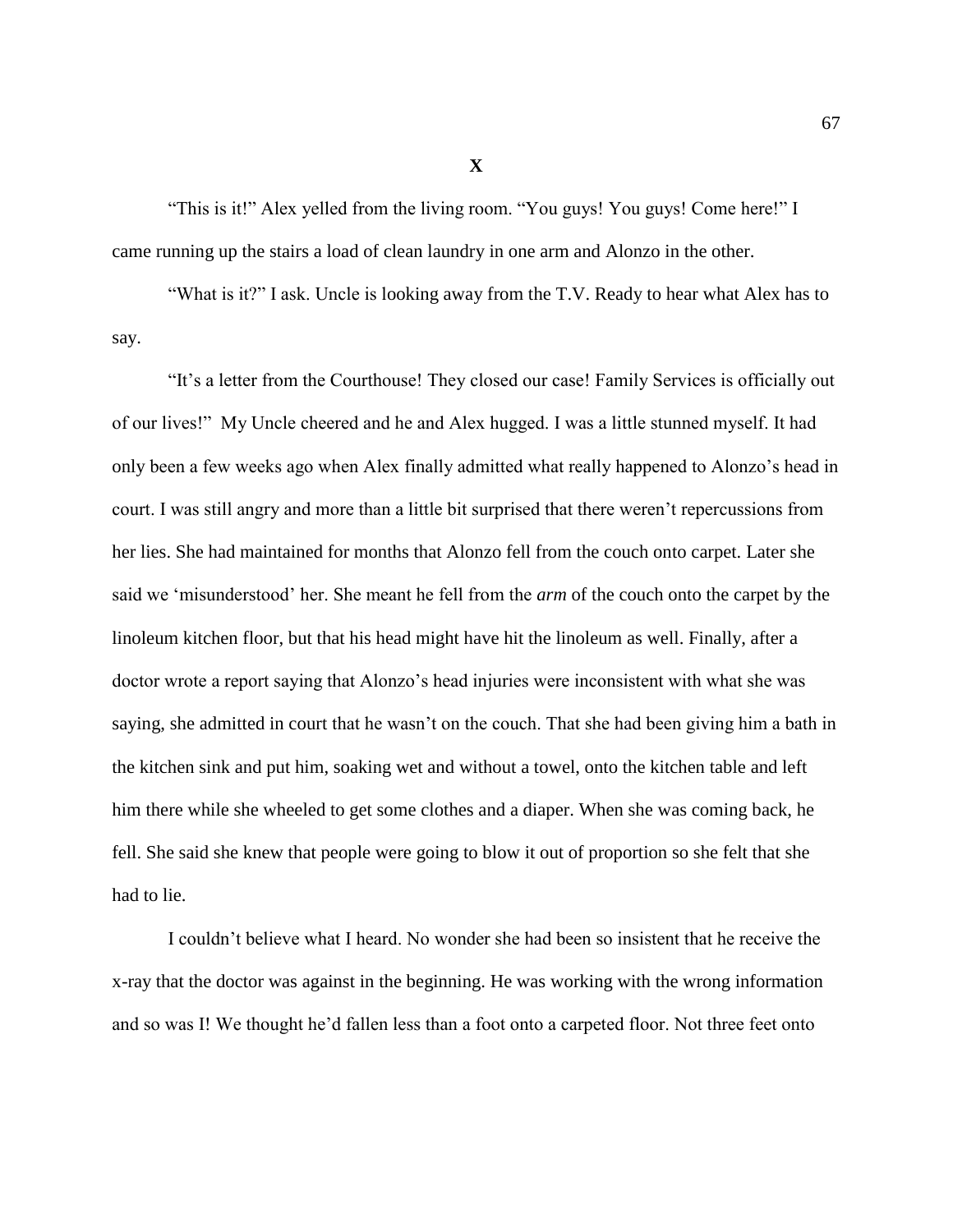"This is it!" Alex yelled from the living room. "You guys! You guys! Come here!" I came running up the stairs a load of clean laundry in one arm and Alonzo in the other.

"What is it?" I ask. Uncle is looking away from the T.V. Ready to hear what Alex has to say.

"It's a letter from the Courthouse! They closed our case! Family Services is officially out of our lives!" My Uncle cheered and he and Alex hugged. I was a little stunned myself. It had only been a few weeks ago when Alex finally admitted what really happened to Alonzo's head in court. I was still angry and more than a little bit surprised that there weren't repercussions from her lies. She had maintained for months that Alonzo fell from the couch onto carpet. Later she said we 'misunderstood' her. She meant he fell from the *arm* of the couch onto the carpet by the linoleum kitchen floor, but that his head might have hit the linoleum as well. Finally, after a doctor wrote a report saying that Alonzo's head injuries were inconsistent with what she was saying, she admitted in court that he wasn't on the couch. That she had been giving him a bath in the kitchen sink and put him, soaking wet and without a towel, onto the kitchen table and left him there while she wheeled to get some clothes and a diaper. When she was coming back, he fell. She said she knew that people were going to blow it out of proportion so she felt that she had to lie.

I couldn't believe what I heard. No wonder she had been so insistent that he receive the x-ray that the doctor was against in the beginning. He was working with the wrong information and so was I! We thought he'd fallen less than a foot onto a carpeted floor. Not three feet onto

**X**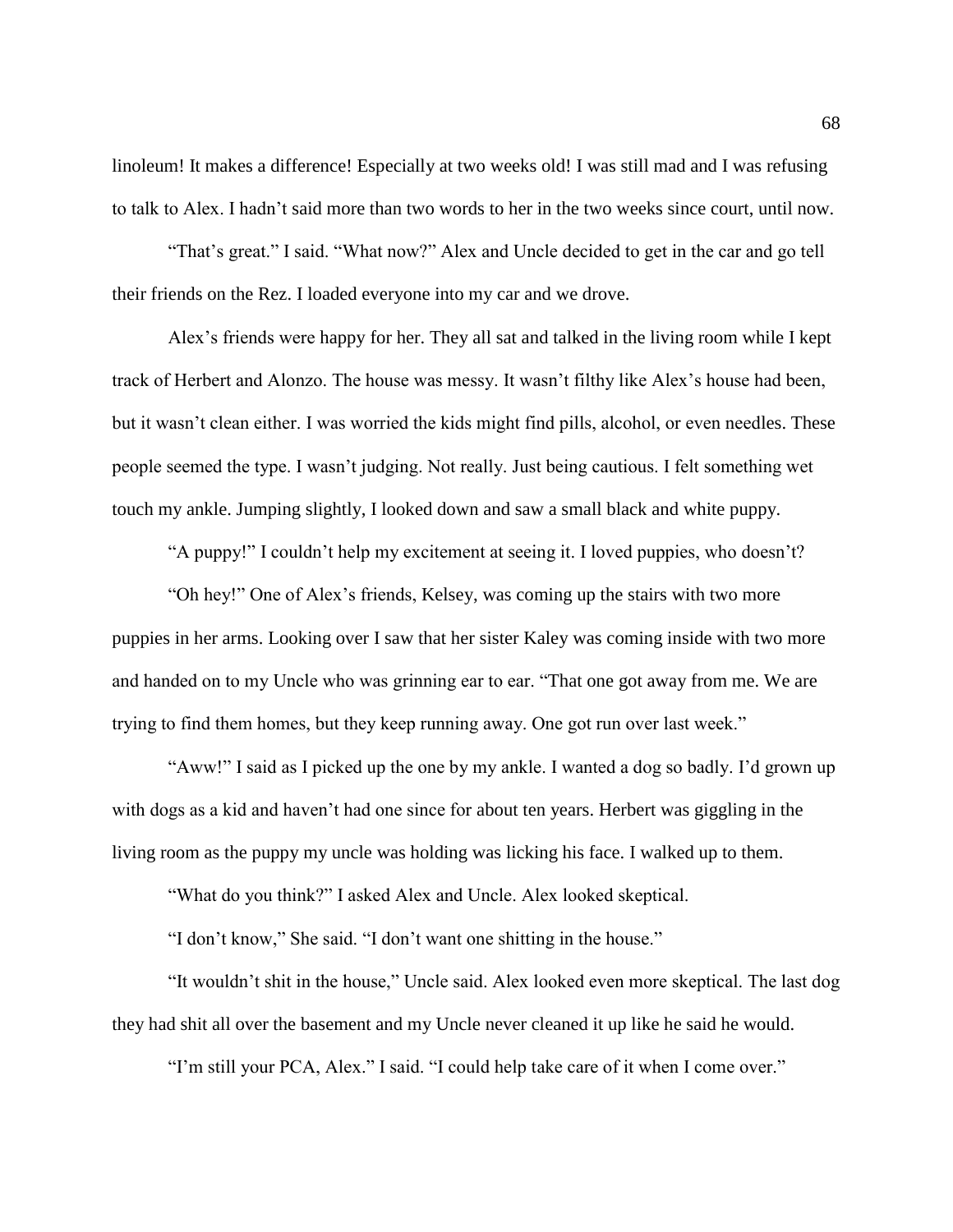linoleum! It makes a difference! Especially at two weeks old! I was still mad and I was refusing to talk to Alex. I hadn't said more than two words to her in the two weeks since court, until now.

"That's great." I said. "What now?" Alex and Uncle decided to get in the car and go tell their friends on the Rez. I loaded everyone into my car and we drove.

Alex's friends were happy for her. They all sat and talked in the living room while I kept track of Herbert and Alonzo. The house was messy. It wasn't filthy like Alex's house had been, but it wasn't clean either. I was worried the kids might find pills, alcohol, or even needles. These people seemed the type. I wasn't judging. Not really. Just being cautious. I felt something wet touch my ankle. Jumping slightly, I looked down and saw a small black and white puppy.

"A puppy!" I couldn't help my excitement at seeing it. I loved puppies, who doesn't?

"Oh hey!" One of Alex's friends, Kelsey, was coming up the stairs with two more puppies in her arms. Looking over I saw that her sister Kaley was coming inside with two more and handed on to my Uncle who was grinning ear to ear. "That one got away from me. We are trying to find them homes, but they keep running away. One got run over last week."

"Aww!" I said as I picked up the one by my ankle. I wanted a dog so badly. I'd grown up with dogs as a kid and haven't had one since for about ten years. Herbert was giggling in the living room as the puppy my uncle was holding was licking his face. I walked up to them.

"What do you think?" I asked Alex and Uncle. Alex looked skeptical.

"I don't know," She said. "I don't want one shitting in the house."

"It wouldn't shit in the house," Uncle said. Alex looked even more skeptical. The last dog they had shit all over the basement and my Uncle never cleaned it up like he said he would.

"I'm still your PCA, Alex." I said. "I could help take care of it when I come over."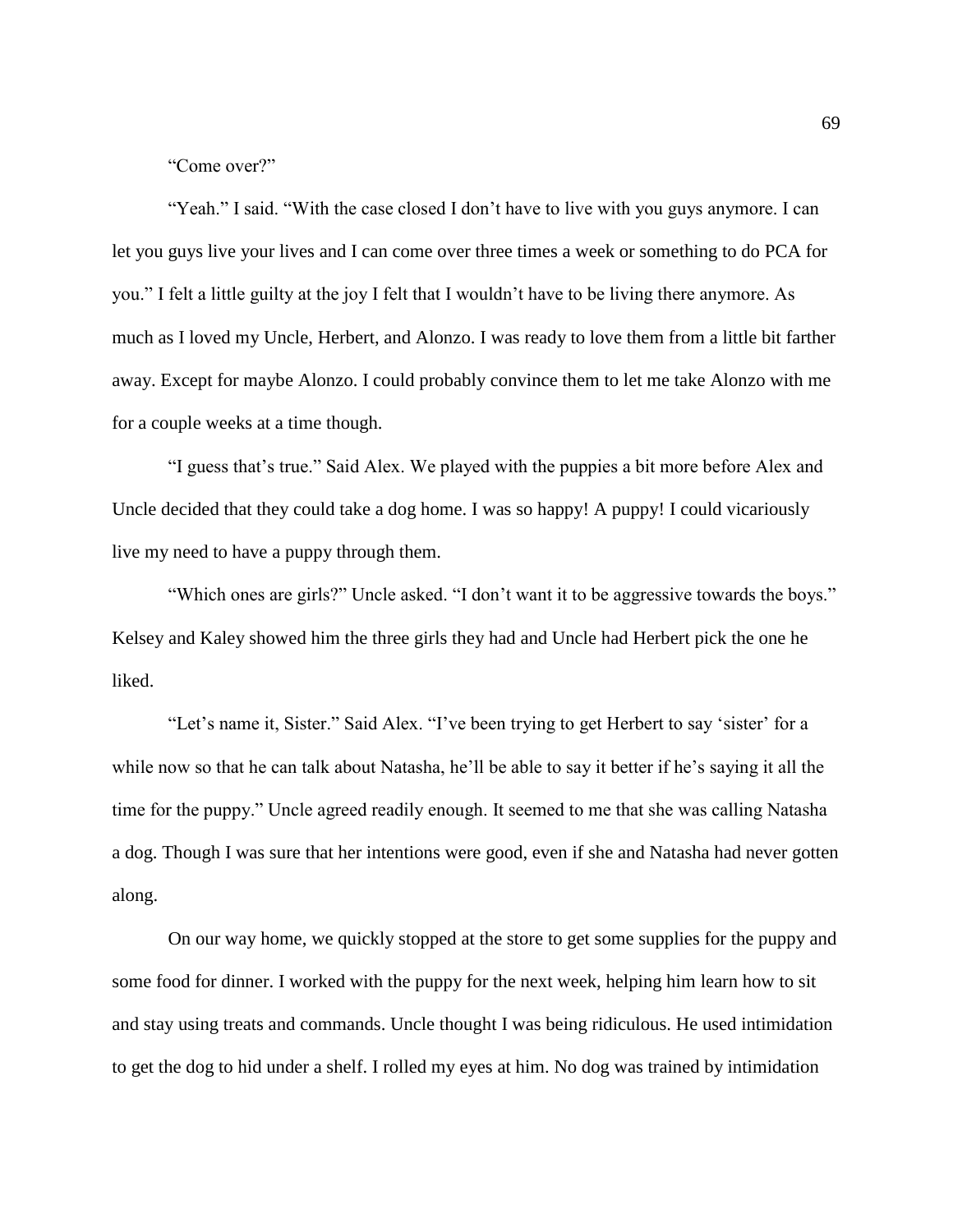"Come over?"

"Yeah." I said. "With the case closed I don't have to live with you guys anymore. I can let you guys live your lives and I can come over three times a week or something to do PCA for you." I felt a little guilty at the joy I felt that I wouldn't have to be living there anymore. As much as I loved my Uncle, Herbert, and Alonzo. I was ready to love them from a little bit farther away. Except for maybe Alonzo. I could probably convince them to let me take Alonzo with me for a couple weeks at a time though.

"I guess that's true." Said Alex. We played with the puppies a bit more before Alex and Uncle decided that they could take a dog home. I was so happy! A puppy! I could vicariously live my need to have a puppy through them.

"Which ones are girls?" Uncle asked. "I don't want it to be aggressive towards the boys." Kelsey and Kaley showed him the three girls they had and Uncle had Herbert pick the one he liked.

"Let's name it, Sister." Said Alex. "I've been trying to get Herbert to say 'sister' for a while now so that he can talk about Natasha, he'll be able to say it better if he's saying it all the time for the puppy." Uncle agreed readily enough. It seemed to me that she was calling Natasha a dog. Though I was sure that her intentions were good, even if she and Natasha had never gotten along.

On our way home, we quickly stopped at the store to get some supplies for the puppy and some food for dinner. I worked with the puppy for the next week, helping him learn how to sit and stay using treats and commands. Uncle thought I was being ridiculous. He used intimidation to get the dog to hid under a shelf. I rolled my eyes at him. No dog was trained by intimidation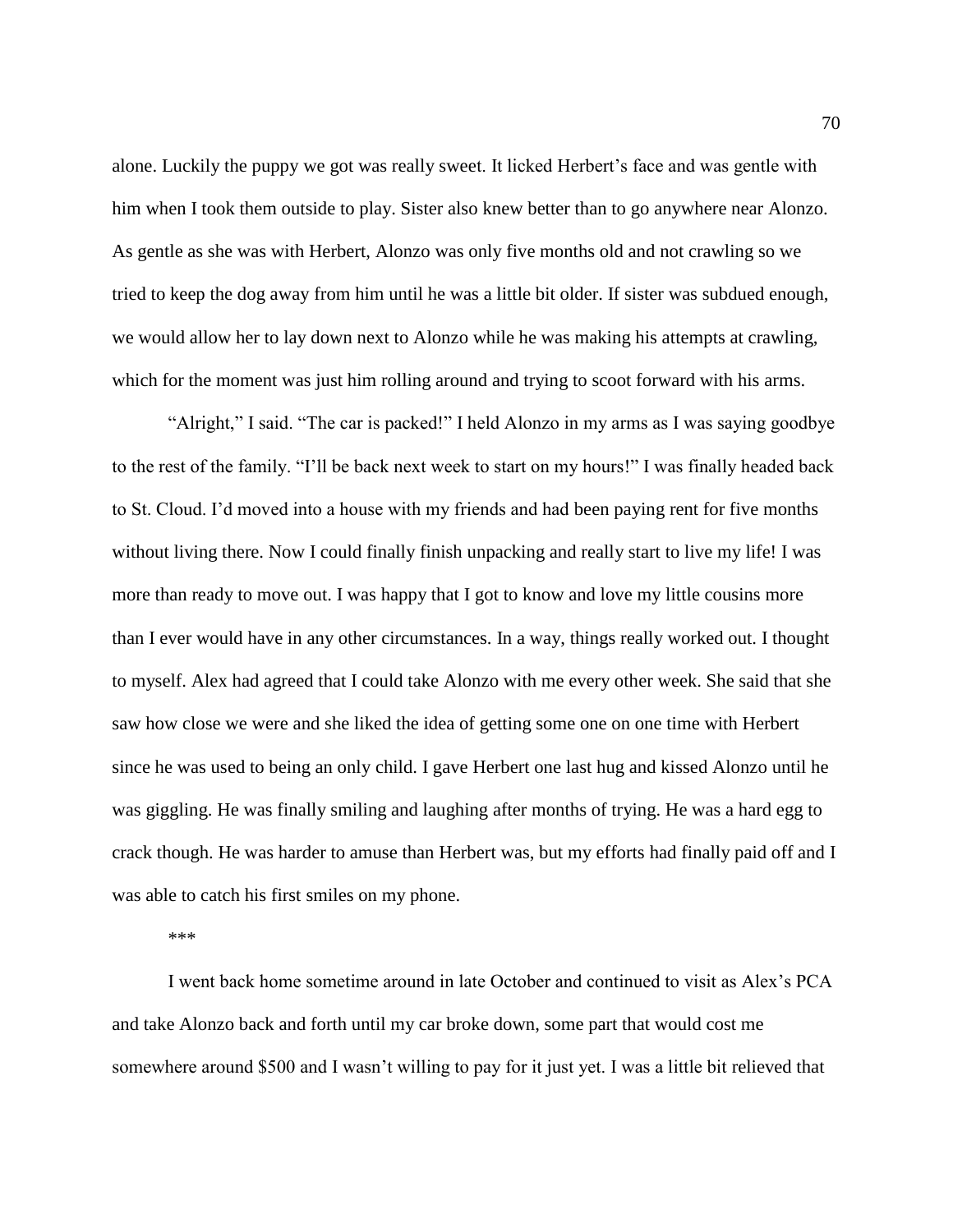alone. Luckily the puppy we got was really sweet. It licked Herbert's face and was gentle with him when I took them outside to play. Sister also knew better than to go anywhere near Alonzo. As gentle as she was with Herbert, Alonzo was only five months old and not crawling so we tried to keep the dog away from him until he was a little bit older. If sister was subdued enough, we would allow her to lay down next to Alonzo while he was making his attempts at crawling, which for the moment was just him rolling around and trying to scoot forward with his arms.

"Alright," I said. "The car is packed!" I held Alonzo in my arms as I was saying goodbye to the rest of the family. "I'll be back next week to start on my hours!" I was finally headed back to St. Cloud. I'd moved into a house with my friends and had been paying rent for five months without living there. Now I could finally finish unpacking and really start to live my life! I was more than ready to move out. I was happy that I got to know and love my little cousins more than I ever would have in any other circumstances. In a way, things really worked out. I thought to myself. Alex had agreed that I could take Alonzo with me every other week. She said that she saw how close we were and she liked the idea of getting some one on one time with Herbert since he was used to being an only child. I gave Herbert one last hug and kissed Alonzo until he was giggling. He was finally smiling and laughing after months of trying. He was a hard egg to crack though. He was harder to amuse than Herbert was, but my efforts had finally paid off and I was able to catch his first smiles on my phone.

\*\*\*

I went back home sometime around in late October and continued to visit as Alex's PCA and take Alonzo back and forth until my car broke down, some part that would cost me somewhere around \$500 and I wasn't willing to pay for it just yet. I was a little bit relieved that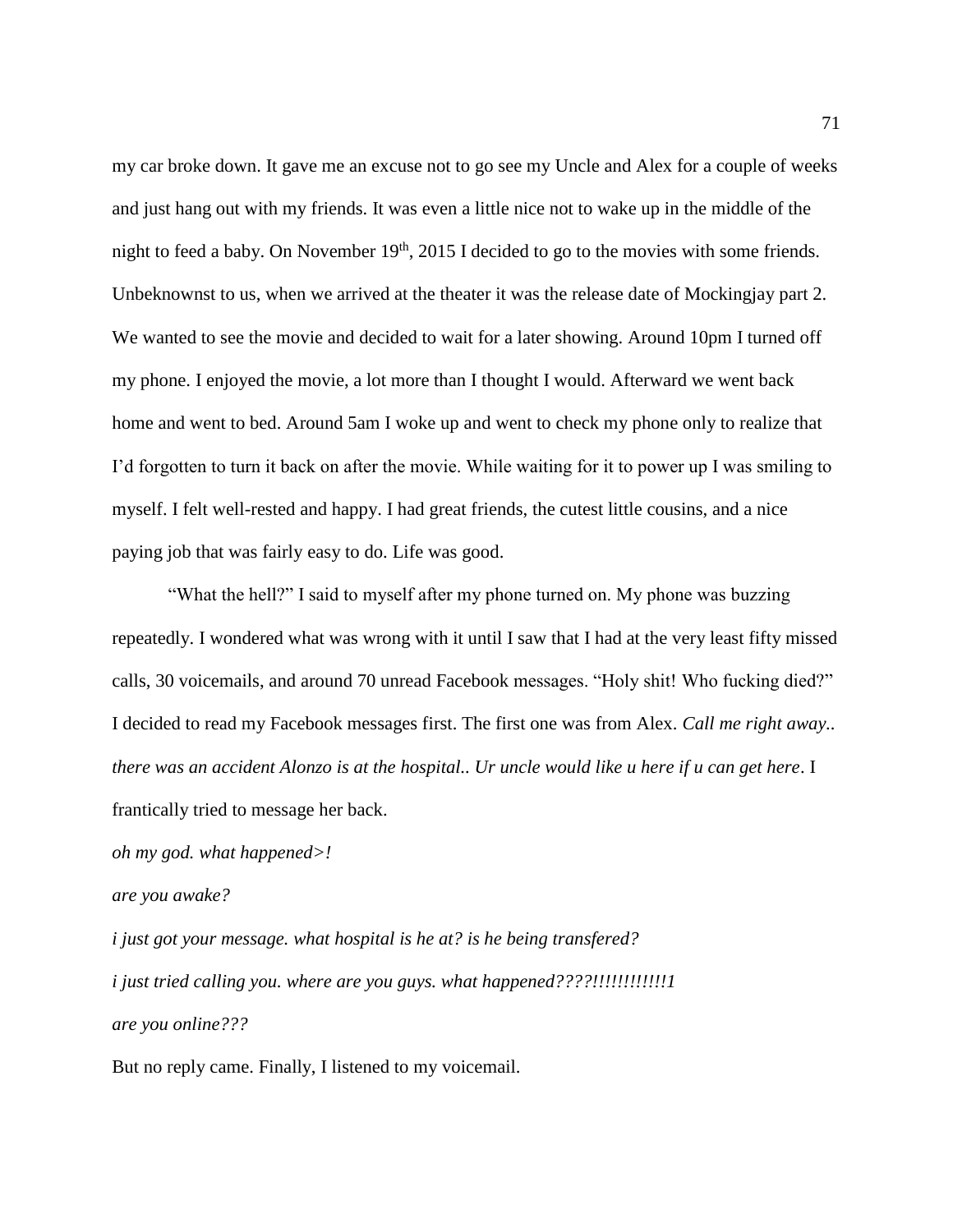my car broke down. It gave me an excuse not to go see my Uncle and Alex for a couple of weeks and just hang out with my friends. It was even a little nice not to wake up in the middle of the night to feed a baby. On November  $19<sup>th</sup>$ , 2015 I decided to go to the movies with some friends. Unbeknownst to us, when we arrived at the theater it was the release date of Mockingjay part 2. We wanted to see the movie and decided to wait for a later showing. Around 10pm I turned off my phone. I enjoyed the movie, a lot more than I thought I would. Afterward we went back home and went to bed. Around 5am I woke up and went to check my phone only to realize that I'd forgotten to turn it back on after the movie. While waiting for it to power up I was smiling to myself. I felt well-rested and happy. I had great friends, the cutest little cousins, and a nice paying job that was fairly easy to do. Life was good.

"What the hell?" I said to myself after my phone turned on. My phone was buzzing repeatedly. I wondered what was wrong with it until I saw that I had at the very least fifty missed calls, 30 voicemails, and around 70 unread Facebook messages. "Holy shit! Who fucking died?" I decided to read my Facebook messages first. The first one was from Alex. *Call me right away.. there was an accident Alonzo is at the hospital.. Ur uncle would like u here if u can get here*. I frantically tried to message her back.

*oh my god. what happened>!*

*are you awake?*

*i just got your message. what hospital is he at? is he being transfered? i just tried calling you. where are you guys. what happened????!!!!!!!!!!!!1 are you online???*

But no reply came. Finally, I listened to my voicemail.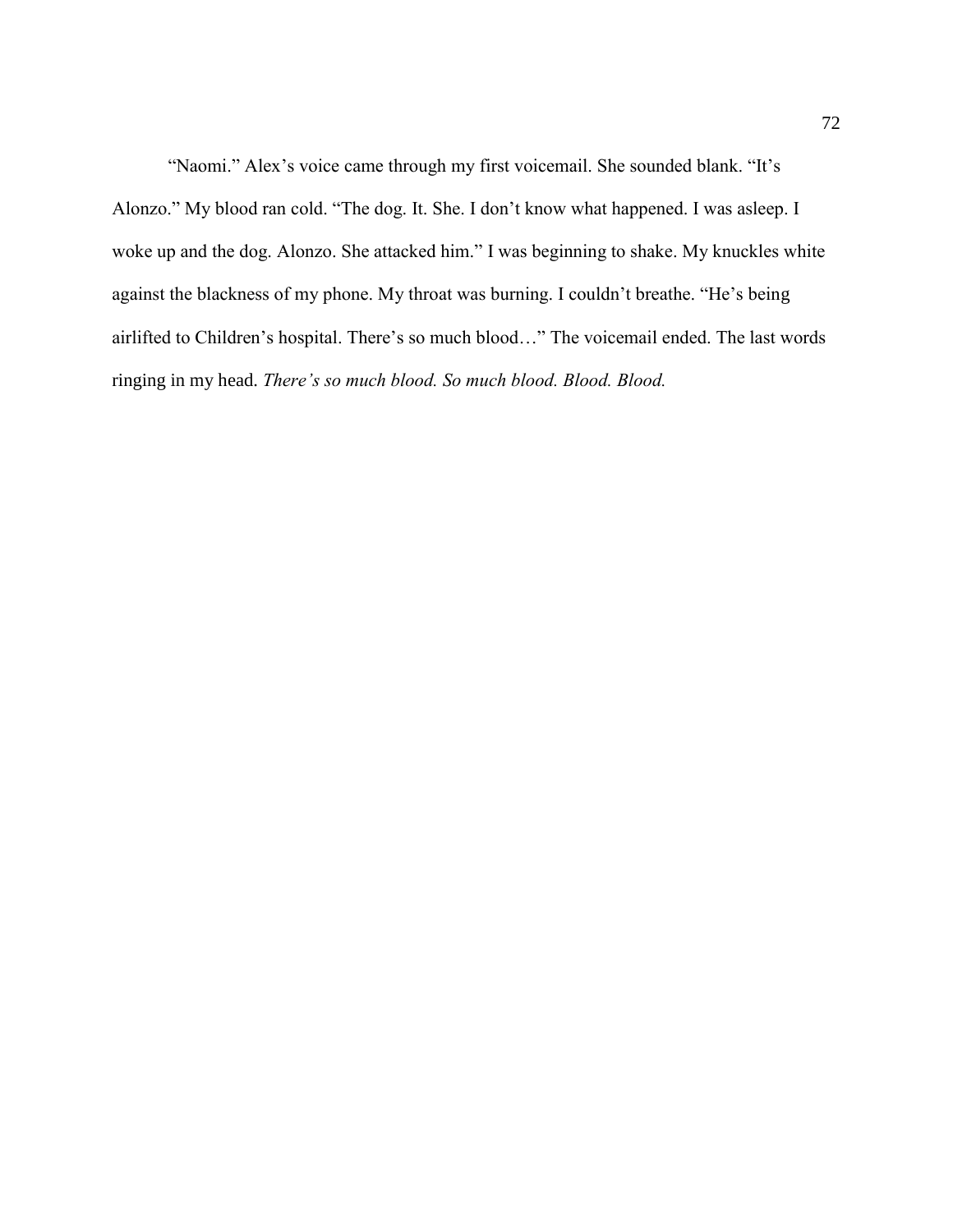"Naomi." Alex's voice came through my first voicemail. She sounded blank. "It's Alonzo." My blood ran cold. "The dog. It. She. I don't know what happened. I was asleep. I woke up and the dog. Alonzo. She attacked him." I was beginning to shake. My knuckles white against the blackness of my phone. My throat was burning. I couldn't breathe. "He's being airlifted to Children's hospital. There's so much blood…" The voicemail ended. The last words ringing in my head. *There's so much blood. So much blood. Blood. Blood.*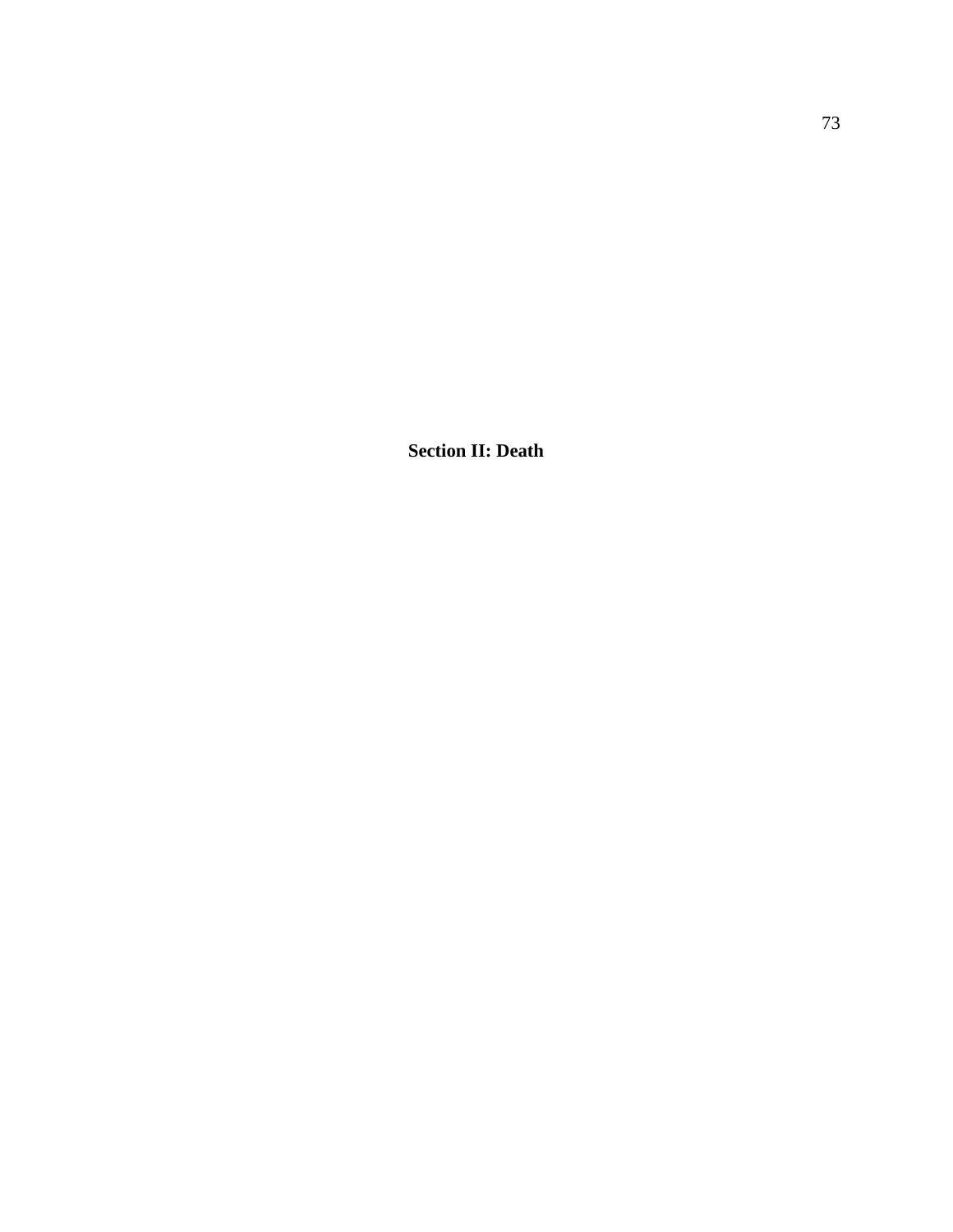**Section II: Death**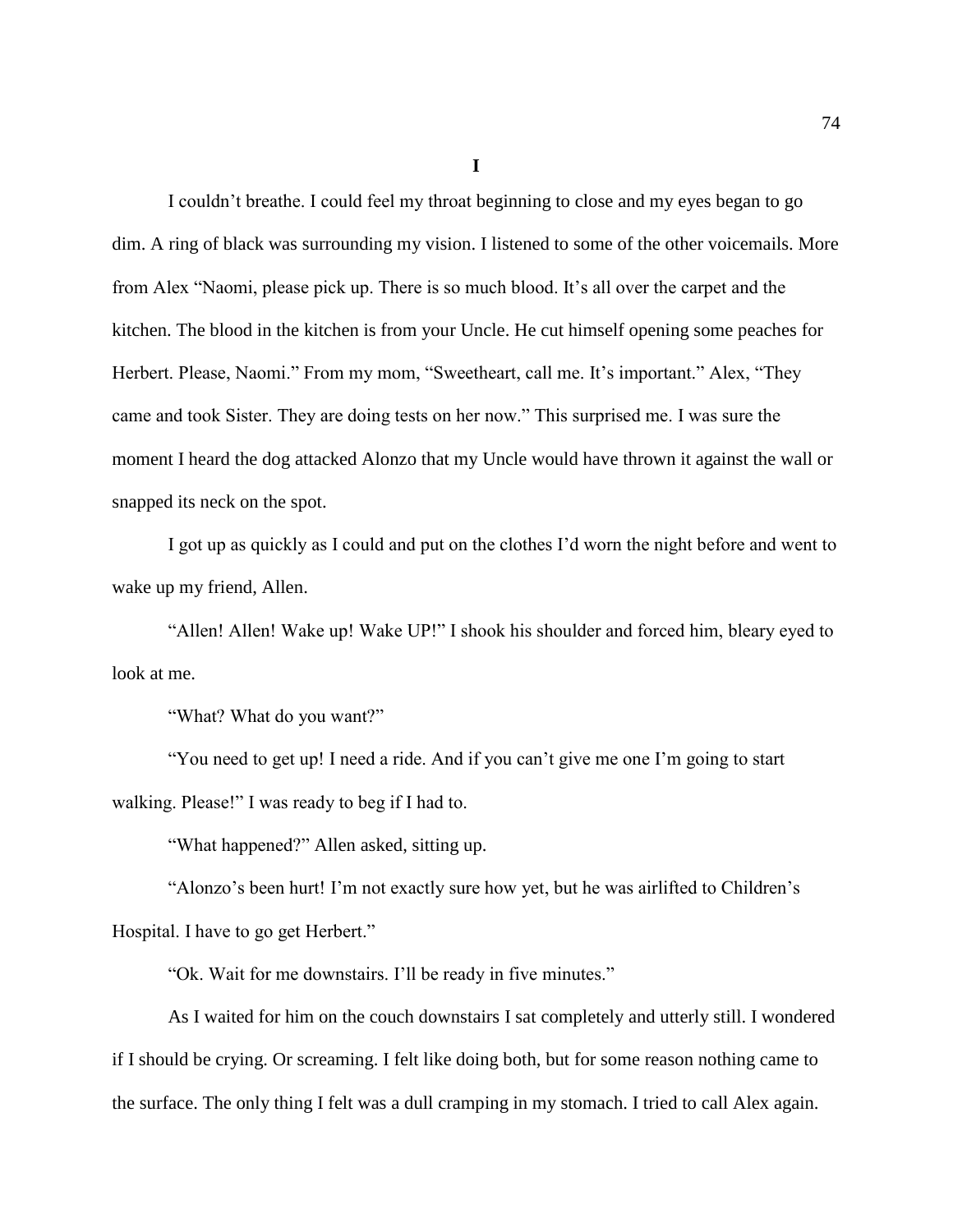**I**

I couldn't breathe. I could feel my throat beginning to close and my eyes began to go dim. A ring of black was surrounding my vision. I listened to some of the other voicemails. More from Alex "Naomi, please pick up. There is so much blood. It's all over the carpet and the kitchen. The blood in the kitchen is from your Uncle. He cut himself opening some peaches for Herbert. Please, Naomi." From my mom, "Sweetheart, call me. It's important." Alex, "They came and took Sister. They are doing tests on her now." This surprised me. I was sure the moment I heard the dog attacked Alonzo that my Uncle would have thrown it against the wall or snapped its neck on the spot.

I got up as quickly as I could and put on the clothes I'd worn the night before and went to wake up my friend, Allen.

"Allen! Allen! Wake up! Wake UP!" I shook his shoulder and forced him, bleary eyed to look at me.

"What? What do you want?"

"You need to get up! I need a ride. And if you can't give me one I'm going to start walking. Please!" I was ready to beg if I had to.

"What happened?" Allen asked, sitting up.

"Alonzo's been hurt! I'm not exactly sure how yet, but he was airlifted to Children's Hospital. I have to go get Herbert."

"Ok. Wait for me downstairs. I'll be ready in five minutes."

As I waited for him on the couch downstairs I sat completely and utterly still. I wondered if I should be crying. Or screaming. I felt like doing both, but for some reason nothing came to the surface. The only thing I felt was a dull cramping in my stomach. I tried to call Alex again.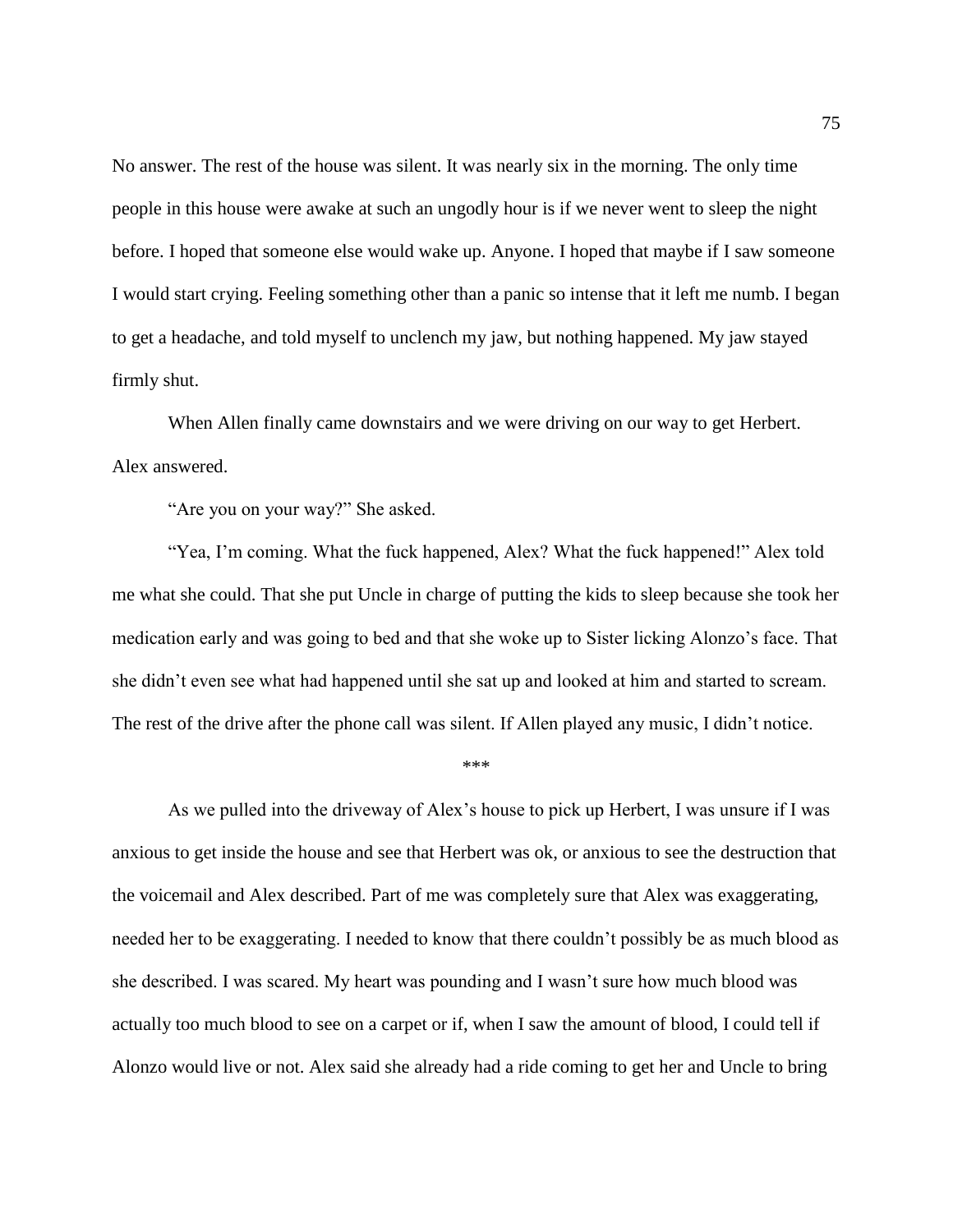No answer. The rest of the house was silent. It was nearly six in the morning. The only time people in this house were awake at such an ungodly hour is if we never went to sleep the night before. I hoped that someone else would wake up. Anyone. I hoped that maybe if I saw someone I would start crying. Feeling something other than a panic so intense that it left me numb. I began to get a headache, and told myself to unclench my jaw, but nothing happened. My jaw stayed firmly shut.

When Allen finally came downstairs and we were driving on our way to get Herbert. Alex answered.

"Are you on your way?" She asked.

"Yea, I'm coming. What the fuck happened, Alex? What the fuck happened!" Alex told me what she could. That she put Uncle in charge of putting the kids to sleep because she took her medication early and was going to bed and that she woke up to Sister licking Alonzo's face. That she didn't even see what had happened until she sat up and looked at him and started to scream. The rest of the drive after the phone call was silent. If Allen played any music, I didn't notice.

\*\*\*

As we pulled into the driveway of Alex's house to pick up Herbert, I was unsure if I was anxious to get inside the house and see that Herbert was ok, or anxious to see the destruction that the voicemail and Alex described. Part of me was completely sure that Alex was exaggerating, needed her to be exaggerating. I needed to know that there couldn't possibly be as much blood as she described. I was scared. My heart was pounding and I wasn't sure how much blood was actually too much blood to see on a carpet or if, when I saw the amount of blood, I could tell if Alonzo would live or not. Alex said she already had a ride coming to get her and Uncle to bring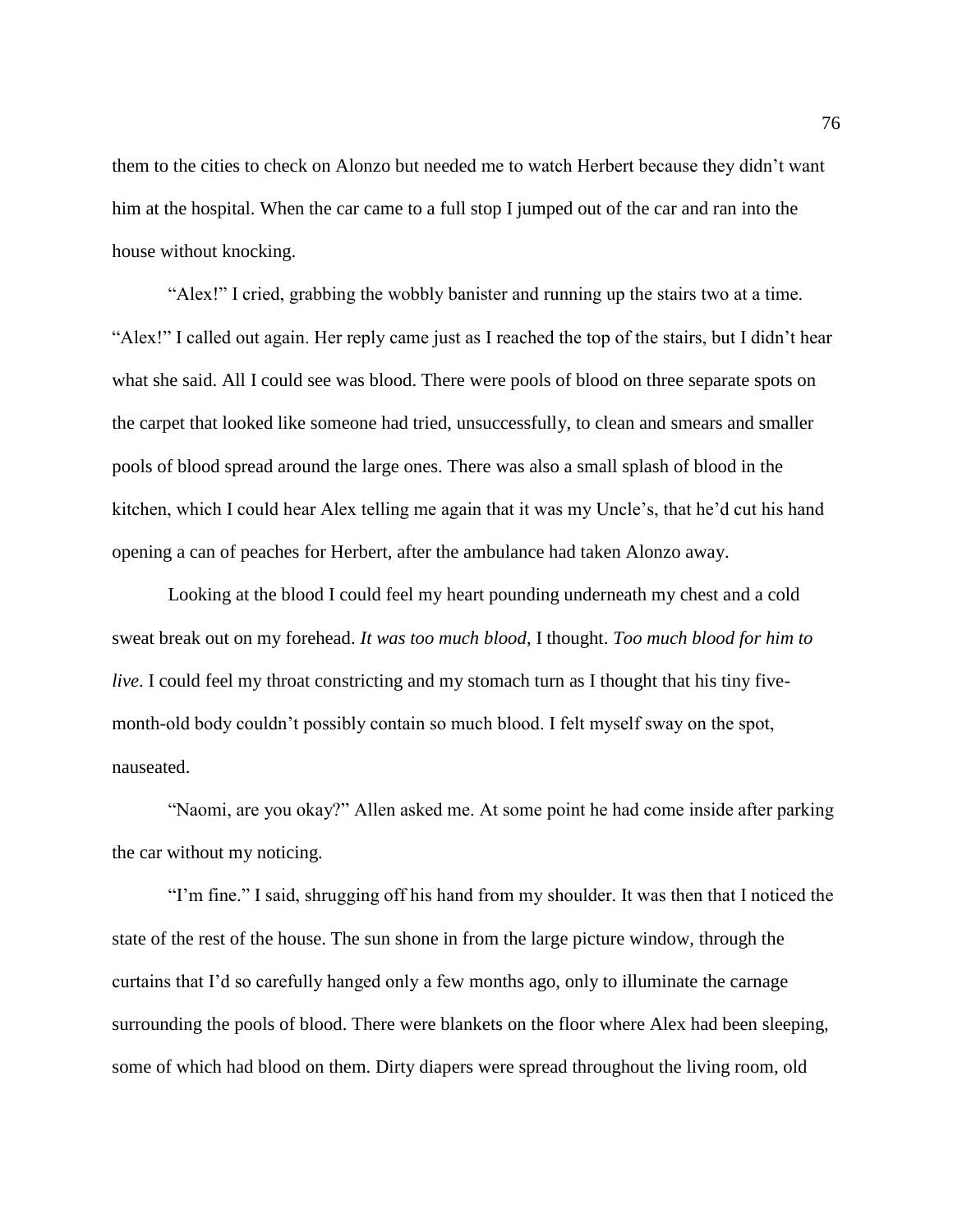them to the cities to check on Alonzo but needed me to watch Herbert because they didn't want him at the hospital. When the car came to a full stop I jumped out of the car and ran into the house without knocking.

"Alex!" I cried, grabbing the wobbly banister and running up the stairs two at a time. "Alex!" I called out again. Her reply came just as I reached the top of the stairs, but I didn't hear what she said. All I could see was blood. There were pools of blood on three separate spots on the carpet that looked like someone had tried, unsuccessfully, to clean and smears and smaller pools of blood spread around the large ones. There was also a small splash of blood in the kitchen, which I could hear Alex telling me again that it was my Uncle's, that he'd cut his hand opening a can of peaches for Herbert, after the ambulance had taken Alonzo away.

Looking at the blood I could feel my heart pounding underneath my chest and a cold sweat break out on my forehead. *It was too much blood*, I thought. *Too much blood for him to live*. I could feel my throat constricting and my stomach turn as I thought that his tiny fivemonth-old body couldn't possibly contain so much blood. I felt myself sway on the spot, nauseated.

"Naomi, are you okay?" Allen asked me. At some point he had come inside after parking the car without my noticing.

"I'm fine." I said, shrugging off his hand from my shoulder. It was then that I noticed the state of the rest of the house. The sun shone in from the large picture window, through the curtains that I'd so carefully hanged only a few months ago, only to illuminate the carnage surrounding the pools of blood. There were blankets on the floor where Alex had been sleeping, some of which had blood on them. Dirty diapers were spread throughout the living room, old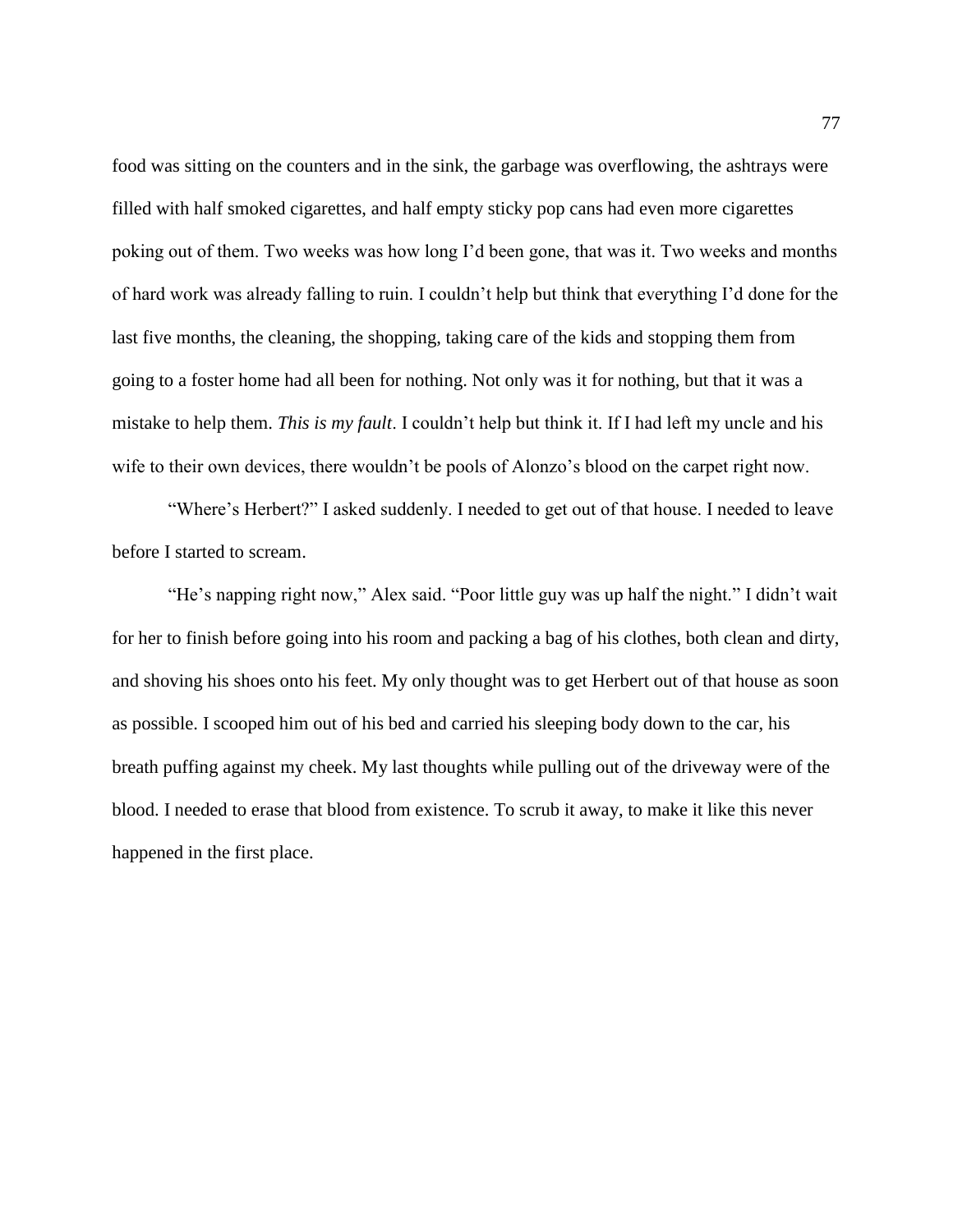food was sitting on the counters and in the sink, the garbage was overflowing, the ashtrays were filled with half smoked cigarettes, and half empty sticky pop cans had even more cigarettes poking out of them. Two weeks was how long I'd been gone, that was it. Two weeks and months of hard work was already falling to ruin. I couldn't help but think that everything I'd done for the last five months, the cleaning, the shopping, taking care of the kids and stopping them from going to a foster home had all been for nothing. Not only was it for nothing, but that it was a mistake to help them. *This is my fault*. I couldn't help but think it. If I had left my uncle and his wife to their own devices, there wouldn't be pools of Alonzo's blood on the carpet right now.

"Where's Herbert?" I asked suddenly. I needed to get out of that house. I needed to leave before I started to scream.

"He's napping right now," Alex said. "Poor little guy was up half the night." I didn't wait for her to finish before going into his room and packing a bag of his clothes, both clean and dirty, and shoving his shoes onto his feet. My only thought was to get Herbert out of that house as soon as possible. I scooped him out of his bed and carried his sleeping body down to the car, his breath puffing against my cheek. My last thoughts while pulling out of the driveway were of the blood. I needed to erase that blood from existence. To scrub it away, to make it like this never happened in the first place.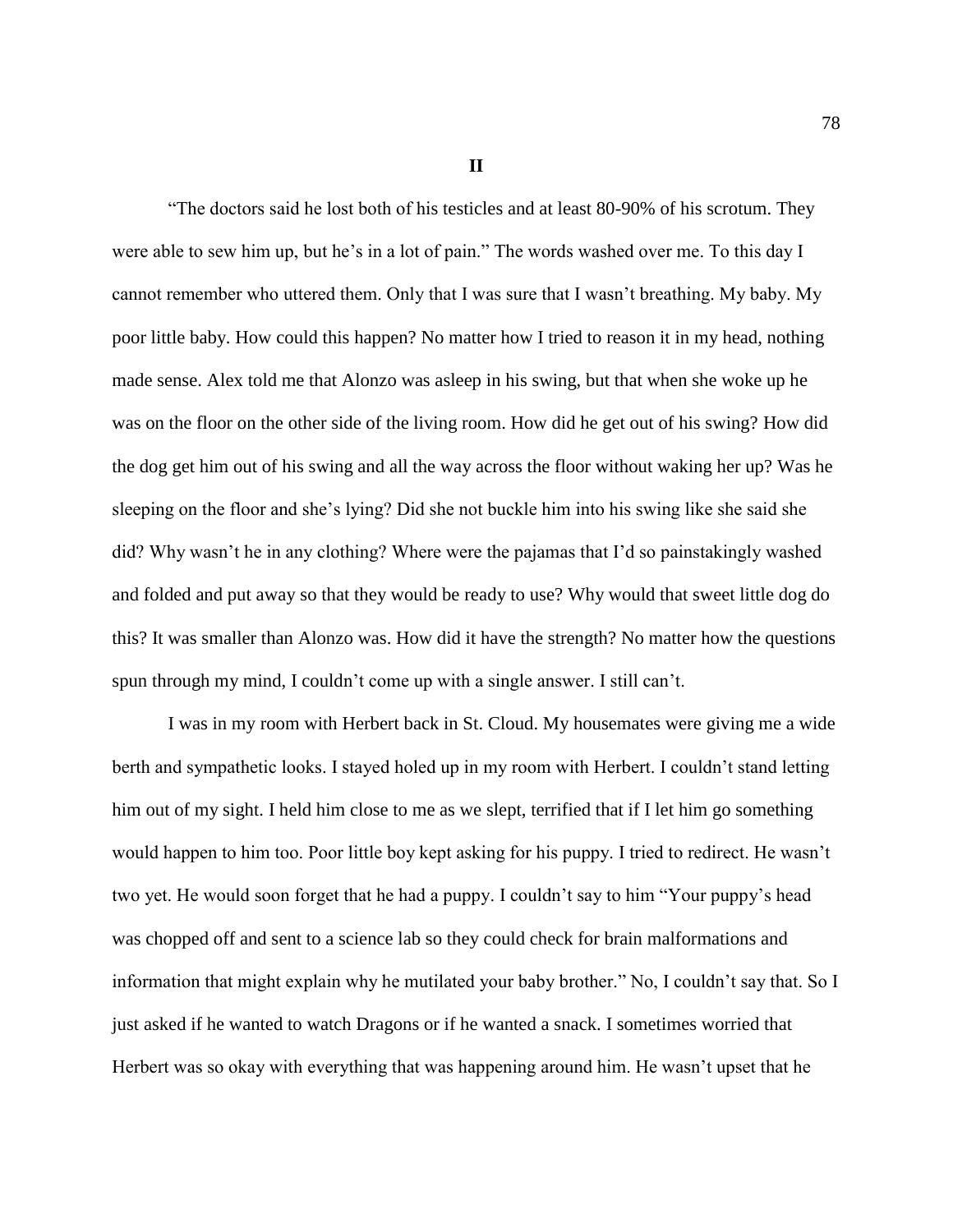**II**

"The doctors said he lost both of his testicles and at least 80-90% of his scrotum. They were able to sew him up, but he's in a lot of pain." The words washed over me. To this day I cannot remember who uttered them. Only that I was sure that I wasn't breathing. My baby. My poor little baby. How could this happen? No matter how I tried to reason it in my head, nothing made sense. Alex told me that Alonzo was asleep in his swing, but that when she woke up he was on the floor on the other side of the living room. How did he get out of his swing? How did the dog get him out of his swing and all the way across the floor without waking her up? Was he sleeping on the floor and she's lying? Did she not buckle him into his swing like she said she did? Why wasn't he in any clothing? Where were the pajamas that I'd so painstakingly washed and folded and put away so that they would be ready to use? Why would that sweet little dog do this? It was smaller than Alonzo was. How did it have the strength? No matter how the questions spun through my mind, I couldn't come up with a single answer. I still can't.

I was in my room with Herbert back in St. Cloud. My housemates were giving me a wide berth and sympathetic looks. I stayed holed up in my room with Herbert. I couldn't stand letting him out of my sight. I held him close to me as we slept, terrified that if I let him go something would happen to him too. Poor little boy kept asking for his puppy. I tried to redirect. He wasn't two yet. He would soon forget that he had a puppy. I couldn't say to him "Your puppy's head was chopped off and sent to a science lab so they could check for brain malformations and information that might explain why he mutilated your baby brother." No, I couldn't say that. So I just asked if he wanted to watch Dragons or if he wanted a snack. I sometimes worried that Herbert was so okay with everything that was happening around him. He wasn't upset that he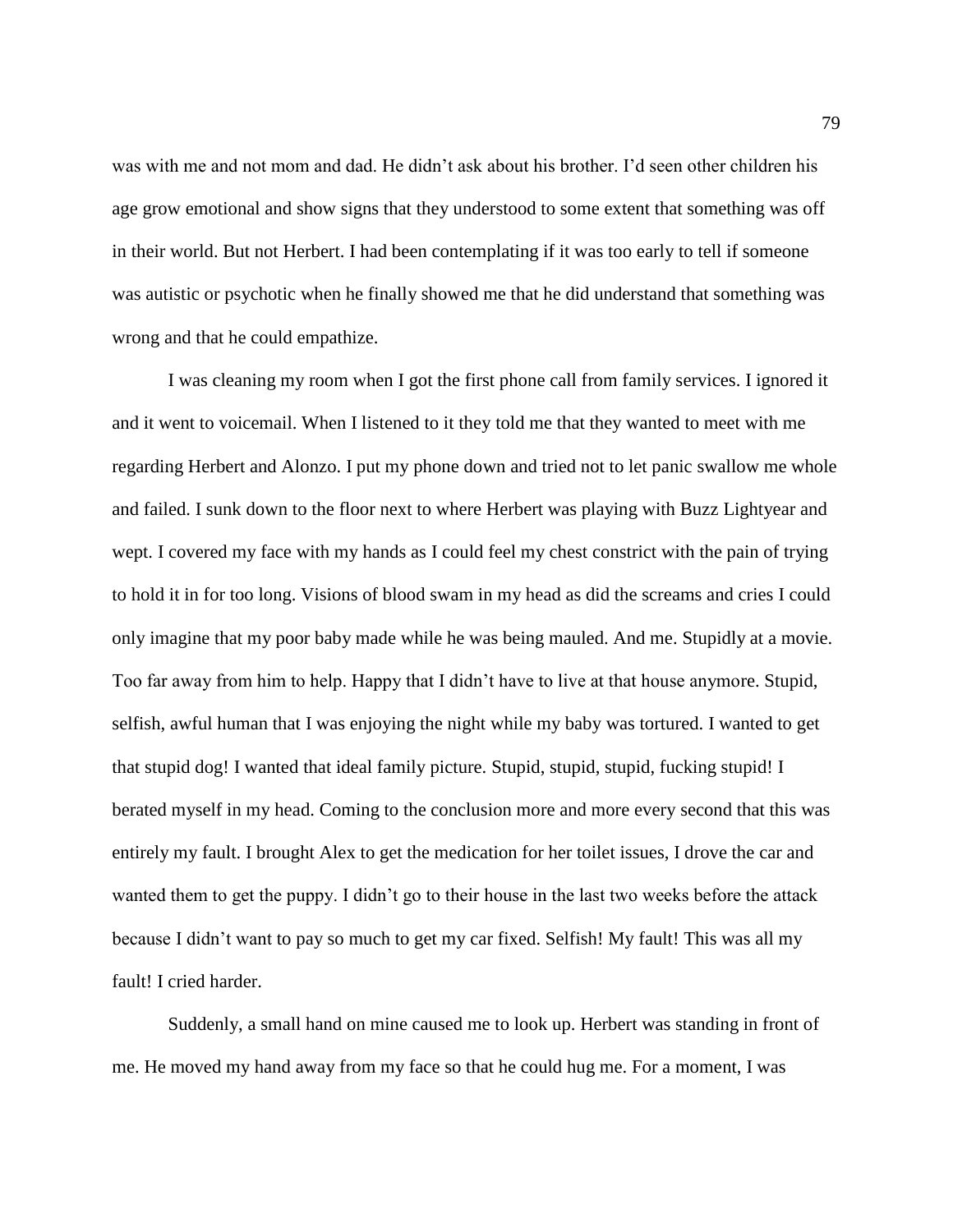was with me and not mom and dad. He didn't ask about his brother. I'd seen other children his age grow emotional and show signs that they understood to some extent that something was off in their world. But not Herbert. I had been contemplating if it was too early to tell if someone was autistic or psychotic when he finally showed me that he did understand that something was wrong and that he could empathize.

I was cleaning my room when I got the first phone call from family services. I ignored it and it went to voicemail. When I listened to it they told me that they wanted to meet with me regarding Herbert and Alonzo. I put my phone down and tried not to let panic swallow me whole and failed. I sunk down to the floor next to where Herbert was playing with Buzz Lightyear and wept. I covered my face with my hands as I could feel my chest constrict with the pain of trying to hold it in for too long. Visions of blood swam in my head as did the screams and cries I could only imagine that my poor baby made while he was being mauled. And me. Stupidly at a movie. Too far away from him to help. Happy that I didn't have to live at that house anymore. Stupid, selfish, awful human that I was enjoying the night while my baby was tortured. I wanted to get that stupid dog! I wanted that ideal family picture. Stupid, stupid, stupid, fucking stupid! I berated myself in my head. Coming to the conclusion more and more every second that this was entirely my fault. I brought Alex to get the medication for her toilet issues, I drove the car and wanted them to get the puppy. I didn't go to their house in the last two weeks before the attack because I didn't want to pay so much to get my car fixed. Selfish! My fault! This was all my fault! I cried harder.

Suddenly, a small hand on mine caused me to look up. Herbert was standing in front of me. He moved my hand away from my face so that he could hug me. For a moment, I was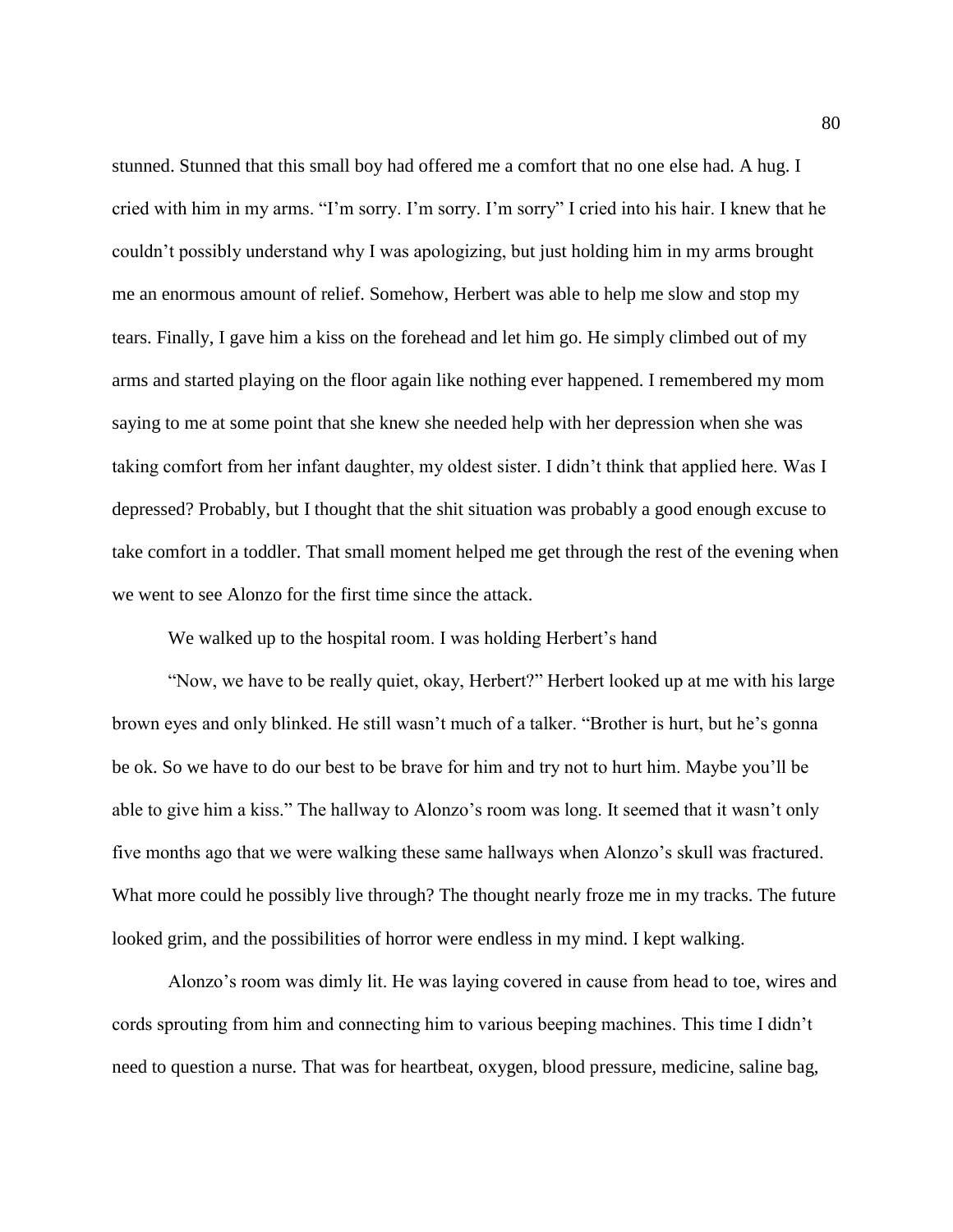stunned. Stunned that this small boy had offered me a comfort that no one else had. A hug. I cried with him in my arms. "I'm sorry. I'm sorry. I'm sorry" I cried into his hair. I knew that he couldn't possibly understand why I was apologizing, but just holding him in my arms brought me an enormous amount of relief. Somehow, Herbert was able to help me slow and stop my tears. Finally, I gave him a kiss on the forehead and let him go. He simply climbed out of my arms and started playing on the floor again like nothing ever happened. I remembered my mom saying to me at some point that she knew she needed help with her depression when she was taking comfort from her infant daughter, my oldest sister. I didn't think that applied here. Was I depressed? Probably, but I thought that the shit situation was probably a good enough excuse to take comfort in a toddler. That small moment helped me get through the rest of the evening when we went to see Alonzo for the first time since the attack.

We walked up to the hospital room. I was holding Herbert's hand

"Now, we have to be really quiet, okay, Herbert?" Herbert looked up at me with his large brown eyes and only blinked. He still wasn't much of a talker. "Brother is hurt, but he's gonna be ok. So we have to do our best to be brave for him and try not to hurt him. Maybe you'll be able to give him a kiss." The hallway to Alonzo's room was long. It seemed that it wasn't only five months ago that we were walking these same hallways when Alonzo's skull was fractured. What more could he possibly live through? The thought nearly froze me in my tracks. The future looked grim, and the possibilities of horror were endless in my mind. I kept walking.

Alonzo's room was dimly lit. He was laying covered in cause from head to toe, wires and cords sprouting from him and connecting him to various beeping machines. This time I didn't need to question a nurse. That was for heartbeat, oxygen, blood pressure, medicine, saline bag,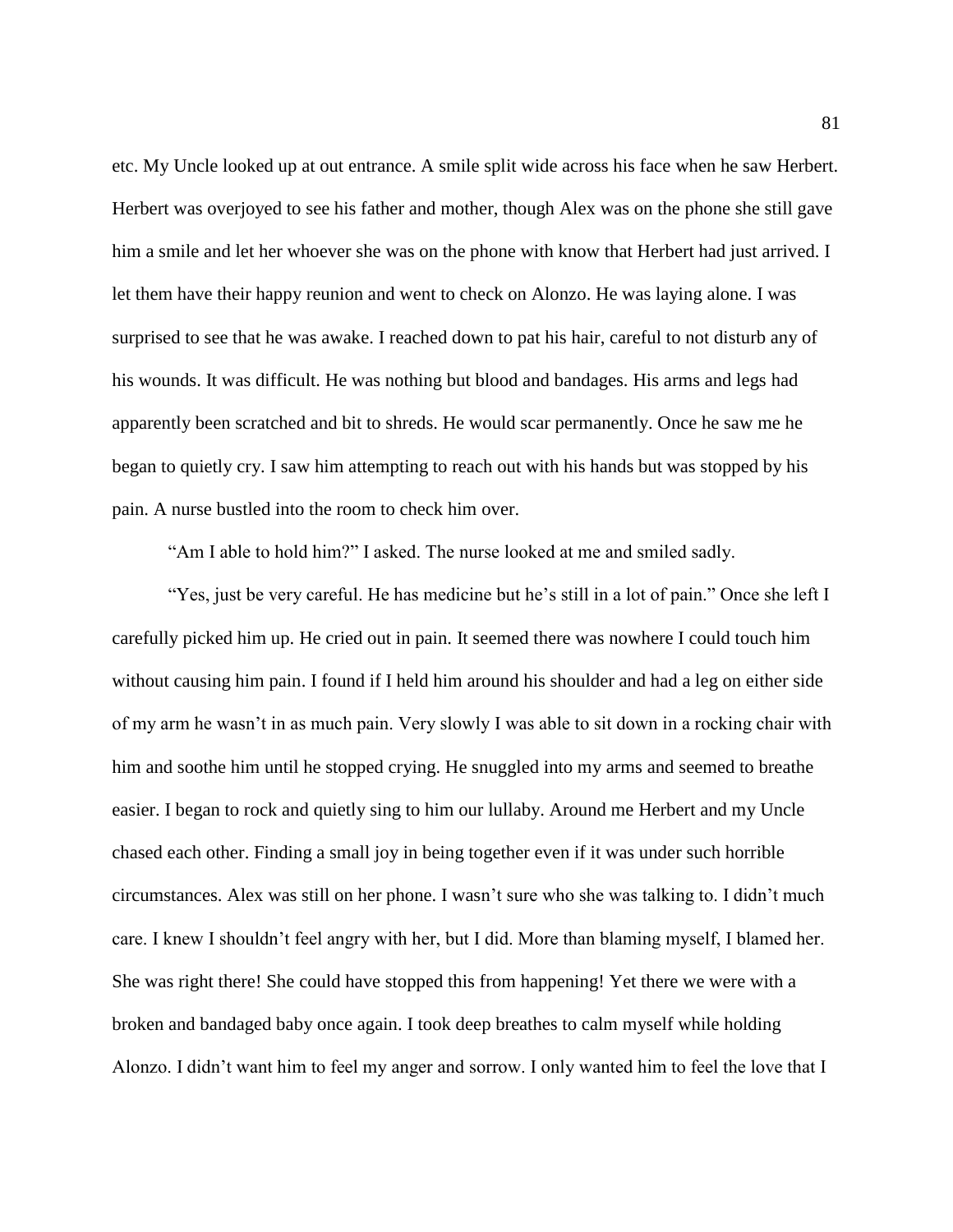etc. My Uncle looked up at out entrance. A smile split wide across his face when he saw Herbert. Herbert was overjoyed to see his father and mother, though Alex was on the phone she still gave him a smile and let her whoever she was on the phone with know that Herbert had just arrived. I let them have their happy reunion and went to check on Alonzo. He was laying alone. I was surprised to see that he was awake. I reached down to pat his hair, careful to not disturb any of his wounds. It was difficult. He was nothing but blood and bandages. His arms and legs had apparently been scratched and bit to shreds. He would scar permanently. Once he saw me he began to quietly cry. I saw him attempting to reach out with his hands but was stopped by his pain. A nurse bustled into the room to check him over.

"Am I able to hold him?" I asked. The nurse looked at me and smiled sadly.

"Yes, just be very careful. He has medicine but he's still in a lot of pain." Once she left I carefully picked him up. He cried out in pain. It seemed there was nowhere I could touch him without causing him pain. I found if I held him around his shoulder and had a leg on either side of my arm he wasn't in as much pain. Very slowly I was able to sit down in a rocking chair with him and soothe him until he stopped crying. He snuggled into my arms and seemed to breathe easier. I began to rock and quietly sing to him our lullaby. Around me Herbert and my Uncle chased each other. Finding a small joy in being together even if it was under such horrible circumstances. Alex was still on her phone. I wasn't sure who she was talking to. I didn't much care. I knew I shouldn't feel angry with her, but I did. More than blaming myself, I blamed her. She was right there! She could have stopped this from happening! Yet there we were with a broken and bandaged baby once again. I took deep breathes to calm myself while holding Alonzo. I didn't want him to feel my anger and sorrow. I only wanted him to feel the love that I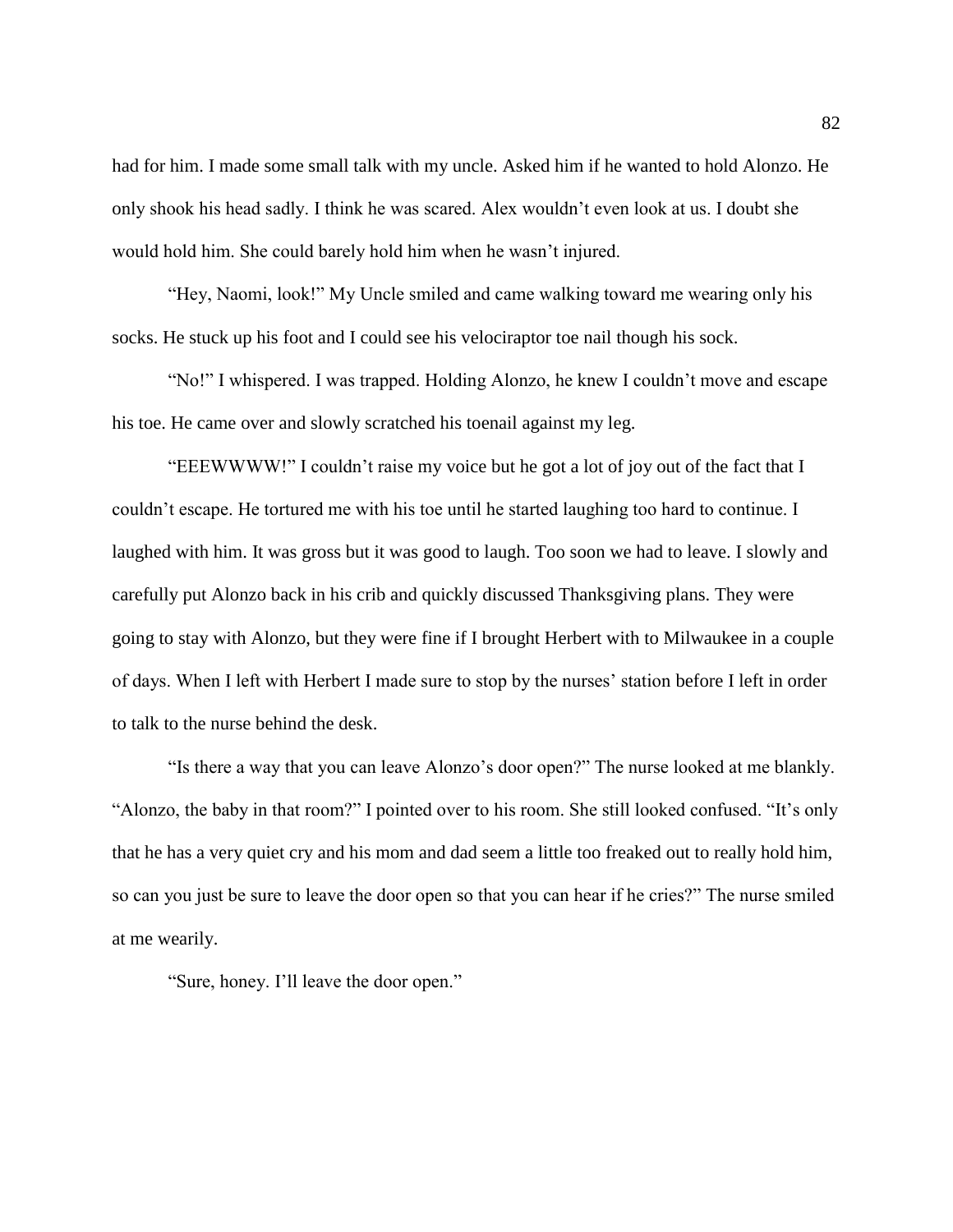had for him. I made some small talk with my uncle. Asked him if he wanted to hold Alonzo. He only shook his head sadly. I think he was scared. Alex wouldn't even look at us. I doubt she would hold him. She could barely hold him when he wasn't injured.

"Hey, Naomi, look!" My Uncle smiled and came walking toward me wearing only his socks. He stuck up his foot and I could see his velociraptor toe nail though his sock.

"No!" I whispered. I was trapped. Holding Alonzo, he knew I couldn't move and escape his toe. He came over and slowly scratched his toenail against my leg.

"EEEWWWW!" I couldn't raise my voice but he got a lot of joy out of the fact that I couldn't escape. He tortured me with his toe until he started laughing too hard to continue. I laughed with him. It was gross but it was good to laugh. Too soon we had to leave. I slowly and carefully put Alonzo back in his crib and quickly discussed Thanksgiving plans. They were going to stay with Alonzo, but they were fine if I brought Herbert with to Milwaukee in a couple of days. When I left with Herbert I made sure to stop by the nurses' station before I left in order to talk to the nurse behind the desk.

"Is there a way that you can leave Alonzo's door open?" The nurse looked at me blankly. "Alonzo, the baby in that room?" I pointed over to his room. She still looked confused. "It's only that he has a very quiet cry and his mom and dad seem a little too freaked out to really hold him, so can you just be sure to leave the door open so that you can hear if he cries?" The nurse smiled at me wearily.

"Sure, honey. I'll leave the door open."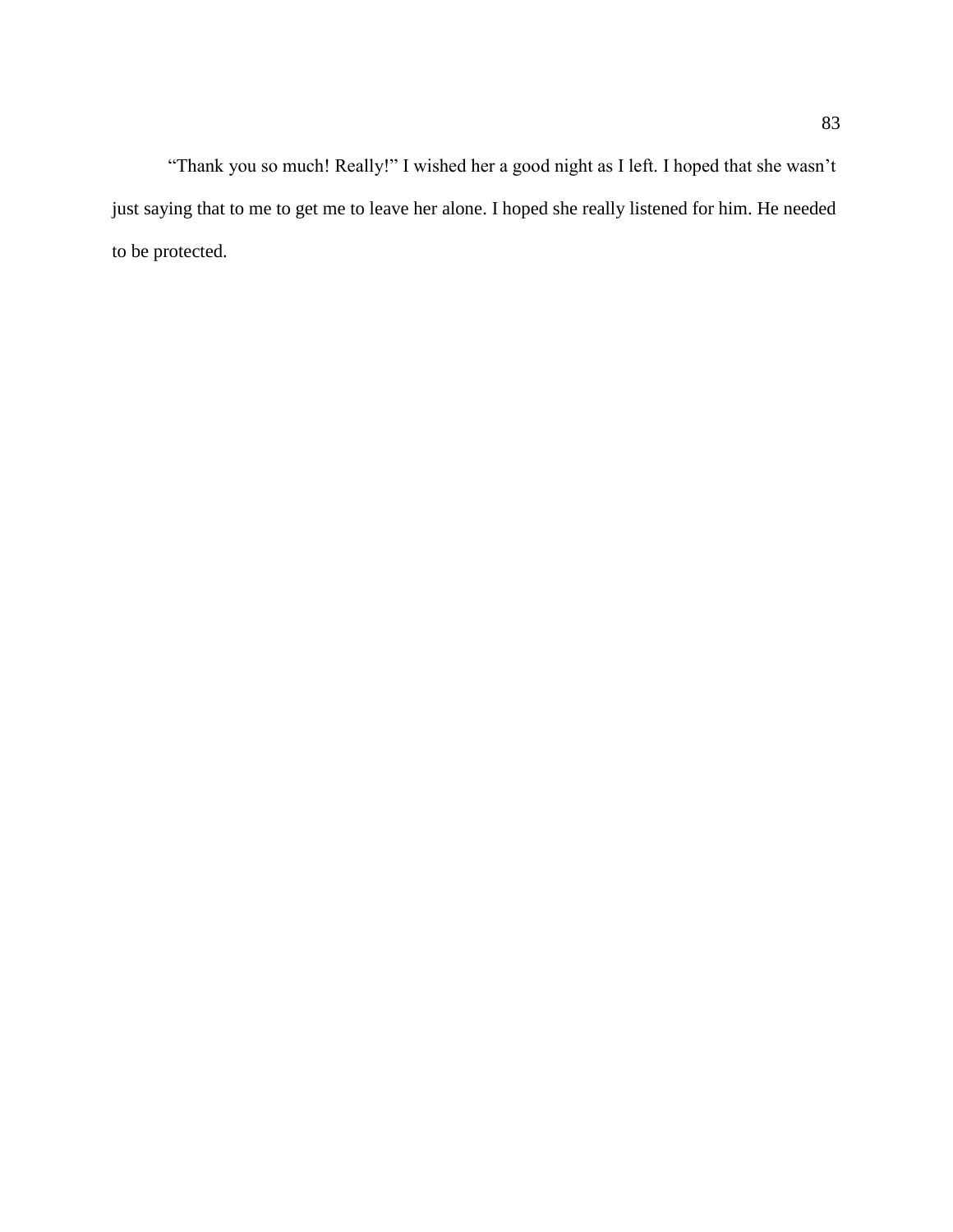"Thank you so much! Really!" I wished her a good night as I left. I hoped that she wasn't just saying that to me to get me to leave her alone. I hoped she really listened for him. He needed to be protected.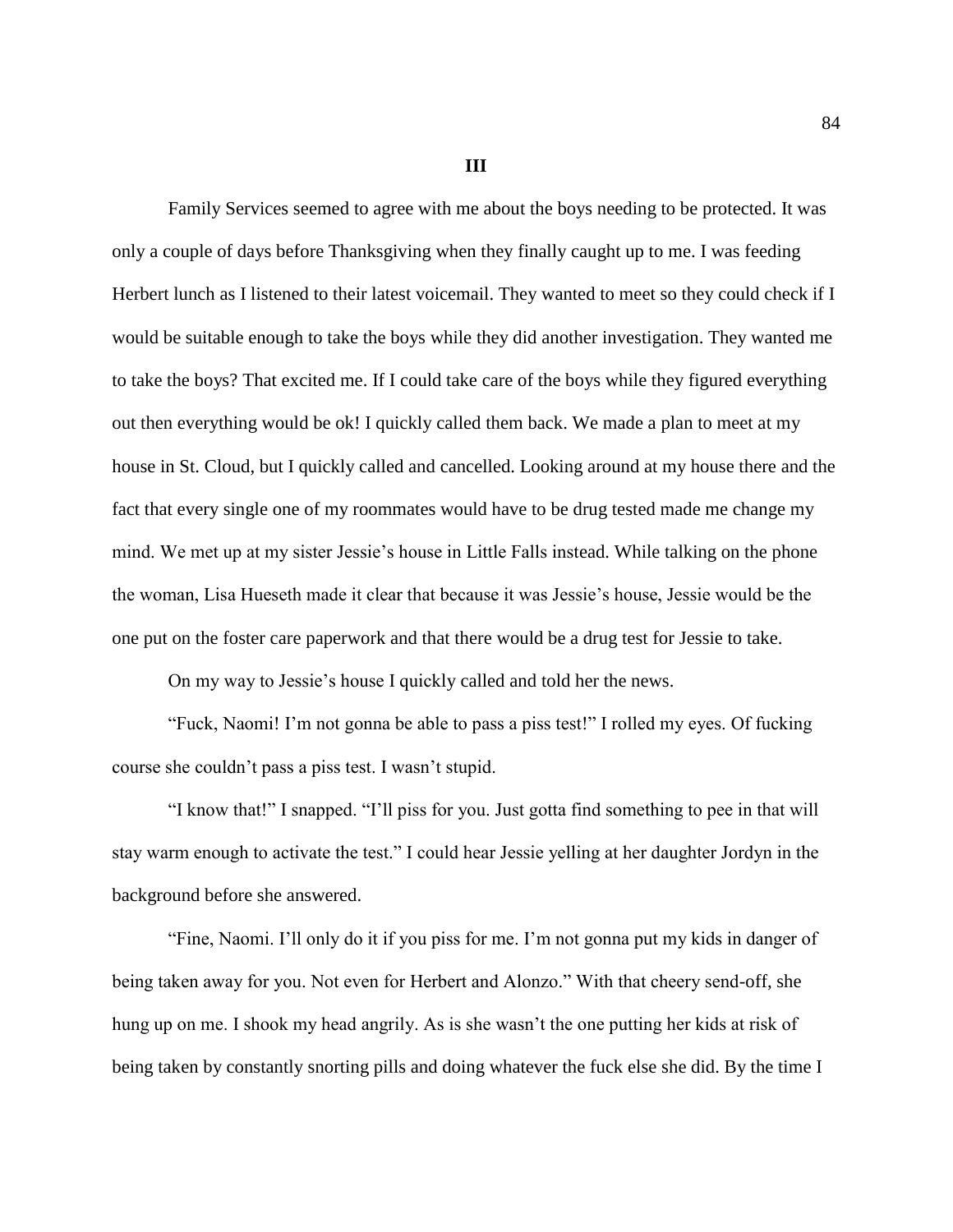**III**

Family Services seemed to agree with me about the boys needing to be protected. It was only a couple of days before Thanksgiving when they finally caught up to me. I was feeding Herbert lunch as I listened to their latest voicemail. They wanted to meet so they could check if I would be suitable enough to take the boys while they did another investigation. They wanted me to take the boys? That excited me. If I could take care of the boys while they figured everything out then everything would be ok! I quickly called them back. We made a plan to meet at my house in St. Cloud, but I quickly called and cancelled. Looking around at my house there and the fact that every single one of my roommates would have to be drug tested made me change my mind. We met up at my sister Jessie's house in Little Falls instead. While talking on the phone the woman, Lisa Hueseth made it clear that because it was Jessie's house, Jessie would be the one put on the foster care paperwork and that there would be a drug test for Jessie to take.

On my way to Jessie's house I quickly called and told her the news.

"Fuck, Naomi! I'm not gonna be able to pass a piss test!" I rolled my eyes. Of fucking course she couldn't pass a piss test. I wasn't stupid.

"I know that!" I snapped. "I'll piss for you. Just gotta find something to pee in that will stay warm enough to activate the test." I could hear Jessie yelling at her daughter Jordyn in the background before she answered.

"Fine, Naomi. I'll only do it if you piss for me. I'm not gonna put my kids in danger of being taken away for you. Not even for Herbert and Alonzo." With that cheery send-off, she hung up on me. I shook my head angrily. As is she wasn't the one putting her kids at risk of being taken by constantly snorting pills and doing whatever the fuck else she did. By the time I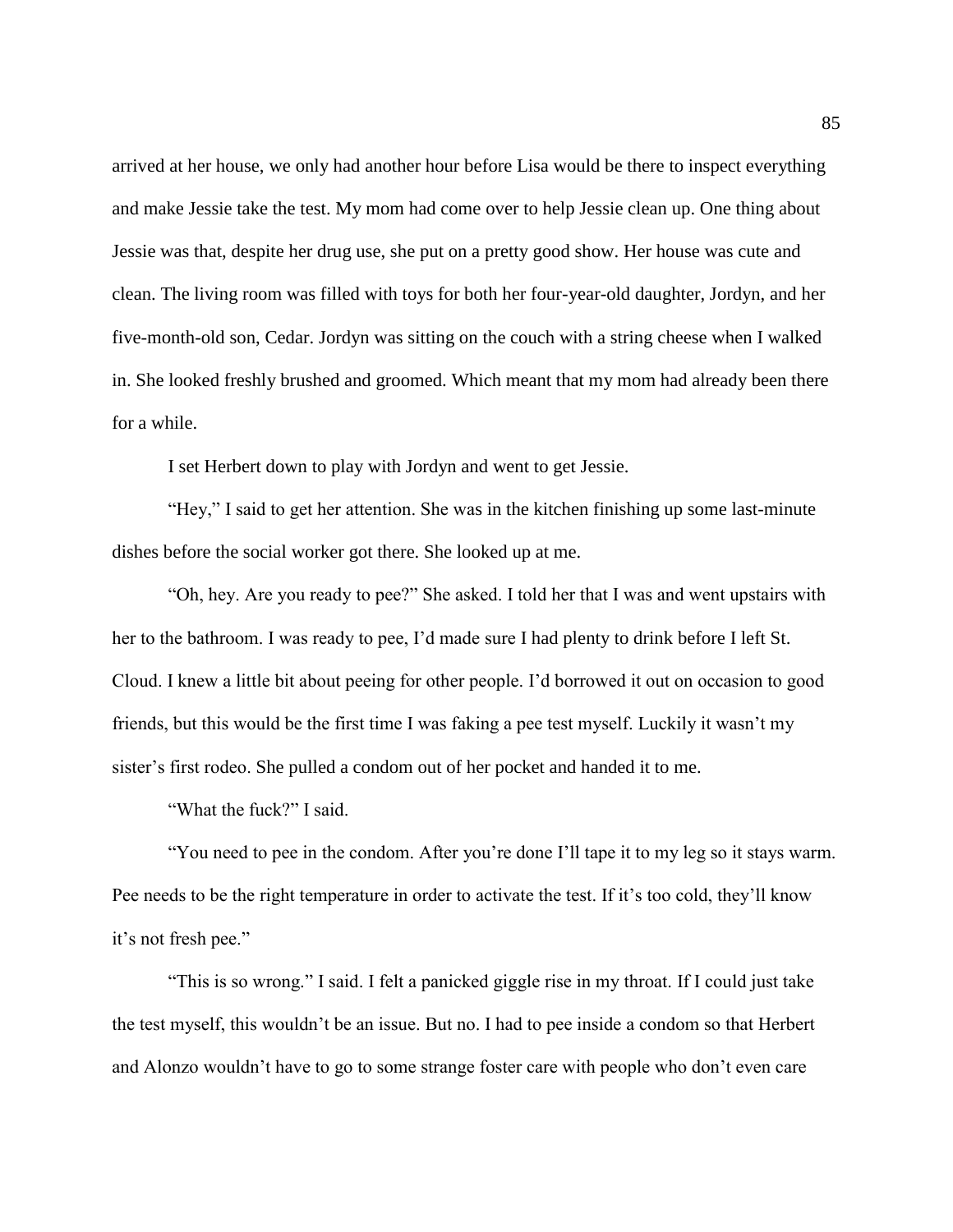arrived at her house, we only had another hour before Lisa would be there to inspect everything and make Jessie take the test. My mom had come over to help Jessie clean up. One thing about Jessie was that, despite her drug use, she put on a pretty good show. Her house was cute and clean. The living room was filled with toys for both her four-year-old daughter, Jordyn, and her five-month-old son, Cedar. Jordyn was sitting on the couch with a string cheese when I walked in. She looked freshly brushed and groomed. Which meant that my mom had already been there for a while.

I set Herbert down to play with Jordyn and went to get Jessie.

"Hey," I said to get her attention. She was in the kitchen finishing up some last-minute dishes before the social worker got there. She looked up at me.

"Oh, hey. Are you ready to pee?" She asked. I told her that I was and went upstairs with her to the bathroom. I was ready to pee, I'd made sure I had plenty to drink before I left St. Cloud. I knew a little bit about peeing for other people. I'd borrowed it out on occasion to good friends, but this would be the first time I was faking a pee test myself. Luckily it wasn't my sister's first rodeo. She pulled a condom out of her pocket and handed it to me.

"What the fuck?" I said.

"You need to pee in the condom. After you're done I'll tape it to my leg so it stays warm. Pee needs to be the right temperature in order to activate the test. If it's too cold, they'll know it's not fresh pee."

"This is so wrong." I said. I felt a panicked giggle rise in my throat. If I could just take the test myself, this wouldn't be an issue. But no. I had to pee inside a condom so that Herbert and Alonzo wouldn't have to go to some strange foster care with people who don't even care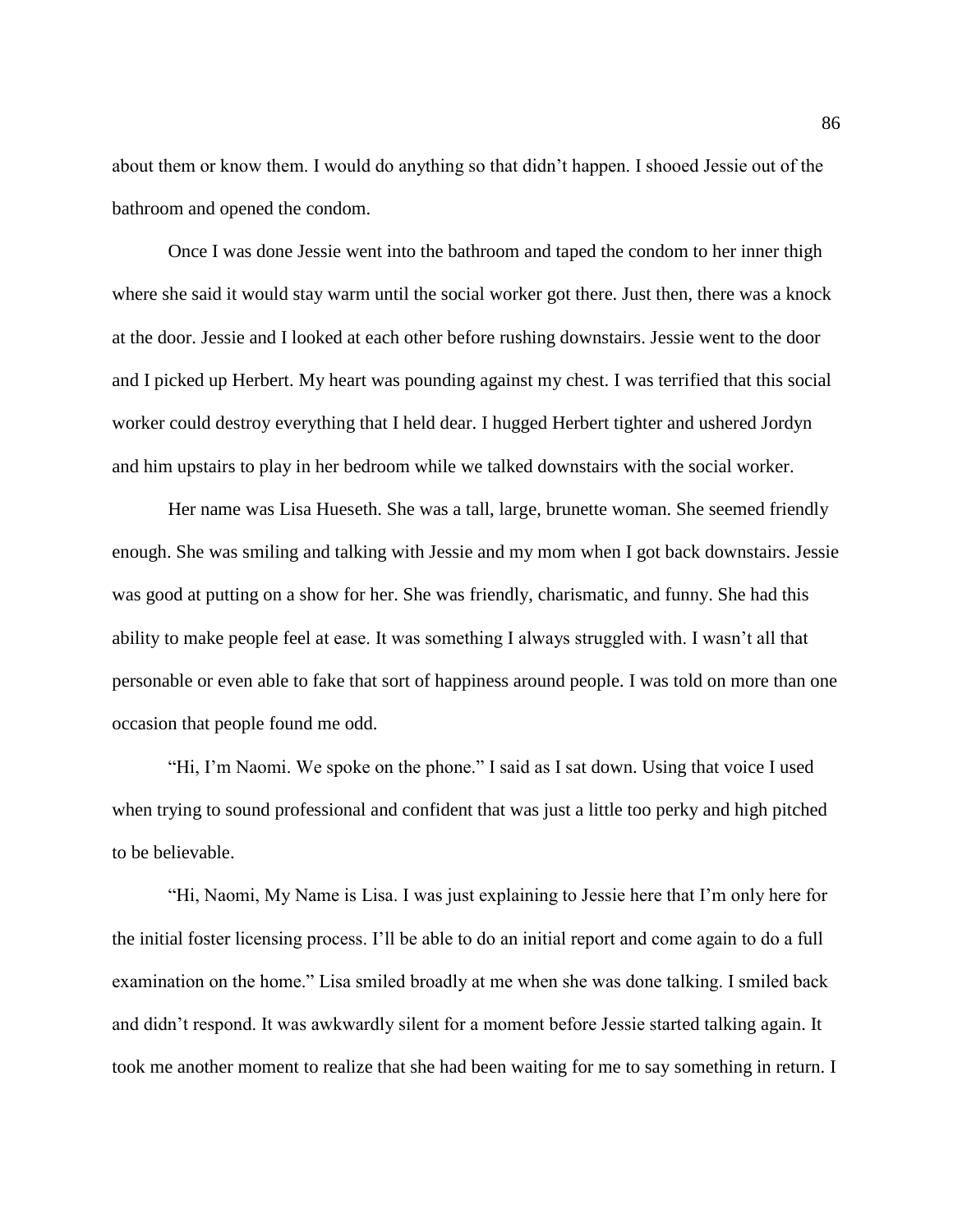about them or know them. I would do anything so that didn't happen. I shooed Jessie out of the bathroom and opened the condom.

Once I was done Jessie went into the bathroom and taped the condom to her inner thigh where she said it would stay warm until the social worker got there. Just then, there was a knock at the door. Jessie and I looked at each other before rushing downstairs. Jessie went to the door and I picked up Herbert. My heart was pounding against my chest. I was terrified that this social worker could destroy everything that I held dear. I hugged Herbert tighter and ushered Jordyn and him upstairs to play in her bedroom while we talked downstairs with the social worker.

Her name was Lisa Hueseth. She was a tall, large, brunette woman. She seemed friendly enough. She was smiling and talking with Jessie and my mom when I got back downstairs. Jessie was good at putting on a show for her. She was friendly, charismatic, and funny. She had this ability to make people feel at ease. It was something I always struggled with. I wasn't all that personable or even able to fake that sort of happiness around people. I was told on more than one occasion that people found me odd.

"Hi, I'm Naomi. We spoke on the phone." I said as I sat down. Using that voice I used when trying to sound professional and confident that was just a little too perky and high pitched to be believable.

"Hi, Naomi, My Name is Lisa. I was just explaining to Jessie here that I'm only here for the initial foster licensing process. I'll be able to do an initial report and come again to do a full examination on the home." Lisa smiled broadly at me when she was done talking. I smiled back and didn't respond. It was awkwardly silent for a moment before Jessie started talking again. It took me another moment to realize that she had been waiting for me to say something in return. I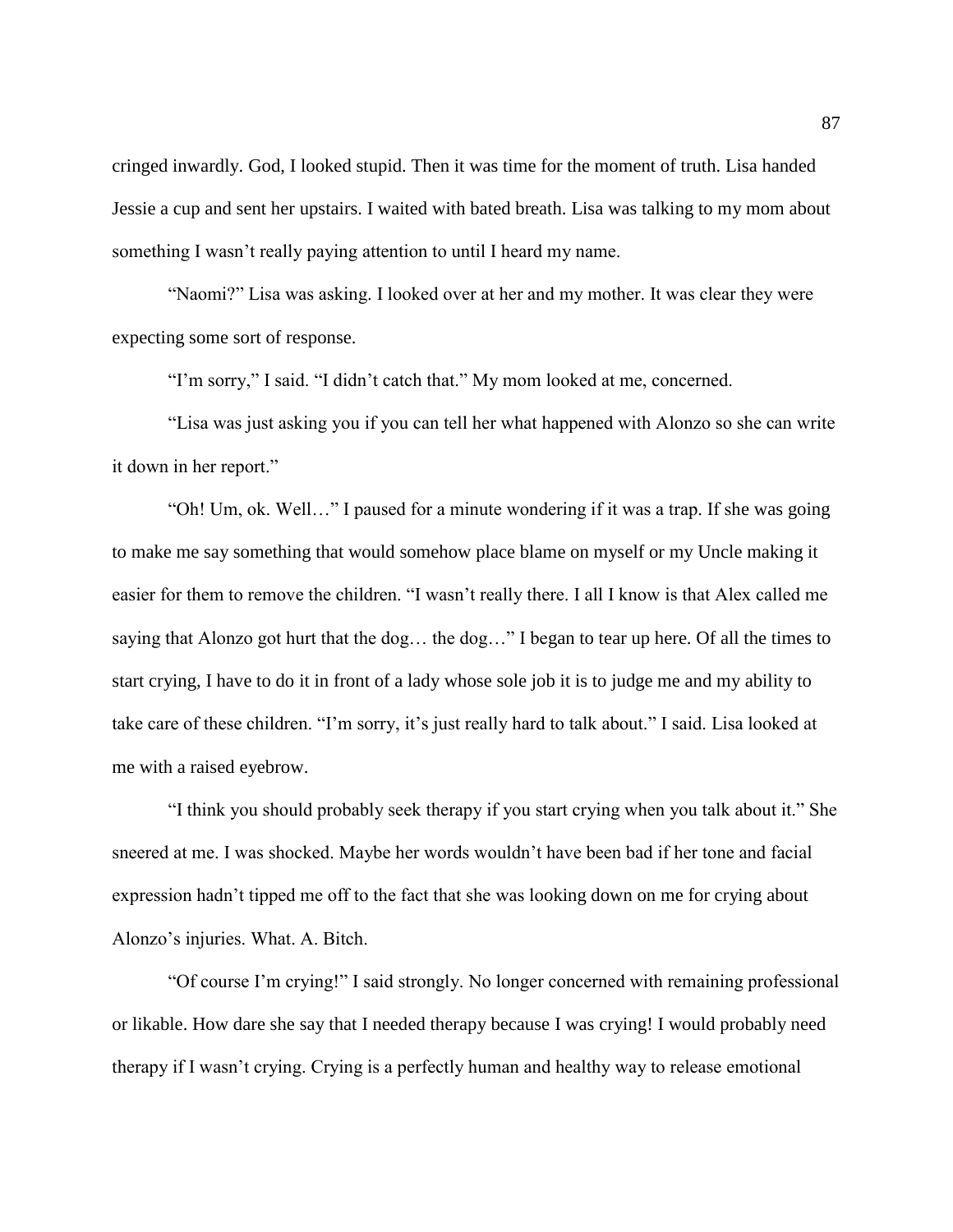cringed inwardly. God, I looked stupid. Then it was time for the moment of truth. Lisa handed Jessie a cup and sent her upstairs. I waited with bated breath. Lisa was talking to my mom about something I wasn't really paying attention to until I heard my name.

"Naomi?" Lisa was asking. I looked over at her and my mother. It was clear they were expecting some sort of response.

"I'm sorry," I said. "I didn't catch that." My mom looked at me, concerned.

"Lisa was just asking you if you can tell her what happened with Alonzo so she can write it down in her report."

"Oh! Um, ok. Well…" I paused for a minute wondering if it was a trap. If she was going to make me say something that would somehow place blame on myself or my Uncle making it easier for them to remove the children. "I wasn't really there. I all I know is that Alex called me saying that Alonzo got hurt that the dog… the dog…" I began to tear up here. Of all the times to start crying, I have to do it in front of a lady whose sole job it is to judge me and my ability to take care of these children. "I'm sorry, it's just really hard to talk about." I said. Lisa looked at me with a raised eyebrow.

"I think you should probably seek therapy if you start crying when you talk about it." She sneered at me. I was shocked. Maybe her words wouldn't have been bad if her tone and facial expression hadn't tipped me off to the fact that she was looking down on me for crying about Alonzo's injuries. What. A. Bitch.

"Of course I'm crying!" I said strongly. No longer concerned with remaining professional or likable. How dare she say that I needed therapy because I was crying! I would probably need therapy if I wasn't crying. Crying is a perfectly human and healthy way to release emotional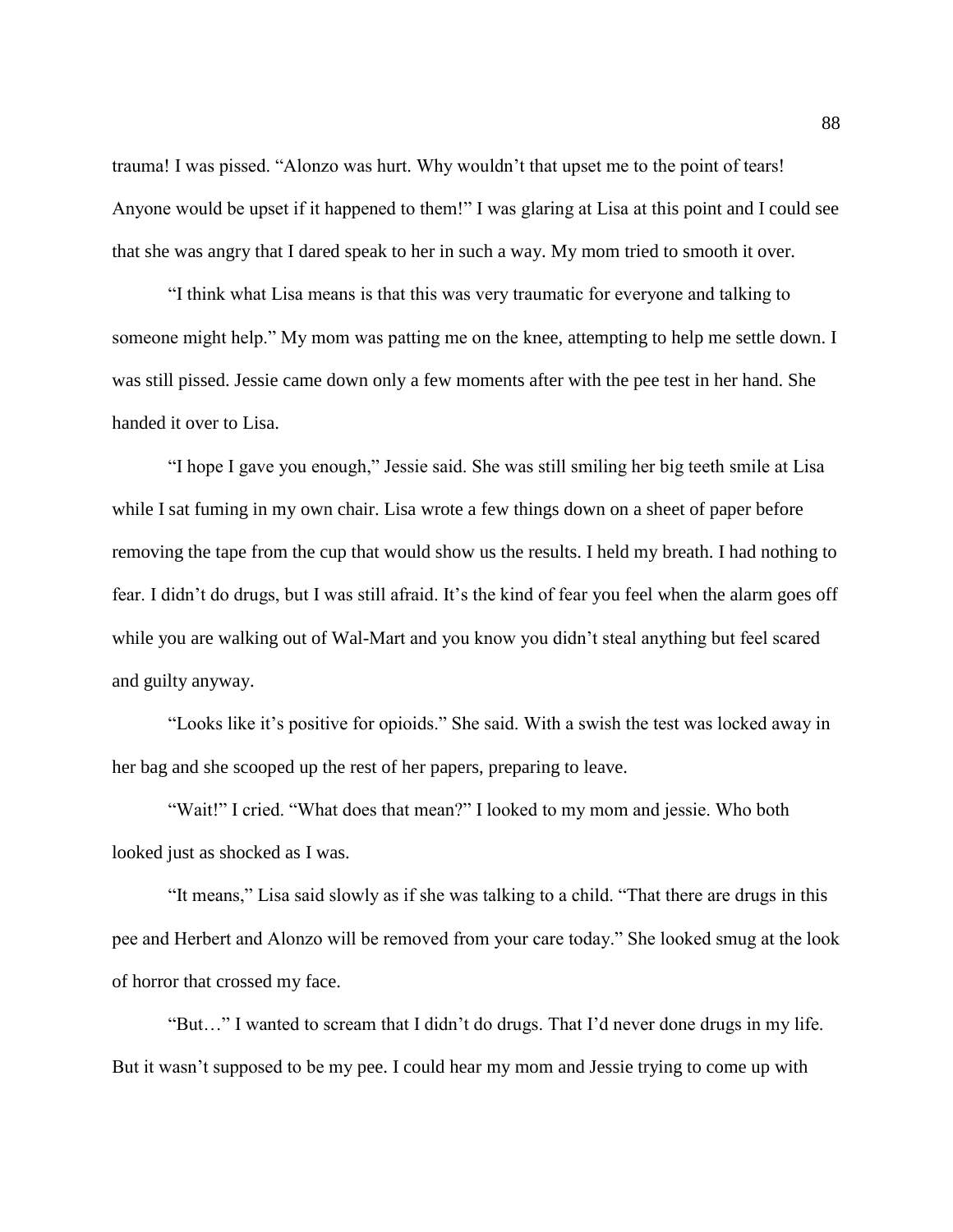trauma! I was pissed. "Alonzo was hurt. Why wouldn't that upset me to the point of tears! Anyone would be upset if it happened to them!" I was glaring at Lisa at this point and I could see that she was angry that I dared speak to her in such a way. My mom tried to smooth it over.

"I think what Lisa means is that this was very traumatic for everyone and talking to someone might help." My mom was patting me on the knee, attempting to help me settle down. I was still pissed. Jessie came down only a few moments after with the pee test in her hand. She handed it over to Lisa.

"I hope I gave you enough," Jessie said. She was still smiling her big teeth smile at Lisa while I sat fuming in my own chair. Lisa wrote a few things down on a sheet of paper before removing the tape from the cup that would show us the results. I held my breath. I had nothing to fear. I didn't do drugs, but I was still afraid. It's the kind of fear you feel when the alarm goes off while you are walking out of Wal-Mart and you know you didn't steal anything but feel scared and guilty anyway.

"Looks like it's positive for opioids." She said. With a swish the test was locked away in her bag and she scooped up the rest of her papers, preparing to leave.

"Wait!" I cried. "What does that mean?" I looked to my mom and jessie. Who both looked just as shocked as I was.

"It means," Lisa said slowly as if she was talking to a child. "That there are drugs in this pee and Herbert and Alonzo will be removed from your care today." She looked smug at the look of horror that crossed my face.

"But…" I wanted to scream that I didn't do drugs. That I'd never done drugs in my life. But it wasn't supposed to be my pee. I could hear my mom and Jessie trying to come up with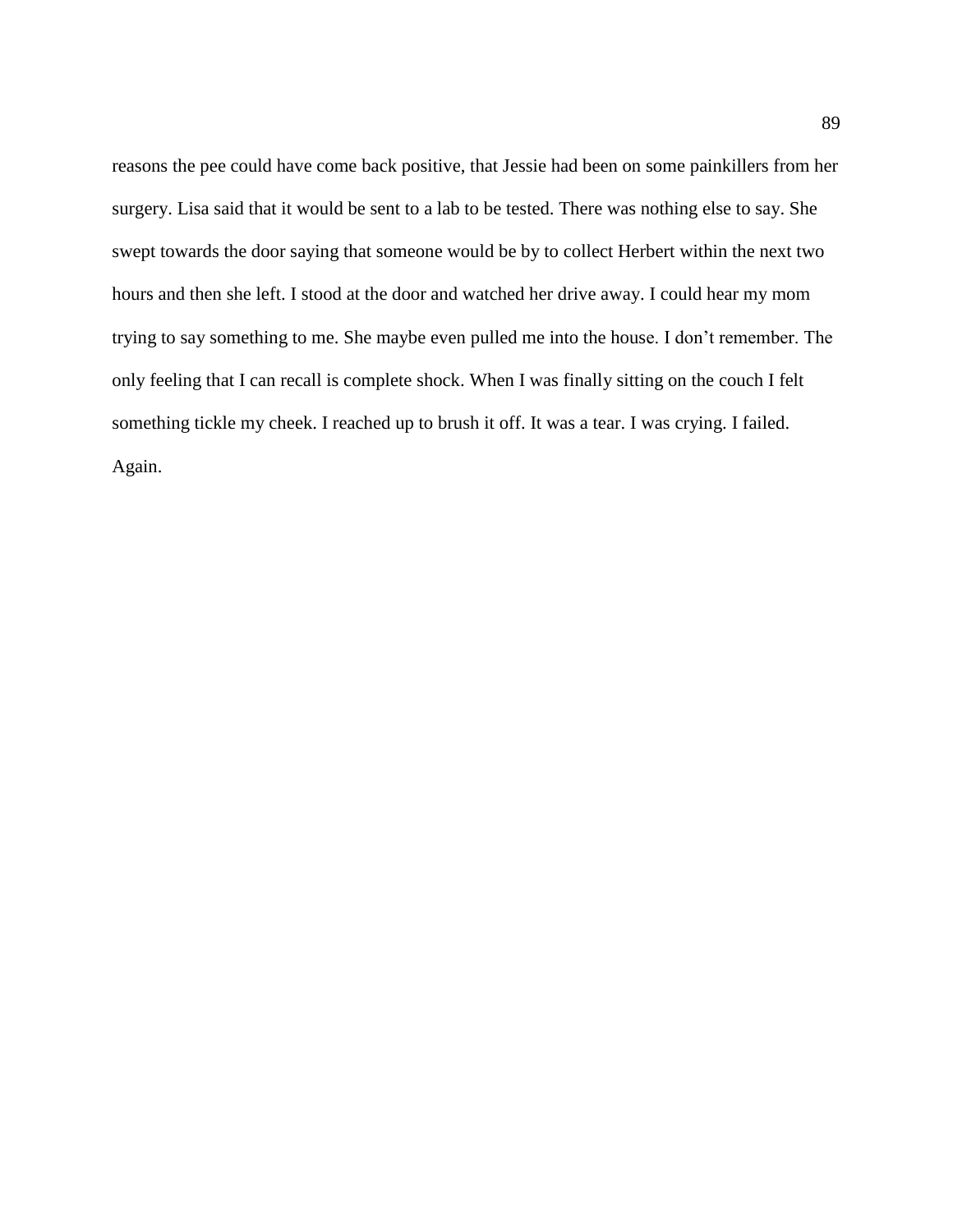reasons the pee could have come back positive, that Jessie had been on some painkillers from her surgery. Lisa said that it would be sent to a lab to be tested. There was nothing else to say. She swept towards the door saying that someone would be by to collect Herbert within the next two hours and then she left. I stood at the door and watched her drive away. I could hear my mom trying to say something to me. She maybe even pulled me into the house. I don't remember. The only feeling that I can recall is complete shock. When I was finally sitting on the couch I felt something tickle my cheek. I reached up to brush it off. It was a tear. I was crying. I failed. Again.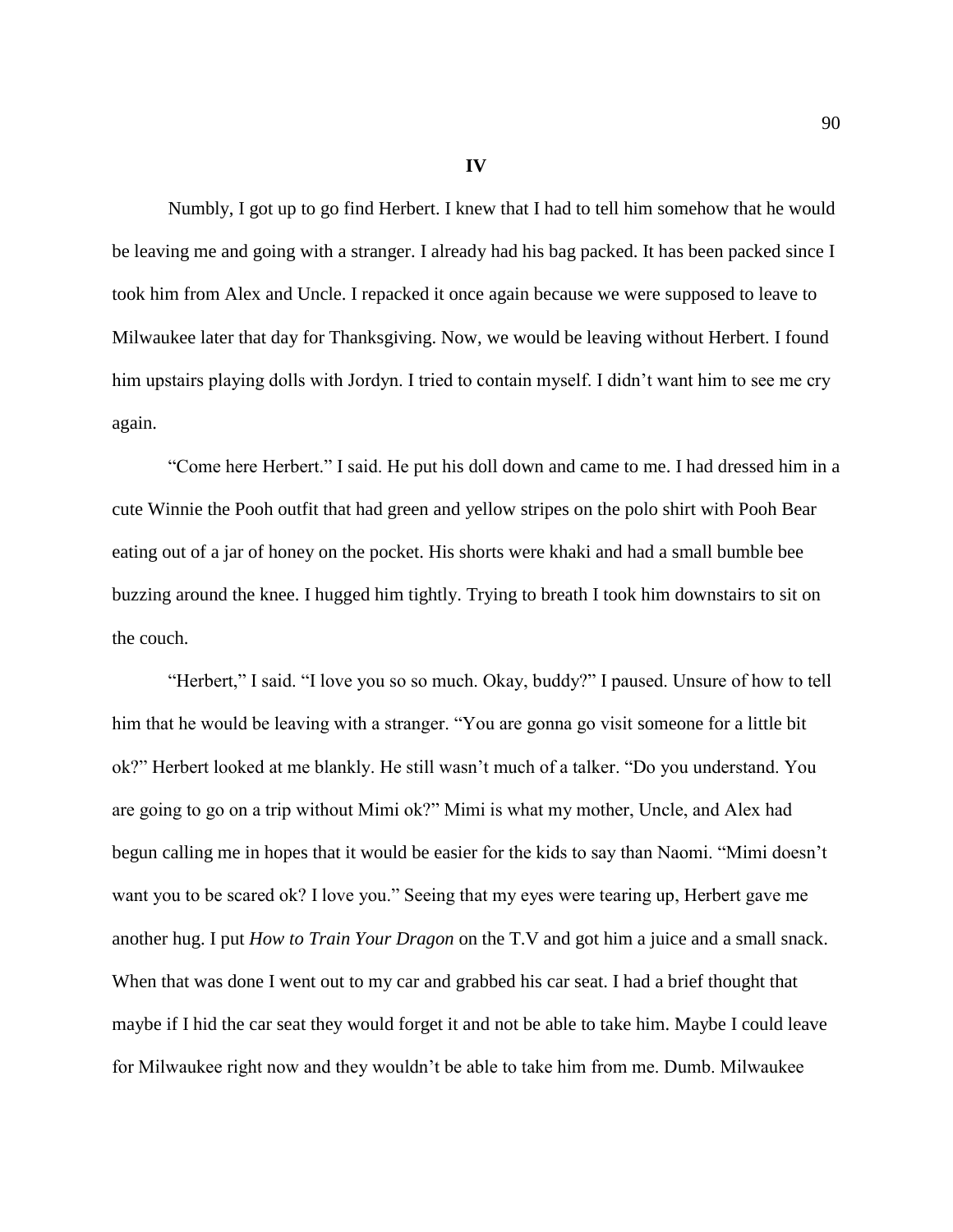## **IV**

Numbly, I got up to go find Herbert. I knew that I had to tell him somehow that he would be leaving me and going with a stranger. I already had his bag packed. It has been packed since I took him from Alex and Uncle. I repacked it once again because we were supposed to leave to Milwaukee later that day for Thanksgiving. Now, we would be leaving without Herbert. I found him upstairs playing dolls with Jordyn. I tried to contain myself. I didn't want him to see me cry again.

"Come here Herbert." I said. He put his doll down and came to me. I had dressed him in a cute Winnie the Pooh outfit that had green and yellow stripes on the polo shirt with Pooh Bear eating out of a jar of honey on the pocket. His shorts were khaki and had a small bumble bee buzzing around the knee. I hugged him tightly. Trying to breath I took him downstairs to sit on the couch.

"Herbert," I said. "I love you so so much. Okay, buddy?" I paused. Unsure of how to tell him that he would be leaving with a stranger. "You are gonna go visit someone for a little bit ok?" Herbert looked at me blankly. He still wasn't much of a talker. "Do you understand. You are going to go on a trip without Mimi ok?" Mimi is what my mother, Uncle, and Alex had begun calling me in hopes that it would be easier for the kids to say than Naomi. "Mimi doesn't want you to be scared ok? I love you." Seeing that my eyes were tearing up, Herbert gave me another hug. I put *How to Train Your Dragon* on the T.V and got him a juice and a small snack. When that was done I went out to my car and grabbed his car seat. I had a brief thought that maybe if I hid the car seat they would forget it and not be able to take him. Maybe I could leave for Milwaukee right now and they wouldn't be able to take him from me. Dumb. Milwaukee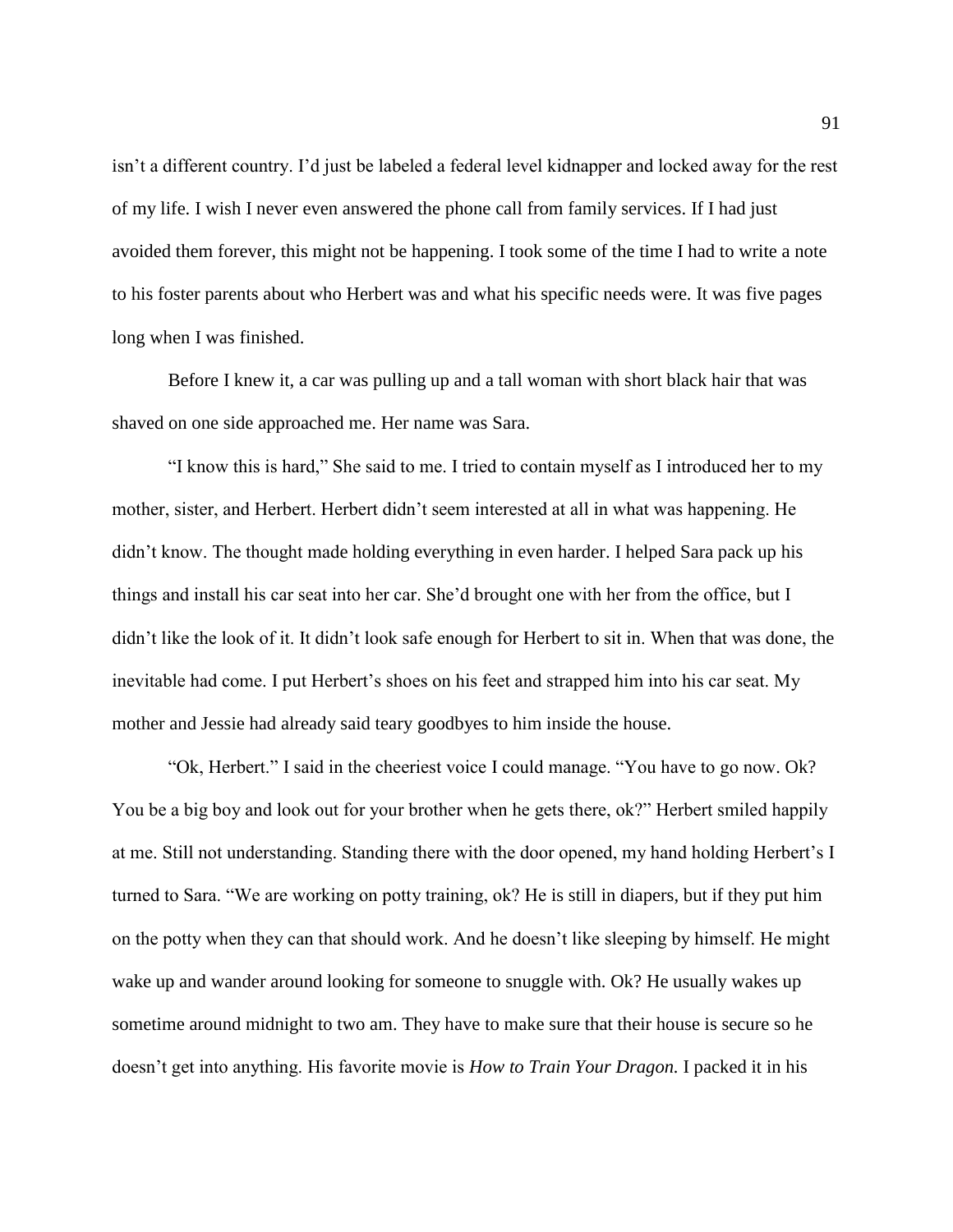isn't a different country. I'd just be labeled a federal level kidnapper and locked away for the rest of my life. I wish I never even answered the phone call from family services. If I had just avoided them forever, this might not be happening. I took some of the time I had to write a note to his foster parents about who Herbert was and what his specific needs were. It was five pages long when I was finished.

Before I knew it, a car was pulling up and a tall woman with short black hair that was shaved on one side approached me. Her name was Sara.

"I know this is hard," She said to me. I tried to contain myself as I introduced her to my mother, sister, and Herbert. Herbert didn't seem interested at all in what was happening. He didn't know. The thought made holding everything in even harder. I helped Sara pack up his things and install his car seat into her car. She'd brought one with her from the office, but I didn't like the look of it. It didn't look safe enough for Herbert to sit in. When that was done, the inevitable had come. I put Herbert's shoes on his feet and strapped him into his car seat. My mother and Jessie had already said teary goodbyes to him inside the house.

"Ok, Herbert." I said in the cheeriest voice I could manage. "You have to go now. Ok? You be a big boy and look out for your brother when he gets there, ok?" Herbert smiled happily at me. Still not understanding. Standing there with the door opened, my hand holding Herbert's I turned to Sara. "We are working on potty training, ok? He is still in diapers, but if they put him on the potty when they can that should work. And he doesn't like sleeping by himself. He might wake up and wander around looking for someone to snuggle with. Ok? He usually wakes up sometime around midnight to two am. They have to make sure that their house is secure so he doesn't get into anything. His favorite movie is *How to Train Your Dragon.* I packed it in his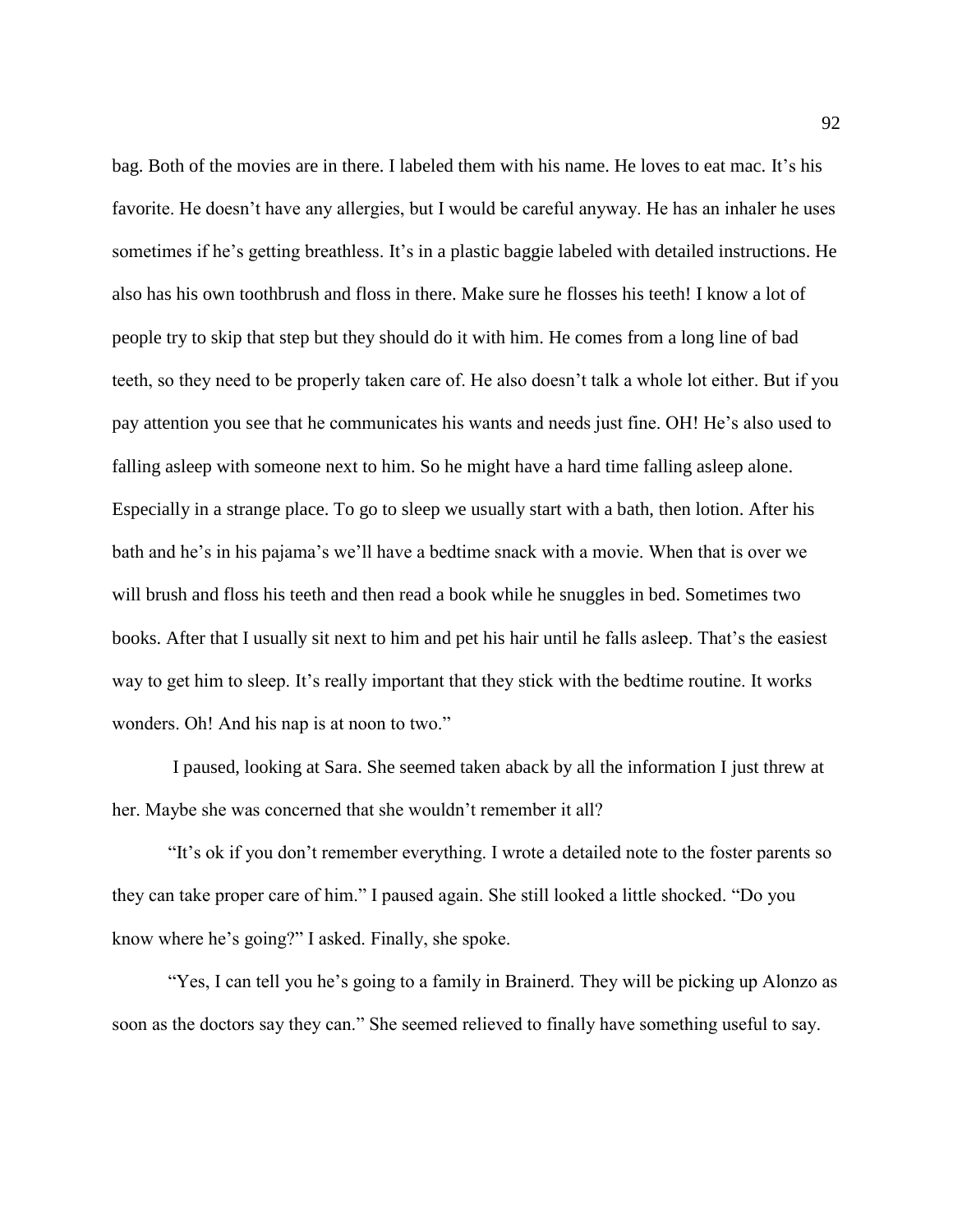bag. Both of the movies are in there. I labeled them with his name. He loves to eat mac. It's his favorite. He doesn't have any allergies, but I would be careful anyway. He has an inhaler he uses sometimes if he's getting breathless. It's in a plastic baggie labeled with detailed instructions. He also has his own toothbrush and floss in there. Make sure he flosses his teeth! I know a lot of people try to skip that step but they should do it with him. He comes from a long line of bad teeth, so they need to be properly taken care of. He also doesn't talk a whole lot either. But if you pay attention you see that he communicates his wants and needs just fine. OH! He's also used to falling asleep with someone next to him. So he might have a hard time falling asleep alone. Especially in a strange place. To go to sleep we usually start with a bath, then lotion. After his bath and he's in his pajama's we'll have a bedtime snack with a movie. When that is over we will brush and floss his teeth and then read a book while he snuggles in bed. Sometimes two books. After that I usually sit next to him and pet his hair until he falls asleep. That's the easiest way to get him to sleep. It's really important that they stick with the bedtime routine. It works wonders. Oh! And his nap is at noon to two."

I paused, looking at Sara. She seemed taken aback by all the information I just threw at her. Maybe she was concerned that she wouldn't remember it all?

"It's ok if you don't remember everything. I wrote a detailed note to the foster parents so they can take proper care of him." I paused again. She still looked a little shocked. "Do you know where he's going?" I asked. Finally, she spoke.

"Yes, I can tell you he's going to a family in Brainerd. They will be picking up Alonzo as soon as the doctors say they can." She seemed relieved to finally have something useful to say.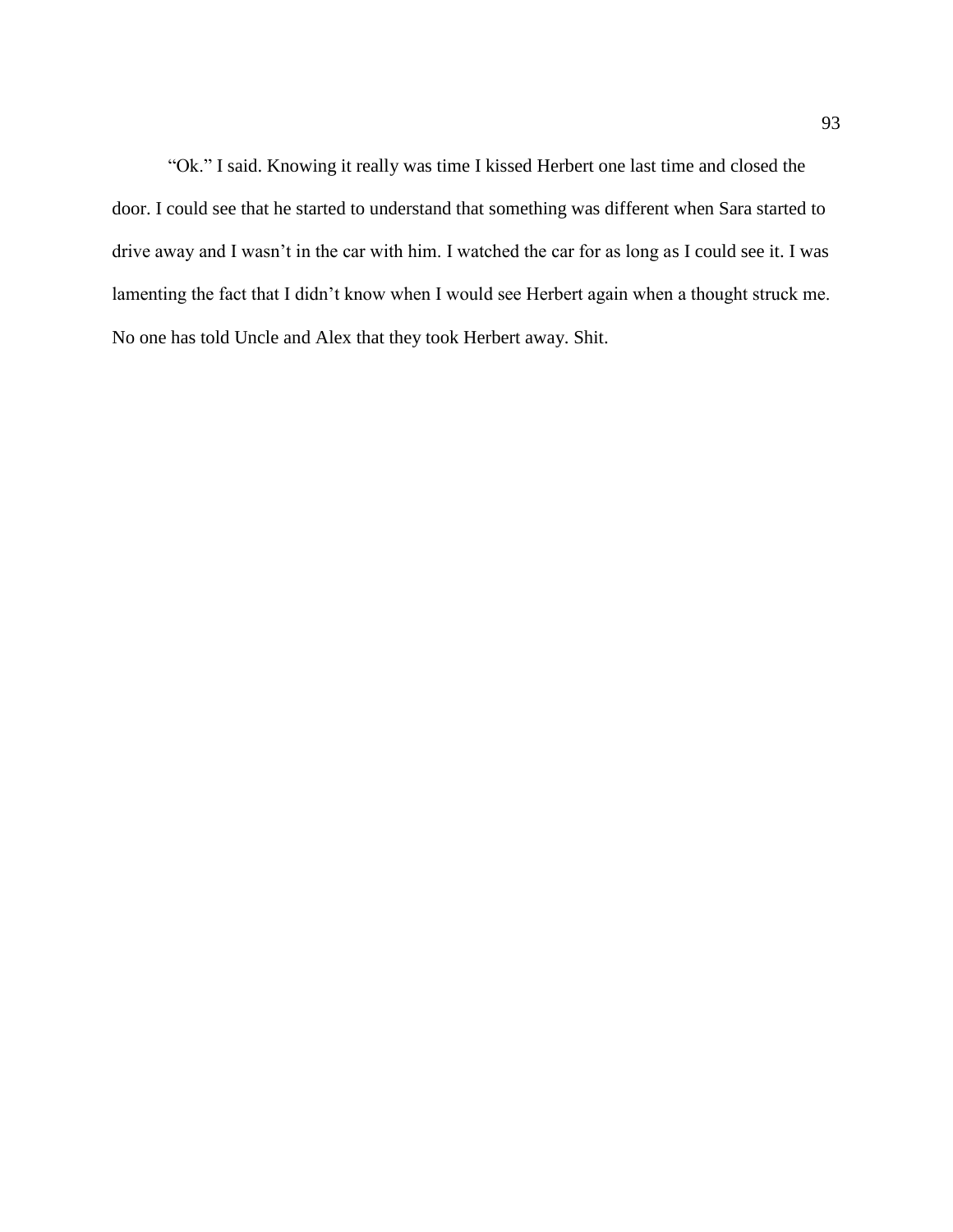"Ok." I said. Knowing it really was time I kissed Herbert one last time and closed the door. I could see that he started to understand that something was different when Sara started to drive away and I wasn't in the car with him. I watched the car for as long as I could see it. I was lamenting the fact that I didn't know when I would see Herbert again when a thought struck me. No one has told Uncle and Alex that they took Herbert away. Shit.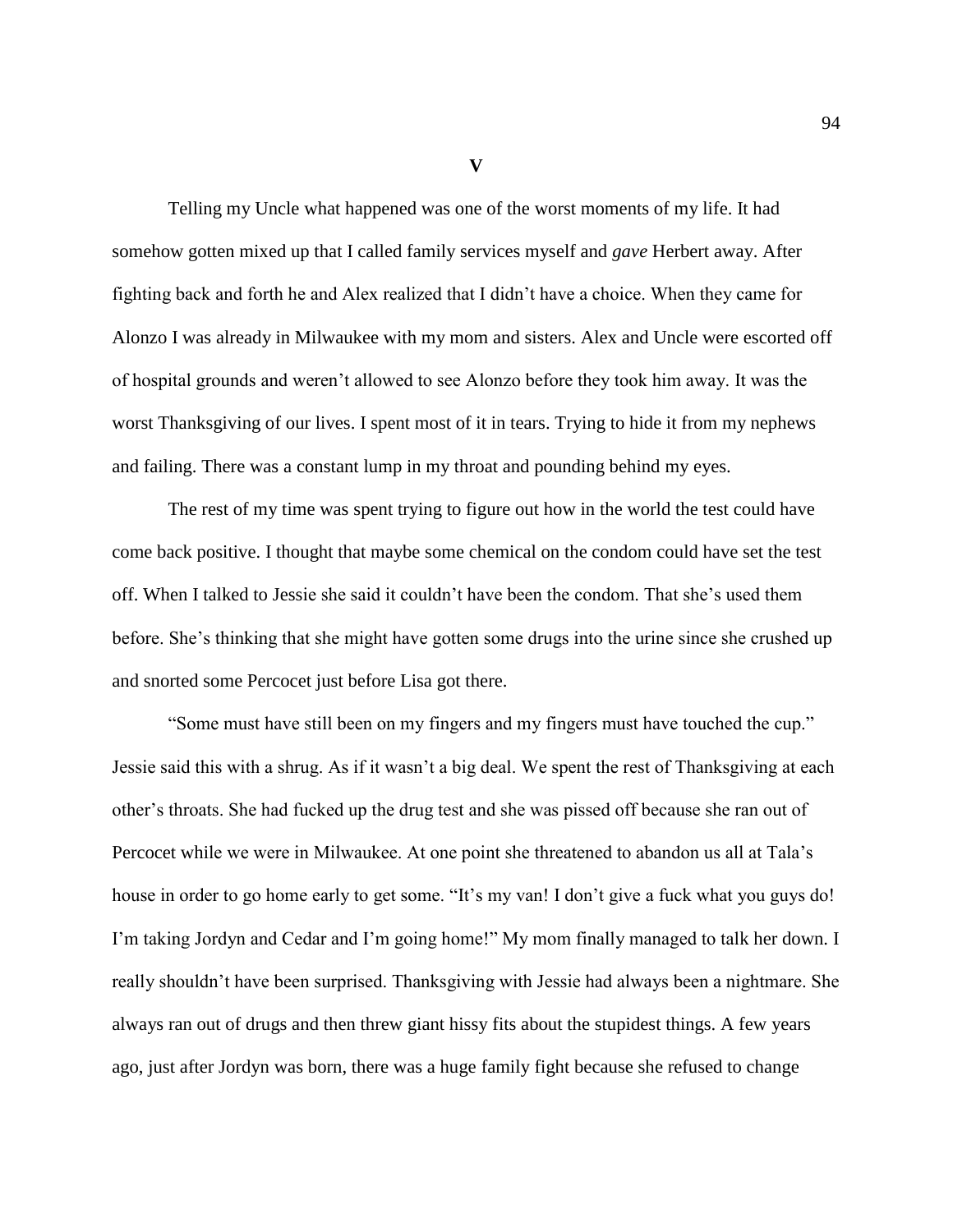**V**

Telling my Uncle what happened was one of the worst moments of my life. It had somehow gotten mixed up that I called family services myself and *gave* Herbert away. After fighting back and forth he and Alex realized that I didn't have a choice. When they came for Alonzo I was already in Milwaukee with my mom and sisters. Alex and Uncle were escorted off of hospital grounds and weren't allowed to see Alonzo before they took him away. It was the worst Thanksgiving of our lives. I spent most of it in tears. Trying to hide it from my nephews and failing. There was a constant lump in my throat and pounding behind my eyes.

The rest of my time was spent trying to figure out how in the world the test could have come back positive. I thought that maybe some chemical on the condom could have set the test off. When I talked to Jessie she said it couldn't have been the condom. That she's used them before. She's thinking that she might have gotten some drugs into the urine since she crushed up and snorted some Percocet just before Lisa got there.

"Some must have still been on my fingers and my fingers must have touched the cup." Jessie said this with a shrug. As if it wasn't a big deal. We spent the rest of Thanksgiving at each other's throats. She had fucked up the drug test and she was pissed off because she ran out of Percocet while we were in Milwaukee. At one point she threatened to abandon us all at Tala's house in order to go home early to get some. "It's my van! I don't give a fuck what you guys do! I'm taking Jordyn and Cedar and I'm going home!" My mom finally managed to talk her down. I really shouldn't have been surprised. Thanksgiving with Jessie had always been a nightmare. She always ran out of drugs and then threw giant hissy fits about the stupidest things. A few years ago, just after Jordyn was born, there was a huge family fight because she refused to change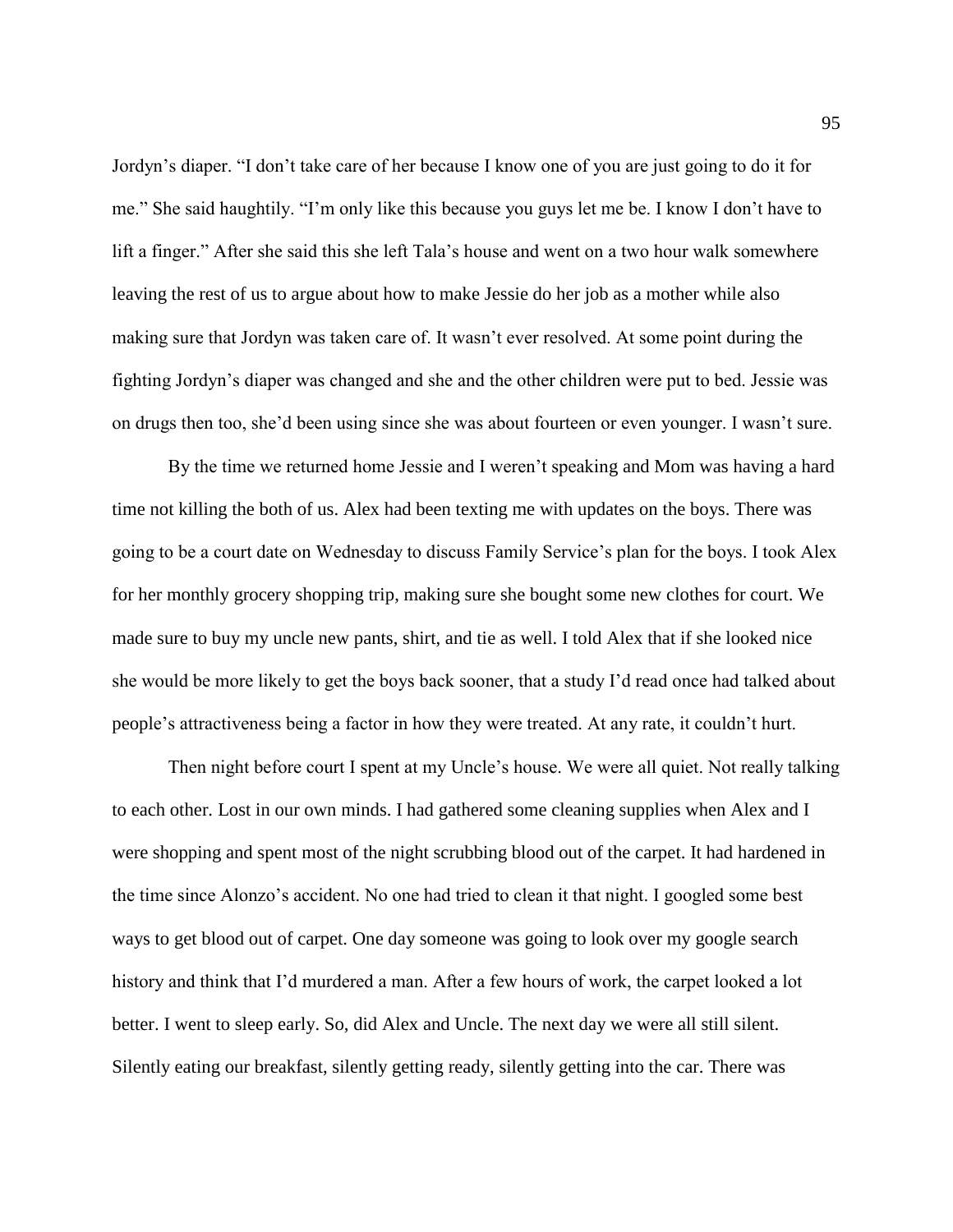Jordyn's diaper. "I don't take care of her because I know one of you are just going to do it for me." She said haughtily. "I'm only like this because you guys let me be. I know I don't have to lift a finger." After she said this she left Tala's house and went on a two hour walk somewhere leaving the rest of us to argue about how to make Jessie do her job as a mother while also making sure that Jordyn was taken care of. It wasn't ever resolved. At some point during the fighting Jordyn's diaper was changed and she and the other children were put to bed. Jessie was on drugs then too, she'd been using since she was about fourteen or even younger. I wasn't sure.

By the time we returned home Jessie and I weren't speaking and Mom was having a hard time not killing the both of us. Alex had been texting me with updates on the boys. There was going to be a court date on Wednesday to discuss Family Service's plan for the boys. I took Alex for her monthly grocery shopping trip, making sure she bought some new clothes for court. We made sure to buy my uncle new pants, shirt, and tie as well. I told Alex that if she looked nice she would be more likely to get the boys back sooner, that a study I'd read once had talked about people's attractiveness being a factor in how they were treated. At any rate, it couldn't hurt.

Then night before court I spent at my Uncle's house. We were all quiet. Not really talking to each other. Lost in our own minds. I had gathered some cleaning supplies when Alex and I were shopping and spent most of the night scrubbing blood out of the carpet. It had hardened in the time since Alonzo's accident. No one had tried to clean it that night. I googled some best ways to get blood out of carpet. One day someone was going to look over my google search history and think that I'd murdered a man. After a few hours of work, the carpet looked a lot better. I went to sleep early. So, did Alex and Uncle. The next day we were all still silent. Silently eating our breakfast, silently getting ready, silently getting into the car. There was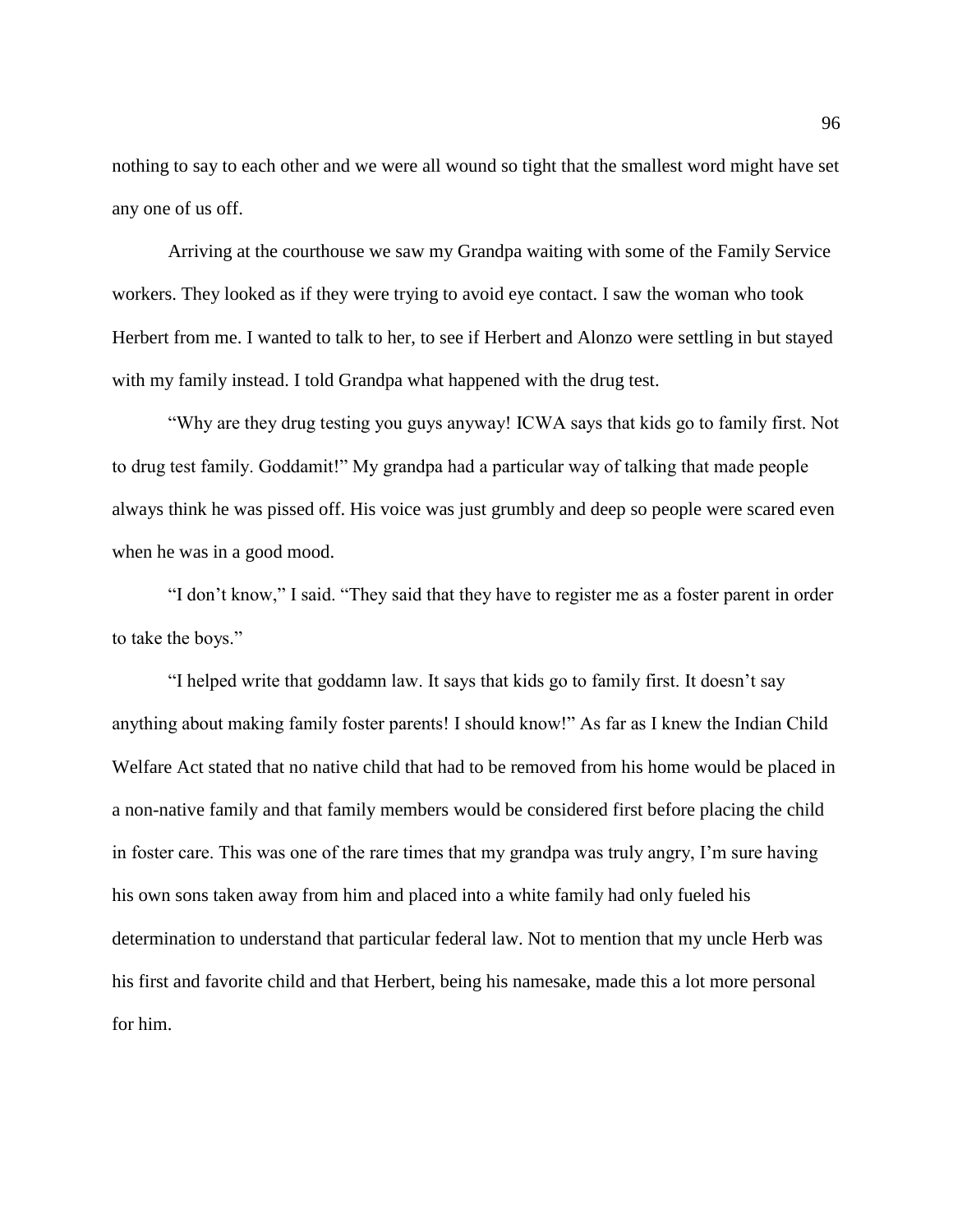nothing to say to each other and we were all wound so tight that the smallest word might have set any one of us off.

Arriving at the courthouse we saw my Grandpa waiting with some of the Family Service workers. They looked as if they were trying to avoid eye contact. I saw the woman who took Herbert from me. I wanted to talk to her, to see if Herbert and Alonzo were settling in but stayed with my family instead. I told Grandpa what happened with the drug test.

"Why are they drug testing you guys anyway! ICWA says that kids go to family first. Not to drug test family. Goddamit!" My grandpa had a particular way of talking that made people always think he was pissed off. His voice was just grumbly and deep so people were scared even when he was in a good mood.

"I don't know," I said. "They said that they have to register me as a foster parent in order to take the boys."

"I helped write that goddamn law. It says that kids go to family first. It doesn't say anything about making family foster parents! I should know!" As far as I knew the Indian Child Welfare Act stated that no native child that had to be removed from his home would be placed in a non-native family and that family members would be considered first before placing the child in foster care. This was one of the rare times that my grandpa was truly angry, I'm sure having his own sons taken away from him and placed into a white family had only fueled his determination to understand that particular federal law. Not to mention that my uncle Herb was his first and favorite child and that Herbert, being his namesake, made this a lot more personal for him.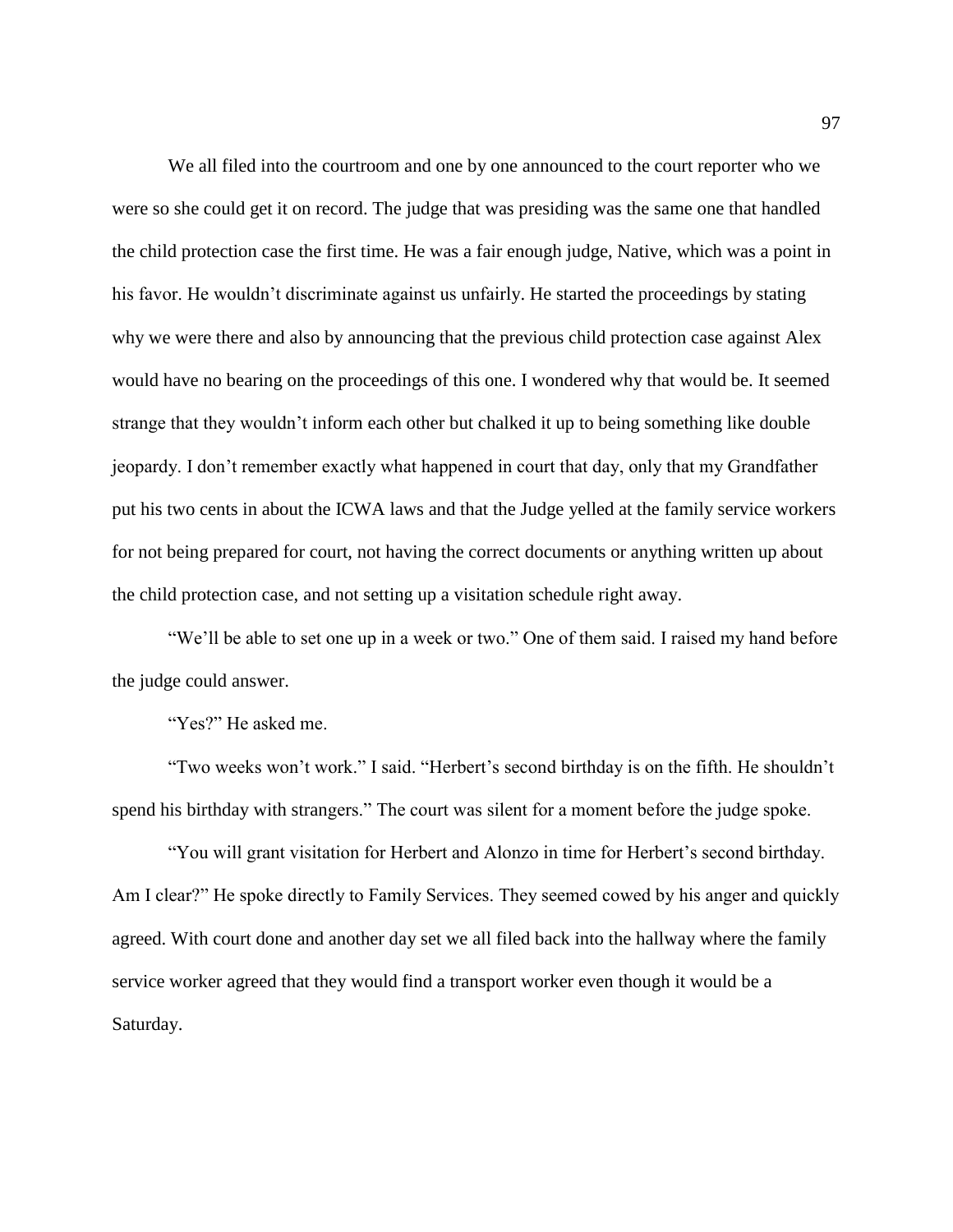We all filed into the courtroom and one by one announced to the court reporter who we were so she could get it on record. The judge that was presiding was the same one that handled the child protection case the first time. He was a fair enough judge, Native, which was a point in his favor. He wouldn't discriminate against us unfairly. He started the proceedings by stating why we were there and also by announcing that the previous child protection case against Alex would have no bearing on the proceedings of this one. I wondered why that would be. It seemed strange that they wouldn't inform each other but chalked it up to being something like double jeopardy. I don't remember exactly what happened in court that day, only that my Grandfather put his two cents in about the ICWA laws and that the Judge yelled at the family service workers for not being prepared for court, not having the correct documents or anything written up about the child protection case, and not setting up a visitation schedule right away.

"We'll be able to set one up in a week or two." One of them said. I raised my hand before the judge could answer.

"Yes?" He asked me.

"Two weeks won't work." I said. "Herbert's second birthday is on the fifth. He shouldn't spend his birthday with strangers." The court was silent for a moment before the judge spoke.

"You will grant visitation for Herbert and Alonzo in time for Herbert's second birthday. Am I clear?" He spoke directly to Family Services. They seemed cowed by his anger and quickly agreed. With court done and another day set we all filed back into the hallway where the family service worker agreed that they would find a transport worker even though it would be a Saturday.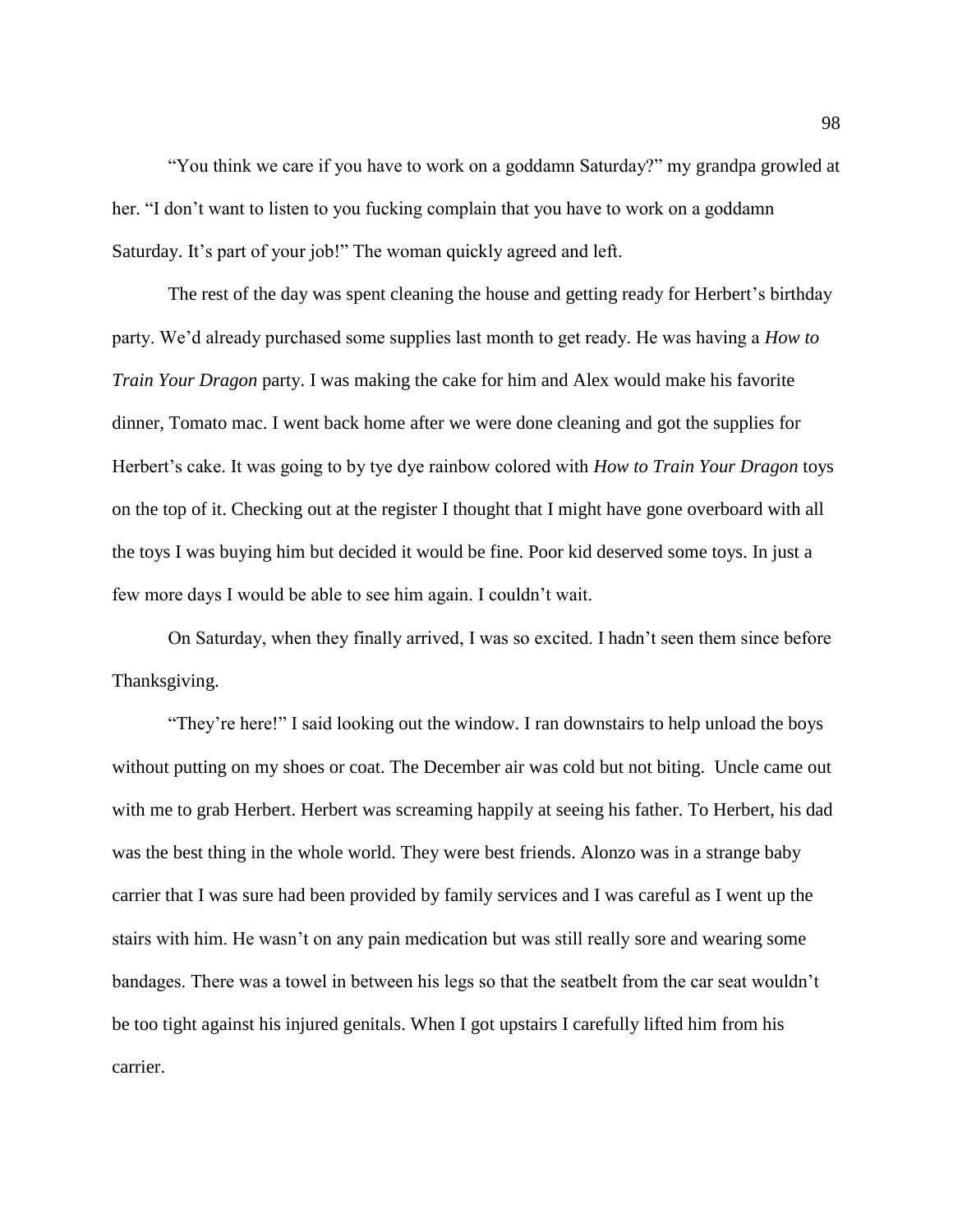"You think we care if you have to work on a goddamn Saturday?" my grandpa growled at her. "I don't want to listen to you fucking complain that you have to work on a goddamn Saturday. It's part of your job!" The woman quickly agreed and left.

The rest of the day was spent cleaning the house and getting ready for Herbert's birthday party. We'd already purchased some supplies last month to get ready. He was having a *How to Train Your Dragon* party. I was making the cake for him and Alex would make his favorite dinner, Tomato mac. I went back home after we were done cleaning and got the supplies for Herbert's cake. It was going to by tye dye rainbow colored with *How to Train Your Dragon* toys on the top of it. Checking out at the register I thought that I might have gone overboard with all the toys I was buying him but decided it would be fine. Poor kid deserved some toys. In just a few more days I would be able to see him again. I couldn't wait.

On Saturday, when they finally arrived, I was so excited. I hadn't seen them since before Thanksgiving.

"They're here!" I said looking out the window. I ran downstairs to help unload the boys without putting on my shoes or coat. The December air was cold but not biting. Uncle came out with me to grab Herbert. Herbert was screaming happily at seeing his father. To Herbert, his dad was the best thing in the whole world. They were best friends. Alonzo was in a strange baby carrier that I was sure had been provided by family services and I was careful as I went up the stairs with him. He wasn't on any pain medication but was still really sore and wearing some bandages. There was a towel in between his legs so that the seatbelt from the car seat wouldn't be too tight against his injured genitals. When I got upstairs I carefully lifted him from his carrier.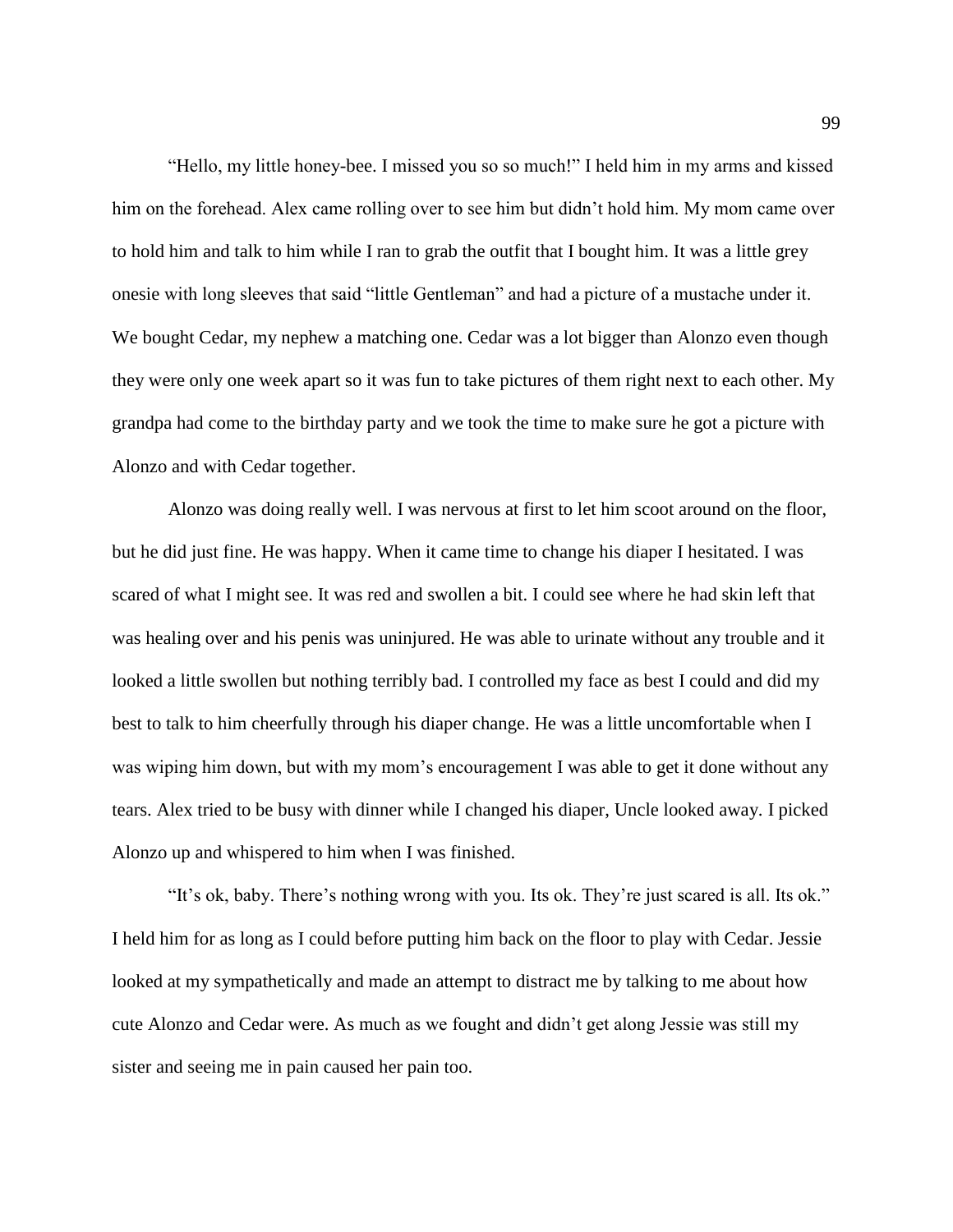"Hello, my little honey-bee. I missed you so so much!" I held him in my arms and kissed him on the forehead. Alex came rolling over to see him but didn't hold him. My mom came over to hold him and talk to him while I ran to grab the outfit that I bought him. It was a little grey onesie with long sleeves that said "little Gentleman" and had a picture of a mustache under it. We bought Cedar, my nephew a matching one. Cedar was a lot bigger than Alonzo even though they were only one week apart so it was fun to take pictures of them right next to each other. My grandpa had come to the birthday party and we took the time to make sure he got a picture with Alonzo and with Cedar together.

Alonzo was doing really well. I was nervous at first to let him scoot around on the floor, but he did just fine. He was happy. When it came time to change his diaper I hesitated. I was scared of what I might see. It was red and swollen a bit. I could see where he had skin left that was healing over and his penis was uninjured. He was able to urinate without any trouble and it looked a little swollen but nothing terribly bad. I controlled my face as best I could and did my best to talk to him cheerfully through his diaper change. He was a little uncomfortable when I was wiping him down, but with my mom's encouragement I was able to get it done without any tears. Alex tried to be busy with dinner while I changed his diaper, Uncle looked away. I picked Alonzo up and whispered to him when I was finished.

"It's ok, baby. There's nothing wrong with you. Its ok. They're just scared is all. Its ok." I held him for as long as I could before putting him back on the floor to play with Cedar. Jessie looked at my sympathetically and made an attempt to distract me by talking to me about how cute Alonzo and Cedar were. As much as we fought and didn't get along Jessie was still my sister and seeing me in pain caused her pain too.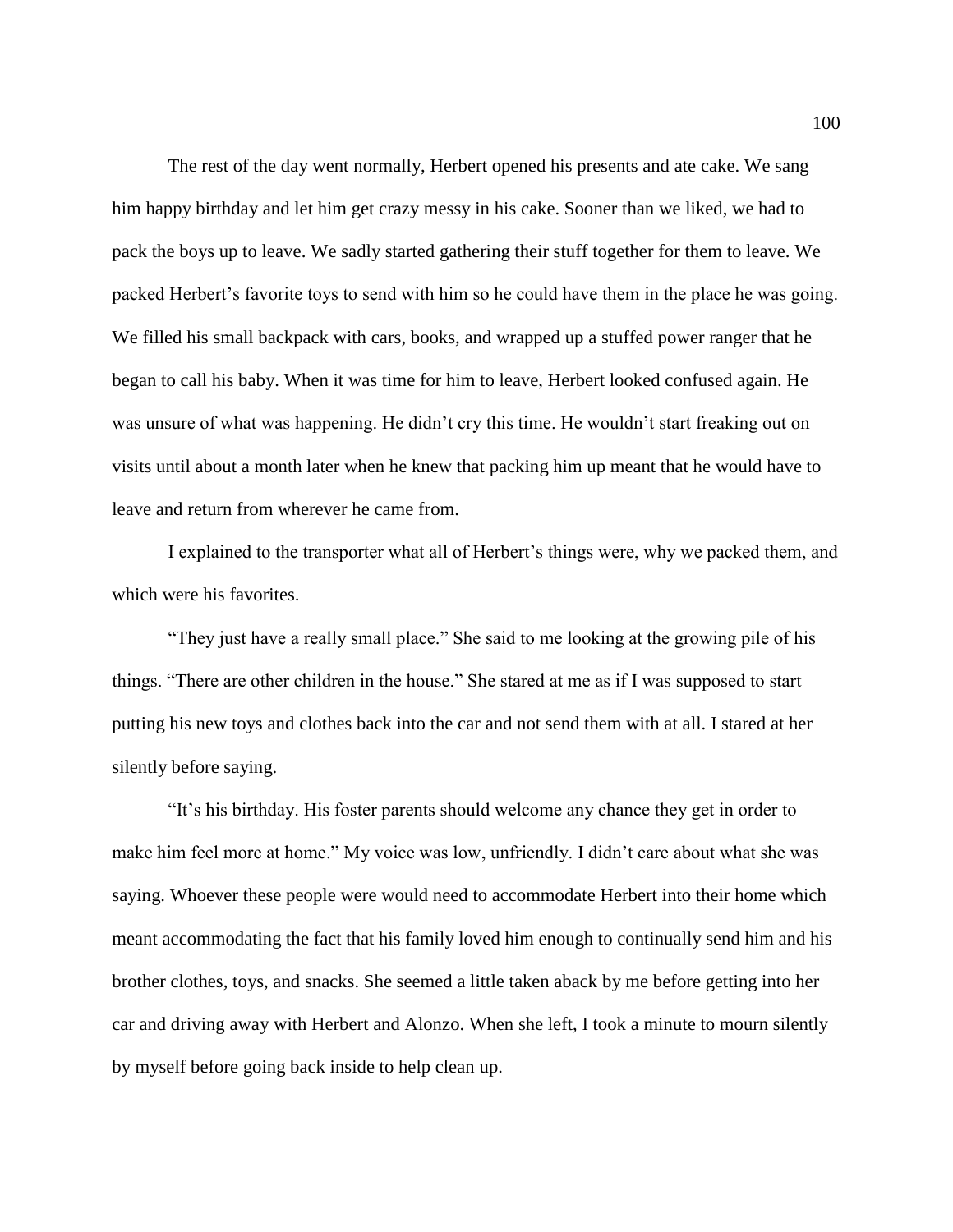The rest of the day went normally, Herbert opened his presents and ate cake. We sang him happy birthday and let him get crazy messy in his cake. Sooner than we liked, we had to pack the boys up to leave. We sadly started gathering their stuff together for them to leave. We packed Herbert's favorite toys to send with him so he could have them in the place he was going. We filled his small backpack with cars, books, and wrapped up a stuffed power ranger that he began to call his baby. When it was time for him to leave, Herbert looked confused again. He was unsure of what was happening. He didn't cry this time. He wouldn't start freaking out on visits until about a month later when he knew that packing him up meant that he would have to leave and return from wherever he came from.

I explained to the transporter what all of Herbert's things were, why we packed them, and which were his favorites.

"They just have a really small place." She said to me looking at the growing pile of his things. "There are other children in the house." She stared at me as if I was supposed to start putting his new toys and clothes back into the car and not send them with at all. I stared at her silently before saying.

"It's his birthday. His foster parents should welcome any chance they get in order to make him feel more at home." My voice was low, unfriendly. I didn't care about what she was saying. Whoever these people were would need to accommodate Herbert into their home which meant accommodating the fact that his family loved him enough to continually send him and his brother clothes, toys, and snacks. She seemed a little taken aback by me before getting into her car and driving away with Herbert and Alonzo. When she left, I took a minute to mourn silently by myself before going back inside to help clean up.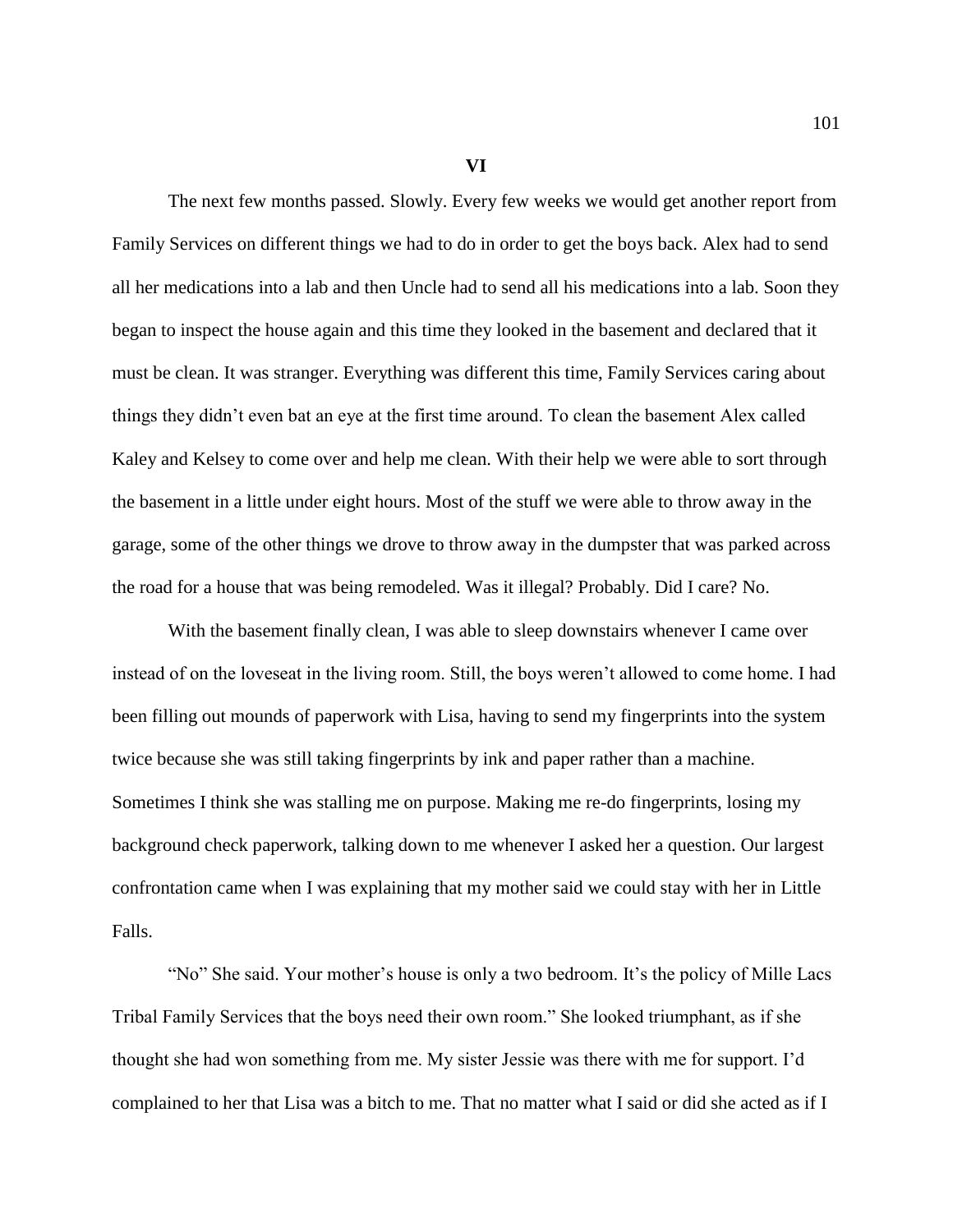**VI**

The next few months passed. Slowly. Every few weeks we would get another report from Family Services on different things we had to do in order to get the boys back. Alex had to send all her medications into a lab and then Uncle had to send all his medications into a lab. Soon they began to inspect the house again and this time they looked in the basement and declared that it must be clean. It was stranger. Everything was different this time, Family Services caring about things they didn't even bat an eye at the first time around. To clean the basement Alex called Kaley and Kelsey to come over and help me clean. With their help we were able to sort through the basement in a little under eight hours. Most of the stuff we were able to throw away in the garage, some of the other things we drove to throw away in the dumpster that was parked across the road for a house that was being remodeled. Was it illegal? Probably. Did I care? No.

With the basement finally clean, I was able to sleep downstairs whenever I came over instead of on the loveseat in the living room. Still, the boys weren't allowed to come home. I had been filling out mounds of paperwork with Lisa, having to send my fingerprints into the system twice because she was still taking fingerprints by ink and paper rather than a machine. Sometimes I think she was stalling me on purpose. Making me re-do fingerprints, losing my background check paperwork, talking down to me whenever I asked her a question. Our largest confrontation came when I was explaining that my mother said we could stay with her in Little Falls.

"No" She said. Your mother's house is only a two bedroom. It's the policy of Mille Lacs Tribal Family Services that the boys need their own room." She looked triumphant, as if she thought she had won something from me. My sister Jessie was there with me for support. I'd complained to her that Lisa was a bitch to me. That no matter what I said or did she acted as if I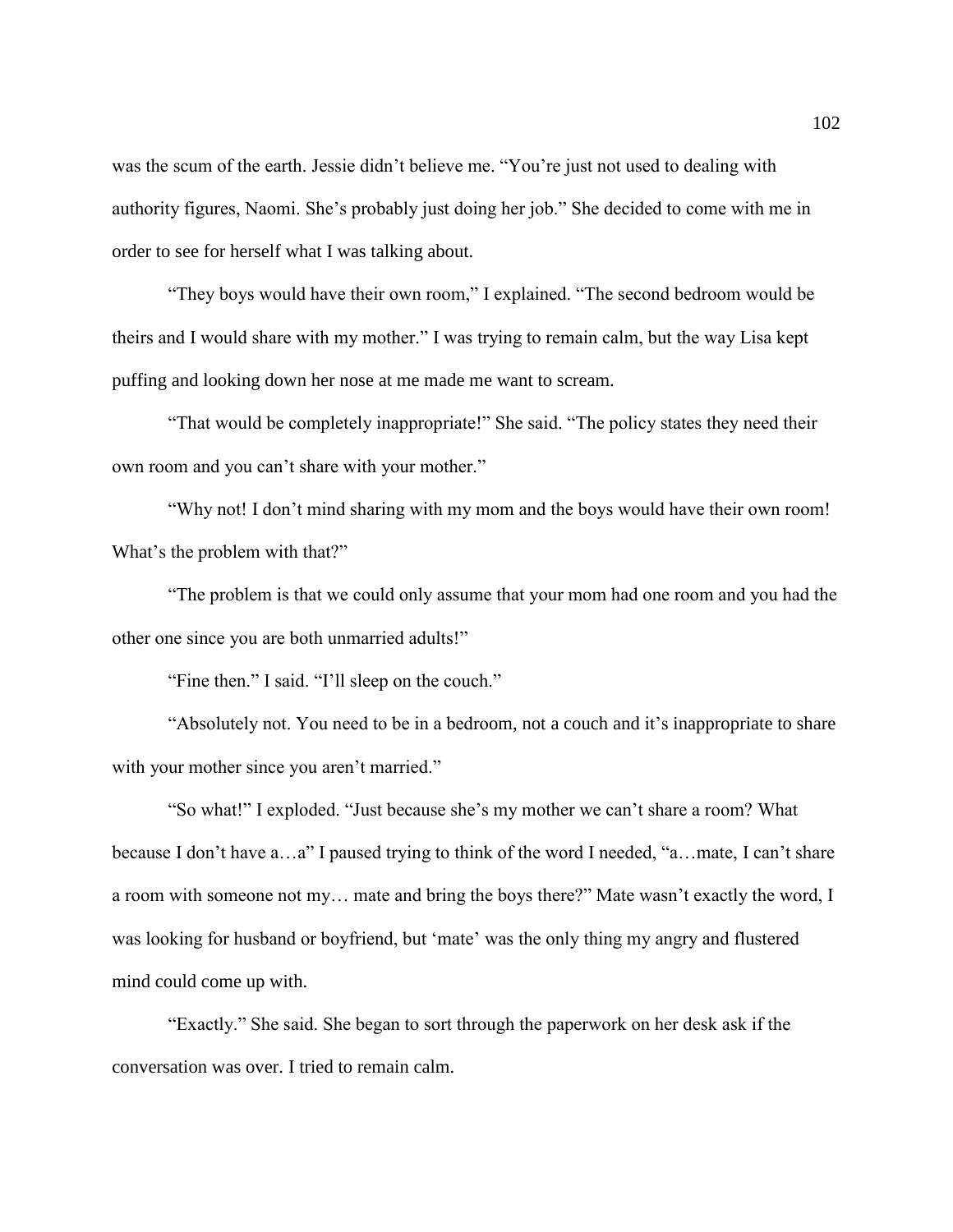was the scum of the earth. Jessie didn't believe me. "You're just not used to dealing with authority figures, Naomi. She's probably just doing her job." She decided to come with me in order to see for herself what I was talking about.

"They boys would have their own room," I explained. "The second bedroom would be theirs and I would share with my mother." I was trying to remain calm, but the way Lisa kept puffing and looking down her nose at me made me want to scream.

"That would be completely inappropriate!" She said. "The policy states they need their own room and you can't share with your mother."

"Why not! I don't mind sharing with my mom and the boys would have their own room! What's the problem with that?"

"The problem is that we could only assume that your mom had one room and you had the other one since you are both unmarried adults!"

"Fine then." I said. "I'll sleep on the couch."

"Absolutely not. You need to be in a bedroom, not a couch and it's inappropriate to share with your mother since you aren't married."

"So what!" I exploded. "Just because she's my mother we can't share a room? What because I don't have a…a" I paused trying to think of the word I needed, "a…mate, I can't share a room with someone not my… mate and bring the boys there?" Mate wasn't exactly the word, I was looking for husband or boyfriend, but 'mate' was the only thing my angry and flustered mind could come up with.

"Exactly." She said. She began to sort through the paperwork on her desk ask if the conversation was over. I tried to remain calm.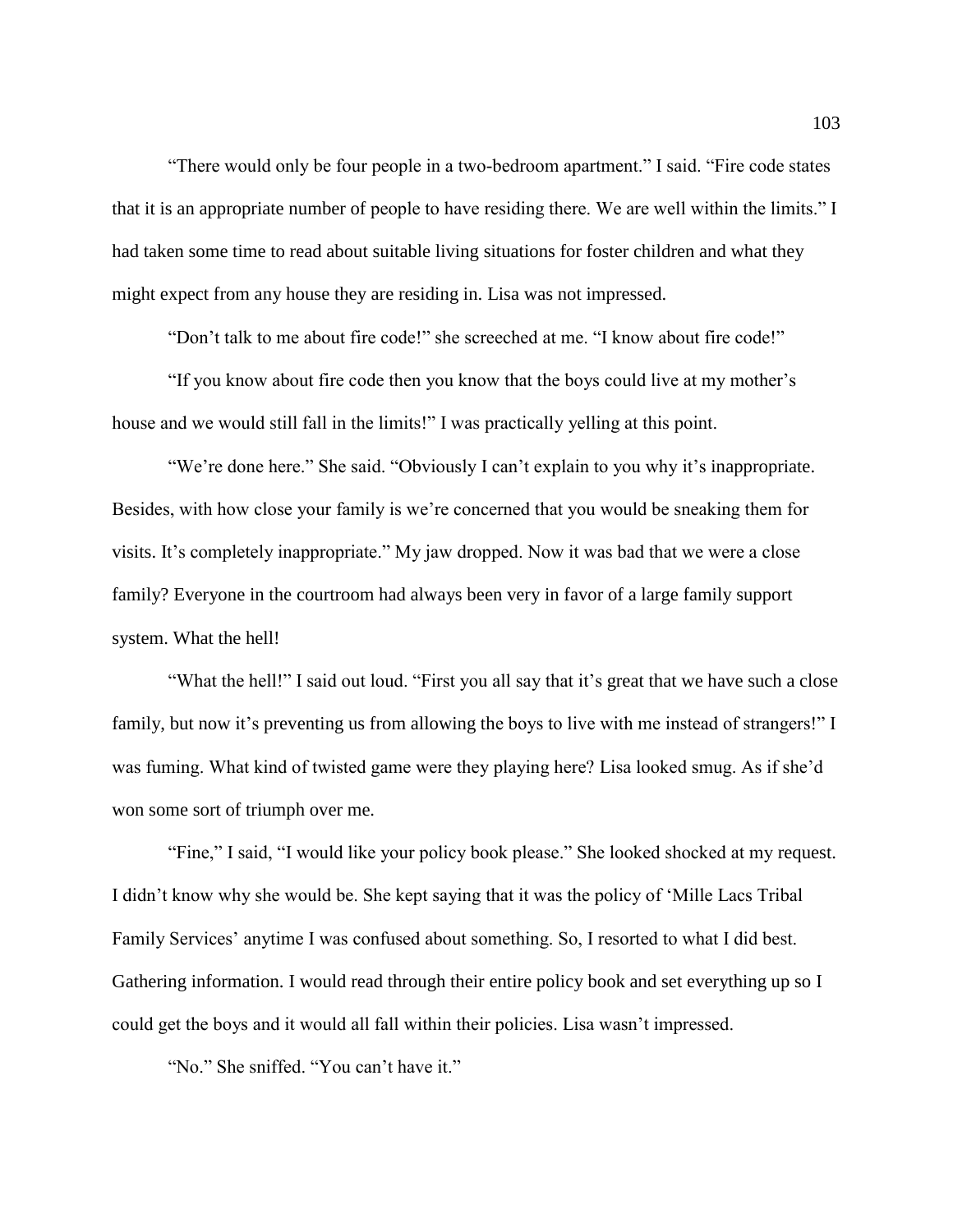"There would only be four people in a two-bedroom apartment." I said. "Fire code states that it is an appropriate number of people to have residing there. We are well within the limits." I had taken some time to read about suitable living situations for foster children and what they might expect from any house they are residing in. Lisa was not impressed.

"Don't talk to me about fire code!" she screeched at me. "I know about fire code!"

"If you know about fire code then you know that the boys could live at my mother's house and we would still fall in the limits!" I was practically yelling at this point.

"We're done here." She said. "Obviously I can't explain to you why it's inappropriate. Besides, with how close your family is we're concerned that you would be sneaking them for visits. It's completely inappropriate." My jaw dropped. Now it was bad that we were a close family? Everyone in the courtroom had always been very in favor of a large family support system. What the hell!

"What the hell!" I said out loud. "First you all say that it's great that we have such a close family, but now it's preventing us from allowing the boys to live with me instead of strangers!" I was fuming. What kind of twisted game were they playing here? Lisa looked smug. As if she'd won some sort of triumph over me.

"Fine," I said, "I would like your policy book please." She looked shocked at my request. I didn't know why she would be. She kept saying that it was the policy of 'Mille Lacs Tribal Family Services' anytime I was confused about something. So, I resorted to what I did best. Gathering information. I would read through their entire policy book and set everything up so I could get the boys and it would all fall within their policies. Lisa wasn't impressed.

"No." She sniffed. "You can't have it."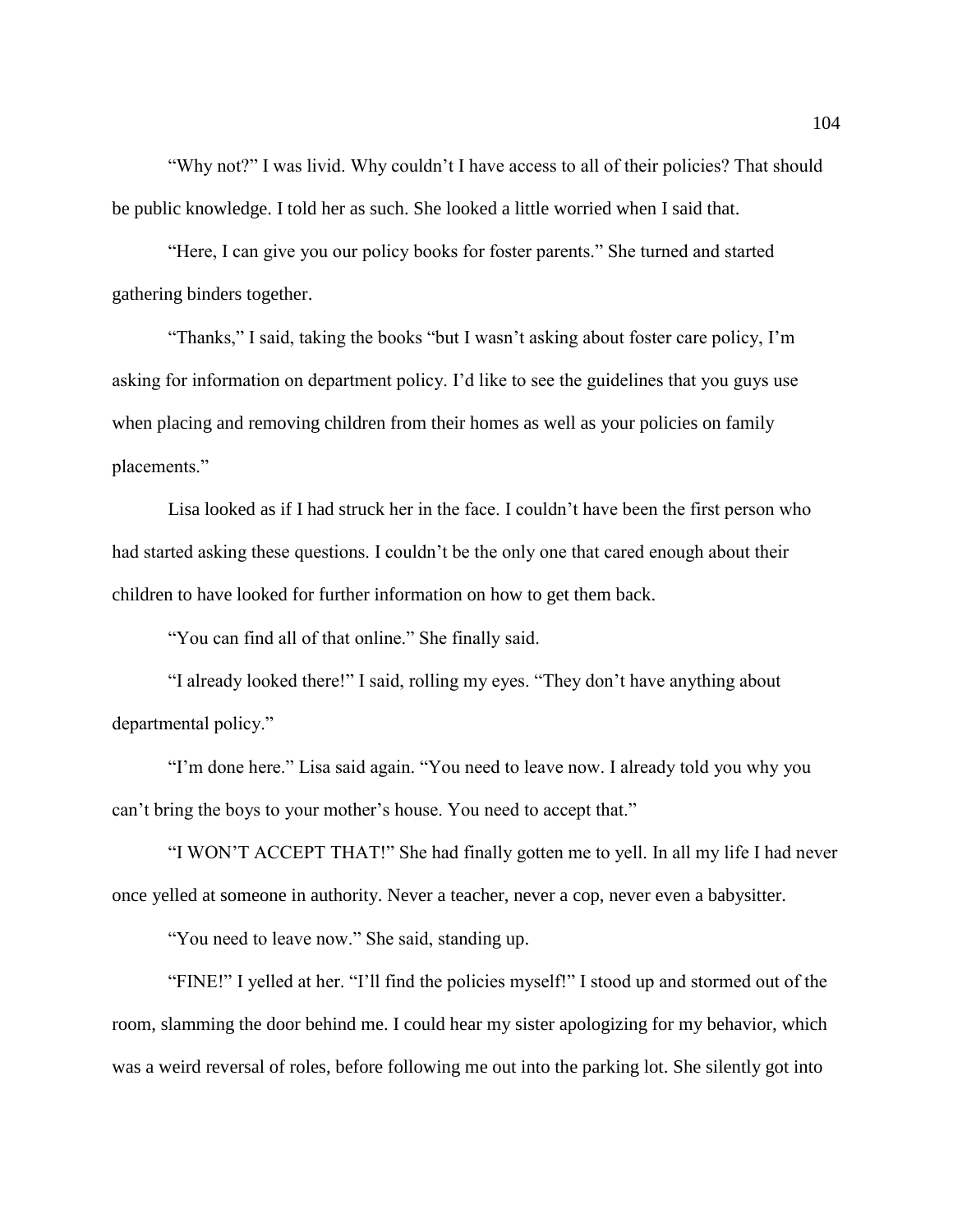"Why not?" I was livid. Why couldn't I have access to all of their policies? That should be public knowledge. I told her as such. She looked a little worried when I said that.

"Here, I can give you our policy books for foster parents." She turned and started gathering binders together.

"Thanks," I said, taking the books "but I wasn't asking about foster care policy, I'm asking for information on department policy. I'd like to see the guidelines that you guys use when placing and removing children from their homes as well as your policies on family placements."

Lisa looked as if I had struck her in the face. I couldn't have been the first person who had started asking these questions. I couldn't be the only one that cared enough about their children to have looked for further information on how to get them back.

"You can find all of that online." She finally said.

"I already looked there!" I said, rolling my eyes. "They don't have anything about departmental policy."

"I'm done here." Lisa said again. "You need to leave now. I already told you why you can't bring the boys to your mother's house. You need to accept that."

"I WON'T ACCEPT THAT!" She had finally gotten me to yell. In all my life I had never once yelled at someone in authority. Never a teacher, never a cop, never even a babysitter.

"You need to leave now." She said, standing up.

"FINE!" I yelled at her. "I'll find the policies myself!" I stood up and stormed out of the room, slamming the door behind me. I could hear my sister apologizing for my behavior, which was a weird reversal of roles, before following me out into the parking lot. She silently got into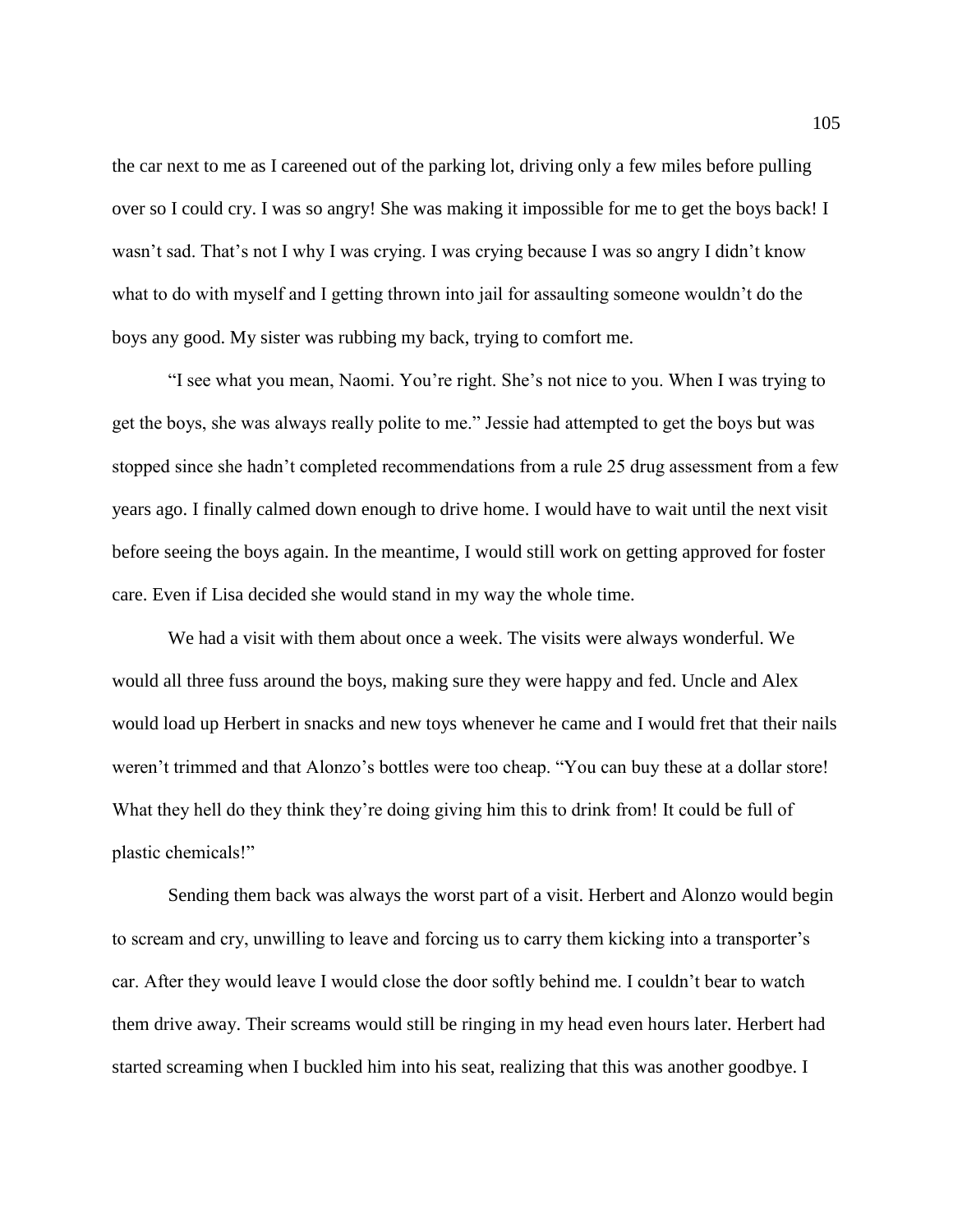the car next to me as I careened out of the parking lot, driving only a few miles before pulling over so I could cry. I was so angry! She was making it impossible for me to get the boys back! I wasn't sad. That's not I why I was crying. I was crying because I was so angry I didn't know what to do with myself and I getting thrown into jail for assaulting someone wouldn't do the boys any good. My sister was rubbing my back, trying to comfort me.

"I see what you mean, Naomi. You're right. She's not nice to you. When I was trying to get the boys, she was always really polite to me." Jessie had attempted to get the boys but was stopped since she hadn't completed recommendations from a rule 25 drug assessment from a few years ago. I finally calmed down enough to drive home. I would have to wait until the next visit before seeing the boys again. In the meantime, I would still work on getting approved for foster care. Even if Lisa decided she would stand in my way the whole time.

We had a visit with them about once a week. The visits were always wonderful. We would all three fuss around the boys, making sure they were happy and fed. Uncle and Alex would load up Herbert in snacks and new toys whenever he came and I would fret that their nails weren't trimmed and that Alonzo's bottles were too cheap. "You can buy these at a dollar store! What they hell do they think they're doing giving him this to drink from! It could be full of plastic chemicals!"

Sending them back was always the worst part of a visit. Herbert and Alonzo would begin to scream and cry, unwilling to leave and forcing us to carry them kicking into a transporter's car. After they would leave I would close the door softly behind me. I couldn't bear to watch them drive away. Their screams would still be ringing in my head even hours later. Herbert had started screaming when I buckled him into his seat, realizing that this was another goodbye. I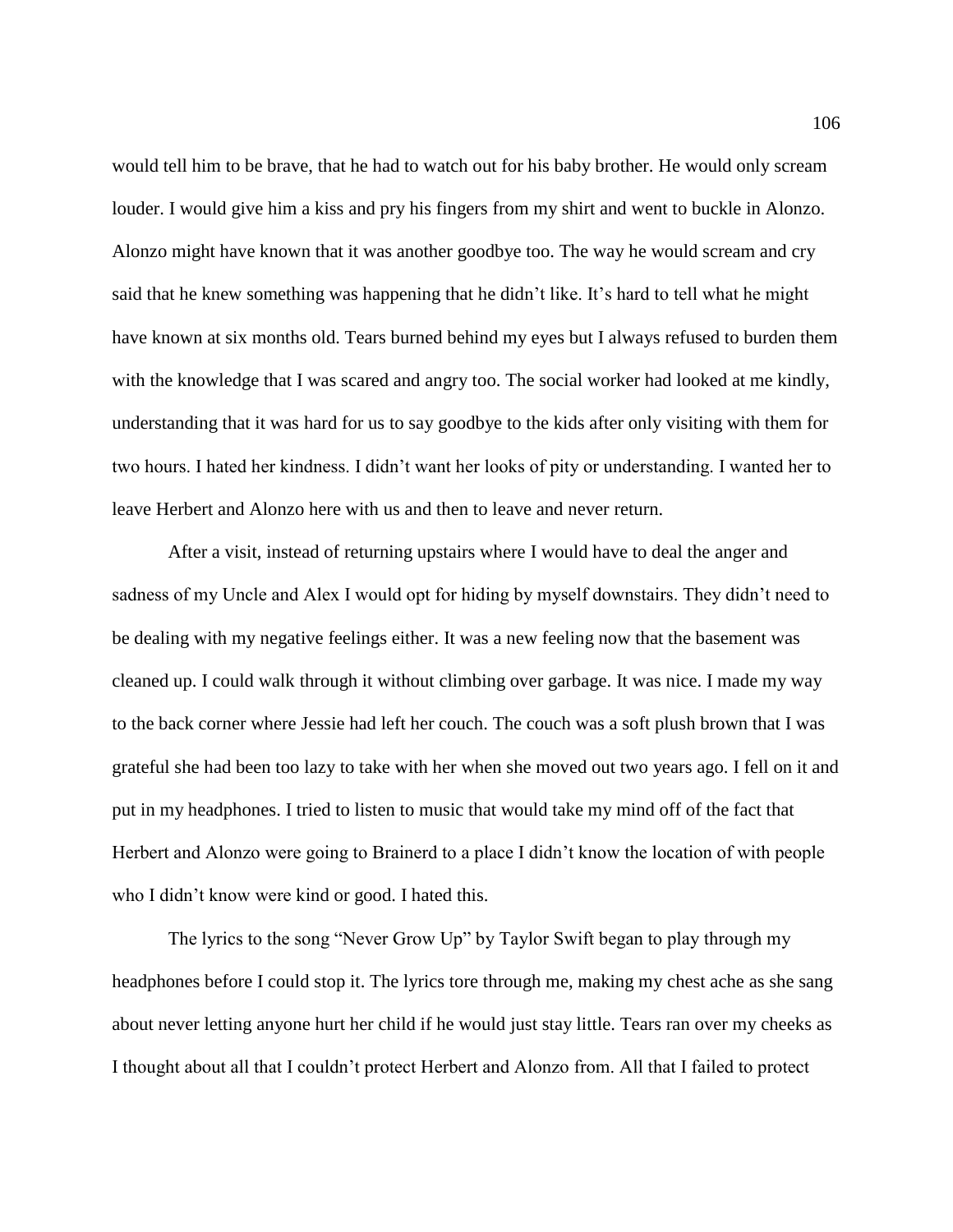would tell him to be brave, that he had to watch out for his baby brother. He would only scream louder. I would give him a kiss and pry his fingers from my shirt and went to buckle in Alonzo. Alonzo might have known that it was another goodbye too. The way he would scream and cry said that he knew something was happening that he didn't like. It's hard to tell what he might have known at six months old. Tears burned behind my eyes but I always refused to burden them with the knowledge that I was scared and angry too. The social worker had looked at me kindly, understanding that it was hard for us to say goodbye to the kids after only visiting with them for two hours. I hated her kindness. I didn't want her looks of pity or understanding. I wanted her to leave Herbert and Alonzo here with us and then to leave and never return.

After a visit, instead of returning upstairs where I would have to deal the anger and sadness of my Uncle and Alex I would opt for hiding by myself downstairs. They didn't need to be dealing with my negative feelings either. It was a new feeling now that the basement was cleaned up. I could walk through it without climbing over garbage. It was nice. I made my way to the back corner where Jessie had left her couch. The couch was a soft plush brown that I was grateful she had been too lazy to take with her when she moved out two years ago. I fell on it and put in my headphones. I tried to listen to music that would take my mind off of the fact that Herbert and Alonzo were going to Brainerd to a place I didn't know the location of with people who I didn't know were kind or good. I hated this.

The lyrics to the song "Never Grow Up" by Taylor Swift began to play through my headphones before I could stop it. The lyrics tore through me, making my chest ache as she sang about never letting anyone hurt her child if he would just stay little. Tears ran over my cheeks as I thought about all that I couldn't protect Herbert and Alonzo from. All that I failed to protect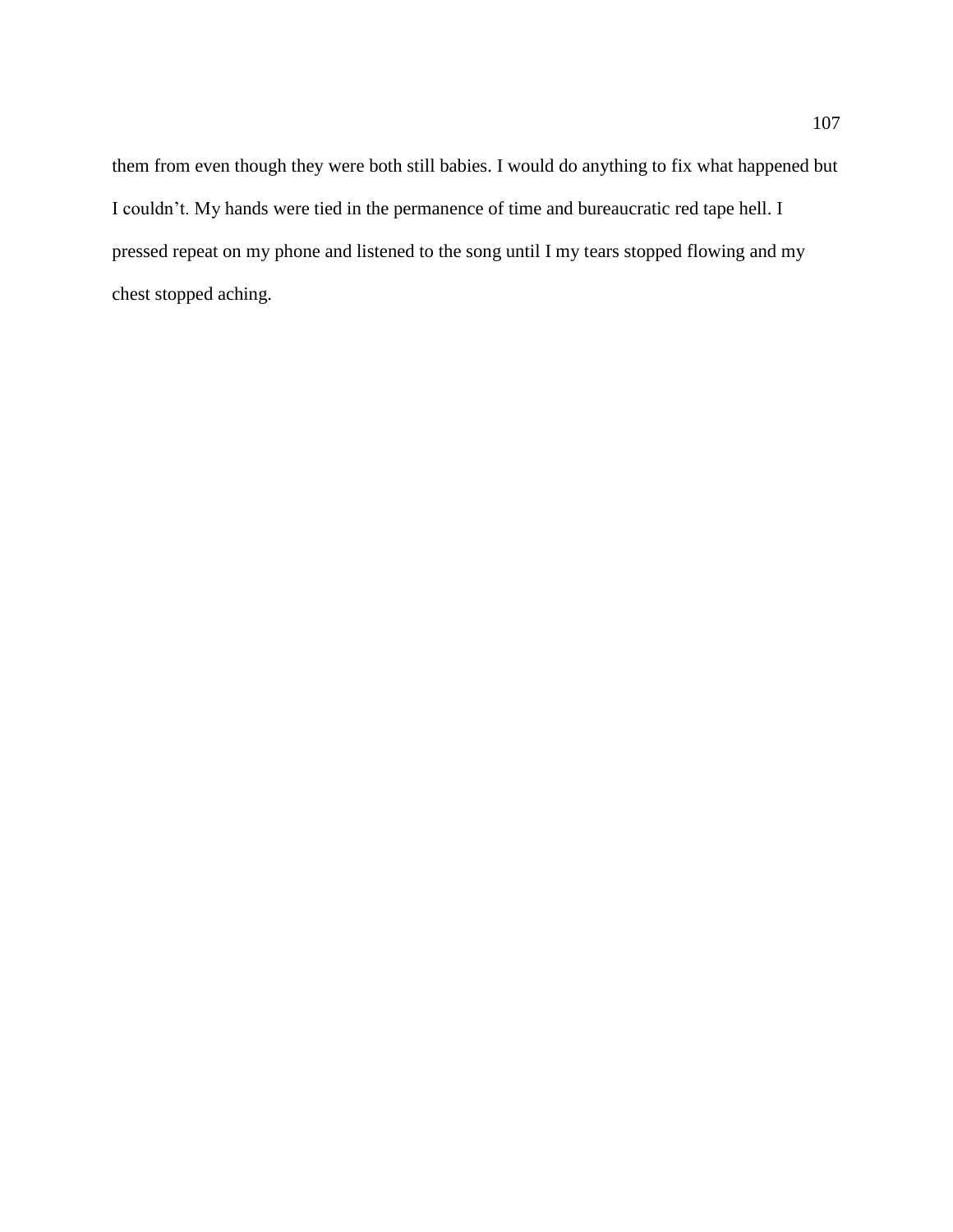them from even though they were both still babies. I would do anything to fix what happened but I couldn't. My hands were tied in the permanence of time and bureaucratic red tape hell. I pressed repeat on my phone and listened to the song until I my tears stopped flowing and my chest stopped aching.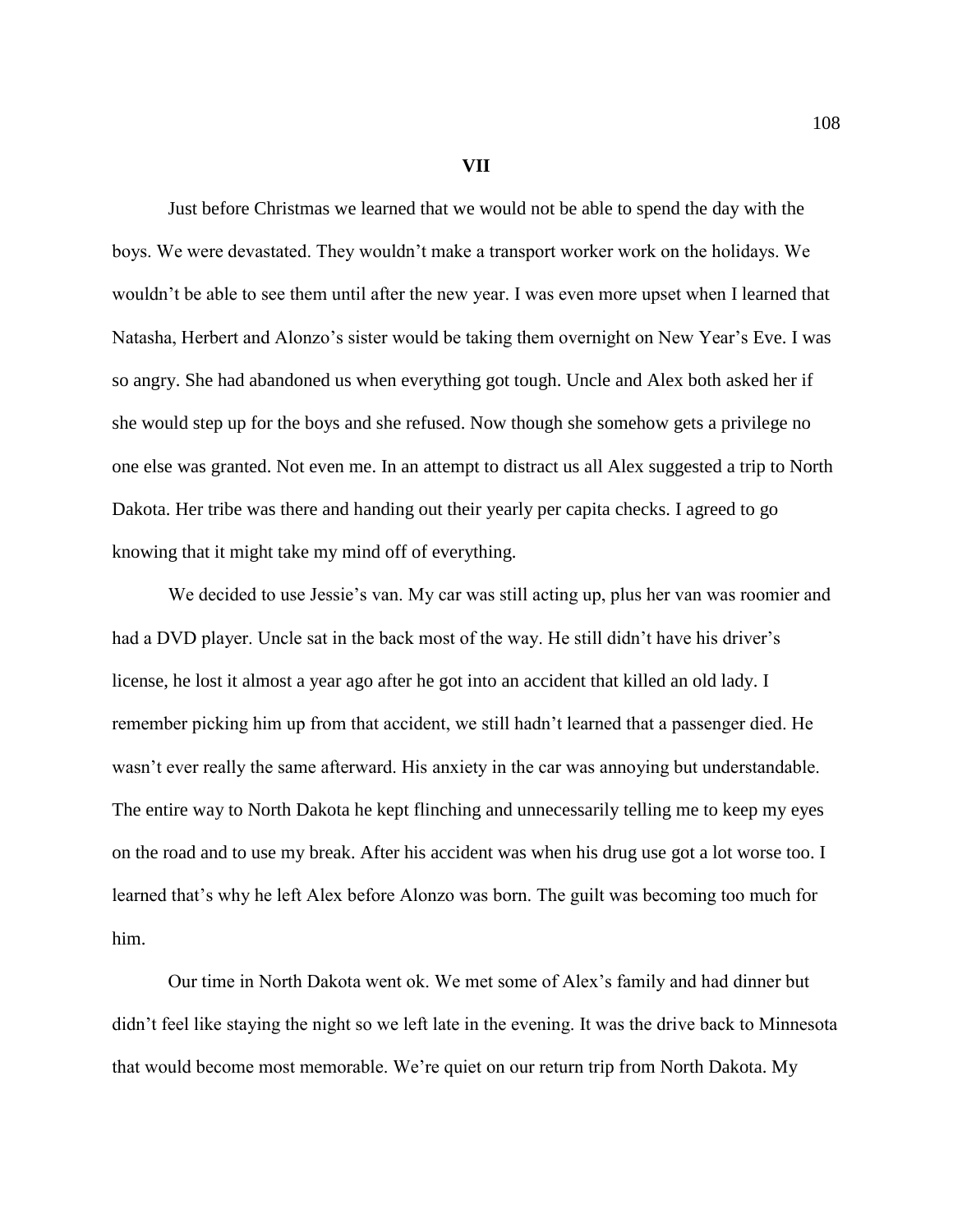**VII**

Just before Christmas we learned that we would not be able to spend the day with the boys. We were devastated. They wouldn't make a transport worker work on the holidays. We wouldn't be able to see them until after the new year. I was even more upset when I learned that Natasha, Herbert and Alonzo's sister would be taking them overnight on New Year's Eve. I was so angry. She had abandoned us when everything got tough. Uncle and Alex both asked her if she would step up for the boys and she refused. Now though she somehow gets a privilege no one else was granted. Not even me. In an attempt to distract us all Alex suggested a trip to North Dakota. Her tribe was there and handing out their yearly per capita checks. I agreed to go knowing that it might take my mind off of everything.

We decided to use Jessie's van. My car was still acting up, plus her van was roomier and had a DVD player. Uncle sat in the back most of the way. He still didn't have his driver's license, he lost it almost a year ago after he got into an accident that killed an old lady. I remember picking him up from that accident, we still hadn't learned that a passenger died. He wasn't ever really the same afterward. His anxiety in the car was annoying but understandable. The entire way to North Dakota he kept flinching and unnecessarily telling me to keep my eyes on the road and to use my break. After his accident was when his drug use got a lot worse too. I learned that's why he left Alex before Alonzo was born. The guilt was becoming too much for him.

Our time in North Dakota went ok. We met some of Alex's family and had dinner but didn't feel like staying the night so we left late in the evening. It was the drive back to Minnesota that would become most memorable. We're quiet on our return trip from North Dakota. My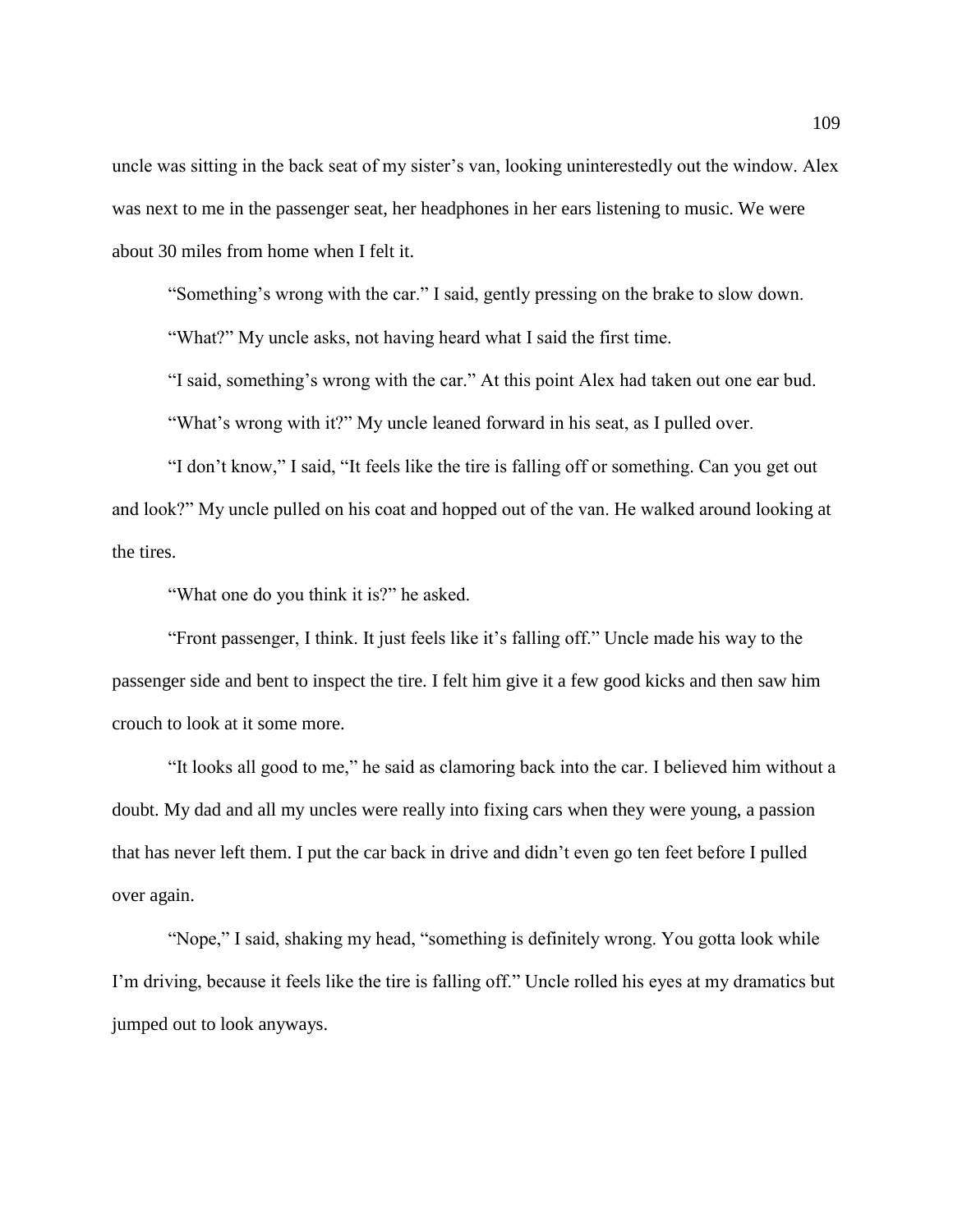uncle was sitting in the back seat of my sister's van, looking uninterestedly out the window. Alex was next to me in the passenger seat, her headphones in her ears listening to music. We were about 30 miles from home when I felt it.

"Something's wrong with the car." I said, gently pressing on the brake to slow down.

"What?" My uncle asks, not having heard what I said the first time.

"I said, something's wrong with the car." At this point Alex had taken out one ear bud. "What's wrong with it?" My uncle leaned forward in his seat, as I pulled over.

"I don't know," I said, "It feels like the tire is falling off or something. Can you get out and look?" My uncle pulled on his coat and hopped out of the van. He walked around looking at the tires.

"What one do you think it is?" he asked.

"Front passenger, I think. It just feels like it's falling off." Uncle made his way to the passenger side and bent to inspect the tire. I felt him give it a few good kicks and then saw him crouch to look at it some more.

"It looks all good to me," he said as clamoring back into the car. I believed him without a doubt. My dad and all my uncles were really into fixing cars when they were young, a passion that has never left them. I put the car back in drive and didn't even go ten feet before I pulled over again.

"Nope," I said, shaking my head, "something is definitely wrong. You gotta look while I'm driving, because it feels like the tire is falling off." Uncle rolled his eyes at my dramatics but jumped out to look anyways.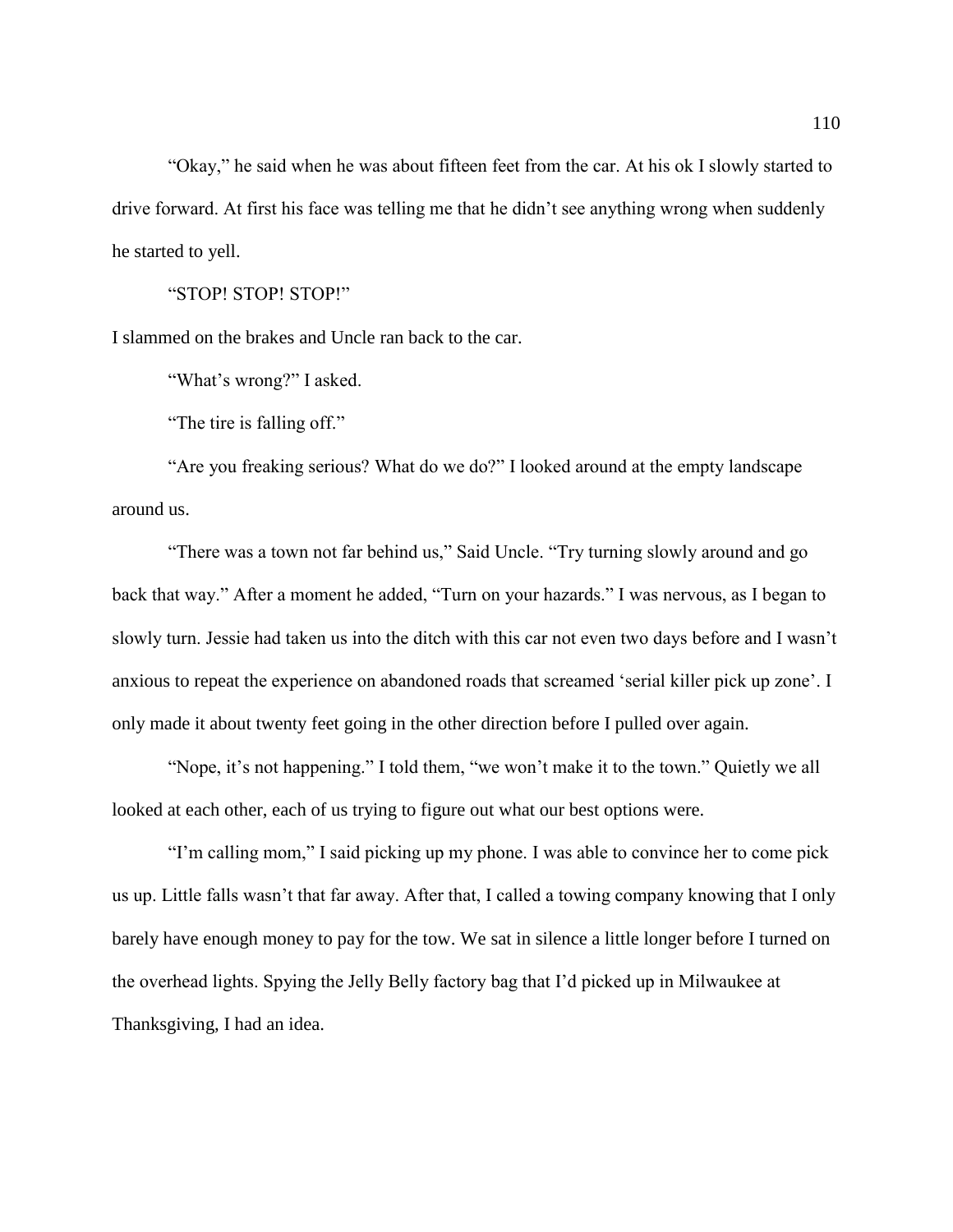"Okay," he said when he was about fifteen feet from the car. At his ok I slowly started to drive forward. At first his face was telling me that he didn't see anything wrong when suddenly he started to yell.

"STOP! STOP! STOP!"

I slammed on the brakes and Uncle ran back to the car.

"What's wrong?" I asked.

"The tire is falling off."

"Are you freaking serious? What do we do?" I looked around at the empty landscape around us.

"There was a town not far behind us," Said Uncle. "Try turning slowly around and go back that way." After a moment he added, "Turn on your hazards." I was nervous, as I began to slowly turn. Jessie had taken us into the ditch with this car not even two days before and I wasn't anxious to repeat the experience on abandoned roads that screamed 'serial killer pick up zone'. I only made it about twenty feet going in the other direction before I pulled over again.

"Nope, it's not happening." I told them, "we won't make it to the town." Quietly we all looked at each other, each of us trying to figure out what our best options were.

"I'm calling mom," I said picking up my phone. I was able to convince her to come pick us up. Little falls wasn't that far away. After that, I called a towing company knowing that I only barely have enough money to pay for the tow. We sat in silence a little longer before I turned on the overhead lights. Spying the Jelly Belly factory bag that I'd picked up in Milwaukee at Thanksgiving, I had an idea.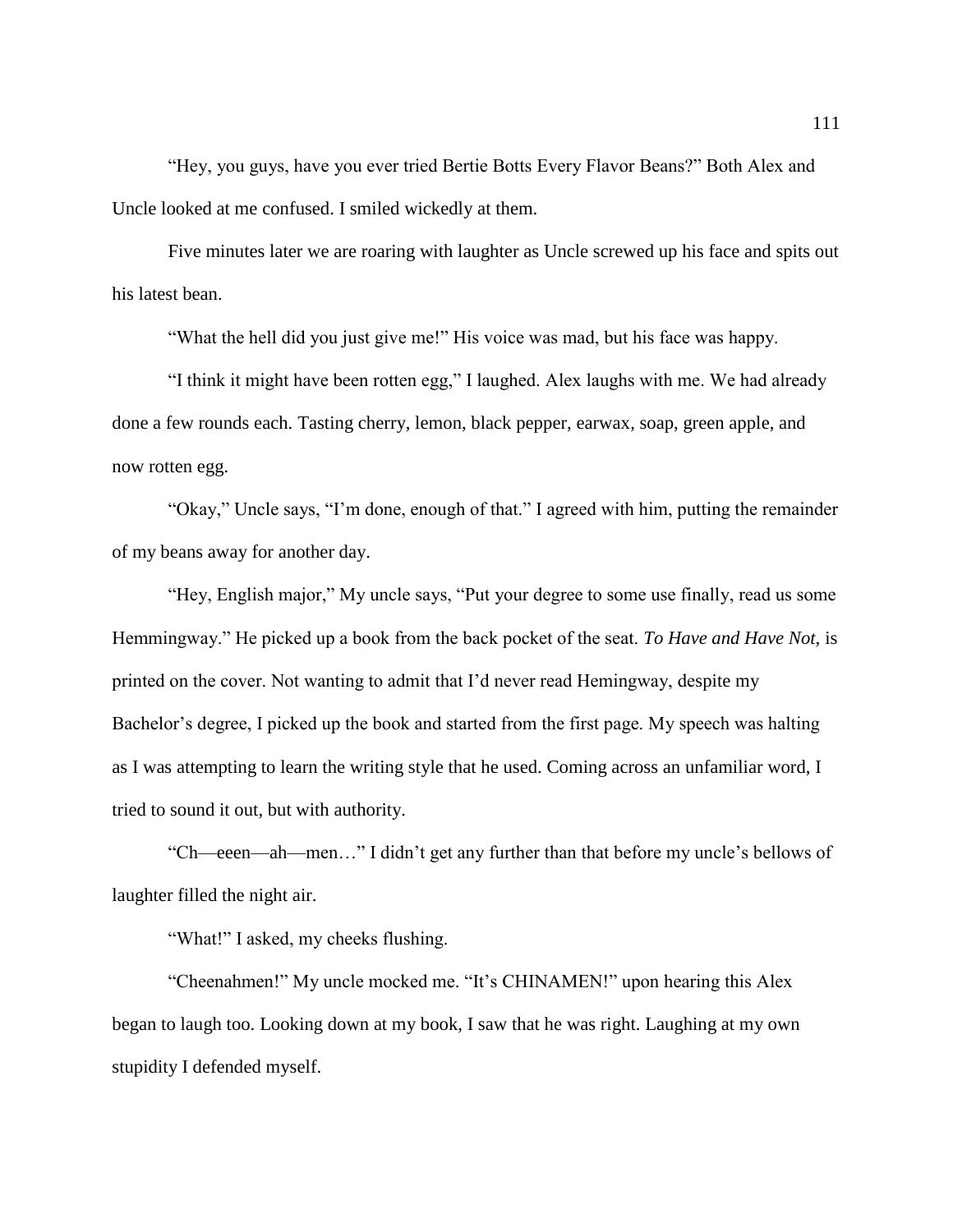"Hey, you guys, have you ever tried Bertie Botts Every Flavor Beans?" Both Alex and Uncle looked at me confused. I smiled wickedly at them.

Five minutes later we are roaring with laughter as Uncle screwed up his face and spits out his latest bean.

"What the hell did you just give me!" His voice was mad, but his face was happy.

"I think it might have been rotten egg," I laughed. Alex laughs with me. We had already done a few rounds each. Tasting cherry, lemon, black pepper, earwax, soap, green apple, and now rotten egg.

"Okay," Uncle says, "I'm done, enough of that." I agreed with him, putting the remainder of my beans away for another day.

"Hey, English major," My uncle says, "Put your degree to some use finally, read us some Hemmingway." He picked up a book from the back pocket of the seat. *To Have and Have Not,* is printed on the cover. Not wanting to admit that I'd never read Hemingway, despite my Bachelor's degree, I picked up the book and started from the first page. My speech was halting as I was attempting to learn the writing style that he used. Coming across an unfamiliar word, I tried to sound it out, but with authority.

"Ch—eeen—ah—men…" I didn't get any further than that before my uncle's bellows of laughter filled the night air.

"What!" I asked, my cheeks flushing.

"Cheenahmen!" My uncle mocked me. "It's CHINAMEN!" upon hearing this Alex began to laugh too. Looking down at my book, I saw that he was right. Laughing at my own stupidity I defended myself.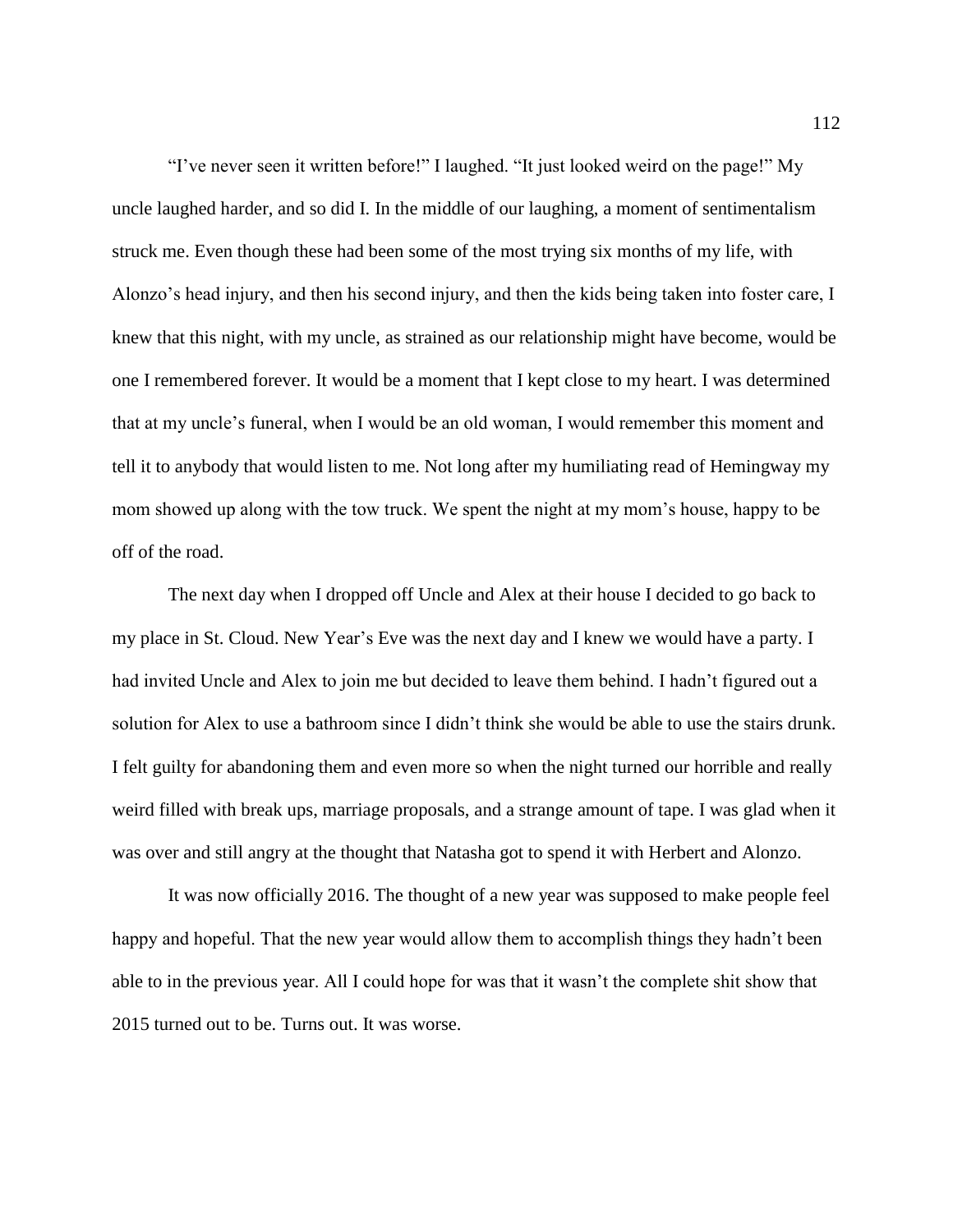"I've never seen it written before!" I laughed. "It just looked weird on the page!" My uncle laughed harder, and so did I. In the middle of our laughing, a moment of sentimentalism struck me. Even though these had been some of the most trying six months of my life, with Alonzo's head injury, and then his second injury, and then the kids being taken into foster care, I knew that this night, with my uncle, as strained as our relationship might have become, would be one I remembered forever. It would be a moment that I kept close to my heart. I was determined that at my uncle's funeral, when I would be an old woman, I would remember this moment and tell it to anybody that would listen to me. Not long after my humiliating read of Hemingway my mom showed up along with the tow truck. We spent the night at my mom's house, happy to be off of the road.

The next day when I dropped off Uncle and Alex at their house I decided to go back to my place in St. Cloud. New Year's Eve was the next day and I knew we would have a party. I had invited Uncle and Alex to join me but decided to leave them behind. I hadn't figured out a solution for Alex to use a bathroom since I didn't think she would be able to use the stairs drunk. I felt guilty for abandoning them and even more so when the night turned our horrible and really weird filled with break ups, marriage proposals, and a strange amount of tape. I was glad when it was over and still angry at the thought that Natasha got to spend it with Herbert and Alonzo.

It was now officially 2016. The thought of a new year was supposed to make people feel happy and hopeful. That the new year would allow them to accomplish things they hadn't been able to in the previous year. All I could hope for was that it wasn't the complete shit show that 2015 turned out to be. Turns out. It was worse.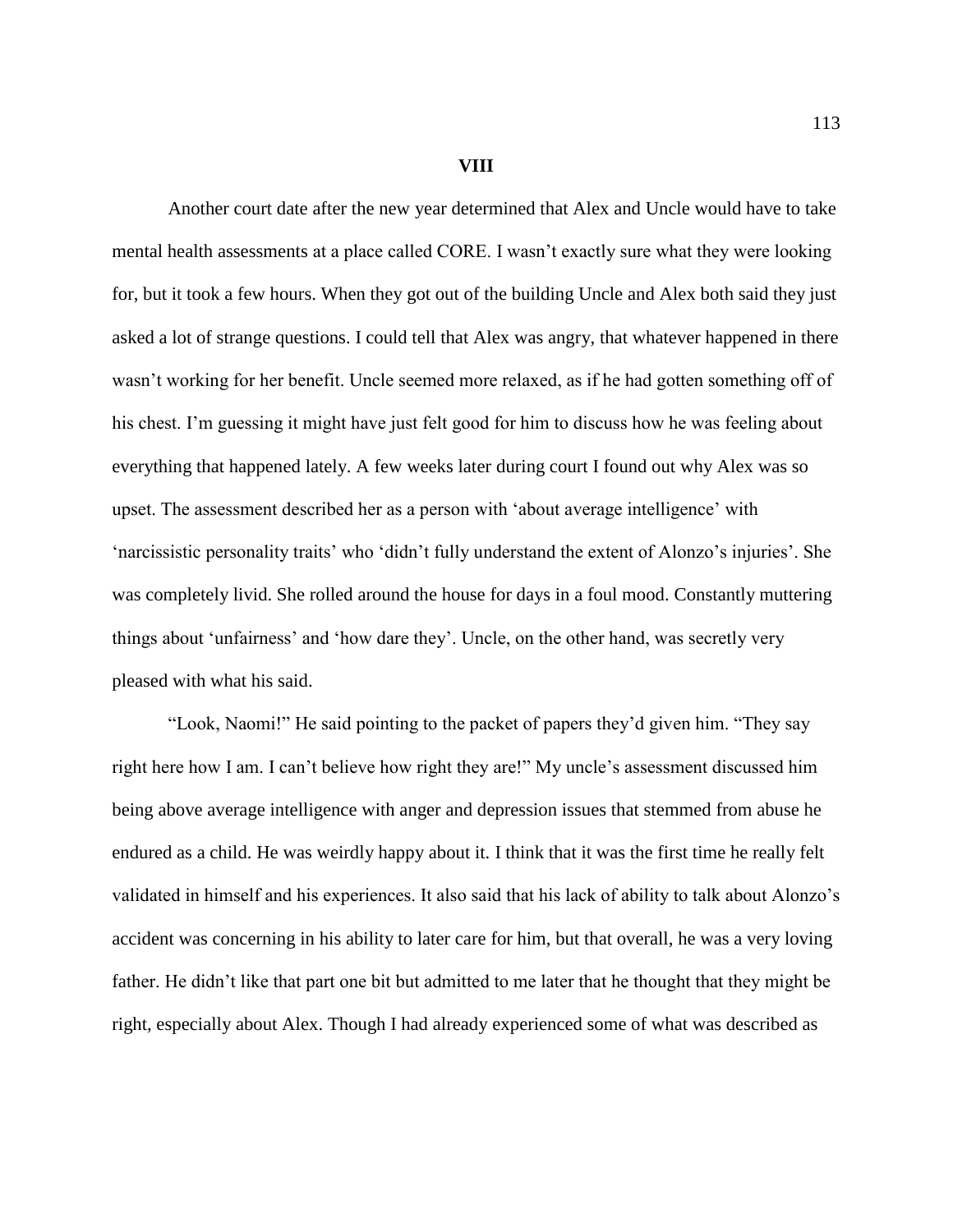## **VIII**

Another court date after the new year determined that Alex and Uncle would have to take mental health assessments at a place called CORE. I wasn't exactly sure what they were looking for, but it took a few hours. When they got out of the building Uncle and Alex both said they just asked a lot of strange questions. I could tell that Alex was angry, that whatever happened in there wasn't working for her benefit. Uncle seemed more relaxed, as if he had gotten something off of his chest. I'm guessing it might have just felt good for him to discuss how he was feeling about everything that happened lately. A few weeks later during court I found out why Alex was so upset. The assessment described her as a person with 'about average intelligence' with 'narcissistic personality traits' who 'didn't fully understand the extent of Alonzo's injuries'. She was completely livid. She rolled around the house for days in a foul mood. Constantly muttering things about 'unfairness' and 'how dare they'. Uncle, on the other hand, was secretly very pleased with what his said.

"Look, Naomi!" He said pointing to the packet of papers they'd given him. "They say right here how I am. I can't believe how right they are!" My uncle's assessment discussed him being above average intelligence with anger and depression issues that stemmed from abuse he endured as a child. He was weirdly happy about it. I think that it was the first time he really felt validated in himself and his experiences. It also said that his lack of ability to talk about Alonzo's accident was concerning in his ability to later care for him, but that overall, he was a very loving father. He didn't like that part one bit but admitted to me later that he thought that they might be right, especially about Alex. Though I had already experienced some of what was described as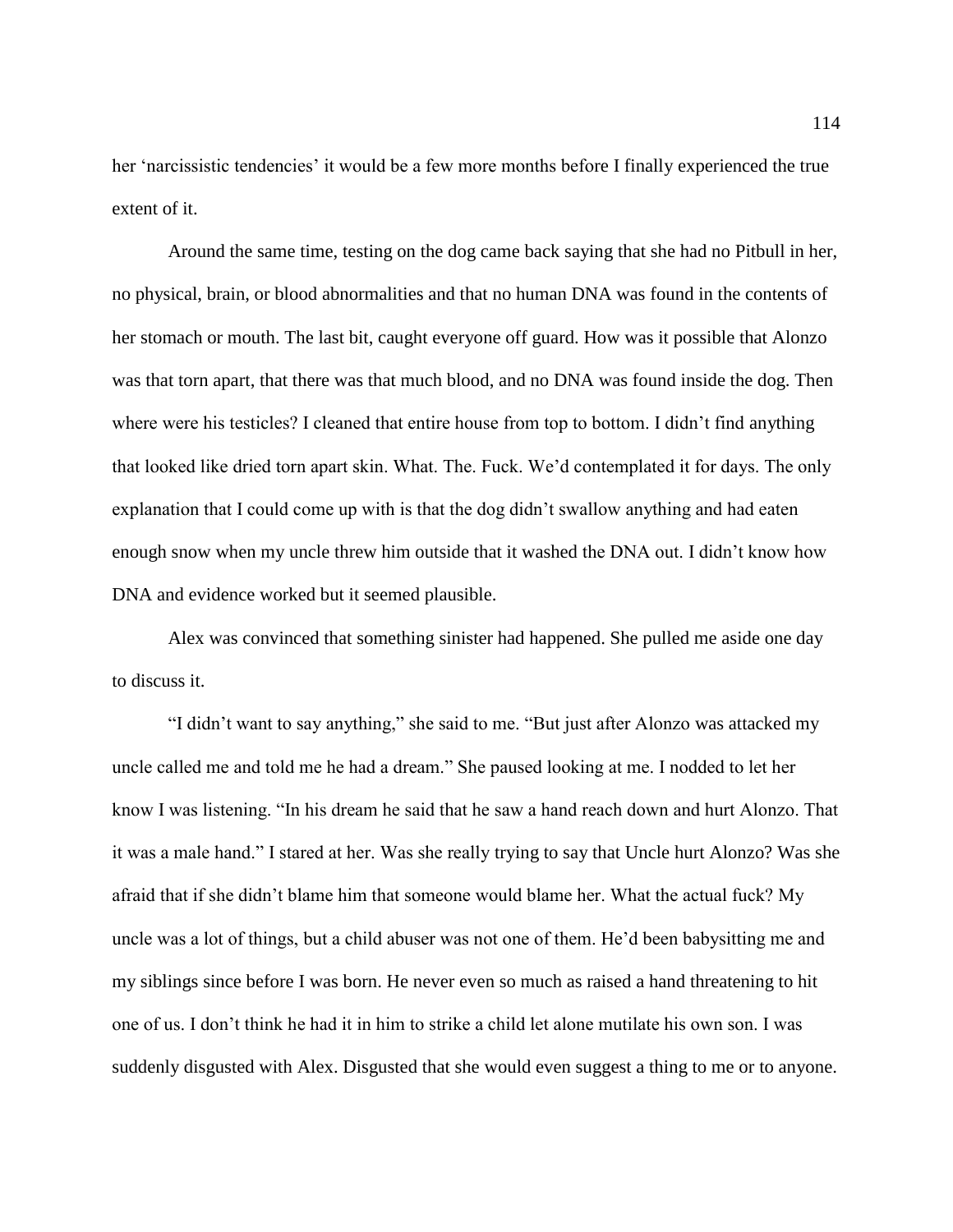her 'narcissistic tendencies' it would be a few more months before I finally experienced the true extent of it.

Around the same time, testing on the dog came back saying that she had no Pitbull in her, no physical, brain, or blood abnormalities and that no human DNA was found in the contents of her stomach or mouth. The last bit, caught everyone off guard. How was it possible that Alonzo was that torn apart, that there was that much blood, and no DNA was found inside the dog. Then where were his testicles? I cleaned that entire house from top to bottom. I didn't find anything that looked like dried torn apart skin. What. The. Fuck. We'd contemplated it for days. The only explanation that I could come up with is that the dog didn't swallow anything and had eaten enough snow when my uncle threw him outside that it washed the DNA out. I didn't know how DNA and evidence worked but it seemed plausible.

Alex was convinced that something sinister had happened. She pulled me aside one day to discuss it.

"I didn't want to say anything," she said to me. "But just after Alonzo was attacked my uncle called me and told me he had a dream." She paused looking at me. I nodded to let her know I was listening. "In his dream he said that he saw a hand reach down and hurt Alonzo. That it was a male hand." I stared at her. Was she really trying to say that Uncle hurt Alonzo? Was she afraid that if she didn't blame him that someone would blame her. What the actual fuck? My uncle was a lot of things, but a child abuser was not one of them. He'd been babysitting me and my siblings since before I was born. He never even so much as raised a hand threatening to hit one of us. I don't think he had it in him to strike a child let alone mutilate his own son. I was suddenly disgusted with Alex. Disgusted that she would even suggest a thing to me or to anyone.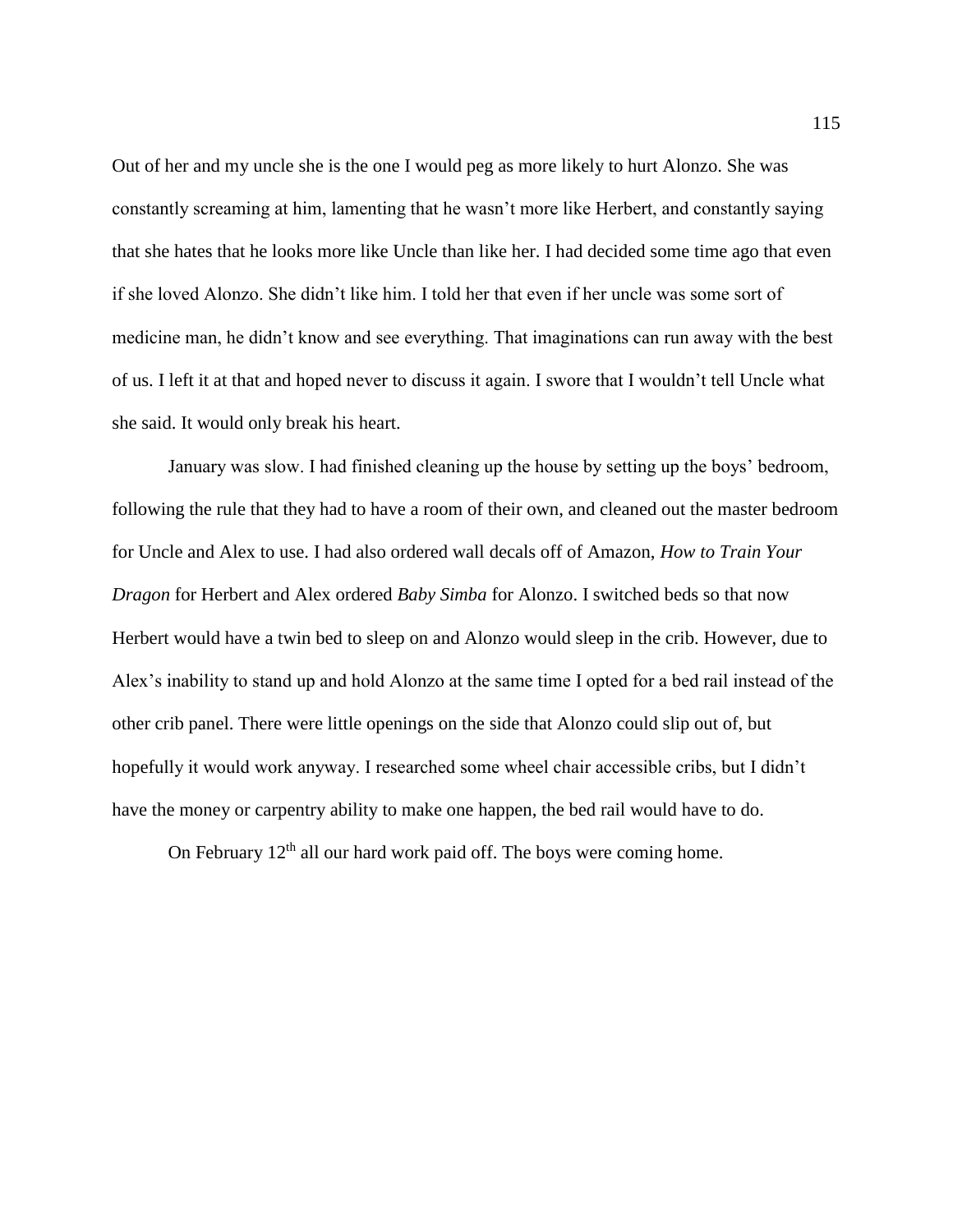Out of her and my uncle she is the one I would peg as more likely to hurt Alonzo. She was constantly screaming at him, lamenting that he wasn't more like Herbert, and constantly saying that she hates that he looks more like Uncle than like her. I had decided some time ago that even if she loved Alonzo. She didn't like him. I told her that even if her uncle was some sort of medicine man, he didn't know and see everything. That imaginations can run away with the best of us. I left it at that and hoped never to discuss it again. I swore that I wouldn't tell Uncle what she said. It would only break his heart.

January was slow. I had finished cleaning up the house by setting up the boys' bedroom, following the rule that they had to have a room of their own, and cleaned out the master bedroom for Uncle and Alex to use. I had also ordered wall decals off of Amazon, *How to Train Your Dragon* for Herbert and Alex ordered *Baby Simba* for Alonzo. I switched beds so that now Herbert would have a twin bed to sleep on and Alonzo would sleep in the crib. However, due to Alex's inability to stand up and hold Alonzo at the same time I opted for a bed rail instead of the other crib panel. There were little openings on the side that Alonzo could slip out of, but hopefully it would work anyway. I researched some wheel chair accessible cribs, but I didn't have the money or carpentry ability to make one happen, the bed rail would have to do.

On February  $12<sup>th</sup>$  all our hard work paid off. The boys were coming home.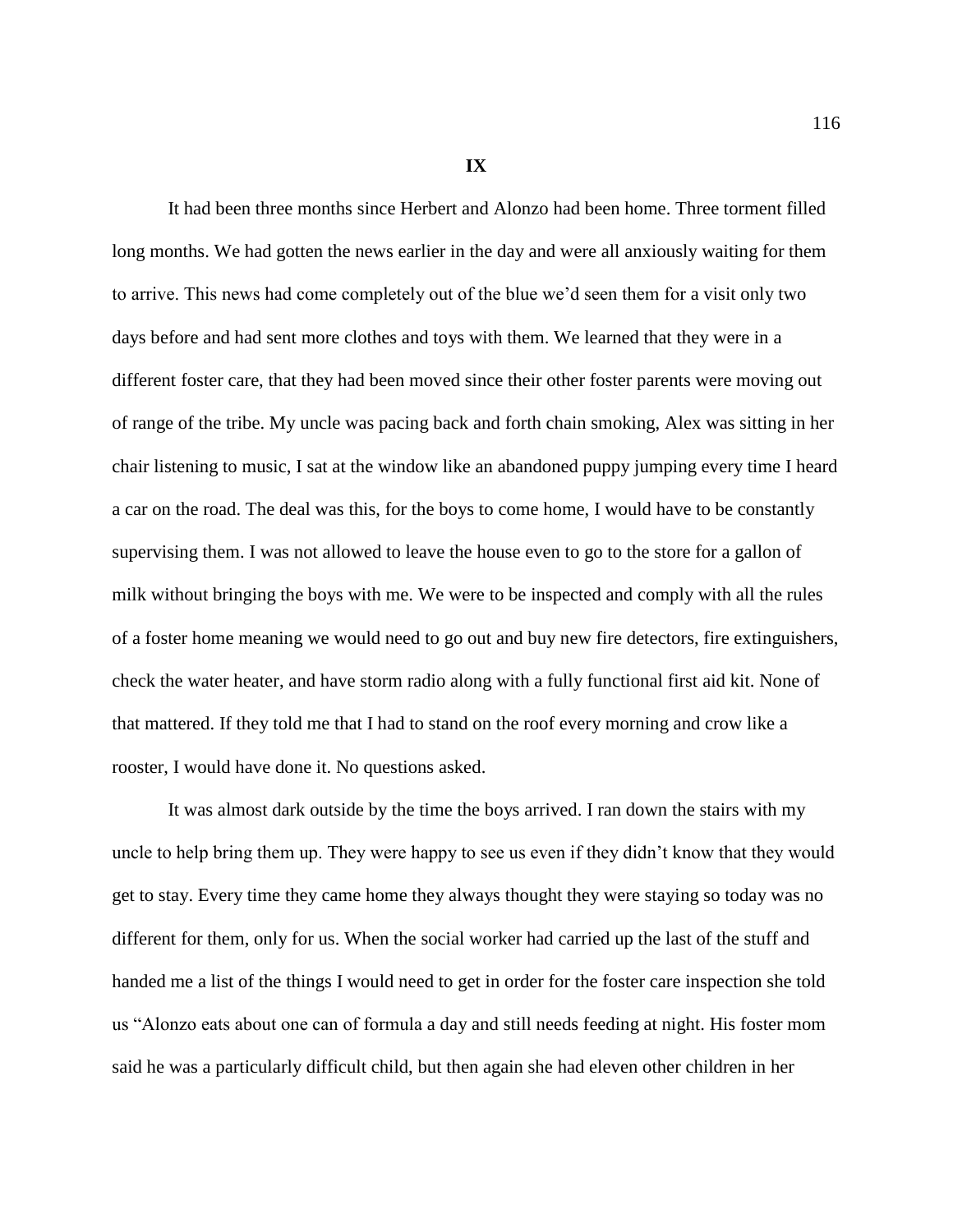**IX**

It had been three months since Herbert and Alonzo had been home. Three torment filled long months. We had gotten the news earlier in the day and were all anxiously waiting for them to arrive. This news had come completely out of the blue we'd seen them for a visit only two days before and had sent more clothes and toys with them. We learned that they were in a different foster care, that they had been moved since their other foster parents were moving out of range of the tribe. My uncle was pacing back and forth chain smoking, Alex was sitting in her chair listening to music, I sat at the window like an abandoned puppy jumping every time I heard a car on the road. The deal was this, for the boys to come home, I would have to be constantly supervising them. I was not allowed to leave the house even to go to the store for a gallon of milk without bringing the boys with me. We were to be inspected and comply with all the rules of a foster home meaning we would need to go out and buy new fire detectors, fire extinguishers, check the water heater, and have storm radio along with a fully functional first aid kit. None of that mattered. If they told me that I had to stand on the roof every morning and crow like a rooster, I would have done it. No questions asked.

It was almost dark outside by the time the boys arrived. I ran down the stairs with my uncle to help bring them up. They were happy to see us even if they didn't know that they would get to stay. Every time they came home they always thought they were staying so today was no different for them, only for us. When the social worker had carried up the last of the stuff and handed me a list of the things I would need to get in order for the foster care inspection she told us "Alonzo eats about one can of formula a day and still needs feeding at night. His foster mom said he was a particularly difficult child, but then again she had eleven other children in her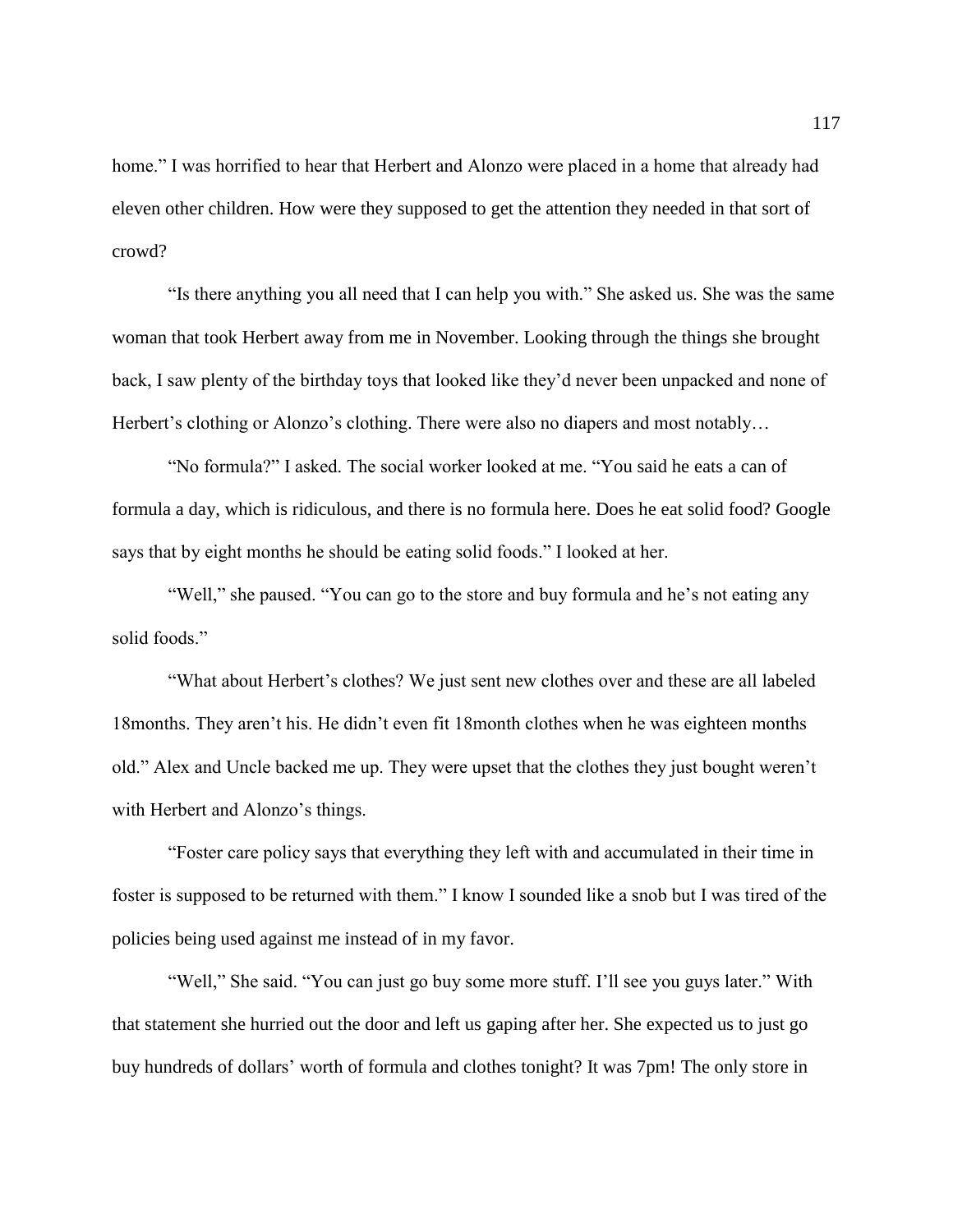home." I was horrified to hear that Herbert and Alonzo were placed in a home that already had eleven other children. How were they supposed to get the attention they needed in that sort of crowd?

"Is there anything you all need that I can help you with." She asked us. She was the same woman that took Herbert away from me in November. Looking through the things she brought back, I saw plenty of the birthday toys that looked like they'd never been unpacked and none of Herbert's clothing or Alonzo's clothing. There were also no diapers and most notably…

"No formula?" I asked. The social worker looked at me. "You said he eats a can of formula a day, which is ridiculous, and there is no formula here. Does he eat solid food? Google says that by eight months he should be eating solid foods." I looked at her.

"Well," she paused. "You can go to the store and buy formula and he's not eating any solid foods."

"What about Herbert's clothes? We just sent new clothes over and these are all labeled 18months. They aren't his. He didn't even fit 18month clothes when he was eighteen months old." Alex and Uncle backed me up. They were upset that the clothes they just bought weren't with Herbert and Alonzo's things.

"Foster care policy says that everything they left with and accumulated in their time in foster is supposed to be returned with them." I know I sounded like a snob but I was tired of the policies being used against me instead of in my favor.

"Well," She said. "You can just go buy some more stuff. I'll see you guys later." With that statement she hurried out the door and left us gaping after her. She expected us to just go buy hundreds of dollars' worth of formula and clothes tonight? It was 7pm! The only store in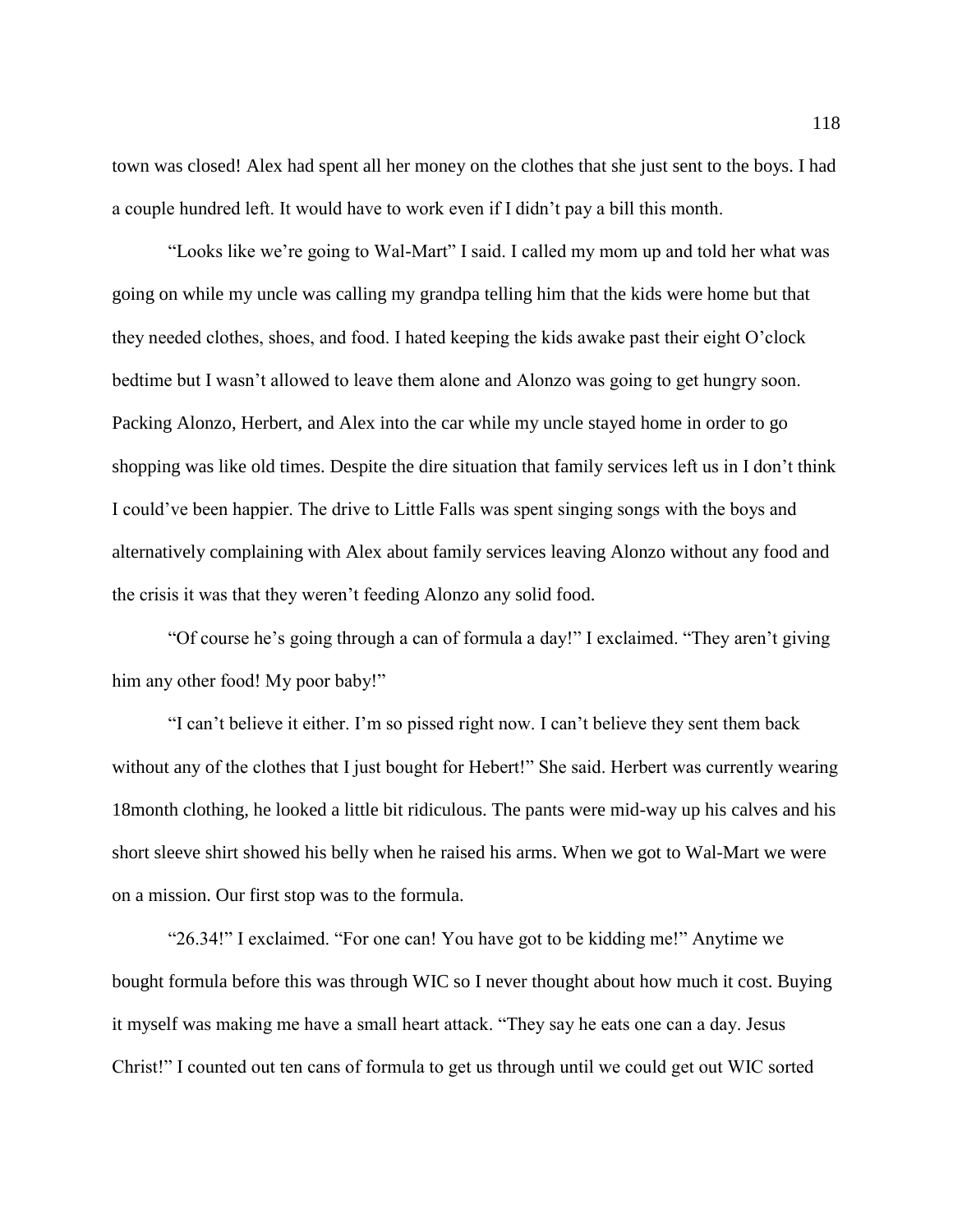town was closed! Alex had spent all her money on the clothes that she just sent to the boys. I had a couple hundred left. It would have to work even if I didn't pay a bill this month.

"Looks like we're going to Wal-Mart" I said. I called my mom up and told her what was going on while my uncle was calling my grandpa telling him that the kids were home but that they needed clothes, shoes, and food. I hated keeping the kids awake past their eight O'clock bedtime but I wasn't allowed to leave them alone and Alonzo was going to get hungry soon. Packing Alonzo, Herbert, and Alex into the car while my uncle stayed home in order to go shopping was like old times. Despite the dire situation that family services left us in I don't think I could've been happier. The drive to Little Falls was spent singing songs with the boys and alternatively complaining with Alex about family services leaving Alonzo without any food and the crisis it was that they weren't feeding Alonzo any solid food.

"Of course he's going through a can of formula a day!" I exclaimed. "They aren't giving him any other food! My poor baby!"

"I can't believe it either. I'm so pissed right now. I can't believe they sent them back without any of the clothes that I just bought for Hebert!" She said. Herbert was currently wearing 18month clothing, he looked a little bit ridiculous. The pants were mid-way up his calves and his short sleeve shirt showed his belly when he raised his arms. When we got to Wal-Mart we were on a mission. Our first stop was to the formula.

"26.34!" I exclaimed. "For one can! You have got to be kidding me!" Anytime we bought formula before this was through WIC so I never thought about how much it cost. Buying it myself was making me have a small heart attack. "They say he eats one can a day. Jesus Christ!" I counted out ten cans of formula to get us through until we could get out WIC sorted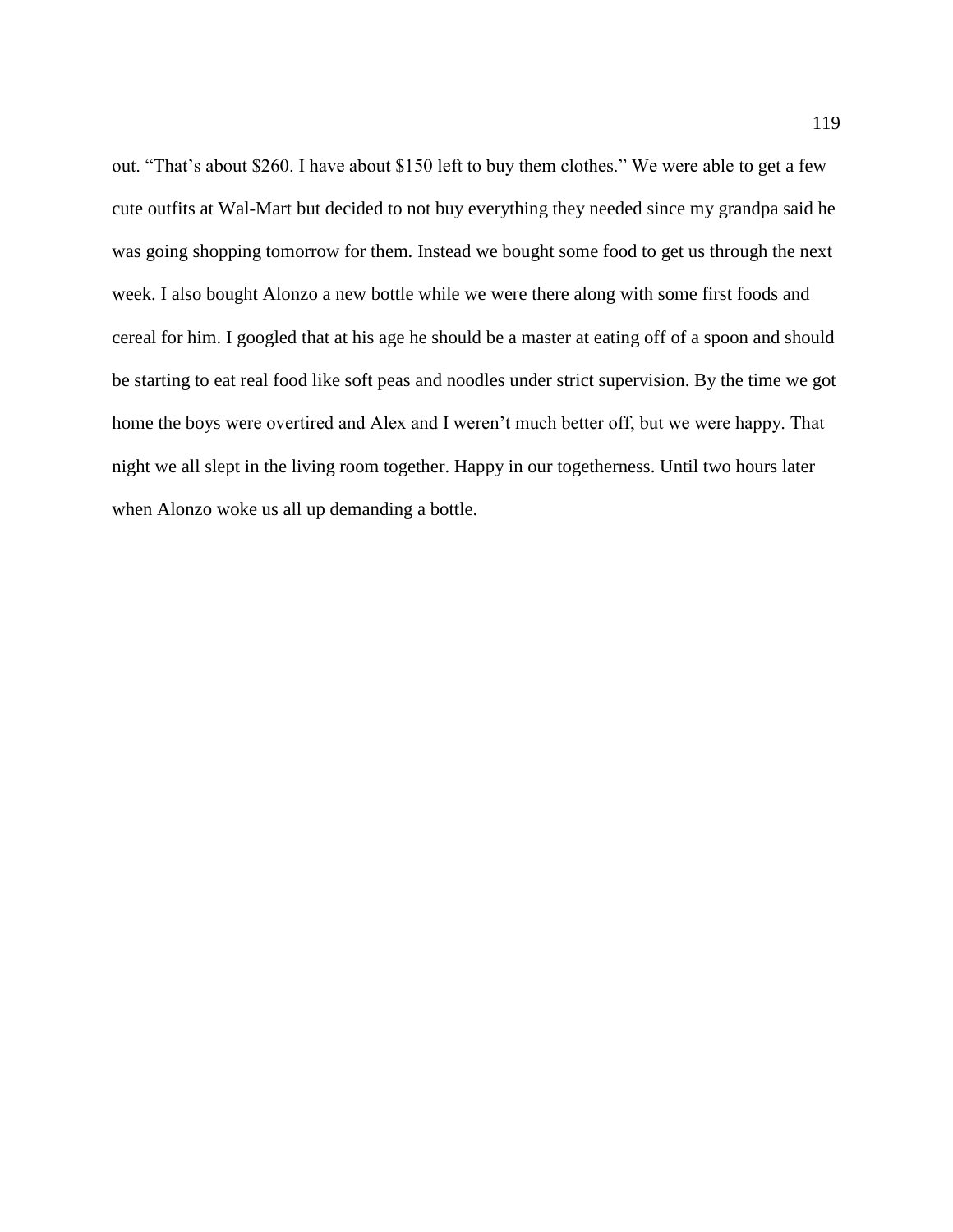out. "That's about \$260. I have about \$150 left to buy them clothes." We were able to get a few cute outfits at Wal-Mart but decided to not buy everything they needed since my grandpa said he was going shopping tomorrow for them. Instead we bought some food to get us through the next week. I also bought Alonzo a new bottle while we were there along with some first foods and cereal for him. I googled that at his age he should be a master at eating off of a spoon and should be starting to eat real food like soft peas and noodles under strict supervision. By the time we got home the boys were overtired and Alex and I weren't much better off, but we were happy. That night we all slept in the living room together. Happy in our togetherness. Until two hours later when Alonzo woke us all up demanding a bottle.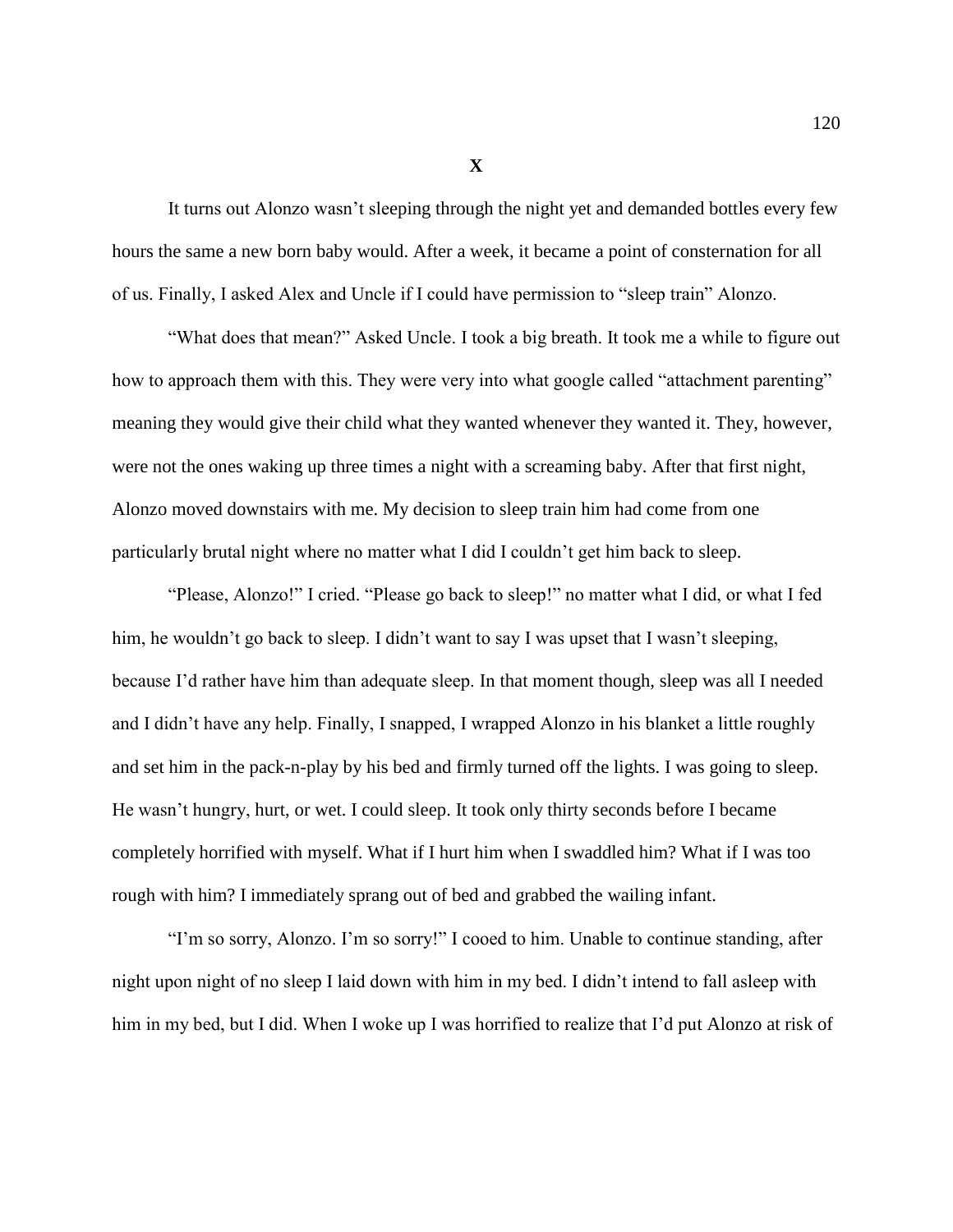It turns out Alonzo wasn't sleeping through the night yet and demanded bottles every few hours the same a new born baby would. After a week, it became a point of consternation for all of us. Finally, I asked Alex and Uncle if I could have permission to "sleep train" Alonzo.

"What does that mean?" Asked Uncle. I took a big breath. It took me a while to figure out how to approach them with this. They were very into what google called "attachment parenting" meaning they would give their child what they wanted whenever they wanted it. They, however, were not the ones waking up three times a night with a screaming baby. After that first night, Alonzo moved downstairs with me. My decision to sleep train him had come from one particularly brutal night where no matter what I did I couldn't get him back to sleep.

"Please, Alonzo!" I cried. "Please go back to sleep!" no matter what I did, or what I fed him, he wouldn't go back to sleep. I didn't want to say I was upset that I wasn't sleeping, because I'd rather have him than adequate sleep. In that moment though, sleep was all I needed and I didn't have any help. Finally, I snapped, I wrapped Alonzo in his blanket a little roughly and set him in the pack-n-play by his bed and firmly turned off the lights. I was going to sleep. He wasn't hungry, hurt, or wet. I could sleep. It took only thirty seconds before I became completely horrified with myself. What if I hurt him when I swaddled him? What if I was too rough with him? I immediately sprang out of bed and grabbed the wailing infant.

"I'm so sorry, Alonzo. I'm so sorry!" I cooed to him. Unable to continue standing, after night upon night of no sleep I laid down with him in my bed. I didn't intend to fall asleep with him in my bed, but I did. When I woke up I was horrified to realize that I'd put Alonzo at risk of

**X**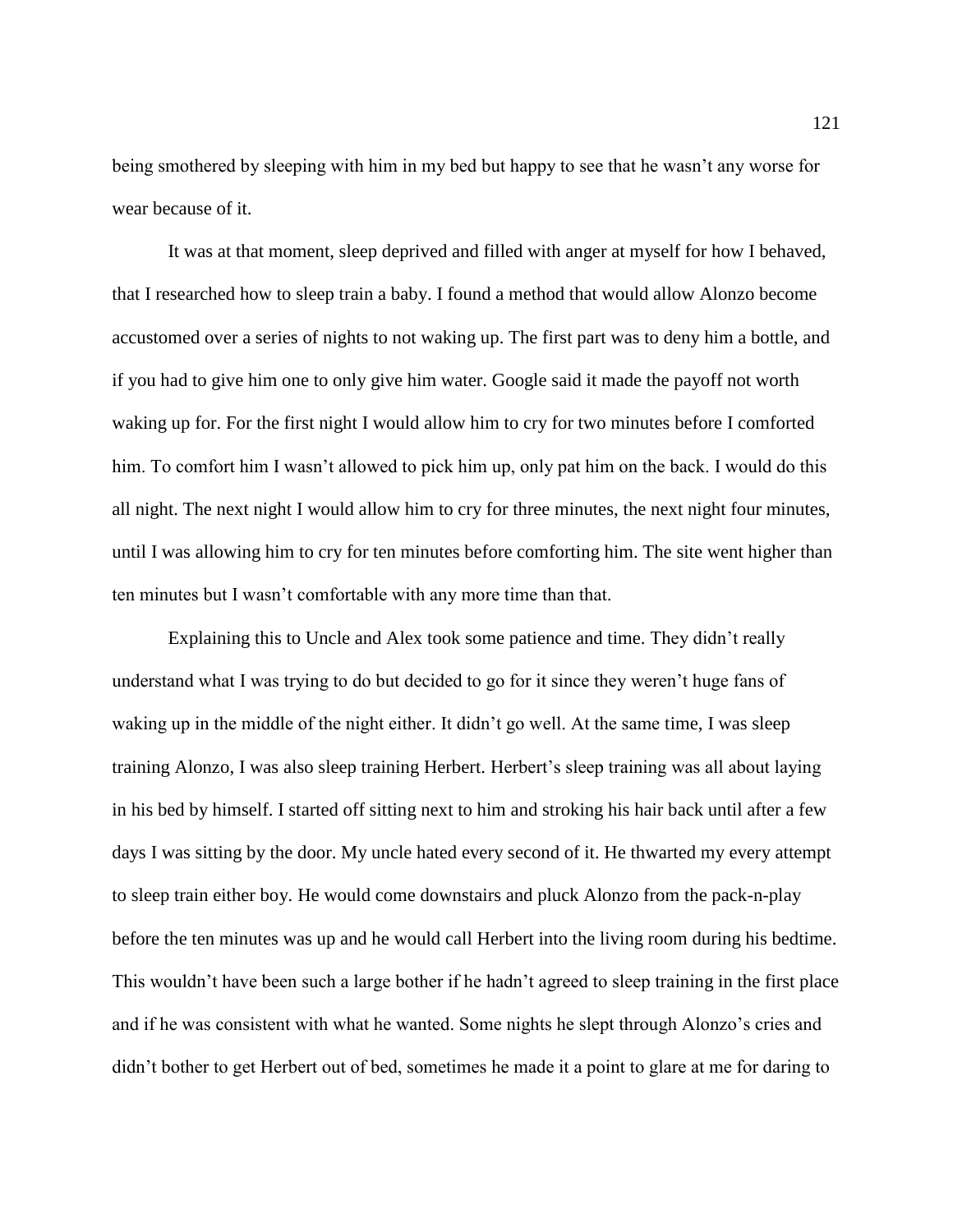being smothered by sleeping with him in my bed but happy to see that he wasn't any worse for wear because of it.

It was at that moment, sleep deprived and filled with anger at myself for how I behaved, that I researched how to sleep train a baby. I found a method that would allow Alonzo become accustomed over a series of nights to not waking up. The first part was to deny him a bottle, and if you had to give him one to only give him water. Google said it made the payoff not worth waking up for. For the first night I would allow him to cry for two minutes before I comforted him. To comfort him I wasn't allowed to pick him up, only pat him on the back. I would do this all night. The next night I would allow him to cry for three minutes, the next night four minutes, until I was allowing him to cry for ten minutes before comforting him. The site went higher than ten minutes but I wasn't comfortable with any more time than that.

Explaining this to Uncle and Alex took some patience and time. They didn't really understand what I was trying to do but decided to go for it since they weren't huge fans of waking up in the middle of the night either. It didn't go well. At the same time, I was sleep training Alonzo, I was also sleep training Herbert. Herbert's sleep training was all about laying in his bed by himself. I started off sitting next to him and stroking his hair back until after a few days I was sitting by the door. My uncle hated every second of it. He thwarted my every attempt to sleep train either boy. He would come downstairs and pluck Alonzo from the pack-n-play before the ten minutes was up and he would call Herbert into the living room during his bedtime. This wouldn't have been such a large bother if he hadn't agreed to sleep training in the first place and if he was consistent with what he wanted. Some nights he slept through Alonzo's cries and didn't bother to get Herbert out of bed, sometimes he made it a point to glare at me for daring to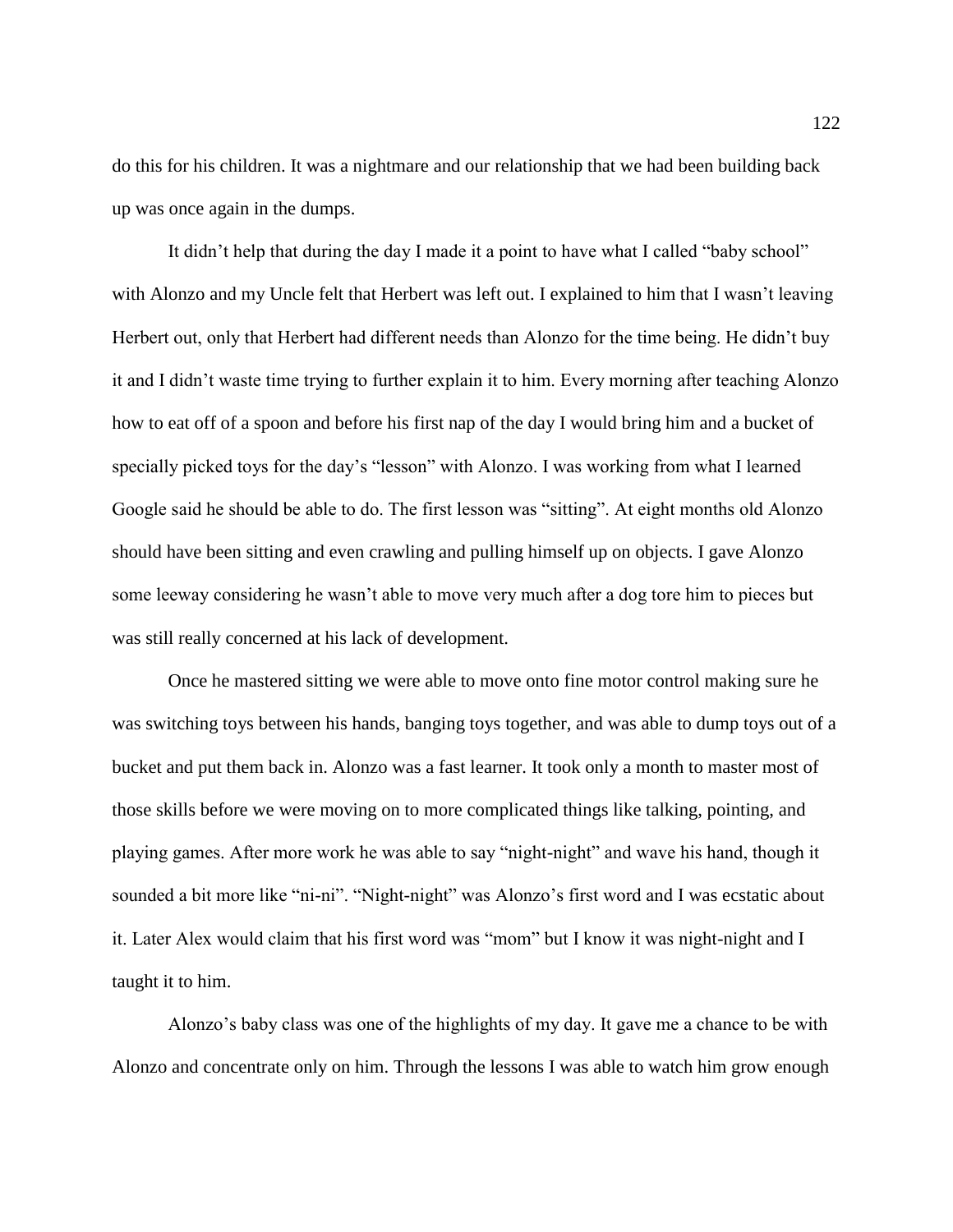do this for his children. It was a nightmare and our relationship that we had been building back up was once again in the dumps.

It didn't help that during the day I made it a point to have what I called "baby school" with Alonzo and my Uncle felt that Herbert was left out. I explained to him that I wasn't leaving Herbert out, only that Herbert had different needs than Alonzo for the time being. He didn't buy it and I didn't waste time trying to further explain it to him. Every morning after teaching Alonzo how to eat off of a spoon and before his first nap of the day I would bring him and a bucket of specially picked toys for the day's "lesson" with Alonzo. I was working from what I learned Google said he should be able to do. The first lesson was "sitting". At eight months old Alonzo should have been sitting and even crawling and pulling himself up on objects. I gave Alonzo some leeway considering he wasn't able to move very much after a dog tore him to pieces but was still really concerned at his lack of development.

Once he mastered sitting we were able to move onto fine motor control making sure he was switching toys between his hands, banging toys together, and was able to dump toys out of a bucket and put them back in. Alonzo was a fast learner. It took only a month to master most of those skills before we were moving on to more complicated things like talking, pointing, and playing games. After more work he was able to say "night-night" and wave his hand, though it sounded a bit more like "ni-ni". "Night-night" was Alonzo's first word and I was ecstatic about it. Later Alex would claim that his first word was "mom" but I know it was night-night and I taught it to him.

Alonzo's baby class was one of the highlights of my day. It gave me a chance to be with Alonzo and concentrate only on him. Through the lessons I was able to watch him grow enough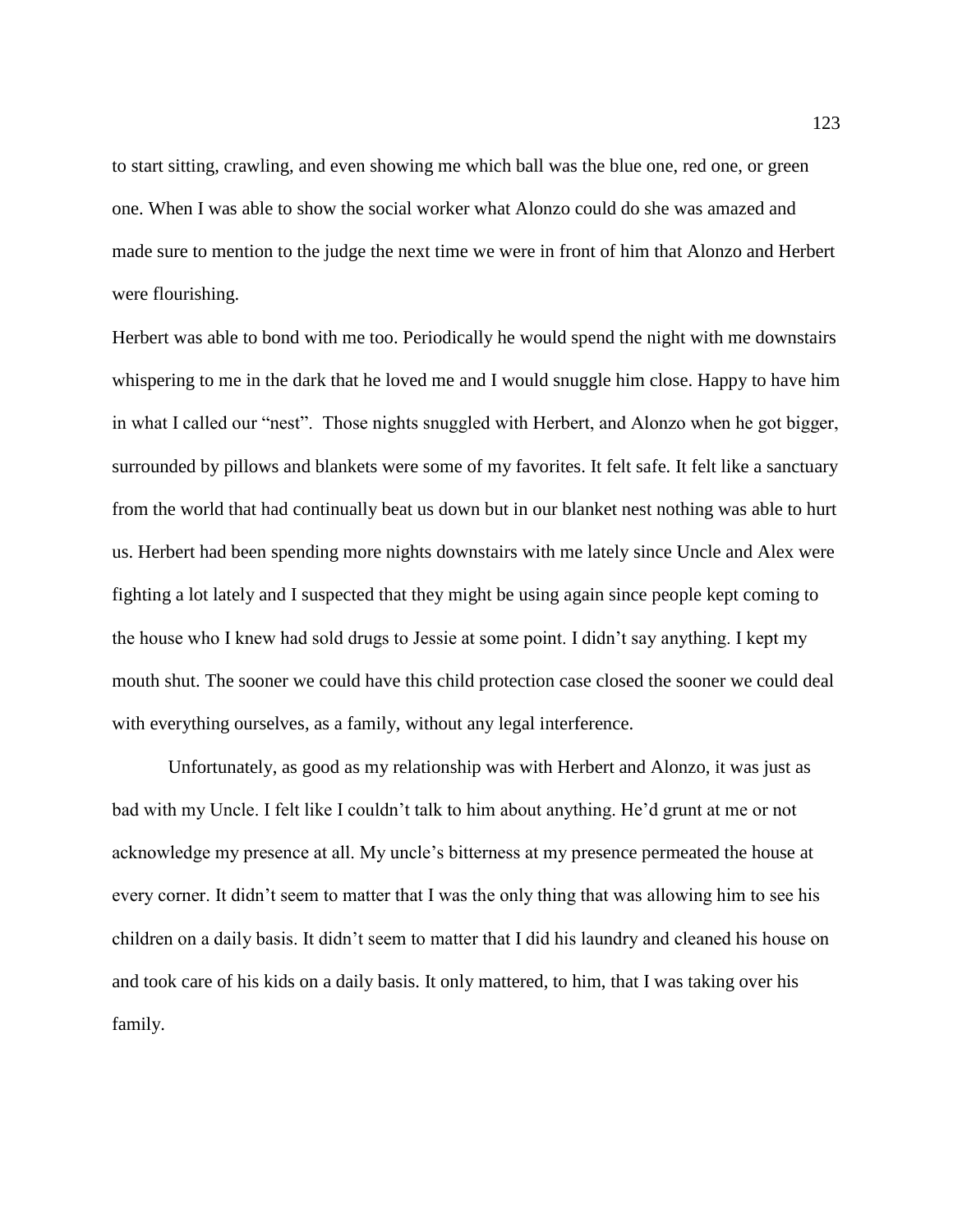to start sitting, crawling, and even showing me which ball was the blue one, red one, or green one. When I was able to show the social worker what Alonzo could do she was amazed and made sure to mention to the judge the next time we were in front of him that Alonzo and Herbert were flourishing.

Herbert was able to bond with me too. Periodically he would spend the night with me downstairs whispering to me in the dark that he loved me and I would snuggle him close. Happy to have him in what I called our "nest". Those nights snuggled with Herbert, and Alonzo when he got bigger, surrounded by pillows and blankets were some of my favorites. It felt safe. It felt like a sanctuary from the world that had continually beat us down but in our blanket nest nothing was able to hurt us. Herbert had been spending more nights downstairs with me lately since Uncle and Alex were fighting a lot lately and I suspected that they might be using again since people kept coming to the house who I knew had sold drugs to Jessie at some point. I didn't say anything. I kept my mouth shut. The sooner we could have this child protection case closed the sooner we could deal with everything ourselves, as a family, without any legal interference.

Unfortunately, as good as my relationship was with Herbert and Alonzo, it was just as bad with my Uncle. I felt like I couldn't talk to him about anything. He'd grunt at me or not acknowledge my presence at all. My uncle's bitterness at my presence permeated the house at every corner. It didn't seem to matter that I was the only thing that was allowing him to see his children on a daily basis. It didn't seem to matter that I did his laundry and cleaned his house on and took care of his kids on a daily basis. It only mattered, to him, that I was taking over his family.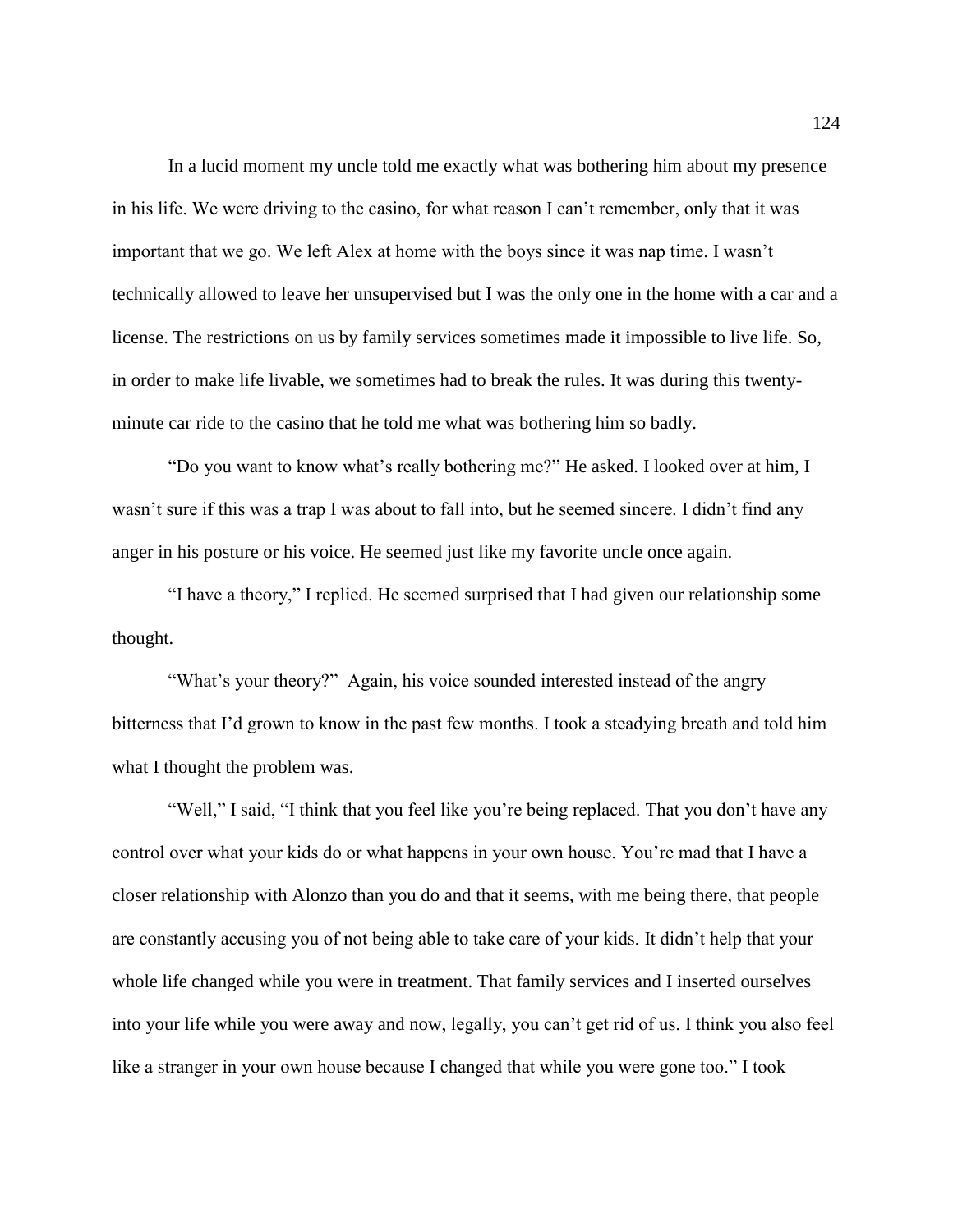In a lucid moment my uncle told me exactly what was bothering him about my presence in his life. We were driving to the casino, for what reason I can't remember, only that it was important that we go. We left Alex at home with the boys since it was nap time. I wasn't technically allowed to leave her unsupervised but I was the only one in the home with a car and a license. The restrictions on us by family services sometimes made it impossible to live life. So, in order to make life livable, we sometimes had to break the rules. It was during this twentyminute car ride to the casino that he told me what was bothering him so badly.

"Do you want to know what's really bothering me?" He asked. I looked over at him, I wasn't sure if this was a trap I was about to fall into, but he seemed sincere. I didn't find any anger in his posture or his voice. He seemed just like my favorite uncle once again.

"I have a theory," I replied. He seemed surprised that I had given our relationship some thought.

"What's your theory?" Again, his voice sounded interested instead of the angry bitterness that I'd grown to know in the past few months. I took a steadying breath and told him what I thought the problem was.

"Well," I said, "I think that you feel like you're being replaced. That you don't have any control over what your kids do or what happens in your own house. You're mad that I have a closer relationship with Alonzo than you do and that it seems, with me being there, that people are constantly accusing you of not being able to take care of your kids. It didn't help that your whole life changed while you were in treatment. That family services and I inserted ourselves into your life while you were away and now, legally, you can't get rid of us. I think you also feel like a stranger in your own house because I changed that while you were gone too." I took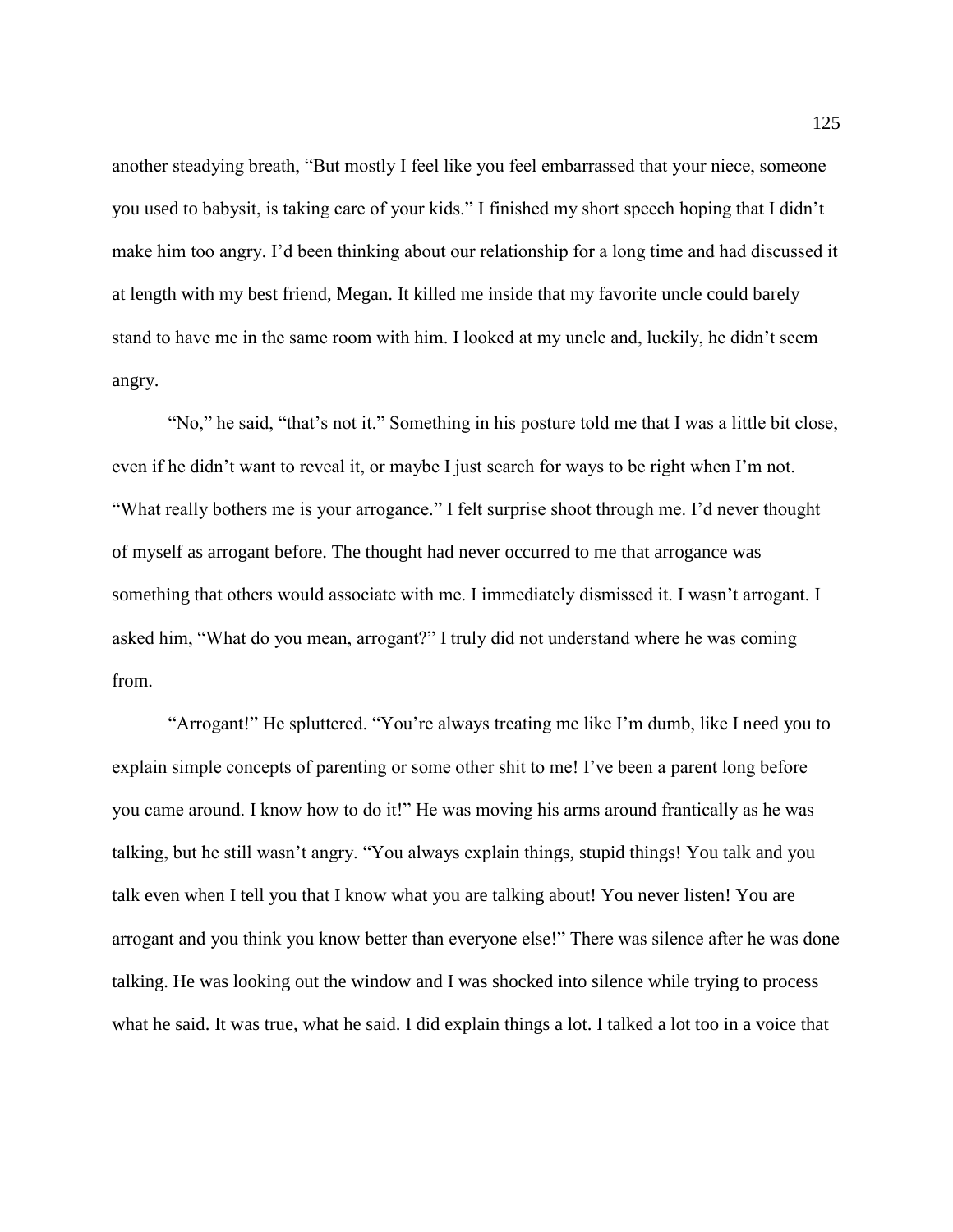another steadying breath, "But mostly I feel like you feel embarrassed that your niece, someone you used to babysit, is taking care of your kids." I finished my short speech hoping that I didn't make him too angry. I'd been thinking about our relationship for a long time and had discussed it at length with my best friend, Megan. It killed me inside that my favorite uncle could barely stand to have me in the same room with him. I looked at my uncle and, luckily, he didn't seem angry.

"No," he said, "that's not it." Something in his posture told me that I was a little bit close, even if he didn't want to reveal it, or maybe I just search for ways to be right when I'm not. "What really bothers me is your arrogance." I felt surprise shoot through me. I'd never thought of myself as arrogant before. The thought had never occurred to me that arrogance was something that others would associate with me. I immediately dismissed it. I wasn't arrogant. I asked him, "What do you mean, arrogant?" I truly did not understand where he was coming from.

"Arrogant!" He spluttered. "You're always treating me like I'm dumb, like I need you to explain simple concepts of parenting or some other shit to me! I've been a parent long before you came around. I know how to do it!" He was moving his arms around frantically as he was talking, but he still wasn't angry. "You always explain things, stupid things! You talk and you talk even when I tell you that I know what you are talking about! You never listen! You are arrogant and you think you know better than everyone else!" There was silence after he was done talking. He was looking out the window and I was shocked into silence while trying to process what he said. It was true, what he said. I did explain things a lot. I talked a lot too in a voice that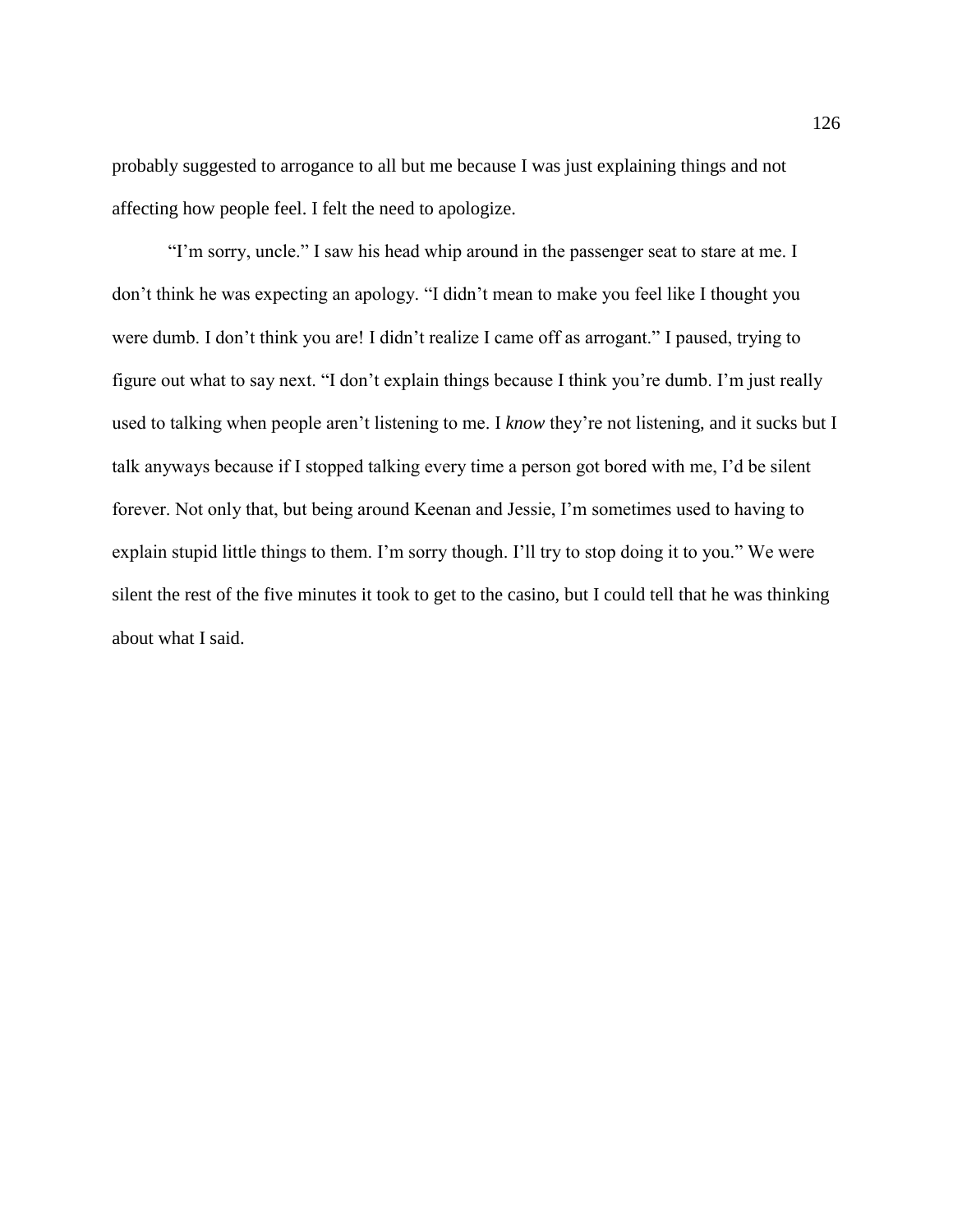probably suggested to arrogance to all but me because I was just explaining things and not affecting how people feel. I felt the need to apologize.

"I'm sorry, uncle." I saw his head whip around in the passenger seat to stare at me. I don't think he was expecting an apology. "I didn't mean to make you feel like I thought you were dumb. I don't think you are! I didn't realize I came off as arrogant." I paused, trying to figure out what to say next. "I don't explain things because I think you're dumb. I'm just really used to talking when people aren't listening to me. I *know* they're not listening, and it sucks but I talk anyways because if I stopped talking every time a person got bored with me, I'd be silent forever. Not only that, but being around Keenan and Jessie, I'm sometimes used to having to explain stupid little things to them. I'm sorry though. I'll try to stop doing it to you." We were silent the rest of the five minutes it took to get to the casino, but I could tell that he was thinking about what I said.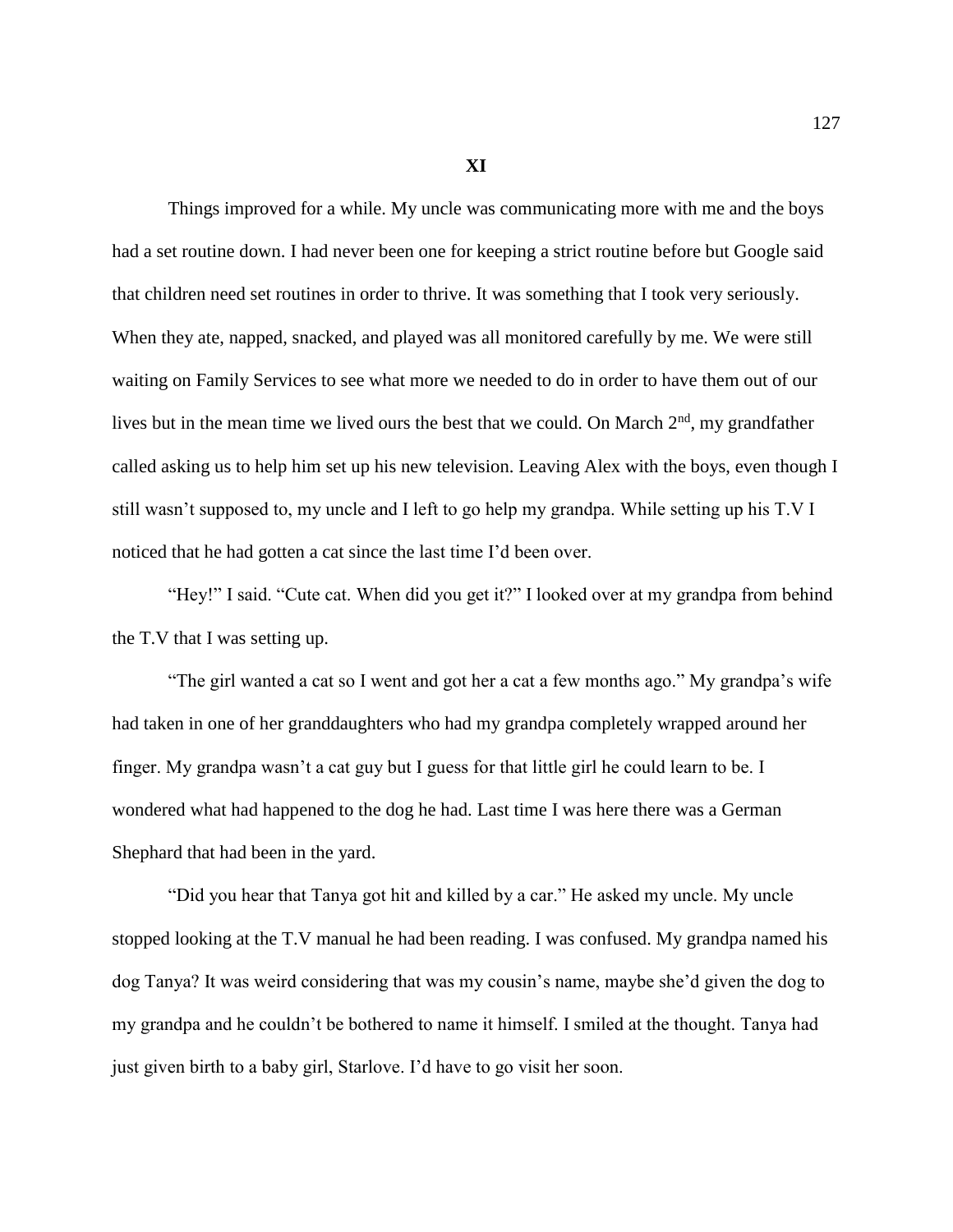**XI**

Things improved for a while. My uncle was communicating more with me and the boys had a set routine down. I had never been one for keeping a strict routine before but Google said that children need set routines in order to thrive. It was something that I took very seriously. When they ate, napped, snacked, and played was all monitored carefully by me. We were still waiting on Family Services to see what more we needed to do in order to have them out of our lives but in the mean time we lived ours the best that we could. On March  $2<sup>nd</sup>$ , my grandfather called asking us to help him set up his new television. Leaving Alex with the boys, even though I still wasn't supposed to, my uncle and I left to go help my grandpa. While setting up his T.V I noticed that he had gotten a cat since the last time I'd been over.

"Hey!" I said. "Cute cat. When did you get it?" I looked over at my grandpa from behind the T.V that I was setting up.

"The girl wanted a cat so I went and got her a cat a few months ago." My grandpa's wife had taken in one of her granddaughters who had my grandpa completely wrapped around her finger. My grandpa wasn't a cat guy but I guess for that little girl he could learn to be. I wondered what had happened to the dog he had. Last time I was here there was a German Shephard that had been in the yard.

"Did you hear that Tanya got hit and killed by a car." He asked my uncle. My uncle stopped looking at the T.V manual he had been reading. I was confused. My grandpa named his dog Tanya? It was weird considering that was my cousin's name, maybe she'd given the dog to my grandpa and he couldn't be bothered to name it himself. I smiled at the thought. Tanya had just given birth to a baby girl, Starlove. I'd have to go visit her soon.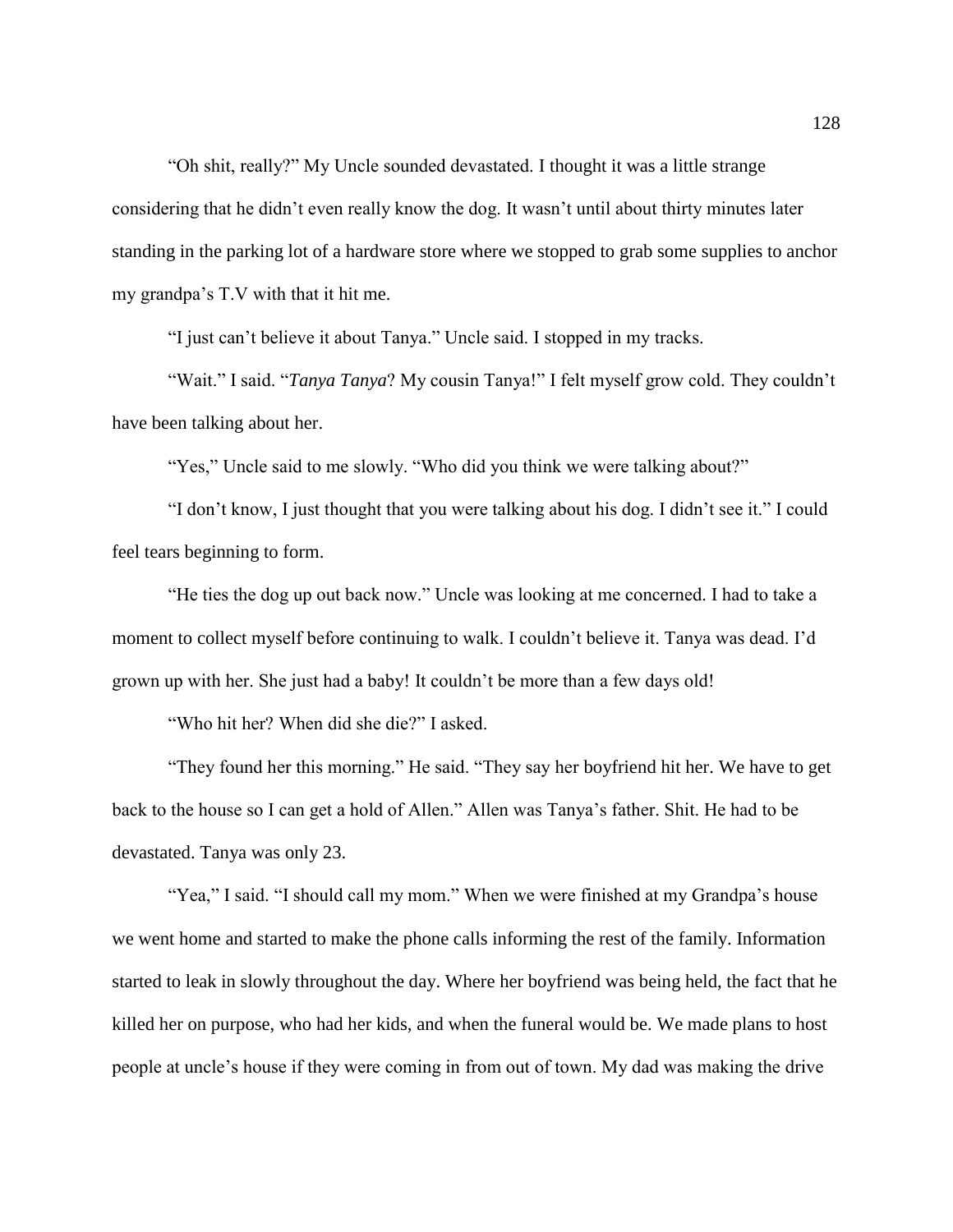"Oh shit, really?" My Uncle sounded devastated. I thought it was a little strange considering that he didn't even really know the dog. It wasn't until about thirty minutes later standing in the parking lot of a hardware store where we stopped to grab some supplies to anchor my grandpa's T.V with that it hit me.

"I just can't believe it about Tanya." Uncle said. I stopped in my tracks.

"Wait." I said. "*Tanya Tanya*? My cousin Tanya!" I felt myself grow cold. They couldn't have been talking about her.

"Yes," Uncle said to me slowly. "Who did you think we were talking about?"

"I don't know, I just thought that you were talking about his dog. I didn't see it." I could feel tears beginning to form.

"He ties the dog up out back now." Uncle was looking at me concerned. I had to take a moment to collect myself before continuing to walk. I couldn't believe it. Tanya was dead. I'd grown up with her. She just had a baby! It couldn't be more than a few days old!

"Who hit her? When did she die?" I asked.

"They found her this morning." He said. "They say her boyfriend hit her. We have to get back to the house so I can get a hold of Allen." Allen was Tanya's father. Shit. He had to be devastated. Tanya was only 23.

"Yea," I said. "I should call my mom." When we were finished at my Grandpa's house we went home and started to make the phone calls informing the rest of the family. Information started to leak in slowly throughout the day. Where her boyfriend was being held, the fact that he killed her on purpose, who had her kids, and when the funeral would be. We made plans to host people at uncle's house if they were coming in from out of town. My dad was making the drive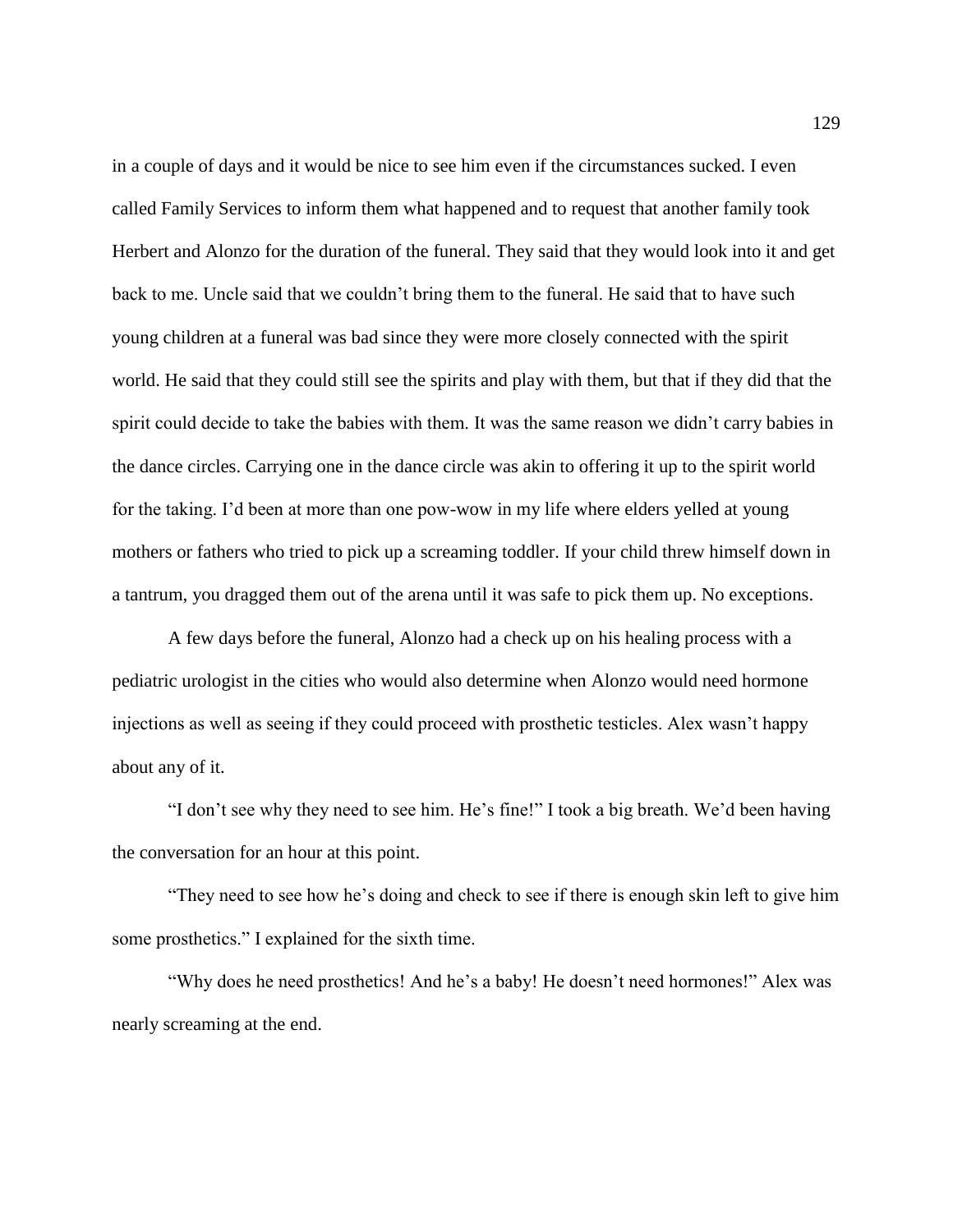in a couple of days and it would be nice to see him even if the circumstances sucked. I even called Family Services to inform them what happened and to request that another family took Herbert and Alonzo for the duration of the funeral. They said that they would look into it and get back to me. Uncle said that we couldn't bring them to the funeral. He said that to have such young children at a funeral was bad since they were more closely connected with the spirit world. He said that they could still see the spirits and play with them, but that if they did that the spirit could decide to take the babies with them. It was the same reason we didn't carry babies in the dance circles. Carrying one in the dance circle was akin to offering it up to the spirit world for the taking. I'd been at more than one pow-wow in my life where elders yelled at young mothers or fathers who tried to pick up a screaming toddler. If your child threw himself down in a tantrum, you dragged them out of the arena until it was safe to pick them up. No exceptions.

A few days before the funeral, Alonzo had a check up on his healing process with a pediatric urologist in the cities who would also determine when Alonzo would need hormone injections as well as seeing if they could proceed with prosthetic testicles. Alex wasn't happy about any of it.

"I don't see why they need to see him. He's fine!" I took a big breath. We'd been having the conversation for an hour at this point.

"They need to see how he's doing and check to see if there is enough skin left to give him some prosthetics." I explained for the sixth time.

"Why does he need prosthetics! And he's a baby! He doesn't need hormones!" Alex was nearly screaming at the end.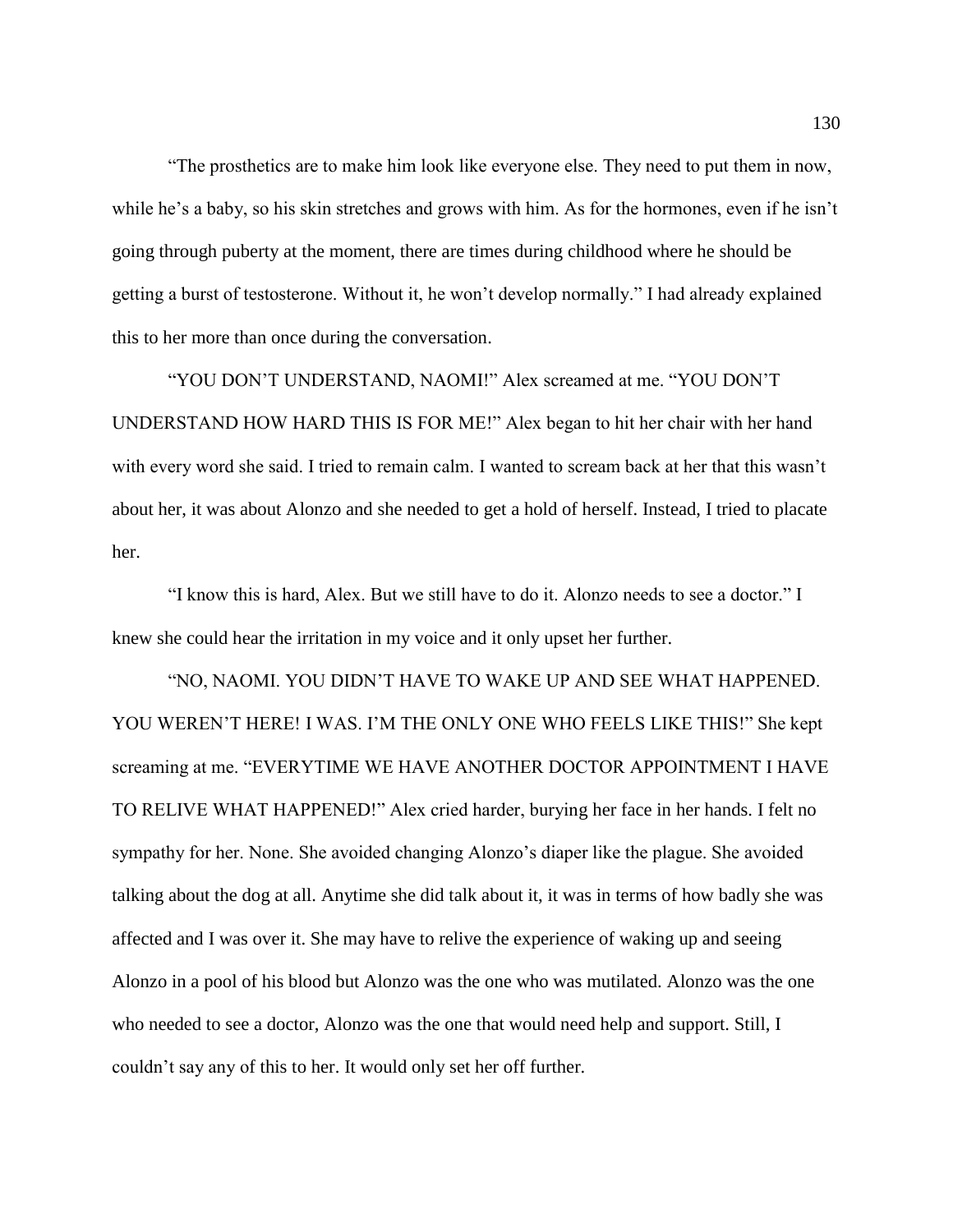"The prosthetics are to make him look like everyone else. They need to put them in now, while he's a baby, so his skin stretches and grows with him. As for the hormones, even if he isn't going through puberty at the moment, there are times during childhood where he should be getting a burst of testosterone. Without it, he won't develop normally." I had already explained this to her more than once during the conversation.

"YOU DON'T UNDERSTAND, NAOMI!" Alex screamed at me. "YOU DON'T UNDERSTAND HOW HARD THIS IS FOR ME!" Alex began to hit her chair with her hand with every word she said. I tried to remain calm. I wanted to scream back at her that this wasn't about her, it was about Alonzo and she needed to get a hold of herself. Instead, I tried to placate her.

"I know this is hard, Alex. But we still have to do it. Alonzo needs to see a doctor." I knew she could hear the irritation in my voice and it only upset her further.

"NO, NAOMI. YOU DIDN'T HAVE TO WAKE UP AND SEE WHAT HAPPENED. YOU WEREN'T HERE! I WAS. I'M THE ONLY ONE WHO FEELS LIKE THIS!" She kept screaming at me. "EVERYTIME WE HAVE ANOTHER DOCTOR APPOINTMENT I HAVE TO RELIVE WHAT HAPPENED!" Alex cried harder, burying her face in her hands. I felt no sympathy for her. None. She avoided changing Alonzo's diaper like the plague. She avoided talking about the dog at all. Anytime she did talk about it, it was in terms of how badly she was affected and I was over it. She may have to relive the experience of waking up and seeing Alonzo in a pool of his blood but Alonzo was the one who was mutilated. Alonzo was the one who needed to see a doctor, Alonzo was the one that would need help and support. Still, I couldn't say any of this to her. It would only set her off further.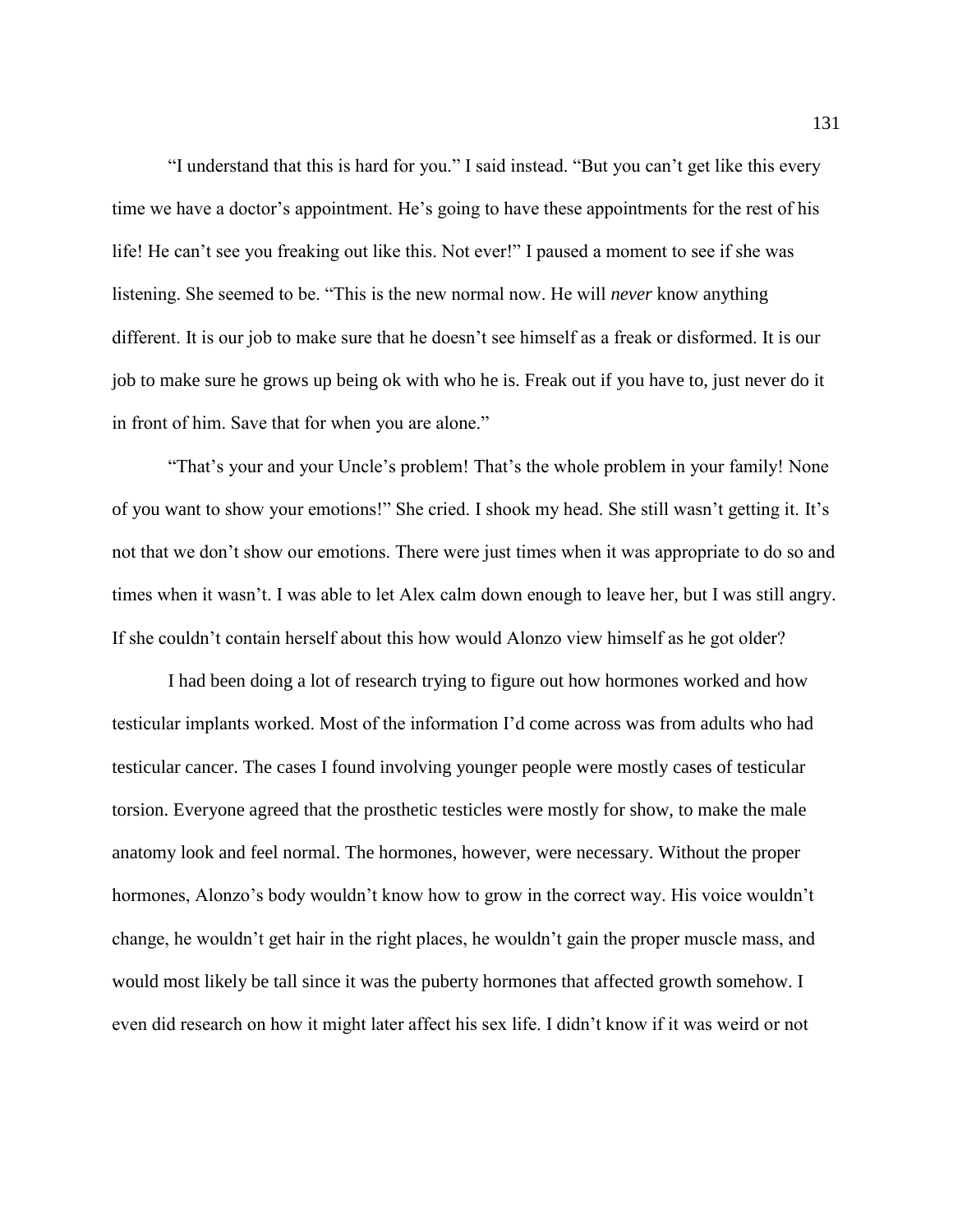"I understand that this is hard for you." I said instead. "But you can't get like this every time we have a doctor's appointment. He's going to have these appointments for the rest of his life! He can't see you freaking out like this. Not ever!" I paused a moment to see if she was listening. She seemed to be. "This is the new normal now. He will *never* know anything different. It is our job to make sure that he doesn't see himself as a freak or disformed. It is our job to make sure he grows up being ok with who he is. Freak out if you have to, just never do it in front of him. Save that for when you are alone."

"That's your and your Uncle's problem! That's the whole problem in your family! None of you want to show your emotions!" She cried. I shook my head. She still wasn't getting it. It's not that we don't show our emotions. There were just times when it was appropriate to do so and times when it wasn't. I was able to let Alex calm down enough to leave her, but I was still angry. If she couldn't contain herself about this how would Alonzo view himself as he got older?

I had been doing a lot of research trying to figure out how hormones worked and how testicular implants worked. Most of the information I'd come across was from adults who had testicular cancer. The cases I found involving younger people were mostly cases of testicular torsion. Everyone agreed that the prosthetic testicles were mostly for show, to make the male anatomy look and feel normal. The hormones, however, were necessary. Without the proper hormones, Alonzo's body wouldn't know how to grow in the correct way. His voice wouldn't change, he wouldn't get hair in the right places, he wouldn't gain the proper muscle mass, and would most likely be tall since it was the puberty hormones that affected growth somehow. I even did research on how it might later affect his sex life. I didn't know if it was weird or not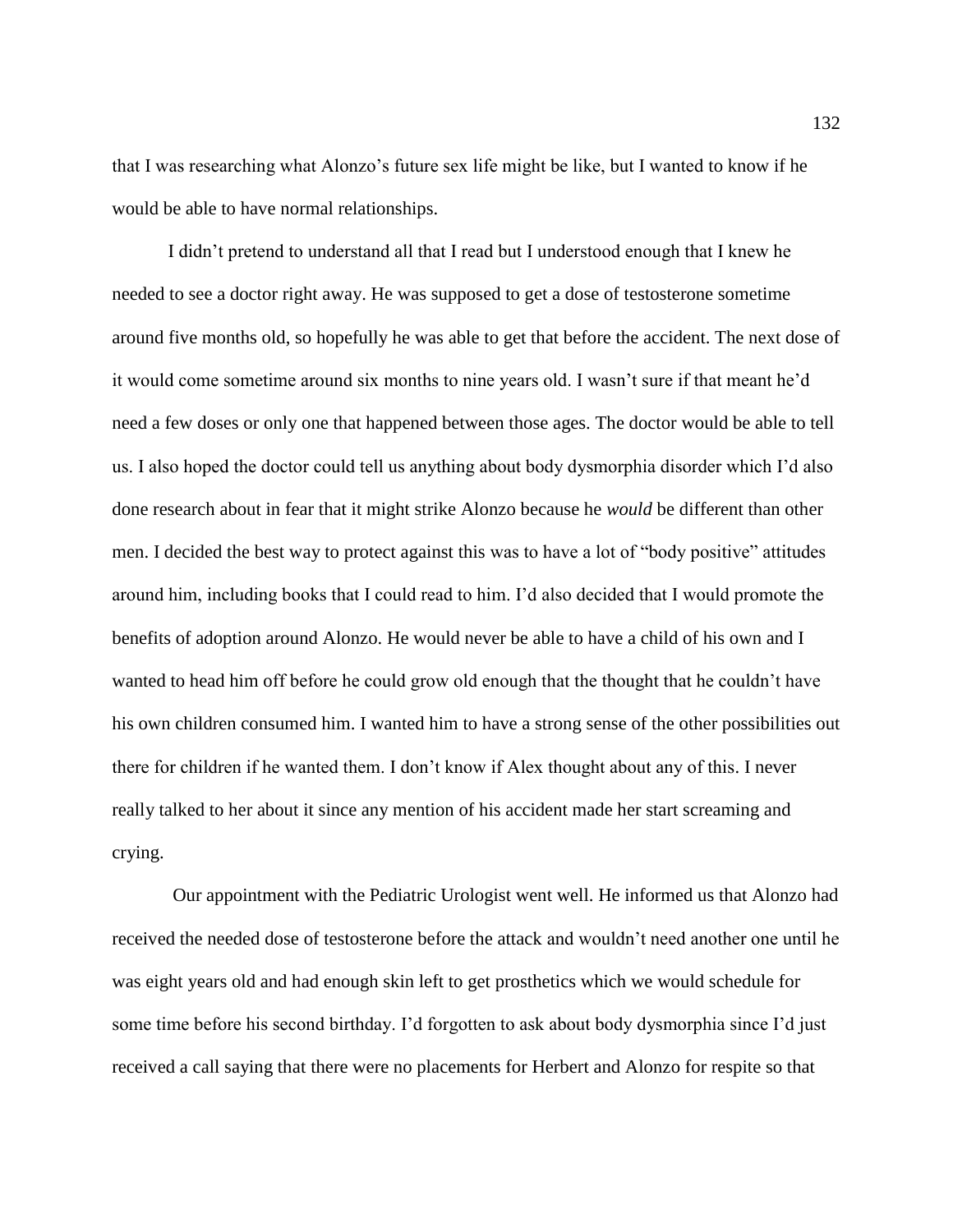that I was researching what Alonzo's future sex life might be like, but I wanted to know if he would be able to have normal relationships.

I didn't pretend to understand all that I read but I understood enough that I knew he needed to see a doctor right away. He was supposed to get a dose of testosterone sometime around five months old, so hopefully he was able to get that before the accident. The next dose of it would come sometime around six months to nine years old. I wasn't sure if that meant he'd need a few doses or only one that happened between those ages. The doctor would be able to tell us. I also hoped the doctor could tell us anything about body dysmorphia disorder which I'd also done research about in fear that it might strike Alonzo because he *would* be different than other men. I decided the best way to protect against this was to have a lot of "body positive" attitudes around him, including books that I could read to him. I'd also decided that I would promote the benefits of adoption around Alonzo. He would never be able to have a child of his own and I wanted to head him off before he could grow old enough that the thought that he couldn't have his own children consumed him. I wanted him to have a strong sense of the other possibilities out there for children if he wanted them. I don't know if Alex thought about any of this. I never really talked to her about it since any mention of his accident made her start screaming and crying.

Our appointment with the Pediatric Urologist went well. He informed us that Alonzo had received the needed dose of testosterone before the attack and wouldn't need another one until he was eight years old and had enough skin left to get prosthetics which we would schedule for some time before his second birthday. I'd forgotten to ask about body dysmorphia since I'd just received a call saying that there were no placements for Herbert and Alonzo for respite so that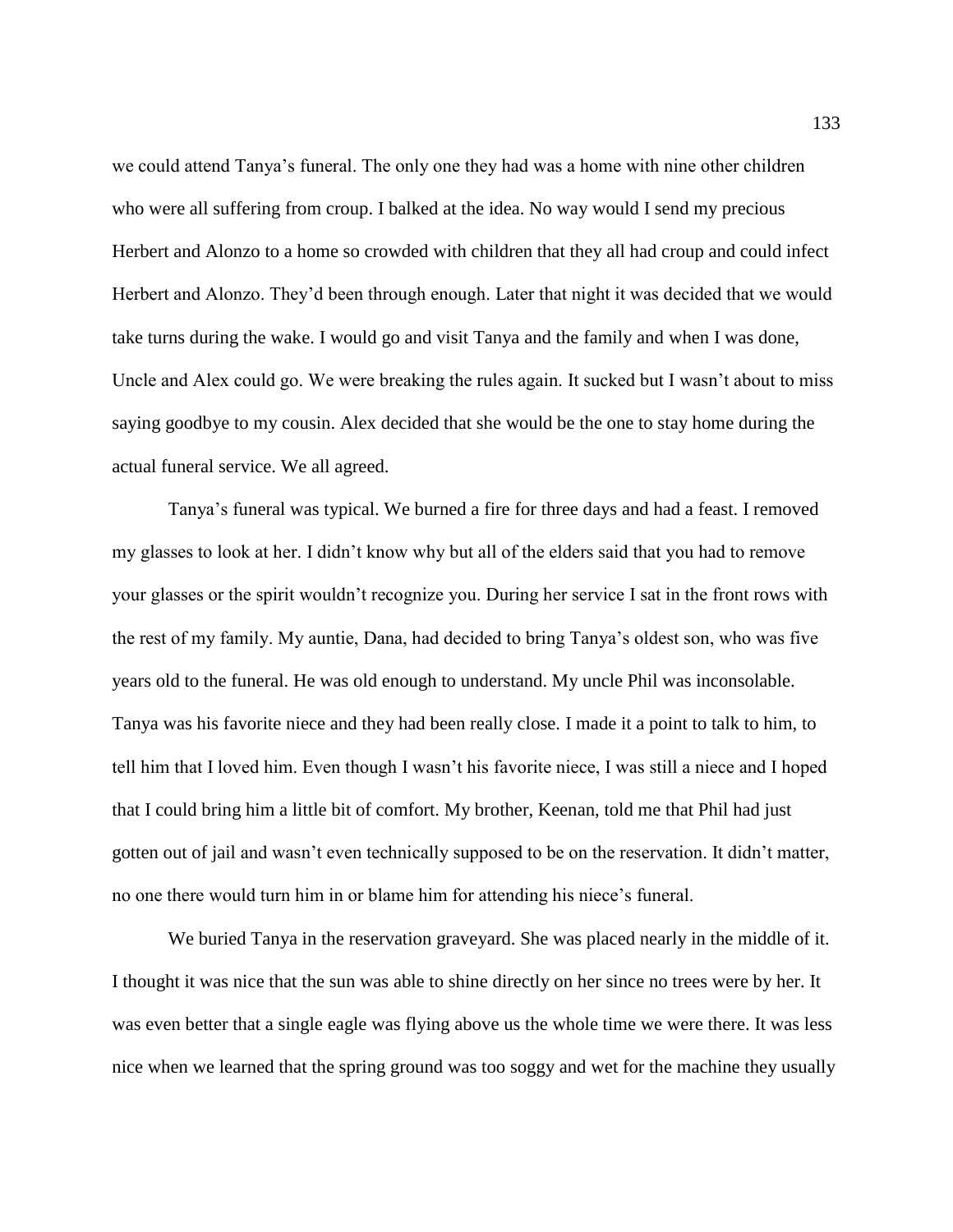we could attend Tanya's funeral. The only one they had was a home with nine other children who were all suffering from croup. I balked at the idea. No way would I send my precious Herbert and Alonzo to a home so crowded with children that they all had croup and could infect Herbert and Alonzo. They'd been through enough. Later that night it was decided that we would take turns during the wake. I would go and visit Tanya and the family and when I was done, Uncle and Alex could go. We were breaking the rules again. It sucked but I wasn't about to miss saying goodbye to my cousin. Alex decided that she would be the one to stay home during the actual funeral service. We all agreed.

Tanya's funeral was typical. We burned a fire for three days and had a feast. I removed my glasses to look at her. I didn't know why but all of the elders said that you had to remove your glasses or the spirit wouldn't recognize you. During her service I sat in the front rows with the rest of my family. My auntie, Dana, had decided to bring Tanya's oldest son, who was five years old to the funeral. He was old enough to understand. My uncle Phil was inconsolable. Tanya was his favorite niece and they had been really close. I made it a point to talk to him, to tell him that I loved him. Even though I wasn't his favorite niece, I was still a niece and I hoped that I could bring him a little bit of comfort. My brother, Keenan, told me that Phil had just gotten out of jail and wasn't even technically supposed to be on the reservation. It didn't matter, no one there would turn him in or blame him for attending his niece's funeral.

We buried Tanya in the reservation graveyard. She was placed nearly in the middle of it. I thought it was nice that the sun was able to shine directly on her since no trees were by her. It was even better that a single eagle was flying above us the whole time we were there. It was less nice when we learned that the spring ground was too soggy and wet for the machine they usually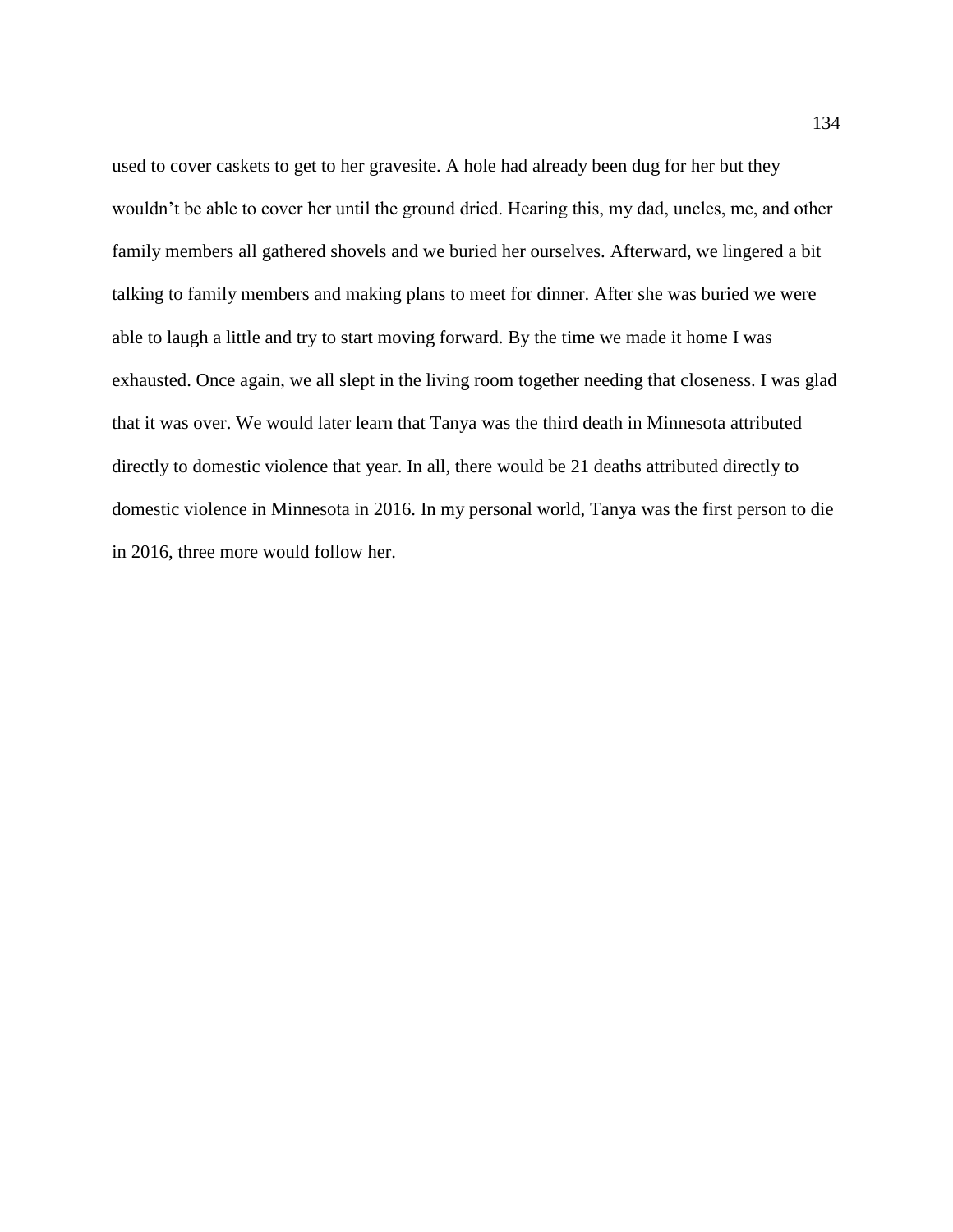used to cover caskets to get to her gravesite. A hole had already been dug for her but they wouldn't be able to cover her until the ground dried. Hearing this, my dad, uncles, me, and other family members all gathered shovels and we buried her ourselves. Afterward, we lingered a bit talking to family members and making plans to meet for dinner. After she was buried we were able to laugh a little and try to start moving forward. By the time we made it home I was exhausted. Once again, we all slept in the living room together needing that closeness. I was glad that it was over. We would later learn that Tanya was the third death in Minnesota attributed directly to domestic violence that year. In all, there would be 21 deaths attributed directly to domestic violence in Minnesota in 2016. In my personal world, Tanya was the first person to die in 2016, three more would follow her.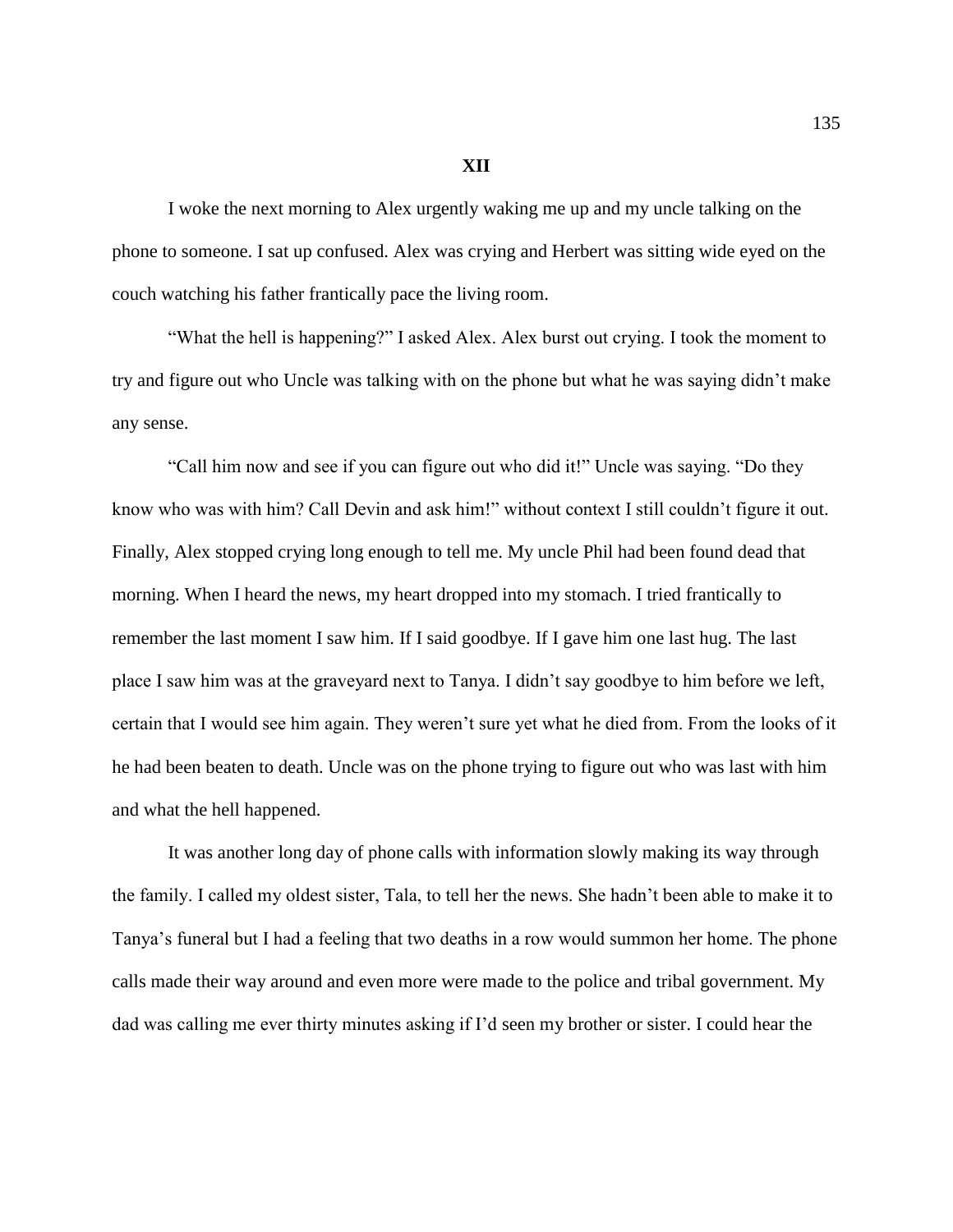## **XII**

I woke the next morning to Alex urgently waking me up and my uncle talking on the phone to someone. I sat up confused. Alex was crying and Herbert was sitting wide eyed on the couch watching his father frantically pace the living room.

"What the hell is happening?" I asked Alex. Alex burst out crying. I took the moment to try and figure out who Uncle was talking with on the phone but what he was saying didn't make any sense.

"Call him now and see if you can figure out who did it!" Uncle was saying. "Do they know who was with him? Call Devin and ask him!" without context I still couldn't figure it out. Finally, Alex stopped crying long enough to tell me. My uncle Phil had been found dead that morning. When I heard the news, my heart dropped into my stomach. I tried frantically to remember the last moment I saw him. If I said goodbye. If I gave him one last hug. The last place I saw him was at the graveyard next to Tanya. I didn't say goodbye to him before we left, certain that I would see him again. They weren't sure yet what he died from. From the looks of it he had been beaten to death. Uncle was on the phone trying to figure out who was last with him and what the hell happened.

It was another long day of phone calls with information slowly making its way through the family. I called my oldest sister, Tala, to tell her the news. She hadn't been able to make it to Tanya's funeral but I had a feeling that two deaths in a row would summon her home. The phone calls made their way around and even more were made to the police and tribal government. My dad was calling me ever thirty minutes asking if I'd seen my brother or sister. I could hear the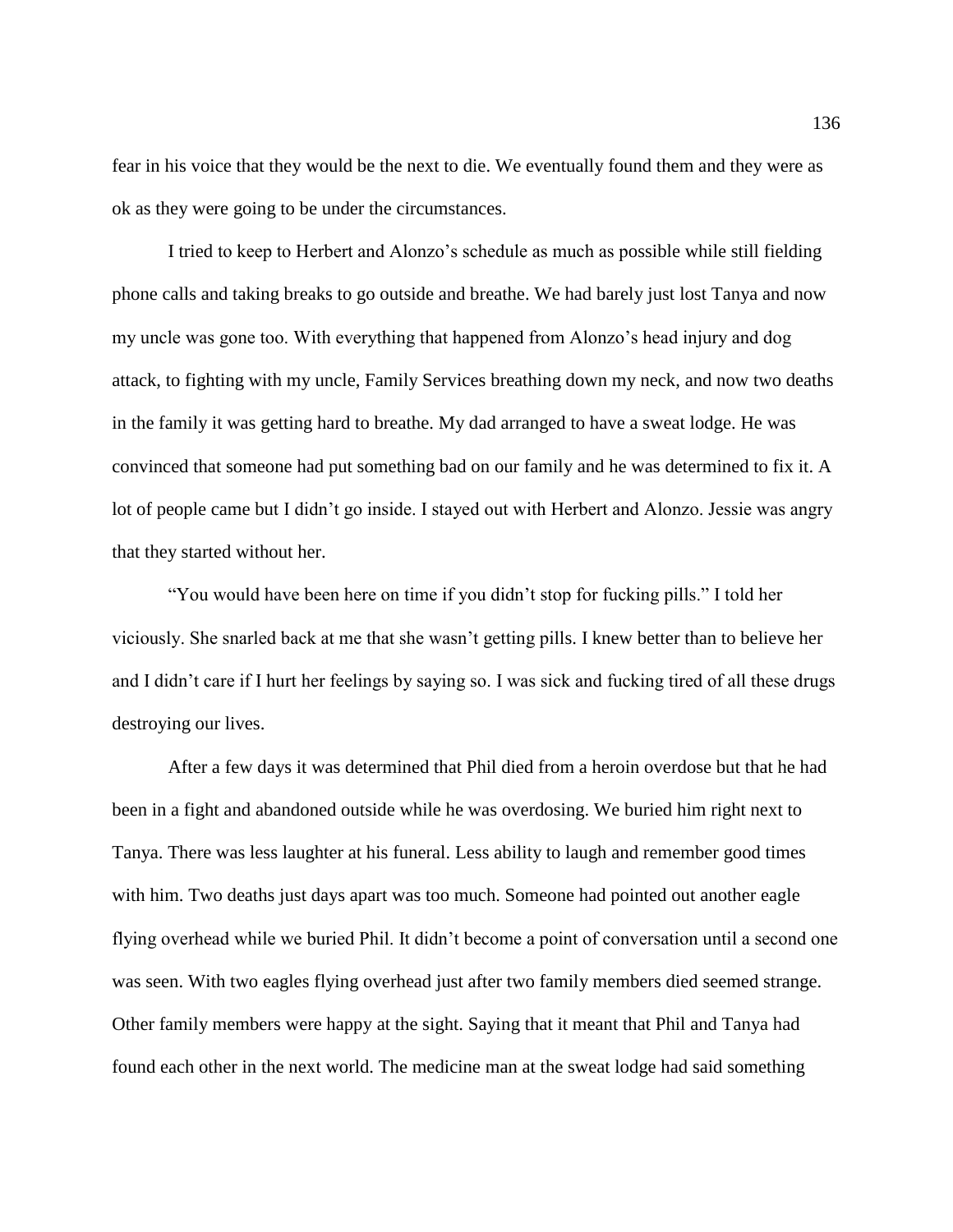fear in his voice that they would be the next to die. We eventually found them and they were as ok as they were going to be under the circumstances.

I tried to keep to Herbert and Alonzo's schedule as much as possible while still fielding phone calls and taking breaks to go outside and breathe. We had barely just lost Tanya and now my uncle was gone too. With everything that happened from Alonzo's head injury and dog attack, to fighting with my uncle, Family Services breathing down my neck, and now two deaths in the family it was getting hard to breathe. My dad arranged to have a sweat lodge. He was convinced that someone had put something bad on our family and he was determined to fix it. A lot of people came but I didn't go inside. I stayed out with Herbert and Alonzo. Jessie was angry that they started without her.

"You would have been here on time if you didn't stop for fucking pills." I told her viciously. She snarled back at me that she wasn't getting pills. I knew better than to believe her and I didn't care if I hurt her feelings by saying so. I was sick and fucking tired of all these drugs destroying our lives.

After a few days it was determined that Phil died from a heroin overdose but that he had been in a fight and abandoned outside while he was overdosing. We buried him right next to Tanya. There was less laughter at his funeral. Less ability to laugh and remember good times with him. Two deaths just days apart was too much. Someone had pointed out another eagle flying overhead while we buried Phil. It didn't become a point of conversation until a second one was seen. With two eagles flying overhead just after two family members died seemed strange. Other family members were happy at the sight. Saying that it meant that Phil and Tanya had found each other in the next world. The medicine man at the sweat lodge had said something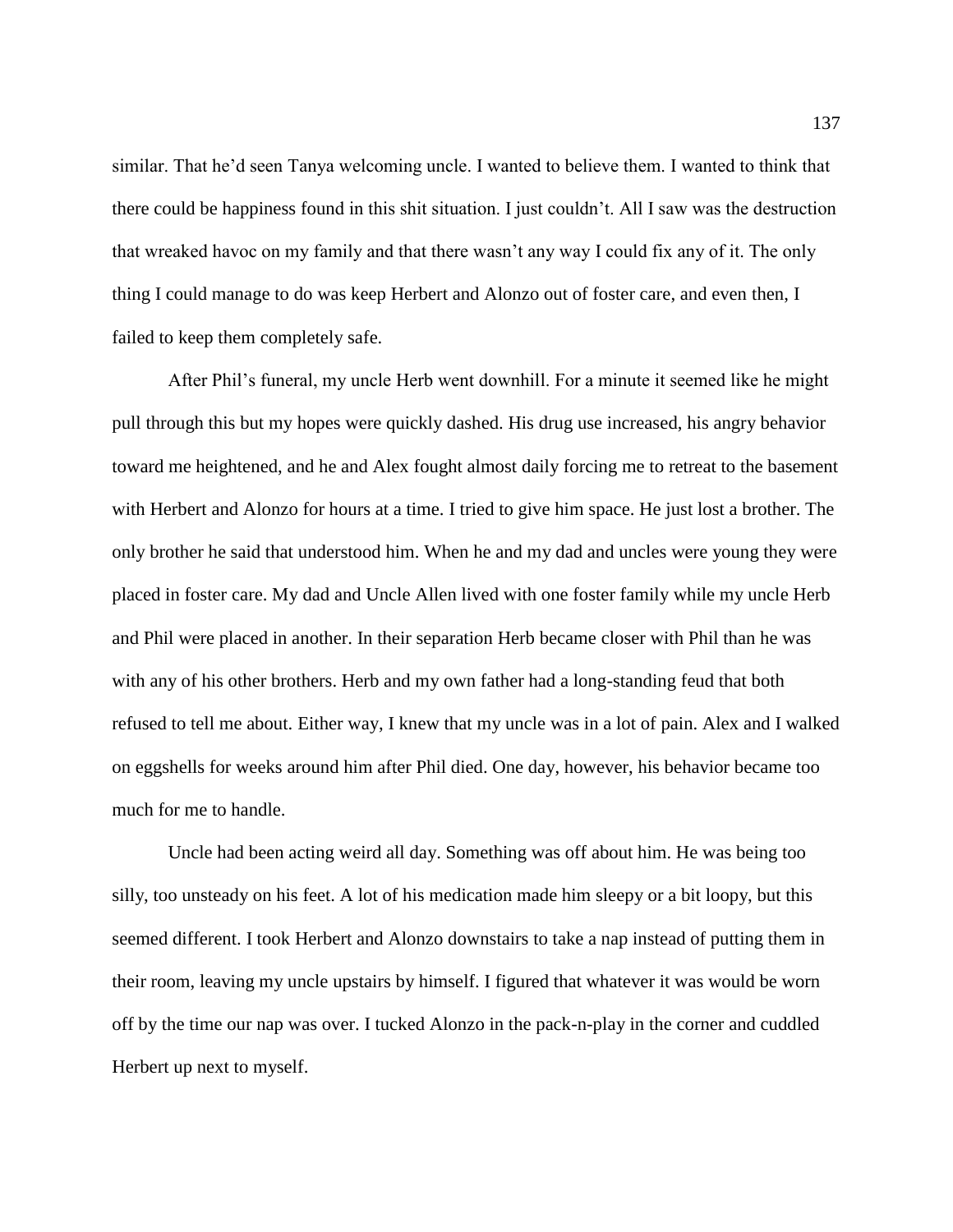similar. That he'd seen Tanya welcoming uncle. I wanted to believe them. I wanted to think that there could be happiness found in this shit situation. I just couldn't. All I saw was the destruction that wreaked havoc on my family and that there wasn't any way I could fix any of it. The only thing I could manage to do was keep Herbert and Alonzo out of foster care, and even then, I failed to keep them completely safe.

After Phil's funeral, my uncle Herb went downhill. For a minute it seemed like he might pull through this but my hopes were quickly dashed. His drug use increased, his angry behavior toward me heightened, and he and Alex fought almost daily forcing me to retreat to the basement with Herbert and Alonzo for hours at a time. I tried to give him space. He just lost a brother. The only brother he said that understood him. When he and my dad and uncles were young they were placed in foster care. My dad and Uncle Allen lived with one foster family while my uncle Herb and Phil were placed in another. In their separation Herb became closer with Phil than he was with any of his other brothers. Herb and my own father had a long-standing feud that both refused to tell me about. Either way, I knew that my uncle was in a lot of pain. Alex and I walked on eggshells for weeks around him after Phil died. One day, however, his behavior became too much for me to handle.

Uncle had been acting weird all day. Something was off about him. He was being too silly, too unsteady on his feet. A lot of his medication made him sleepy or a bit loopy, but this seemed different. I took Herbert and Alonzo downstairs to take a nap instead of putting them in their room, leaving my uncle upstairs by himself. I figured that whatever it was would be worn off by the time our nap was over. I tucked Alonzo in the pack-n-play in the corner and cuddled Herbert up next to myself.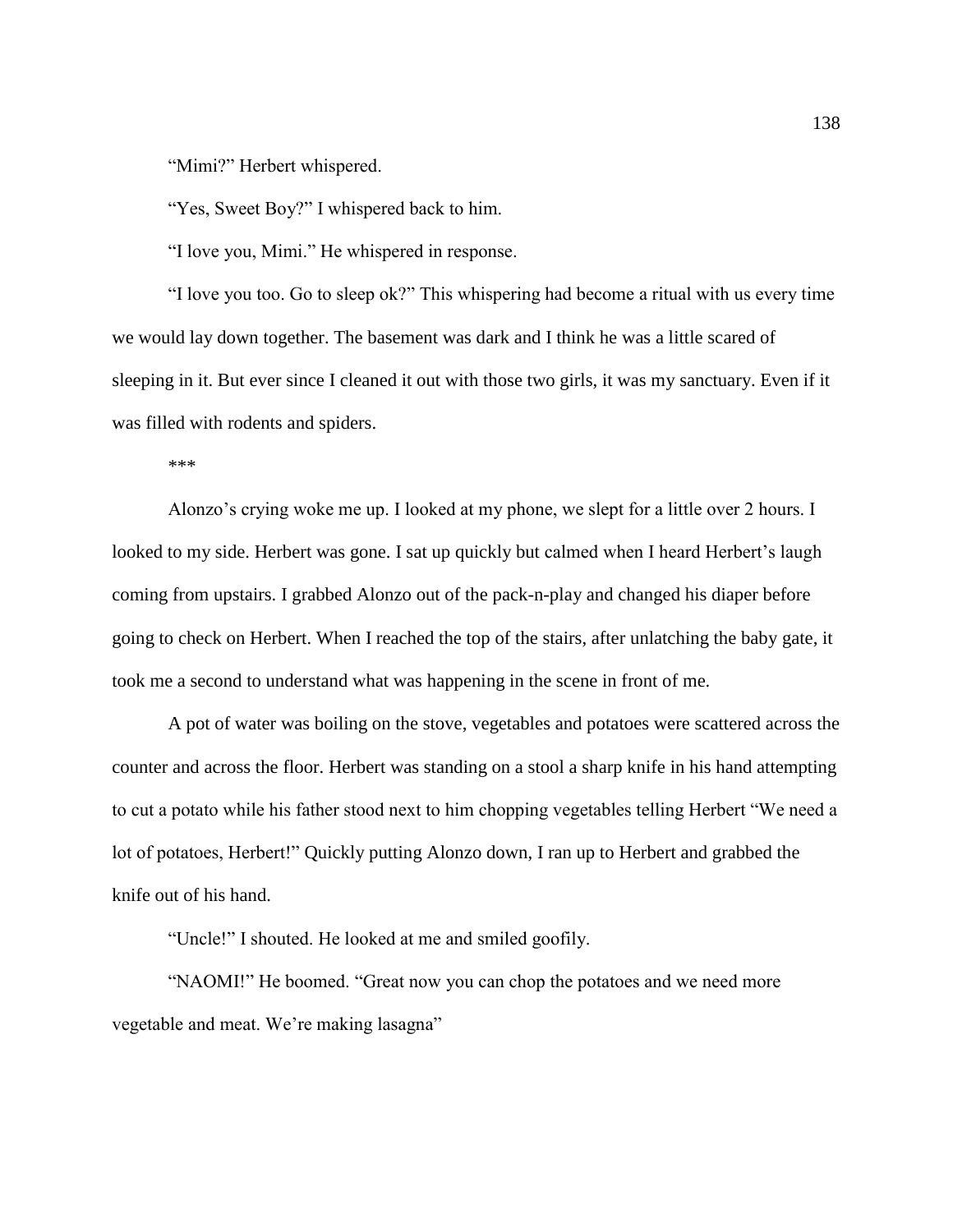"Mimi?" Herbert whispered.

"Yes, Sweet Boy?" I whispered back to him.

"I love you, Mimi." He whispered in response.

"I love you too. Go to sleep ok?" This whispering had become a ritual with us every time we would lay down together. The basement was dark and I think he was a little scared of sleeping in it. But ever since I cleaned it out with those two girls, it was my sanctuary. Even if it was filled with rodents and spiders.

\*\*\*

Alonzo's crying woke me up. I looked at my phone, we slept for a little over 2 hours. I looked to my side. Herbert was gone. I sat up quickly but calmed when I heard Herbert's laugh coming from upstairs. I grabbed Alonzo out of the pack-n-play and changed his diaper before going to check on Herbert. When I reached the top of the stairs, after unlatching the baby gate, it took me a second to understand what was happening in the scene in front of me.

A pot of water was boiling on the stove, vegetables and potatoes were scattered across the counter and across the floor. Herbert was standing on a stool a sharp knife in his hand attempting to cut a potato while his father stood next to him chopping vegetables telling Herbert "We need a lot of potatoes, Herbert!" Quickly putting Alonzo down, I ran up to Herbert and grabbed the knife out of his hand.

"Uncle!" I shouted. He looked at me and smiled goofily.

"NAOMI!" He boomed. "Great now you can chop the potatoes and we need more vegetable and meat. We're making lasagna"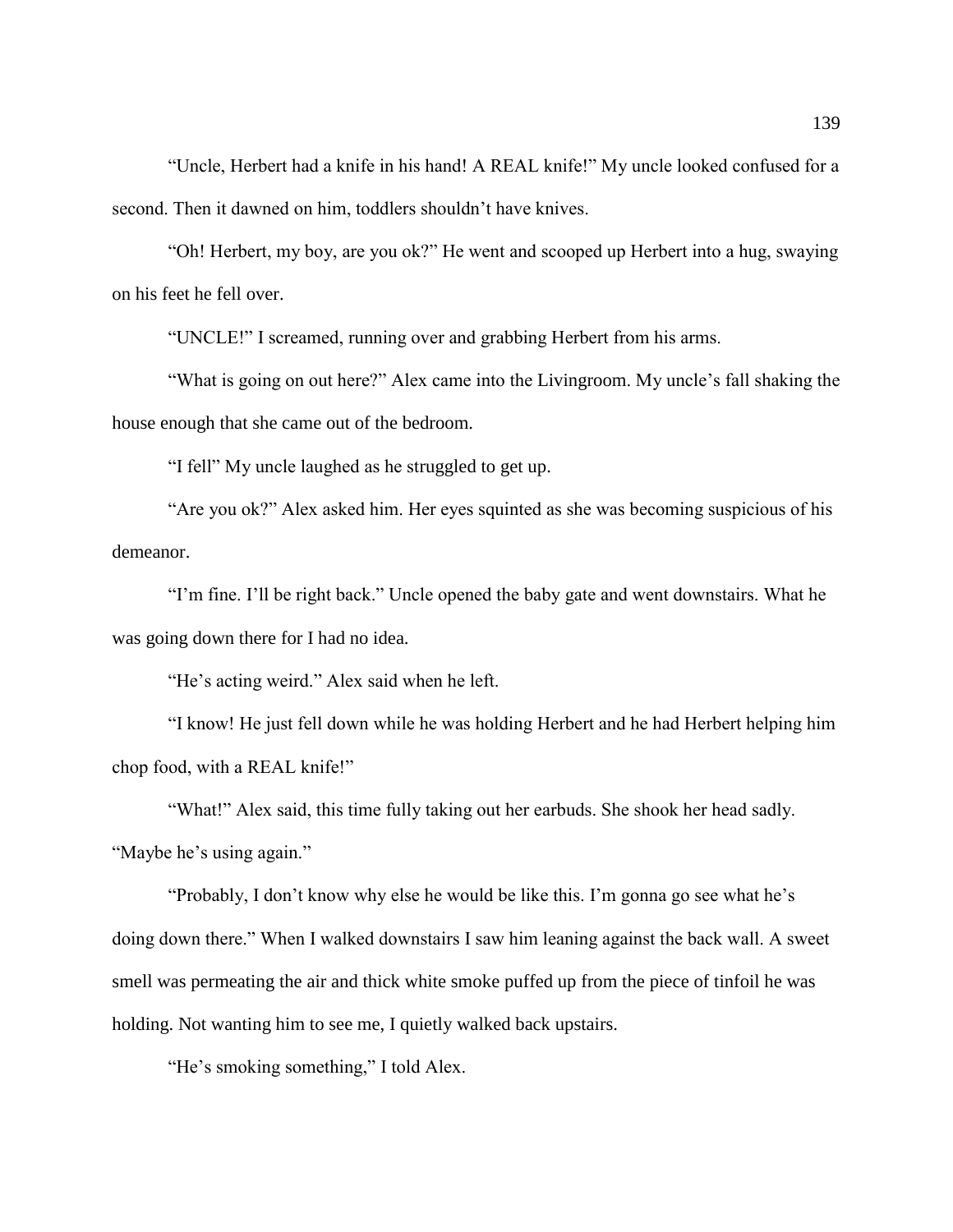"Uncle, Herbert had a knife in his hand! A REAL knife!" My uncle looked confused for a second. Then it dawned on him, toddlers shouldn't have knives.

"Oh! Herbert, my boy, are you ok?" He went and scooped up Herbert into a hug, swaying on his feet he fell over.

"UNCLE!" I screamed, running over and grabbing Herbert from his arms.

"What is going on out here?" Alex came into the Livingroom. My uncle's fall shaking the house enough that she came out of the bedroom.

"I fell" My uncle laughed as he struggled to get up.

"Are you ok?" Alex asked him. Her eyes squinted as she was becoming suspicious of his demeanor.

"I'm fine. I'll be right back." Uncle opened the baby gate and went downstairs. What he was going down there for I had no idea.

"He's acting weird." Alex said when he left.

"I know! He just fell down while he was holding Herbert and he had Herbert helping him chop food, with a REAL knife!"

"What!" Alex said, this time fully taking out her earbuds. She shook her head sadly. "Maybe he's using again."

"Probably, I don't know why else he would be like this. I'm gonna go see what he's doing down there." When I walked downstairs I saw him leaning against the back wall. A sweet smell was permeating the air and thick white smoke puffed up from the piece of tinfoil he was holding. Not wanting him to see me, I quietly walked back upstairs.

"He's smoking something," I told Alex.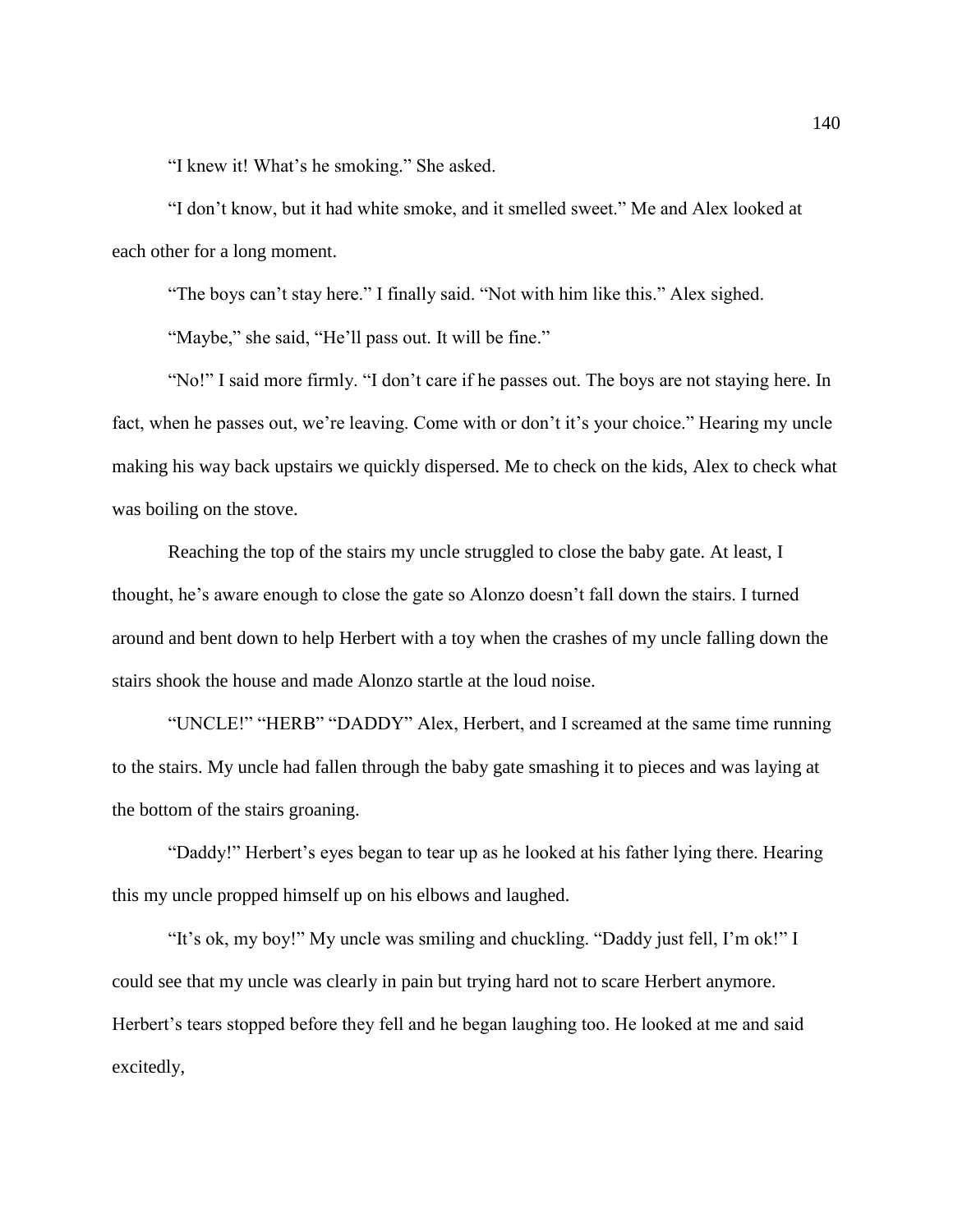"I knew it! What's he smoking." She asked.

"I don't know, but it had white smoke, and it smelled sweet." Me and Alex looked at each other for a long moment.

"The boys can't stay here." I finally said. "Not with him like this." Alex sighed.

"Maybe," she said, "He'll pass out. It will be fine."

"No!" I said more firmly. "I don't care if he passes out. The boys are not staying here. In fact, when he passes out, we're leaving. Come with or don't it's your choice." Hearing my uncle making his way back upstairs we quickly dispersed. Me to check on the kids, Alex to check what was boiling on the stove.

Reaching the top of the stairs my uncle struggled to close the baby gate. At least, I thought, he's aware enough to close the gate so Alonzo doesn't fall down the stairs. I turned around and bent down to help Herbert with a toy when the crashes of my uncle falling down the stairs shook the house and made Alonzo startle at the loud noise.

"UNCLE!" "HERB" "DADDY" Alex, Herbert, and I screamed at the same time running to the stairs. My uncle had fallen through the baby gate smashing it to pieces and was laying at the bottom of the stairs groaning.

"Daddy!" Herbert's eyes began to tear up as he looked at his father lying there. Hearing this my uncle propped himself up on his elbows and laughed.

"It's ok, my boy!" My uncle was smiling and chuckling. "Daddy just fell, I'm ok!" I could see that my uncle was clearly in pain but trying hard not to scare Herbert anymore. Herbert's tears stopped before they fell and he began laughing too. He looked at me and said excitedly,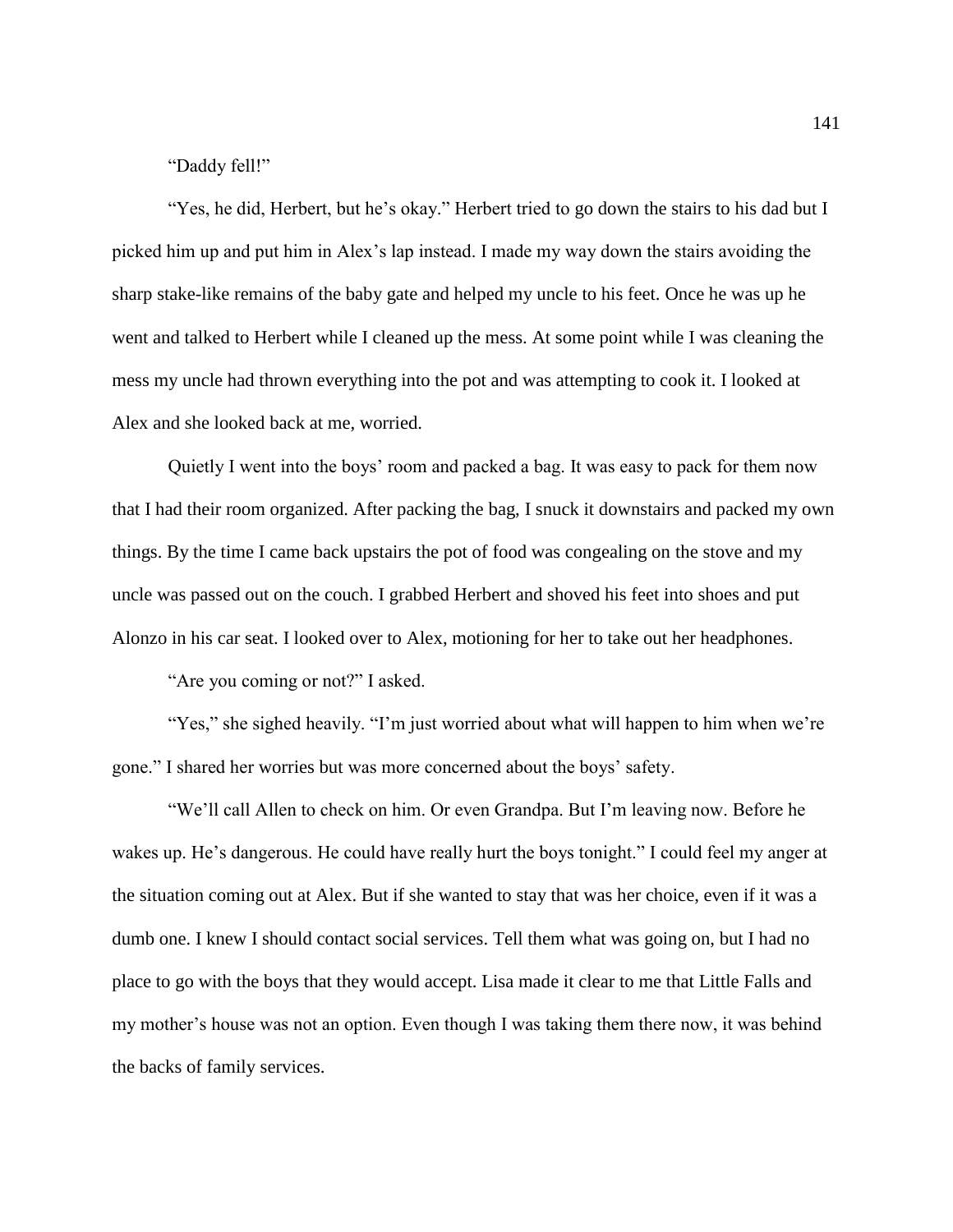"Daddy fell!"

"Yes, he did, Herbert, but he's okay." Herbert tried to go down the stairs to his dad but I picked him up and put him in Alex's lap instead. I made my way down the stairs avoiding the sharp stake-like remains of the baby gate and helped my uncle to his feet. Once he was up he went and talked to Herbert while I cleaned up the mess. At some point while I was cleaning the mess my uncle had thrown everything into the pot and was attempting to cook it. I looked at Alex and she looked back at me, worried.

Quietly I went into the boys' room and packed a bag. It was easy to pack for them now that I had their room organized. After packing the bag, I snuck it downstairs and packed my own things. By the time I came back upstairs the pot of food was congealing on the stove and my uncle was passed out on the couch. I grabbed Herbert and shoved his feet into shoes and put Alonzo in his car seat. I looked over to Alex, motioning for her to take out her headphones.

"Are you coming or not?" I asked.

"Yes," she sighed heavily. "I'm just worried about what will happen to him when we're gone." I shared her worries but was more concerned about the boys' safety.

"We'll call Allen to check on him. Or even Grandpa. But I'm leaving now. Before he wakes up. He's dangerous. He could have really hurt the boys tonight." I could feel my anger at the situation coming out at Alex. But if she wanted to stay that was her choice, even if it was a dumb one. I knew I should contact social services. Tell them what was going on, but I had no place to go with the boys that they would accept. Lisa made it clear to me that Little Falls and my mother's house was not an option. Even though I was taking them there now, it was behind the backs of family services.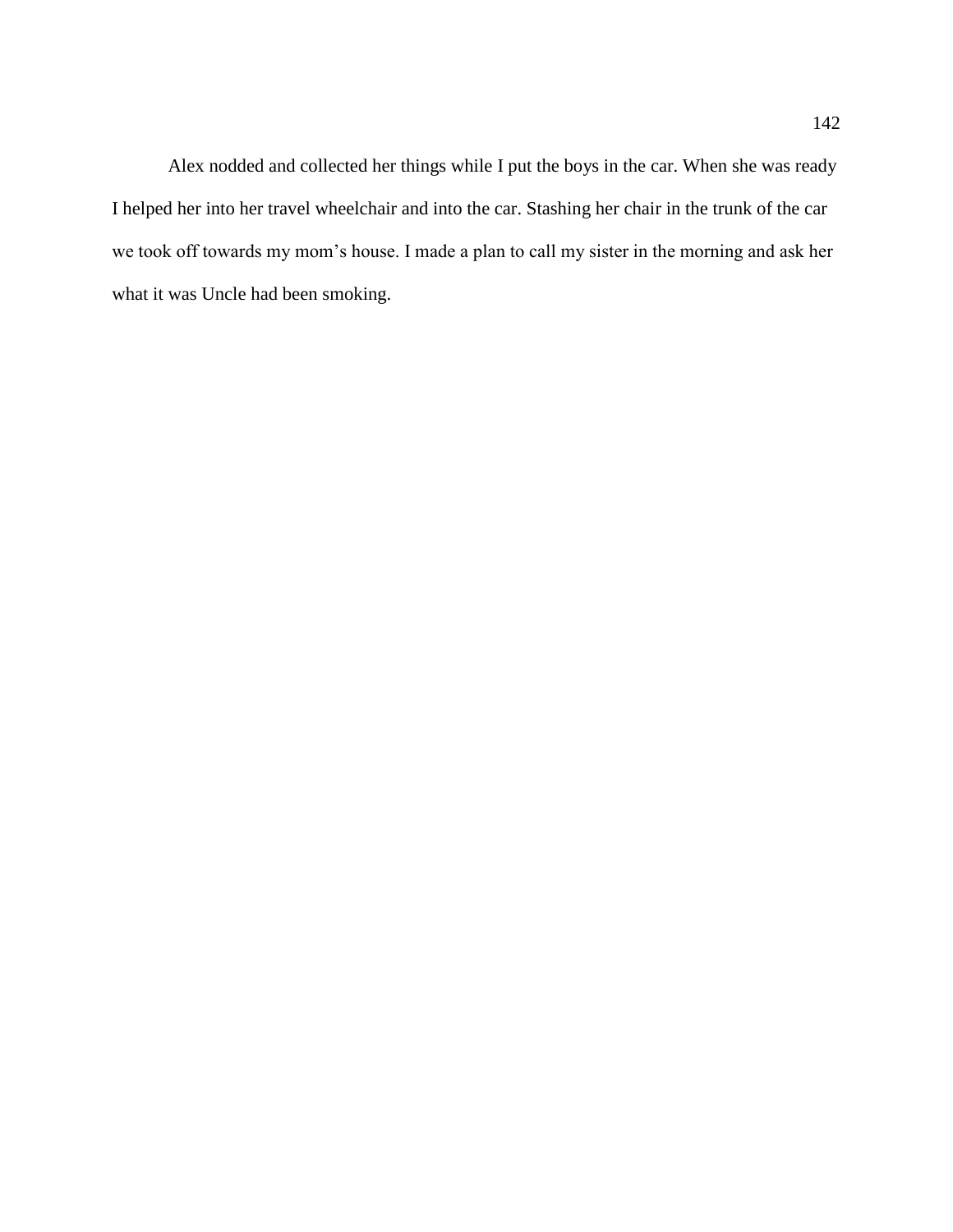Alex nodded and collected her things while I put the boys in the car. When she was ready I helped her into her travel wheelchair and into the car. Stashing her chair in the trunk of the car we took off towards my mom's house. I made a plan to call my sister in the morning and ask her what it was Uncle had been smoking.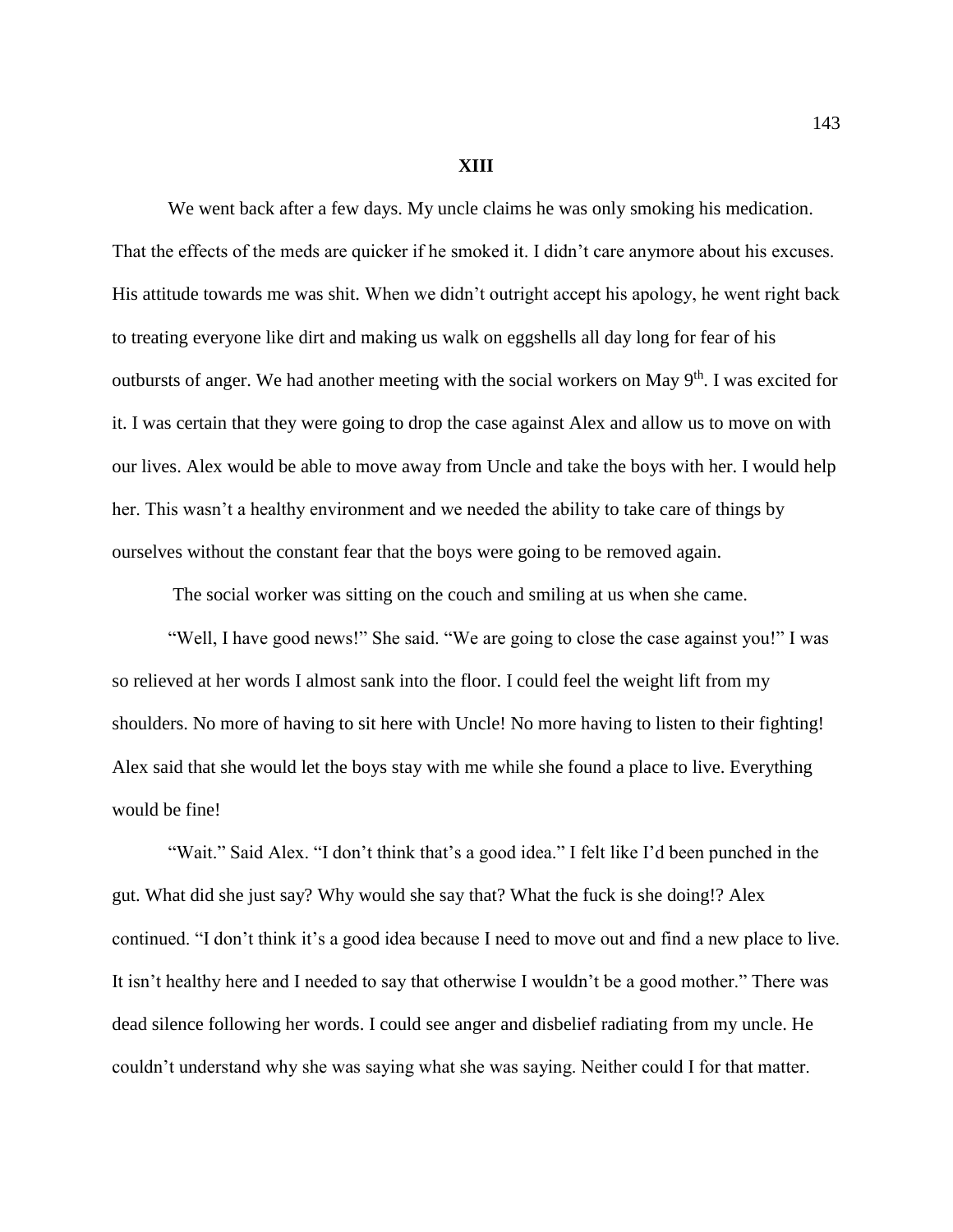## **XIII**

We went back after a few days. My uncle claims he was only smoking his medication. That the effects of the meds are quicker if he smoked it. I didn't care anymore about his excuses. His attitude towards me was shit. When we didn't outright accept his apology, he went right back to treating everyone like dirt and making us walk on eggshells all day long for fear of his outbursts of anger. We had another meeting with the social workers on May 9<sup>th</sup>. I was excited for it. I was certain that they were going to drop the case against Alex and allow us to move on with our lives. Alex would be able to move away from Uncle and take the boys with her. I would help her. This wasn't a healthy environment and we needed the ability to take care of things by ourselves without the constant fear that the boys were going to be removed again.

The social worker was sitting on the couch and smiling at us when she came.

"Well, I have good news!" She said. "We are going to close the case against you!" I was so relieved at her words I almost sank into the floor. I could feel the weight lift from my shoulders. No more of having to sit here with Uncle! No more having to listen to their fighting! Alex said that she would let the boys stay with me while she found a place to live. Everything would be fine!

"Wait." Said Alex. "I don't think that's a good idea." I felt like I'd been punched in the gut. What did she just say? Why would she say that? What the fuck is she doing!? Alex continued. "I don't think it's a good idea because I need to move out and find a new place to live. It isn't healthy here and I needed to say that otherwise I wouldn't be a good mother." There was dead silence following her words. I could see anger and disbelief radiating from my uncle. He couldn't understand why she was saying what she was saying. Neither could I for that matter.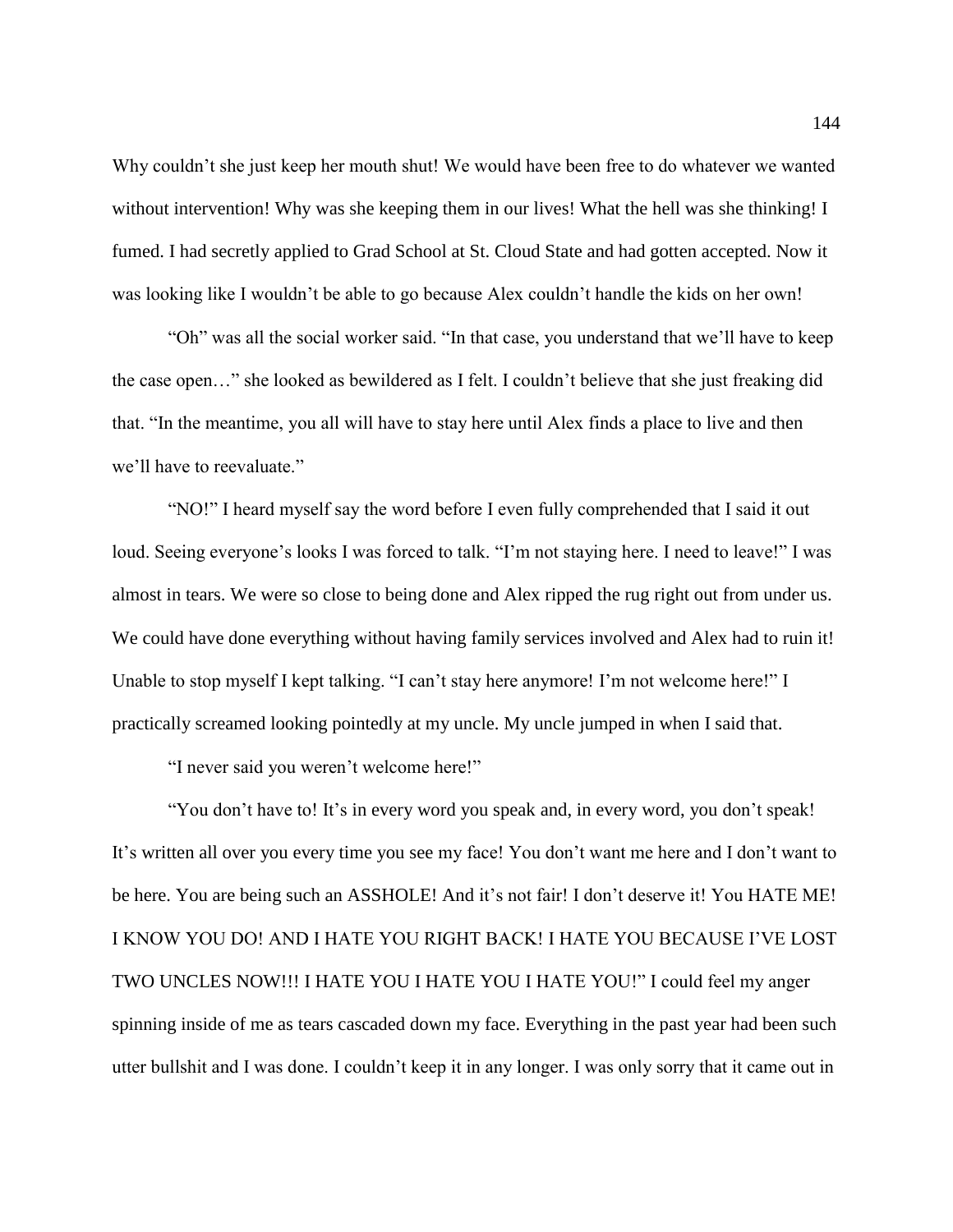Why couldn't she just keep her mouth shut! We would have been free to do whatever we wanted without intervention! Why was she keeping them in our lives! What the hell was she thinking! I fumed. I had secretly applied to Grad School at St. Cloud State and had gotten accepted. Now it was looking like I wouldn't be able to go because Alex couldn't handle the kids on her own!

"Oh" was all the social worker said. "In that case, you understand that we'll have to keep the case open…" she looked as bewildered as I felt. I couldn't believe that she just freaking did that. "In the meantime, you all will have to stay here until Alex finds a place to live and then we'll have to reevaluate."

"NO!" I heard myself say the word before I even fully comprehended that I said it out loud. Seeing everyone's looks I was forced to talk. "I'm not staying here. I need to leave!" I was almost in tears. We were so close to being done and Alex ripped the rug right out from under us. We could have done everything without having family services involved and Alex had to ruin it! Unable to stop myself I kept talking. "I can't stay here anymore! I'm not welcome here!" I practically screamed looking pointedly at my uncle. My uncle jumped in when I said that.

"I never said you weren't welcome here!"

"You don't have to! It's in every word you speak and, in every word, you don't speak! It's written all over you every time you see my face! You don't want me here and I don't want to be here. You are being such an ASSHOLE! And it's not fair! I don't deserve it! You HATE ME! I KNOW YOU DO! AND I HATE YOU RIGHT BACK! I HATE YOU BECAUSE I'VE LOST TWO UNCLES NOW!!! I HATE YOU I HATE YOU I HATE YOU!" I could feel my anger spinning inside of me as tears cascaded down my face. Everything in the past year had been such utter bullshit and I was done. I couldn't keep it in any longer. I was only sorry that it came out in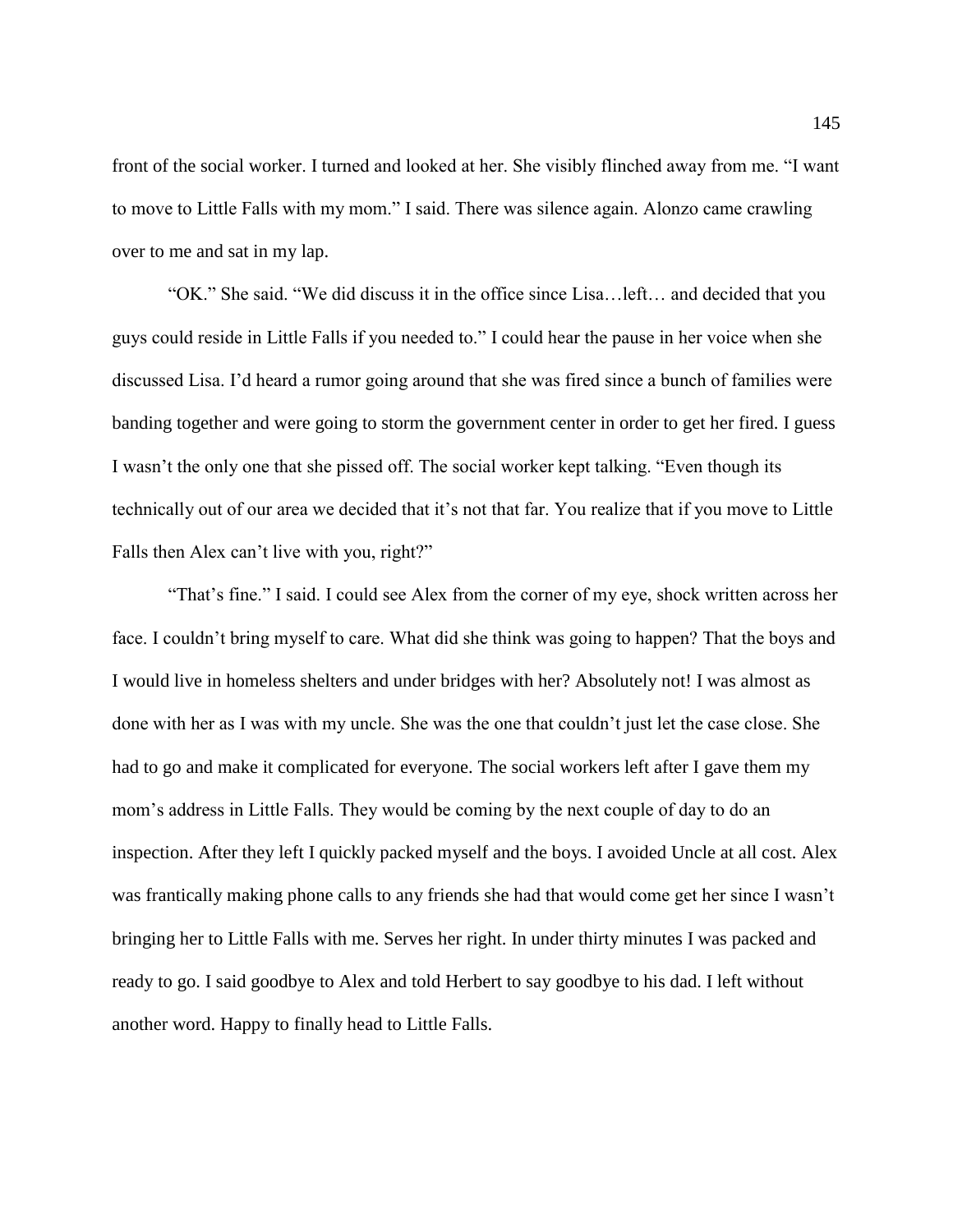front of the social worker. I turned and looked at her. She visibly flinched away from me. "I want to move to Little Falls with my mom." I said. There was silence again. Alonzo came crawling over to me and sat in my lap.

"OK." She said. "We did discuss it in the office since Lisa…left… and decided that you guys could reside in Little Falls if you needed to." I could hear the pause in her voice when she discussed Lisa. I'd heard a rumor going around that she was fired since a bunch of families were banding together and were going to storm the government center in order to get her fired. I guess I wasn't the only one that she pissed off. The social worker kept talking. "Even though its technically out of our area we decided that it's not that far. You realize that if you move to Little Falls then Alex can't live with you, right?"

"That's fine." I said. I could see Alex from the corner of my eye, shock written across her face. I couldn't bring myself to care. What did she think was going to happen? That the boys and I would live in homeless shelters and under bridges with her? Absolutely not! I was almost as done with her as I was with my uncle. She was the one that couldn't just let the case close. She had to go and make it complicated for everyone. The social workers left after I gave them my mom's address in Little Falls. They would be coming by the next couple of day to do an inspection. After they left I quickly packed myself and the boys. I avoided Uncle at all cost. Alex was frantically making phone calls to any friends she had that would come get her since I wasn't bringing her to Little Falls with me. Serves her right. In under thirty minutes I was packed and ready to go. I said goodbye to Alex and told Herbert to say goodbye to his dad. I left without another word. Happy to finally head to Little Falls.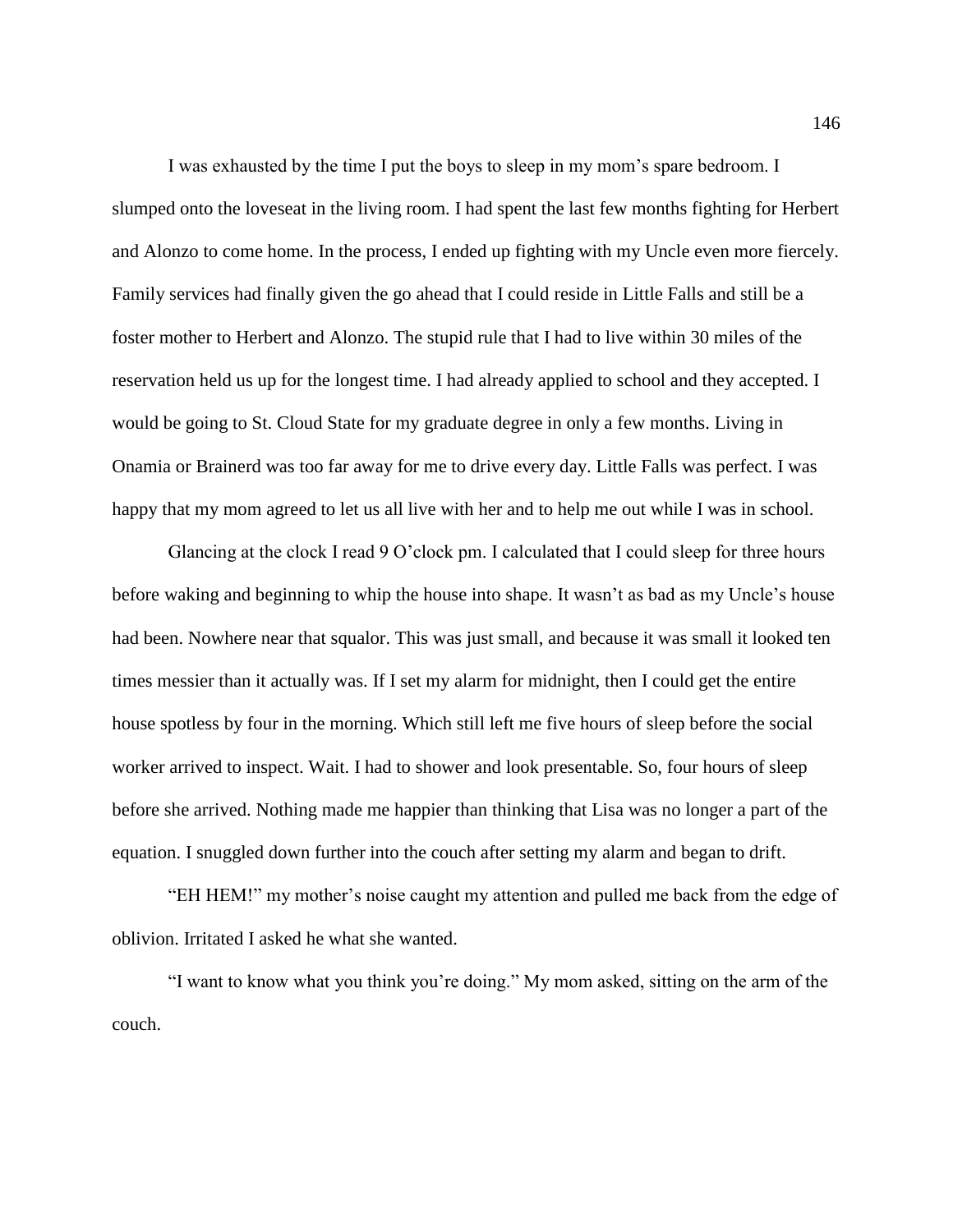I was exhausted by the time I put the boys to sleep in my mom's spare bedroom. I slumped onto the loveseat in the living room. I had spent the last few months fighting for Herbert and Alonzo to come home. In the process, I ended up fighting with my Uncle even more fiercely. Family services had finally given the go ahead that I could reside in Little Falls and still be a foster mother to Herbert and Alonzo. The stupid rule that I had to live within 30 miles of the reservation held us up for the longest time. I had already applied to school and they accepted. I would be going to St. Cloud State for my graduate degree in only a few months. Living in Onamia or Brainerd was too far away for me to drive every day. Little Falls was perfect. I was happy that my mom agreed to let us all live with her and to help me out while I was in school.

Glancing at the clock I read 9 O'clock pm. I calculated that I could sleep for three hours before waking and beginning to whip the house into shape. It wasn't as bad as my Uncle's house had been. Nowhere near that squalor. This was just small, and because it was small it looked ten times messier than it actually was. If I set my alarm for midnight, then I could get the entire house spotless by four in the morning. Which still left me five hours of sleep before the social worker arrived to inspect. Wait. I had to shower and look presentable. So, four hours of sleep before she arrived. Nothing made me happier than thinking that Lisa was no longer a part of the equation. I snuggled down further into the couch after setting my alarm and began to drift.

"EH HEM!" my mother's noise caught my attention and pulled me back from the edge of oblivion. Irritated I asked he what she wanted.

"I want to know what you think you're doing." My mom asked, sitting on the arm of the couch.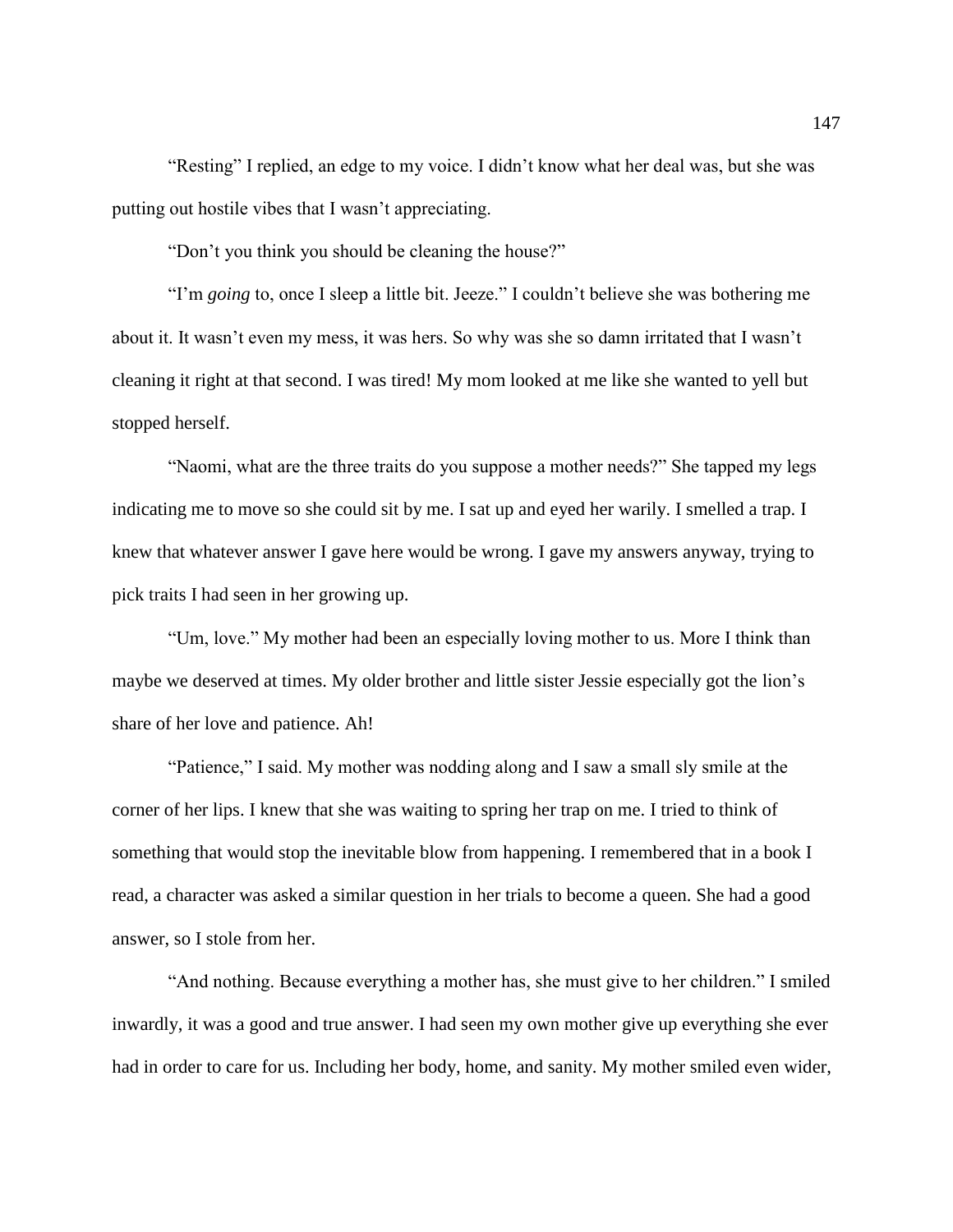"Resting" I replied, an edge to my voice. I didn't know what her deal was, but she was putting out hostile vibes that I wasn't appreciating.

"Don't you think you should be cleaning the house?"

"I'm *going* to, once I sleep a little bit. Jeeze." I couldn't believe she was bothering me about it. It wasn't even my mess, it was hers. So why was she so damn irritated that I wasn't cleaning it right at that second. I was tired! My mom looked at me like she wanted to yell but stopped herself.

"Naomi, what are the three traits do you suppose a mother needs?" She tapped my legs indicating me to move so she could sit by me. I sat up and eyed her warily. I smelled a trap. I knew that whatever answer I gave here would be wrong. I gave my answers anyway, trying to pick traits I had seen in her growing up.

"Um, love." My mother had been an especially loving mother to us. More I think than maybe we deserved at times. My older brother and little sister Jessie especially got the lion's share of her love and patience. Ah!

"Patience," I said. My mother was nodding along and I saw a small sly smile at the corner of her lips. I knew that she was waiting to spring her trap on me. I tried to think of something that would stop the inevitable blow from happening. I remembered that in a book I read, a character was asked a similar question in her trials to become a queen. She had a good answer, so I stole from her.

"And nothing. Because everything a mother has, she must give to her children." I smiled inwardly, it was a good and true answer. I had seen my own mother give up everything she ever had in order to care for us. Including her body, home, and sanity. My mother smiled even wider,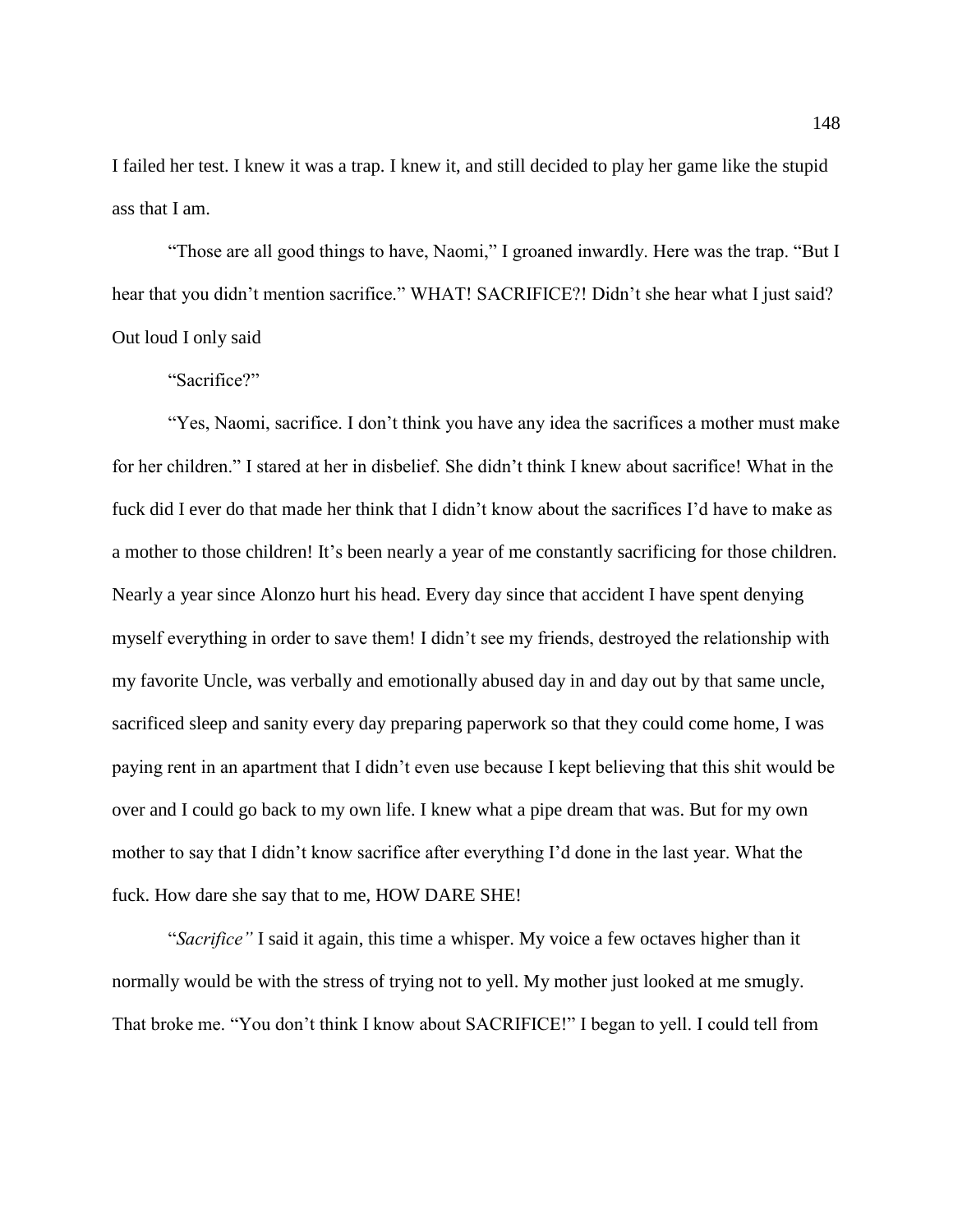I failed her test. I knew it was a trap. I knew it, and still decided to play her game like the stupid ass that I am.

"Those are all good things to have, Naomi," I groaned inwardly. Here was the trap. "But I hear that you didn't mention sacrifice." WHAT! SACRIFICE?! Didn't she hear what I just said? Out loud I only said

"Sacrifice?"

"Yes, Naomi, sacrifice. I don't think you have any idea the sacrifices a mother must make for her children." I stared at her in disbelief. She didn't think I knew about sacrifice! What in the fuck did I ever do that made her think that I didn't know about the sacrifices I'd have to make as a mother to those children! It's been nearly a year of me constantly sacrificing for those children. Nearly a year since Alonzo hurt his head. Every day since that accident I have spent denying myself everything in order to save them! I didn't see my friends, destroyed the relationship with my favorite Uncle, was verbally and emotionally abused day in and day out by that same uncle, sacrificed sleep and sanity every day preparing paperwork so that they could come home, I was paying rent in an apartment that I didn't even use because I kept believing that this shit would be over and I could go back to my own life. I knew what a pipe dream that was. But for my own mother to say that I didn't know sacrifice after everything I'd done in the last year. What the fuck. How dare she say that to me, HOW DARE SHE!

"*Sacrifice"* I said it again, this time a whisper. My voice a few octaves higher than it normally would be with the stress of trying not to yell. My mother just looked at me smugly. That broke me. "You don't think I know about SACRIFICE!" I began to yell. I could tell from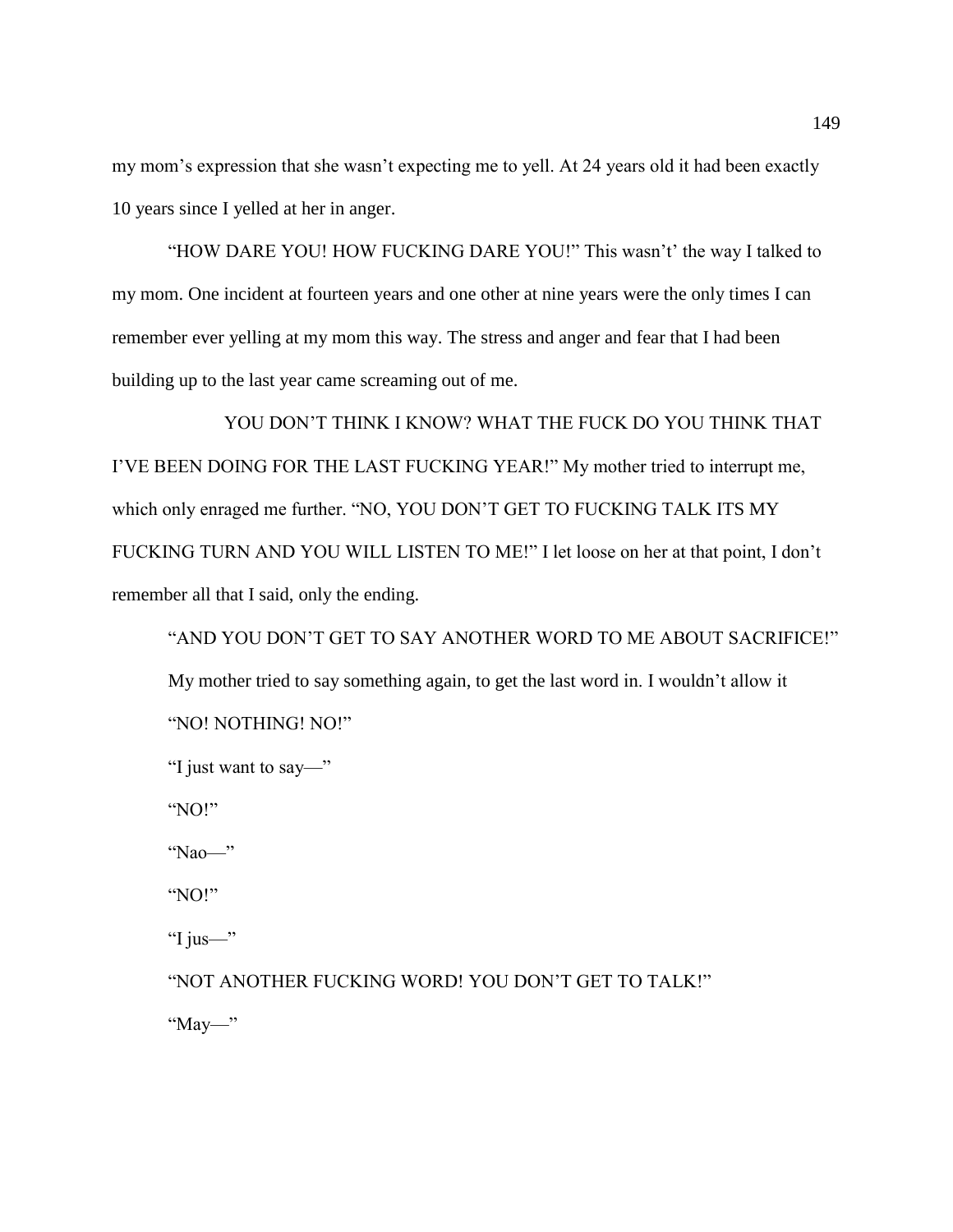my mom's expression that she wasn't expecting me to yell. At 24 years old it had been exactly 10 years since I yelled at her in anger.

"HOW DARE YOU! HOW FUCKING DARE YOU!" This wasn't' the way I talked to my mom. One incident at fourteen years and one other at nine years were the only times I can remember ever yelling at my mom this way. The stress and anger and fear that I had been building up to the last year came screaming out of me.

YOU DON'T THINK I KNOW? WHAT THE FUCK DO YOU THINK THAT I'VE BEEN DOING FOR THE LAST FUCKING YEAR!" My mother tried to interrupt me, which only enraged me further. "NO, YOU DON'T GET TO FUCKING TALK ITS MY FUCKING TURN AND YOU WILL LISTEN TO ME!" I let loose on her at that point, I don't remember all that I said, only the ending.

```
"AND YOU DON'T GET TO SAY ANOTHER WORD TO ME ABOUT SACRIFICE!" 
My mother tried to say something again, to get the last word in. I wouldn't allow it
"NO! NOTHING! NO!"
```

```
"I just want to say—"
```
"NO!"

"Nao—"

"NO!"

"I jus—"

"NOT ANOTHER FUCKING WORD! YOU DON'T GET TO TALK!"

" $\frac{May}{m}$ "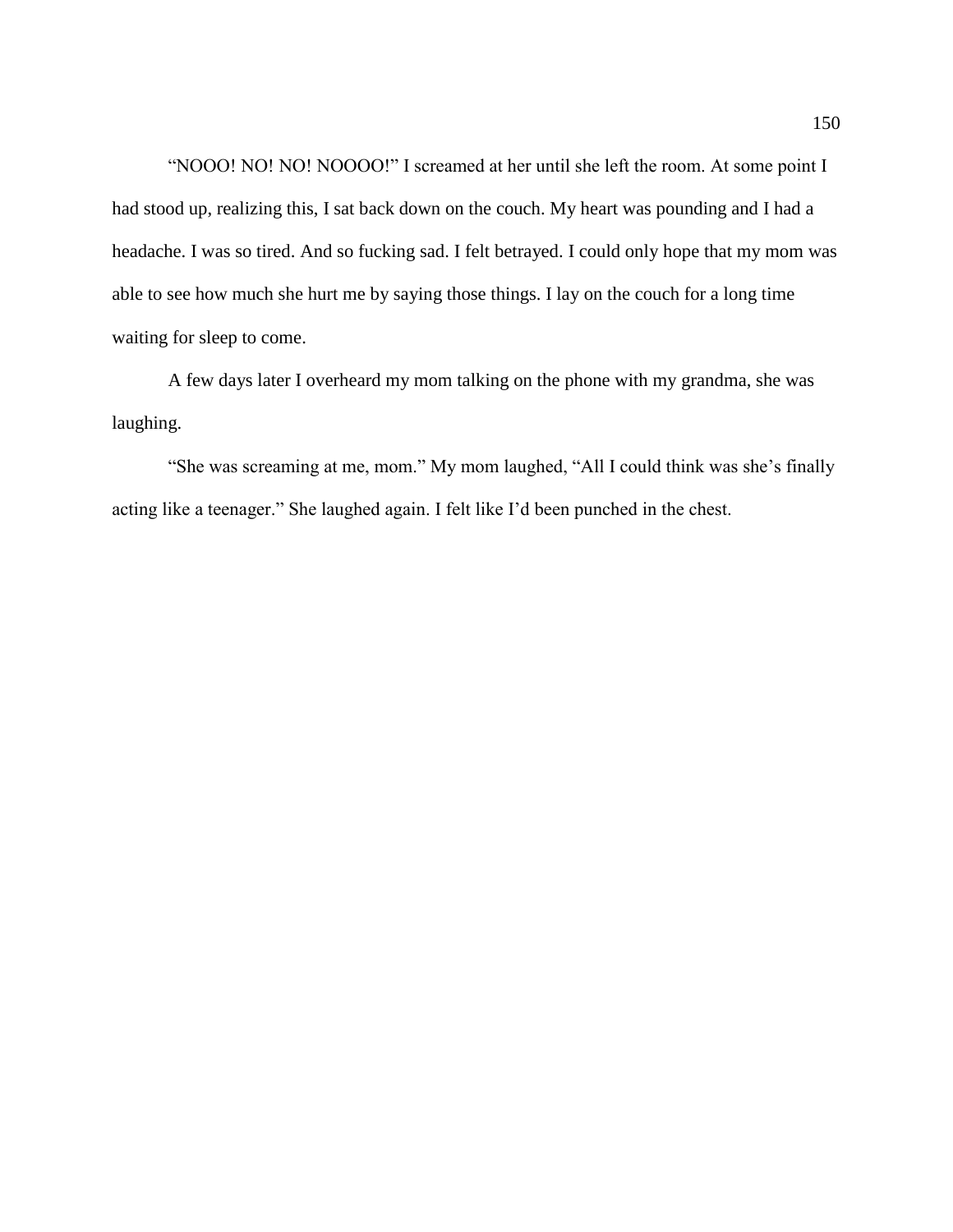"NOOO! NO! NO! NOOOO!" I screamed at her until she left the room. At some point I had stood up, realizing this, I sat back down on the couch. My heart was pounding and I had a headache. I was so tired. And so fucking sad. I felt betrayed. I could only hope that my mom was able to see how much she hurt me by saying those things. I lay on the couch for a long time waiting for sleep to come.

A few days later I overheard my mom talking on the phone with my grandma, she was laughing.

"She was screaming at me, mom." My mom laughed, "All I could think was she's finally acting like a teenager." She laughed again. I felt like I'd been punched in the chest.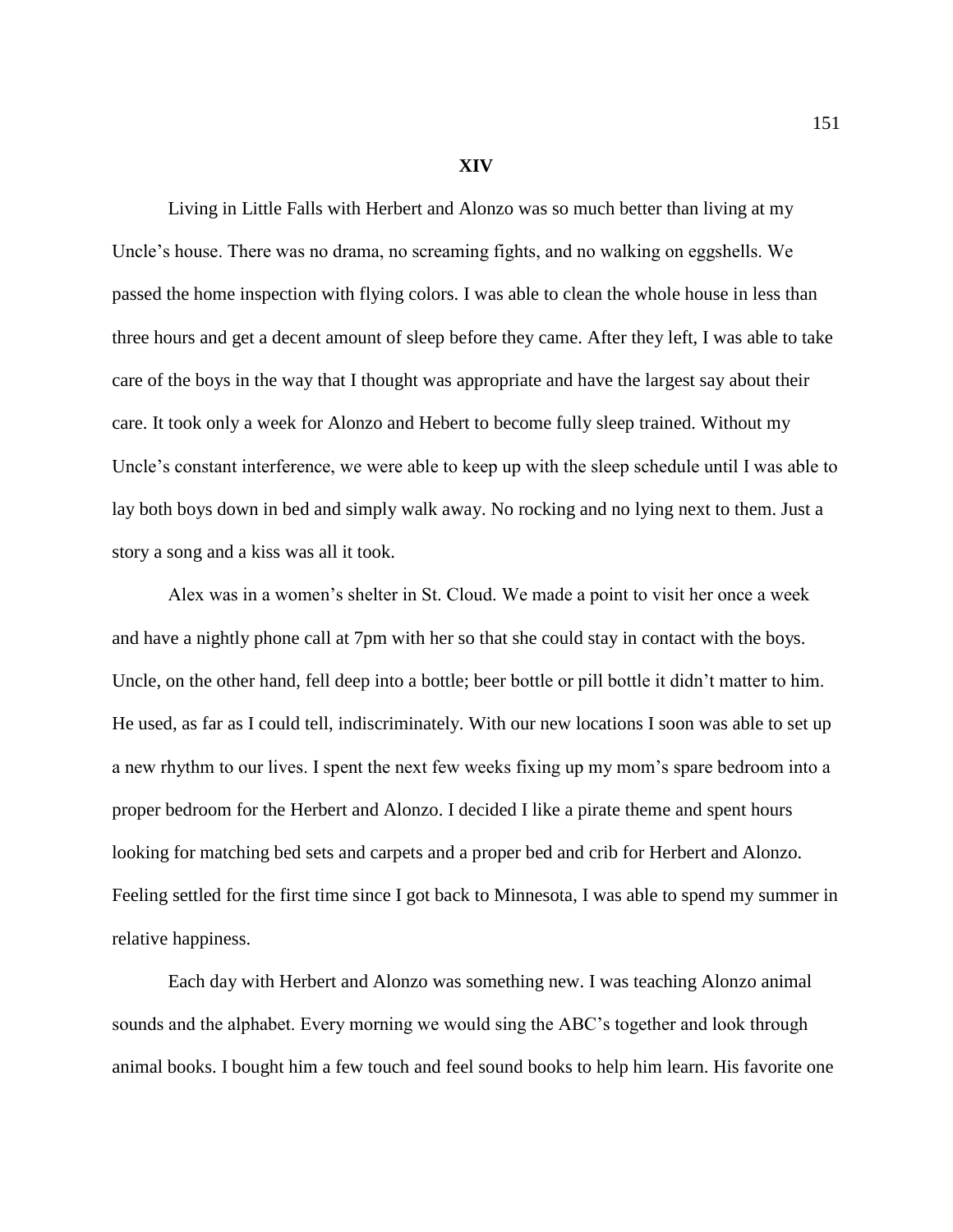## **XIV**

Living in Little Falls with Herbert and Alonzo was so much better than living at my Uncle's house. There was no drama, no screaming fights, and no walking on eggshells. We passed the home inspection with flying colors. I was able to clean the whole house in less than three hours and get a decent amount of sleep before they came. After they left, I was able to take care of the boys in the way that I thought was appropriate and have the largest say about their care. It took only a week for Alonzo and Hebert to become fully sleep trained. Without my Uncle's constant interference, we were able to keep up with the sleep schedule until I was able to lay both boys down in bed and simply walk away. No rocking and no lying next to them. Just a story a song and a kiss was all it took.

Alex was in a women's shelter in St. Cloud. We made a point to visit her once a week and have a nightly phone call at 7pm with her so that she could stay in contact with the boys. Uncle, on the other hand, fell deep into a bottle; beer bottle or pill bottle it didn't matter to him. He used, as far as I could tell, indiscriminately. With our new locations I soon was able to set up a new rhythm to our lives. I spent the next few weeks fixing up my mom's spare bedroom into a proper bedroom for the Herbert and Alonzo. I decided I like a pirate theme and spent hours looking for matching bed sets and carpets and a proper bed and crib for Herbert and Alonzo. Feeling settled for the first time since I got back to Minnesota, I was able to spend my summer in relative happiness.

Each day with Herbert and Alonzo was something new. I was teaching Alonzo animal sounds and the alphabet. Every morning we would sing the ABC's together and look through animal books. I bought him a few touch and feel sound books to help him learn. His favorite one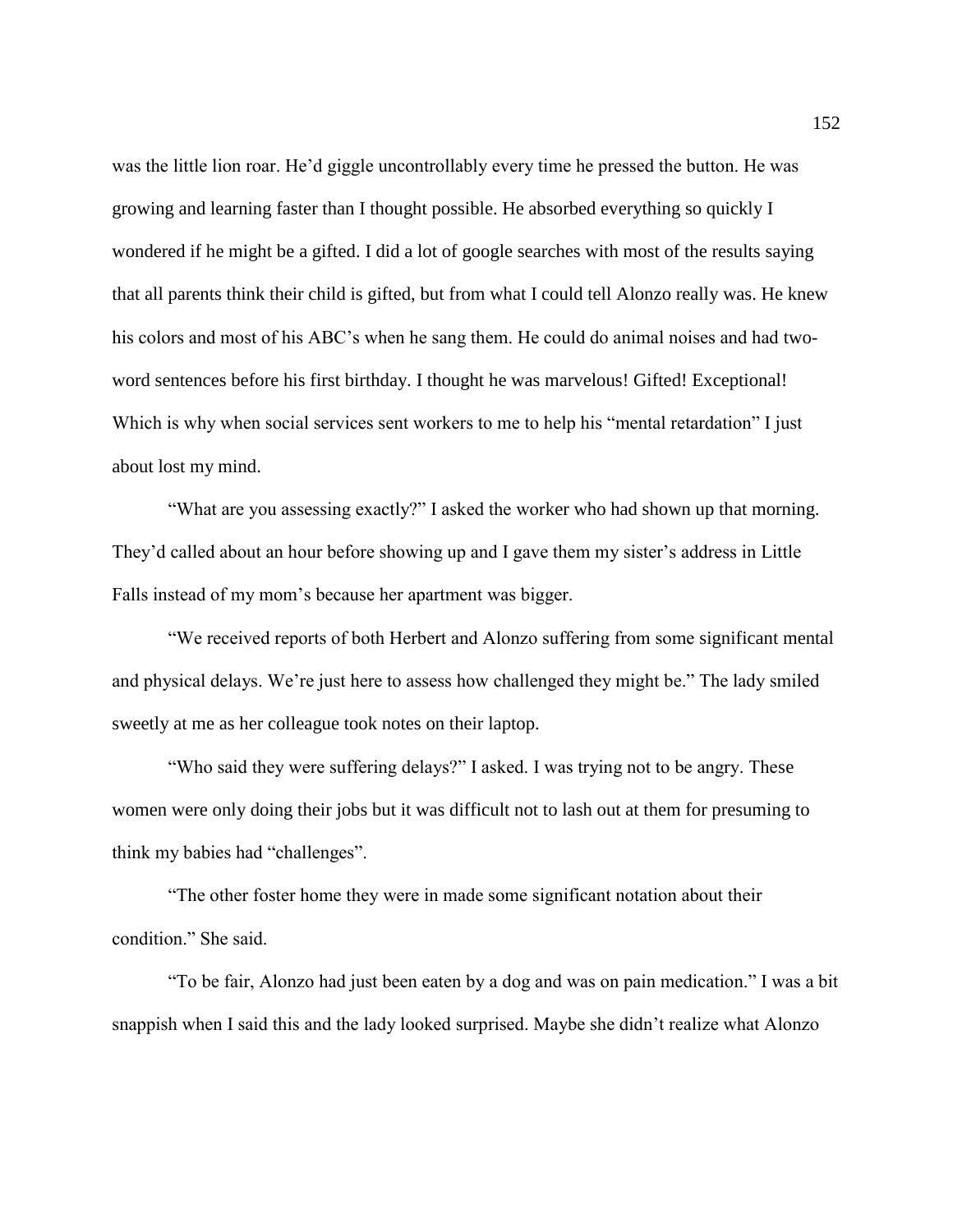was the little lion roar. He'd giggle uncontrollably every time he pressed the button. He was growing and learning faster than I thought possible. He absorbed everything so quickly I wondered if he might be a gifted. I did a lot of google searches with most of the results saying that all parents think their child is gifted, but from what I could tell Alonzo really was. He knew his colors and most of his ABC's when he sang them. He could do animal noises and had twoword sentences before his first birthday. I thought he was marvelous! Gifted! Exceptional! Which is why when social services sent workers to me to help his "mental retardation" I just about lost my mind.

"What are you assessing exactly?" I asked the worker who had shown up that morning. They'd called about an hour before showing up and I gave them my sister's address in Little Falls instead of my mom's because her apartment was bigger.

"We received reports of both Herbert and Alonzo suffering from some significant mental and physical delays. We're just here to assess how challenged they might be." The lady smiled sweetly at me as her colleague took notes on their laptop.

"Who said they were suffering delays?" I asked. I was trying not to be angry. These women were only doing their jobs but it was difficult not to lash out at them for presuming to think my babies had "challenges".

"The other foster home they were in made some significant notation about their condition." She said.

"To be fair, Alonzo had just been eaten by a dog and was on pain medication." I was a bit snappish when I said this and the lady looked surprised. Maybe she didn't realize what Alonzo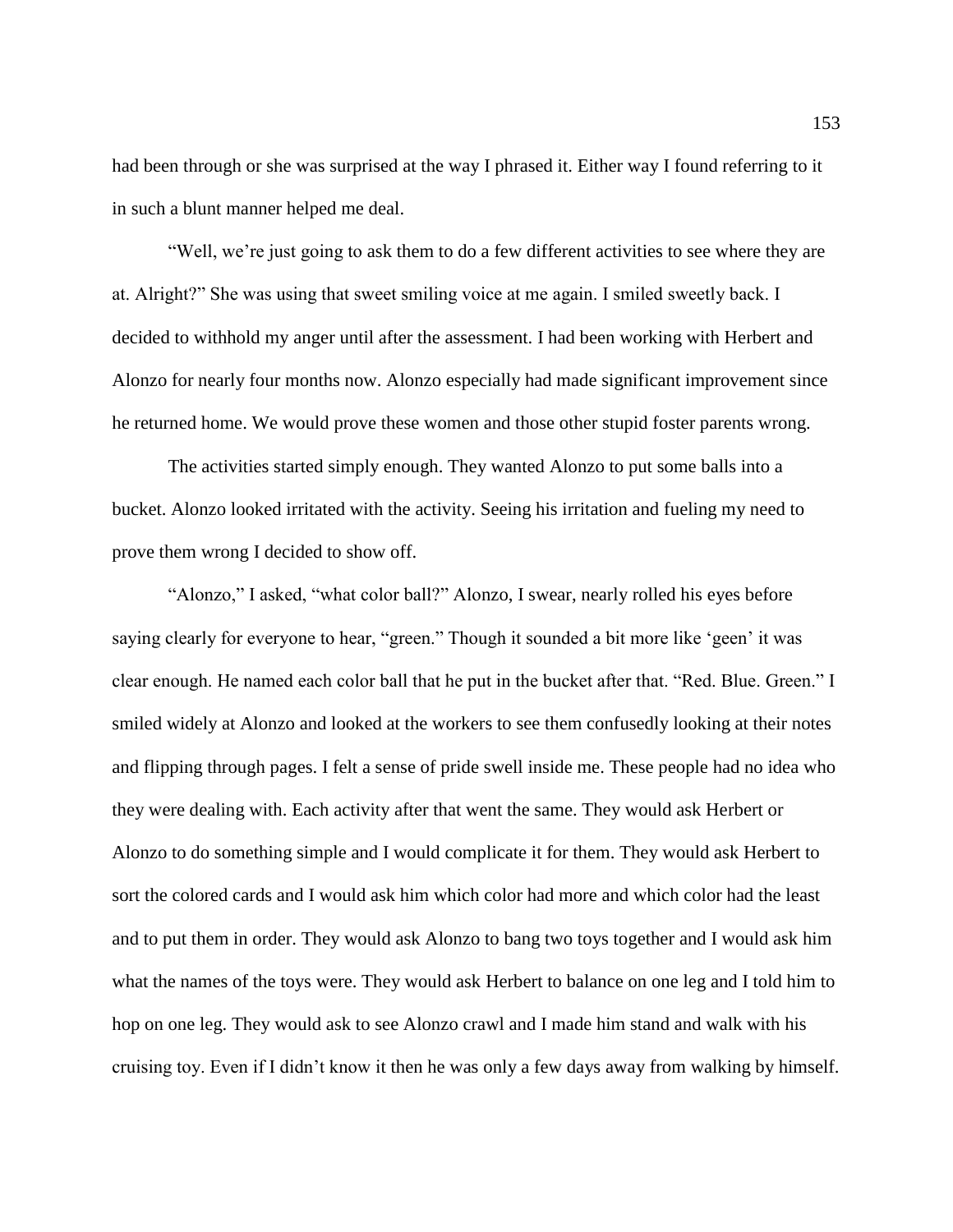had been through or she was surprised at the way I phrased it. Either way I found referring to it in such a blunt manner helped me deal.

"Well, we're just going to ask them to do a few different activities to see where they are at. Alright?" She was using that sweet smiling voice at me again. I smiled sweetly back. I decided to withhold my anger until after the assessment. I had been working with Herbert and Alonzo for nearly four months now. Alonzo especially had made significant improvement since he returned home. We would prove these women and those other stupid foster parents wrong.

The activities started simply enough. They wanted Alonzo to put some balls into a bucket. Alonzo looked irritated with the activity. Seeing his irritation and fueling my need to prove them wrong I decided to show off.

"Alonzo," I asked, "what color ball?" Alonzo, I swear, nearly rolled his eyes before saying clearly for everyone to hear, "green." Though it sounded a bit more like 'geen' it was clear enough. He named each color ball that he put in the bucket after that. "Red. Blue. Green." I smiled widely at Alonzo and looked at the workers to see them confusedly looking at their notes and flipping through pages. I felt a sense of pride swell inside me. These people had no idea who they were dealing with. Each activity after that went the same. They would ask Herbert or Alonzo to do something simple and I would complicate it for them. They would ask Herbert to sort the colored cards and I would ask him which color had more and which color had the least and to put them in order. They would ask Alonzo to bang two toys together and I would ask him what the names of the toys were. They would ask Herbert to balance on one leg and I told him to hop on one leg. They would ask to see Alonzo crawl and I made him stand and walk with his cruising toy. Even if I didn't know it then he was only a few days away from walking by himself.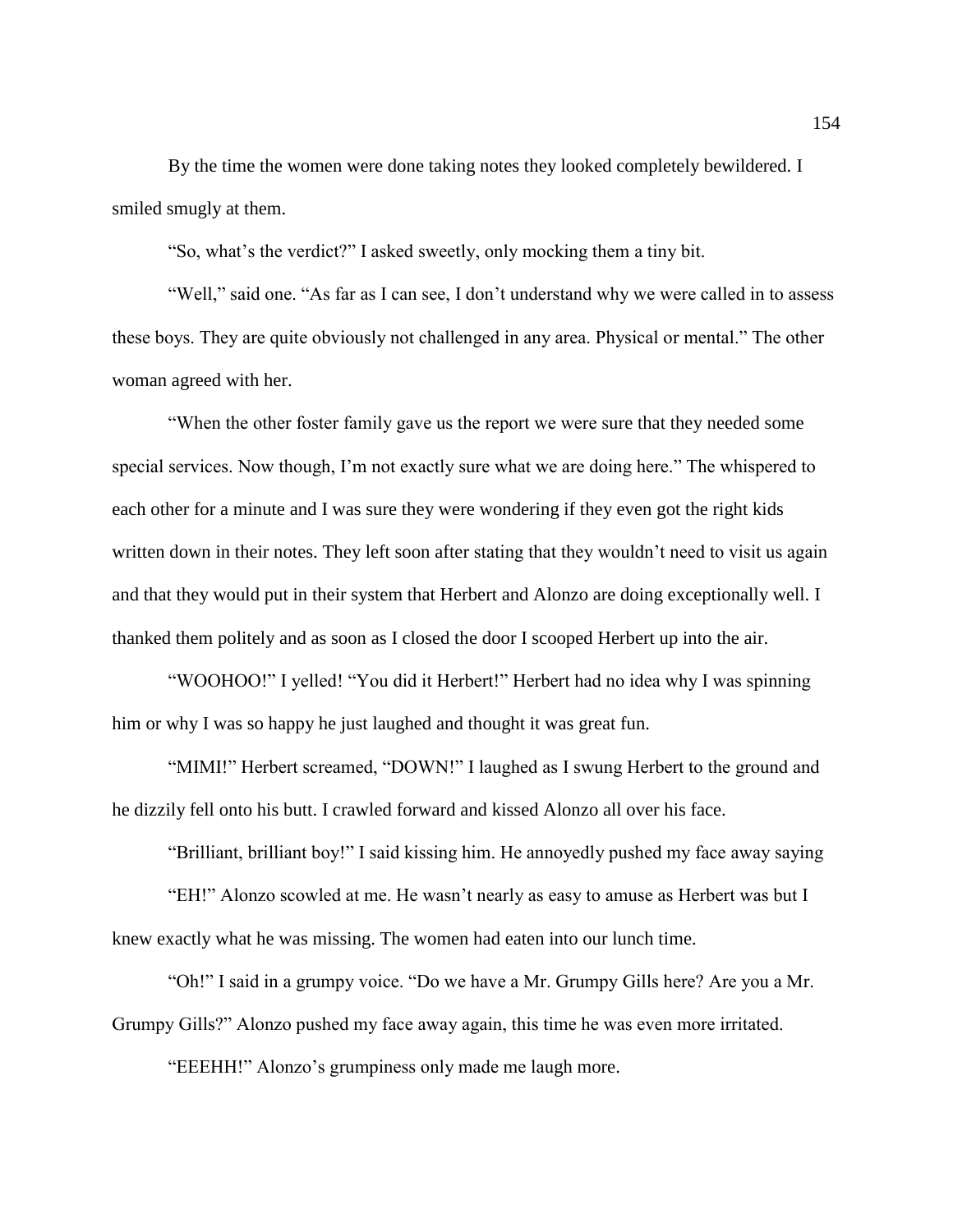By the time the women were done taking notes they looked completely bewildered. I smiled smugly at them.

"So, what's the verdict?" I asked sweetly, only mocking them a tiny bit.

"Well," said one. "As far as I can see, I don't understand why we were called in to assess these boys. They are quite obviously not challenged in any area. Physical or mental." The other woman agreed with her.

"When the other foster family gave us the report we were sure that they needed some special services. Now though, I'm not exactly sure what we are doing here." The whispered to each other for a minute and I was sure they were wondering if they even got the right kids written down in their notes. They left soon after stating that they wouldn't need to visit us again and that they would put in their system that Herbert and Alonzo are doing exceptionally well. I thanked them politely and as soon as I closed the door I scooped Herbert up into the air.

"WOOHOO!" I yelled! "You did it Herbert!" Herbert had no idea why I was spinning him or why I was so happy he just laughed and thought it was great fun.

"MIMI!" Herbert screamed, "DOWN!" I laughed as I swung Herbert to the ground and he dizzily fell onto his butt. I crawled forward and kissed Alonzo all over his face.

"Brilliant, brilliant boy!" I said kissing him. He annoyedly pushed my face away saying

"EH!" Alonzo scowled at me. He wasn't nearly as easy to amuse as Herbert was but I knew exactly what he was missing. The women had eaten into our lunch time.

"Oh!" I said in a grumpy voice. "Do we have a Mr. Grumpy Gills here? Are you a Mr. Grumpy Gills?" Alonzo pushed my face away again, this time he was even more irritated.

"EEEHH!" Alonzo's grumpiness only made me laugh more.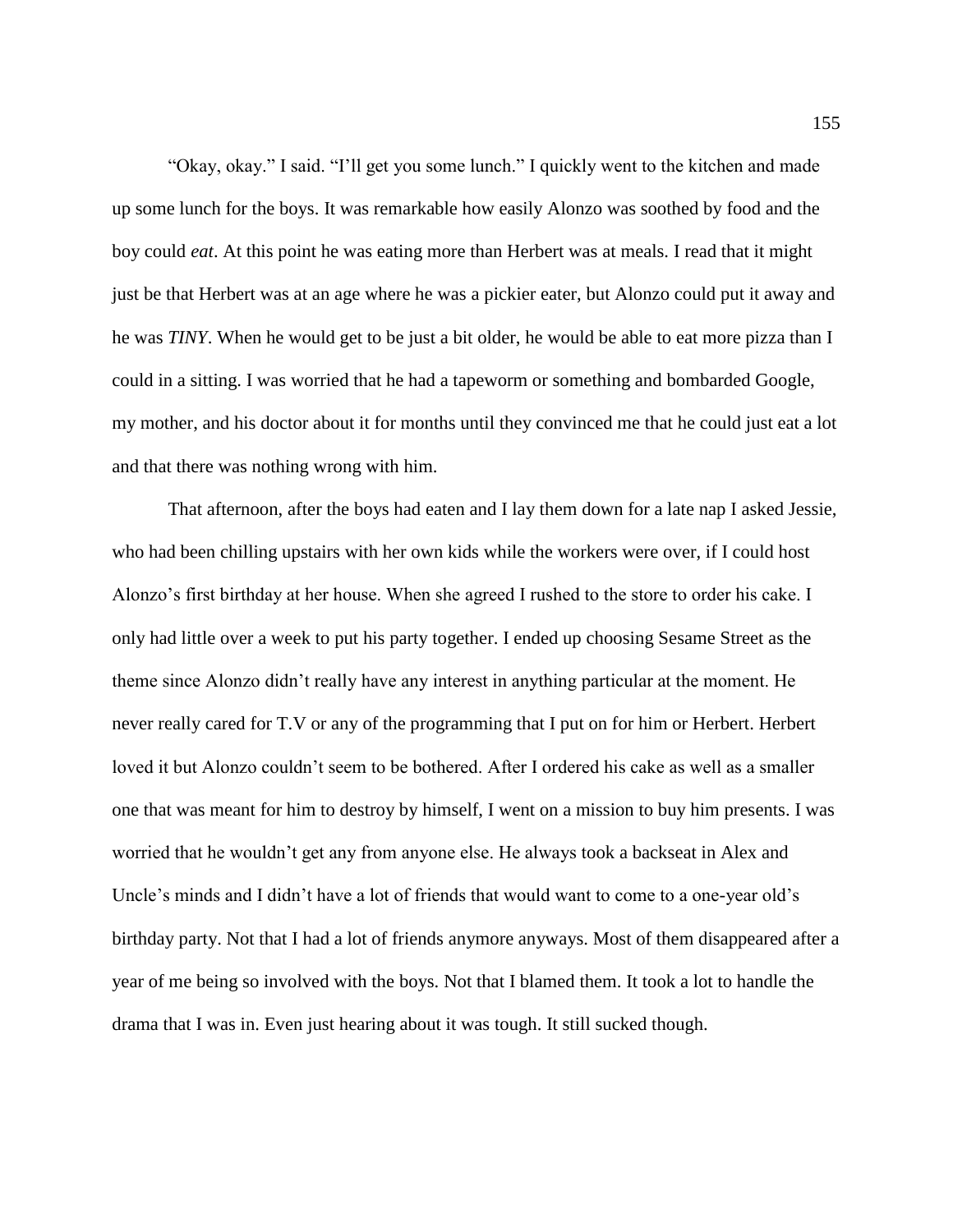"Okay, okay." I said. "I'll get you some lunch." I quickly went to the kitchen and made up some lunch for the boys. It was remarkable how easily Alonzo was soothed by food and the boy could *eat*. At this point he was eating more than Herbert was at meals. I read that it might just be that Herbert was at an age where he was a pickier eater, but Alonzo could put it away and he was *TINY*. When he would get to be just a bit older, he would be able to eat more pizza than I could in a sitting. I was worried that he had a tapeworm or something and bombarded Google, my mother, and his doctor about it for months until they convinced me that he could just eat a lot and that there was nothing wrong with him.

That afternoon, after the boys had eaten and I lay them down for a late nap I asked Jessie, who had been chilling upstairs with her own kids while the workers were over, if I could host Alonzo's first birthday at her house. When she agreed I rushed to the store to order his cake. I only had little over a week to put his party together. I ended up choosing Sesame Street as the theme since Alonzo didn't really have any interest in anything particular at the moment. He never really cared for T.V or any of the programming that I put on for him or Herbert. Herbert loved it but Alonzo couldn't seem to be bothered. After I ordered his cake as well as a smaller one that was meant for him to destroy by himself, I went on a mission to buy him presents. I was worried that he wouldn't get any from anyone else. He always took a backseat in Alex and Uncle's minds and I didn't have a lot of friends that would want to come to a one-year old's birthday party. Not that I had a lot of friends anymore anyways. Most of them disappeared after a year of me being so involved with the boys. Not that I blamed them. It took a lot to handle the drama that I was in. Even just hearing about it was tough. It still sucked though.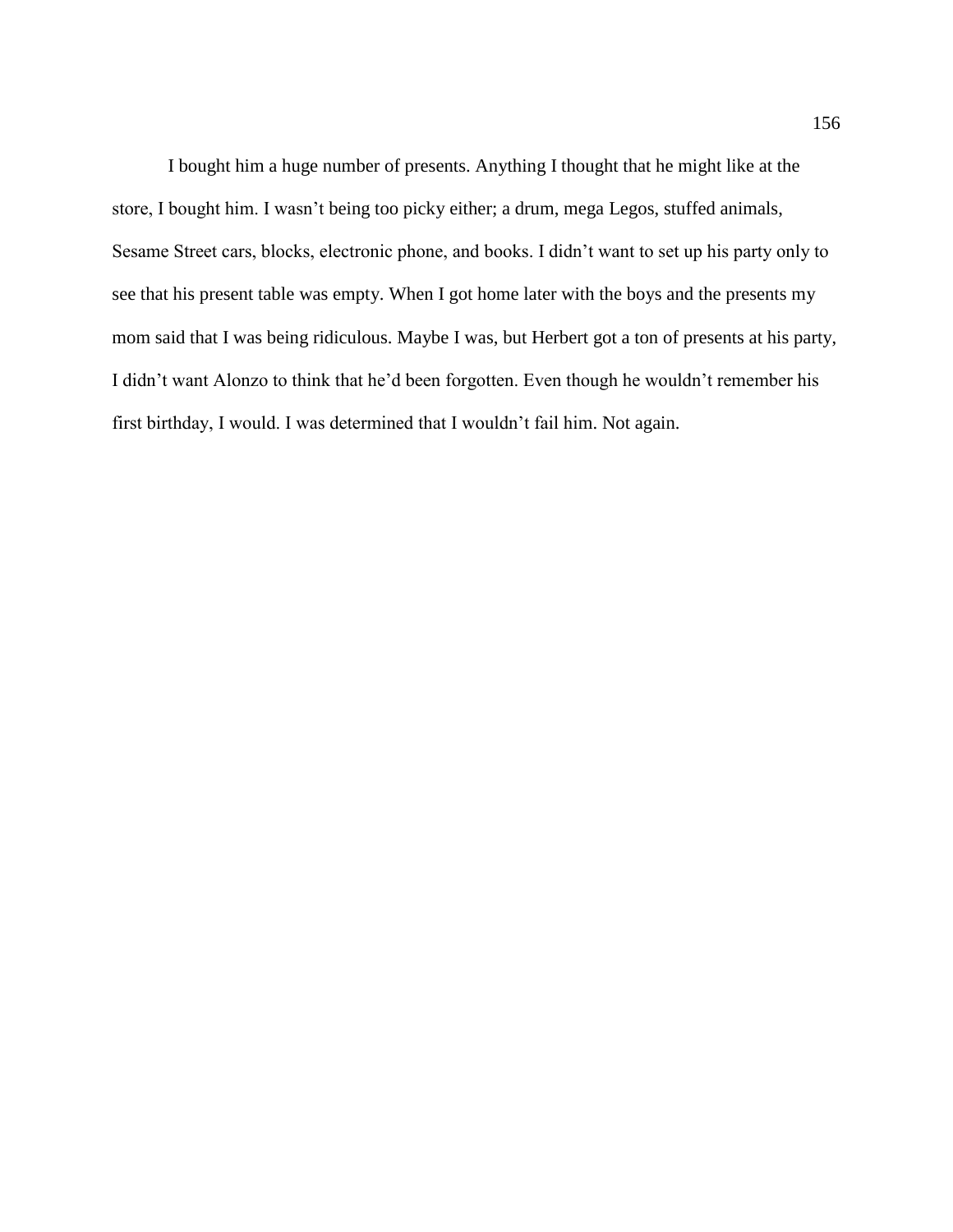I bought him a huge number of presents. Anything I thought that he might like at the store, I bought him. I wasn't being too picky either; a drum, mega Legos, stuffed animals, Sesame Street cars, blocks, electronic phone, and books. I didn't want to set up his party only to see that his present table was empty. When I got home later with the boys and the presents my mom said that I was being ridiculous. Maybe I was, but Herbert got a ton of presents at his party, I didn't want Alonzo to think that he'd been forgotten. Even though he wouldn't remember his first birthday, I would. I was determined that I wouldn't fail him. Not again.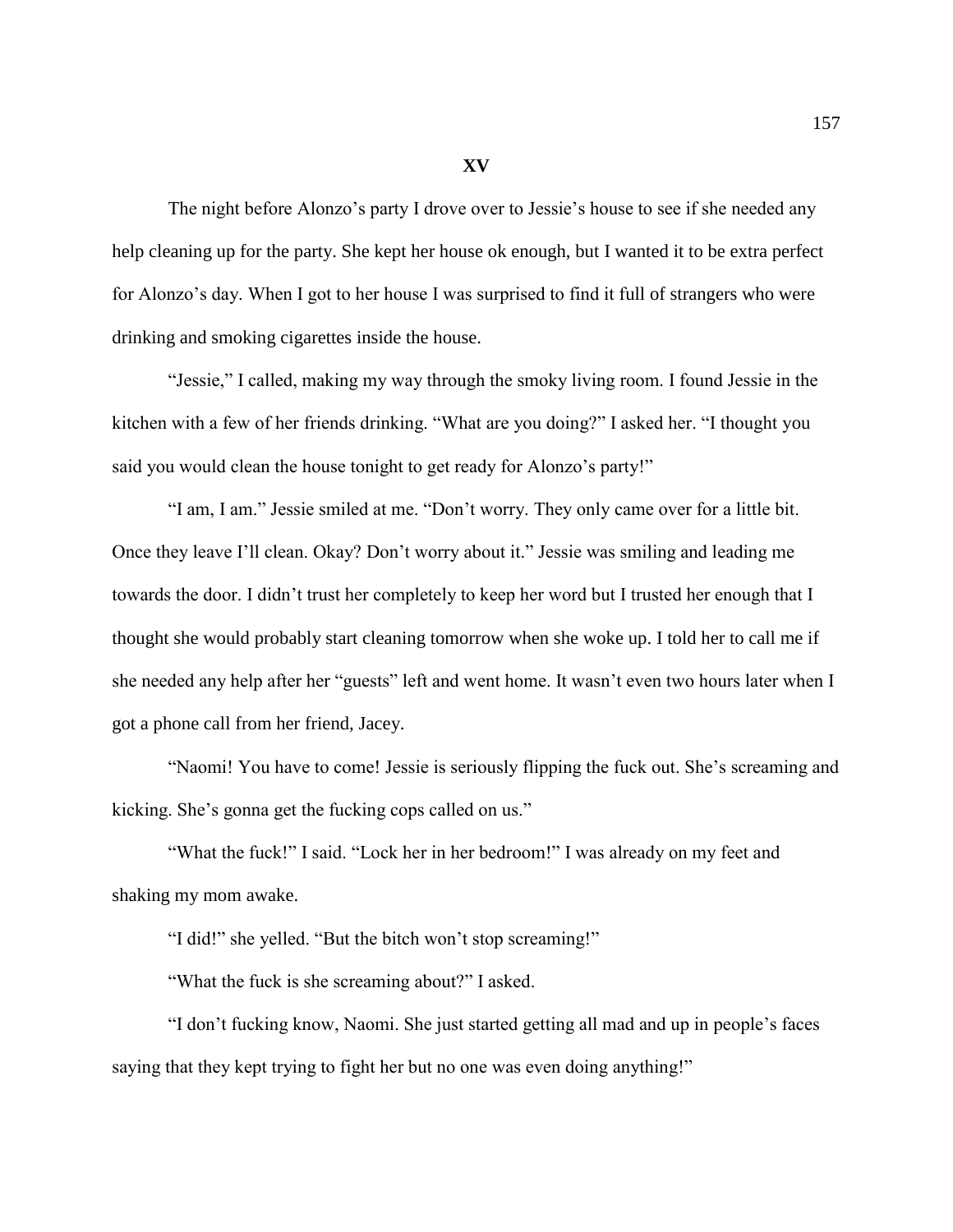**XV**

The night before Alonzo's party I drove over to Jessie's house to see if she needed any help cleaning up for the party. She kept her house ok enough, but I wanted it to be extra perfect for Alonzo's day. When I got to her house I was surprised to find it full of strangers who were drinking and smoking cigarettes inside the house.

"Jessie," I called, making my way through the smoky living room. I found Jessie in the kitchen with a few of her friends drinking. "What are you doing?" I asked her. "I thought you said you would clean the house tonight to get ready for Alonzo's party!"

"I am, I am." Jessie smiled at me. "Don't worry. They only came over for a little bit. Once they leave I'll clean. Okay? Don't worry about it." Jessie was smiling and leading me towards the door. I didn't trust her completely to keep her word but I trusted her enough that I thought she would probably start cleaning tomorrow when she woke up. I told her to call me if she needed any help after her "guests" left and went home. It wasn't even two hours later when I got a phone call from her friend, Jacey.

"Naomi! You have to come! Jessie is seriously flipping the fuck out. She's screaming and kicking. She's gonna get the fucking cops called on us."

"What the fuck!" I said. "Lock her in her bedroom!" I was already on my feet and shaking my mom awake.

"I did!" she yelled. "But the bitch won't stop screaming!"

"What the fuck is she screaming about?" I asked.

"I don't fucking know, Naomi. She just started getting all mad and up in people's faces saying that they kept trying to fight her but no one was even doing anything!"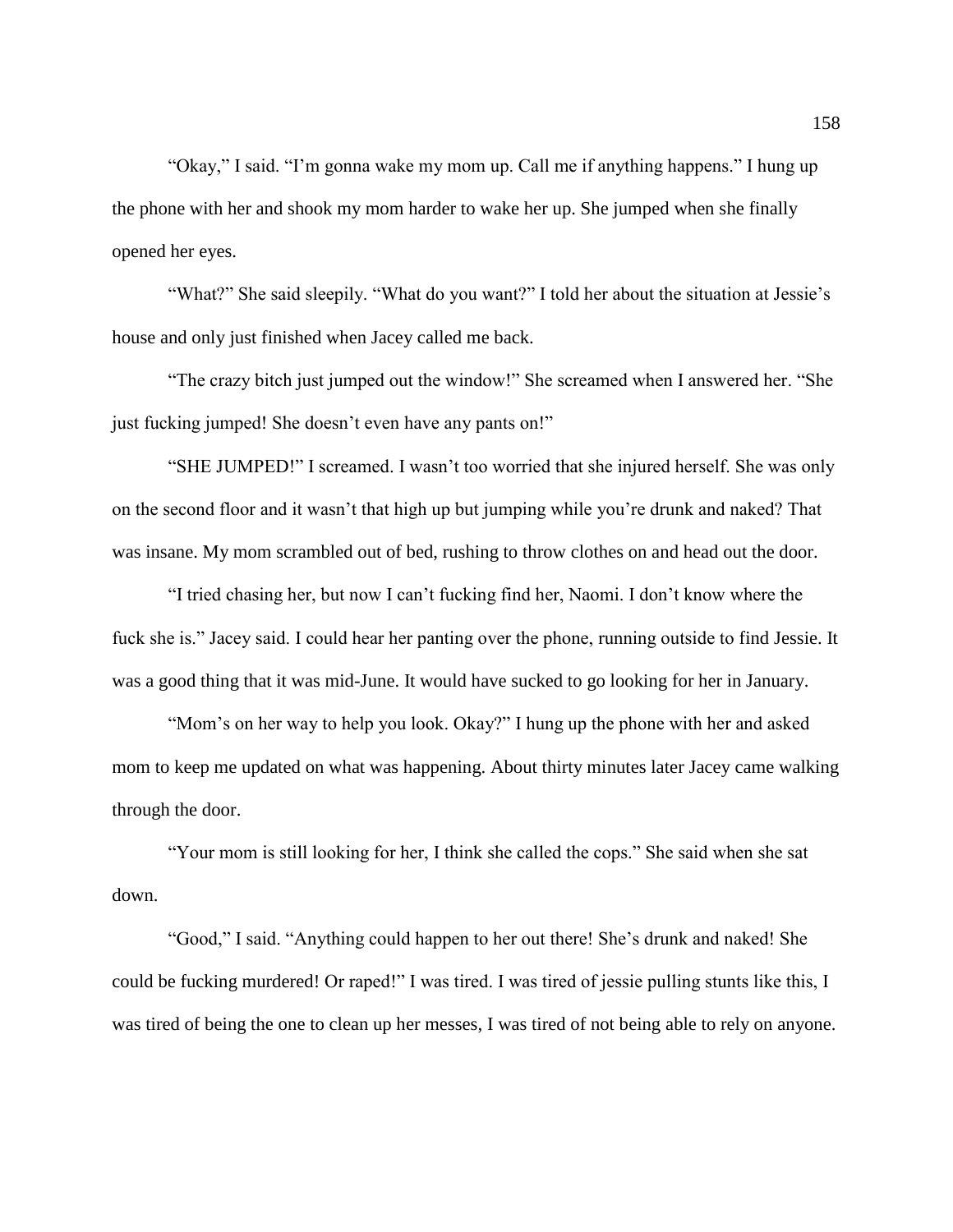"Okay," I said. "I'm gonna wake my mom up. Call me if anything happens." I hung up the phone with her and shook my mom harder to wake her up. She jumped when she finally opened her eyes.

"What?" She said sleepily. "What do you want?" I told her about the situation at Jessie's house and only just finished when Jacey called me back.

"The crazy bitch just jumped out the window!" She screamed when I answered her. "She just fucking jumped! She doesn't even have any pants on!"

"SHE JUMPED!" I screamed. I wasn't too worried that she injured herself. She was only on the second floor and it wasn't that high up but jumping while you're drunk and naked? That was insane. My mom scrambled out of bed, rushing to throw clothes on and head out the door.

"I tried chasing her, but now I can't fucking find her, Naomi. I don't know where the fuck she is." Jacey said. I could hear her panting over the phone, running outside to find Jessie. It was a good thing that it was mid-June. It would have sucked to go looking for her in January.

"Mom's on her way to help you look. Okay?" I hung up the phone with her and asked mom to keep me updated on what was happening. About thirty minutes later Jacey came walking through the door.

"Your mom is still looking for her, I think she called the cops." She said when she sat down.

"Good," I said. "Anything could happen to her out there! She's drunk and naked! She could be fucking murdered! Or raped!" I was tired. I was tired of jessie pulling stunts like this, I was tired of being the one to clean up her messes, I was tired of not being able to rely on anyone.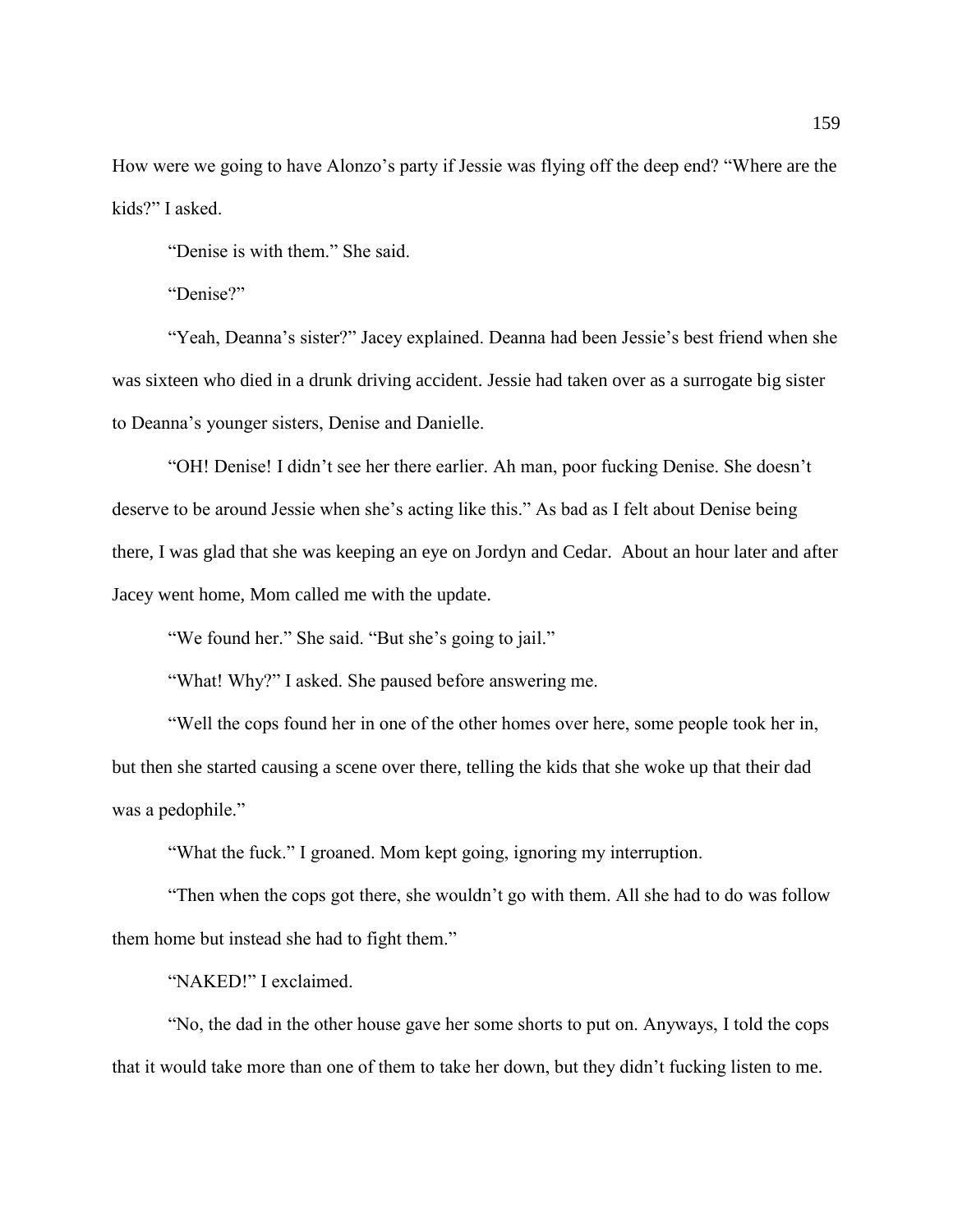How were we going to have Alonzo's party if Jessie was flying off the deep end? "Where are the kids?" I asked.

"Denise is with them." She said.

"Denise?"

"Yeah, Deanna's sister?" Jacey explained. Deanna had been Jessie's best friend when she was sixteen who died in a drunk driving accident. Jessie had taken over as a surrogate big sister to Deanna's younger sisters, Denise and Danielle.

"OH! Denise! I didn't see her there earlier. Ah man, poor fucking Denise. She doesn't deserve to be around Jessie when she's acting like this." As bad as I felt about Denise being there, I was glad that she was keeping an eye on Jordyn and Cedar. About an hour later and after Jacey went home, Mom called me with the update.

"We found her." She said. "But she's going to jail."

"What! Why?" I asked. She paused before answering me.

"Well the cops found her in one of the other homes over here, some people took her in, but then she started causing a scene over there, telling the kids that she woke up that their dad was a pedophile."

"What the fuck." I groaned. Mom kept going, ignoring my interruption.

"Then when the cops got there, she wouldn't go with them. All she had to do was follow them home but instead she had to fight them."

"NAKED!" I exclaimed.

"No, the dad in the other house gave her some shorts to put on. Anyways, I told the cops that it would take more than one of them to take her down, but they didn't fucking listen to me.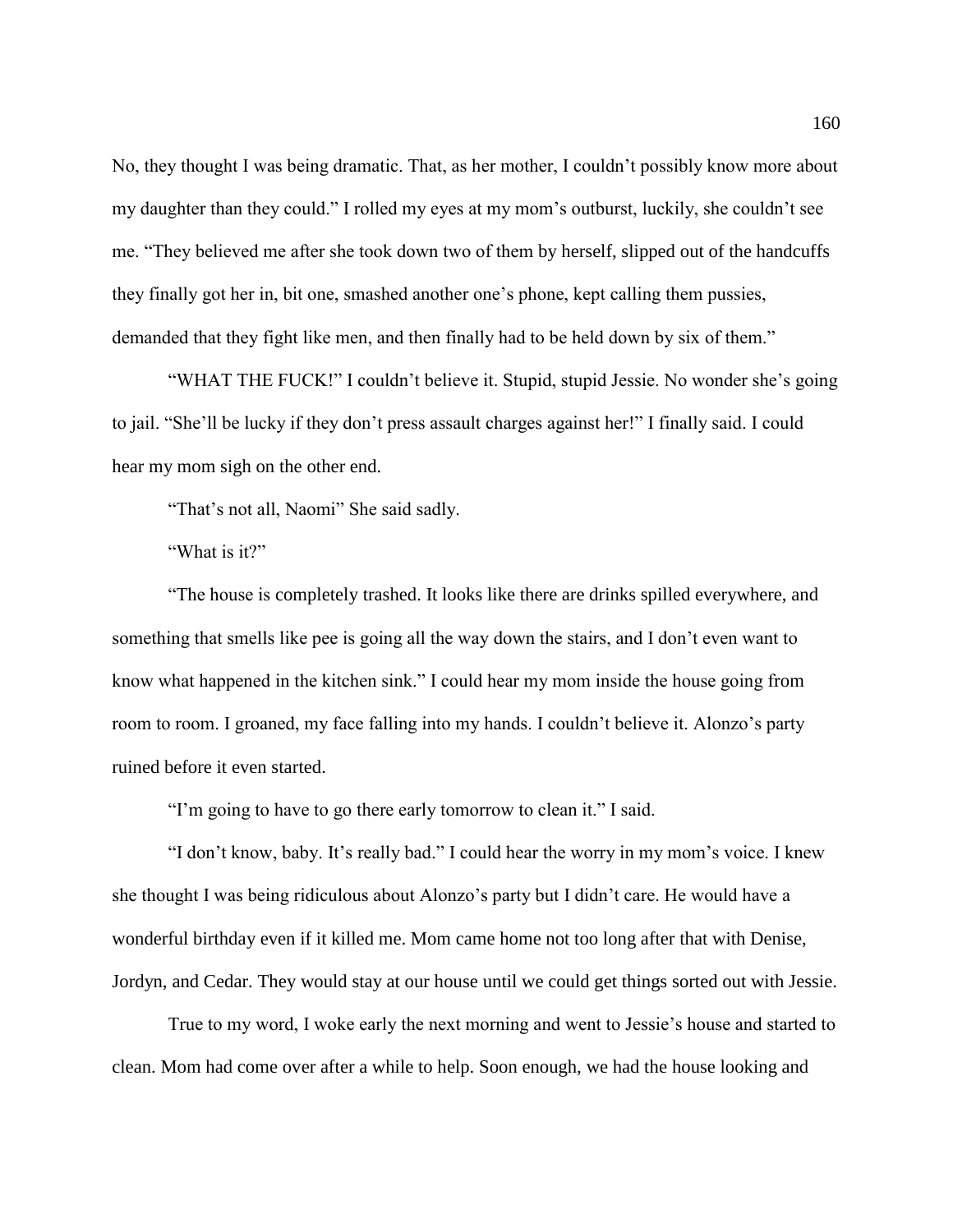No, they thought I was being dramatic. That, as her mother, I couldn't possibly know more about my daughter than they could." I rolled my eyes at my mom's outburst, luckily, she couldn't see me. "They believed me after she took down two of them by herself, slipped out of the handcuffs they finally got her in, bit one, smashed another one's phone, kept calling them pussies, demanded that they fight like men, and then finally had to be held down by six of them."

"WHAT THE FUCK!" I couldn't believe it. Stupid, stupid Jessie. No wonder she's going to jail. "She'll be lucky if they don't press assault charges against her!" I finally said. I could hear my mom sigh on the other end.

"That's not all, Naomi" She said sadly.

"What is it?"

"The house is completely trashed. It looks like there are drinks spilled everywhere, and something that smells like pee is going all the way down the stairs, and I don't even want to know what happened in the kitchen sink." I could hear my mom inside the house going from room to room. I groaned, my face falling into my hands. I couldn't believe it. Alonzo's party ruined before it even started.

"I'm going to have to go there early tomorrow to clean it." I said.

"I don't know, baby. It's really bad." I could hear the worry in my mom's voice. I knew she thought I was being ridiculous about Alonzo's party but I didn't care. He would have a wonderful birthday even if it killed me. Mom came home not too long after that with Denise, Jordyn, and Cedar. They would stay at our house until we could get things sorted out with Jessie.

True to my word, I woke early the next morning and went to Jessie's house and started to clean. Mom had come over after a while to help. Soon enough, we had the house looking and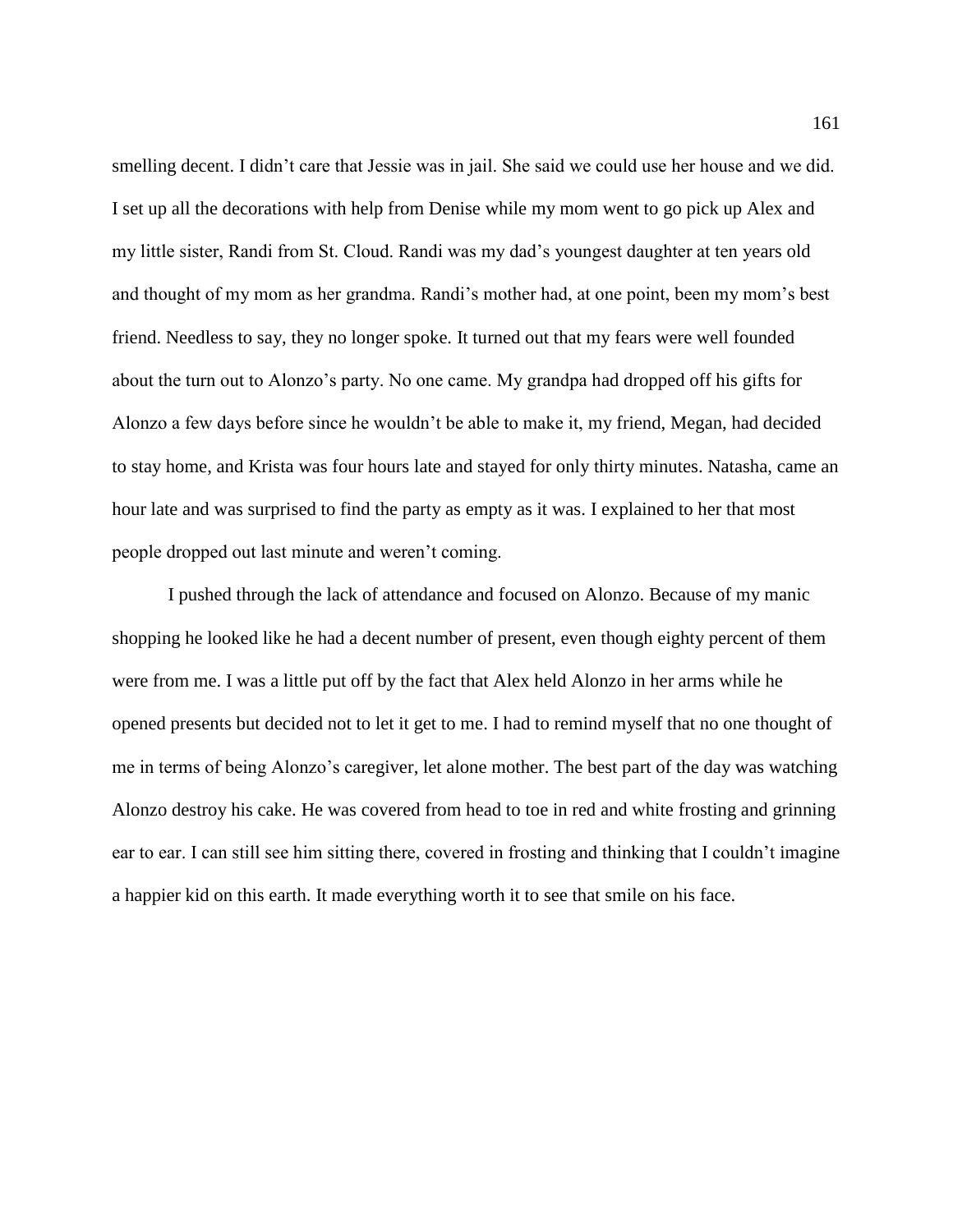smelling decent. I didn't care that Jessie was in jail. She said we could use her house and we did. I set up all the decorations with help from Denise while my mom went to go pick up Alex and my little sister, Randi from St. Cloud. Randi was my dad's youngest daughter at ten years old and thought of my mom as her grandma. Randi's mother had, at one point, been my mom's best friend. Needless to say, they no longer spoke. It turned out that my fears were well founded about the turn out to Alonzo's party. No one came. My grandpa had dropped off his gifts for Alonzo a few days before since he wouldn't be able to make it, my friend, Megan, had decided to stay home, and Krista was four hours late and stayed for only thirty minutes. Natasha, came an hour late and was surprised to find the party as empty as it was. I explained to her that most people dropped out last minute and weren't coming.

I pushed through the lack of attendance and focused on Alonzo. Because of my manic shopping he looked like he had a decent number of present, even though eighty percent of them were from me. I was a little put off by the fact that Alex held Alonzo in her arms while he opened presents but decided not to let it get to me. I had to remind myself that no one thought of me in terms of being Alonzo's caregiver, let alone mother. The best part of the day was watching Alonzo destroy his cake. He was covered from head to toe in red and white frosting and grinning ear to ear. I can still see him sitting there, covered in frosting and thinking that I couldn't imagine a happier kid on this earth. It made everything worth it to see that smile on his face.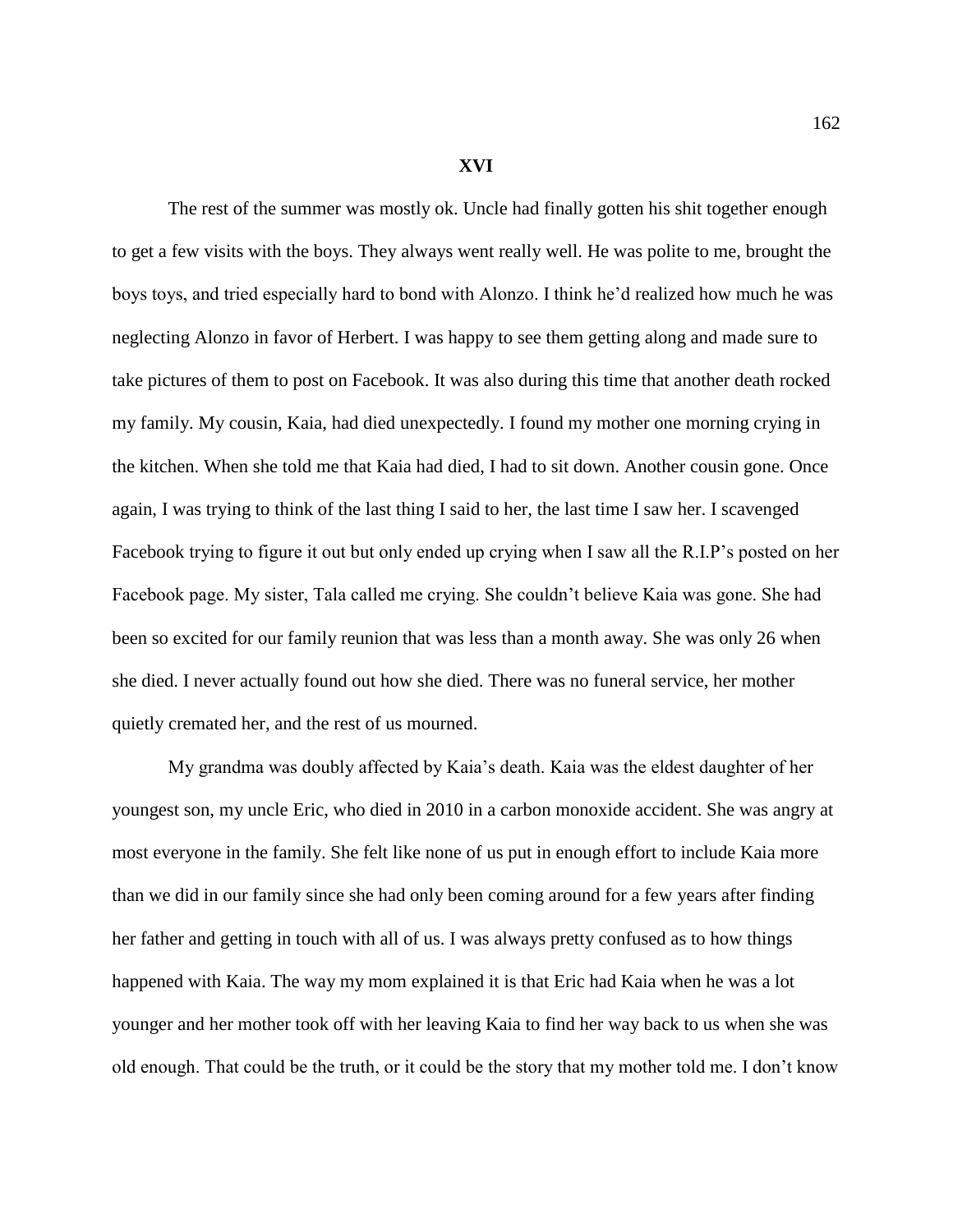## **XVI**

The rest of the summer was mostly ok. Uncle had finally gotten his shit together enough to get a few visits with the boys. They always went really well. He was polite to me, brought the boys toys, and tried especially hard to bond with Alonzo. I think he'd realized how much he was neglecting Alonzo in favor of Herbert. I was happy to see them getting along and made sure to take pictures of them to post on Facebook. It was also during this time that another death rocked my family. My cousin, Kaia, had died unexpectedly. I found my mother one morning crying in the kitchen. When she told me that Kaia had died, I had to sit down. Another cousin gone. Once again, I was trying to think of the last thing I said to her, the last time I saw her. I scavenged Facebook trying to figure it out but only ended up crying when I saw all the R.I.P's posted on her Facebook page. My sister, Tala called me crying. She couldn't believe Kaia was gone. She had been so excited for our family reunion that was less than a month away. She was only 26 when she died. I never actually found out how she died. There was no funeral service, her mother quietly cremated her, and the rest of us mourned.

My grandma was doubly affected by Kaia's death. Kaia was the eldest daughter of her youngest son, my uncle Eric, who died in 2010 in a carbon monoxide accident. She was angry at most everyone in the family. She felt like none of us put in enough effort to include Kaia more than we did in our family since she had only been coming around for a few years after finding her father and getting in touch with all of us. I was always pretty confused as to how things happened with Kaia. The way my mom explained it is that Eric had Kaia when he was a lot younger and her mother took off with her leaving Kaia to find her way back to us when she was old enough. That could be the truth, or it could be the story that my mother told me. I don't know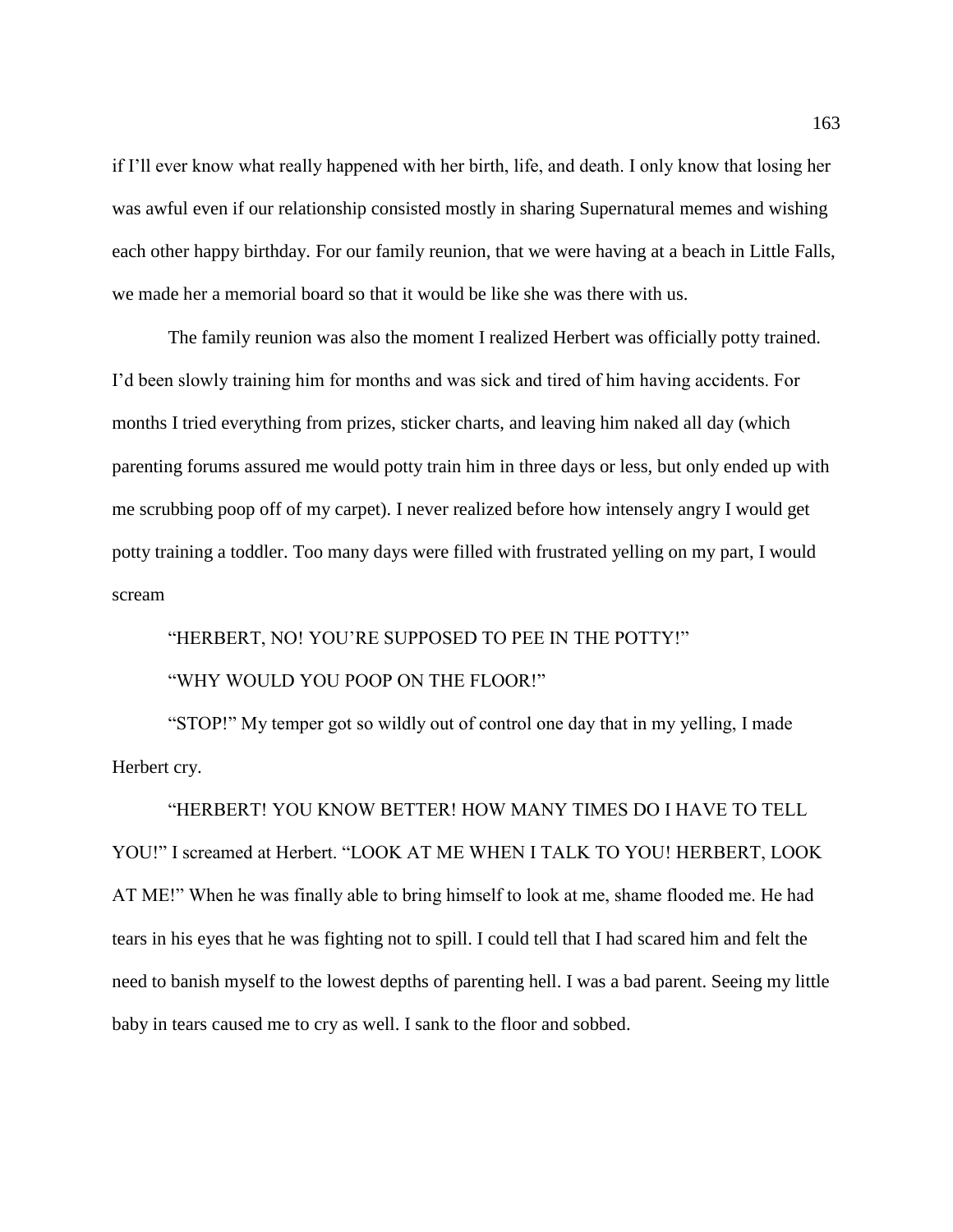if I'll ever know what really happened with her birth, life, and death. I only know that losing her was awful even if our relationship consisted mostly in sharing Supernatural memes and wishing each other happy birthday. For our family reunion, that we were having at a beach in Little Falls, we made her a memorial board so that it would be like she was there with us.

The family reunion was also the moment I realized Herbert was officially potty trained. I'd been slowly training him for months and was sick and tired of him having accidents. For months I tried everything from prizes, sticker charts, and leaving him naked all day (which parenting forums assured me would potty train him in three days or less, but only ended up with me scrubbing poop off of my carpet). I never realized before how intensely angry I would get potty training a toddler. Too many days were filled with frustrated yelling on my part, I would scream

"HERBERT, NO! YOU'RE SUPPOSED TO PEE IN THE POTTY!"

## "WHY WOULD YOU POOP ON THE FLOOR!"

"STOP!" My temper got so wildly out of control one day that in my yelling, I made Herbert cry.

"HERBERT! YOU KNOW BETTER! HOW MANY TIMES DO I HAVE TO TELL YOU!" I screamed at Herbert. "LOOK AT ME WHEN I TALK TO YOU! HERBERT, LOOK AT ME!" When he was finally able to bring himself to look at me, shame flooded me. He had tears in his eyes that he was fighting not to spill. I could tell that I had scared him and felt the need to banish myself to the lowest depths of parenting hell. I was a bad parent. Seeing my little baby in tears caused me to cry as well. I sank to the floor and sobbed.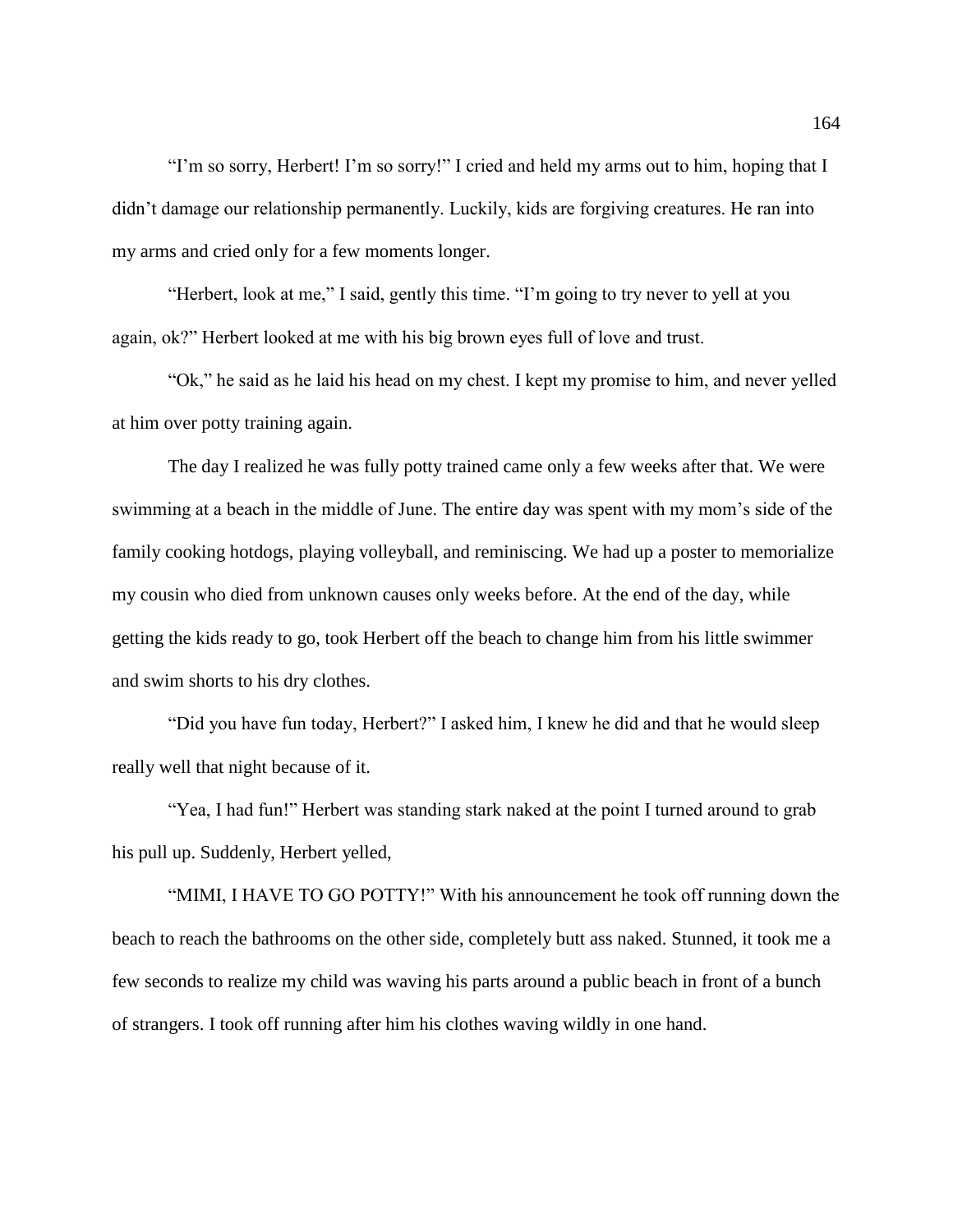"I'm so sorry, Herbert! I'm so sorry!" I cried and held my arms out to him, hoping that I didn't damage our relationship permanently. Luckily, kids are forgiving creatures. He ran into my arms and cried only for a few moments longer.

"Herbert, look at me," I said, gently this time. "I'm going to try never to yell at you again, ok?" Herbert looked at me with his big brown eyes full of love and trust.

"Ok," he said as he laid his head on my chest. I kept my promise to him, and never yelled at him over potty training again.

The day I realized he was fully potty trained came only a few weeks after that. We were swimming at a beach in the middle of June. The entire day was spent with my mom's side of the family cooking hotdogs, playing volleyball, and reminiscing. We had up a poster to memorialize my cousin who died from unknown causes only weeks before. At the end of the day, while getting the kids ready to go, took Herbert off the beach to change him from his little swimmer and swim shorts to his dry clothes.

"Did you have fun today, Herbert?" I asked him, I knew he did and that he would sleep really well that night because of it.

"Yea, I had fun!" Herbert was standing stark naked at the point I turned around to grab his pull up. Suddenly, Herbert yelled,

"MIMI, I HAVE TO GO POTTY!" With his announcement he took off running down the beach to reach the bathrooms on the other side, completely butt ass naked. Stunned, it took me a few seconds to realize my child was waving his parts around a public beach in front of a bunch of strangers. I took off running after him his clothes waving wildly in one hand.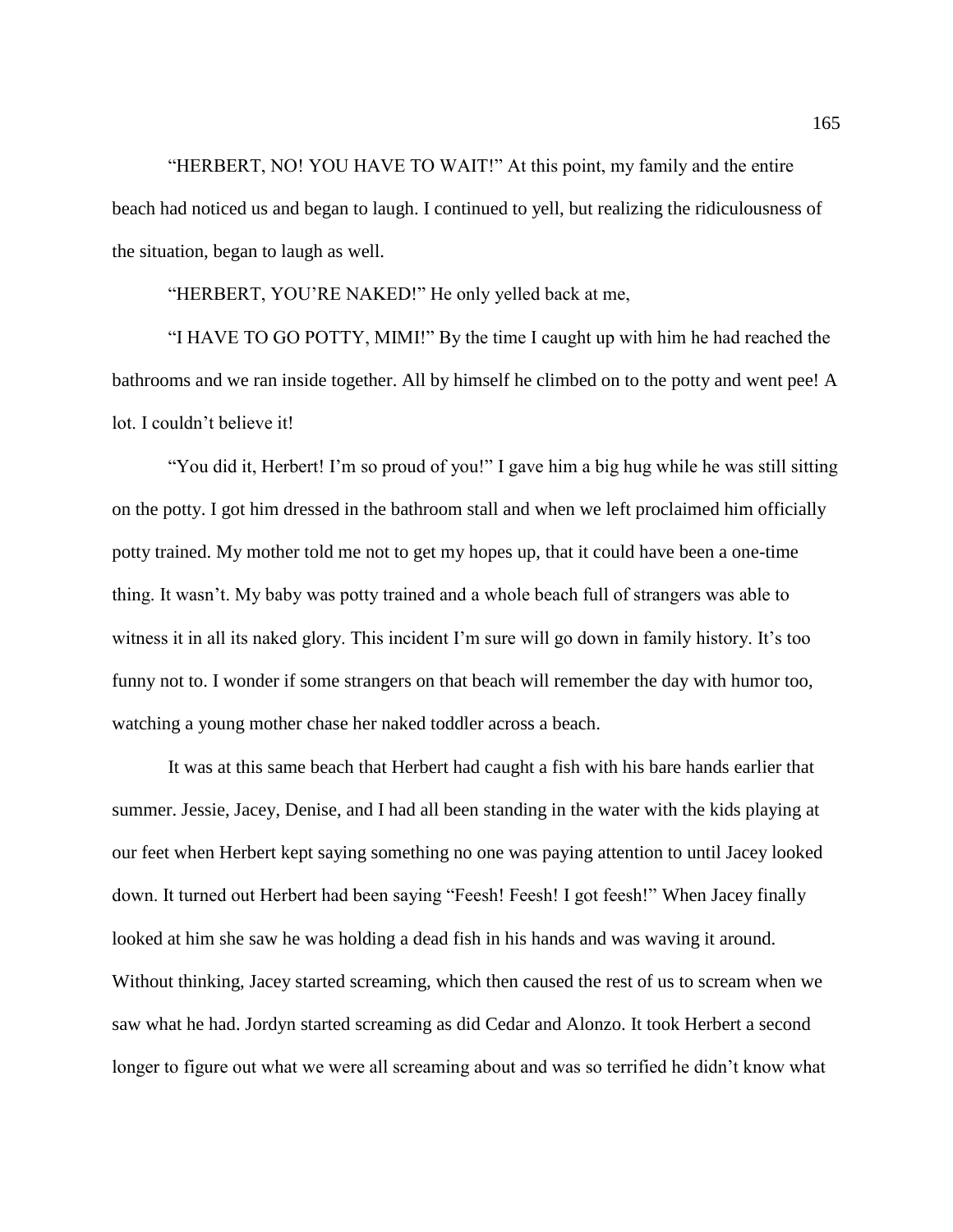"HERBERT, NO! YOU HAVE TO WAIT!" At this point, my family and the entire beach had noticed us and began to laugh. I continued to yell, but realizing the ridiculousness of the situation, began to laugh as well.

"HERBERT, YOU'RE NAKED!" He only yelled back at me,

"I HAVE TO GO POTTY, MIMI!" By the time I caught up with him he had reached the bathrooms and we ran inside together. All by himself he climbed on to the potty and went pee! A lot. I couldn't believe it!

"You did it, Herbert! I'm so proud of you!" I gave him a big hug while he was still sitting on the potty. I got him dressed in the bathroom stall and when we left proclaimed him officially potty trained. My mother told me not to get my hopes up, that it could have been a one-time thing. It wasn't. My baby was potty trained and a whole beach full of strangers was able to witness it in all its naked glory. This incident I'm sure will go down in family history. It's too funny not to. I wonder if some strangers on that beach will remember the day with humor too, watching a young mother chase her naked toddler across a beach.

It was at this same beach that Herbert had caught a fish with his bare hands earlier that summer. Jessie, Jacey, Denise, and I had all been standing in the water with the kids playing at our feet when Herbert kept saying something no one was paying attention to until Jacey looked down. It turned out Herbert had been saying "Feesh! Feesh! I got feesh!" When Jacey finally looked at him she saw he was holding a dead fish in his hands and was waving it around. Without thinking, Jacey started screaming, which then caused the rest of us to scream when we saw what he had. Jordyn started screaming as did Cedar and Alonzo. It took Herbert a second longer to figure out what we were all screaming about and was so terrified he didn't know what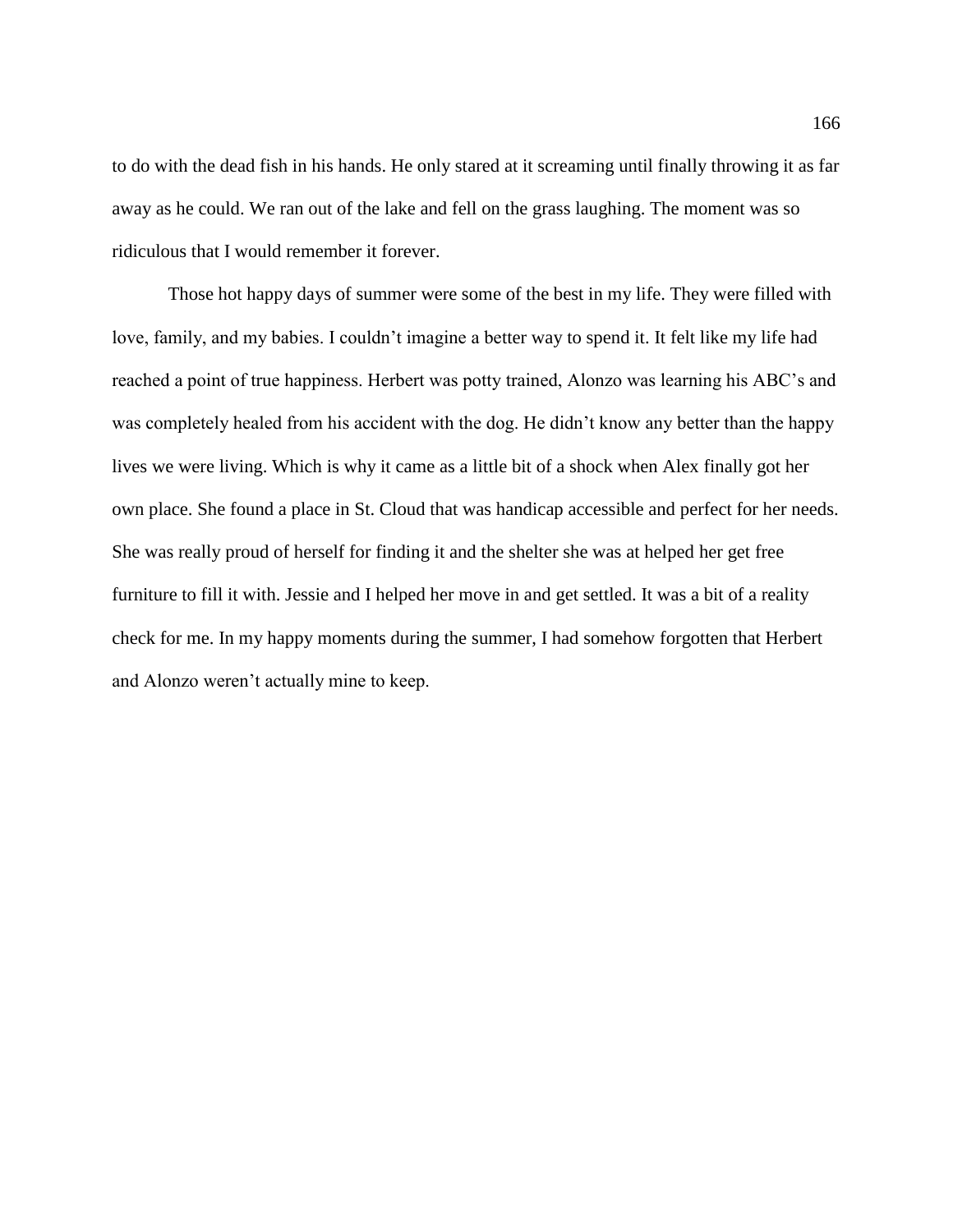to do with the dead fish in his hands. He only stared at it screaming until finally throwing it as far away as he could. We ran out of the lake and fell on the grass laughing. The moment was so ridiculous that I would remember it forever.

Those hot happy days of summer were some of the best in my life. They were filled with love, family, and my babies. I couldn't imagine a better way to spend it. It felt like my life had reached a point of true happiness. Herbert was potty trained, Alonzo was learning his ABC's and was completely healed from his accident with the dog. He didn't know any better than the happy lives we were living. Which is why it came as a little bit of a shock when Alex finally got her own place. She found a place in St. Cloud that was handicap accessible and perfect for her needs. She was really proud of herself for finding it and the shelter she was at helped her get free furniture to fill it with. Jessie and I helped her move in and get settled. It was a bit of a reality check for me. In my happy moments during the summer, I had somehow forgotten that Herbert and Alonzo weren't actually mine to keep.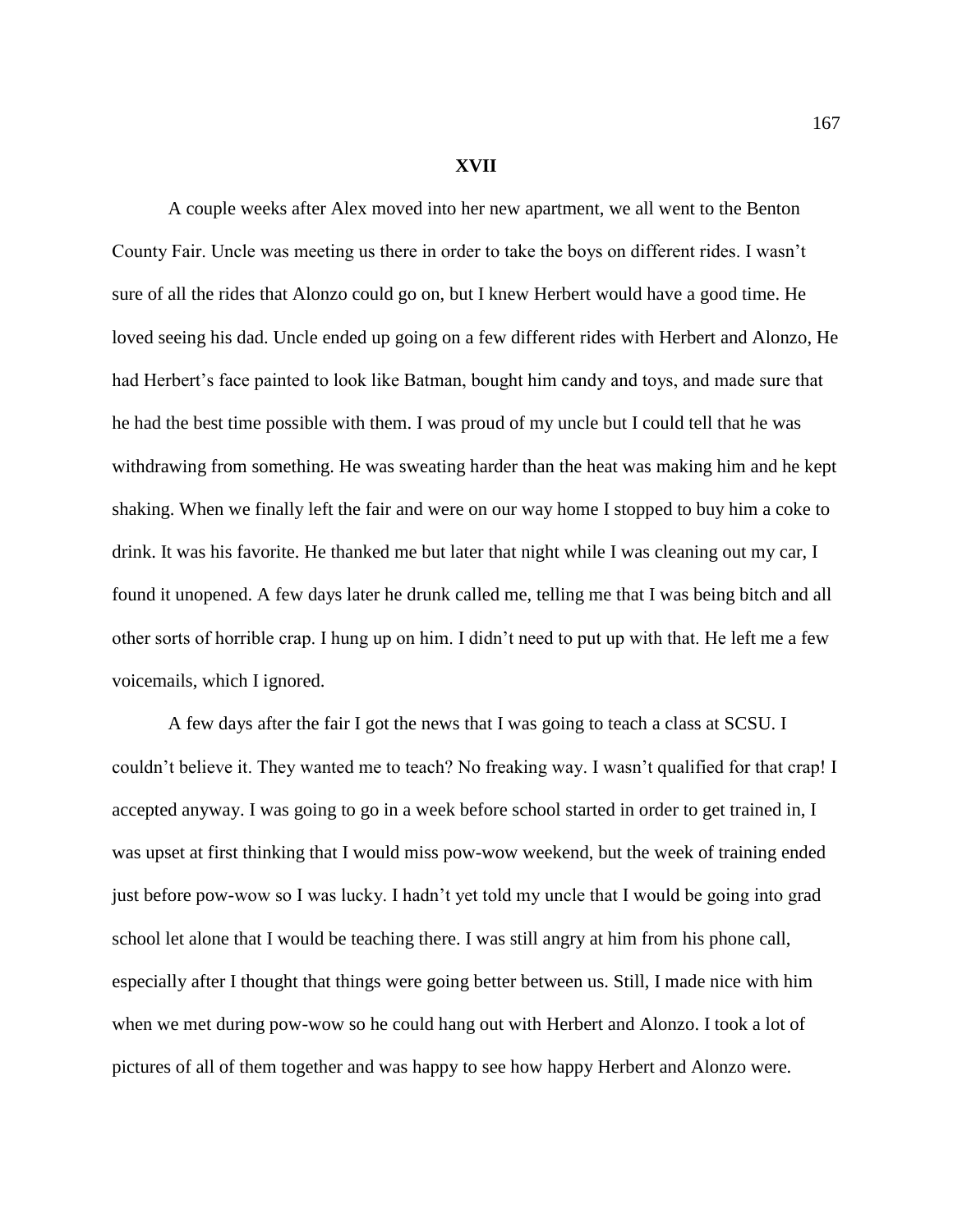## **XVII**

A couple weeks after Alex moved into her new apartment, we all went to the Benton County Fair. Uncle was meeting us there in order to take the boys on different rides. I wasn't sure of all the rides that Alonzo could go on, but I knew Herbert would have a good time. He loved seeing his dad. Uncle ended up going on a few different rides with Herbert and Alonzo, He had Herbert's face painted to look like Batman, bought him candy and toys, and made sure that he had the best time possible with them. I was proud of my uncle but I could tell that he was withdrawing from something. He was sweating harder than the heat was making him and he kept shaking. When we finally left the fair and were on our way home I stopped to buy him a coke to drink. It was his favorite. He thanked me but later that night while I was cleaning out my car, I found it unopened. A few days later he drunk called me, telling me that I was being bitch and all other sorts of horrible crap. I hung up on him. I didn't need to put up with that. He left me a few voicemails, which I ignored.

A few days after the fair I got the news that I was going to teach a class at SCSU. I couldn't believe it. They wanted me to teach? No freaking way. I wasn't qualified for that crap! I accepted anyway. I was going to go in a week before school started in order to get trained in, I was upset at first thinking that I would miss pow-wow weekend, but the week of training ended just before pow-wow so I was lucky. I hadn't yet told my uncle that I would be going into grad school let alone that I would be teaching there. I was still angry at him from his phone call, especially after I thought that things were going better between us. Still, I made nice with him when we met during pow-wow so he could hang out with Herbert and Alonzo. I took a lot of pictures of all of them together and was happy to see how happy Herbert and Alonzo were.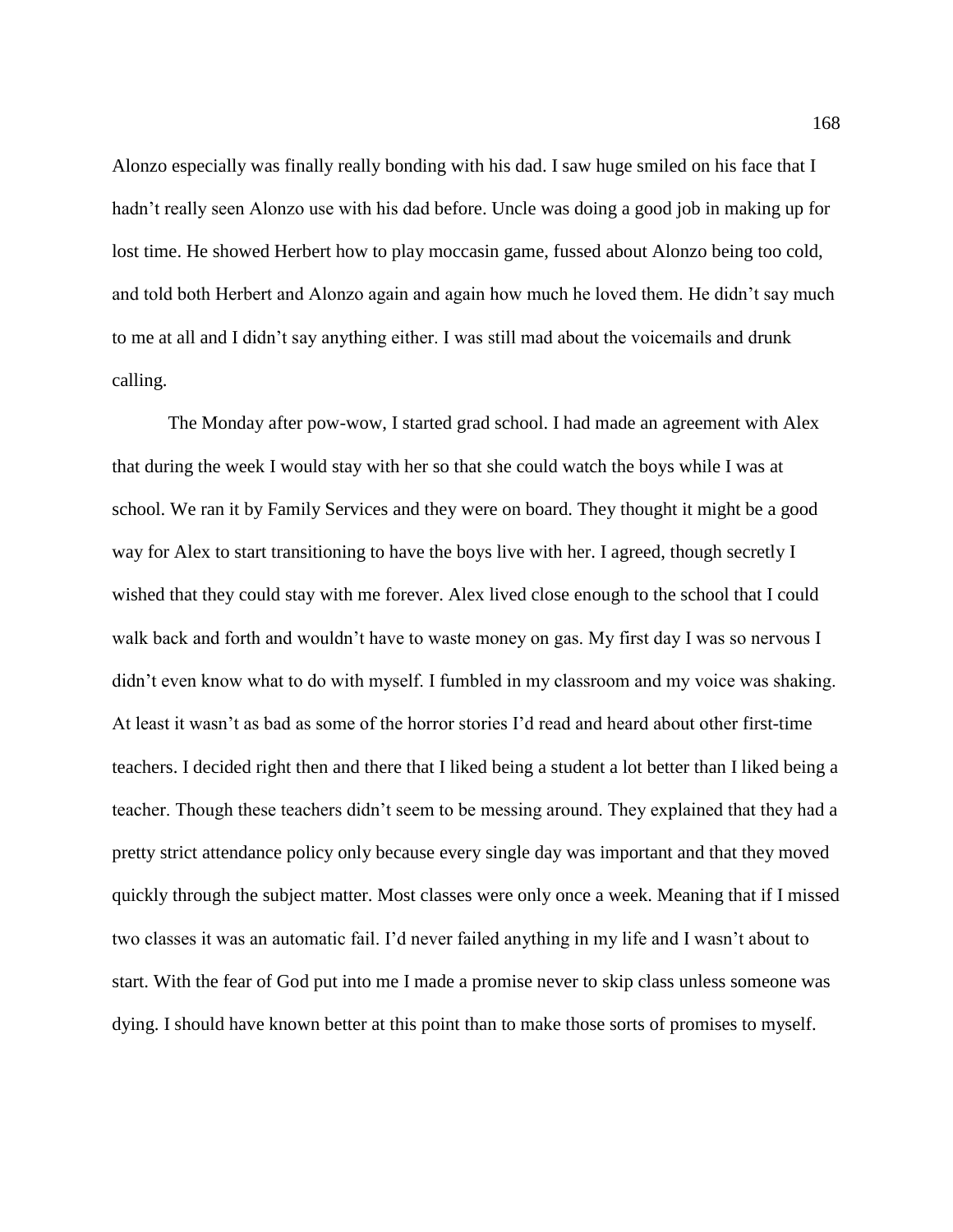Alonzo especially was finally really bonding with his dad. I saw huge smiled on his face that I hadn't really seen Alonzo use with his dad before. Uncle was doing a good job in making up for lost time. He showed Herbert how to play moccasin game, fussed about Alonzo being too cold, and told both Herbert and Alonzo again and again how much he loved them. He didn't say much to me at all and I didn't say anything either. I was still mad about the voicemails and drunk calling.

The Monday after pow-wow, I started grad school. I had made an agreement with Alex that during the week I would stay with her so that she could watch the boys while I was at school. We ran it by Family Services and they were on board. They thought it might be a good way for Alex to start transitioning to have the boys live with her. I agreed, though secretly I wished that they could stay with me forever. Alex lived close enough to the school that I could walk back and forth and wouldn't have to waste money on gas. My first day I was so nervous I didn't even know what to do with myself. I fumbled in my classroom and my voice was shaking. At least it wasn't as bad as some of the horror stories I'd read and heard about other first-time teachers. I decided right then and there that I liked being a student a lot better than I liked being a teacher. Though these teachers didn't seem to be messing around. They explained that they had a pretty strict attendance policy only because every single day was important and that they moved quickly through the subject matter. Most classes were only once a week. Meaning that if I missed two classes it was an automatic fail. I'd never failed anything in my life and I wasn't about to start. With the fear of God put into me I made a promise never to skip class unless someone was dying. I should have known better at this point than to make those sorts of promises to myself.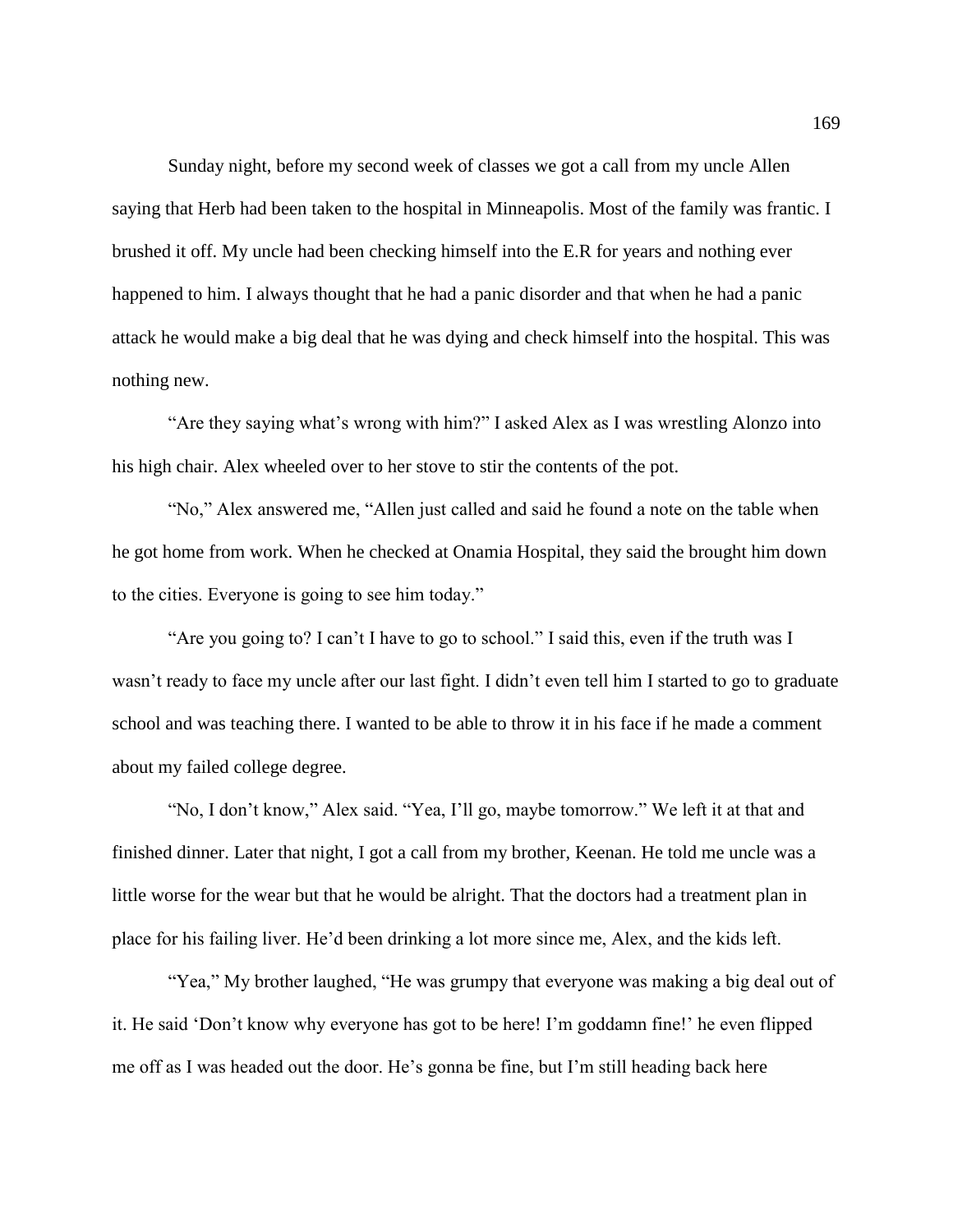Sunday night, before my second week of classes we got a call from my uncle Allen saying that Herb had been taken to the hospital in Minneapolis. Most of the family was frantic. I brushed it off. My uncle had been checking himself into the E.R for years and nothing ever happened to him. I always thought that he had a panic disorder and that when he had a panic attack he would make a big deal that he was dying and check himself into the hospital. This was nothing new.

"Are they saying what's wrong with him?" I asked Alex as I was wrestling Alonzo into his high chair. Alex wheeled over to her stove to stir the contents of the pot.

"No," Alex answered me, "Allen just called and said he found a note on the table when he got home from work. When he checked at Onamia Hospital, they said the brought him down to the cities. Everyone is going to see him today."

"Are you going to? I can't I have to go to school." I said this, even if the truth was I wasn't ready to face my uncle after our last fight. I didn't even tell him I started to go to graduate school and was teaching there. I wanted to be able to throw it in his face if he made a comment about my failed college degree.

"No, I don't know," Alex said. "Yea, I'll go, maybe tomorrow." We left it at that and finished dinner. Later that night, I got a call from my brother, Keenan. He told me uncle was a little worse for the wear but that he would be alright. That the doctors had a treatment plan in place for his failing liver. He'd been drinking a lot more since me, Alex, and the kids left.

"Yea," My brother laughed, "He was grumpy that everyone was making a big deal out of it. He said 'Don't know why everyone has got to be here! I'm goddamn fine!' he even flipped me off as I was headed out the door. He's gonna be fine, but I'm still heading back here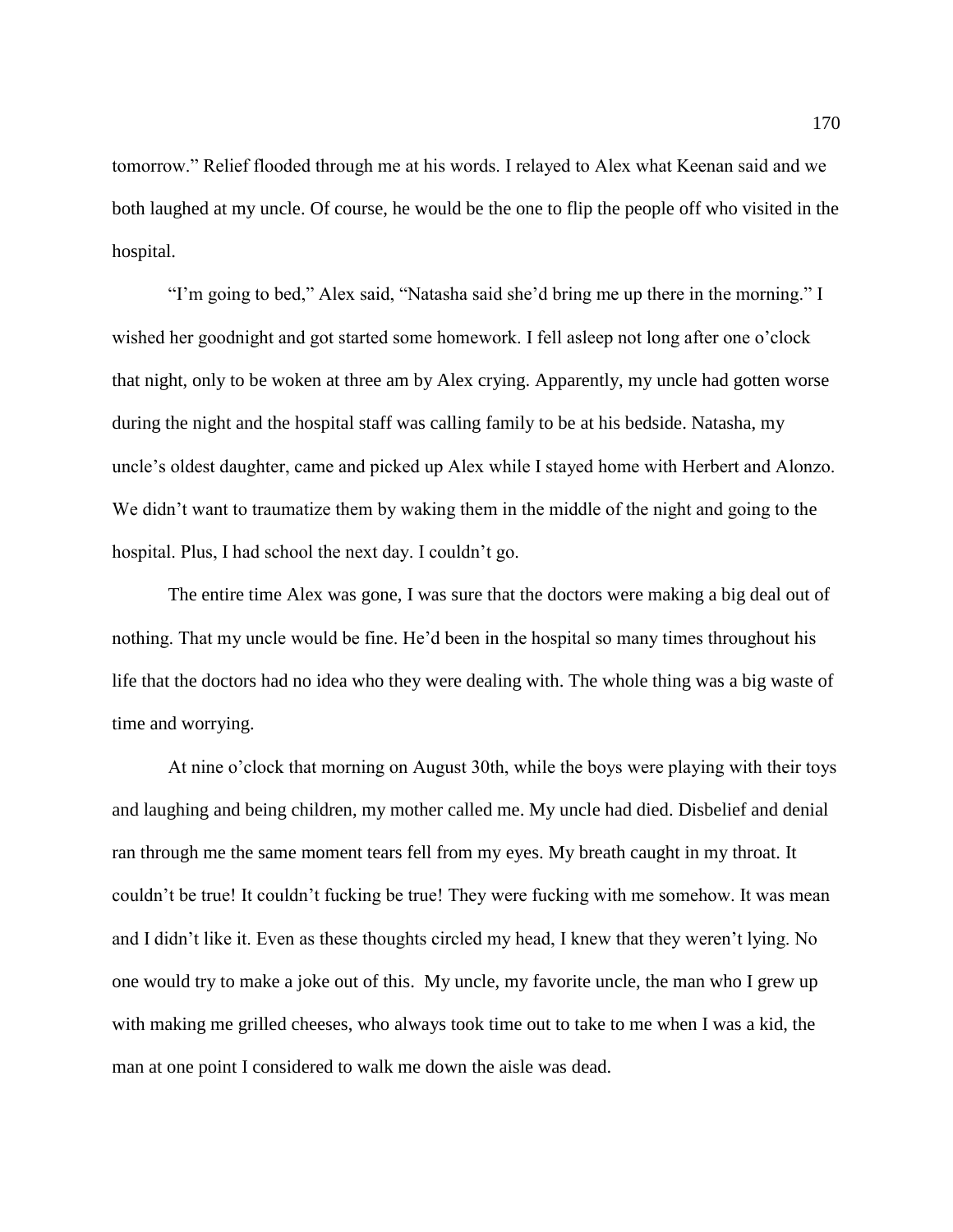tomorrow." Relief flooded through me at his words. I relayed to Alex what Keenan said and we both laughed at my uncle. Of course, he would be the one to flip the people off who visited in the hospital.

"I'm going to bed," Alex said, "Natasha said she'd bring me up there in the morning." I wished her goodnight and got started some homework. I fell asleep not long after one o'clock that night, only to be woken at three am by Alex crying. Apparently, my uncle had gotten worse during the night and the hospital staff was calling family to be at his bedside. Natasha, my uncle's oldest daughter, came and picked up Alex while I stayed home with Herbert and Alonzo. We didn't want to traumatize them by waking them in the middle of the night and going to the hospital. Plus, I had school the next day. I couldn't go.

The entire time Alex was gone, I was sure that the doctors were making a big deal out of nothing. That my uncle would be fine. He'd been in the hospital so many times throughout his life that the doctors had no idea who they were dealing with. The whole thing was a big waste of time and worrying.

At nine o'clock that morning on August 30th, while the boys were playing with their toys and laughing and being children, my mother called me. My uncle had died. Disbelief and denial ran through me the same moment tears fell from my eyes. My breath caught in my throat. It couldn't be true! It couldn't fucking be true! They were fucking with me somehow. It was mean and I didn't like it. Even as these thoughts circled my head, I knew that they weren't lying. No one would try to make a joke out of this. My uncle, my favorite uncle, the man who I grew up with making me grilled cheeses, who always took time out to take to me when I was a kid, the man at one point I considered to walk me down the aisle was dead.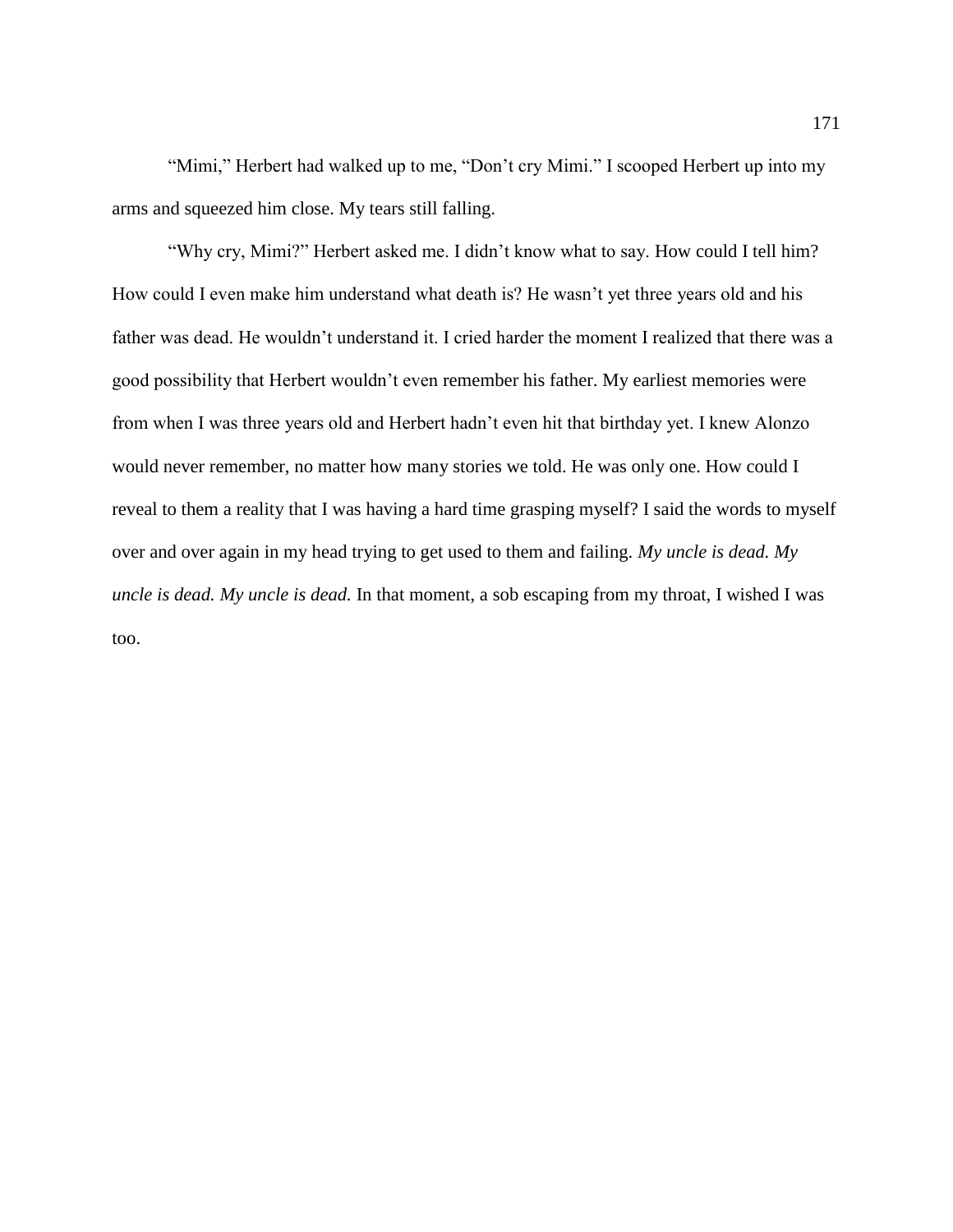"Mimi," Herbert had walked up to me, "Don't cry Mimi." I scooped Herbert up into my arms and squeezed him close. My tears still falling.

"Why cry, Mimi?" Herbert asked me. I didn't know what to say. How could I tell him? How could I even make him understand what death is? He wasn't yet three years old and his father was dead. He wouldn't understand it. I cried harder the moment I realized that there was a good possibility that Herbert wouldn't even remember his father. My earliest memories were from when I was three years old and Herbert hadn't even hit that birthday yet. I knew Alonzo would never remember, no matter how many stories we told. He was only one. How could I reveal to them a reality that I was having a hard time grasping myself? I said the words to myself over and over again in my head trying to get used to them and failing. *My uncle is dead. My uncle is dead. My uncle is dead.* In that moment, a sob escaping from my throat, I wished I was too.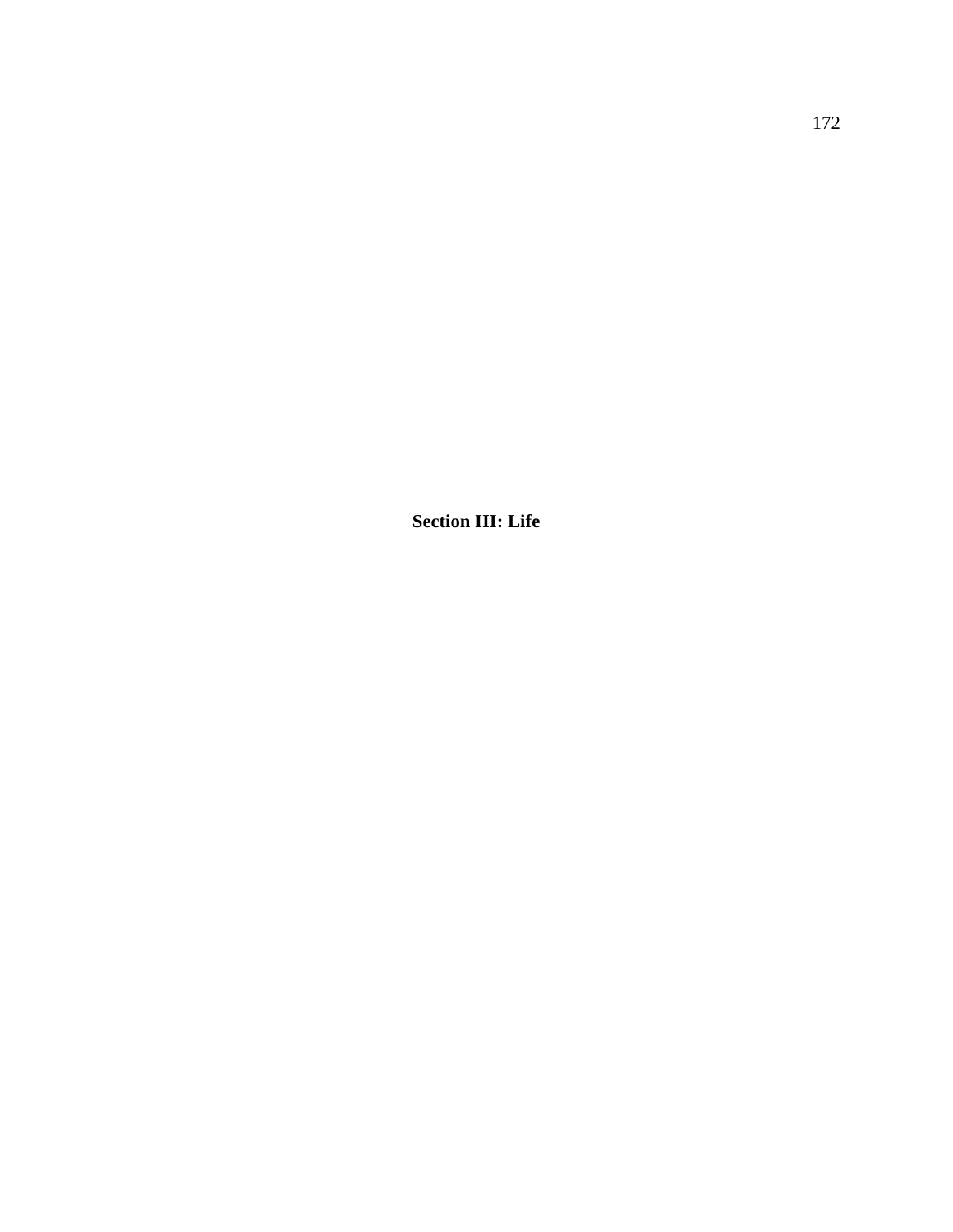**Section III: Life**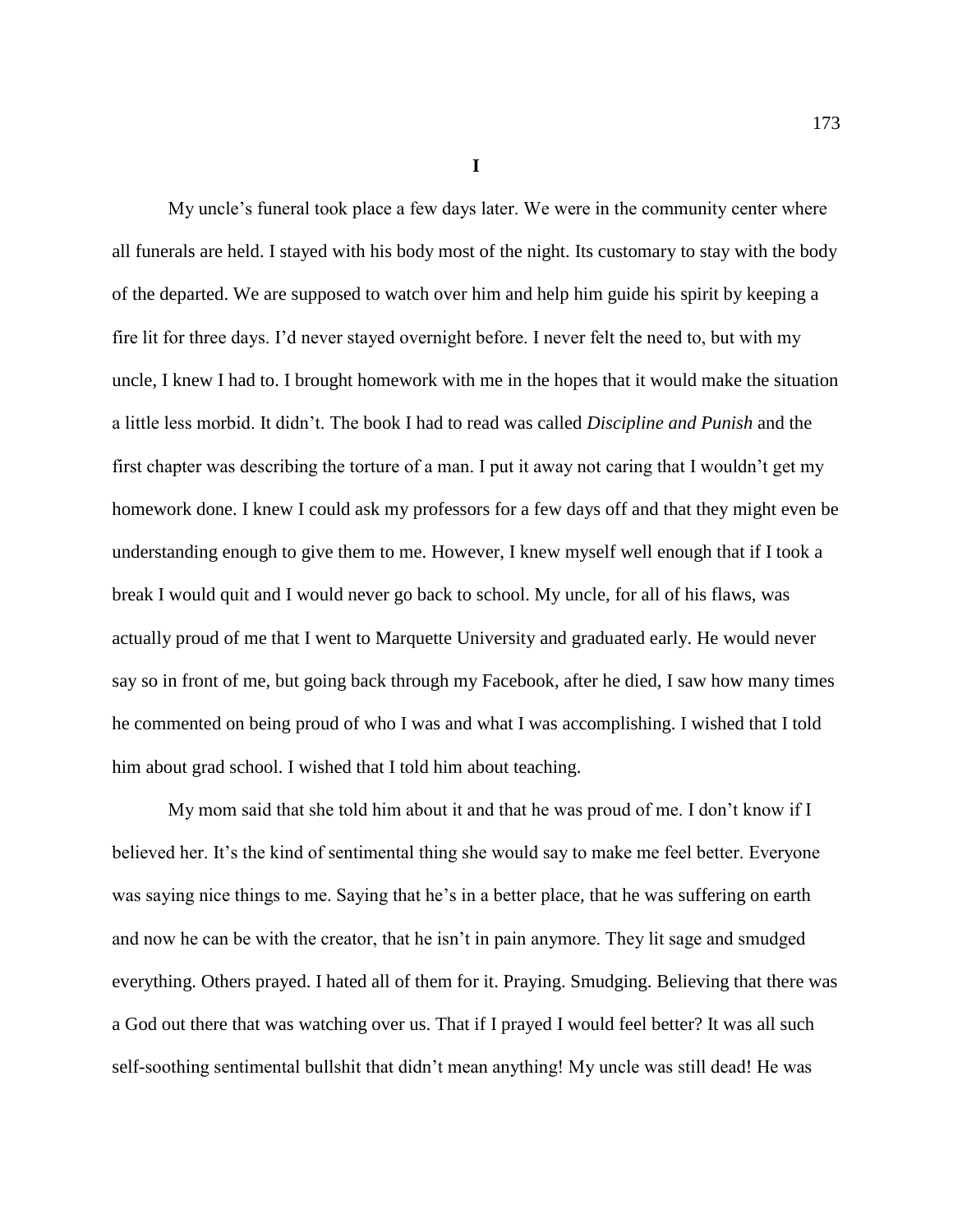**I**

My uncle's funeral took place a few days later. We were in the community center where all funerals are held. I stayed with his body most of the night. Its customary to stay with the body of the departed. We are supposed to watch over him and help him guide his spirit by keeping a fire lit for three days. I'd never stayed overnight before. I never felt the need to, but with my uncle, I knew I had to. I brought homework with me in the hopes that it would make the situation a little less morbid. It didn't. The book I had to read was called *Discipline and Punish* and the first chapter was describing the torture of a man. I put it away not caring that I wouldn't get my homework done. I knew I could ask my professors for a few days off and that they might even be understanding enough to give them to me. However, I knew myself well enough that if I took a break I would quit and I would never go back to school. My uncle, for all of his flaws, was actually proud of me that I went to Marquette University and graduated early. He would never say so in front of me, but going back through my Facebook, after he died, I saw how many times he commented on being proud of who I was and what I was accomplishing. I wished that I told him about grad school. I wished that I told him about teaching.

My mom said that she told him about it and that he was proud of me. I don't know if I believed her. It's the kind of sentimental thing she would say to make me feel better. Everyone was saying nice things to me. Saying that he's in a better place, that he was suffering on earth and now he can be with the creator, that he isn't in pain anymore. They lit sage and smudged everything. Others prayed. I hated all of them for it. Praying. Smudging. Believing that there was a God out there that was watching over us. That if I prayed I would feel better? It was all such self-soothing sentimental bullshit that didn't mean anything! My uncle was still dead! He was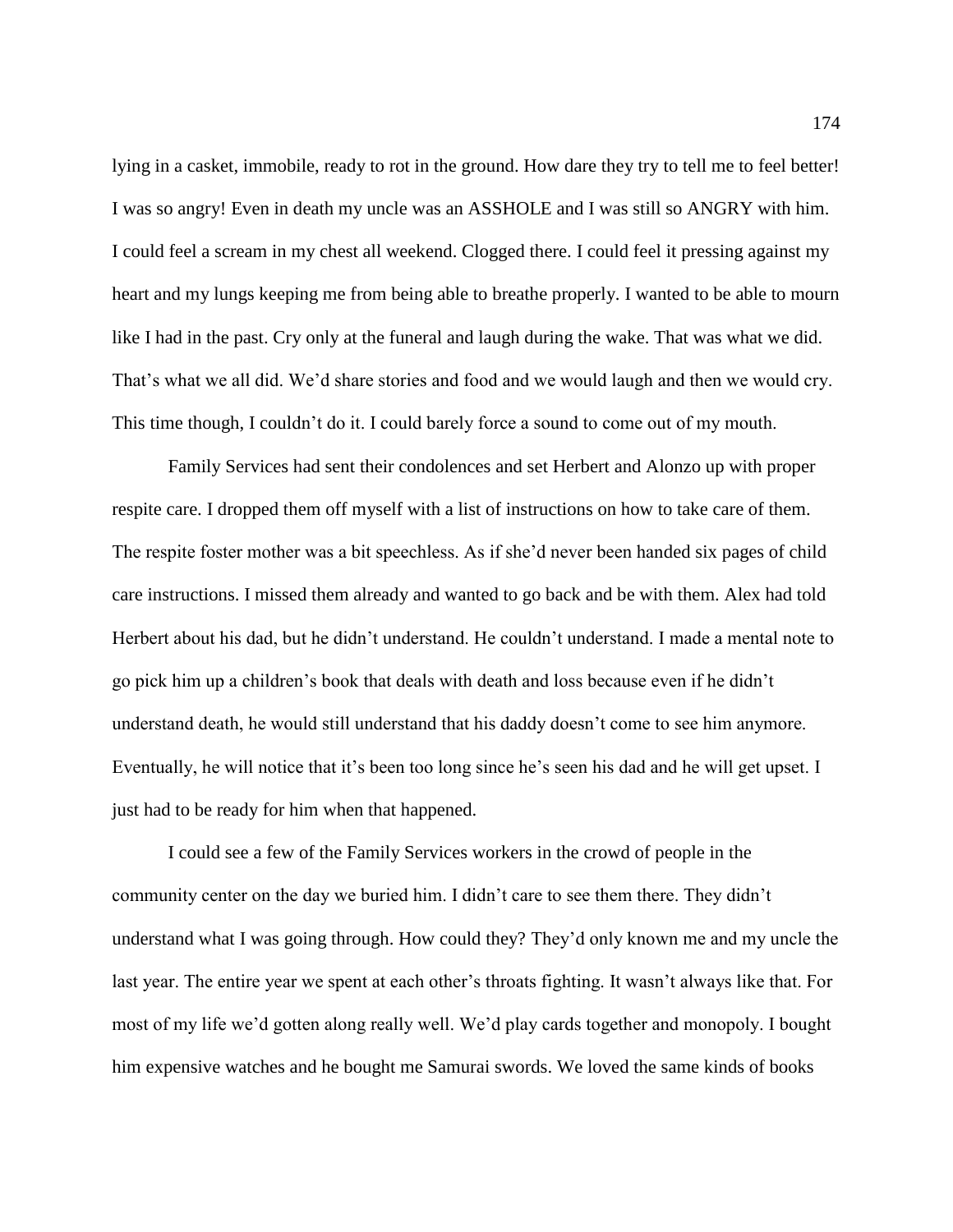lying in a casket, immobile, ready to rot in the ground. How dare they try to tell me to feel better! I was so angry! Even in death my uncle was an ASSHOLE and I was still so ANGRY with him. I could feel a scream in my chest all weekend. Clogged there. I could feel it pressing against my heart and my lungs keeping me from being able to breathe properly. I wanted to be able to mourn like I had in the past. Cry only at the funeral and laugh during the wake. That was what we did. That's what we all did. We'd share stories and food and we would laugh and then we would cry. This time though, I couldn't do it. I could barely force a sound to come out of my mouth.

Family Services had sent their condolences and set Herbert and Alonzo up with proper respite care. I dropped them off myself with a list of instructions on how to take care of them. The respite foster mother was a bit speechless. As if she'd never been handed six pages of child care instructions. I missed them already and wanted to go back and be with them. Alex had told Herbert about his dad, but he didn't understand. He couldn't understand. I made a mental note to go pick him up a children's book that deals with death and loss because even if he didn't understand death, he would still understand that his daddy doesn't come to see him anymore. Eventually, he will notice that it's been too long since he's seen his dad and he will get upset. I just had to be ready for him when that happened.

I could see a few of the Family Services workers in the crowd of people in the community center on the day we buried him. I didn't care to see them there. They didn't understand what I was going through. How could they? They'd only known me and my uncle the last year. The entire year we spent at each other's throats fighting. It wasn't always like that. For most of my life we'd gotten along really well. We'd play cards together and monopoly. I bought him expensive watches and he bought me Samurai swords. We loved the same kinds of books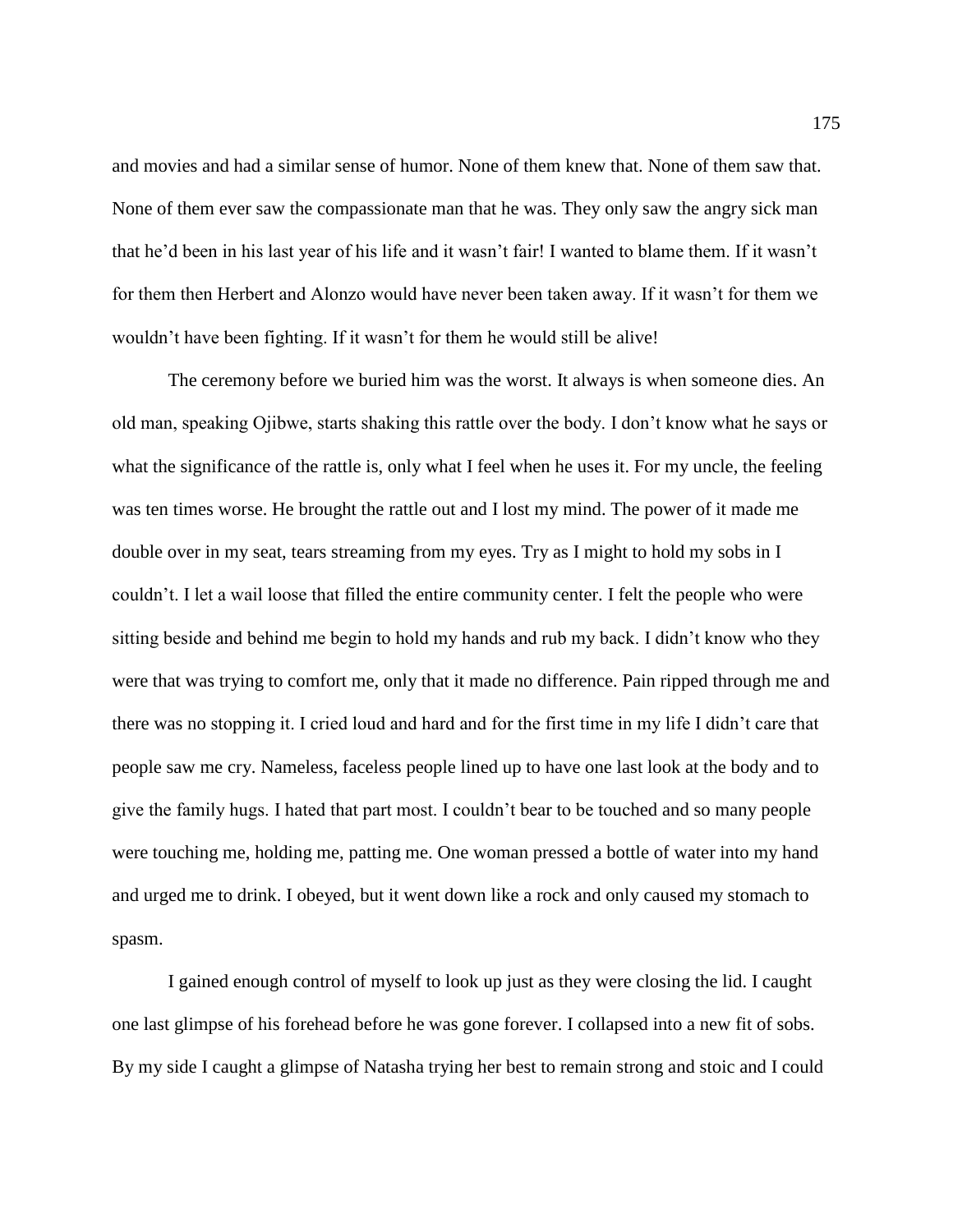and movies and had a similar sense of humor. None of them knew that. None of them saw that. None of them ever saw the compassionate man that he was. They only saw the angry sick man that he'd been in his last year of his life and it wasn't fair! I wanted to blame them. If it wasn't for them then Herbert and Alonzo would have never been taken away. If it wasn't for them we wouldn't have been fighting. If it wasn't for them he would still be alive!

The ceremony before we buried him was the worst. It always is when someone dies. An old man, speaking Ojibwe, starts shaking this rattle over the body. I don't know what he says or what the significance of the rattle is, only what I feel when he uses it. For my uncle, the feeling was ten times worse. He brought the rattle out and I lost my mind. The power of it made me double over in my seat, tears streaming from my eyes. Try as I might to hold my sobs in I couldn't. I let a wail loose that filled the entire community center. I felt the people who were sitting beside and behind me begin to hold my hands and rub my back. I didn't know who they were that was trying to comfort me, only that it made no difference. Pain ripped through me and there was no stopping it. I cried loud and hard and for the first time in my life I didn't care that people saw me cry. Nameless, faceless people lined up to have one last look at the body and to give the family hugs. I hated that part most. I couldn't bear to be touched and so many people were touching me, holding me, patting me. One woman pressed a bottle of water into my hand and urged me to drink. I obeyed, but it went down like a rock and only caused my stomach to spasm.

I gained enough control of myself to look up just as they were closing the lid. I caught one last glimpse of his forehead before he was gone forever. I collapsed into a new fit of sobs. By my side I caught a glimpse of Natasha trying her best to remain strong and stoic and I could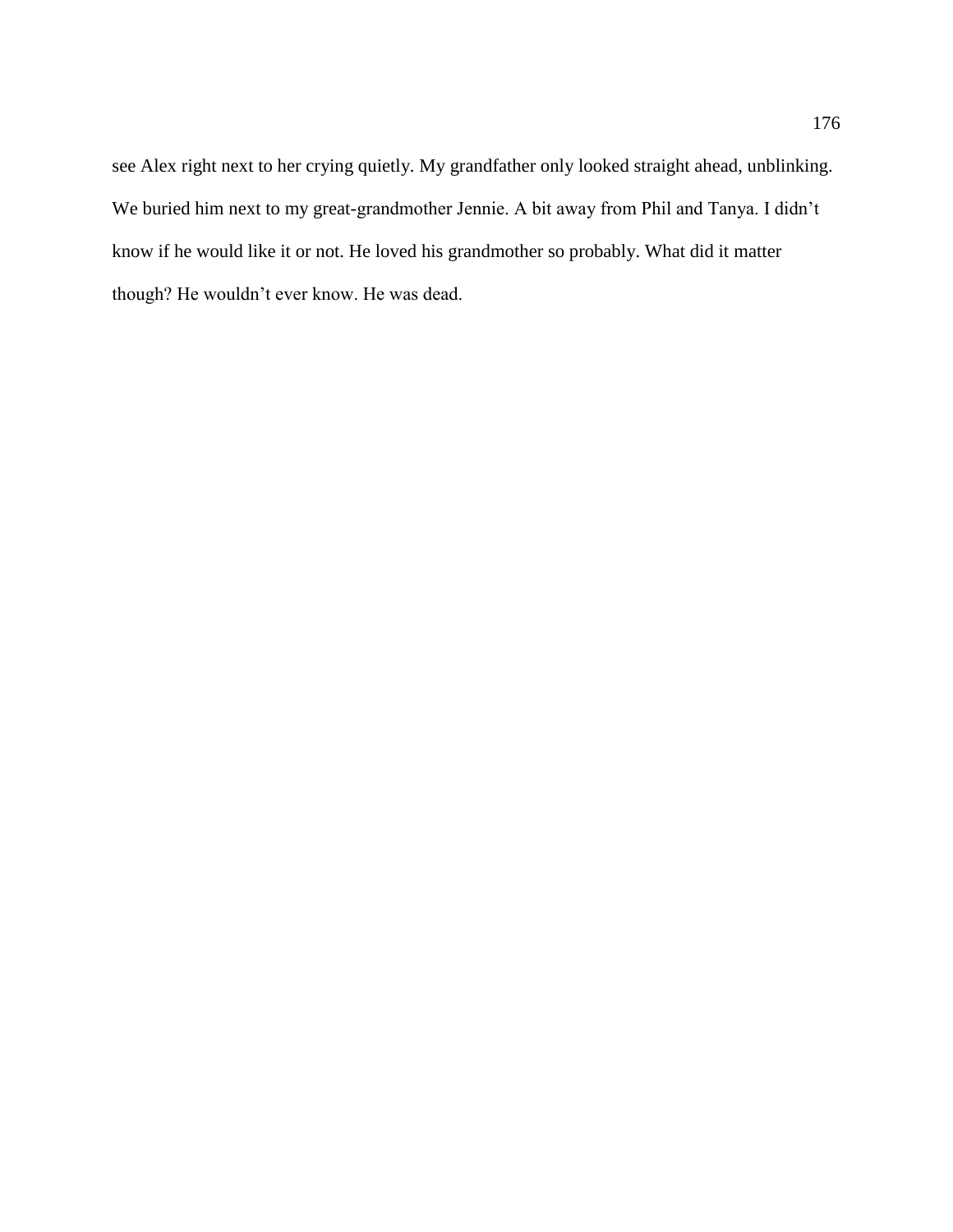see Alex right next to her crying quietly. My grandfather only looked straight ahead, unblinking. We buried him next to my great-grandmother Jennie. A bit away from Phil and Tanya. I didn't know if he would like it or not. He loved his grandmother so probably. What did it matter though? He wouldn't ever know. He was dead.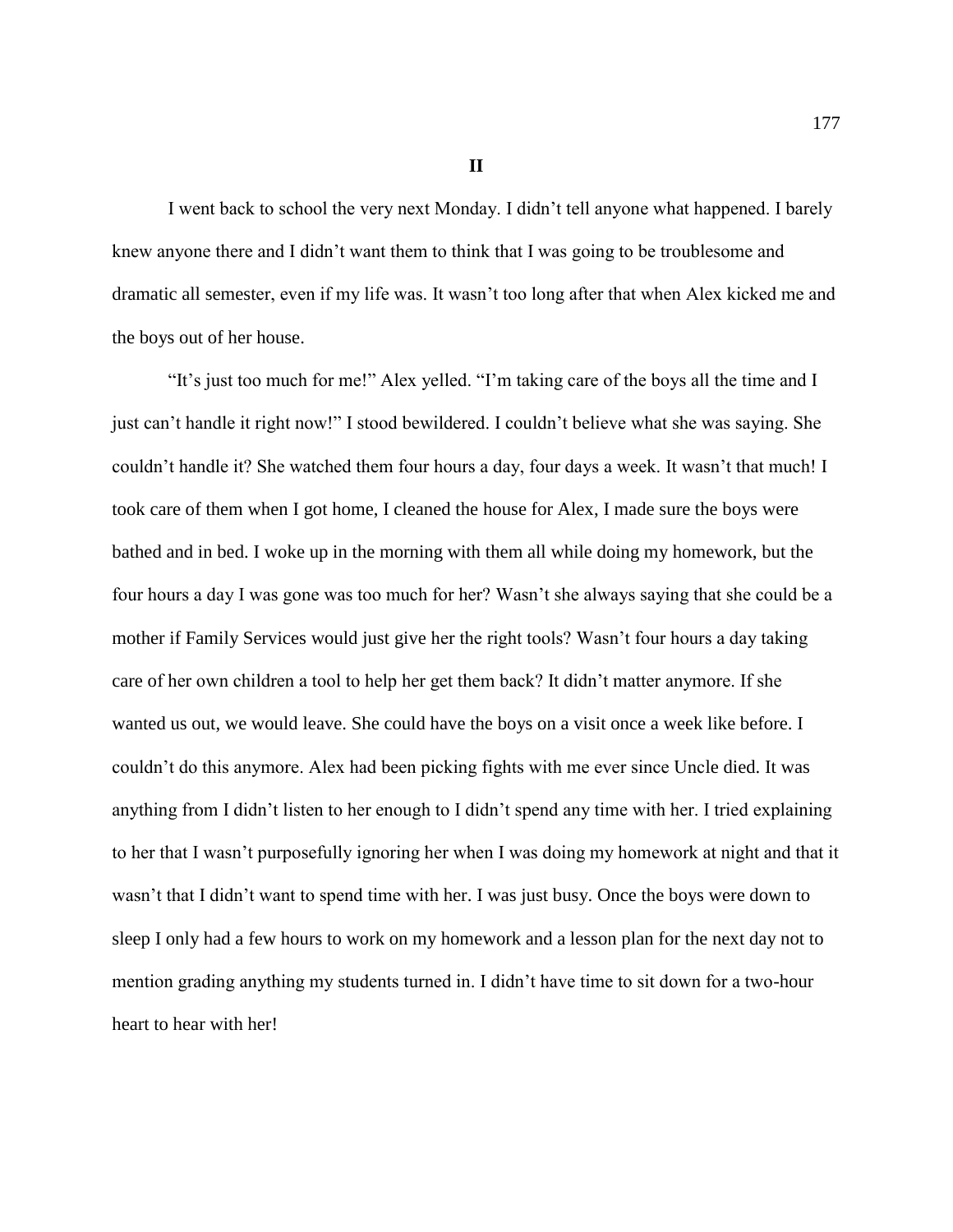**II**

I went back to school the very next Monday. I didn't tell anyone what happened. I barely knew anyone there and I didn't want them to think that I was going to be troublesome and dramatic all semester, even if my life was. It wasn't too long after that when Alex kicked me and the boys out of her house.

"It's just too much for me!" Alex yelled. "I'm taking care of the boys all the time and I just can't handle it right now!" I stood bewildered. I couldn't believe what she was saying. She couldn't handle it? She watched them four hours a day, four days a week. It wasn't that much! I took care of them when I got home, I cleaned the house for Alex, I made sure the boys were bathed and in bed. I woke up in the morning with them all while doing my homework, but the four hours a day I was gone was too much for her? Wasn't she always saying that she could be a mother if Family Services would just give her the right tools? Wasn't four hours a day taking care of her own children a tool to help her get them back? It didn't matter anymore. If she wanted us out, we would leave. She could have the boys on a visit once a week like before. I couldn't do this anymore. Alex had been picking fights with me ever since Uncle died. It was anything from I didn't listen to her enough to I didn't spend any time with her. I tried explaining to her that I wasn't purposefully ignoring her when I was doing my homework at night and that it wasn't that I didn't want to spend time with her. I was just busy. Once the boys were down to sleep I only had a few hours to work on my homework and a lesson plan for the next day not to mention grading anything my students turned in. I didn't have time to sit down for a two-hour heart to hear with her!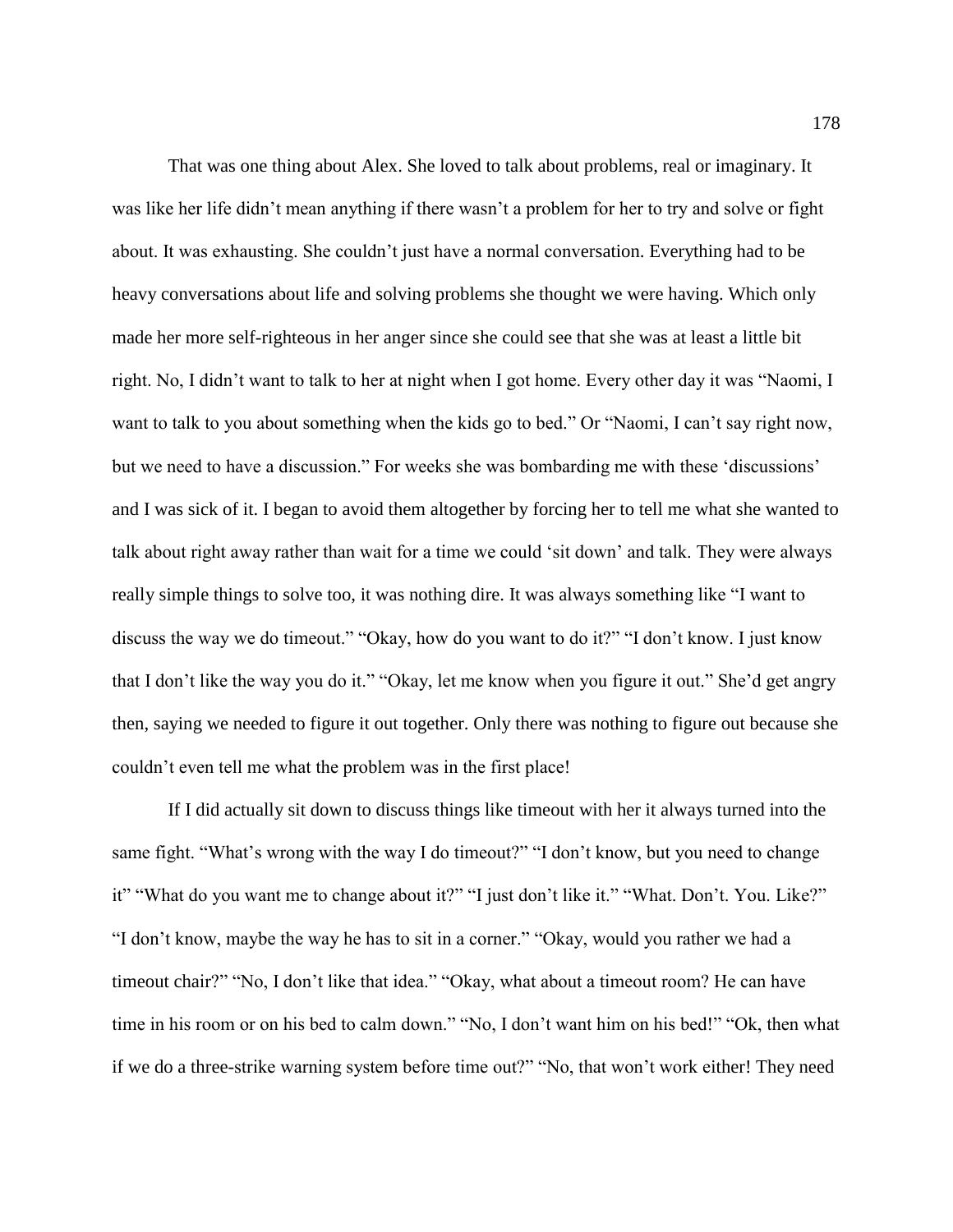That was one thing about Alex. She loved to talk about problems, real or imaginary. It was like her life didn't mean anything if there wasn't a problem for her to try and solve or fight about. It was exhausting. She couldn't just have a normal conversation. Everything had to be heavy conversations about life and solving problems she thought we were having. Which only made her more self-righteous in her anger since she could see that she was at least a little bit right. No, I didn't want to talk to her at night when I got home. Every other day it was "Naomi, I want to talk to you about something when the kids go to bed." Or "Naomi, I can't say right now, but we need to have a discussion." For weeks she was bombarding me with these 'discussions' and I was sick of it. I began to avoid them altogether by forcing her to tell me what she wanted to talk about right away rather than wait for a time we could 'sit down' and talk. They were always really simple things to solve too, it was nothing dire. It was always something like "I want to discuss the way we do timeout." "Okay, how do you want to do it?" "I don't know. I just know that I don't like the way you do it." "Okay, let me know when you figure it out." She'd get angry then, saying we needed to figure it out together. Only there was nothing to figure out because she couldn't even tell me what the problem was in the first place!

If I did actually sit down to discuss things like timeout with her it always turned into the same fight. "What's wrong with the way I do timeout?" "I don't know, but you need to change it" "What do you want me to change about it?" "I just don't like it." "What. Don't. You. Like?" "I don't know, maybe the way he has to sit in a corner." "Okay, would you rather we had a timeout chair?" "No, I don't like that idea." "Okay, what about a timeout room? He can have time in his room or on his bed to calm down." "No, I don't want him on his bed!" "Ok, then what if we do a three-strike warning system before time out?" "No, that won't work either! They need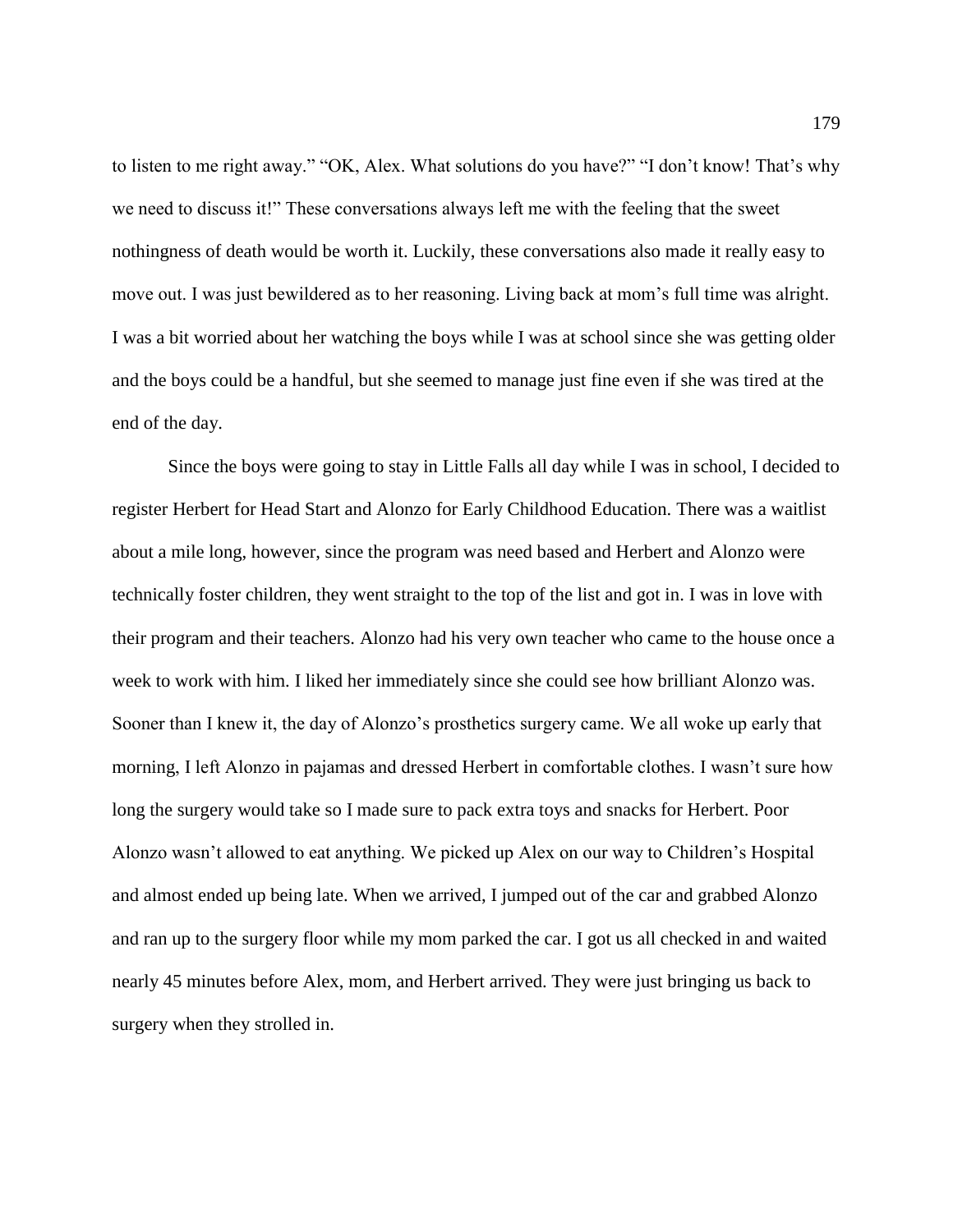to listen to me right away." "OK, Alex. What solutions do you have?" "I don't know! That's why we need to discuss it!" These conversations always left me with the feeling that the sweet nothingness of death would be worth it. Luckily, these conversations also made it really easy to move out. I was just bewildered as to her reasoning. Living back at mom's full time was alright. I was a bit worried about her watching the boys while I was at school since she was getting older and the boys could be a handful, but she seemed to manage just fine even if she was tired at the end of the day.

Since the boys were going to stay in Little Falls all day while I was in school, I decided to register Herbert for Head Start and Alonzo for Early Childhood Education. There was a waitlist about a mile long, however, since the program was need based and Herbert and Alonzo were technically foster children, they went straight to the top of the list and got in. I was in love with their program and their teachers. Alonzo had his very own teacher who came to the house once a week to work with him. I liked her immediately since she could see how brilliant Alonzo was. Sooner than I knew it, the day of Alonzo's prosthetics surgery came. We all woke up early that morning, I left Alonzo in pajamas and dressed Herbert in comfortable clothes. I wasn't sure how long the surgery would take so I made sure to pack extra toys and snacks for Herbert. Poor Alonzo wasn't allowed to eat anything. We picked up Alex on our way to Children's Hospital and almost ended up being late. When we arrived, I jumped out of the car and grabbed Alonzo and ran up to the surgery floor while my mom parked the car. I got us all checked in and waited nearly 45 minutes before Alex, mom, and Herbert arrived. They were just bringing us back to surgery when they strolled in.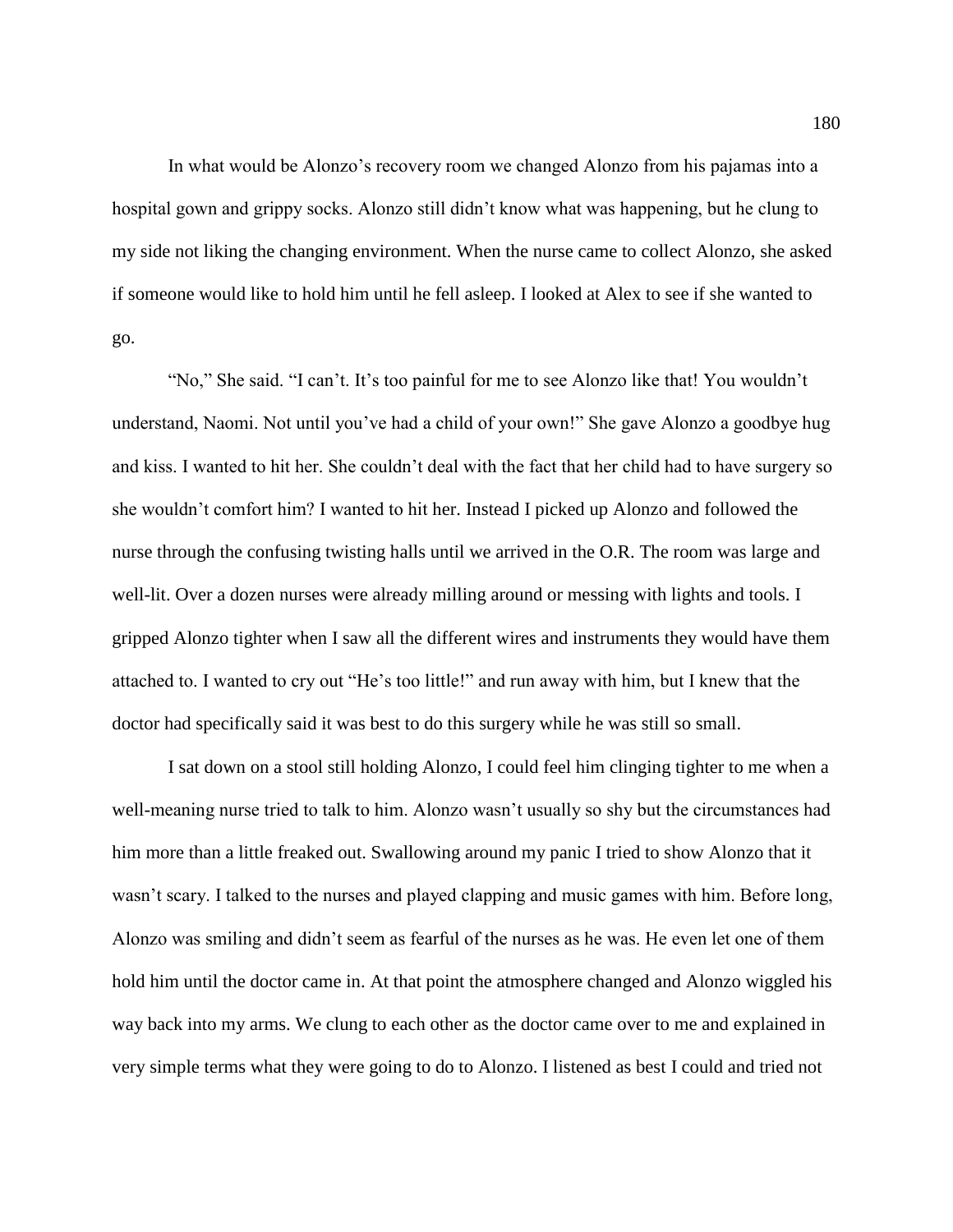In what would be Alonzo's recovery room we changed Alonzo from his pajamas into a hospital gown and grippy socks. Alonzo still didn't know what was happening, but he clung to my side not liking the changing environment. When the nurse came to collect Alonzo, she asked if someone would like to hold him until he fell asleep. I looked at Alex to see if she wanted to go.

"No," She said. "I can't. It's too painful for me to see Alonzo like that! You wouldn't understand, Naomi. Not until you've had a child of your own!" She gave Alonzo a goodbye hug and kiss. I wanted to hit her. She couldn't deal with the fact that her child had to have surgery so she wouldn't comfort him? I wanted to hit her. Instead I picked up Alonzo and followed the nurse through the confusing twisting halls until we arrived in the O.R. The room was large and well-lit. Over a dozen nurses were already milling around or messing with lights and tools. I gripped Alonzo tighter when I saw all the different wires and instruments they would have them attached to. I wanted to cry out "He's too little!" and run away with him, but I knew that the doctor had specifically said it was best to do this surgery while he was still so small.

I sat down on a stool still holding Alonzo, I could feel him clinging tighter to me when a well-meaning nurse tried to talk to him. Alonzo wasn't usually so shy but the circumstances had him more than a little freaked out. Swallowing around my panic I tried to show Alonzo that it wasn't scary. I talked to the nurses and played clapping and music games with him. Before long, Alonzo was smiling and didn't seem as fearful of the nurses as he was. He even let one of them hold him until the doctor came in. At that point the atmosphere changed and Alonzo wiggled his way back into my arms. We clung to each other as the doctor came over to me and explained in very simple terms what they were going to do to Alonzo. I listened as best I could and tried not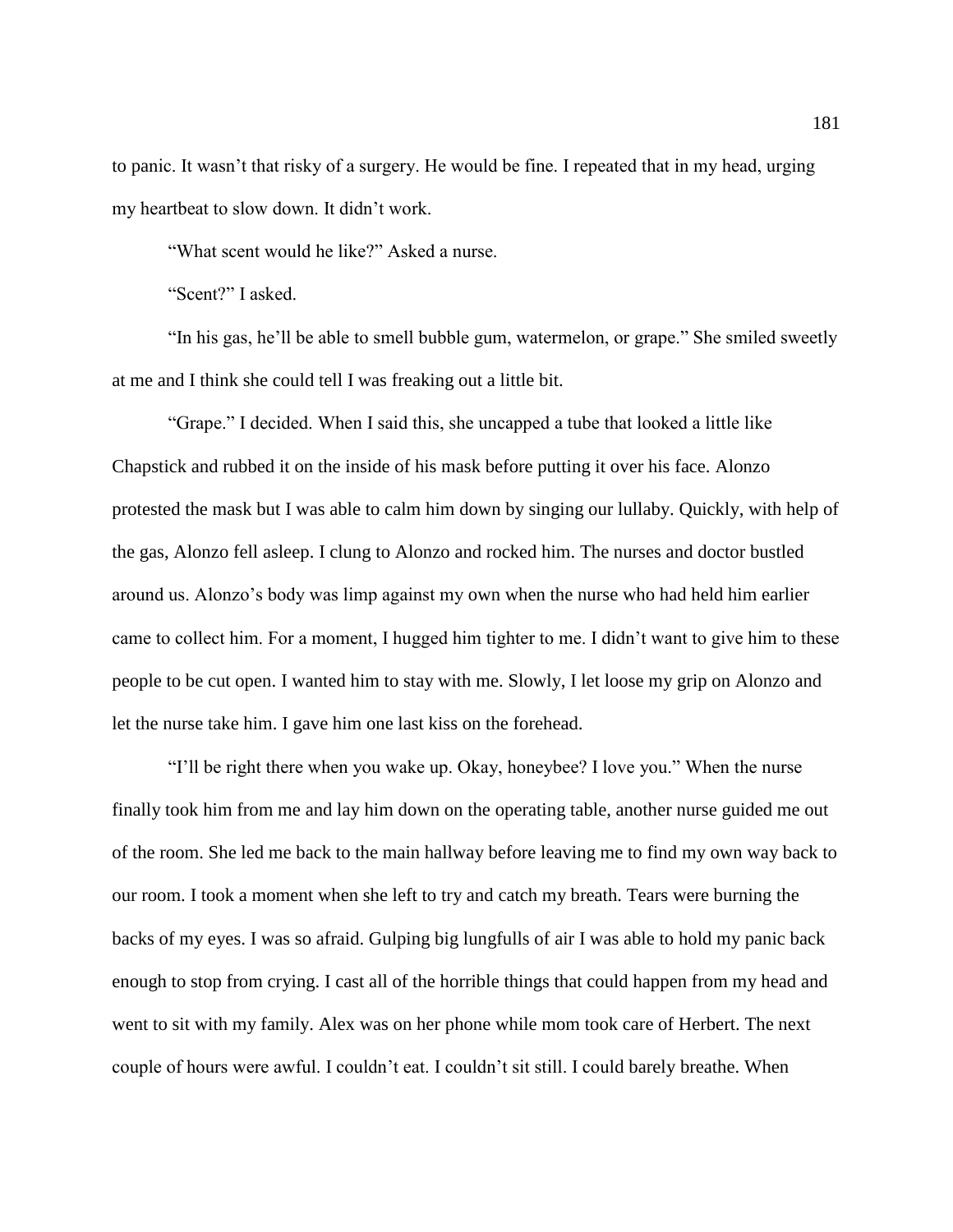to panic. It wasn't that risky of a surgery. He would be fine. I repeated that in my head, urging my heartbeat to slow down. It didn't work.

"What scent would he like?" Asked a nurse.

"Scent?" I asked.

"In his gas, he'll be able to smell bubble gum, watermelon, or grape." She smiled sweetly at me and I think she could tell I was freaking out a little bit.

"Grape." I decided. When I said this, she uncapped a tube that looked a little like Chapstick and rubbed it on the inside of his mask before putting it over his face. Alonzo protested the mask but I was able to calm him down by singing our lullaby. Quickly, with help of the gas, Alonzo fell asleep. I clung to Alonzo and rocked him. The nurses and doctor bustled around us. Alonzo's body was limp against my own when the nurse who had held him earlier came to collect him. For a moment, I hugged him tighter to me. I didn't want to give him to these people to be cut open. I wanted him to stay with me. Slowly, I let loose my grip on Alonzo and let the nurse take him. I gave him one last kiss on the forehead.

"I'll be right there when you wake up. Okay, honeybee? I love you." When the nurse finally took him from me and lay him down on the operating table, another nurse guided me out of the room. She led me back to the main hallway before leaving me to find my own way back to our room. I took a moment when she left to try and catch my breath. Tears were burning the backs of my eyes. I was so afraid. Gulping big lungfulls of air I was able to hold my panic back enough to stop from crying. I cast all of the horrible things that could happen from my head and went to sit with my family. Alex was on her phone while mom took care of Herbert. The next couple of hours were awful. I couldn't eat. I couldn't sit still. I could barely breathe. When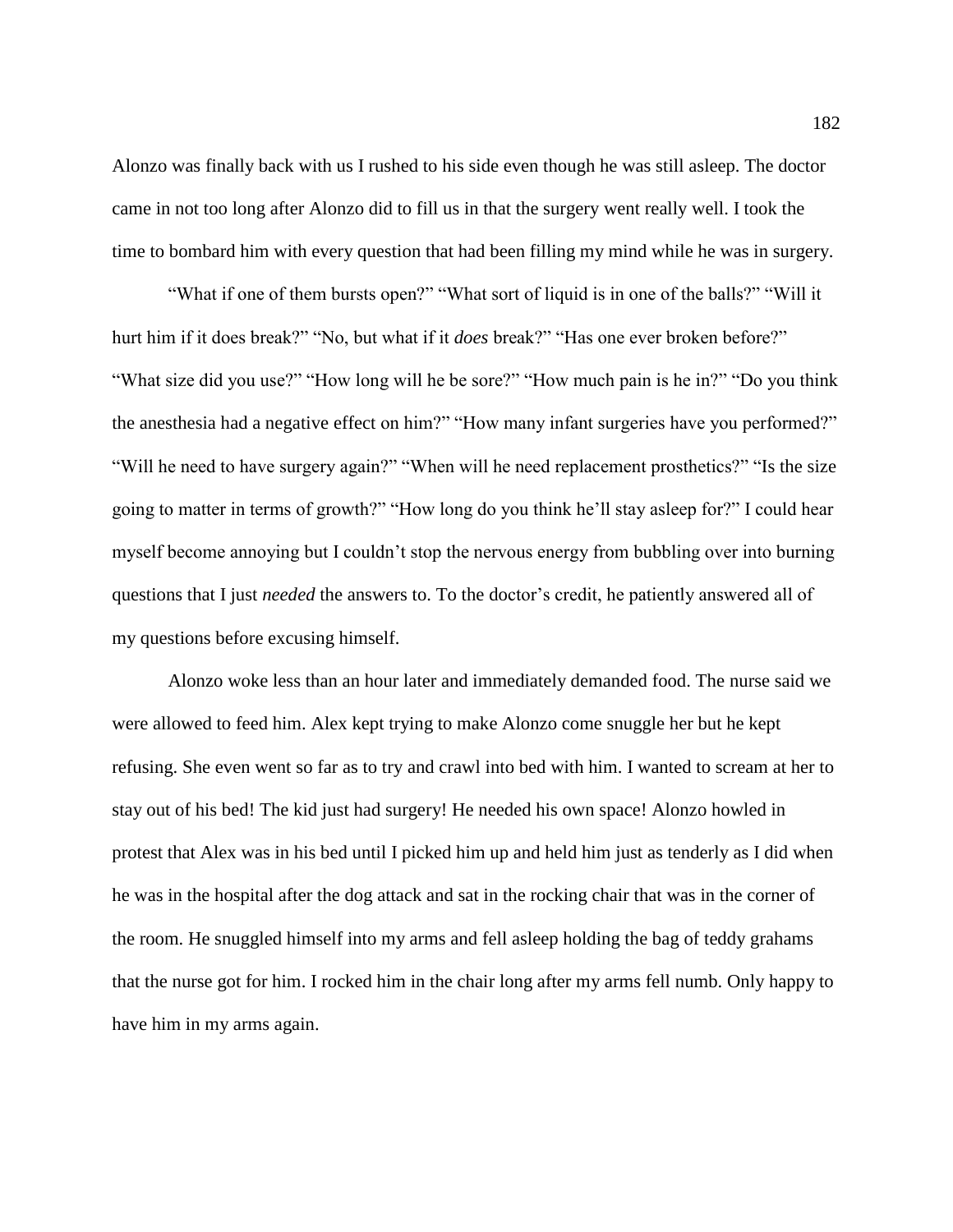Alonzo was finally back with us I rushed to his side even though he was still asleep. The doctor came in not too long after Alonzo did to fill us in that the surgery went really well. I took the time to bombard him with every question that had been filling my mind while he was in surgery.

"What if one of them bursts open?" "What sort of liquid is in one of the balls?" "Will it hurt him if it does break?" "No, but what if it *does* break?" "Has one ever broken before?" "What size did you use?" "How long will he be sore?" "How much pain is he in?" "Do you think" the anesthesia had a negative effect on him?" "How many infant surgeries have you performed?" "Will he need to have surgery again?" "When will he need replacement prosthetics?" "Is the size going to matter in terms of growth?" "How long do you think he'll stay asleep for?" I could hear myself become annoying but I couldn't stop the nervous energy from bubbling over into burning questions that I just *needed* the answers to. To the doctor's credit, he patiently answered all of my questions before excusing himself.

Alonzo woke less than an hour later and immediately demanded food. The nurse said we were allowed to feed him. Alex kept trying to make Alonzo come snuggle her but he kept refusing. She even went so far as to try and crawl into bed with him. I wanted to scream at her to stay out of his bed! The kid just had surgery! He needed his own space! Alonzo howled in protest that Alex was in his bed until I picked him up and held him just as tenderly as I did when he was in the hospital after the dog attack and sat in the rocking chair that was in the corner of the room. He snuggled himself into my arms and fell asleep holding the bag of teddy grahams that the nurse got for him. I rocked him in the chair long after my arms fell numb. Only happy to have him in my arms again.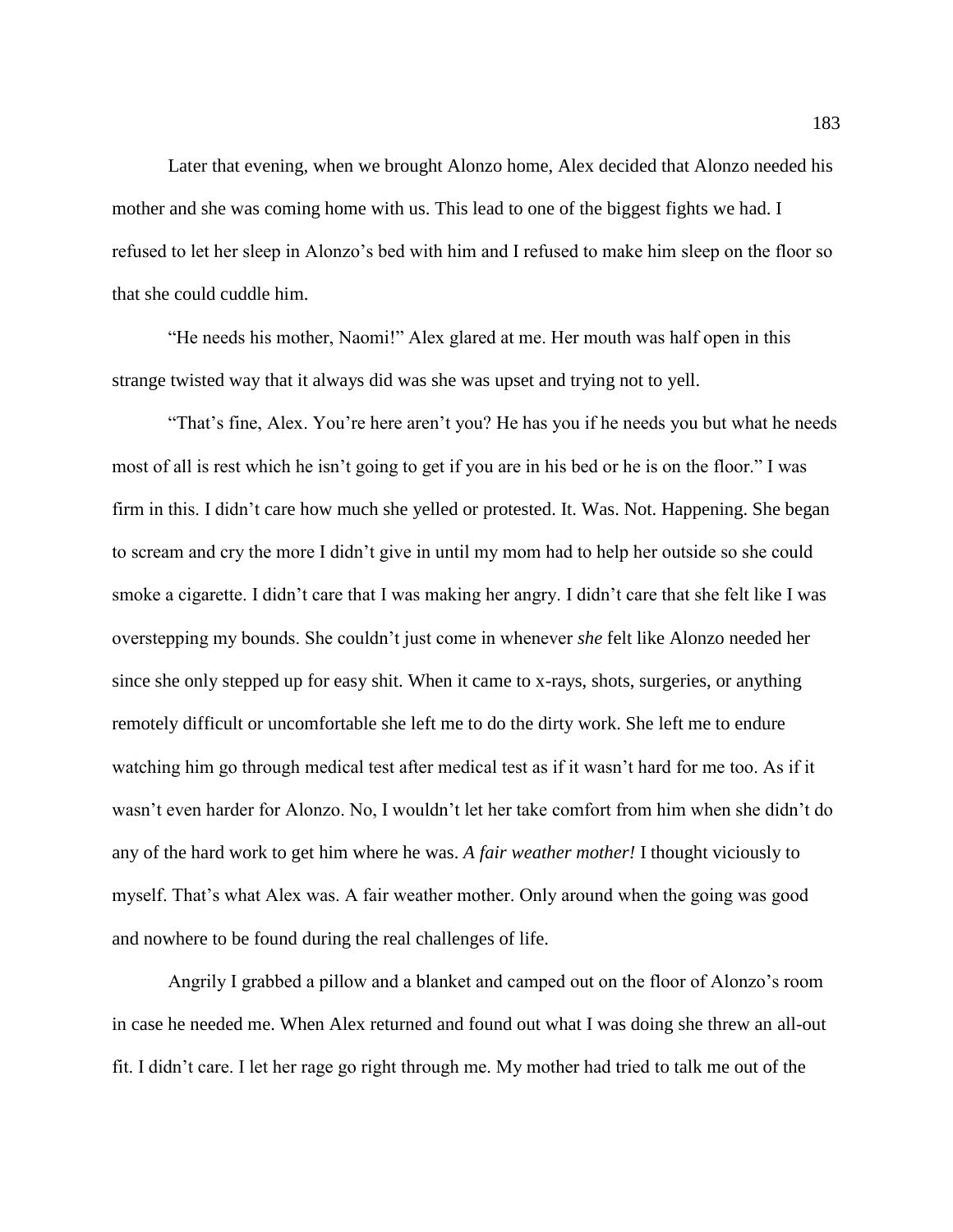Later that evening, when we brought Alonzo home, Alex decided that Alonzo needed his mother and she was coming home with us. This lead to one of the biggest fights we had. I refused to let her sleep in Alonzo's bed with him and I refused to make him sleep on the floor so that she could cuddle him.

"He needs his mother, Naomi!" Alex glared at me. Her mouth was half open in this strange twisted way that it always did was she was upset and trying not to yell.

"That's fine, Alex. You're here aren't you? He has you if he needs you but what he needs most of all is rest which he isn't going to get if you are in his bed or he is on the floor." I was firm in this. I didn't care how much she yelled or protested. It. Was. Not. Happening. She began to scream and cry the more I didn't give in until my mom had to help her outside so she could smoke a cigarette. I didn't care that I was making her angry. I didn't care that she felt like I was overstepping my bounds. She couldn't just come in whenever *she* felt like Alonzo needed her since she only stepped up for easy shit. When it came to x-rays, shots, surgeries, or anything remotely difficult or uncomfortable she left me to do the dirty work. She left me to endure watching him go through medical test after medical test as if it wasn't hard for me too. As if it wasn't even harder for Alonzo. No, I wouldn't let her take comfort from him when she didn't do any of the hard work to get him where he was. *A fair weather mother!* I thought viciously to myself. That's what Alex was. A fair weather mother. Only around when the going was good and nowhere to be found during the real challenges of life.

Angrily I grabbed a pillow and a blanket and camped out on the floor of Alonzo's room in case he needed me. When Alex returned and found out what I was doing she threw an all-out fit. I didn't care. I let her rage go right through me. My mother had tried to talk me out of the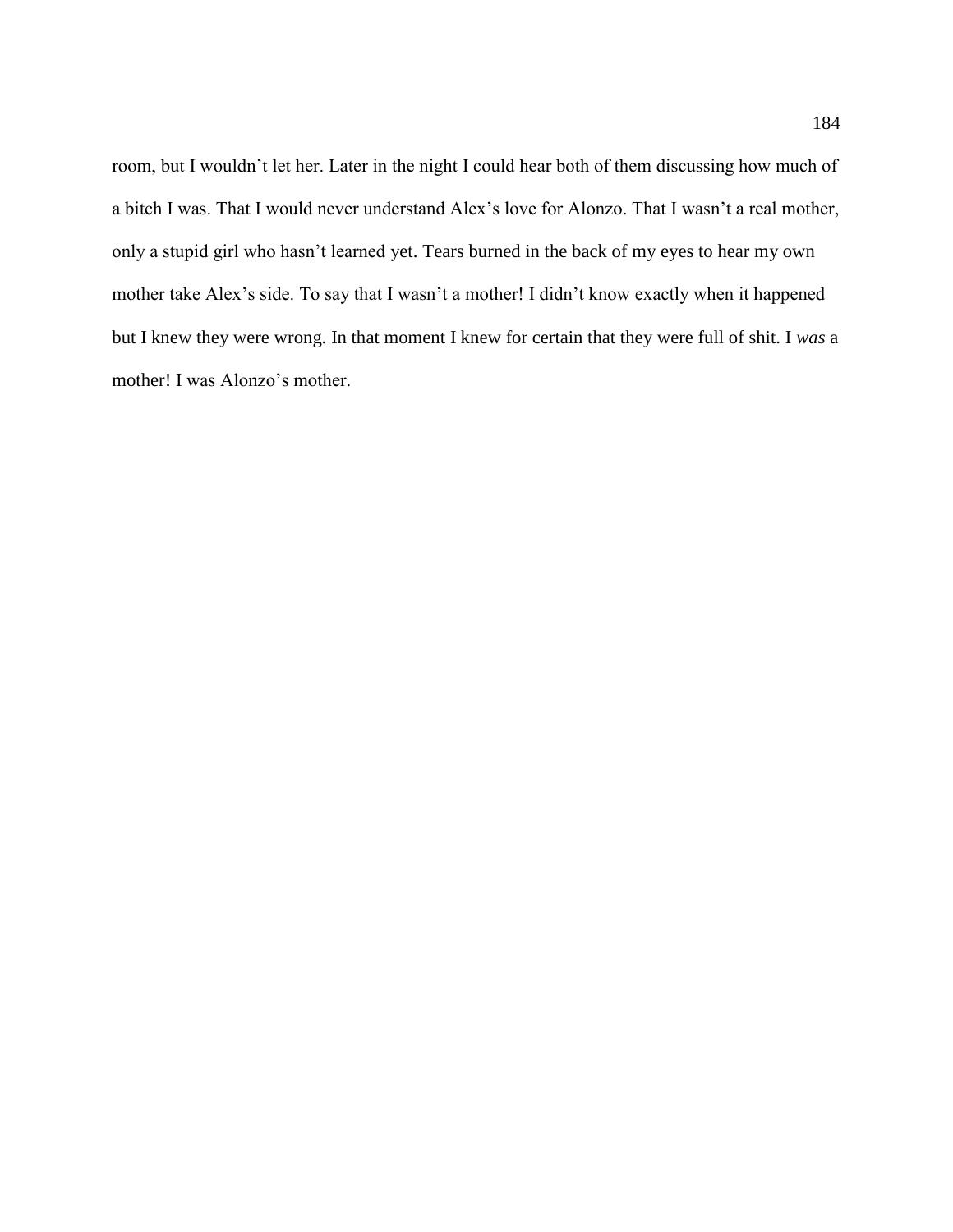room, but I wouldn't let her. Later in the night I could hear both of them discussing how much of a bitch I was. That I would never understand Alex's love for Alonzo. That I wasn't a real mother, only a stupid girl who hasn't learned yet. Tears burned in the back of my eyes to hear my own mother take Alex's side. To say that I wasn't a mother! I didn't know exactly when it happened but I knew they were wrong. In that moment I knew for certain that they were full of shit. I *was* a mother! I was Alonzo's mother.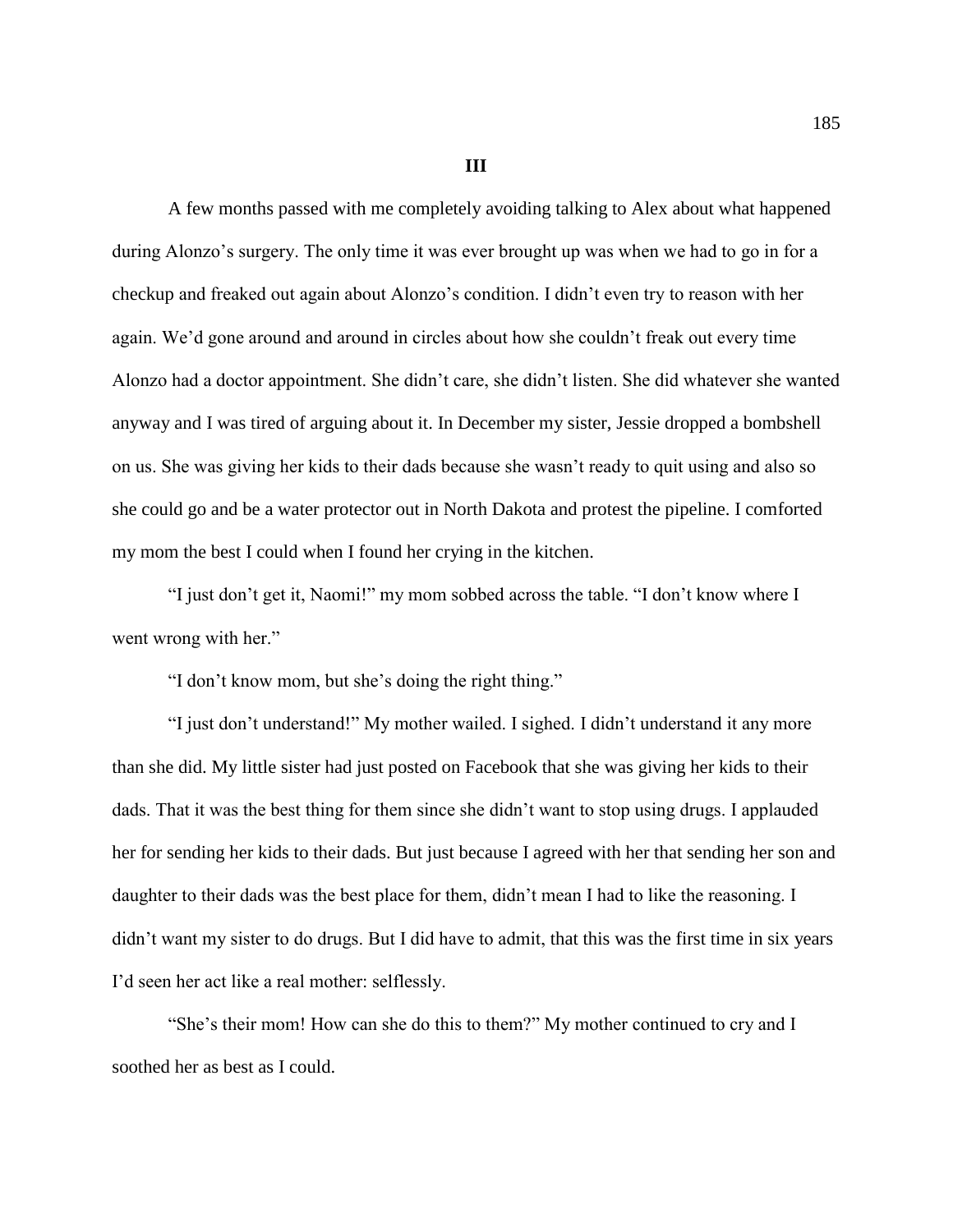**III**

A few months passed with me completely avoiding talking to Alex about what happened during Alonzo's surgery. The only time it was ever brought up was when we had to go in for a checkup and freaked out again about Alonzo's condition. I didn't even try to reason with her again. We'd gone around and around in circles about how she couldn't freak out every time Alonzo had a doctor appointment. She didn't care, she didn't listen. She did whatever she wanted anyway and I was tired of arguing about it. In December my sister, Jessie dropped a bombshell on us. She was giving her kids to their dads because she wasn't ready to quit using and also so she could go and be a water protector out in North Dakota and protest the pipeline. I comforted my mom the best I could when I found her crying in the kitchen.

"I just don't get it, Naomi!" my mom sobbed across the table. "I don't know where I went wrong with her."

"I don't know mom, but she's doing the right thing."

"I just don't understand!" My mother wailed. I sighed. I didn't understand it any more than she did. My little sister had just posted on Facebook that she was giving her kids to their dads. That it was the best thing for them since she didn't want to stop using drugs. I applauded her for sending her kids to their dads. But just because I agreed with her that sending her son and daughter to their dads was the best place for them, didn't mean I had to like the reasoning. I didn't want my sister to do drugs. But I did have to admit, that this was the first time in six years I'd seen her act like a real mother: selflessly.

"She's their mom! How can she do this to them?" My mother continued to cry and I soothed her as best as I could.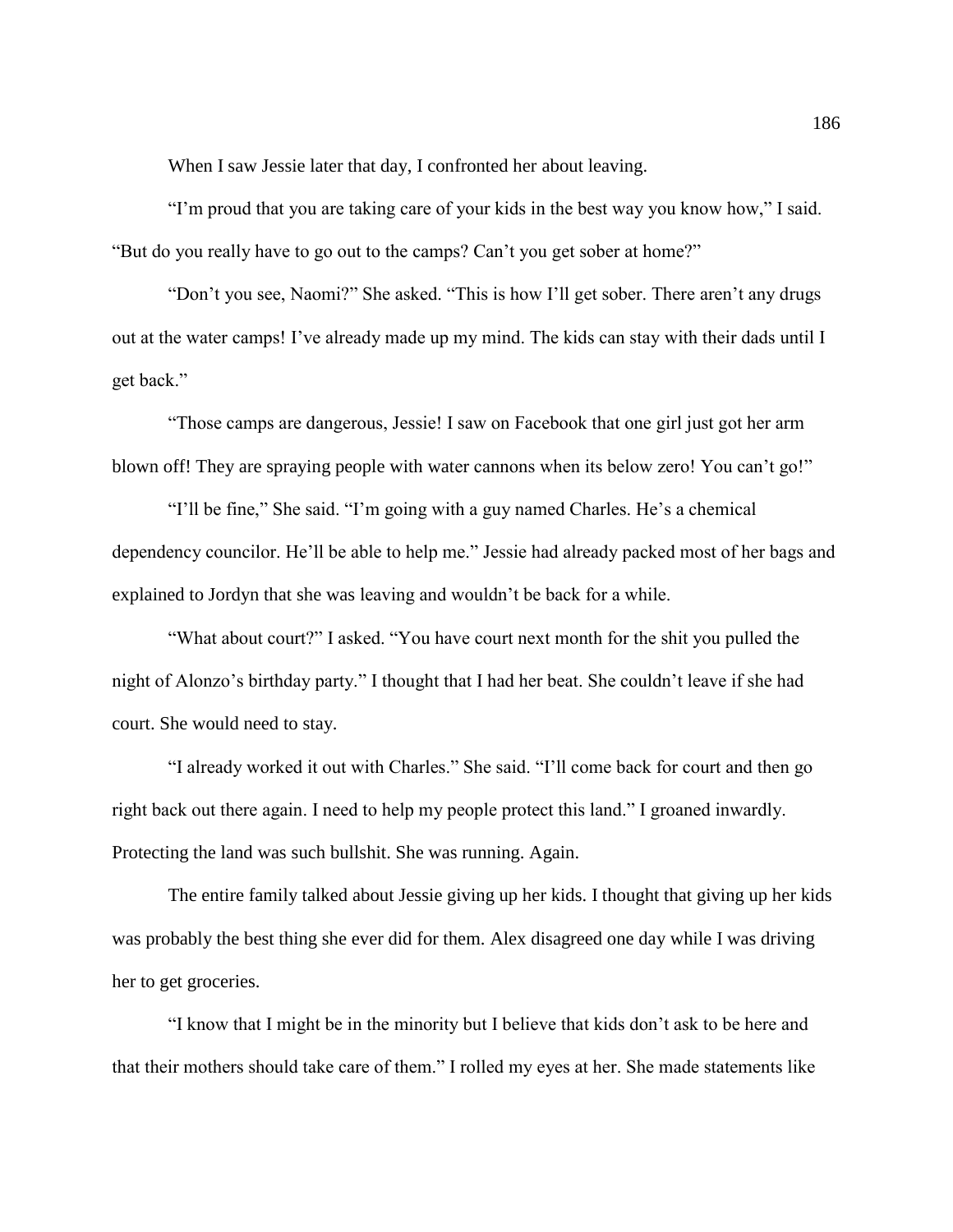When I saw Jessie later that day, I confronted her about leaving.

"I'm proud that you are taking care of your kids in the best way you know how," I said. "But do you really have to go out to the camps? Can't you get sober at home?"

"Don't you see, Naomi?" She asked. "This is how I'll get sober. There aren't any drugs out at the water camps! I've already made up my mind. The kids can stay with their dads until I get back."

"Those camps are dangerous, Jessie! I saw on Facebook that one girl just got her arm blown off! They are spraying people with water cannons when its below zero! You can't go!"

"I'll be fine," She said. "I'm going with a guy named Charles. He's a chemical dependency councilor. He'll be able to help me." Jessie had already packed most of her bags and explained to Jordyn that she was leaving and wouldn't be back for a while.

"What about court?" I asked. "You have court next month for the shit you pulled the night of Alonzo's birthday party." I thought that I had her beat. She couldn't leave if she had court. She would need to stay.

"I already worked it out with Charles." She said. "I'll come back for court and then go right back out there again. I need to help my people protect this land." I groaned inwardly. Protecting the land was such bullshit. She was running. Again.

The entire family talked about Jessie giving up her kids. I thought that giving up her kids was probably the best thing she ever did for them. Alex disagreed one day while I was driving her to get groceries.

"I know that I might be in the minority but I believe that kids don't ask to be here and that their mothers should take care of them." I rolled my eyes at her. She made statements like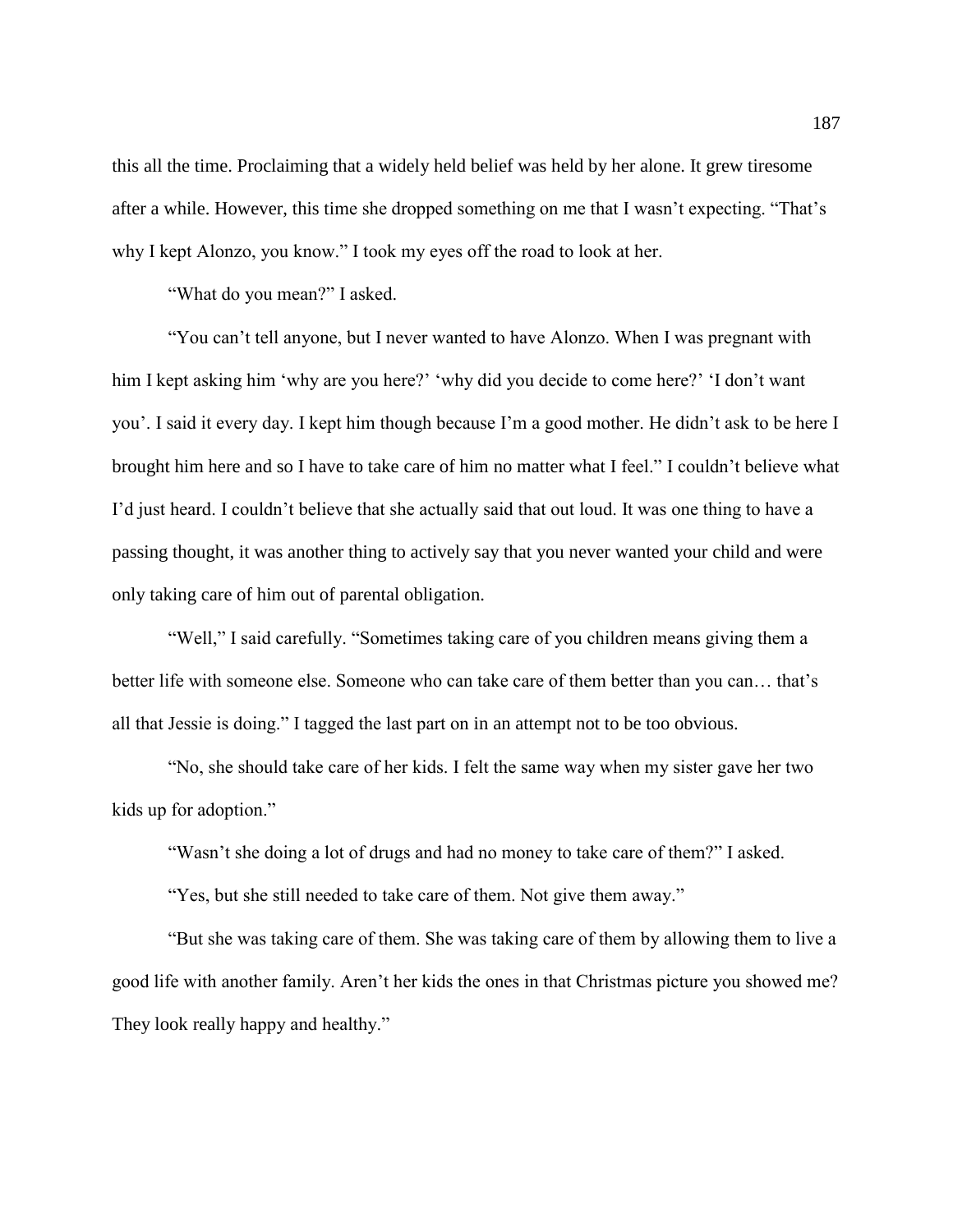this all the time. Proclaiming that a widely held belief was held by her alone. It grew tiresome after a while. However, this time she dropped something on me that I wasn't expecting. "That's why I kept Alonzo, you know." I took my eyes off the road to look at her.

"What do you mean?" I asked.

"You can't tell anyone, but I never wanted to have Alonzo. When I was pregnant with him I kept asking him 'why are you here?' 'why did you decide to come here?' 'I don't want you'. I said it every day. I kept him though because I'm a good mother. He didn't ask to be here I brought him here and so I have to take care of him no matter what I feel." I couldn't believe what I'd just heard. I couldn't believe that she actually said that out loud. It was one thing to have a passing thought, it was another thing to actively say that you never wanted your child and were only taking care of him out of parental obligation.

"Well," I said carefully. "Sometimes taking care of you children means giving them a better life with someone else. Someone who can take care of them better than you can… that's all that Jessie is doing." I tagged the last part on in an attempt not to be too obvious.

"No, she should take care of her kids. I felt the same way when my sister gave her two kids up for adoption."

"Wasn't she doing a lot of drugs and had no money to take care of them?" I asked.

"Yes, but she still needed to take care of them. Not give them away."

"But she was taking care of them. She was taking care of them by allowing them to live a good life with another family. Aren't her kids the ones in that Christmas picture you showed me? They look really happy and healthy."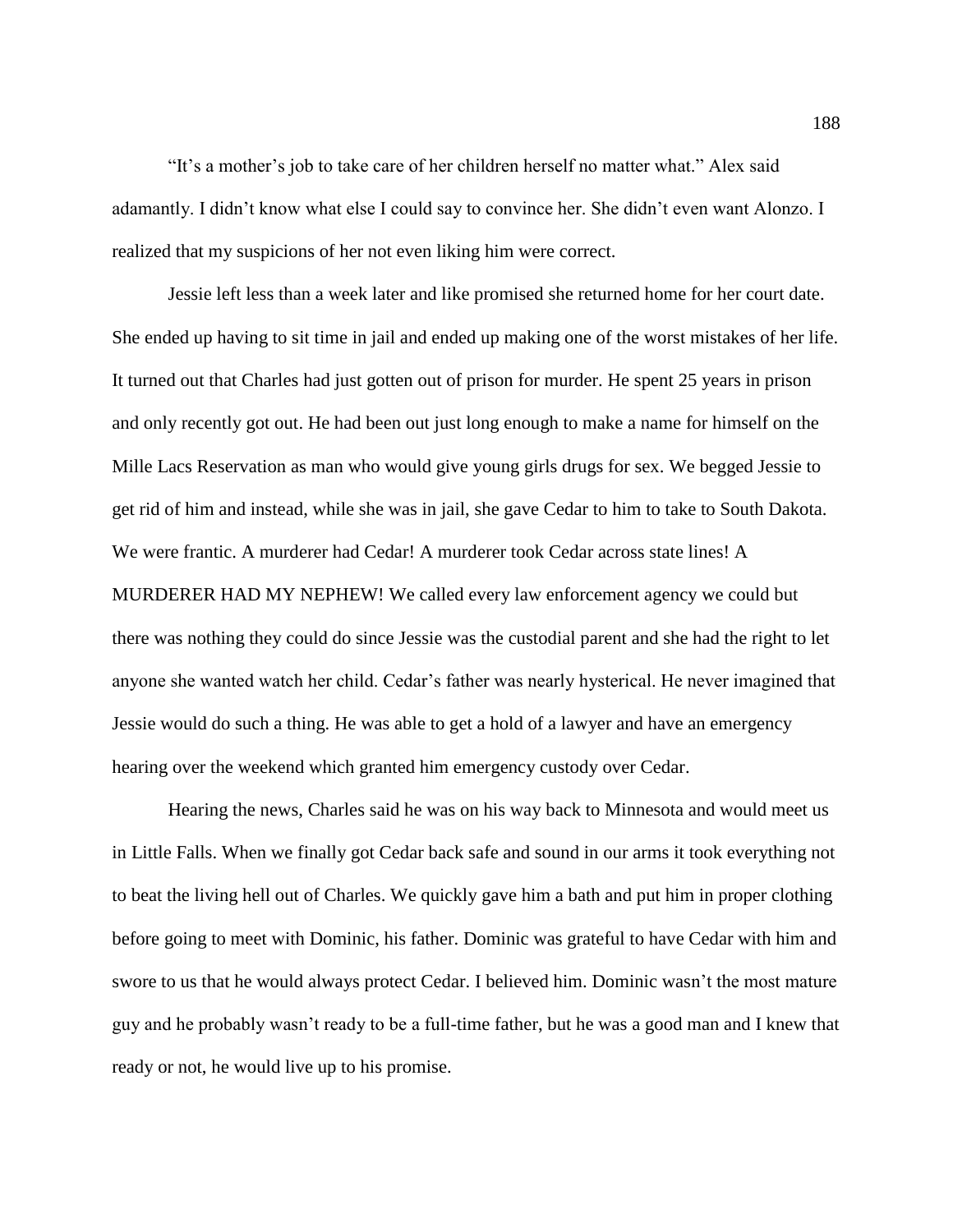"It's a mother's job to take care of her children herself no matter what." Alex said adamantly. I didn't know what else I could say to convince her. She didn't even want Alonzo. I realized that my suspicions of her not even liking him were correct.

Jessie left less than a week later and like promised she returned home for her court date. She ended up having to sit time in jail and ended up making one of the worst mistakes of her life. It turned out that Charles had just gotten out of prison for murder. He spent 25 years in prison and only recently got out. He had been out just long enough to make a name for himself on the Mille Lacs Reservation as man who would give young girls drugs for sex. We begged Jessie to get rid of him and instead, while she was in jail, she gave Cedar to him to take to South Dakota. We were frantic. A murderer had Cedar! A murderer took Cedar across state lines! A MURDERER HAD MY NEPHEW! We called every law enforcement agency we could but there was nothing they could do since Jessie was the custodial parent and she had the right to let anyone she wanted watch her child. Cedar's father was nearly hysterical. He never imagined that Jessie would do such a thing. He was able to get a hold of a lawyer and have an emergency hearing over the weekend which granted him emergency custody over Cedar.

Hearing the news, Charles said he was on his way back to Minnesota and would meet us in Little Falls. When we finally got Cedar back safe and sound in our arms it took everything not to beat the living hell out of Charles. We quickly gave him a bath and put him in proper clothing before going to meet with Dominic, his father. Dominic was grateful to have Cedar with him and swore to us that he would always protect Cedar. I believed him. Dominic wasn't the most mature guy and he probably wasn't ready to be a full-time father, but he was a good man and I knew that ready or not, he would live up to his promise.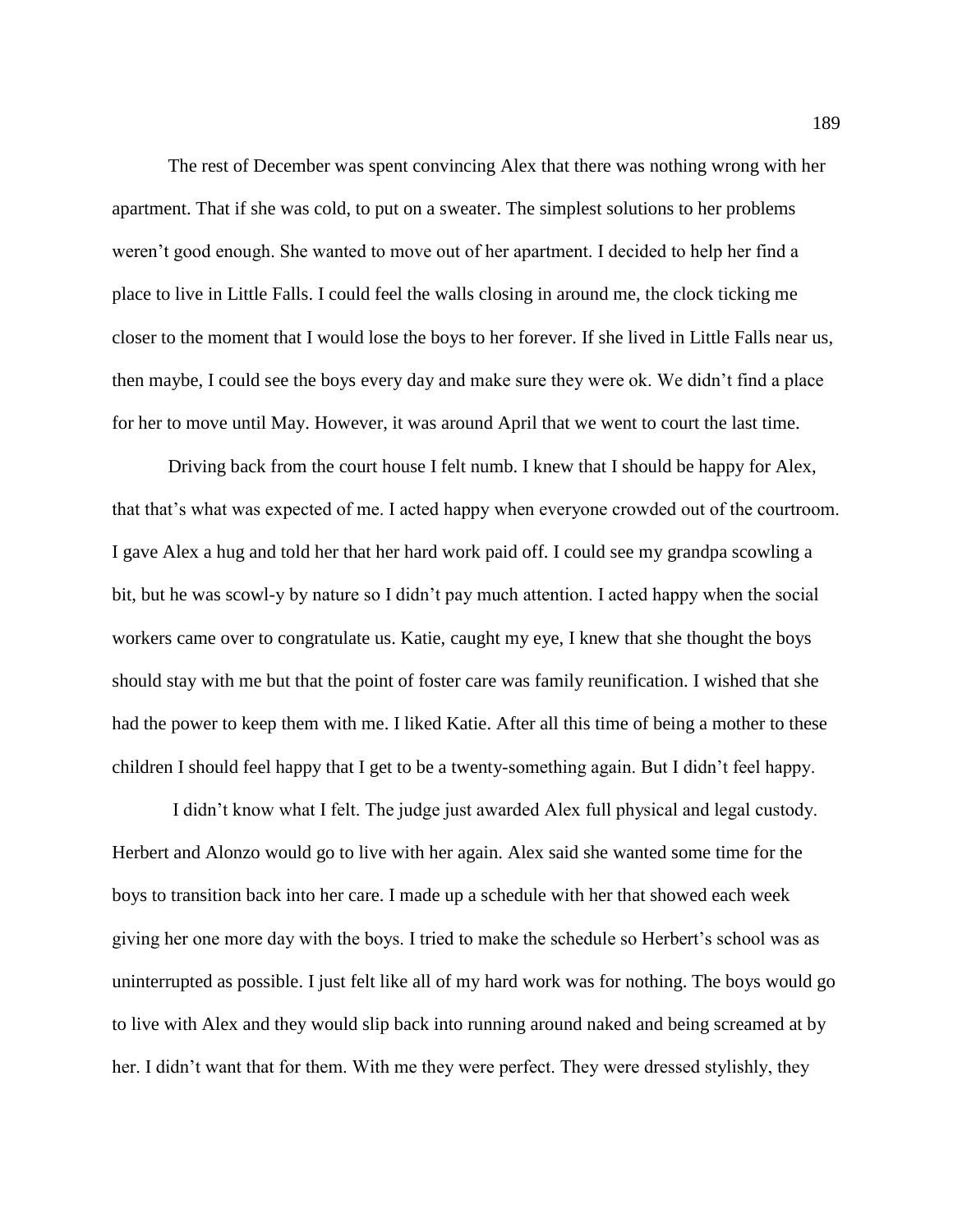The rest of December was spent convincing Alex that there was nothing wrong with her apartment. That if she was cold, to put on a sweater. The simplest solutions to her problems weren't good enough. She wanted to move out of her apartment. I decided to help her find a place to live in Little Falls. I could feel the walls closing in around me, the clock ticking me closer to the moment that I would lose the boys to her forever. If she lived in Little Falls near us, then maybe, I could see the boys every day and make sure they were ok. We didn't find a place for her to move until May. However, it was around April that we went to court the last time.

Driving back from the court house I felt numb. I knew that I should be happy for Alex, that that's what was expected of me. I acted happy when everyone crowded out of the courtroom. I gave Alex a hug and told her that her hard work paid off. I could see my grandpa scowling a bit, but he was scowl-y by nature so I didn't pay much attention. I acted happy when the social workers came over to congratulate us. Katie, caught my eye, I knew that she thought the boys should stay with me but that the point of foster care was family reunification. I wished that she had the power to keep them with me. I liked Katie. After all this time of being a mother to these children I should feel happy that I get to be a twenty-something again. But I didn't feel happy.

I didn't know what I felt. The judge just awarded Alex full physical and legal custody. Herbert and Alonzo would go to live with her again. Alex said she wanted some time for the boys to transition back into her care. I made up a schedule with her that showed each week giving her one more day with the boys. I tried to make the schedule so Herbert's school was as uninterrupted as possible. I just felt like all of my hard work was for nothing. The boys would go to live with Alex and they would slip back into running around naked and being screamed at by her. I didn't want that for them. With me they were perfect. They were dressed stylishly, they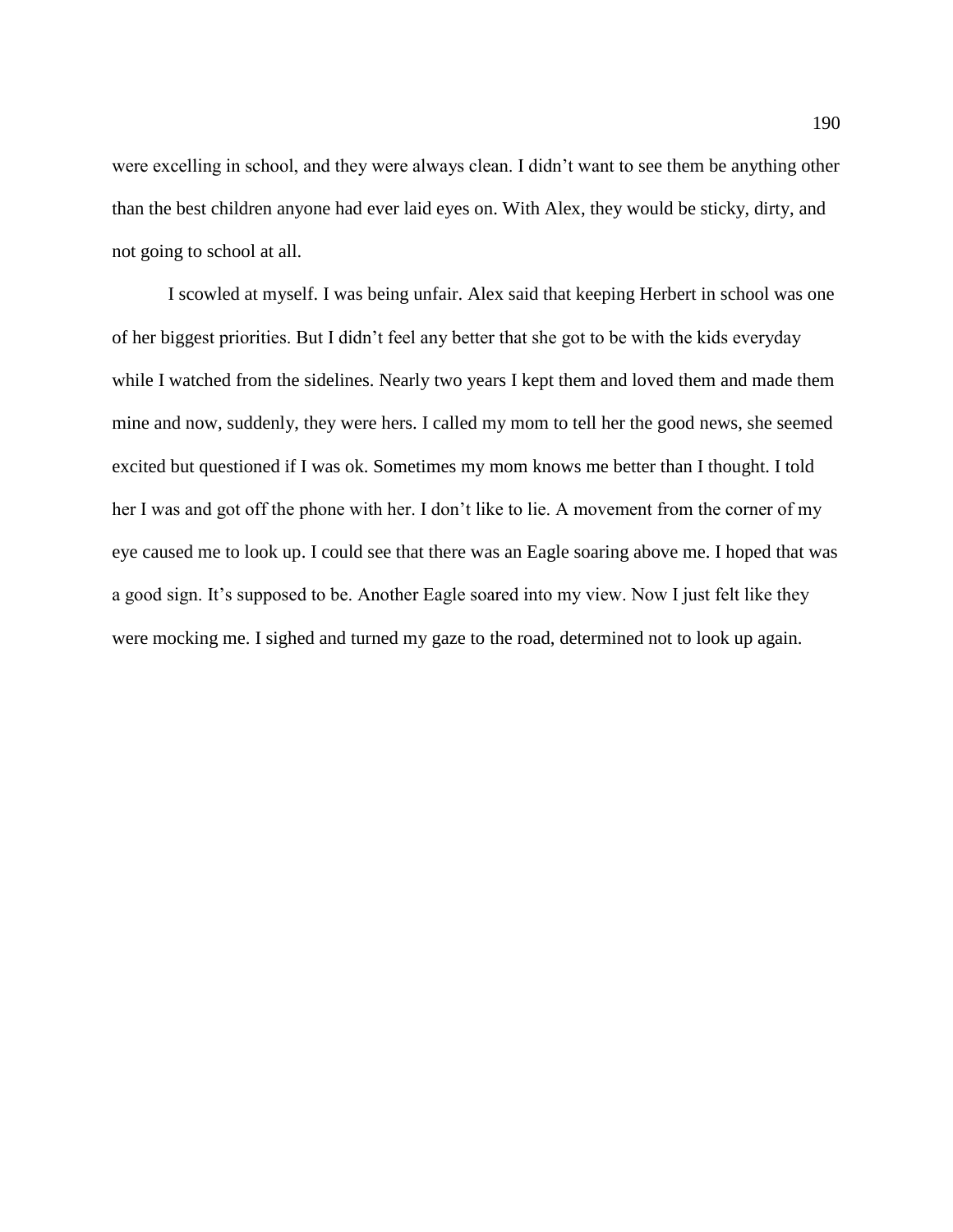were excelling in school, and they were always clean. I didn't want to see them be anything other than the best children anyone had ever laid eyes on. With Alex, they would be sticky, dirty, and not going to school at all.

I scowled at myself. I was being unfair. Alex said that keeping Herbert in school was one of her biggest priorities. But I didn't feel any better that she got to be with the kids everyday while I watched from the sidelines. Nearly two years I kept them and loved them and made them mine and now, suddenly, they were hers. I called my mom to tell her the good news, she seemed excited but questioned if I was ok. Sometimes my mom knows me better than I thought. I told her I was and got off the phone with her. I don't like to lie. A movement from the corner of my eye caused me to look up. I could see that there was an Eagle soaring above me. I hoped that was a good sign. It's supposed to be. Another Eagle soared into my view. Now I just felt like they were mocking me. I sighed and turned my gaze to the road, determined not to look up again.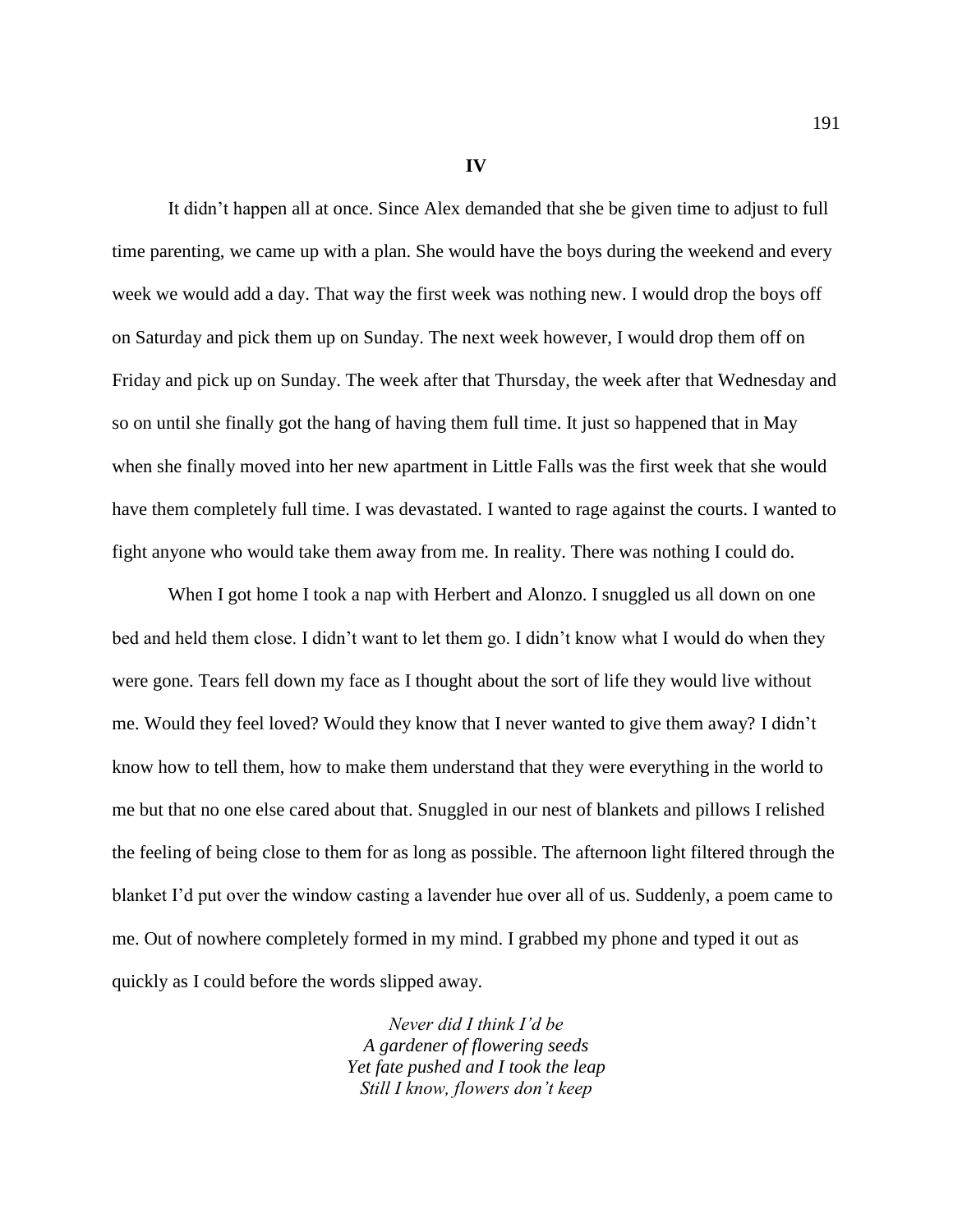**IV**

It didn't happen all at once. Since Alex demanded that she be given time to adjust to full time parenting, we came up with a plan. She would have the boys during the weekend and every week we would add a day. That way the first week was nothing new. I would drop the boys off on Saturday and pick them up on Sunday. The next week however, I would drop them off on Friday and pick up on Sunday. The week after that Thursday, the week after that Wednesday and so on until she finally got the hang of having them full time. It just so happened that in May when she finally moved into her new apartment in Little Falls was the first week that she would have them completely full time. I was devastated. I wanted to rage against the courts. I wanted to fight anyone who would take them away from me. In reality. There was nothing I could do.

When I got home I took a nap with Herbert and Alonzo. I snuggled us all down on one bed and held them close. I didn't want to let them go. I didn't know what I would do when they were gone. Tears fell down my face as I thought about the sort of life they would live without me. Would they feel loved? Would they know that I never wanted to give them away? I didn't know how to tell them, how to make them understand that they were everything in the world to me but that no one else cared about that. Snuggled in our nest of blankets and pillows I relished the feeling of being close to them for as long as possible. The afternoon light filtered through the blanket I'd put over the window casting a lavender hue over all of us. Suddenly, a poem came to me. Out of nowhere completely formed in my mind. I grabbed my phone and typed it out as quickly as I could before the words slipped away.

> *Never did I think I'd be A gardener of flowering seeds Yet fate pushed and I took the leap Still I know, flowers don't keep*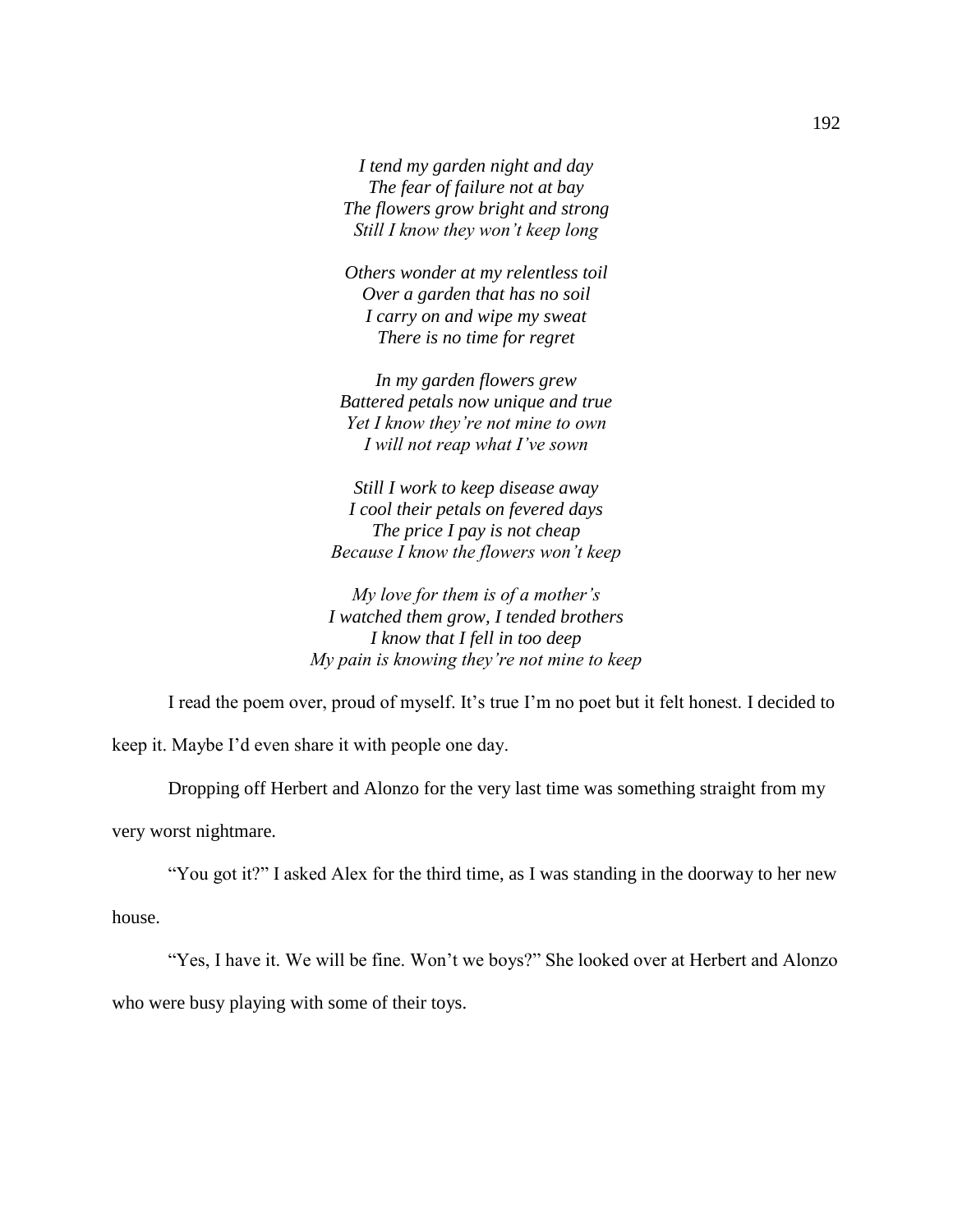*I tend my garden night and day The fear of failure not at bay The flowers grow bright and strong Still I know they won't keep long*

*Others wonder at my relentless toil Over a garden that has no soil I carry on and wipe my sweat There is no time for regret*

*In my garden flowers grew Battered petals now unique and true Yet I know they're not mine to own I will not reap what I've sown*

*Still I work to keep disease away I cool their petals on fevered days The price I pay is not cheap Because I know the flowers won't keep*

*My love for them is of a mother's I watched them grow, I tended brothers I know that I fell in too deep My pain is knowing they're not mine to keep*

I read the poem over, proud of myself. It's true I'm no poet but it felt honest. I decided to

keep it. Maybe I'd even share it with people one day.

Dropping off Herbert and Alonzo for the very last time was something straight from my

very worst nightmare.

"You got it?" I asked Alex for the third time, as I was standing in the doorway to her new

house.

"Yes, I have it. We will be fine. Won't we boys?" She looked over at Herbert and Alonzo who were busy playing with some of their toys.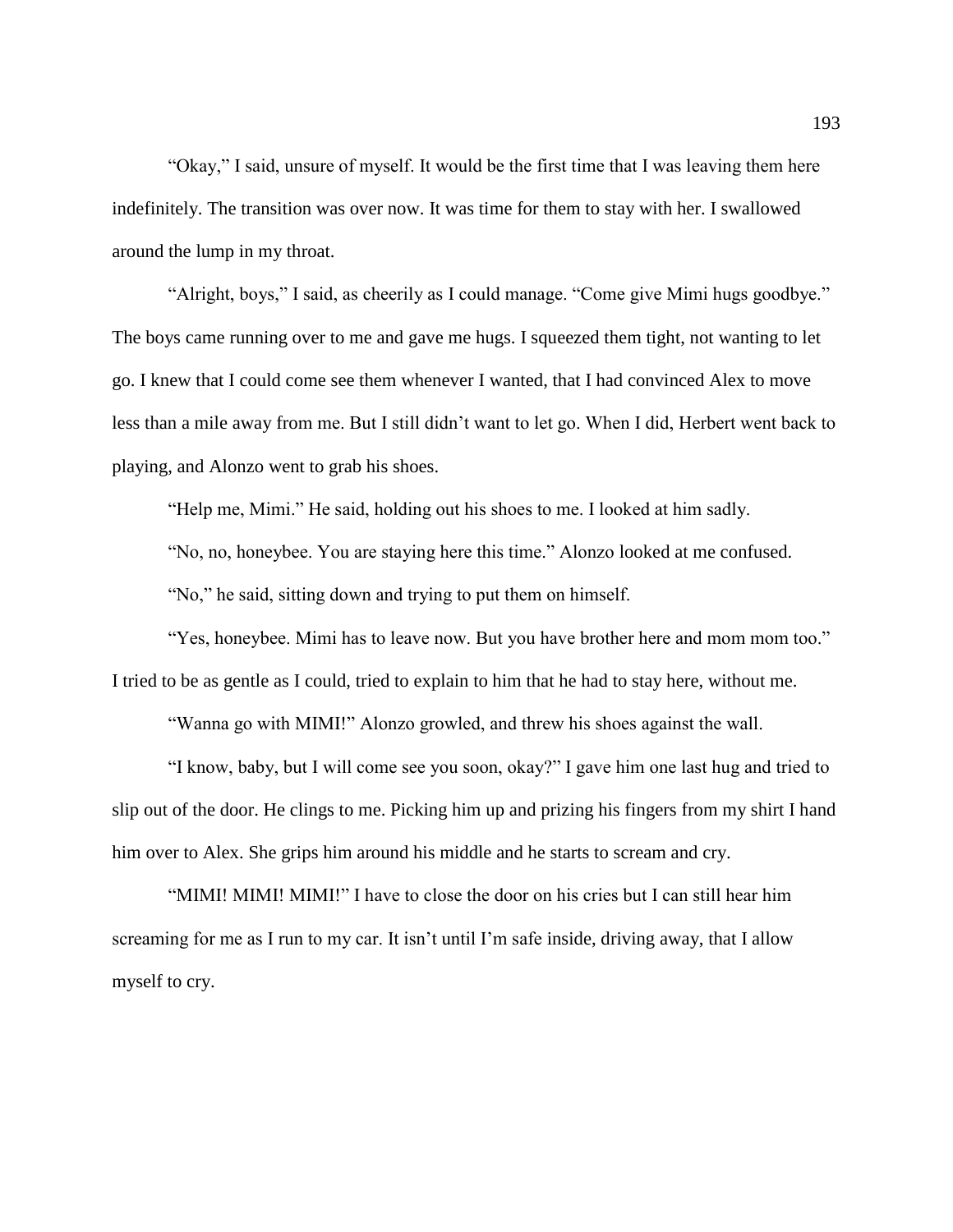"Okay," I said, unsure of myself. It would be the first time that I was leaving them here indefinitely. The transition was over now. It was time for them to stay with her. I swallowed around the lump in my throat.

"Alright, boys," I said, as cheerily as I could manage. "Come give Mimi hugs goodbye." The boys came running over to me and gave me hugs. I squeezed them tight, not wanting to let go. I knew that I could come see them whenever I wanted, that I had convinced Alex to move less than a mile away from me. But I still didn't want to let go. When I did, Herbert went back to playing, and Alonzo went to grab his shoes.

"Help me, Mimi." He said, holding out his shoes to me. I looked at him sadly.

"No, no, honeybee. You are staying here this time." Alonzo looked at me confused.

"No," he said, sitting down and trying to put them on himself.

"Yes, honeybee. Mimi has to leave now. But you have brother here and mom mom too." I tried to be as gentle as I could, tried to explain to him that he had to stay here, without me.

"Wanna go with MIMI!" Alonzo growled, and threw his shoes against the wall.

"I know, baby, but I will come see you soon, okay?" I gave him one last hug and tried to slip out of the door. He clings to me. Picking him up and prizing his fingers from my shirt I hand him over to Alex. She grips him around his middle and he starts to scream and cry.

"MIMI! MIMI! MIMI!" I have to close the door on his cries but I can still hear him screaming for me as I run to my car. It isn't until I'm safe inside, driving away, that I allow myself to cry.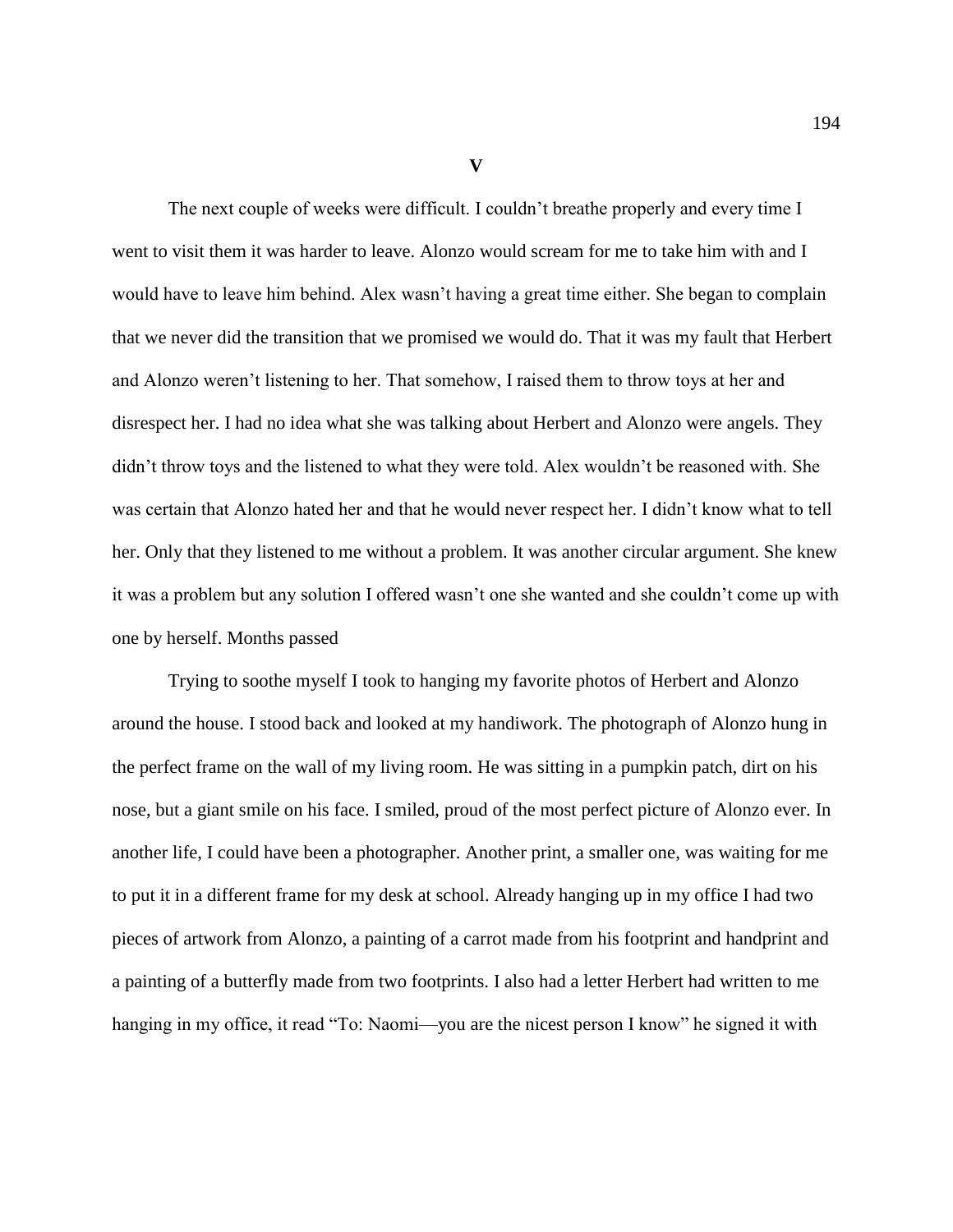**V**

The next couple of weeks were difficult. I couldn't breathe properly and every time I went to visit them it was harder to leave. Alonzo would scream for me to take him with and I would have to leave him behind. Alex wasn't having a great time either. She began to complain that we never did the transition that we promised we would do. That it was my fault that Herbert and Alonzo weren't listening to her. That somehow, I raised them to throw toys at her and disrespect her. I had no idea what she was talking about Herbert and Alonzo were angels. They didn't throw toys and the listened to what they were told. Alex wouldn't be reasoned with. She was certain that Alonzo hated her and that he would never respect her. I didn't know what to tell her. Only that they listened to me without a problem. It was another circular argument. She knew it was a problem but any solution I offered wasn't one she wanted and she couldn't come up with one by herself. Months passed

Trying to soothe myself I took to hanging my favorite photos of Herbert and Alonzo around the house. I stood back and looked at my handiwork. The photograph of Alonzo hung in the perfect frame on the wall of my living room. He was sitting in a pumpkin patch, dirt on his nose, but a giant smile on his face. I smiled, proud of the most perfect picture of Alonzo ever. In another life, I could have been a photographer. Another print, a smaller one, was waiting for me to put it in a different frame for my desk at school. Already hanging up in my office I had two pieces of artwork from Alonzo, a painting of a carrot made from his footprint and handprint and a painting of a butterfly made from two footprints. I also had a letter Herbert had written to me hanging in my office, it read "To: Naomi—you are the nicest person I know" he signed it with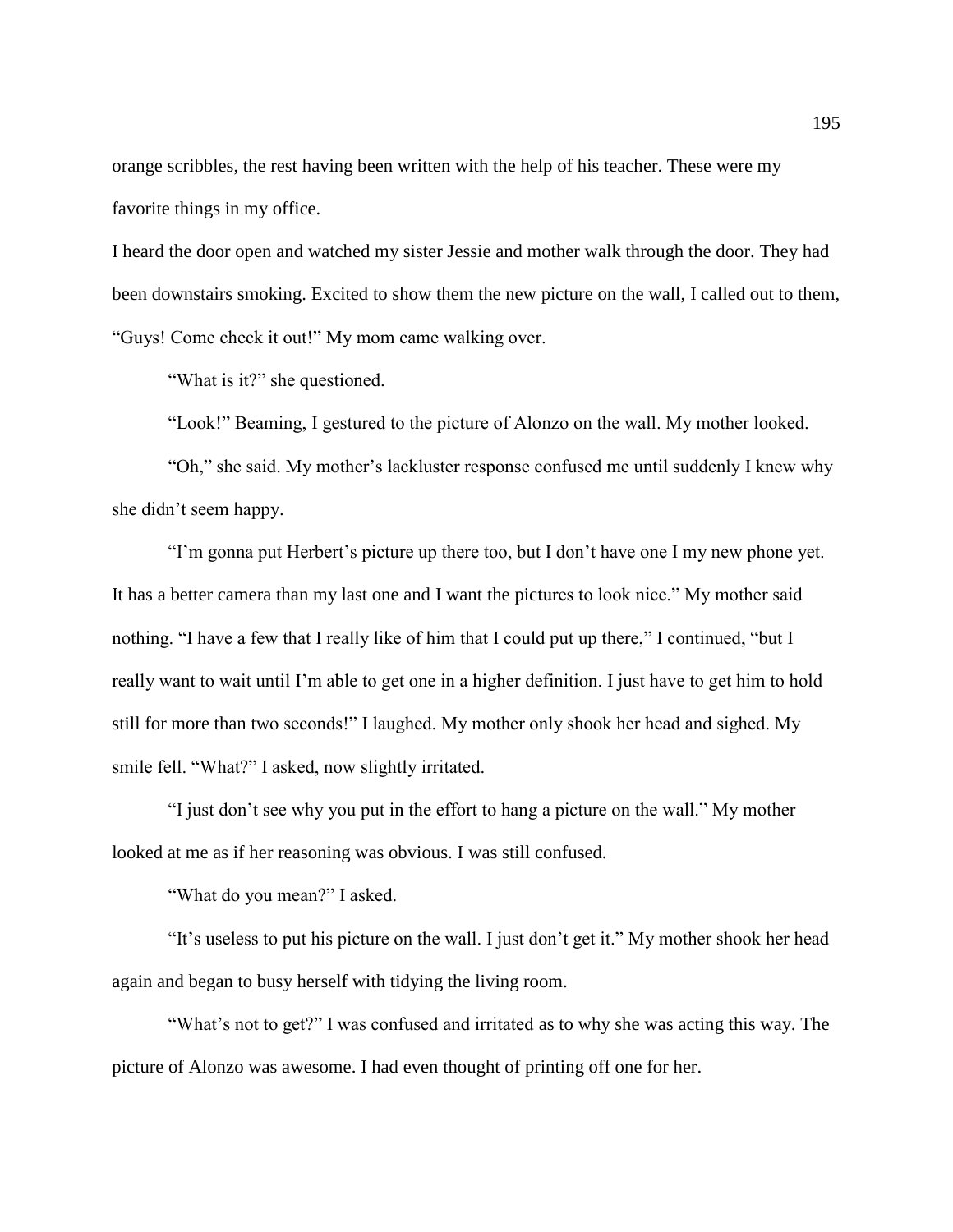orange scribbles, the rest having been written with the help of his teacher. These were my favorite things in my office.

I heard the door open and watched my sister Jessie and mother walk through the door. They had been downstairs smoking. Excited to show them the new picture on the wall, I called out to them, "Guys! Come check it out!" My mom came walking over.

"What is it?" she questioned.

"Look!" Beaming, I gestured to the picture of Alonzo on the wall. My mother looked.

"Oh," she said. My mother's lackluster response confused me until suddenly I knew why she didn't seem happy.

"I'm gonna put Herbert's picture up there too, but I don't have one I my new phone yet. It has a better camera than my last one and I want the pictures to look nice." My mother said nothing. "I have a few that I really like of him that I could put up there," I continued, "but I really want to wait until I'm able to get one in a higher definition. I just have to get him to hold still for more than two seconds!" I laughed. My mother only shook her head and sighed. My smile fell. "What?" I asked, now slightly irritated.

"I just don't see why you put in the effort to hang a picture on the wall." My mother looked at me as if her reasoning was obvious. I was still confused.

"What do you mean?" I asked.

"It's useless to put his picture on the wall. I just don't get it." My mother shook her head again and began to busy herself with tidying the living room.

"What's not to get?" I was confused and irritated as to why she was acting this way. The picture of Alonzo was awesome. I had even thought of printing off one for her.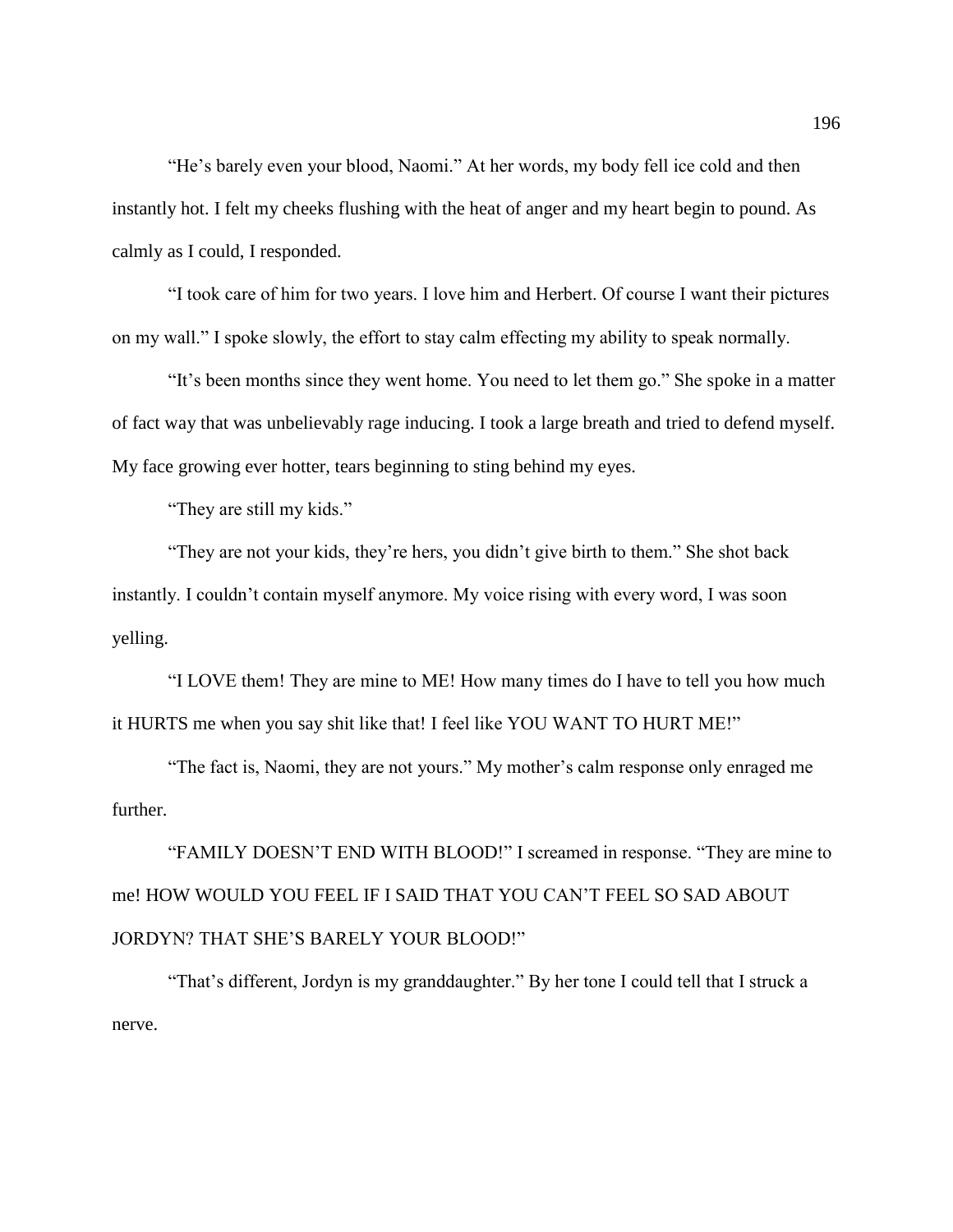"He's barely even your blood, Naomi." At her words, my body fell ice cold and then instantly hot. I felt my cheeks flushing with the heat of anger and my heart begin to pound. As calmly as I could, I responded.

"I took care of him for two years. I love him and Herbert. Of course I want their pictures on my wall." I spoke slowly, the effort to stay calm effecting my ability to speak normally.

"It's been months since they went home. You need to let them go." She spoke in a matter of fact way that was unbelievably rage inducing. I took a large breath and tried to defend myself. My face growing ever hotter, tears beginning to sting behind my eyes.

"They are still my kids."

"They are not your kids, they're hers, you didn't give birth to them." She shot back instantly. I couldn't contain myself anymore. My voice rising with every word, I was soon yelling.

"I LOVE them! They are mine to ME! How many times do I have to tell you how much it HURTS me when you say shit like that! I feel like YOU WANT TO HURT ME!"

"The fact is, Naomi, they are not yours." My mother's calm response only enraged me further.

"FAMILY DOESN'T END WITH BLOOD!" I screamed in response. "They are mine to me! HOW WOULD YOU FEEL IF I SAID THAT YOU CAN'T FEEL SO SAD ABOUT JORDYN? THAT SHE'S BARELY YOUR BLOOD!"

"That's different, Jordyn is my granddaughter." By her tone I could tell that I struck a nerve.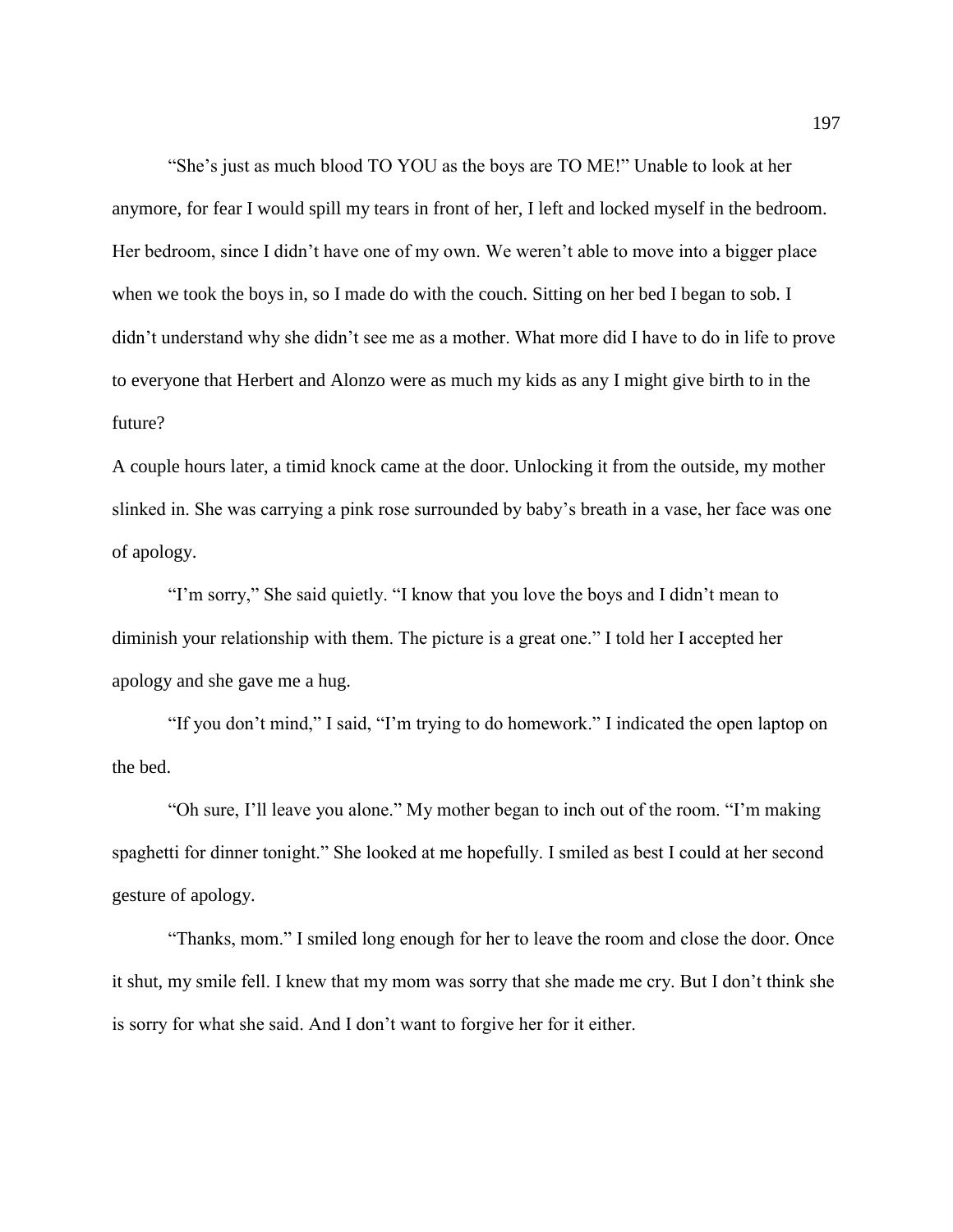"She's just as much blood TO YOU as the boys are TO ME!" Unable to look at her anymore, for fear I would spill my tears in front of her, I left and locked myself in the bedroom. Her bedroom, since I didn't have one of my own. We weren't able to move into a bigger place when we took the boys in, so I made do with the couch. Sitting on her bed I began to sob. I didn't understand why she didn't see me as a mother. What more did I have to do in life to prove to everyone that Herbert and Alonzo were as much my kids as any I might give birth to in the future?

A couple hours later, a timid knock came at the door. Unlocking it from the outside, my mother slinked in. She was carrying a pink rose surrounded by baby's breath in a vase, her face was one of apology.

"I'm sorry," She said quietly. "I know that you love the boys and I didn't mean to diminish your relationship with them. The picture is a great one." I told her I accepted her apology and she gave me a hug.

"If you don't mind," I said, "I'm trying to do homework." I indicated the open laptop on the bed.

"Oh sure, I'll leave you alone." My mother began to inch out of the room. "I'm making spaghetti for dinner tonight." She looked at me hopefully. I smiled as best I could at her second gesture of apology.

"Thanks, mom." I smiled long enough for her to leave the room and close the door. Once it shut, my smile fell. I knew that my mom was sorry that she made me cry. But I don't think she is sorry for what she said. And I don't want to forgive her for it either.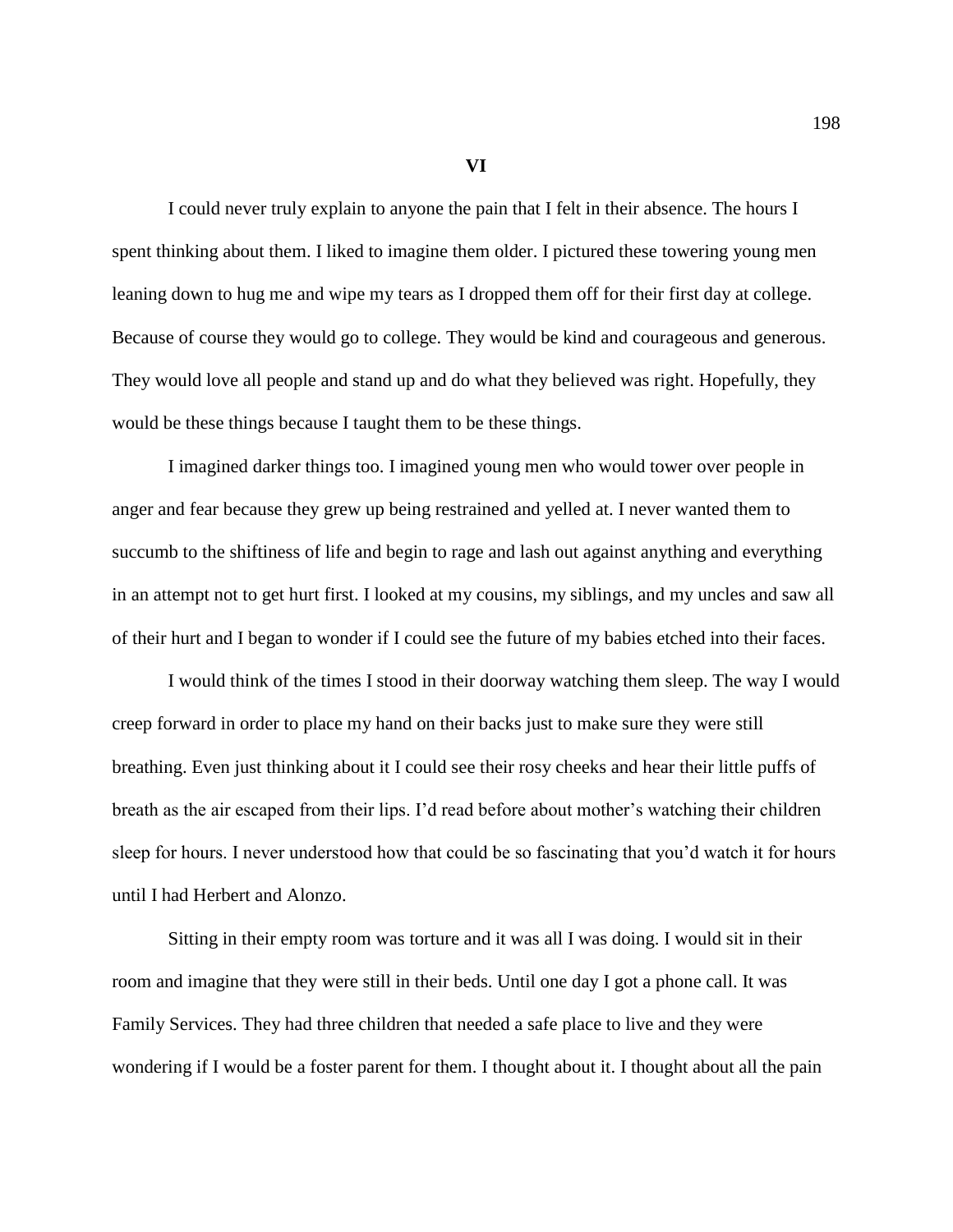**VI**

I could never truly explain to anyone the pain that I felt in their absence. The hours I spent thinking about them. I liked to imagine them older. I pictured these towering young men leaning down to hug me and wipe my tears as I dropped them off for their first day at college. Because of course they would go to college. They would be kind and courageous and generous. They would love all people and stand up and do what they believed was right. Hopefully, they would be these things because I taught them to be these things.

I imagined darker things too. I imagined young men who would tower over people in anger and fear because they grew up being restrained and yelled at. I never wanted them to succumb to the shiftiness of life and begin to rage and lash out against anything and everything in an attempt not to get hurt first. I looked at my cousins, my siblings, and my uncles and saw all of their hurt and I began to wonder if I could see the future of my babies etched into their faces.

I would think of the times I stood in their doorway watching them sleep. The way I would creep forward in order to place my hand on their backs just to make sure they were still breathing. Even just thinking about it I could see their rosy cheeks and hear their little puffs of breath as the air escaped from their lips. I'd read before about mother's watching their children sleep for hours. I never understood how that could be so fascinating that you'd watch it for hours until I had Herbert and Alonzo.

Sitting in their empty room was torture and it was all I was doing. I would sit in their room and imagine that they were still in their beds. Until one day I got a phone call. It was Family Services. They had three children that needed a safe place to live and they were wondering if I would be a foster parent for them. I thought about it. I thought about all the pain